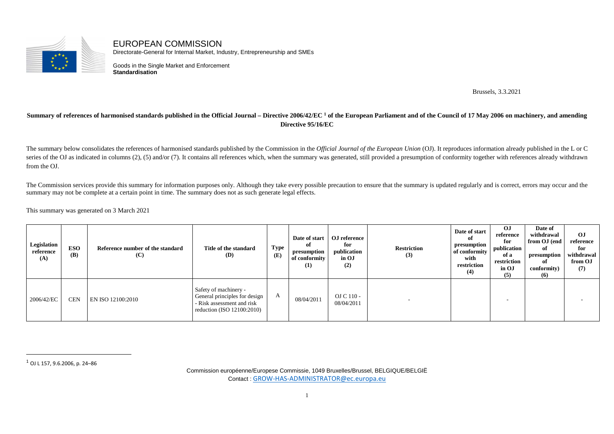

EUROPEAN COMMISSION Directorate-General for Internal Market, Industry, Entrepreneurship and SMEs

Goods in the Single Market and Enforcement **Standardisation**

Brussels, 3.3.2021

## **Summary of references of harmonised standards published in the Official Journal – Directive 2006/42/EC 1 of the European Parliament and of the Council of 17 May 2006 on machinery, and amending Directive 95/16/EC**

The summary below consolidates the references of harmonised standards published by the Commission in the *Official Journal of the European Union* (OJ). It reproduces information already published in the L or C series of the OJ as indicated in columns (2), (5) and/or (7). It contains all references which, when the summary was generated, still provided a presumption of conformity together with references already withdrawn from the OJ.

The Commission services provide this summary for information purposes only. Although they take every possible precaution to ensure that the summary is updated regularly and is correct, errors may occur and the summary may not be complete at a certain point in time. The summary does not as such generate legal effects.

This summary was generated on 3 March 2021

| Legislation<br>reference<br>(A) | <b>ESO</b><br>(B) | Reference number of the standard<br>(C) | Title of the standard<br><b>(D)</b>                                                                                | <b>Type</b><br>(E) | оf<br>presumption<br>of conformity<br>(1) | Date of start   OJ reference<br>for<br>publication<br>in OJ<br>(2) | <b>Restriction</b><br>(3) | Date of start<br>оf<br>presumption<br>of conformity<br>with<br>restriction<br>(4) | $\Omega$<br>reference<br>for<br>publication<br>of a<br>restriction<br>in OJ<br>(5) | Date of<br>withdrawal<br>from OJ (end<br>of<br>presumption<br>of<br>conformity)<br>(6) | OJ<br>reference<br>for<br>withdrawal<br>from OJ<br>(7) |
|---------------------------------|-------------------|-----------------------------------------|--------------------------------------------------------------------------------------------------------------------|--------------------|-------------------------------------------|--------------------------------------------------------------------|---------------------------|-----------------------------------------------------------------------------------|------------------------------------------------------------------------------------|----------------------------------------------------------------------------------------|--------------------------------------------------------|
| 2006/42/EC                      | <b>CEN</b>        | EN ISO 12100:2010                       | Safety of machinery -<br>General principles for design<br>- Risk assessment and risk<br>reduction (ISO 12100:2010) | A                  | 08/04/2011                                | OJ C $110 -$<br>08/04/2011                                         |                           |                                                                                   |                                                                                    |                                                                                        |                                                        |

 $^{\rm 1}$  OJ L 157, 9.6.2006, p. 24–86

Commission européenne/Europese Commissie, 1049 Bruxelles/Brussel, BELGIQUE/BELGIË Contact : GROW-HAS-ADMINISTRATOR@ec.europa.eu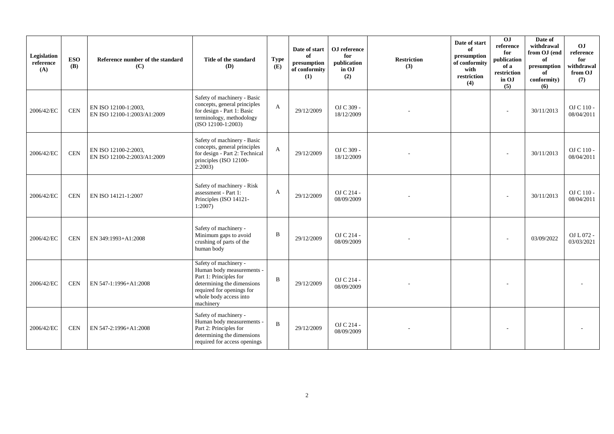| Legislation<br>reference<br>(A) | <b>ESO</b><br><b>(B)</b> | Reference number of the standard<br>(C)             | Title of the standard<br><b>(D)</b>                                                                                                                                            | <b>Type</b><br>(E) | Date of start<br>of<br>presumption<br>of conformity<br>(1) | OJ reference<br>for<br>publication<br>in OJ<br>(2) | <b>Restriction</b><br>(3) | Date of start<br>of<br>presumption<br>of conformity<br>with<br>restriction<br>(4) | $\overline{0}$<br>reference<br>for<br>publication<br>of a<br>restriction<br>in OJ<br>(5) | Date of<br>withdrawal<br>from OJ (end<br>of<br>presumption<br>of<br>conformity)<br>(6) | O <sub>J</sub><br>reference<br>for<br>withdrawal<br>from OJ<br>(7) |
|---------------------------------|--------------------------|-----------------------------------------------------|--------------------------------------------------------------------------------------------------------------------------------------------------------------------------------|--------------------|------------------------------------------------------------|----------------------------------------------------|---------------------------|-----------------------------------------------------------------------------------|------------------------------------------------------------------------------------------|----------------------------------------------------------------------------------------|--------------------------------------------------------------------|
| 2006/42/EC                      | CEN                      | EN ISO 12100-1:2003,<br>EN ISO 12100-1:2003/A1:2009 | Safety of machinery - Basic<br>concepts, general principles<br>for design - Part 1: Basic<br>terminology, methodology<br>(ISO 12100-1:2003)                                    | A                  | 29/12/2009                                                 | OJ C 309 -<br>18/12/2009                           |                           |                                                                                   | $\overline{\phantom{a}}$                                                                 | 30/11/2013                                                                             | $OJ C 110$ -<br>08/04/2011                                         |
| 2006/42/EC                      | <b>CEN</b>               | EN ISO 12100-2:2003.<br>EN ISO 12100-2:2003/A1:2009 | Safety of machinery - Basic<br>concepts, general principles<br>for design - Part 2: Technical<br>principles (ISO 12100-<br>2:2003                                              | A                  | 29/12/2009                                                 | OJ C 309 -<br>18/12/2009                           |                           |                                                                                   |                                                                                          | 30/11/2013                                                                             | OJ C 110 -<br>08/04/2011                                           |
| 2006/42/EC                      | <b>CEN</b>               | EN ISO 14121-1:2007                                 | Safety of machinery - Risk<br>assessment - Part 1:<br>Principles (ISO 14121-<br>1:2007                                                                                         | A                  | 29/12/2009                                                 | OJ C 214 -<br>08/09/2009                           |                           |                                                                                   |                                                                                          | 30/11/2013                                                                             | OJ C 110 -<br>08/04/2011                                           |
| 2006/42/EC                      | <b>CEN</b>               | EN 349:1993+A1:2008                                 | Safety of machinery -<br>Minimum gaps to avoid<br>crushing of parts of the<br>human body                                                                                       | B                  | 29/12/2009                                                 | OJ C 214 -<br>08/09/2009                           |                           |                                                                                   |                                                                                          | 03/09/2022                                                                             | OJ L 072 -<br>03/03/2021                                           |
| 2006/42/EC                      | <b>CEN</b>               | EN 547-1:1996+A1:2008                               | Safety of machinery -<br>Human body measurements -<br>Part 1: Principles for<br>determining the dimensions<br>required for openings for<br>whole body access into<br>machinery | B                  | 29/12/2009                                                 | OJ C 214 -<br>08/09/2009                           |                           |                                                                                   |                                                                                          |                                                                                        |                                                                    |
| 2006/42/EC                      | <b>CEN</b>               | EN 547-2:1996+A1:2008                               | Safety of machinery -<br>Human body measurements -<br>Part 2: Principles for<br>determining the dimensions<br>required for access openings                                     | B                  | 29/12/2009                                                 | OJ C 214 -<br>08/09/2009                           |                           |                                                                                   |                                                                                          |                                                                                        |                                                                    |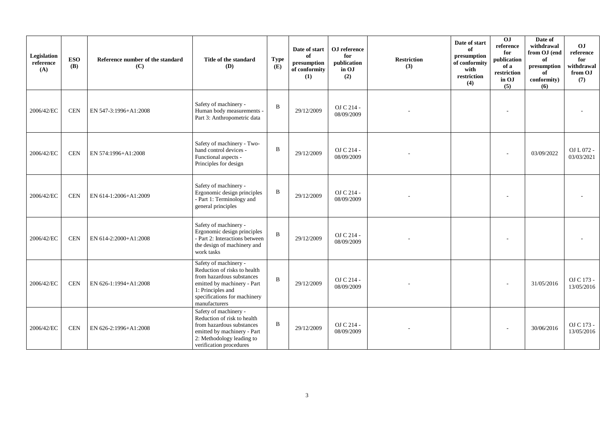| Legislation<br>reference<br>(A) | <b>ESO</b><br><b>(B)</b> | Reference number of the standard<br>(C) | Title of the standard<br><b>(D)</b>                                                                                                                                                     | <b>Type</b><br>(E) | Date of start<br>of<br>presumption<br>of conformity<br>(1) | OJ reference<br>for<br>publication<br>in OJ<br>(2) | <b>Restriction</b><br>(3) | Date of start<br>of<br>presumption<br>of conformity<br>with<br>restriction<br>(4) | $\overline{0}$<br>reference<br>for<br>publication<br>of a<br>restriction<br>in OJ<br>(5) | Date of<br>withdrawal<br>from OJ (end<br>of<br>presumption<br>of<br>conformity)<br>(6) | OJ<br>reference<br>for<br>withdrawal<br>from OJ<br>(7) |
|---------------------------------|--------------------------|-----------------------------------------|-----------------------------------------------------------------------------------------------------------------------------------------------------------------------------------------|--------------------|------------------------------------------------------------|----------------------------------------------------|---------------------------|-----------------------------------------------------------------------------------|------------------------------------------------------------------------------------------|----------------------------------------------------------------------------------------|--------------------------------------------------------|
| 2006/42/EC                      | <b>CEN</b>               | EN 547-3:1996+A1:2008                   | Safety of machinery -<br>Human body measurements -<br>Part 3: Anthropometric data                                                                                                       | B                  | 29/12/2009                                                 | OJ C 214 -<br>08/09/2009                           |                           |                                                                                   |                                                                                          |                                                                                        |                                                        |
| 2006/42/EC                      | <b>CEN</b>               | EN 574:1996+A1:2008                     | Safety of machinery - Two-<br>hand control devices -<br>Functional aspects -<br>Principles for design                                                                                   | $\mathbf B$        | 29/12/2009                                                 | OJ C 214 -<br>08/09/2009                           |                           |                                                                                   |                                                                                          | 03/09/2022                                                                             | OJ L 072 -<br>03/03/2021                               |
| 2006/42/EC                      | <b>CEN</b>               | EN 614-1:2006+A1:2009                   | Safety of machinery -<br>Ergonomic design principles<br>- Part 1: Terminology and<br>general principles                                                                                 | B                  | 29/12/2009                                                 | OJ C 214 -<br>08/09/2009                           |                           |                                                                                   |                                                                                          |                                                                                        |                                                        |
| 2006/42/EC                      | <b>CEN</b>               | EN 614-2:2000+A1:2008                   | Safety of machinery -<br>Ergonomic design principles<br>- Part 2: Interactions between<br>the design of machinery and<br>work tasks                                                     | $\, {\bf B}$       | 29/12/2009                                                 | OJ C 214 -<br>08/09/2009                           |                           |                                                                                   | $\overline{a}$                                                                           |                                                                                        |                                                        |
| 2006/42/EC                      | <b>CEN</b>               | EN 626-1:1994+A1:2008                   | Safety of machinery -<br>Reduction of risks to health<br>from hazardous substances<br>emitted by machinery - Part<br>1: Principles and<br>specifications for machinery<br>manufacturers | $\mathbf B$        | 29/12/2009                                                 | OJ C 214 -<br>08/09/2009                           |                           |                                                                                   |                                                                                          | 31/05/2016                                                                             | OJ C 173 -<br>13/05/2016                               |
| 2006/42/EC                      | <b>CEN</b>               | EN 626-2:1996+A1:2008                   | Safety of machinery -<br>Reduction of risk to health<br>from hazardous substances<br>emitted by machinery - Part<br>2: Methodology leading to<br>verification procedures                | B                  | 29/12/2009                                                 | OJ C 214 -<br>08/09/2009                           |                           |                                                                                   |                                                                                          | 30/06/2016                                                                             | OJ C 173 -<br>13/05/2016                               |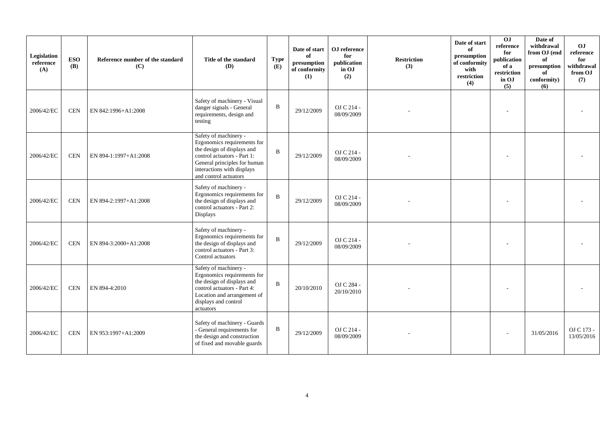| Legislation<br>reference<br>(A) | <b>ESO</b><br><b>(B)</b> | Reference number of the standard<br>(C) | Title of the standard<br><b>(D)</b>                                                                                                                                                                      | <b>Type</b><br>(E) | Date of start<br>of<br>presumption<br>of conformity<br>(1) | OJ reference<br>for<br>publication<br>in OJ<br>(2) | <b>Restriction</b><br>(3) | Date of start<br>of<br>presumption<br>of conformity<br>with<br>restriction<br>(4) | $\overline{0}$<br>reference<br>for<br>publication<br>of a<br>restriction<br>in OJ<br>(5) | Date of<br>withdrawal<br>from OJ (end<br>of<br>presumption<br>of<br>conformity)<br>(6) | O <sub>J</sub><br>reference<br>for<br>withdrawal<br>from OJ<br>(7) |
|---------------------------------|--------------------------|-----------------------------------------|----------------------------------------------------------------------------------------------------------------------------------------------------------------------------------------------------------|--------------------|------------------------------------------------------------|----------------------------------------------------|---------------------------|-----------------------------------------------------------------------------------|------------------------------------------------------------------------------------------|----------------------------------------------------------------------------------------|--------------------------------------------------------------------|
| 2006/42/EC                      | <b>CEN</b>               | EN 842:1996+A1:2008                     | Safety of machinery - Visual<br>danger signals - General<br>requirements, design and<br>testing                                                                                                          | $\mathbf{B}$       | 29/12/2009                                                 | OJ C 214 -<br>08/09/2009                           |                           |                                                                                   |                                                                                          |                                                                                        |                                                                    |
| 2006/42/EC                      | <b>CEN</b>               | EN 894-1:1997+A1:2008                   | Safety of machinery -<br>Ergonomics requirements for<br>the design of displays and<br>control actuators - Part 1:<br>General principles for human<br>interactions with displays<br>and control actuators | $\overline{B}$     | 29/12/2009                                                 | OJ C 214 -<br>08/09/2009                           |                           |                                                                                   |                                                                                          |                                                                                        |                                                                    |
| 2006/42/EC                      | <b>CEN</b>               | EN 894-2:1997+A1:2008                   | Safety of machinery -<br>Ergonomics requirements for<br>the design of displays and<br>control actuators - Part 2:<br>Displays                                                                            | $\, {\bf B}$       | 29/12/2009                                                 | OJ C 214 -<br>08/09/2009                           |                           |                                                                                   |                                                                                          |                                                                                        |                                                                    |
| 2006/42/EC                      | <b>CEN</b>               | EN 894-3:2000+A1:2008                   | Safety of machinery -<br>Ergonomics requirements for<br>the design of displays and<br>control actuators - Part 3:<br>Control actuators                                                                   | $\mathbf B$        | 29/12/2009                                                 | OJ C 214 -<br>08/09/2009                           |                           |                                                                                   |                                                                                          |                                                                                        |                                                                    |
| 2006/42/EC                      | <b>CEN</b>               | EN 894-4:2010                           | Safety of machinery -<br>Ergonomics requirements for<br>the design of displays and<br>control actuators - Part 4:<br>Location and arrangement of<br>displays and control<br>actuators                    | $\mathbf{B}$       | 20/10/2010                                                 | OJ C 284 -<br>20/10/2010                           |                           |                                                                                   |                                                                                          |                                                                                        |                                                                    |
| 2006/42/EC                      | <b>CEN</b>               | EN 953:1997+A1:2009                     | Safety of machinery - Guards<br>- General requirements for<br>the design and construction<br>of fixed and movable guards                                                                                 | $\, {\bf B}$       | 29/12/2009                                                 | OJ C 214 -<br>08/09/2009                           |                           |                                                                                   |                                                                                          | 31/05/2016                                                                             | OJ C 173 -<br>13/05/2016                                           |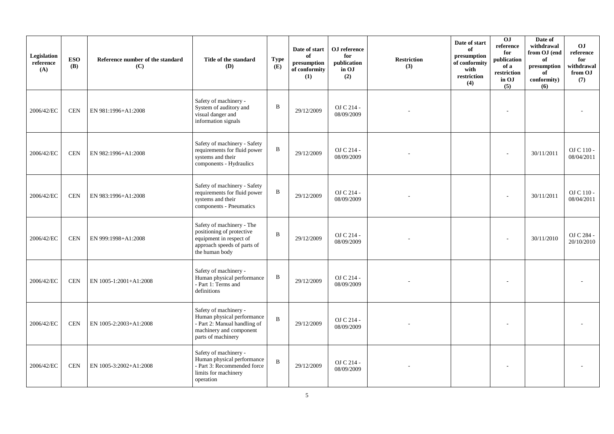| Legislation<br>reference<br>(A) | <b>ESO</b><br><b>(B)</b> | Reference number of the standard<br>(C) | Title of the standard<br>(D)                                                                                                         | <b>Type</b><br>(E) | Date of start<br>of<br>presumption<br>of conformity<br>(1) | OJ reference<br>for<br>publication<br>in OJ<br>(2) | <b>Restriction</b><br>(3) | Date of start<br>of<br>presumption<br>of conformity<br>with<br>restriction<br>(4) | OJ<br>$\rm reference$<br>for<br>publication<br>of a<br>restriction<br>in OJ<br>(5) | Date of<br>withdrawal<br>from OJ (end<br>of<br>presumption<br>of<br>conformity)<br>(6) | <b>OJ</b><br>reference<br>for<br>withdrawal<br>from OJ<br>(7) |
|---------------------------------|--------------------------|-----------------------------------------|--------------------------------------------------------------------------------------------------------------------------------------|--------------------|------------------------------------------------------------|----------------------------------------------------|---------------------------|-----------------------------------------------------------------------------------|------------------------------------------------------------------------------------|----------------------------------------------------------------------------------------|---------------------------------------------------------------|
| 2006/42/EC                      | <b>CEN</b>               | EN 981:1996+A1:2008                     | Safety of machinery -<br>System of auditory and<br>visual danger and<br>information signals                                          | $\, {\bf B}$       | 29/12/2009                                                 | OJ C 214 -<br>08/09/2009                           |                           |                                                                                   |                                                                                    |                                                                                        |                                                               |
| 2006/42/EC                      | <b>CEN</b>               | EN 982:1996+A1:2008                     | Safety of machinery - Safety<br>requirements for fluid power<br>systems and their<br>components - Hydraulics                         | B                  | 29/12/2009                                                 | OJ C 214 -<br>08/09/2009                           |                           |                                                                                   |                                                                                    | 30/11/2011                                                                             | OJ C 110 -<br>08/04/2011                                      |
| 2006/42/EC                      | <b>CEN</b>               | EN 983:1996+A1:2008                     | Safety of machinery - Safety<br>requirements for fluid power<br>systems and their<br>components - Pneumatics                         | B                  | 29/12/2009                                                 | OJ C 214 -<br>08/09/2009                           |                           |                                                                                   |                                                                                    | 30/11/2011                                                                             | OJ C 110 -<br>08/04/2011                                      |
| 2006/42/EC                      | <b>CEN</b>               | EN 999:1998+A1:2008                     | Safety of machinery - The<br>positioning of protective<br>equipment in respect of<br>approach speeds of parts of<br>the human body   | $\mathbf B$        | 29/12/2009                                                 | OJ C 214 -<br>08/09/2009                           |                           |                                                                                   |                                                                                    | 30/11/2010                                                                             | OJ C 284 -<br>20/10/2010                                      |
| 2006/42/EC                      | <b>CEN</b>               | EN 1005-1:2001+A1:2008                  | Safety of machinery -<br>Human physical performance<br>- Part 1: Terms and<br>definitions                                            | B                  | 29/12/2009                                                 | OJ C 214 -<br>08/09/2009                           |                           |                                                                                   |                                                                                    |                                                                                        |                                                               |
| 2006/42/EC                      | <b>CEN</b>               | EN 1005-2:2003+A1:2008                  | Safety of machinery -<br>Human physical performance<br>- Part 2: Manual handling of<br>machinery and component<br>parts of machinery | $\mathbf B$        | 29/12/2009                                                 | OJ C 214 -<br>08/09/2009                           |                           |                                                                                   |                                                                                    |                                                                                        |                                                               |
| 2006/42/EC                      | <b>CEN</b>               | EN 1005-3:2002+A1:2008                  | Safety of machinery -<br>Human physical performance<br>- Part 3: Recommended force<br>limits for machinery<br>operation              | $\, {\bf B}$       | 29/12/2009                                                 | OJ C 214 -<br>08/09/2009                           |                           |                                                                                   |                                                                                    |                                                                                        |                                                               |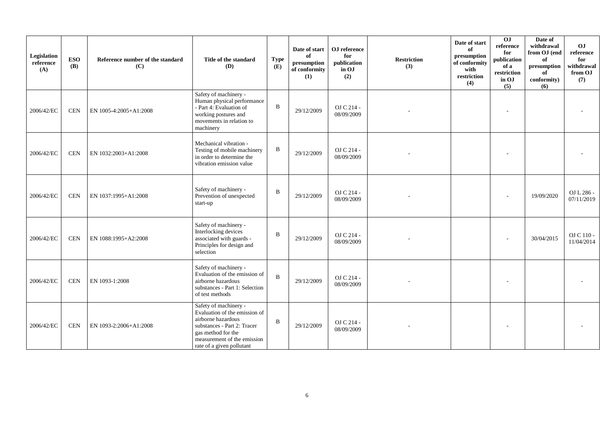| Legislation<br>reference<br>(A) | <b>ESO</b><br><b>(B)</b> | Reference number of the standard<br>(C) | Title of the standard<br><b>(D)</b>                                                                                                                                                           | <b>Type</b><br>(E) | Date of start<br>of<br>presumption<br>of conformity<br>(1) | OJ reference<br>for<br>publication<br>in OJ<br>(2) | <b>Restriction</b><br>(3) | Date of start<br>of<br>presumption<br>of conformity<br>with<br>restriction<br>(4) | 0 <sub>J</sub><br>reference<br>for<br>publication<br>of a<br>restriction<br>in OJ<br>(5) | Date of<br>withdrawal<br>from OJ (end<br>of<br>presumption<br>of<br>conformity)<br>(6) | OJ<br>reference<br>for<br>withdrawal<br>from OJ<br>(7) |
|---------------------------------|--------------------------|-----------------------------------------|-----------------------------------------------------------------------------------------------------------------------------------------------------------------------------------------------|--------------------|------------------------------------------------------------|----------------------------------------------------|---------------------------|-----------------------------------------------------------------------------------|------------------------------------------------------------------------------------------|----------------------------------------------------------------------------------------|--------------------------------------------------------|
| 2006/42/EC                      | <b>CEN</b>               | EN 1005-4:2005+A1:2008                  | Safety of machinery -<br>Human physical performance<br>- Part 4: Evaluation of<br>working postures and<br>movements in relation to<br>machinery                                               | $\, {\bf B}$       | 29/12/2009                                                 | OJ C 214 -<br>08/09/2009                           |                           |                                                                                   |                                                                                          |                                                                                        |                                                        |
| 2006/42/EC                      | <b>CEN</b>               | EN 1032:2003+A1:2008                    | Mechanical vibration -<br>Testing of mobile machinery<br>in order to determine the<br>vibration emission value                                                                                | $\, {\bf B}$       | 29/12/2009                                                 | OJ C 214 -<br>08/09/2009                           |                           |                                                                                   |                                                                                          |                                                                                        |                                                        |
| 2006/42/EC                      | <b>CEN</b>               | EN 1037:1995+A1:2008                    | Safety of machinery -<br>Prevention of unexpected<br>start-up                                                                                                                                 | $\mathbf B$        | 29/12/2009                                                 | OJ C 214 -<br>08/09/2009                           |                           |                                                                                   |                                                                                          | 19/09/2020                                                                             | OJ L 286 -<br>07/11/2019                               |
| 2006/42/EC                      | <b>CEN</b>               | EN 1088:1995+A2:2008                    | Safety of machinery -<br>Interlocking devices<br>associated with guards -<br>Principles for design and<br>selection                                                                           | B                  | 29/12/2009                                                 | OJ C 214 -<br>08/09/2009                           |                           |                                                                                   |                                                                                          | 30/04/2015                                                                             | OJ C 110 -<br>11/04/2014                               |
| 2006/42/EC                      | <b>CEN</b>               | EN 1093-1:2008                          | Safety of machinery -<br>Evaluation of the emission of<br>airborne hazardous<br>substances - Part 1: Selection<br>of test methods                                                             | $\overline{B}$     | 29/12/2009                                                 | OJ C 214 -<br>08/09/2009                           |                           |                                                                                   |                                                                                          |                                                                                        |                                                        |
| 2006/42/EC                      | <b>CEN</b>               | EN 1093-2:2006+A1:2008                  | Safety of machinery -<br>Evaluation of the emission of<br>airborne hazardous<br>substances - Part 2: Tracer<br>gas method for the<br>measurement of the emission<br>rate of a given pollutant | $\mathbf B$        | 29/12/2009                                                 | OJ C 214 -<br>08/09/2009                           |                           |                                                                                   |                                                                                          |                                                                                        |                                                        |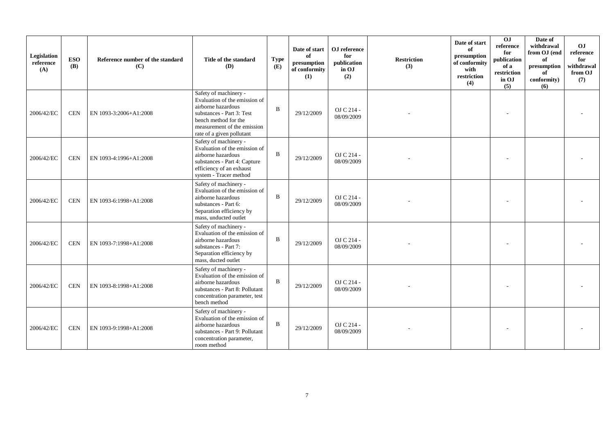| Legislation<br>reference<br>(A) | <b>ESO</b><br><b>(B)</b> | Reference number of the standard<br>(C) | Title of the standard<br><b>(D)</b>                                                                                                                                                           | <b>Type</b><br>(E) | Date of start<br>of<br>presumption<br>of conformity<br>(1) | OJ reference<br>for<br>publication<br>in OJ<br>(2) | <b>Restriction</b><br>(3) | Date of start<br>of<br>presumption<br>of conformity<br>with<br>restriction<br>(4) | 0J<br>reference<br>for<br>publication<br>of a<br>restriction<br>in OJ<br>(5) | Date of<br>withdrawal<br>from OJ (end<br>of<br>presumption<br>of<br>conformity)<br>(6) | O <sub>J</sub><br>reference<br>for<br>withdrawal<br>from OJ<br>(7) |
|---------------------------------|--------------------------|-----------------------------------------|-----------------------------------------------------------------------------------------------------------------------------------------------------------------------------------------------|--------------------|------------------------------------------------------------|----------------------------------------------------|---------------------------|-----------------------------------------------------------------------------------|------------------------------------------------------------------------------|----------------------------------------------------------------------------------------|--------------------------------------------------------------------|
| 2006/42/EC                      | <b>CEN</b>               | EN 1093-3:2006+A1:2008                  | Safety of machinery -<br>Evaluation of the emission of<br>airborne hazardous<br>substances - Part 3: Test<br>bench method for the<br>measurement of the emission<br>rate of a given pollutant | $\mathbf{B}$       | 29/12/2009                                                 | OJ C 214 -<br>08/09/2009                           |                           |                                                                                   |                                                                              |                                                                                        |                                                                    |
| 2006/42/EC                      | <b>CEN</b>               | EN 1093-4:1996+A1:2008                  | Safety of machinery -<br>Evaluation of the emission of<br>airborne hazardous<br>substances - Part 4: Capture<br>efficiency of an exhaust<br>system - Tracer method                            | $\mathbf{B}$       | 29/12/2009                                                 | OJ C 214 -<br>08/09/2009                           |                           |                                                                                   |                                                                              |                                                                                        |                                                                    |
| 2006/42/EC                      | <b>CEN</b>               | EN 1093-6:1998+A1:2008                  | Safety of machinery -<br>Evaluation of the emission of<br>airborne hazardous<br>substances - Part 6:<br>Separation efficiency by<br>mass, unducted outlet                                     | $\mathbf B$        | 29/12/2009                                                 | OJ C 214 -<br>08/09/2009                           |                           |                                                                                   |                                                                              |                                                                                        |                                                                    |
| 2006/42/EC                      | <b>CEN</b>               | EN 1093-7:1998+A1:2008                  | Safety of machinery -<br>Evaluation of the emission of<br>airborne hazardous<br>substances - Part 7:<br>Separation efficiency by<br>mass, ducted outlet                                       | $\mathbf B$        | 29/12/2009                                                 | OJ C 214 -<br>08/09/2009                           |                           |                                                                                   |                                                                              |                                                                                        |                                                                    |
| 2006/42/EC                      | <b>CEN</b>               | EN 1093-8:1998+A1:2008                  | Safety of machinery -<br>Evaluation of the emission of<br>airborne hazardous<br>substances - Part 8: Pollutant<br>concentration parameter, test<br>bench method                               | $\mathbf{B}$       | 29/12/2009                                                 | OJ C 214 -<br>08/09/2009                           |                           |                                                                                   |                                                                              |                                                                                        |                                                                    |
| 2006/42/EC                      | <b>CEN</b>               | EN 1093-9:1998+A1:2008                  | Safety of machinery -<br>Evaluation of the emission of<br>airborne hazardous<br>substances - Part 9: Pollutant<br>concentration parameter,<br>room method                                     | $\mathbf B$        | 29/12/2009                                                 | OJ C 214 -<br>08/09/2009                           |                           |                                                                                   |                                                                              |                                                                                        |                                                                    |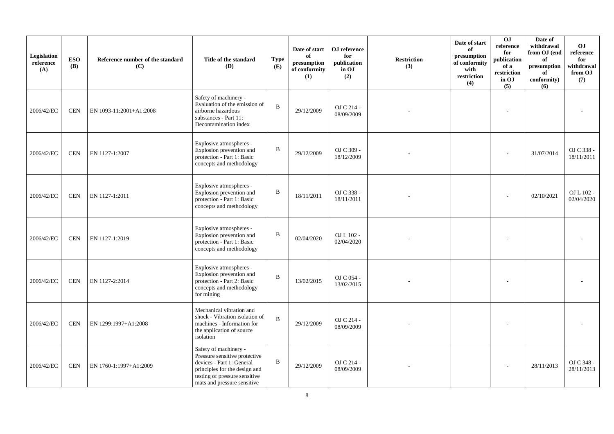| Legislation<br>reference<br>(A) | <b>ESO</b><br><b>(B)</b> | Reference number of the standard<br>(C) | Title of the standard<br>(D)                                                                                                                                                         | <b>Type</b><br>(E) | Date of start<br>of<br>presumption<br>of conformity<br>(1) | OJ reference<br>for<br>publication<br>in OJ<br>(2) | <b>Restriction</b><br>(3) | Date of start<br>of<br>presumption<br>of conformity<br>with<br>restriction<br>(4) | 0J<br>reference<br>for<br>publication<br>of a<br>restriction<br>in OJ<br>(5) | Date of<br>withdrawal<br>from OJ (end<br>of<br>presumption<br>of<br>conformity)<br>(6) | <b>OJ</b><br>reference<br>for<br>withdrawal<br>from OJ<br>(7) |
|---------------------------------|--------------------------|-----------------------------------------|--------------------------------------------------------------------------------------------------------------------------------------------------------------------------------------|--------------------|------------------------------------------------------------|----------------------------------------------------|---------------------------|-----------------------------------------------------------------------------------|------------------------------------------------------------------------------|----------------------------------------------------------------------------------------|---------------------------------------------------------------|
| 2006/42/EC                      | <b>CEN</b>               | EN 1093-11:2001+A1:2008                 | Safety of machinery -<br>Evaluation of the emission of<br>airborne hazardous<br>substances - Part 11:<br>Decontamination index                                                       | $\mathbf{B}$       | 29/12/2009                                                 | OJ C 214 -<br>08/09/2009                           |                           |                                                                                   |                                                                              |                                                                                        |                                                               |
| 2006/42/EC                      | <b>CEN</b>               | EN 1127-1:2007                          | Explosive atmospheres -<br>Explosion prevention and<br>protection - Part 1: Basic<br>concepts and methodology                                                                        | $\mathbf B$        | 29/12/2009                                                 | OJ C 309 -<br>18/12/2009                           |                           |                                                                                   |                                                                              | 31/07/2014                                                                             | OJ C 338 -<br>18/11/2011                                      |
| 2006/42/EC                      | <b>CEN</b>               | EN 1127-1:2011                          | Explosive atmospheres -<br>Explosion prevention and<br>protection - Part 1: Basic<br>concepts and methodology                                                                        | B                  | 18/11/2011                                                 | OJ C 338 -<br>18/11/2011                           |                           |                                                                                   |                                                                              | 02/10/2021                                                                             | OJ L 102 -<br>02/04/2020                                      |
| 2006/42/EC                      | <b>CEN</b>               | EN 1127-1:2019                          | Explosive atmospheres -<br>Explosion prevention and<br>protection - Part 1: Basic<br>concepts and methodology                                                                        | B                  | 02/04/2020                                                 | OJ L 102 -<br>02/04/2020                           |                           |                                                                                   |                                                                              |                                                                                        |                                                               |
| 2006/42/EC                      | <b>CEN</b>               | EN 1127-2:2014                          | Explosive atmospheres -<br>Explosion prevention and<br>protection - Part 2: Basic<br>concepts and methodology<br>for mining                                                          | $\mathbf B$        | 13/02/2015                                                 | OJ C 054 -<br>13/02/2015                           |                           |                                                                                   |                                                                              |                                                                                        |                                                               |
| 2006/42/EC                      | <b>CEN</b>               | EN 1299:1997+A1:2008                    | Mechanical vibration and<br>shock - Vibration isolation of<br>machines - Information for<br>the application of source<br>isolation                                                   | $\mathbf B$        | 29/12/2009                                                 | OJ C 214 -<br>08/09/2009                           |                           |                                                                                   |                                                                              |                                                                                        |                                                               |
| 2006/42/EC                      | <b>CEN</b>               | EN 1760-1:1997+A1:2009                  | Safety of machinery -<br>Pressure sensitive protective<br>devices - Part 1: General<br>principles for the design and<br>testing of pressure sensitive<br>mats and pressure sensitive | $\, {\bf B}$       | 29/12/2009                                                 | OJ C 214 -<br>08/09/2009                           |                           |                                                                                   |                                                                              | 28/11/2013                                                                             | OJ C 348 -<br>28/11/2013                                      |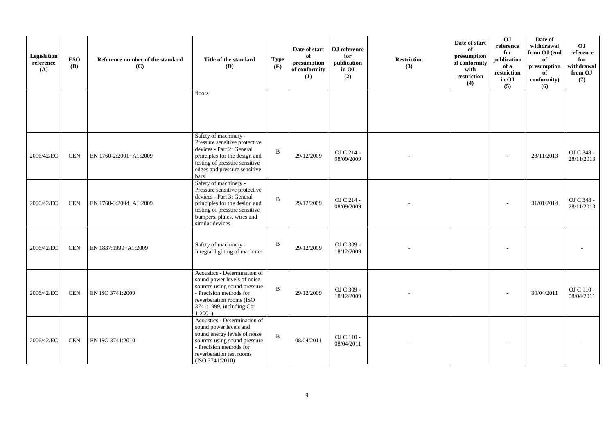| Legislation<br>reference<br>(A) | <b>ESO</b><br><b>(B)</b> | Reference number of the standard<br>(C) | Title of the standard<br>(D)                                                                                                                                                                           | <b>Type</b><br>(E) | Date of start<br>of<br>presumption<br>of conformity<br>(1) | OJ reference<br>for<br>publication<br>in OJ<br>(2) | <b>Restriction</b><br>(3) | Date of start<br>of<br>presumption<br>of conformity<br>with<br>restriction<br>(4) | OJ<br>reference<br>for<br>publication<br>of a<br>restriction<br>in OJ<br>(5) | Date of<br>withdrawal<br>from OJ (end<br>of<br>presumption<br>of<br>conformity)<br>(6) | OJ<br>reference<br>for<br>withdrawal<br>from OJ<br>(7) |
|---------------------------------|--------------------------|-----------------------------------------|--------------------------------------------------------------------------------------------------------------------------------------------------------------------------------------------------------|--------------------|------------------------------------------------------------|----------------------------------------------------|---------------------------|-----------------------------------------------------------------------------------|------------------------------------------------------------------------------|----------------------------------------------------------------------------------------|--------------------------------------------------------|
|                                 |                          |                                         | floors                                                                                                                                                                                                 |                    |                                                            |                                                    |                           |                                                                                   |                                                                              |                                                                                        |                                                        |
| 2006/42/EC                      | <b>CEN</b>               | EN 1760-2:2001+A1:2009                  | Safety of machinery -<br>Pressure sensitive protective<br>devices - Part 2: General<br>principles for the design and<br>testing of pressure sensitive<br>edges and pressure sensitive<br>bars          | B                  | 29/12/2009                                                 | OJ C 214 -<br>08/09/2009                           |                           |                                                                                   |                                                                              | 28/11/2013                                                                             | OJ C 348 -<br>28/11/2013                               |
| 2006/42/EC                      | <b>CEN</b>               | EN 1760-3:2004+A1:2009                  | Safety of machinery -<br>Pressure sensitive protective<br>devices - Part 3: General<br>principles for the design and<br>testing of pressure sensitive<br>bumpers, plates, wires and<br>similar devices | B                  | 29/12/2009                                                 | OJ C 214 -<br>08/09/2009                           |                           |                                                                                   |                                                                              | 31/01/2014                                                                             | OJ C 348 -<br>28/11/2013                               |
| 2006/42/EC                      | <b>CEN</b>               | EN 1837:1999+A1:2009                    | Safety of machinery -<br>Integral lighting of machines                                                                                                                                                 | B                  | 29/12/2009                                                 | OJ C 309 -<br>18/12/2009                           |                           |                                                                                   |                                                                              |                                                                                        |                                                        |
| 2006/42/EC                      | <b>CEN</b>               | EN ISO 3741:2009                        | Acoustics - Determination of<br>sound power levels of noise<br>sources using sound pressure<br>- Precision methods for<br>reverberation rooms (ISO<br>3741:1999, including Cor<br>$1:2001$ )           | B                  | 29/12/2009                                                 | OJ C 309 -<br>18/12/2009                           |                           |                                                                                   |                                                                              | 30/04/2011                                                                             | OJ C 110 -<br>08/04/2011                               |
| 2006/42/EC                      | <b>CEN</b>               | EN ISO 3741:2010                        | Acoustics - Determination of<br>sound power levels and<br>sound energy levels of noise<br>sources using sound pressure<br>- Precision methods for<br>reverberation test rooms<br>(ISO 3741:2010)       | B                  | 08/04/2011                                                 | OJ C 110 -<br>08/04/2011                           |                           |                                                                                   |                                                                              |                                                                                        |                                                        |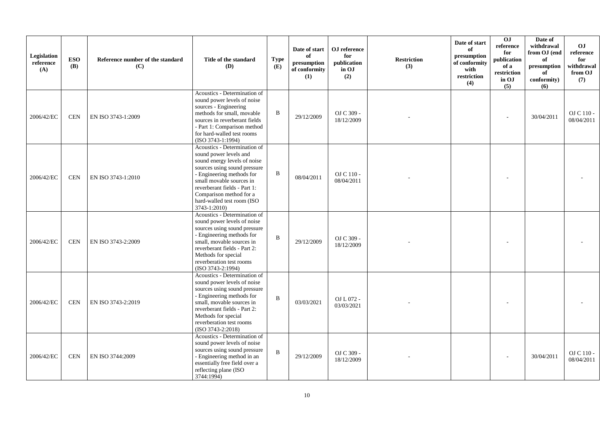| Legislation<br>reference<br>(A) | <b>ESO</b><br><b>(B)</b> | Reference number of the standard<br>(C) | Title of the standard<br><b>(D)</b>                                                                                                                                                                                                                                                      | <b>Type</b><br>(E) | Date of start<br>of<br>presumption<br>of conformity<br>(1) | OJ reference<br>for<br>publication<br>in OJ<br>(2) | <b>Restriction</b><br>(3) | Date of start<br>of<br>presumption<br>of conformity<br>with<br>$\operatorname{restriction}$<br>(4) | $\overline{0}$<br>reference<br>for<br>publication<br>of a<br>restriction<br>in OJ<br>(5) | Date of<br>withdrawal<br>from OJ (end<br>of<br>presumption<br>of<br>conformity)<br>(6) | O <sub>J</sub><br>reference<br>for<br>withdrawal<br>from OJ<br>(7) |
|---------------------------------|--------------------------|-----------------------------------------|------------------------------------------------------------------------------------------------------------------------------------------------------------------------------------------------------------------------------------------------------------------------------------------|--------------------|------------------------------------------------------------|----------------------------------------------------|---------------------------|----------------------------------------------------------------------------------------------------|------------------------------------------------------------------------------------------|----------------------------------------------------------------------------------------|--------------------------------------------------------------------|
| 2006/42/EC                      | <b>CEN</b>               | EN ISO 3743-1:2009                      | Acoustics - Determination of<br>sound power levels of noise<br>sources - Engineering<br>methods for small, movable<br>sources in reverberant fields<br>- Part 1: Comparison method<br>for hard-walled test rooms<br>$(ISO 3743-1:1994)$                                                  | $\, {\bf B}$       | 29/12/2009                                                 | OJ C 309 -<br>18/12/2009                           |                           |                                                                                                    |                                                                                          | 30/04/2011                                                                             | OJ C 110 -<br>08/04/2011                                           |
| 2006/42/EC                      | <b>CEN</b>               | EN ISO 3743-1:2010                      | Acoustics - Determination of<br>sound power levels and<br>sound energy levels of noise<br>sources using sound pressure<br>- Engineering methods for<br>small movable sources in<br>reverberant fields - Part 1:<br>Comparison method for a<br>hard-walled test room (ISO<br>3743-1:2010) | B                  | 08/04/2011                                                 | OJ C 110 -<br>08/04/2011                           |                           |                                                                                                    |                                                                                          |                                                                                        |                                                                    |
| 2006/42/EC                      | <b>CEN</b>               | EN ISO 3743-2:2009                      | Acoustics - Determination of<br>sound power levels of noise<br>sources using sound pressure<br>- Engineering methods for<br>small, movable sources in<br>reverberant fields - Part 2:<br>Methods for special<br>reverberation test rooms<br>$(ISO 3743-2:1994)$                          | $\mathbf B$        | 29/12/2009                                                 | OJ C 309 -<br>18/12/2009                           |                           |                                                                                                    |                                                                                          |                                                                                        |                                                                    |
| 2006/42/EC                      | <b>CEN</b>               | EN ISO 3743-2:2019                      | Acoustics - Determination of<br>sound power levels of noise<br>sources using sound pressure<br>- Engineering methods for<br>small, movable sources in<br>reverberant fields - Part 2:<br>Methods for special<br>reverberation test rooms<br>(ISO 3743-2:2018)                            | $\mathbf B$        | 03/03/2021                                                 | OJ L 072 -<br>03/03/2021                           |                           |                                                                                                    |                                                                                          |                                                                                        |                                                                    |
| 2006/42/EC                      | <b>CEN</b>               | EN ISO 3744:2009                        | Acoustics - Determination of<br>sound power levels of noise<br>sources using sound pressure<br>- Engineering method in an<br>essentially free field over a<br>reflecting plane (ISO<br>3744:1994)                                                                                        | $\mathbf{B}$       | 29/12/2009                                                 | OJ C 309 -<br>18/12/2009                           |                           |                                                                                                    |                                                                                          | 30/04/2011                                                                             | OJ C 110 -<br>08/04/2011                                           |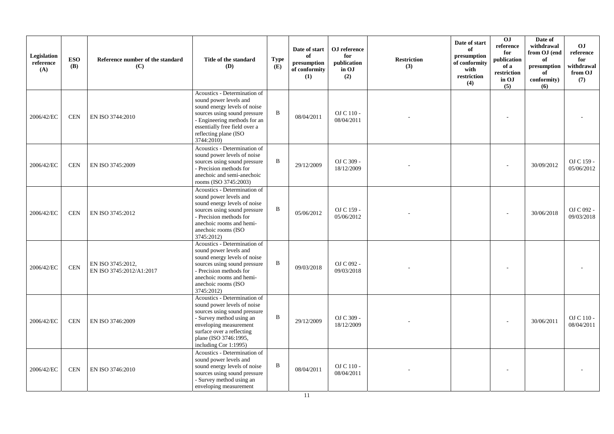| Legislation<br>reference<br>(A) | <b>ESO</b><br><b>(B)</b> | Reference number of the standard<br>(C)       | Title of the standard<br>(D)                                                                                                                                                                                                     | <b>Type</b><br>(E) | Date of start<br>of<br>presumption<br>of conformity<br>(1) | OJ reference<br>for<br>publication<br>in OJ<br>(2) | <b>Restriction</b><br>(3) | Date of start<br>of<br>presumption<br>of conformity<br>with<br>restriction<br>(4) | OJ<br>reference<br>for<br>publication<br>of a<br>restriction<br>in OJ<br>(5) | Date of<br>withdrawal<br>from OJ (end<br>of<br>presumption<br>of<br>conformity)<br>(6) | <b>OJ</b><br>reference<br>for<br>withdrawal<br>from OJ<br>(7) |
|---------------------------------|--------------------------|-----------------------------------------------|----------------------------------------------------------------------------------------------------------------------------------------------------------------------------------------------------------------------------------|--------------------|------------------------------------------------------------|----------------------------------------------------|---------------------------|-----------------------------------------------------------------------------------|------------------------------------------------------------------------------|----------------------------------------------------------------------------------------|---------------------------------------------------------------|
| 2006/42/EC                      | <b>CEN</b>               | EN ISO 3744:2010                              | Acoustics - Determination of<br>sound power levels and<br>sound energy levels of noise<br>sources using sound pressure<br>- Engineering methods for an<br>essentially free field over a<br>reflecting plane (ISO<br>3744:2010)   | B                  | 08/04/2011                                                 | OJ C 110 -<br>08/04/2011                           |                           |                                                                                   | $\overline{a}$                                                               |                                                                                        |                                                               |
| 2006/42/EC                      | <b>CEN</b>               | EN ISO 3745:2009                              | Acoustics - Determination of<br>sound power levels of noise<br>sources using sound pressure<br>- Precision methods for<br>anechoic and semi-anechoic<br>rooms (ISO 3745:2003)                                                    | B                  | 29/12/2009                                                 | OJ C 309 -<br>18/12/2009                           |                           |                                                                                   |                                                                              | 30/09/2012                                                                             | OJ C 159 -<br>05/06/2012                                      |
| 2006/42/EC                      | <b>CEN</b>               | EN ISO 3745:2012                              | Acoustics - Determination of<br>sound power levels and<br>sound energy levels of noise<br>sources using sound pressure<br>- Precision methods for<br>anechoic rooms and hemi-<br>anechoic rooms (ISO<br>3745:2012)               | B                  | 05/06/2012                                                 | OJ C 159 -<br>05/06/2012                           |                           |                                                                                   |                                                                              | 30/06/2018                                                                             | OJ C 092 -<br>09/03/2018                                      |
| 2006/42/EC                      | <b>CEN</b>               | EN ISO 3745:2012,<br>EN ISO 3745:2012/A1:2017 | Acoustics - Determination of<br>sound power levels and<br>sound energy levels of noise<br>sources using sound pressure<br>- Precision methods for<br>anechoic rooms and hemi-<br>anechoic rooms (ISO<br>3745:2012)               | B                  | 09/03/2018                                                 | OJ C 092 -<br>09/03/2018                           |                           |                                                                                   |                                                                              |                                                                                        |                                                               |
| 2006/42/EC                      | <b>CEN</b>               | EN ISO 3746:2009                              | Acoustics - Determination of<br>sound power levels of noise<br>sources using sound pressure<br>- Survey method using an<br>enveloping measurement<br>surface over a reflecting<br>plane (ISO 3746:1995,<br>including Cor 1:1995) | B                  | 29/12/2009                                                 | OJ C 309 -<br>18/12/2009                           |                           |                                                                                   |                                                                              | 30/06/2011                                                                             | OJ C 110 -<br>08/04/2011                                      |
| 2006/42/EC                      | <b>CEN</b>               | EN ISO 3746:2010                              | Acoustics - Determination of<br>sound power levels and<br>sound energy levels of noise<br>sources using sound pressure<br>- Survey method using an<br>enveloping measurement                                                     | B                  | 08/04/2011                                                 | OJ C 110 -<br>08/04/2011                           |                           |                                                                                   |                                                                              |                                                                                        |                                                               |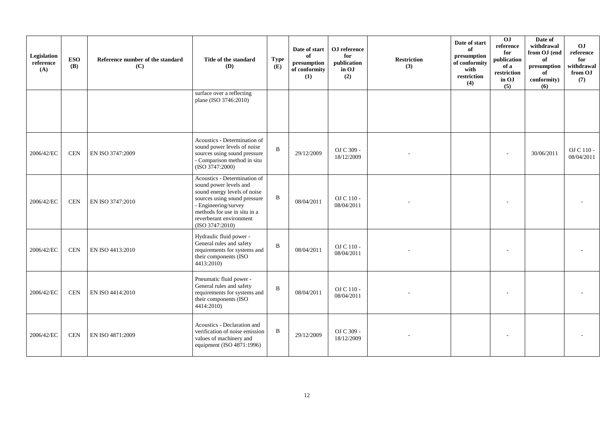| Legislation<br>reference<br>(A) | <b>ESO</b><br><b>(B)</b> | Reference number of the standard<br>(C) | Title of the standard<br>(D)                                                                                                                                                                                                 | Type<br>(E)  | Date of start<br>of<br>presumption<br>of conformity<br>(1) | OJ reference<br>for<br>publication<br>in OJ<br>(2) | <b>Restriction</b><br>(3) | Date of start<br>of<br>presumption<br>of conformity<br>with<br>restriction<br>(4) | 0J<br>reference<br>for<br>publication<br>of a<br>restriction<br>in OJ<br>(5) | Date of<br>withdrawal<br>from OJ (end<br>of<br>presumption<br>of<br>conformity)<br>(6) | OJ<br>reference<br>for<br>withdrawal<br>from OJ<br>(7) |
|---------------------------------|--------------------------|-----------------------------------------|------------------------------------------------------------------------------------------------------------------------------------------------------------------------------------------------------------------------------|--------------|------------------------------------------------------------|----------------------------------------------------|---------------------------|-----------------------------------------------------------------------------------|------------------------------------------------------------------------------|----------------------------------------------------------------------------------------|--------------------------------------------------------|
|                                 |                          |                                         | surface over a reflecting<br>plane (ISO 3746:2010)                                                                                                                                                                           |              |                                                            |                                                    |                           |                                                                                   |                                                                              |                                                                                        |                                                        |
| 2006/42/EC                      | <b>CEN</b>               | EN ISO 3747:2009                        | Acoustics - Determination of<br>sound power levels of noise<br>sources using sound pressure<br>- Comparison method in situ<br>(ISO 3747:2000)                                                                                | $\mathbf{B}$ | 29/12/2009                                                 | OJ C 309 -<br>18/12/2009                           |                           |                                                                                   |                                                                              | 30/06/2011                                                                             | OJ C 110 -<br>08/04/2011                               |
| 2006/42/EC                      | <b>CEN</b>               | EN ISO 3747:2010                        | Acoustics - Determination of<br>sound power levels and<br>sound energy levels of noise<br>sources using sound pressure<br>- Engineering/survey<br>methods for use in situ in a<br>reverberant environment<br>(ISO 3747:2010) | $\, {\bf B}$ | 08/04/2011                                                 | OJ C 110 -<br>08/04/2011                           |                           |                                                                                   |                                                                              |                                                                                        |                                                        |
| 2006/42/EC                      | <b>CEN</b>               | EN ISO 4413:2010                        | Hydraulic fluid power -<br>General rules and safety<br>requirements for systems and<br>their components (ISO<br>4413:2010)                                                                                                   | $\mathbf{B}$ | 08/04/2011                                                 | OJ C 110 -<br>08/04/2011                           |                           |                                                                                   |                                                                              |                                                                                        |                                                        |
| 2006/42/EC                      | <b>CEN</b>               | EN ISO 4414:2010                        | Pneumatic fluid power -<br>General rules and safety<br>requirements for systems and<br>their components (ISO<br>4414:2010                                                                                                    | $\mathbf{B}$ | 08/04/2011                                                 | OJ C 110 -<br>08/04/2011                           |                           |                                                                                   |                                                                              |                                                                                        |                                                        |
| 2006/42/EC                      | <b>CEN</b>               | EN ISO 4871:2009                        | Acoustics - Declaration and<br>verification of noise emission<br>values of machinery and<br>equipment (ISO 4871:1996)                                                                                                        | B            | 29/12/2009                                                 | OJ C 309 -<br>18/12/2009                           |                           |                                                                                   |                                                                              |                                                                                        |                                                        |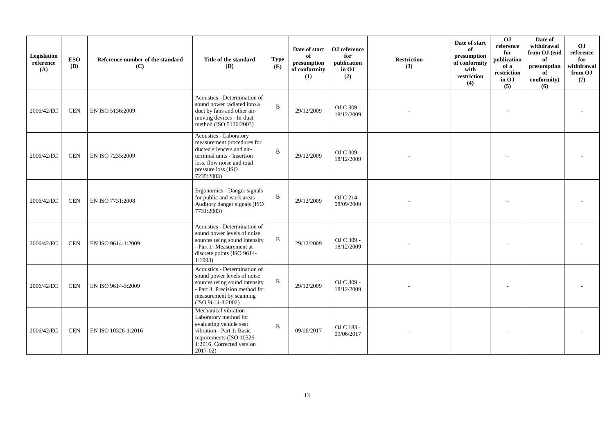| Legislation<br>reference<br>(A) | <b>ESO</b><br><b>(B)</b> | Reference number of the standard<br>(C) | Title of the standard<br><b>(D)</b>                                                                                                                                               | <b>Type</b><br>(E) | Date of start<br>of<br>presumption<br>of conformity<br>(1) | OJ reference<br>for<br>publication<br>in OJ<br>(2) | <b>Restriction</b><br>(3) | Date of start<br>of<br>presumption<br>of conformity<br>with<br>restriction<br>(4) | 0J<br>reference<br>for<br>publication<br>of a<br>restriction<br>in OJ<br>(5) | Date of<br>withdrawal<br>from OJ (end<br>of<br>presumption<br>of<br>conformity)<br>(6) | OJ<br>reference<br>for<br>withdrawal<br>from OJ<br>(7) |
|---------------------------------|--------------------------|-----------------------------------------|-----------------------------------------------------------------------------------------------------------------------------------------------------------------------------------|--------------------|------------------------------------------------------------|----------------------------------------------------|---------------------------|-----------------------------------------------------------------------------------|------------------------------------------------------------------------------|----------------------------------------------------------------------------------------|--------------------------------------------------------|
| 2006/42/EC                      | <b>CEN</b>               | EN ISO 5136:2009                        | Acoustics - Determination of<br>sound power radiated into a<br>duct by fans and other air-<br>moving devices - In-duct<br>method (ISO 5136:2003)                                  | $\mathbf B$        | 29/12/2009                                                 | OJ C 309 -<br>18/12/2009                           |                           |                                                                                   |                                                                              |                                                                                        |                                                        |
| 2006/42/EC                      | <b>CEN</b>               | EN ISO 7235:2009                        | Acoustics - Laboratory<br>measurement procedures for<br>ducted silencers and air-<br>terminal units - Insertion<br>loss, flow noise and total<br>pressure loss (ISO<br>7235:2003) | $\mathbf{B}$       | 29/12/2009                                                 | OJ C 309 -<br>18/12/2009                           |                           |                                                                                   |                                                                              |                                                                                        |                                                        |
| 2006/42/EC                      | <b>CEN</b>               | EN ISO 7731:2008                        | Ergonomics - Danger signals<br>for public and work areas -<br>Auditory danger signals (ISO<br>7731:2003)                                                                          | B                  | 29/12/2009                                                 | OJ C 214 -<br>08/09/2009                           |                           |                                                                                   |                                                                              |                                                                                        |                                                        |
| 2006/42/EC                      | <b>CEN</b>               | EN ISO 9614-1:2009                      | Acoustics - Determination of<br>sound power levels of noise<br>sources using sound intensity<br>- Part 1: Measurement at<br>discrete points (ISO 9614-<br>1:1993                  | B                  | 29/12/2009                                                 | OJ C 309 -<br>18/12/2009                           |                           |                                                                                   |                                                                              |                                                                                        |                                                        |
| 2006/42/EC                      | <b>CEN</b>               | EN ISO 9614-3:2009                      | Acoustics - Determination of<br>sound power levels of noise<br>sources using sound intensity<br>- Part 3: Precision method for<br>measurement by scanning<br>$(ISO 9614-3:2002)$  | B                  | 29/12/2009                                                 | OJ C 309 -<br>18/12/2009                           |                           |                                                                                   |                                                                              |                                                                                        |                                                        |
| 2006/42/EC                      | <b>CEN</b>               | EN ISO 10326-1:2016                     | Mechanical vibration -<br>Laboratory method for<br>evaluating vehicle seat<br>vibration - Part 1: Basic<br>requirements (ISO 10326-<br>1:2016, Corrected version<br>$2017-02$     | $\mathbf B$        | 09/06/2017                                                 | OJ C 183 -<br>09/06/2017                           |                           |                                                                                   |                                                                              |                                                                                        |                                                        |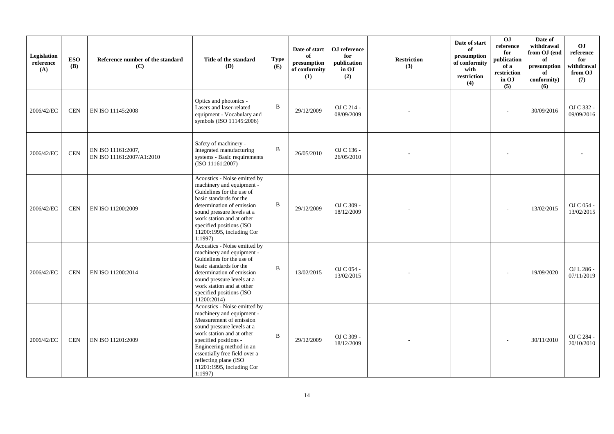| Legislation<br>reference<br>(A) | <b>ESO</b><br><b>(B)</b> | Reference number of the standard<br>(C)         | Title of the standard<br>(D)                                                                                                                                                                                                                                                                          | <b>Type</b><br>(E) | Date of start<br>of<br>presumption<br>of conformity<br>(1) | OJ reference<br>for<br>publication<br>in OJ<br>(2) | <b>Restriction</b><br>(3) | Date of start<br>of<br>presumption<br>of conformity<br>with<br>restriction<br>(4) | $\overline{0}$<br>reference<br>for<br>publication<br>of a<br>restriction<br>in OJ<br>(5) | Date of<br>withdrawal<br>from OJ (end<br>of<br>presumption<br>of<br>conformity)<br>(6) | O <sub>J</sub><br>reference<br>for<br>withdrawal<br>from OJ<br>(7) |
|---------------------------------|--------------------------|-------------------------------------------------|-------------------------------------------------------------------------------------------------------------------------------------------------------------------------------------------------------------------------------------------------------------------------------------------------------|--------------------|------------------------------------------------------------|----------------------------------------------------|---------------------------|-----------------------------------------------------------------------------------|------------------------------------------------------------------------------------------|----------------------------------------------------------------------------------------|--------------------------------------------------------------------|
| 2006/42/EC                      | <b>CEN</b>               | EN ISO 11145:2008                               | Optics and photonics -<br>Lasers and laser-related<br>equipment - Vocabulary and<br>symbols (ISO 11145:2006)                                                                                                                                                                                          | $\, {\bf B}$       | 29/12/2009                                                 | OJ C 214 -<br>08/09/2009                           |                           |                                                                                   |                                                                                          | 30/09/2016                                                                             | OJ C 332 -<br>09/09/2016                                           |
| 2006/42/EC                      | <b>CEN</b>               | EN ISO 11161:2007.<br>EN ISO 11161:2007/A1:2010 | Safety of machinery -<br>Integrated manufacturing<br>systems - Basic requirements<br>(ISO 11161:2007)                                                                                                                                                                                                 | $\mathbf B$        | 26/05/2010                                                 | OJ C 136 -<br>26/05/2010                           |                           |                                                                                   |                                                                                          |                                                                                        |                                                                    |
| 2006/42/EC                      | <b>CEN</b>               | EN ISO 11200:2009                               | Acoustics - Noise emitted by<br>machinery and equipment -<br>Guidelines for the use of<br>basic standards for the<br>determination of emission<br>sound pressure levels at a<br>work station and at other<br>specified positions (ISO<br>11200:1995, including Cor<br>1:1997                          | $\, {\bf B}$       | 29/12/2009                                                 | OJ C 309 -<br>18/12/2009                           |                           |                                                                                   |                                                                                          | 13/02/2015                                                                             | OJ C 054 -<br>13/02/2015                                           |
| 2006/42/EC                      | <b>CEN</b>               | EN ISO 11200:2014                               | Acoustics - Noise emitted by<br>machinery and equipment -<br>Guidelines for the use of<br>basic standards for the<br>determination of emission<br>sound pressure levels at a<br>work station and at other<br>specified positions (ISO<br>11200:2014                                                   | $\bf{B}$           | 13/02/2015                                                 | OJ C 054 -<br>13/02/2015                           |                           |                                                                                   |                                                                                          | 19/09/2020                                                                             | OJ L 286 -<br>07/11/2019                                           |
| 2006/42/EC                      | <b>CEN</b>               | EN ISO 11201:2009                               | Acoustics - Noise emitted by<br>machinery and equipment -<br>Measurement of emission<br>sound pressure levels at a<br>work station and at other<br>specified positions -<br>Engineering method in an<br>essentially free field over a<br>reflecting plane (ISO<br>11201:1995, including Cor<br>1:1997 | $\mathbf{B}$       | 29/12/2009                                                 | OJ C 309 -<br>18/12/2009                           |                           |                                                                                   |                                                                                          | 30/11/2010                                                                             | OJ C 284 -<br>20/10/2010                                           |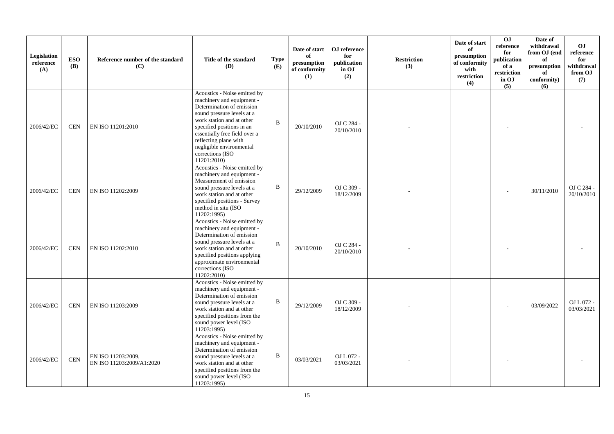| Legislation<br>reference<br>(A) | <b>ESO</b><br><b>(B)</b> | Reference number of the standard<br>(C)         | Title of the standard<br><b>(D)</b>                                                                                                                                                                                                                                                                     | <b>Type</b><br>(E) | Date of start<br>of<br>presumption<br>of conformity<br>(1) | OJ reference<br>for<br>publication<br>in OJ<br>(2) | <b>Restriction</b><br>(3) | Date of start<br>of<br>presumption<br>of conformity<br>with<br>restriction<br>(4) | 0J<br>reference<br>for<br>publication<br>of a<br>restriction<br>in OJ<br>(5) | Date of<br>withdrawal<br>from OJ (end<br>of<br>presumption<br>of<br>conformity)<br>(6) | O <sub>J</sub><br>reference<br>for<br>withdrawal<br>from OJ<br>(7) |
|---------------------------------|--------------------------|-------------------------------------------------|---------------------------------------------------------------------------------------------------------------------------------------------------------------------------------------------------------------------------------------------------------------------------------------------------------|--------------------|------------------------------------------------------------|----------------------------------------------------|---------------------------|-----------------------------------------------------------------------------------|------------------------------------------------------------------------------|----------------------------------------------------------------------------------------|--------------------------------------------------------------------|
| 2006/42/EC                      | CEN                      | EN ISO 11201:2010                               | Acoustics - Noise emitted by<br>machinery and equipment -<br>Determination of emission<br>sound pressure levels at a<br>work station and at other<br>specified positions in an<br>essentially free field over a<br>reflecting plane with<br>negligible environmental<br>corrections (ISO<br>11201:2010) | $\overline{B}$     | 20/10/2010                                                 | OJ C 284 -<br>20/10/2010                           |                           |                                                                                   |                                                                              |                                                                                        |                                                                    |
| 2006/42/EC                      | <b>CEN</b>               | EN ISO 11202:2009                               | Acoustics - Noise emitted by<br>machinery and equipment -<br>Measurement of emission<br>sound pressure levels at a<br>work station and at other<br>specified positions - Survey<br>method in situ (ISO<br>11202:1995)                                                                                   | $\, {\bf B}$       | 29/12/2009                                                 | OJ C 309 -<br>18/12/2009                           |                           |                                                                                   |                                                                              | 30/11/2010                                                                             | OJ C 284 -<br>20/10/2010                                           |
| 2006/42/EC                      | <b>CEN</b>               | EN ISO 11202:2010                               | Acoustics - Noise emitted by<br>machinery and equipment -<br>Determination of emission<br>sound pressure levels at a<br>work station and at other<br>specified positions applying<br>approximate environmental<br>corrections (ISO<br>11202:2010)                                                       | $\mathbf{B}$       | 20/10/2010                                                 | OJ C 284 -<br>20/10/2010                           |                           |                                                                                   |                                                                              |                                                                                        |                                                                    |
| 2006/42/EC                      | <b>CEN</b>               | EN ISO 11203:2009                               | Acoustics - Noise emitted by<br>machinery and equipment -<br>Determination of emission<br>sound pressure levels at a<br>work station and at other<br>specified positions from the<br>sound power level (ISO<br>11203:1995)                                                                              | B                  | 29/12/2009                                                 | OJ C 309 -<br>18/12/2009                           |                           |                                                                                   |                                                                              | 03/09/2022                                                                             | OJ L 072 -<br>03/03/2021                                           |
| 2006/42/EC                      | <b>CEN</b>               | EN ISO 11203:2009,<br>EN ISO 11203:2009/A1:2020 | Acoustics - Noise emitted by<br>machinery and equipment -<br>Determination of emission<br>sound pressure levels at a<br>work station and at other<br>specified positions from the<br>sound power level (ISO<br>11203:1995)                                                                              | B                  | 03/03/2021                                                 | OJ L 072 -<br>03/03/2021                           |                           |                                                                                   |                                                                              |                                                                                        |                                                                    |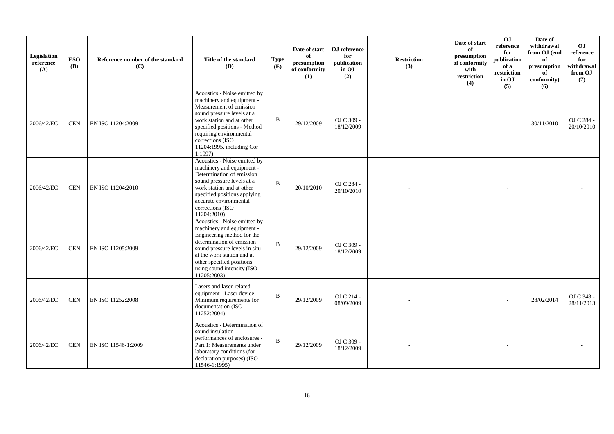| Legislation<br>reference<br>(A) | <b>ESO</b><br><b>(B)</b> | Reference number of the standard<br>(C) | Title of the standard<br><b>(D)</b>                                                                                                                                                                                                                                   | <b>Type</b><br>(E) | Date of start<br>of<br>presumption<br>of conformity<br>(1) | OJ reference<br>for<br>publication<br>in OJ<br>(2) | <b>Restriction</b><br>(3) | Date of start<br>of<br>presumption<br>of conformity<br>with<br>restriction<br>(4) | OJ<br>reference<br>for<br>publication<br>of a<br>restriction<br>in OJ<br>(5) | Date of<br>withdrawal<br>from OJ (end<br>of<br>presumption<br>of<br>conformity)<br>(6) | OJ<br>reference<br>for<br>withdrawal<br>from OJ<br>(7) |
|---------------------------------|--------------------------|-----------------------------------------|-----------------------------------------------------------------------------------------------------------------------------------------------------------------------------------------------------------------------------------------------------------------------|--------------------|------------------------------------------------------------|----------------------------------------------------|---------------------------|-----------------------------------------------------------------------------------|------------------------------------------------------------------------------|----------------------------------------------------------------------------------------|--------------------------------------------------------|
| 2006/42/EC                      | <b>CEN</b>               | EN ISO 11204:2009                       | Acoustics - Noise emitted by<br>machinery and equipment -<br>Measurement of emission<br>sound pressure levels at a<br>work station and at other<br>specified positions - Method<br>requiring environmental<br>corrections (ISO<br>11204:1995, including Cor<br>1:1997 | $\, {\bf B}$       | 29/12/2009                                                 | OJ C 309 -<br>18/12/2009                           |                           |                                                                                   |                                                                              | 30/11/2010                                                                             | OJ C 284 -<br>20/10/2010                               |
| 2006/42/EC                      | <b>CEN</b>               | EN ISO 11204:2010                       | Acoustics - Noise emitted by<br>machinery and equipment -<br>Determination of emission<br>sound pressure levels at a<br>work station and at other<br>specified positions applying<br>accurate environmental<br>corrections (ISO<br>11204:2010)                        | $\mathbf B$        | 20/10/2010                                                 | OJ C 284 -<br>20/10/2010                           |                           |                                                                                   |                                                                              |                                                                                        |                                                        |
| 2006/42/EC                      | <b>CEN</b>               | EN ISO 11205:2009                       | Acoustics - Noise emitted by<br>machinery and equipment -<br>Engineering method for the<br>determination of emission<br>sound pressure levels in situ<br>at the work station and at<br>other specified positions<br>using sound intensity (ISO<br>11205:2003)         | $\mathbf B$        | 29/12/2009                                                 | OJ C 309 -<br>18/12/2009                           |                           |                                                                                   |                                                                              |                                                                                        |                                                        |
| 2006/42/EC                      | <b>CEN</b>               | EN ISO 11252:2008                       | Lasers and laser-related<br>equipment - Laser device -<br>Minimum requirements for<br>documentation (ISO<br>11252:2004)                                                                                                                                               | $\, {\bf B}$       | 29/12/2009                                                 | OJ C 214 -<br>08/09/2009                           |                           |                                                                                   |                                                                              | 28/02/2014                                                                             | OJ C 348 -<br>28/11/2013                               |
| 2006/42/EC                      | <b>CEN</b>               | EN ISO 11546-1:2009                     | Acoustics - Determination of<br>sound insulation<br>performances of enclosures -<br>Part 1: Measurements under<br>laboratory conditions (for<br>declaration purposes) (ISO<br>11546-1:1995)                                                                           | $\bf{B}$           | 29/12/2009                                                 | OJ C 309 -<br>18/12/2009                           |                           |                                                                                   |                                                                              |                                                                                        |                                                        |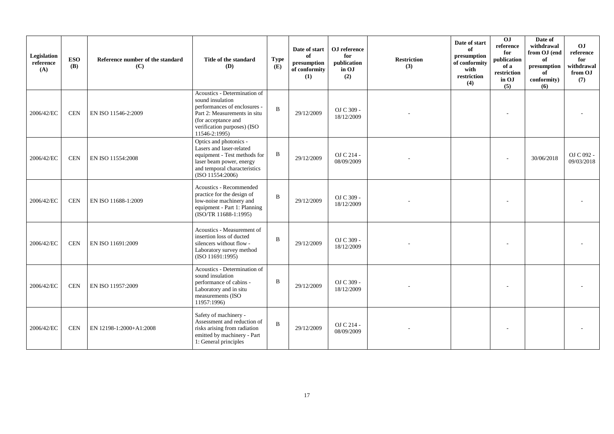| Legislation<br>reference<br>(A) | <b>ESO</b><br><b>(B)</b> | Reference number of the standard<br>(C) | Title of the standard<br><b>(D)</b>                                                                                                                                                     | <b>Type</b><br>(E) | Date of start<br>of<br>presumption<br>of conformity<br>(1) | OJ reference<br>for<br>publication<br>in OJ<br>(2) | <b>Restriction</b><br>(3) | Date of start<br>of<br>presumption<br>of conformity<br>with<br>restriction<br>(4) | 0J<br>reference<br>for<br>publication<br>of a<br>restriction<br>in OJ<br>(5) | Date of<br>withdrawal<br>from OJ (end<br>of<br>presumption<br>of<br>conformity)<br>(6) | O <sub>J</sub><br>reference<br>for<br>withdrawal<br>from OJ<br>(7) |
|---------------------------------|--------------------------|-----------------------------------------|-----------------------------------------------------------------------------------------------------------------------------------------------------------------------------------------|--------------------|------------------------------------------------------------|----------------------------------------------------|---------------------------|-----------------------------------------------------------------------------------|------------------------------------------------------------------------------|----------------------------------------------------------------------------------------|--------------------------------------------------------------------|
| 2006/42/EC                      | <b>CEN</b>               | EN ISO 11546-2:2009                     | Acoustics - Determination of<br>sound insulation<br>performances of enclosures -<br>Part 2: Measurements in situ<br>(for acceptance and<br>verification purposes) (ISO<br>11546-2:1995) | $\, {\bf B}$       | 29/12/2009                                                 | OJ C 309 -<br>18/12/2009                           |                           |                                                                                   |                                                                              |                                                                                        |                                                                    |
| 2006/42/EC                      | <b>CEN</b>               | EN ISO 11554:2008                       | Optics and photonics -<br>Lasers and laser-related<br>equipment - Test methods for<br>laser beam power, energy<br>and temporal characteristics<br>(ISO 11554:2006)                      | $\, {\bf B}$       | 29/12/2009                                                 | OJ C 214 -<br>08/09/2009                           |                           |                                                                                   |                                                                              | 30/06/2018                                                                             | OJ C 092 -<br>09/03/2018                                           |
| 2006/42/EC                      | <b>CEN</b>               | EN ISO 11688-1:2009                     | Acoustics - Recommended<br>practice for the design of<br>low-noise machinery and<br>equipment - Part 1: Planning<br>(ISO/TR 11688-1:1995)                                               | B                  | 29/12/2009                                                 | OJ C 309 -<br>18/12/2009                           |                           |                                                                                   |                                                                              |                                                                                        |                                                                    |
| 2006/42/EC                      | <b>CEN</b>               | EN ISO 11691:2009                       | Acoustics - Measurement of<br>insertion loss of ducted<br>silencers without flow -<br>Laboratory survey method<br>(ISO 11691:1995)                                                      | B                  | 29/12/2009                                                 | OJ C 309 -<br>18/12/2009                           |                           |                                                                                   |                                                                              |                                                                                        |                                                                    |
| 2006/42/EC                      | <b>CEN</b>               | EN ISO 11957:2009                       | Acoustics - Determination of<br>sound insulation<br>performance of cabins -<br>Laboratory and in situ<br>measurements (ISO<br>11957:1996)                                               | $\mathbf B$        | 29/12/2009                                                 | OJ C 309 -<br>18/12/2009                           |                           |                                                                                   |                                                                              |                                                                                        |                                                                    |
| 2006/42/EC                      | <b>CEN</b>               | EN 12198-1:2000+A1:2008                 | Safety of machinery -<br>Assessment and reduction of<br>risks arising from radiation<br>emitted by machinery - Part<br>1: General principles                                            | $\mathbf{B}$       | 29/12/2009                                                 | OJ C 214 -<br>08/09/2009                           |                           |                                                                                   |                                                                              |                                                                                        |                                                                    |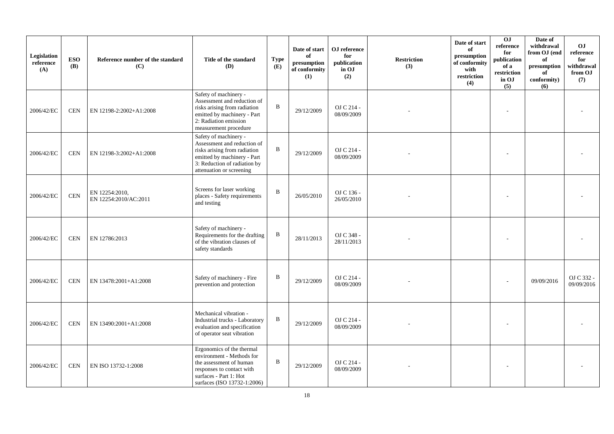| Legislation<br>reference<br>(A) | <b>ESO</b><br><b>(B)</b> | Reference number of the standard<br>(C) | Title of the standard<br>(D)                                                                                                                                                    | <b>Type</b><br>(E) | Date of start<br>of<br>presumption<br>of conformity<br>(1) | OJ reference<br>for<br>publication<br>in OJ<br>(2) | <b>Restriction</b><br>(3) | Date of start<br>of<br>presumption<br>of conformity<br>with<br>restriction<br>(4) | 0J<br>reference<br>for<br>publication<br>of a<br>restriction<br>in OJ<br>(5) | Date of<br>withdrawal<br>from OJ (end<br>of<br>presumption<br>of<br>conformity)<br>(6) | <b>OJ</b><br>reference<br>for<br>withdrawal<br>from OJ<br>(7) |
|---------------------------------|--------------------------|-----------------------------------------|---------------------------------------------------------------------------------------------------------------------------------------------------------------------------------|--------------------|------------------------------------------------------------|----------------------------------------------------|---------------------------|-----------------------------------------------------------------------------------|------------------------------------------------------------------------------|----------------------------------------------------------------------------------------|---------------------------------------------------------------|
| 2006/42/EC                      | <b>CEN</b>               | EN 12198-2:2002+A1:2008                 | Safety of machinery -<br>Assessment and reduction of<br>risks arising from radiation<br>emitted by machinery - Part<br>2: Radiation emission<br>measurement procedure           | B                  | 29/12/2009                                                 | OJ C 214 -<br>08/09/2009                           |                           |                                                                                   |                                                                              |                                                                                        |                                                               |
| 2006/42/EC                      | <b>CEN</b>               | EN 12198-3:2002+A1:2008                 | Safety of machinery -<br>Assessment and reduction of<br>risks arising from radiation<br>emitted by machinery - Part<br>3: Reduction of radiation by<br>attenuation or screening | B                  | 29/12/2009                                                 | OJ C 214 -<br>08/09/2009                           |                           |                                                                                   |                                                                              |                                                                                        |                                                               |
| 2006/42/EC                      | <b>CEN</b>               | EN 12254:2010,<br>EN 12254:2010/AC:2011 | Screens for laser working<br>places - Safety requirements<br>and testing                                                                                                        | $\, {\bf B}$       | 26/05/2010                                                 | OJ C 136 -<br>26/05/2010                           |                           |                                                                                   |                                                                              |                                                                                        |                                                               |
| 2006/42/EC                      | <b>CEN</b>               | EN 12786:2013                           | Safety of machinery -<br>Requirements for the drafting<br>of the vibration clauses of<br>safety standards                                                                       | B                  | 28/11/2013                                                 | OJ C 348 -<br>28/11/2013                           |                           |                                                                                   |                                                                              |                                                                                        |                                                               |
| 2006/42/EC                      | <b>CEN</b>               | EN 13478:2001+A1:2008                   | Safety of machinery - Fire<br>prevention and protection                                                                                                                         | B                  | 29/12/2009                                                 | OJ C 214 -<br>08/09/2009                           |                           |                                                                                   |                                                                              | 09/09/2016                                                                             | OJ C 332 -<br>09/09/2016                                      |
| 2006/42/EC                      | <b>CEN</b>               | EN 13490:2001+A1:2008                   | Mechanical vibration -<br>Industrial trucks - Laboratory<br>evaluation and specification<br>of operator seat vibration                                                          | $\, {\bf B}$       | 29/12/2009                                                 | OJ C 214 -<br>08/09/2009                           |                           |                                                                                   |                                                                              |                                                                                        |                                                               |
| 2006/42/EC                      | <b>CEN</b>               | EN ISO 13732-1:2008                     | Ergonomics of the thermal<br>environment - Methods for<br>the assessment of human<br>responses to contact with<br>surfaces - Part 1: Hot<br>surfaces (ISO 13732-1:2006)         | B                  | 29/12/2009                                                 | OJ C 214 -<br>08/09/2009                           |                           |                                                                                   |                                                                              |                                                                                        |                                                               |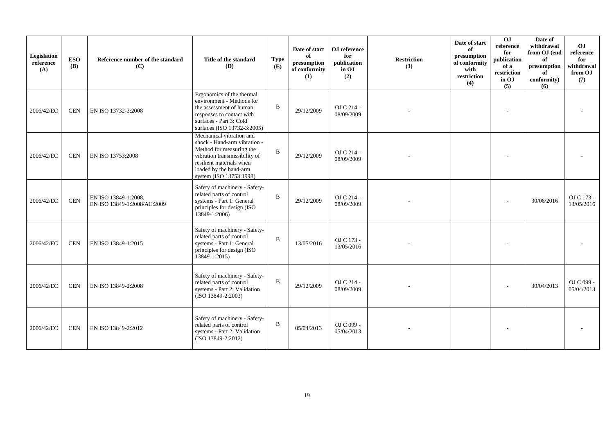| Legislation<br>reference<br>(A) | <b>ESO</b><br><b>(B)</b> | Reference number of the standard<br>(C)             | Title of the standard<br>(D)                                                                                                                                                                           | <b>Type</b><br>(E) | Date of start<br>of<br>presumption<br>of conformity<br>(1) | OJ reference<br>for<br>publication<br>in OJ<br>(2) | <b>Restriction</b><br>(3) | Date of start<br>of<br>presumption<br>of conformity<br>with<br>restriction<br>(4) | $\overline{0}$<br>reference<br>for<br>publication<br>of a<br>restriction<br>in OJ<br>(5) | Date of<br>withdrawal<br>from OJ (end<br>of<br>presumption<br>of<br>conformity)<br>(6) | OJ<br>reference<br>for<br>withdrawal<br>from OJ<br>(7) |
|---------------------------------|--------------------------|-----------------------------------------------------|--------------------------------------------------------------------------------------------------------------------------------------------------------------------------------------------------------|--------------------|------------------------------------------------------------|----------------------------------------------------|---------------------------|-----------------------------------------------------------------------------------|------------------------------------------------------------------------------------------|----------------------------------------------------------------------------------------|--------------------------------------------------------|
| 2006/42/EC                      | <b>CEN</b>               | EN ISO 13732-3:2008                                 | Ergonomics of the thermal<br>environment - Methods for<br>the assessment of human<br>responses to contact with<br>surfaces - Part 3: Cold<br>surfaces (ISO 13732-3:2005)                               | B                  | 29/12/2009                                                 | OJ C 214 -<br>08/09/2009                           |                           |                                                                                   |                                                                                          |                                                                                        |                                                        |
| 2006/42/EC                      | <b>CEN</b>               | EN ISO 13753:2008                                   | Mechanical vibration and<br>shock - Hand-arm vibration -<br>Method for measuring the<br>vibration transmissibility of<br>resilient materials when<br>loaded by the hand-arm<br>system (ISO 13753:1998) | B                  | 29/12/2009                                                 | OJ C 214 -<br>08/09/2009                           |                           |                                                                                   |                                                                                          |                                                                                        |                                                        |
| 2006/42/EC                      | <b>CEN</b>               | EN ISO 13849-1:2008,<br>EN ISO 13849-1:2008/AC:2009 | Safety of machinery - Safety-<br>related parts of control<br>systems - Part 1: General<br>principles for design (ISO)<br>13849-1:2006)                                                                 | B                  | 29/12/2009                                                 | OJ C 214 -<br>08/09/2009                           |                           |                                                                                   |                                                                                          | 30/06/2016                                                                             | OJ C 173 -<br>13/05/2016                               |
| 2006/42/EC                      | <b>CEN</b>               | EN ISO 13849-1:2015                                 | Safety of machinery - Safety-<br>related parts of control<br>systems - Part 1: General<br>principles for design (ISO<br>13849-1:2015)                                                                  | B                  | 13/05/2016                                                 | OJ C 173 -<br>13/05/2016                           |                           |                                                                                   |                                                                                          |                                                                                        |                                                        |
| 2006/42/EC                      | <b>CEN</b>               | EN ISO 13849-2:2008                                 | Safety of machinery - Safety-<br>related parts of control<br>systems - Part 2: Validation<br>(ISO 13849-2:2003)                                                                                        | B                  | 29/12/2009                                                 | OJ C 214 -<br>08/09/2009                           |                           |                                                                                   |                                                                                          | 30/04/2013                                                                             | OJ C 099 -<br>05/04/2013                               |
| 2006/42/EC                      | <b>CEN</b>               | EN ISO 13849-2:2012                                 | Safety of machinery - Safety-<br>related parts of control<br>systems - Part 2: Validation<br>(ISO 13849-2:2012)                                                                                        | B                  | 05/04/2013                                                 | OJ C 099 -<br>05/04/2013                           |                           |                                                                                   |                                                                                          |                                                                                        |                                                        |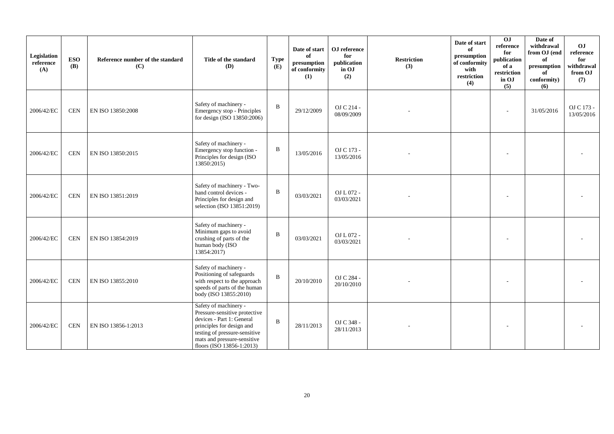| Legislation<br>reference<br>(A) | <b>ESO</b><br><b>(B)</b> | Reference number of the standard<br>(C) | Title of the standard<br><b>(D)</b>                                                                                                                                                                           | <b>Type</b><br>(E) | Date of start<br>of<br>presumption<br>of conformity<br>(1) | OJ reference<br>for<br>publication<br>in OJ<br>(2) | <b>Restriction</b><br>(3) | Date of start<br>of<br>presumption<br>of conformity<br>with<br>restriction<br>(4) | 0J<br>reference<br>for<br>publication<br>of a<br>restriction<br>in OJ<br>(5) | Date of<br>withdrawal<br>from OJ (end<br>of<br>$\,$ presumption<br>of<br>conformity)<br>(6) | OJ<br>reference<br>for<br>withdrawal<br>from OJ<br>(7) |
|---------------------------------|--------------------------|-----------------------------------------|---------------------------------------------------------------------------------------------------------------------------------------------------------------------------------------------------------------|--------------------|------------------------------------------------------------|----------------------------------------------------|---------------------------|-----------------------------------------------------------------------------------|------------------------------------------------------------------------------|---------------------------------------------------------------------------------------------|--------------------------------------------------------|
| 2006/42/EC                      | <b>CEN</b>               | EN ISO 13850:2008                       | Safety of machinery -<br>Emergency stop - Principles<br>for design (ISO 13850:2006)                                                                                                                           | $\mathbf B$        | 29/12/2009                                                 | OJ C 214 -<br>08/09/2009                           |                           |                                                                                   |                                                                              | 31/05/2016                                                                                  | OJ C 173 -<br>13/05/2016                               |
| 2006/42/EC                      | <b>CEN</b>               | EN ISO 13850:2015                       | Safety of machinery -<br>Emergency stop function -<br>Principles for design (ISO<br>13850:2015)                                                                                                               | $\, {\bf B}$       | 13/05/2016                                                 | OJ C 173 -<br>13/05/2016                           |                           |                                                                                   |                                                                              |                                                                                             |                                                        |
| 2006/42/EC                      | <b>CEN</b>               | EN ISO 13851:2019                       | Safety of machinery - Two-<br>hand control devices -<br>Principles for design and<br>selection (ISO 13851:2019)                                                                                               | $\mathbf{B}$       | 03/03/2021                                                 | OJ L 072 -<br>03/03/2021                           |                           |                                                                                   |                                                                              |                                                                                             |                                                        |
| 2006/42/EC                      | <b>CEN</b>               | EN ISO 13854:2019                       | Safety of machinery -<br>Minimum gaps to avoid<br>crushing of parts of the<br>human body (ISO<br>13854:2017)                                                                                                  | $\, {\bf B}$       | 03/03/2021                                                 | OJ L 072 -<br>03/03/2021                           |                           |                                                                                   |                                                                              |                                                                                             |                                                        |
| 2006/42/EC                      | <b>CEN</b>               | EN ISO 13855:2010                       | Safety of machinery -<br>Positioning of safeguards<br>with respect to the approach<br>speeds of parts of the human<br>body (ISO 13855:2010)                                                                   | $\, {\bf B}$       | 20/10/2010                                                 | OJ C 284 -<br>20/10/2010                           |                           |                                                                                   |                                                                              |                                                                                             |                                                        |
| 2006/42/EC                      | <b>CEN</b>               | EN ISO 13856-1:2013                     | Safety of machinery -<br>Pressure-sensitive protective<br>devices - Part 1: General<br>principles for design and<br>testing of pressure-sensitive<br>mats and pressure-sensitive<br>floors (ISO 13856-1:2013) | $\mathbf{B}$       | 28/11/2013                                                 | OJ C 348 -<br>28/11/2013                           |                           |                                                                                   |                                                                              |                                                                                             |                                                        |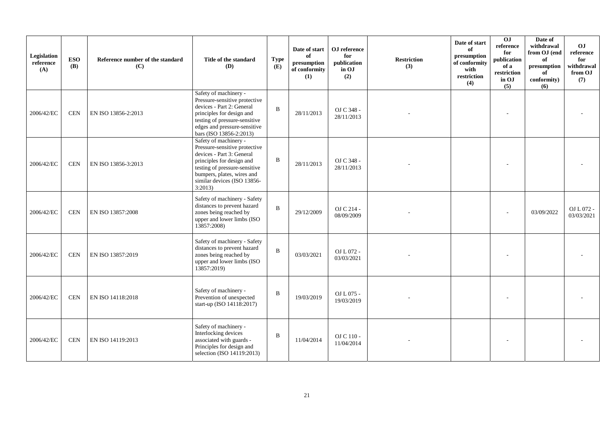| Legislation<br>reference<br>(A) | <b>ESO</b><br>(B) | Reference number of the standard<br>(C) | Title of the standard<br>(D)                                                                                                                                                                                             | <b>Type</b><br>(E) | Date of start<br>of<br>presumption<br>of conformity<br>(1) | OJ reference<br>for<br>publication<br>in OJ<br>(2) | <b>Restriction</b><br>(3) | Date of start<br>of<br>presumption<br>of conformity<br>with<br>restriction<br>(4) | $\overline{0}$<br>reference<br>for<br>publication<br>of a<br>restriction<br>in OJ<br>(5) | Date of<br>withdrawal<br>from OJ (end<br>of<br>presumption<br>of<br>conformity)<br>(6) | OJ<br>reference<br>for<br>withdrawal<br>from OJ<br>(7) |
|---------------------------------|-------------------|-----------------------------------------|--------------------------------------------------------------------------------------------------------------------------------------------------------------------------------------------------------------------------|--------------------|------------------------------------------------------------|----------------------------------------------------|---------------------------|-----------------------------------------------------------------------------------|------------------------------------------------------------------------------------------|----------------------------------------------------------------------------------------|--------------------------------------------------------|
| 2006/42/EC                      | <b>CEN</b>        | EN ISO 13856-2:2013                     | Safety of machinery -<br>Pressure-sensitive protective<br>devices - Part 2: General<br>principles for design and<br>testing of pressure-sensitive<br>edges and pressure-sensitive<br>bars (ISO 13856-2:2013)             | B                  | 28/11/2013                                                 | OJ C 348 -<br>28/11/2013                           |                           |                                                                                   |                                                                                          |                                                                                        |                                                        |
| 2006/42/EC                      | <b>CEN</b>        | EN ISO 13856-3:2013                     | Safety of machinery -<br>Pressure-sensitive protective<br>devices - Part 3: General<br>principles for design and<br>testing of pressure-sensitive<br>bumpers, plates, wires and<br>similar devices (ISO 13856-<br>3:2013 | B                  | 28/11/2013                                                 | OJ C 348 -<br>28/11/2013                           |                           |                                                                                   |                                                                                          |                                                                                        |                                                        |
| 2006/42/EC                      | <b>CEN</b>        | EN ISO 13857:2008                       | Safety of machinery - Safety<br>distances to prevent hazard<br>zones being reached by<br>upper and lower limbs (ISO<br>13857:2008)                                                                                       | B                  | 29/12/2009                                                 | OJ C 214 -<br>08/09/2009                           |                           |                                                                                   |                                                                                          | 03/09/2022                                                                             | OJ L 072 -<br>03/03/2021                               |
| 2006/42/EC                      | <b>CEN</b>        | EN ISO 13857:2019                       | Safety of machinery - Safety<br>distances to prevent hazard<br>zones being reached by<br>upper and lower limbs (ISO<br>13857:2019)                                                                                       | B                  | 03/03/2021                                                 | OJ L 072 -<br>03/03/2021                           |                           |                                                                                   |                                                                                          |                                                                                        |                                                        |
| 2006/42/EC                      | <b>CEN</b>        | EN ISO 14118:2018                       | Safety of machinery -<br>Prevention of unexpected<br>start-up (ISO $14118:2017$ )                                                                                                                                        | B                  | 19/03/2019                                                 | OJ L 075 -<br>19/03/2019                           |                           |                                                                                   |                                                                                          |                                                                                        |                                                        |
| 2006/42/EC                      | <b>CEN</b>        | EN ISO 14119:2013                       | Safety of machinery -<br>Interlocking devices<br>associated with guards -<br>Principles for design and<br>selection (ISO 14119:2013)                                                                                     | B                  | 11/04/2014                                                 | $OJ C 110 -$<br>11/04/2014                         |                           |                                                                                   |                                                                                          |                                                                                        |                                                        |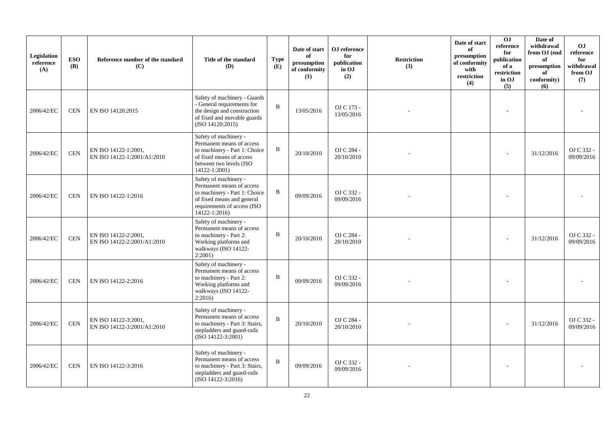| Legislation<br>reference<br>(A) | <b>ESO</b><br><b>(B)</b> | Reference number of the standard<br>(C)             | Title of the standard<br>(D)                                                                                                                                         | <b>Type</b><br>(E) | Date of start<br>of<br>presumption<br>of conformity<br>(1) | OJ reference<br>for<br>publication<br>in OJ<br>(2) | <b>Restriction</b><br>(3) | Date of start<br>of<br>presumption<br>of conformity<br>with<br>restriction<br>(4) | OJ<br>reference<br>for<br>publication<br>of a<br>$\operatorname{restriction}$<br>in OJ<br>(5) | Date of<br>withdrawal<br>from OJ (end<br>of<br>presumption<br>of<br>conformity)<br>(6) | <b>OJ</b><br>reference<br>for<br>withdrawal<br>from OJ<br>(7) |
|---------------------------------|--------------------------|-----------------------------------------------------|----------------------------------------------------------------------------------------------------------------------------------------------------------------------|--------------------|------------------------------------------------------------|----------------------------------------------------|---------------------------|-----------------------------------------------------------------------------------|-----------------------------------------------------------------------------------------------|----------------------------------------------------------------------------------------|---------------------------------------------------------------|
| 2006/42/EC                      | <b>CEN</b>               | EN ISO 14120:2015                                   | Safety of machinery - Guards<br>- General requirements for<br>the design and construction<br>of fixed and movable guards<br>(ISO 14120:2015)                         | $\overline{B}$     | 13/05/2016                                                 | OJ C 173 -<br>13/05/2016                           |                           |                                                                                   |                                                                                               |                                                                                        |                                                               |
| 2006/42/EC                      | <b>CEN</b>               | EN ISO 14122-1:2001,<br>EN ISO 14122-1:2001/A1:2010 | Safety of machinery -<br>Permanent means of access<br>to machinery - Part 1: Choice<br>of fixed means of access<br>between two levels (ISO<br>14122-1:2001)          | B                  | 20/10/2010                                                 | OJ C 284 -<br>20/10/2010                           |                           |                                                                                   |                                                                                               | 31/12/2016                                                                             | OJ C 332 -<br>09/09/2016                                      |
| 2006/42/EC                      | <b>CEN</b>               | EN ISO 14122-1:2016                                 | Safety of machinery -<br>Permanent means of access<br>to machinery - Part 1: Choice<br>of fixed means and general<br>requirements of access (ISO<br>$14122 - 1:2016$ | B                  | 09/09/2016                                                 | OJ C 332 -<br>09/09/2016                           |                           |                                                                                   |                                                                                               |                                                                                        |                                                               |
| 2006/42/EC                      | $\mbox{CEN}$             | EN ISO 14122-2:2001,<br>EN ISO 14122-2:2001/A1:2010 | Safety of machinery -<br>Permanent means of access<br>to machinery - Part 2:<br>Working platforms and<br>walkways (ISO 14122-<br>$2:2001$ )                          | B                  | 20/10/2010                                                 | OJ C 284 -<br>20/10/2010                           |                           |                                                                                   |                                                                                               | 31/12/2016                                                                             | OJ C 332 -<br>09/09/2016                                      |
| 2006/42/EC                      | <b>CEN</b>               | EN ISO 14122-2:2016                                 | Safety of machinery -<br>Permanent means of access<br>to machinery - Part 2:<br>Working platforms and<br>walkways (ISO 14122-<br>2:2016)                             | B                  | 09/09/2016                                                 | OJ C 332 -<br>09/09/2016                           |                           |                                                                                   |                                                                                               |                                                                                        |                                                               |
| 2006/42/EC                      | $\mbox{CEN}$             | EN ISO 14122-3:2001,<br>EN ISO 14122-3:2001/A1:2010 | Safety of machinery -<br>Permanent means of access<br>to machinery - Part 3: Stairs,<br>stepladders and guard-rails<br>$(ISO 14122-3:2001)$                          | $\mathbf B$        | 20/10/2010                                                 | OJ C 284 -<br>20/10/2010                           |                           |                                                                                   |                                                                                               | 31/12/2016                                                                             | OJ C 332 -<br>09/09/2016                                      |
| 2006/42/EC                      | CEN                      | EN ISO 14122-3:2016                                 | Safety of machinery -<br>Permanent means of access<br>to machinery - Part 3: Stairs,<br>stepladders and guard-rails<br>(ISO 14122-3:2016)                            | B                  | 09/09/2016                                                 | OJ C 332 -<br>09/09/2016                           |                           |                                                                                   |                                                                                               |                                                                                        |                                                               |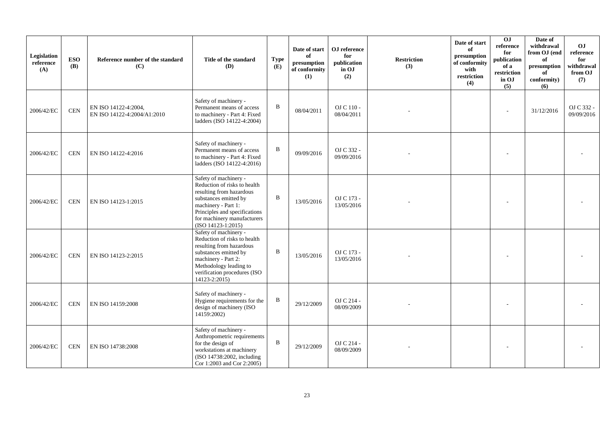| Legislation<br>reference<br>(A) | <b>ESO</b><br><b>(B)</b> | Reference number of the standard<br>(C)             | Title of the standard<br><b>(D)</b>                                                                                                                                                                                       | <b>Type</b><br>(E) | Date of start<br>of<br>presumption<br>of conformity<br>(1) | OJ reference<br>for<br>publication<br>in OJ<br>(2) | <b>Restriction</b><br>(3) | Date of start<br>of<br>presumption<br>of conformity<br>with<br>restriction<br>(4) | OJ<br>reference<br>for<br>publication<br>of a<br>restriction<br>in OJ<br>(5) | Date of<br>withdrawal<br>from OJ (end<br>of<br>presumption<br>of<br>conformity)<br>(6) | OJ<br>reference<br>for<br>withdrawal<br>from OJ<br>(7) |
|---------------------------------|--------------------------|-----------------------------------------------------|---------------------------------------------------------------------------------------------------------------------------------------------------------------------------------------------------------------------------|--------------------|------------------------------------------------------------|----------------------------------------------------|---------------------------|-----------------------------------------------------------------------------------|------------------------------------------------------------------------------|----------------------------------------------------------------------------------------|--------------------------------------------------------|
| 2006/42/EC                      | <b>CEN</b>               | EN ISO 14122-4:2004,<br>EN ISO 14122-4:2004/A1:2010 | Safety of machinery -<br>Permanent means of access<br>to machinery - Part 4: Fixed<br>ladders (ISO 14122-4:2004)                                                                                                          | $\bf{B}$           | 08/04/2011                                                 | OJ C 110 -<br>08/04/2011                           |                           |                                                                                   |                                                                              | 31/12/2016                                                                             | OJ C 332 -<br>09/09/2016                               |
| 2006/42/EC                      | <b>CEN</b>               | EN ISO 14122-4:2016                                 | Safety of machinery -<br>Permanent means of access<br>to machinery - Part 4: Fixed<br>ladders (ISO 14122-4:2016)                                                                                                          | $\, {\bf B}$       | 09/09/2016                                                 | OJ C 332 -<br>09/09/2016                           |                           |                                                                                   |                                                                              |                                                                                        |                                                        |
| 2006/42/EC                      | <b>CEN</b>               | EN ISO 14123-1:2015                                 | Safety of machinery -<br>Reduction of risks to health<br>resulting from hazardous<br>substances emitted by<br>machinery - Part 1:<br>Principles and specifications<br>for machinery manufacturers<br>$(ISO 14123-1:2015)$ | $\bf{B}$           | 13/05/2016                                                 | OJ C 173 -<br>13/05/2016                           |                           |                                                                                   |                                                                              |                                                                                        |                                                        |
| 2006/42/EC                      | <b>CEN</b>               | EN ISO 14123-2:2015                                 | Safety of machinery -<br>Reduction of risks to health<br>resulting from hazardous<br>substances emitted by<br>machinery - Part 2:<br>Methodology leading to<br>verification procedures (ISO<br>14123-2:2015)              | $\, {\bf B}$       | 13/05/2016                                                 | OJ C 173 -<br>13/05/2016                           |                           |                                                                                   |                                                                              |                                                                                        |                                                        |
| 2006/42/EC                      | <b>CEN</b>               | EN ISO 14159:2008                                   | Safety of machinery -<br>Hygiene requirements for the<br>design of machinery (ISO<br>14159:2002)                                                                                                                          | B                  | 29/12/2009                                                 | OJ C 214 -<br>08/09/2009                           |                           |                                                                                   |                                                                              |                                                                                        |                                                        |
| 2006/42/EC                      | <b>CEN</b>               | EN ISO 14738:2008                                   | Safety of machinery -<br>Anthropometric requirements<br>for the design of<br>workstations at machinery<br>(ISO 14738:2002, including<br>Cor 1:2003 and Cor 2:2005)                                                        | $\bf{B}$           | 29/12/2009                                                 | OJ C 214 -<br>08/09/2009                           |                           |                                                                                   |                                                                              |                                                                                        |                                                        |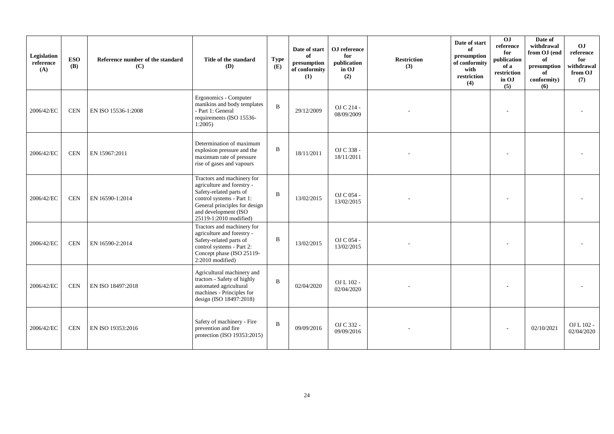| Legislation<br>reference<br>(A) | <b>ESO</b><br><b>(B)</b> | Reference number of the standard<br>(C) | Title of the standard<br><b>(D)</b>                                                                                                                                                                 | <b>Type</b><br>(E) | Date of start<br>of<br>presumption<br>of conformity<br>(1) | OJ reference<br>for<br>publication<br>in OJ<br>(2) | <b>Restriction</b><br>(3) | Date of start<br>of<br>presumption<br>of conformity<br>with<br>restriction<br>(4) | 0J<br>reference<br>for<br>publication<br>of a<br>restriction<br>in OJ<br>(5) | Date of<br>withdrawal<br>from OJ (end<br>of<br>presumption<br>of<br>conformity)<br>(6) | OJ<br>reference<br>for<br>withdrawal<br>from OJ<br>(7) |
|---------------------------------|--------------------------|-----------------------------------------|-----------------------------------------------------------------------------------------------------------------------------------------------------------------------------------------------------|--------------------|------------------------------------------------------------|----------------------------------------------------|---------------------------|-----------------------------------------------------------------------------------|------------------------------------------------------------------------------|----------------------------------------------------------------------------------------|--------------------------------------------------------|
| 2006/42/EC                      | <b>CEN</b>               | EN ISO 15536-1:2008                     | Ergonomics - Computer<br>manikins and body templates<br>- Part 1: General<br>requirements (ISO 15536-<br>1:2005                                                                                     | $\mathbf{B}$       | 29/12/2009                                                 | OJ C 214 -<br>08/09/2009                           |                           |                                                                                   |                                                                              |                                                                                        |                                                        |
| 2006/42/EC                      | <b>CEN</b>               | EN 15967:2011                           | Determination of maximum<br>explosion pressure and the<br>maximum rate of pressure<br>rise of gases and vapours                                                                                     | $\bf{B}$           | 18/11/2011                                                 | OJ C 338 -<br>18/11/2011                           |                           |                                                                                   |                                                                              |                                                                                        |                                                        |
| 2006/42/EC                      | <b>CEN</b>               | EN 16590-1:2014                         | Tractors and machinery for<br>agriculture and forestry -<br>Safety-related parts of<br>control systems - Part 1:<br>General principles for design<br>and development (ISO<br>25119-1:2010 modified) | $\mathbf B$        | 13/02/2015                                                 | OJ C 054 -<br>13/02/2015                           |                           |                                                                                   |                                                                              |                                                                                        |                                                        |
| 2006/42/EC                      | <b>CEN</b>               | EN 16590-2:2014                         | Tractors and machinery for<br>agriculture and forestry -<br>Safety-related parts of<br>control systems - Part 2:<br>Concept phase (ISO 25119-<br>2:2010 modified)                                   | $\bf{B}$           | 13/02/2015                                                 | OJ C 054 -<br>13/02/2015                           |                           |                                                                                   |                                                                              |                                                                                        |                                                        |
| 2006/42/EC                      | <b>CEN</b>               | EN ISO 18497:2018                       | Agricultural machinery and<br>tractors - Safety of highly<br>automated agricultural<br>machines - Principles for<br>design (ISO 18497:2018)                                                         | $\mathbf B$        | 02/04/2020                                                 | OJ L 102 -<br>02/04/2020                           |                           |                                                                                   |                                                                              |                                                                                        |                                                        |
| 2006/42/EC                      | <b>CEN</b>               | EN ISO 19353:2016                       | Safety of machinery - Fire<br>prevention and fire<br>protection (ISO 19353:2015)                                                                                                                    | $\bf{B}$           | 09/09/2016                                                 | OJ C 332 -<br>09/09/2016                           |                           |                                                                                   |                                                                              | 02/10/2021                                                                             | OJ L 102 -<br>02/04/2020                               |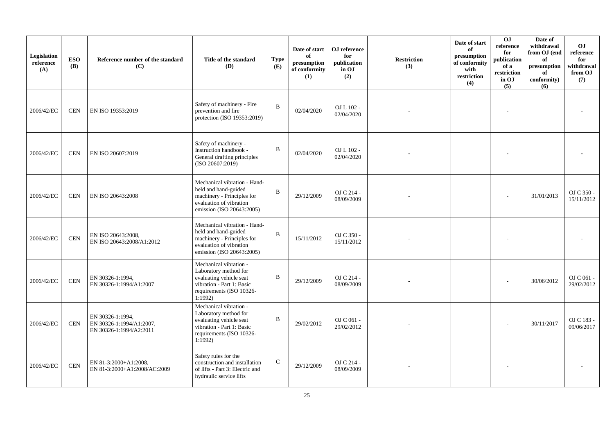| Legislation<br>reference<br>(A) | <b>ESO</b><br><b>(B)</b> | Reference number of the standard<br>(C)                                 | Title of the standard<br>(D)                                                                                                                   | <b>Type</b><br>(E) | Date of start<br>of<br>presumption<br>of conformity<br>(1) | OJ reference<br>for<br>publication<br>in OJ<br>(2) | <b>Restriction</b><br>(3) | Date of start<br>of<br>presumption<br>of conformity<br>with<br>restriction<br>(4) | 0J<br>reference<br>for<br>publication<br>of a<br>restriction<br>in OJ<br>(5) | Date of<br>withdrawal<br>from OJ (end<br>of<br>presumption<br>of<br>conformity)<br>(6) | O <sub>J</sub><br>reference<br>for<br>withdrawal<br>from OJ<br>(7) |
|---------------------------------|--------------------------|-------------------------------------------------------------------------|------------------------------------------------------------------------------------------------------------------------------------------------|--------------------|------------------------------------------------------------|----------------------------------------------------|---------------------------|-----------------------------------------------------------------------------------|------------------------------------------------------------------------------|----------------------------------------------------------------------------------------|--------------------------------------------------------------------|
| 2006/42/EC                      | <b>CEN</b>               | EN ISO 19353:2019                                                       | Safety of machinery - Fire<br>prevention and fire<br>protection (ISO 19353:2019)                                                               | B                  | 02/04/2020                                                 | OJ L 102 -<br>02/04/2020                           |                           |                                                                                   |                                                                              |                                                                                        |                                                                    |
| 2006/42/EC                      | <b>CEN</b>               | EN ISO 20607:2019                                                       | Safety of machinery -<br>Instruction handbook -<br>General drafting principles<br>(ISO 20607:2019)                                             | B                  | 02/04/2020                                                 | OJ L 102 -<br>02/04/2020                           |                           |                                                                                   |                                                                              |                                                                                        |                                                                    |
| 2006/42/EC                      | <b>CEN</b>               | EN ISO 20643:2008                                                       | Mechanical vibration - Hand-<br>held and hand-guided<br>machinery - Principles for<br>evaluation of vibration<br>emission (ISO 20643:2005)     | $\mathbf B$        | 29/12/2009                                                 | OJ C 214 -<br>08/09/2009                           |                           |                                                                                   |                                                                              | 31/01/2013                                                                             | OJ C 350 -<br>15/11/2012                                           |
| 2006/42/EC                      | $\mbox{CEN}$             | EN ISO 20643:2008,<br>EN ISO 20643:2008/A1:2012                         | Mechanical vibration - Hand-<br>held and hand-guided<br>machinery - Principles for<br>evaluation of vibration<br>emission (ISO 20643:2005)     | B                  | 15/11/2012                                                 | OJ C 350 -<br>15/11/2012                           |                           |                                                                                   |                                                                              |                                                                                        |                                                                    |
| 2006/42/EC                      | <b>CEN</b>               | EN 30326-1:1994,<br>EN 30326-1:1994/A1:2007                             | Mechanical vibration -<br>Laboratory method for<br>evaluating vehicle seat<br>vibration - Part 1: Basic<br>requirements (ISO 10326-<br>1:1992) | B                  | 29/12/2009                                                 | OJ C 214 -<br>08/09/2009                           |                           |                                                                                   |                                                                              | 30/06/2012                                                                             | OJ C 061 -<br>29/02/2012                                           |
| 2006/42/EC                      | $\mbox{CEN}$             | EN 30326-1:1994,<br>EN 30326-1:1994/A1:2007,<br>EN 30326-1:1994/A2:2011 | Mechanical vibration -<br>Laboratory method for<br>evaluating vehicle seat<br>vibration - Part 1: Basic<br>requirements (ISO 10326-<br>1:1992  | B                  | 29/02/2012                                                 | OJ C 061 -<br>29/02/2012                           |                           |                                                                                   |                                                                              | 30/11/2017                                                                             | OJ C 183 -<br>09/06/2017                                           |
| 2006/42/EC                      | $\mbox{CEN}$             | EN 81-3:2000+A1:2008,<br>EN 81-3:2000+A1:2008/AC:2009                   | Safety rules for the<br>construction and installation<br>of lifts - Part 3: Electric and<br>hydraulic service lifts                            | $\mathbf C$        | 29/12/2009                                                 | OJ C 214 -<br>08/09/2009                           |                           |                                                                                   |                                                                              |                                                                                        |                                                                    |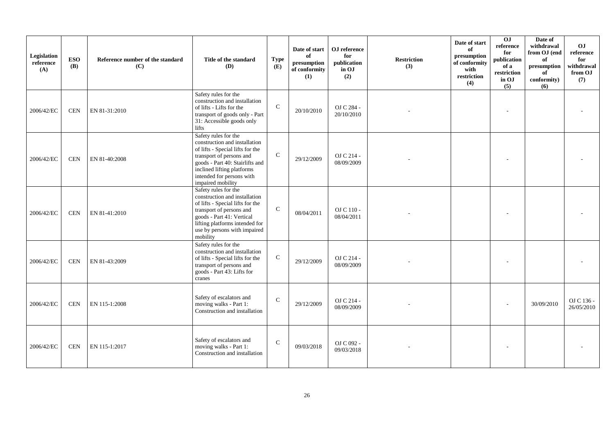| Legislation<br>reference<br>(A) | <b>ESO</b><br><b>(B)</b> | Reference number of the standard<br>(C) | Title of the standard<br>(D)                                                                                                                                                                                                             | <b>Type</b><br>(E) | Date of start<br>of<br>presumption<br>of conformity<br>(1) | OJ reference<br>for<br>publication<br>in OJ<br>(2) | <b>Restriction</b><br>(3) | Date of start<br>of<br>presumption<br>of conformity<br>with<br>restriction<br>(4) | 0 <sub>J</sub><br>reference<br>for<br>publication<br>of a<br>restriction<br>in OJ<br>(5) | Date of<br>withdrawal<br>from OJ (end<br>of<br>presumption<br>of<br>conformity)<br>(6) | OJ<br>reference<br>for<br>withdrawal<br>from OJ<br>(7) |
|---------------------------------|--------------------------|-----------------------------------------|------------------------------------------------------------------------------------------------------------------------------------------------------------------------------------------------------------------------------------------|--------------------|------------------------------------------------------------|----------------------------------------------------|---------------------------|-----------------------------------------------------------------------------------|------------------------------------------------------------------------------------------|----------------------------------------------------------------------------------------|--------------------------------------------------------|
| 2006/42/EC                      | <b>CEN</b>               | EN 81-31:2010                           | Safety rules for the<br>construction and installation<br>of lifts - Lifts for the<br>transport of goods only - Part<br>31: Accessible goods only<br>lifts                                                                                | $\mathcal{C}$      | 20/10/2010                                                 | OJ C 284 -<br>20/10/2010                           |                           |                                                                                   |                                                                                          |                                                                                        |                                                        |
| 2006/42/EC                      | <b>CEN</b>               | EN 81-40:2008                           | Safety rules for the<br>construction and installation<br>of lifts - Special lifts for the<br>transport of persons and<br>goods - Part 40: Stairlifts and<br>inclined lifting platforms<br>intended for persons with<br>impaired mobility | $\mathsf{C}$       | 29/12/2009                                                 | OJ C 214 -<br>08/09/2009                           |                           |                                                                                   |                                                                                          |                                                                                        |                                                        |
| 2006/42/EC                      | <b>CEN</b>               | EN 81-41:2010                           | Safety rules for the<br>construction and installation<br>of lifts - Special lifts for the<br>transport of persons and<br>goods - Part 41: Vertical<br>lifting platforms intended for<br>use by persons with impaired<br>mobility         | $\mathsf{C}$       | 08/04/2011                                                 | OJ C 110 -<br>08/04/2011                           |                           |                                                                                   |                                                                                          |                                                                                        |                                                        |
| 2006/42/EC                      | <b>CEN</b>               | EN 81-43:2009                           | Safety rules for the<br>construction and installation<br>of lifts - Special lifts for the<br>transport of persons and<br>goods - Part 43: Lifts for<br>cranes                                                                            | $\mathsf{C}$       | 29/12/2009                                                 | OJ C 214 -<br>08/09/2009                           |                           |                                                                                   |                                                                                          |                                                                                        |                                                        |
| 2006/42/EC                      | <b>CEN</b>               | EN 115-1:2008                           | Safety of escalators and<br>moving walks - Part 1:<br>Construction and installation                                                                                                                                                      | $\mathcal{C}$      | 29/12/2009                                                 | OJ C 214 -<br>08/09/2009                           |                           |                                                                                   |                                                                                          | 30/09/2010                                                                             | OJ C 136 -<br>26/05/2010                               |
| 2006/42/EC                      | <b>CEN</b>               | EN 115-1:2017                           | Safety of escalators and<br>moving walks - Part 1:<br>Construction and installation                                                                                                                                                      | $\mathsf{C}$       | 09/03/2018                                                 | OJ C 092 -<br>09/03/2018                           |                           |                                                                                   |                                                                                          |                                                                                        |                                                        |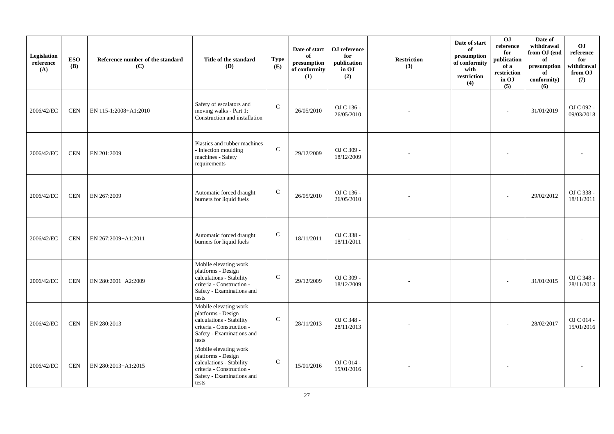| Legislation<br>reference<br>(A) | <b>ESO</b><br><b>(B)</b> | Reference number of the standard<br>(C) | Title of the standard<br>(D)                                                                                                               | <b>Type</b><br>(E) | Date of start<br>of<br>presumption<br>of conformity<br>(1) | OJ reference<br>for<br>publication<br>in OJ<br>(2) | <b>Restriction</b><br>(3) | Date of start<br>of<br>presumption<br>of conformity<br>with<br>restriction<br>(4) | 0J<br>reference<br>for<br>publication<br>of a<br>restriction<br>in OJ<br>(5) | Date of<br>withdrawal<br>from OJ (end<br>of<br>presumption<br>of<br>conformity)<br>(6) | O <sub>J</sub><br>reference<br>for<br>withdrawal<br>from OJ<br>(7) |
|---------------------------------|--------------------------|-----------------------------------------|--------------------------------------------------------------------------------------------------------------------------------------------|--------------------|------------------------------------------------------------|----------------------------------------------------|---------------------------|-----------------------------------------------------------------------------------|------------------------------------------------------------------------------|----------------------------------------------------------------------------------------|--------------------------------------------------------------------|
| 2006/42/EC                      | <b>CEN</b>               | EN 115-1:2008+A1:2010                   | Safety of escalators and<br>moving walks - Part 1:<br>Construction and installation                                                        | $\mathsf{C}$       | 26/05/2010                                                 | OJ C 136 -<br>26/05/2010                           |                           |                                                                                   | $\sim$                                                                       | 31/01/2019                                                                             | OJ C 092 -<br>09/03/2018                                           |
| 2006/42/EC                      | <b>CEN</b>               | EN 201:2009                             | Plastics and rubber machines<br>- Injection moulding<br>machines - Safety<br>requirements                                                  | $\mathbf C$        | 29/12/2009                                                 | OJ C 309 -<br>18/12/2009                           |                           |                                                                                   |                                                                              |                                                                                        |                                                                    |
| 2006/42/EC                      | <b>CEN</b>               | EN 267:2009                             | Automatic forced draught<br>burners for liquid fuels                                                                                       | $\mathbf C$        | 26/05/2010                                                 | OJ C 136 -<br>26/05/2010                           |                           |                                                                                   |                                                                              | 29/02/2012                                                                             | OJ C 338 -<br>18/11/2011                                           |
| 2006/42/EC                      | <b>CEN</b>               | EN 267:2009+A1:2011                     | Automatic forced draught<br>burners for liquid fuels                                                                                       | $\mathbf C$        | 18/11/2011                                                 | OJ C 338 -<br>18/11/2011                           |                           |                                                                                   |                                                                              |                                                                                        |                                                                    |
| 2006/42/EC                      | <b>CEN</b>               | EN 280:2001+A2:2009                     | Mobile elevating work<br>platforms - Design<br>calculations - Stability<br>criteria - Construction -<br>Safety - Examinations and<br>tests | $\mathbf C$        | 29/12/2009                                                 | OJ C 309 -<br>18/12/2009                           |                           |                                                                                   |                                                                              | 31/01/2015                                                                             | OJ C 348 -<br>28/11/2013                                           |
| 2006/42/EC                      | <b>CEN</b>               | EN 280:2013                             | Mobile elevating work<br>platforms - Design<br>calculations - Stability<br>criteria - Construction -<br>Safety - Examinations and<br>tests | $\mathbf C$        | 28/11/2013                                                 | OJ C 348 -<br>28/11/2013                           |                           |                                                                                   |                                                                              | 28/02/2017                                                                             | OJ C 014 -<br>15/01/2016                                           |
| 2006/42/EC                      | <b>CEN</b>               | EN 280:2013+A1:2015                     | Mobile elevating work<br>platforms - Design<br>calculations - Stability<br>criteria - Construction -<br>Safety - Examinations and<br>tests | $\mathsf{C}$       | 15/01/2016                                                 | OJ C 014 -<br>15/01/2016                           |                           |                                                                                   |                                                                              |                                                                                        |                                                                    |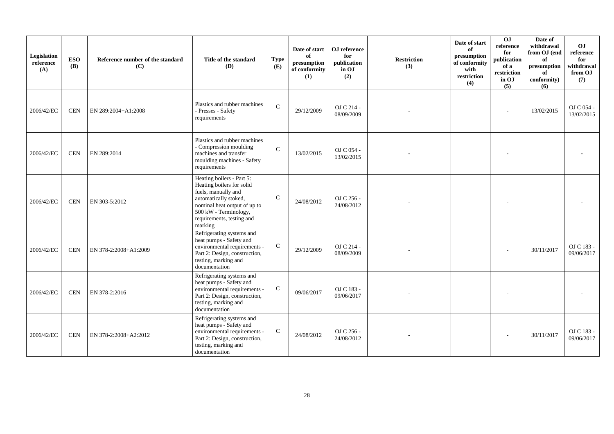| Legislation<br>reference<br>(A) | <b>ESO</b><br><b>(B)</b> | Reference number of the standard<br>(C) | Title of the standard<br><b>(D)</b>                                                                                                                                                                     | <b>Type</b><br>(E) | Date of start<br>of<br>presumption<br>of conformity<br>(1) | ${\bf OJ}$ reference<br>for<br>publication<br>in OJ<br>(2) | <b>Restriction</b><br>(3) | Date of start<br>of<br>presumption<br>of conformity<br>with<br>restriction<br>(4) | 0J<br>reference<br>for<br>publication<br>of a<br>restriction<br>in OJ<br>(5) | Date of<br>withdrawal<br>from OJ (end<br>of<br>presumption<br>of<br>conformity)<br>(6) | O <sub>J</sub><br>reference<br>for<br>withdrawal<br>from OJ<br>(7) |
|---------------------------------|--------------------------|-----------------------------------------|---------------------------------------------------------------------------------------------------------------------------------------------------------------------------------------------------------|--------------------|------------------------------------------------------------|------------------------------------------------------------|---------------------------|-----------------------------------------------------------------------------------|------------------------------------------------------------------------------|----------------------------------------------------------------------------------------|--------------------------------------------------------------------|
| 2006/42/EC                      | <b>CEN</b>               | EN 289:2004+A1:2008                     | Plastics and rubber machines<br>- Presses - Safety<br>requirements                                                                                                                                      | $\mathcal{C}$      | 29/12/2009                                                 | OJ C 214 -<br>08/09/2009                                   |                           |                                                                                   |                                                                              | 13/02/2015                                                                             | OJ C 054 -<br>13/02/2015                                           |
| 2006/42/EC                      | <b>CEN</b>               | EN 289:2014                             | Plastics and rubber machines<br>- Compression moulding<br>machines and transfer<br>moulding machines - Safety<br>requirements                                                                           | $\mathbf{C}$       | 13/02/2015                                                 | OJ C 054 -<br>13/02/2015                                   |                           |                                                                                   |                                                                              |                                                                                        |                                                                    |
| 2006/42/EC                      | <b>CEN</b>               | EN 303-5:2012                           | Heating boilers - Part 5:<br>Heating boilers for solid<br>fuels, manually and<br>automatically stoked,<br>nominal heat output of up to<br>500 kW - Terminology,<br>requirements, testing and<br>marking | $\mathcal{C}$      | 24/08/2012                                                 | OJ C 256 -<br>24/08/2012                                   |                           |                                                                                   |                                                                              |                                                                                        |                                                                    |
| 2006/42/EC                      | <b>CEN</b>               | EN 378-2:2008+A1:2009                   | Refrigerating systems and<br>heat pumps - Safety and<br>environmental requirements -<br>Part 2: Design, construction,<br>testing, marking and<br>documentation                                          | $\mathsf{C}$       | 29/12/2009                                                 | OJ C 214 -<br>08/09/2009                                   |                           |                                                                                   |                                                                              | 30/11/2017                                                                             | OJ C 183 -<br>09/06/2017                                           |
| 2006/42/EC                      | <b>CEN</b>               | EN 378-2:2016                           | Refrigerating systems and<br>heat pumps - Safety and<br>environmental requirements -<br>Part 2: Design, construction,<br>testing, marking and<br>documentation                                          | $\mathbf C$        | 09/06/2017                                                 | OJ C 183 -<br>09/06/2017                                   |                           |                                                                                   |                                                                              |                                                                                        |                                                                    |
| 2006/42/EC                      | <b>CEN</b>               | EN 378-2:2008+A2:2012                   | Refrigerating systems and<br>heat pumps - Safety and<br>environmental requirements -<br>Part 2: Design, construction,<br>testing, marking and<br>documentation                                          | $\mathbf{C}$       | 24/08/2012                                                 | OJ C 256 -<br>24/08/2012                                   |                           |                                                                                   |                                                                              | 30/11/2017                                                                             | OJ C 183 -<br>09/06/2017                                           |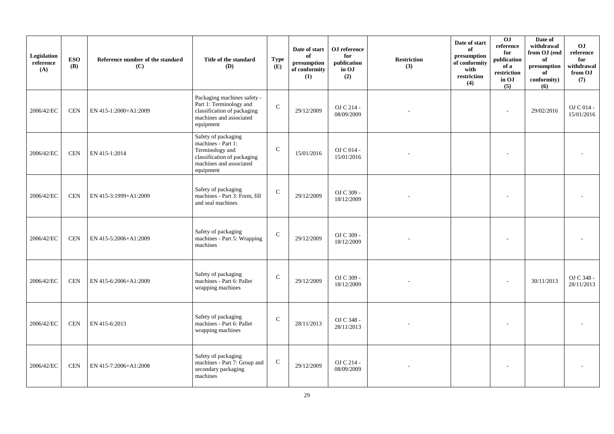| Legislation<br>reference<br>(A) | <b>ESO</b><br>(B) | Reference number of the standard<br>(C) | Title of the standard<br>(D)                                                                                                        | <b>Type</b><br>(E) | Date of start<br>of<br>presumption<br>of conformity<br>(1) | OJ reference<br>for<br>publication<br>in OJ<br>(2) | <b>Restriction</b><br>(3) | Date of start<br>of<br>presumption<br>of conformity<br>with<br>restriction<br>(4) | OJ<br>reference<br>for<br>publication<br>of a<br>restriction<br>in OJ<br>(5) | Date of<br>withdrawal<br>from OJ (end<br>of<br>presumption<br>of<br>conformity)<br>(6) | O <sub>J</sub><br>reference<br>for<br>withdrawal<br>from OJ<br>(7) |
|---------------------------------|-------------------|-----------------------------------------|-------------------------------------------------------------------------------------------------------------------------------------|--------------------|------------------------------------------------------------|----------------------------------------------------|---------------------------|-----------------------------------------------------------------------------------|------------------------------------------------------------------------------|----------------------------------------------------------------------------------------|--------------------------------------------------------------------|
| 2006/42/EC                      | <b>CEN</b>        | EN 415-1:2000+A1:2009                   | Packaging machines safety -<br>Part 1: Terminology and<br>classification of packaging<br>machines and associated<br>equipment       | $\mathbf C$        | 29/12/2009                                                 | OJ C 214 -<br>08/09/2009                           |                           |                                                                                   | L.                                                                           | 29/02/2016                                                                             | OJ C 014 -<br>15/01/2016                                           |
| 2006/42/EC                      | <b>CEN</b>        | EN 415-1:2014                           | Safety of packaging<br>machines - Part 1:<br>Terminology and<br>classification of packaging<br>machines and associated<br>equipment | $\mathbf C$        | 15/01/2016                                                 | OJ C 014 -<br>15/01/2016                           |                           |                                                                                   |                                                                              |                                                                                        |                                                                    |
| 2006/42/EC                      | <b>CEN</b>        | EN 415-3:1999+A1:2009                   | Safety of packaging<br>machines - Part 3: Form, fill<br>and seal machines                                                           | $\mathbf C$        | 29/12/2009                                                 | OJ C 309 -<br>18/12/2009                           |                           |                                                                                   | ٠                                                                            |                                                                                        |                                                                    |
| 2006/42/EC                      | <b>CEN</b>        | EN 415-5:2006+A1:2009                   | Safety of packaging<br>machines - Part 5: Wrapping<br>machines                                                                      | $\mathbf C$        | 29/12/2009                                                 | OJ C 309 -<br>18/12/2009                           |                           |                                                                                   |                                                                              |                                                                                        |                                                                    |
| 2006/42/EC                      | <b>CEN</b>        | EN 415-6:2006+A1:2009                   | Safety of packaging<br>machines - Part 6: Pallet<br>wrapping machines                                                               | $\mathcal{C}$      | 29/12/2009                                                 | OJ C 309 -<br>18/12/2009                           |                           |                                                                                   | ÷                                                                            | 30/11/2013                                                                             | OJ C 348 -<br>28/11/2013                                           |
| 2006/42/EC                      | <b>CEN</b>        | EN 415-6:2013                           | Safety of packaging<br>machines - Part 6: Pallet<br>wrapping machines                                                               | $\mathsf{C}$       | 28/11/2013                                                 | OJ C 348 -<br>28/11/2013                           |                           |                                                                                   |                                                                              |                                                                                        |                                                                    |
| 2006/42/EC                      | <b>CEN</b>        | EN 415-7:2006+A1:2008                   | Safety of packaging<br>machines - Part 7: Group and<br>secondary packaging<br>machines                                              | ${\bf C}$          | 29/12/2009                                                 | OJ C 214 -<br>08/09/2009                           |                           |                                                                                   |                                                                              |                                                                                        |                                                                    |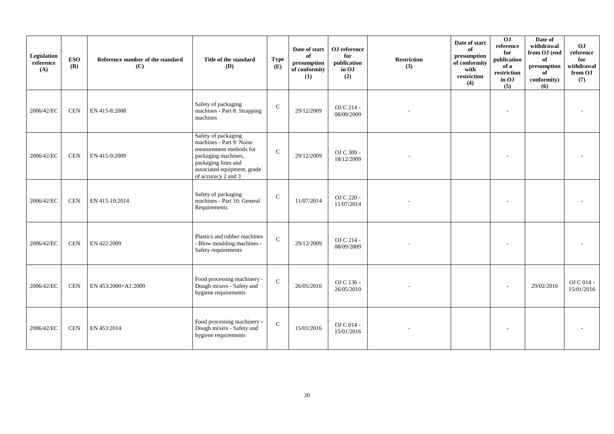| Legislation<br>reference<br>(A) | <b>ESO</b><br>(B) | Reference number of the standard<br>(C) | Title of the standard<br>(D)                                                                                                                                                   | <b>Type</b><br>(E) | Date of start<br>of<br>$\bf{presumption}$<br>of conformity<br>(1) | OJ reference<br>for<br>publication<br>in OJ<br>(2) | <b>Restriction</b><br>(3) | Date of start<br>of<br>presumption<br>of conformity<br>with<br>restriction<br>(4) | $\overline{0}$<br>reference<br>for<br>publication<br>of a<br>restriction<br>in OJ<br>(5) | Date of<br>withdrawal<br>from OJ (end<br>of<br>$\bf{presumption}$<br>of<br>conformity)<br>(6) | OJ<br>reference<br>for<br>withdrawal<br>from OJ<br>(7) |
|---------------------------------|-------------------|-----------------------------------------|--------------------------------------------------------------------------------------------------------------------------------------------------------------------------------|--------------------|-------------------------------------------------------------------|----------------------------------------------------|---------------------------|-----------------------------------------------------------------------------------|------------------------------------------------------------------------------------------|-----------------------------------------------------------------------------------------------|--------------------------------------------------------|
| 2006/42/EC                      | <b>CEN</b>        | EN 415-8:2008                           | Safety of packaging<br>machines - Part 8: Strapping<br>machines                                                                                                                | $\mathsf{C}$       | 29/12/2009                                                        | OJ C 214 -<br>08/09/2009                           |                           |                                                                                   |                                                                                          |                                                                                               |                                                        |
| 2006/42/EC                      | <b>CEN</b>        | EN 415-9:2009                           | Safety of packaging<br>machines - Part 9: Noise<br>measurement methods for<br>packaging machines,<br>packaging lines and<br>associated equipment, grade<br>of accuracy 2 and 3 | $\mathbf C$        | 29/12/2009                                                        | OJ C 309 -<br>18/12/2009                           |                           |                                                                                   |                                                                                          |                                                                                               |                                                        |
| 2006/42/EC                      | <b>CEN</b>        | EN 415-10:2014                          | Safety of packaging<br>machines - Part 10: General<br>Requirements                                                                                                             | $\mathbf C$        | 11/07/2014                                                        | OJ C 220 -<br>11/07/2014                           |                           |                                                                                   |                                                                                          |                                                                                               |                                                        |
| 2006/42/EC                      | <b>CEN</b>        | EN 422:2009                             | Plastics and rubber machines<br>- Blow moulding machines -<br>Safety requirements                                                                                              | ${\bf C}$          | 29/12/2009                                                        | OJ C 214 -<br>08/09/2009                           |                           |                                                                                   |                                                                                          |                                                                                               |                                                        |
| 2006/42/EC                      | <b>CEN</b>        | EN 453:2000+A1:2009                     | Food processing machinery -<br>Dough mixers - Safety and<br>hygiene requirements                                                                                               | $\mathbf C$        | 26/05/2010                                                        | OJ C 136 -<br>26/05/2010                           |                           |                                                                                   |                                                                                          | 29/02/2016                                                                                    | OJ C 014 -<br>15/01/2016                               |
| 2006/42/EC                      | <b>CEN</b>        | EN 453:2014                             | Food processing machinery -<br>Dough mixers - Safety and<br>hygiene requirements                                                                                               | $\mathsf{C}$       | 15/01/2016                                                        | OJ C 014 -<br>15/01/2016                           |                           |                                                                                   |                                                                                          |                                                                                               |                                                        |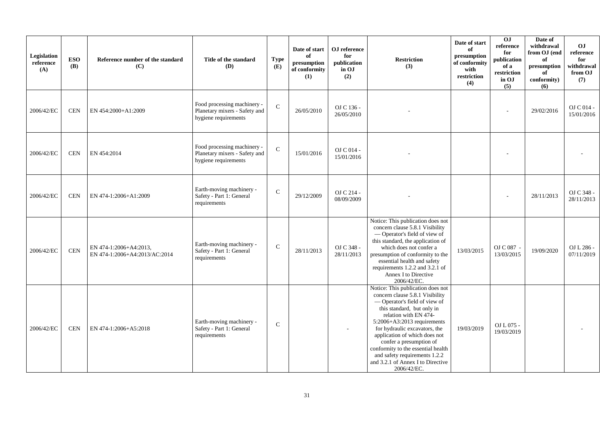| Legislation<br>reference<br>(A) | <b>ESO</b><br><b>(B)</b> | Reference number of the standard<br>(C)                 | Title of the standard<br>(D)                                                         | <b>Type</b><br>(E) | Date of start<br>of<br>presumption<br>of conformity<br>(1) | OJ reference<br>for<br>publication<br>in OJ<br>(2) | <b>Restriction</b><br>(3)                                                                                                                                                                                                                                                                                                                                                                                               | Date of start<br>of<br>presumption<br>of conformity<br>with<br>restriction<br>(4) | OJ<br>reference<br>for<br>publication<br>of a<br>restriction<br>in OJ<br>(5) | Date of<br>withdrawal<br>from OJ (end<br>of<br>presumption<br>of<br>conformity)<br>(6) | OJ<br>reference<br>for<br>withdrawal<br>from OJ<br>(7) |
|---------------------------------|--------------------------|---------------------------------------------------------|--------------------------------------------------------------------------------------|--------------------|------------------------------------------------------------|----------------------------------------------------|-------------------------------------------------------------------------------------------------------------------------------------------------------------------------------------------------------------------------------------------------------------------------------------------------------------------------------------------------------------------------------------------------------------------------|-----------------------------------------------------------------------------------|------------------------------------------------------------------------------|----------------------------------------------------------------------------------------|--------------------------------------------------------|
| 2006/42/EC                      | <b>CEN</b>               | EN 454:2000+A1:2009                                     | Food processing machinery -<br>Planetary mixers - Safety and<br>hygiene requirements | $\mathbf C$        | 26/05/2010                                                 | OJ C 136 -<br>26/05/2010                           |                                                                                                                                                                                                                                                                                                                                                                                                                         |                                                                                   |                                                                              | 29/02/2016                                                                             | OJ C 014 -<br>15/01/2016                               |
| 2006/42/EC                      | <b>CEN</b>               | EN 454:2014                                             | Food processing machinery -<br>Planetary mixers - Safety and<br>hygiene requirements | $\mathbf C$        | 15/01/2016                                                 | OJ C 014 -<br>15/01/2016                           |                                                                                                                                                                                                                                                                                                                                                                                                                         |                                                                                   |                                                                              |                                                                                        |                                                        |
| 2006/42/EC                      | <b>CEN</b>               | EN 474-1:2006+A1:2009                                   | Earth-moving machinery -<br>Safety - Part 1: General<br>requirements                 | ${\bf C}$          | 29/12/2009                                                 | OJ C 214 -<br>08/09/2009                           |                                                                                                                                                                                                                                                                                                                                                                                                                         |                                                                                   |                                                                              | 28/11/2013                                                                             | OJ C 348 -<br>28/11/2013                               |
| 2006/42/EC                      | <b>CEN</b>               | EN 474-1:2006+A4:2013,<br>EN 474-1:2006+A4:2013/AC:2014 | Earth-moving machinery -<br>Safety - Part 1: General<br>requirements                 | ${\bf C}$          | 28/11/2013                                                 | OJ C 348 -<br>28/11/2013                           | Notice: This publication does not<br>concern clause 5.8.1 Visibility<br>- Operator's field of view of<br>this standard, the application of<br>which does not confer a<br>presumption of conformity to the<br>essential health and safety<br>requirements 1.2.2 and 3.2.1 of<br>Annex I to Directive<br>2006/42/EC.                                                                                                      | 13/03/2015                                                                        | OJ C 087 -<br>13/03/2015                                                     | 19/09/2020                                                                             | OJ L 286 -<br>07/11/2019                               |
| 2006/42/EC                      | <b>CEN</b>               | EN 474-1:2006+A5:2018                                   | Earth-moving machinery -<br>Safety - Part 1: General<br>requirements                 | $\mathsf{C}$       |                                                            |                                                    | Notice: This publication does not<br>concern clause 5.8.1 Visibility<br>- Operator's field of view of<br>this standard, but only in<br>relation with EN 474-<br>$5:2006 + A3:2013$ requirements<br>for hydraulic excavators, the<br>application of which does not<br>confer a presumption of<br>conformity to the essential health<br>and safety requirements 1.2.2<br>and 3.2.1 of Annex I to Directive<br>2006/42/EC. | 19/03/2019                                                                        | OJ L 075 -<br>19/03/2019                                                     |                                                                                        |                                                        |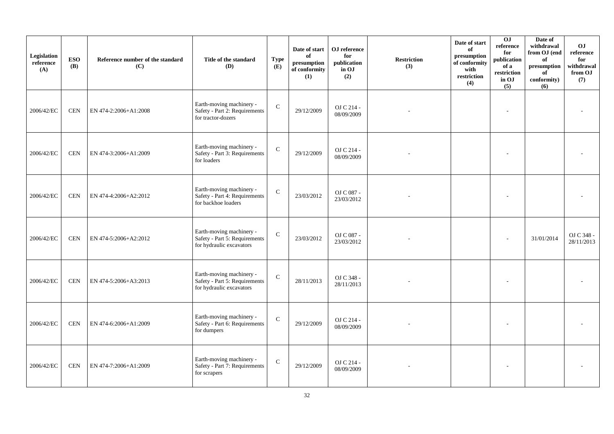| Legislation<br>reference<br>(A) | <b>ESO</b><br><b>(B)</b> | Reference number of the standard<br>(C) | Title of the standard<br>(D)                                                          | <b>Type</b><br>(E) | Date of start<br>of<br>presumption<br>of conformity<br>(1) | OJ reference<br>for<br>publication<br>in OJ<br>(2) | <b>Restriction</b><br>(3) | Date of start<br>of<br>presumption<br>of conformity<br>with<br>restriction<br>(4) | 0J<br>reference<br>for<br>publication<br>of a<br>restriction<br>in OJ<br>(5) | Date of<br>withdrawal<br>from OJ (end<br>of<br>presumption<br>of<br>conformity)<br>(6) | O <sub>J</sub><br>reference<br>for<br>withdrawal<br>from OJ<br>(7) |
|---------------------------------|--------------------------|-----------------------------------------|---------------------------------------------------------------------------------------|--------------------|------------------------------------------------------------|----------------------------------------------------|---------------------------|-----------------------------------------------------------------------------------|------------------------------------------------------------------------------|----------------------------------------------------------------------------------------|--------------------------------------------------------------------|
| 2006/42/EC                      | <b>CEN</b>               | EN 474-2:2006+A1:2008                   | Earth-moving machinery -<br>Safety - Part 2: Requirements<br>for tractor-dozers       | $\mathbf C$        | 29/12/2009                                                 | OJ C 214 -<br>08/09/2009                           |                           |                                                                                   |                                                                              |                                                                                        |                                                                    |
| 2006/42/EC                      | $\mbox{CEN}$             | EN 474-3:2006+A1:2009                   | Earth-moving machinery -<br>Safety - Part 3: Requirements<br>for loaders              | $\mathbf C$        | 29/12/2009                                                 | OJ C 214 -<br>08/09/2009                           |                           |                                                                                   |                                                                              |                                                                                        |                                                                    |
| 2006/42/EC                      | <b>CEN</b>               | EN 474-4:2006+A2:2012                   | Earth-moving machinery -<br>Safety - Part 4: Requirements<br>for backhoe loaders      | $\mathbf C$        | 23/03/2012                                                 | OJ C 087 -<br>23/03/2012                           |                           |                                                                                   |                                                                              |                                                                                        |                                                                    |
| 2006/42/EC                      | <b>CEN</b>               | EN 474-5:2006+A2:2012                   | Earth-moving machinery -<br>Safety - Part 5: Requirements<br>for hydraulic excavators | $\mathsf{C}$       | 23/03/2012                                                 | OJ C 087 -<br>23/03/2012                           |                           |                                                                                   |                                                                              | 31/01/2014                                                                             | OJ C 348 -<br>28/11/2013                                           |
| 2006/42/EC                      | <b>CEN</b>               | EN 474-5:2006+A3:2013                   | Earth-moving machinery -<br>Safety - Part 5: Requirements<br>for hydraulic excavators | $\mathbf C$        | 28/11/2013                                                 | OJ C 348 -<br>28/11/2013                           |                           |                                                                                   |                                                                              |                                                                                        |                                                                    |
| 2006/42/EC                      | <b>CEN</b>               | EN 474-6:2006+A1:2009                   | Earth-moving machinery -<br>Safety - Part 6: Requirements<br>for dumpers              | $\mathbf C$        | 29/12/2009                                                 | OJ C 214 -<br>08/09/2009                           |                           |                                                                                   |                                                                              |                                                                                        |                                                                    |
| 2006/42/EC                      | <b>CEN</b>               | EN 474-7:2006+A1:2009                   | Earth-moving machinery -<br>Safety - Part 7: Requirements<br>for scrapers             | $\mathbf C$        | 29/12/2009                                                 | OJ C 214 -<br>08/09/2009                           |                           |                                                                                   |                                                                              |                                                                                        |                                                                    |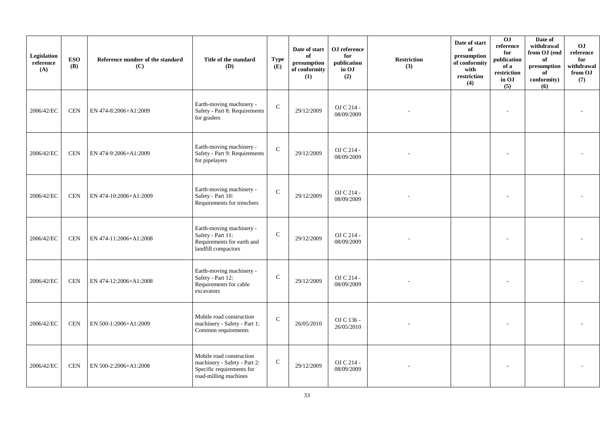| Legislation<br>reference<br>(A) | <b>ESO</b><br>(B) | Reference number of the standard<br>(C) | Title of the standard<br>(D)                                                                                   | <b>Type</b><br>(E) | Date of start<br>of<br>$\bf{presumption}$<br>of conformity<br>(1) | OJ reference<br>for<br>publication<br>in OJ<br>(2) | <b>Restriction</b><br>(3) | Date of start<br>of<br>presumption<br>of conformity<br>with<br>restriction<br>(4) | 0J<br>reference<br>for<br>publication<br>of a<br>restriction<br>in OJ<br>(5) | Date of<br>withdrawal<br>from OJ (end<br>of<br>presumption<br>of<br>conformity)<br>(6) | <b>OJ</b><br>reference<br>for<br>withdrawal<br>from OJ<br>(7) |
|---------------------------------|-------------------|-----------------------------------------|----------------------------------------------------------------------------------------------------------------|--------------------|-------------------------------------------------------------------|----------------------------------------------------|---------------------------|-----------------------------------------------------------------------------------|------------------------------------------------------------------------------|----------------------------------------------------------------------------------------|---------------------------------------------------------------|
| 2006/42/EC                      | <b>CEN</b>        | EN 474-8:2006+A1:2009                   | Earth-moving machinery -<br>Safety - Part 8: Requirements<br>for graders                                       | $\mathbf C$        | 29/12/2009                                                        | OJ C 214 -<br>08/09/2009                           |                           |                                                                                   |                                                                              |                                                                                        |                                                               |
| 2006/42/EC                      | <b>CEN</b>        | EN 474-9:2006+A1:2009                   | Earth-moving machinery -<br>Safety - Part 9: Requirements<br>for pipelayers                                    | $\mathbf C$        | 29/12/2009                                                        | OJ C 214 -<br>08/09/2009                           |                           |                                                                                   |                                                                              |                                                                                        |                                                               |
| 2006/42/EC                      | <b>CEN</b>        | EN 474-10:2006+A1:2009                  | Earth-moving machinery -<br>Safety - Part 10:<br>Requirements for trenchers                                    | $\mathbf{C}$       | 29/12/2009                                                        | OJ C 214 -<br>08/09/2009                           |                           |                                                                                   |                                                                              |                                                                                        |                                                               |
| 2006/42/EC                      | <b>CEN</b>        | EN 474-11:2006+A1:2008                  | Earth-moving machinery -<br>Safety - Part 11:<br>Requirements for earth and<br>landfill compactors             | $\mathbf C$        | 29/12/2009                                                        | OJ C 214 -<br>08/09/2009                           |                           |                                                                                   |                                                                              |                                                                                        |                                                               |
| 2006/42/EC                      | <b>CEN</b>        | EN 474-12:2006+A1:2008                  | Earth-moving machinery -<br>Safety - Part 12:<br>Requirements for cable<br>excavators                          | $\mathcal{C}$      | 29/12/2009                                                        | OJ C 214 -<br>08/09/2009                           |                           |                                                                                   |                                                                              |                                                                                        |                                                               |
| 2006/42/EC                      | <b>CEN</b>        | EN 500-1:2006+A1:2009                   | Mobile road construction<br>machinery - Safety - Part 1:<br>Common requirements                                | $\mathcal{C}$      | 26/05/2010                                                        | OJ C 136 -<br>26/05/2010                           |                           |                                                                                   |                                                                              |                                                                                        |                                                               |
| 2006/42/EC                      | <b>CEN</b>        | EN 500-2:2006+A1:2008                   | Mobile road construction<br>machinery - Safety - Part 2:<br>Specific requirements for<br>road-milling machines | ${\bf C}$          | 29/12/2009                                                        | OJ C 214 -<br>08/09/2009                           |                           |                                                                                   |                                                                              |                                                                                        |                                                               |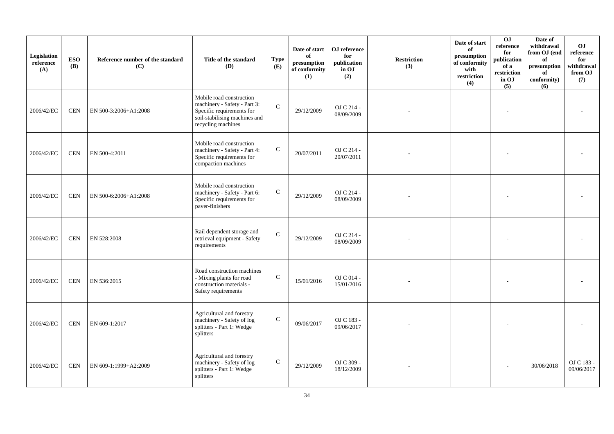| Legislation<br>reference<br>(A) | <b>ESO</b><br>(B) | Reference number of the standard<br>(C) | Title of the standard<br>(D)                                                                                                                 | <b>Type</b><br>(E) | Date of start<br>of<br>presumption<br>of conformity<br>(1) | OJ reference<br>for<br>publication<br>in OJ<br>(2) | <b>Restriction</b><br>(3) | Date of start<br>of<br>presumption<br>of conformity<br>with<br>restriction<br>(4) | 0J<br>reference<br>for<br>publication<br>of a<br>$\operatorname{restriction}$<br>in OJ<br>(5) | Date of<br>withdrawal<br>from OJ (end<br>of<br>presumption<br>of<br>conformity)<br>(6) | <b>OJ</b><br>reference<br>for<br>withdrawal<br>from OJ<br>(7) |
|---------------------------------|-------------------|-----------------------------------------|----------------------------------------------------------------------------------------------------------------------------------------------|--------------------|------------------------------------------------------------|----------------------------------------------------|---------------------------|-----------------------------------------------------------------------------------|-----------------------------------------------------------------------------------------------|----------------------------------------------------------------------------------------|---------------------------------------------------------------|
| 2006/42/EC                      | <b>CEN</b>        | EN 500-3:2006+A1:2008                   | Mobile road construction<br>machinery - Safety - Part 3:<br>Specific requirements for<br>soil-stabilising machines and<br>recycling machines | $\mathbf{C}$       | 29/12/2009                                                 | OJ C 214 -<br>08/09/2009                           |                           |                                                                                   |                                                                                               |                                                                                        |                                                               |
| 2006/42/EC                      | <b>CEN</b>        | EN 500-4:2011                           | Mobile road construction<br>machinery - Safety - Part 4:<br>Specific requirements for<br>compaction machines                                 | ${\bf C}$          | 20/07/2011                                                 | OJ C 214 -<br>20/07/2011                           |                           |                                                                                   |                                                                                               |                                                                                        |                                                               |
| 2006/42/EC                      | <b>CEN</b>        | EN 500-6:2006+A1:2008                   | Mobile road construction<br>machinery - Safety - Part 6:<br>Specific requirements for<br>paver-finishers                                     | ${\bf C}$          | 29/12/2009                                                 | OJ C 214 -<br>08/09/2009                           |                           |                                                                                   |                                                                                               |                                                                                        |                                                               |
| 2006/42/EC                      | <b>CEN</b>        | EN 528:2008                             | Rail dependent storage and<br>retrieval equipment - Safety<br>requirements                                                                   | $\mathbf C$        | 29/12/2009                                                 | OJ C 214 -<br>08/09/2009                           |                           |                                                                                   |                                                                                               |                                                                                        |                                                               |
| 2006/42/EC                      | <b>CEN</b>        | EN 536:2015                             | Road construction machines<br>- Mixing plants for road<br>construction materials -<br>Safety requirements                                    | $\mathbf C$        | 15/01/2016                                                 | OJ C 014 -<br>15/01/2016                           |                           |                                                                                   |                                                                                               |                                                                                        |                                                               |
| 2006/42/EC                      | <b>CEN</b>        | EN 609-1:2017                           | Agricultural and forestry<br>machinery - Safety of log<br>splitters - Part 1: Wedge<br>splitters                                             | $\mathsf{C}$       | 09/06/2017                                                 | OJ C 183 -<br>09/06/2017                           |                           |                                                                                   |                                                                                               |                                                                                        |                                                               |
| 2006/42/EC                      | <b>CEN</b>        | EN 609-1:1999+A2:2009                   | Agricultural and forestry<br>machinery - Safety of log<br>splitters - Part 1: Wedge<br>splitters                                             | $\mathbf C$        | 29/12/2009                                                 | OJ C 309 -<br>18/12/2009                           |                           |                                                                                   |                                                                                               | 30/06/2018                                                                             | OJ C 183 -<br>09/06/2017                                      |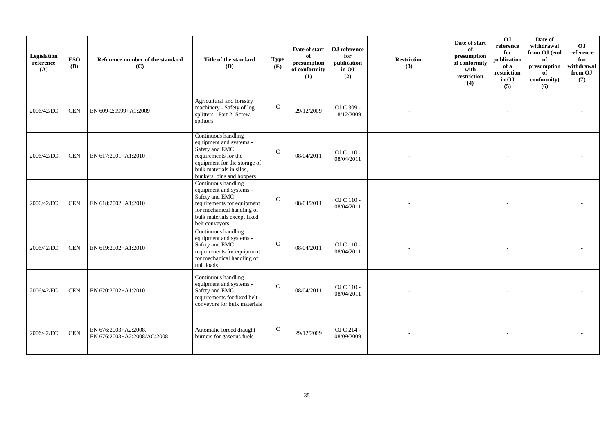| Legislation<br>reference<br>(A) | <b>ESO</b><br><b>(B)</b> | Reference number of the standard<br>(C)             | Title of the standard<br><b>(D)</b>                                                                                                                                               | <b>Type</b><br>(E) | Date of start<br>of<br>presumption<br>of conformity<br>(1) | OJ reference<br>for<br>publication<br>in OJ<br>(2) | <b>Restriction</b><br>(3) | Date of start<br>of<br>presumption<br>of conformity<br>with<br>restriction<br>(4) | 0J<br>reference<br>for<br>publication<br>of a<br>restriction<br>in OJ<br>(5) | Date of<br>withdrawal<br>from OJ (end<br>of<br>presumption<br>of<br>conformity)<br>(6) | O <sub>J</sub><br>reference<br>for<br>withdrawal<br>from OJ<br>(7) |
|---------------------------------|--------------------------|-----------------------------------------------------|-----------------------------------------------------------------------------------------------------------------------------------------------------------------------------------|--------------------|------------------------------------------------------------|----------------------------------------------------|---------------------------|-----------------------------------------------------------------------------------|------------------------------------------------------------------------------|----------------------------------------------------------------------------------------|--------------------------------------------------------------------|
| 2006/42/EC                      | <b>CEN</b>               | EN 609-2:1999+A1:2009                               | Agricultural and forestry<br>machinery - Safety of log<br>splitters - Part 2: Screw<br>splitters                                                                                  | $\mathsf{C}$       | 29/12/2009                                                 | OJ C 309 -<br>18/12/2009                           |                           |                                                                                   |                                                                              |                                                                                        |                                                                    |
| 2006/42/EC                      | <b>CEN</b>               | EN 617:2001+A1:2010                                 | Continuous handling<br>equipment and systems -<br>Safety and EMC<br>requirements for the<br>equipment for the storage of<br>bulk materials in silos.<br>bunkers, bins and hoppers | $\mathcal{C}$      | 08/04/2011                                                 | OJ C 110 -<br>08/04/2011                           |                           |                                                                                   |                                                                              |                                                                                        |                                                                    |
| 2006/42/EC                      | <b>CEN</b>               | EN 618:2002+A1:2010                                 | Continuous handling<br>equipment and systems -<br>Safety and EMC<br>requirements for equipment<br>for mechanical handling of<br>bulk materials except fixed<br>belt conveyors     | $\mathcal{C}$      | 08/04/2011                                                 | OJ C 110 -<br>08/04/2011                           |                           |                                                                                   |                                                                              |                                                                                        |                                                                    |
| 2006/42/EC                      | <b>CEN</b>               | EN 619:2002+A1:2010                                 | Continuous handling<br>equipment and systems -<br>Safety and EMC<br>requirements for equipment<br>for mechanical handling of<br>unit loads                                        | $\mathcal{C}$      | 08/04/2011                                                 | OJ C 110 -<br>08/04/2011                           |                           |                                                                                   |                                                                              |                                                                                        |                                                                    |
| 2006/42/EC                      | <b>CEN</b>               | EN 620:2002+A1:2010                                 | Continuous handling<br>equipment and systems -<br>Safety and EMC<br>requirements for fixed belt<br>conveyors for bulk materials                                                   | $\mathcal{C}$      | 08/04/2011                                                 | OJ C 110 -<br>08/04/2011                           |                           |                                                                                   |                                                                              |                                                                                        |                                                                    |
| 2006/42/EC                      | <b>CEN</b>               | EN 676:2003+A2:2008,<br>EN 676:2003+A2:2008/AC:2008 | Automatic forced draught<br>burners for gaseous fuels                                                                                                                             | $\mathbf C$        | 29/12/2009                                                 | OJ C 214 -<br>08/09/2009                           |                           |                                                                                   |                                                                              |                                                                                        |                                                                    |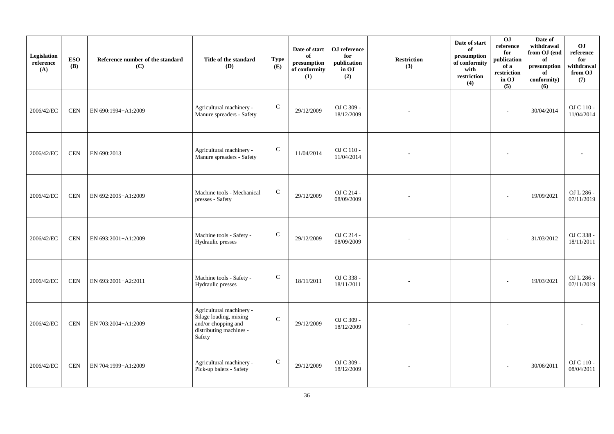| Legislation<br>reference<br>(A) | <b>ESO</b><br><b>(B)</b> | Reference number of the standard<br>(C) | Title of the standard<br>(D)                                                                                   | <b>Type</b><br>(E) | Date of start<br>of<br>presumption<br>of conformity<br>(1) | OJ reference<br>for<br>publication<br>in OJ<br>(2) | <b>Restriction</b><br>(3) | Date of start<br>of<br>presumption<br>of conformity<br>with<br>restriction<br>(4) | 0J<br>reference<br>for<br>publication<br>of a<br>restriction<br>in OJ<br>(5) | Date of<br>withdrawal<br>from OJ (end<br>of<br>presumption<br>of<br>conformity)<br>(6) | OJ<br>reference<br>for<br>withdrawal<br>from OJ<br>(7) |
|---------------------------------|--------------------------|-----------------------------------------|----------------------------------------------------------------------------------------------------------------|--------------------|------------------------------------------------------------|----------------------------------------------------|---------------------------|-----------------------------------------------------------------------------------|------------------------------------------------------------------------------|----------------------------------------------------------------------------------------|--------------------------------------------------------|
| 2006/42/EC                      | <b>CEN</b>               | EN 690:1994+A1:2009                     | Agricultural machinery -<br>Manure spreaders - Safety                                                          | $\mathbf C$        | 29/12/2009                                                 | OJ C 309 -<br>18/12/2009                           |                           |                                                                                   | $\overline{\phantom{a}}$                                                     | 30/04/2014                                                                             | OJ C 110 -<br>11/04/2014                               |
| 2006/42/EC                      | <b>CEN</b>               | EN 690:2013                             | Agricultural machinery -<br>Manure spreaders - Safety                                                          | ${\bf C}$          | 11/04/2014                                                 | OJ C 110 -<br>11/04/2014                           |                           |                                                                                   |                                                                              |                                                                                        |                                                        |
| 2006/42/EC                      | <b>CEN</b>               | EN 692:2005+A1:2009                     | Machine tools - Mechanical<br>presses - Safety                                                                 | $\mathbf C$        | 29/12/2009                                                 | OJ C 214 -<br>08/09/2009                           |                           |                                                                                   |                                                                              | 19/09/2021                                                                             | OJ L 286 -<br>07/11/2019                               |
| 2006/42/EC                      | <b>CEN</b>               | EN 693:2001+A1:2009                     | Machine tools - Safety -<br>Hydraulic presses                                                                  | $\mathbf C$        | 29/12/2009                                                 | OJ C 214 -<br>08/09/2009                           |                           |                                                                                   |                                                                              | 31/03/2012                                                                             | OJ C 338 -<br>18/11/2011                               |
| 2006/42/EC                      | <b>CEN</b>               | EN 693:2001+A2:2011                     | Machine tools - Safety -<br>Hydraulic presses                                                                  | ${\bf C}$          | 18/11/2011                                                 | OJ C 338 -<br>18/11/2011                           |                           |                                                                                   |                                                                              | 19/03/2021                                                                             | OJ L 286 -<br>07/11/2019                               |
| 2006/42/EC                      | <b>CEN</b>               | EN 703:2004+A1:2009                     | Agricultural machinery -<br>Silage loading, mixing<br>and/or chopping and<br>distributing machines -<br>Safety | $\mathsf{C}$       | 29/12/2009                                                 | OJ C 309 -<br>18/12/2009                           |                           |                                                                                   |                                                                              |                                                                                        |                                                        |
| 2006/42/EC                      | <b>CEN</b>               | EN 704:1999+A1:2009                     | Agricultural machinery -<br>Pick-up balers - Safety                                                            | ${\bf C}$          | 29/12/2009                                                 | OJ C 309 -<br>18/12/2009                           |                           |                                                                                   |                                                                              | 30/06/2011                                                                             | OJ C 110 -<br>08/04/2011                               |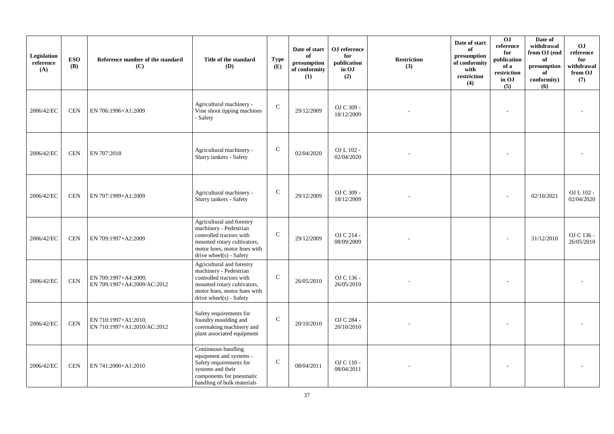| Legislation<br>reference<br>(A) | <b>ESO</b><br><b>(B)</b> | Reference number of the standard<br>(C)             | Title of the standard<br><b>(D)</b>                                                                                                                                      | <b>Type</b><br>(E) | Date of start<br>of<br>presumption<br>of conformity<br>(1) | OJ reference<br>for<br>publication<br>in OJ<br>(2) | <b>Restriction</b><br>(3) | Date of start<br>of<br>presumption<br>of conformity<br>with<br>restriction<br>(4) | 0J<br>reference<br>for<br>publication<br>of a<br>restriction<br>in OJ<br>(5) | Date of<br>withdrawal<br>from OJ (end<br>of<br>presumption<br>of<br>conformity)<br>(6) | O <sub>J</sub><br>reference<br>for<br>withdrawal<br>from OJ<br>(7) |
|---------------------------------|--------------------------|-----------------------------------------------------|--------------------------------------------------------------------------------------------------------------------------------------------------------------------------|--------------------|------------------------------------------------------------|----------------------------------------------------|---------------------------|-----------------------------------------------------------------------------------|------------------------------------------------------------------------------|----------------------------------------------------------------------------------------|--------------------------------------------------------------------|
| 2006/42/EC                      | <b>CEN</b>               | EN 706:1996+A1:2009                                 | Agricultural machinery -<br>Vine shoot tipping machines<br>- Safety                                                                                                      | $\mathsf C$        | 29/12/2009                                                 | OJ C 309 -<br>18/12/2009                           |                           |                                                                                   |                                                                              |                                                                                        |                                                                    |
| 2006/42/EC                      | <b>CEN</b>               | EN 707:2018                                         | Agricultural machinery -<br>Slurry tankers - Safety                                                                                                                      | $\mathsf{C}$       | 02/04/2020                                                 | OJ L 102 -<br>02/04/2020                           |                           |                                                                                   |                                                                              |                                                                                        |                                                                    |
| 2006/42/EC                      | <b>CEN</b>               | EN 707:1999+A1:2009                                 | Agricultural machinery -<br>Slurry tankers - Safety                                                                                                                      | $\mathbf C$        | 29/12/2009                                                 | OJ C 309 -<br>18/12/2009                           |                           |                                                                                   |                                                                              | 02/10/2021                                                                             | OJ L 102 -<br>02/04/2020                                           |
| 2006/42/EC                      | <b>CEN</b>               | EN 709:1997+A2:2009                                 | Agricultural and forestry<br>machinery - Pedestrian<br>controlled tractors with<br>mounted rotary cultivators,<br>motor hoes, motor hoes with<br>drive wheel(s) - Safety | $\mathbf C$        | 29/12/2009                                                 | OJ C 214 -<br>08/09/2009                           |                           |                                                                                   |                                                                              | 31/12/2010                                                                             | OJ C 136 -<br>26/05/2010                                           |
| 2006/42/EC                      | <b>CEN</b>               | EN 709:1997+A4:2009,<br>EN 709:1997+A4:2009/AC:2012 | Agricultural and forestry<br>machinery - Pedestrian<br>controlled tractors with<br>mounted rotary cultivators,<br>motor hoes, motor hoes with<br>drive wheel(s) - Safety | $\mathsf C$        | 26/05/2010                                                 | OJ C 136 -<br>26/05/2010                           |                           |                                                                                   |                                                                              |                                                                                        |                                                                    |
| 2006/42/EC                      | $\mbox{CEN}$             | EN 710:1997+A1:2010,<br>EN 710:1997+A1:2010/AC:2012 | Safety requirements for<br>foundry moulding and<br>coremaking machinery and<br>plant associated equipment                                                                | $\mathsf C$        | 20/10/2010                                                 | OJ C 284 -<br>20/10/2010                           |                           |                                                                                   |                                                                              |                                                                                        |                                                                    |
| 2006/42/EC                      | <b>CEN</b>               | EN 741:2000+A1:2010                                 | Continuous handling<br>equipment and systems -<br>Safety requirements for<br>systems and their<br>components for pneumatic<br>handling of bulk materials                 | $\mathsf C$        | 08/04/2011                                                 | OJ C 110 -<br>08/04/2011                           |                           |                                                                                   |                                                                              |                                                                                        |                                                                    |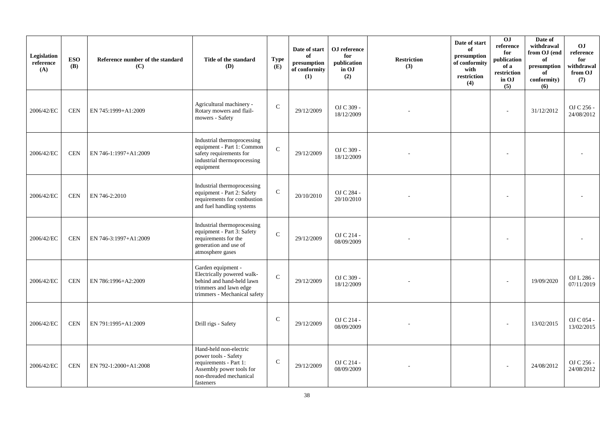| Legislation<br>reference<br>(A) | <b>ESO</b><br>(B) | Reference number of the standard<br>(C) | Title of the standard<br>(D)                                                                                                                 | <b>Type</b><br>(E) | Date of start<br>of<br>presumption<br>of conformity<br>(1) | OJ reference<br>for<br>publication<br>in OJ<br>(2) | <b>Restriction</b><br>(3) | Date of start<br>of<br>presumption<br>of conformity<br>with<br>restriction<br>(4) | OJ<br>reference<br>for<br>publication<br>of a<br>$\operatorname{restriction}$<br>in OJ<br>(5) | Date of<br>withdrawal<br>from OJ (end<br>of<br>presumption<br>of<br>conformity)<br>(6) | <b>OJ</b><br>reference<br>for<br>withdrawal<br>from OJ<br>(7) |
|---------------------------------|-------------------|-----------------------------------------|----------------------------------------------------------------------------------------------------------------------------------------------|--------------------|------------------------------------------------------------|----------------------------------------------------|---------------------------|-----------------------------------------------------------------------------------|-----------------------------------------------------------------------------------------------|----------------------------------------------------------------------------------------|---------------------------------------------------------------|
| 2006/42/EC                      | <b>CEN</b>        | EN 745:1999+A1:2009                     | Agricultural machinery -<br>Rotary mowers and flail-<br>mowers - Safety                                                                      | ${\bf C}$          | 29/12/2009                                                 | OJ C 309 -<br>18/12/2009                           |                           |                                                                                   | ÷                                                                                             | 31/12/2012                                                                             | OJ C 256 -<br>24/08/2012                                      |
| 2006/42/EC                      | <b>CEN</b>        | EN 746-1:1997+A1:2009                   | Industrial thermoprocessing<br>equipment - Part 1: Common<br>safety requirements for<br>industrial thermoprocessing<br>equipment             | $\mathbf C$        | 29/12/2009                                                 | OJ C 309 -<br>18/12/2009                           |                           |                                                                                   |                                                                                               |                                                                                        |                                                               |
| 2006/42/EC                      | <b>CEN</b>        | EN 746-2:2010                           | Industrial thermoprocessing<br>equipment - Part 2: Safety<br>requirements for combustion<br>and fuel handling systems                        | $\mathbf C$        | 20/10/2010                                                 | OJ C 284 -<br>20/10/2010                           |                           |                                                                                   |                                                                                               |                                                                                        |                                                               |
| 2006/42/EC                      | <b>CEN</b>        | EN 746-3:1997+A1:2009                   | Industrial thermoprocessing<br>equipment - Part 3: Safety<br>requirements for the<br>generation and use of<br>atmosphere gases               | $\mathbf{C}$       | 29/12/2009                                                 | OJ C 214 -<br>08/09/2009                           |                           |                                                                                   |                                                                                               |                                                                                        |                                                               |
| 2006/42/EC                      | <b>CEN</b>        | EN 786:1996+A2:2009                     | Garden equipment -<br>Electrically powered walk-<br>behind and hand-held lawn<br>trimmers and lawn edge<br>trimmers - Mechanical safety      | $\mathbf{C}$       | 29/12/2009                                                 | OJ C 309 -<br>18/12/2009                           |                           |                                                                                   |                                                                                               | 19/09/2020                                                                             | OJ L 286 -<br>07/11/2019                                      |
| 2006/42/EC                      | <b>CEN</b>        | EN 791:1995+A1:2009                     | Drill rigs - Safety                                                                                                                          | $\mathsf{C}$       | 29/12/2009                                                 | OJ C 214 -<br>08/09/2009                           |                           |                                                                                   |                                                                                               | 13/02/2015                                                                             | OJ C 054 -<br>13/02/2015                                      |
| 2006/42/EC                      | <b>CEN</b>        | EN 792-1:2000+A1:2008                   | Hand-held non-electric<br>power tools - Safety<br>requirements - Part 1:<br>Assembly power tools for<br>non-threaded mechanical<br>fasteners | $\mathcal{C}$      | 29/12/2009                                                 | OJ C 214 -<br>08/09/2009                           |                           |                                                                                   |                                                                                               | 24/08/2012                                                                             | OJ C 256 -<br>24/08/2012                                      |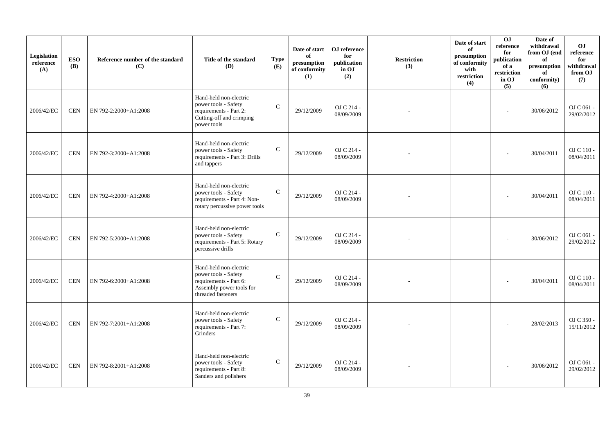| Legislation<br>reference<br>(A) | <b>ESO</b><br><b>(B)</b> | Reference number of the standard<br>(C) | Title of the standard<br><b>(D)</b>                                                                                        | <b>Type</b><br>(E) | Date of start<br>of<br>presumption<br>of conformity<br>(1) | ${\bf OJ}$ reference<br>for<br>publication<br>in OJ<br>(2) | <b>Restriction</b><br>(3) | Date of start<br>of<br>presumption<br>of conformity<br>with<br>restriction<br>(4) | 0J<br>reference<br>for<br>publication<br>of a<br>restriction<br>in OJ<br>(5) | Date of<br>withdrawal<br>from OJ (end<br>of<br>presumption<br>of<br>conformity)<br>(6) | <b>OJ</b><br>reference<br>for<br>withdrawal<br>from OJ<br>(7) |
|---------------------------------|--------------------------|-----------------------------------------|----------------------------------------------------------------------------------------------------------------------------|--------------------|------------------------------------------------------------|------------------------------------------------------------|---------------------------|-----------------------------------------------------------------------------------|------------------------------------------------------------------------------|----------------------------------------------------------------------------------------|---------------------------------------------------------------|
| 2006/42/EC                      | <b>CEN</b>               | EN 792-2:2000+A1:2008                   | Hand-held non-electric<br>power tools - Safety<br>requirements - Part 2:<br>Cutting-off and crimping<br>power tools        | $\mathsf{C}$       | 29/12/2009                                                 | OJ C 214 -<br>08/09/2009                                   |                           |                                                                                   |                                                                              | 30/06/2012                                                                             | OJ C 061 -<br>29/02/2012                                      |
| 2006/42/EC                      | <b>CEN</b>               | EN 792-3:2000+A1:2008                   | Hand-held non-electric<br>power tools - Safety<br>requirements - Part 3: Drills<br>and tappers                             | $\mathsf{C}$       | 29/12/2009                                                 | OJ C 214 -<br>08/09/2009                                   |                           |                                                                                   |                                                                              | 30/04/2011                                                                             | OJ C 110 -<br>08/04/2011                                      |
| 2006/42/EC                      | <b>CEN</b>               | EN 792-4:2000+A1:2008                   | Hand-held non-electric<br>power tools - Safety<br>requirements - Part 4: Non-<br>rotary percussive power tools             | $\mathbf C$        | 29/12/2009                                                 | OJ C 214 -<br>08/09/2009                                   |                           |                                                                                   |                                                                              | 30/04/2011                                                                             | OJ C 110 -<br>08/04/2011                                      |
| 2006/42/EC                      | <b>CEN</b>               | EN 792-5:2000+A1:2008                   | Hand-held non-electric<br>power tools - Safety<br>requirements - Part 5: Rotary<br>percussive drills                       | $\mathbf C$        | 29/12/2009                                                 | OJ C 214 -<br>08/09/2009                                   |                           |                                                                                   |                                                                              | 30/06/2012                                                                             | OJ C 061 -<br>29/02/2012                                      |
| 2006/42/EC                      | <b>CEN</b>               | EN 792-6:2000+A1:2008                   | Hand-held non-electric<br>power tools - Safety<br>requirements - Part 6:<br>Assembly power tools for<br>threaded fasteners | $\mathcal{C}$      | 29/12/2009                                                 | OJ C 214 -<br>08/09/2009                                   |                           |                                                                                   |                                                                              | 30/04/2011                                                                             | OJ C 110 -<br>08/04/2011                                      |
| 2006/42/EC                      | CEN                      | EN 792-7:2001+A1:2008                   | Hand-held non-electric<br>power tools - Safety<br>requirements - Part 7:<br>Grinders                                       | $\mathsf{C}$       | 29/12/2009                                                 | OJ C 214 -<br>08/09/2009                                   |                           |                                                                                   |                                                                              | 28/02/2013                                                                             | OJ C 350 -<br>15/11/2012                                      |
| 2006/42/EC                      | <b>CEN</b>               | EN 792-8:2001+A1:2008                   | Hand-held non-electric<br>power tools - Safety<br>requirements - Part 8:<br>Sanders and polishers                          | $\mathbf C$        | 29/12/2009                                                 | OJ C 214 -<br>08/09/2009                                   |                           |                                                                                   |                                                                              | 30/06/2012                                                                             | OJ C 061 -<br>29/02/2012                                      |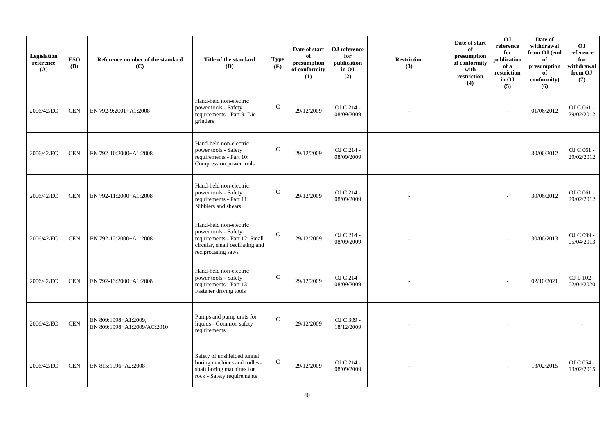| Legislation<br>reference<br>(A) | <b>ESO</b><br><b>(B)</b> | Reference number of the standard<br>(C)             | Title of the standard<br><b>(D)</b>                                                                                                      | <b>Type</b><br>(E) | Date of start<br>of<br>presumption<br>of conformity<br>(1) | ${\bf OJ}$ reference<br>for<br>publication<br>in OJ<br>(2) | <b>Restriction</b><br>(3) | Date of start<br>of<br>presumption<br>of conformity<br>with<br>restriction<br>(4) | 0J<br>reference<br>for<br>publication<br>of a<br>restriction<br>in OJ<br>(5) | Date of<br>withdrawal<br>from OJ (end<br>of<br>presumption<br>of<br>conformity)<br>(6) | <b>OJ</b><br>reference<br>for<br>withdrawal<br>from OJ<br>(7) |
|---------------------------------|--------------------------|-----------------------------------------------------|------------------------------------------------------------------------------------------------------------------------------------------|--------------------|------------------------------------------------------------|------------------------------------------------------------|---------------------------|-----------------------------------------------------------------------------------|------------------------------------------------------------------------------|----------------------------------------------------------------------------------------|---------------------------------------------------------------|
| 2006/42/EC                      | <b>CEN</b>               | EN 792-9:2001+A1:2008                               | Hand-held non-electric<br>power tools - Safety<br>requirements - Part 9: Die<br>grinders                                                 | $\mathsf{C}$       | 29/12/2009                                                 | OJ C 214 -<br>08/09/2009                                   |                           |                                                                                   |                                                                              | 01/06/2012                                                                             | OJ C 061 -<br>29/02/2012                                      |
| 2006/42/EC                      | <b>CEN</b>               | EN 792-10:2000+A1:2008                              | Hand-held non-electric<br>power tools - Safety<br>requirements - Part 10:<br>Compression power tools                                     | $\mathsf{C}$       | 29/12/2009                                                 | OJ C 214 -<br>08/09/2009                                   |                           |                                                                                   |                                                                              | 30/06/2012                                                                             | OJ C 061 -<br>29/02/2012                                      |
| 2006/42/EC                      | <b>CEN</b>               | EN 792-11:2000+A1:2008                              | Hand-held non-electric<br>power tools - Safety<br>requirements - Part 11:<br>Nibblers and shears                                         | $\mathbf C$        | 29/12/2009                                                 | OJ C 214 -<br>08/09/2009                                   |                           |                                                                                   |                                                                              | 30/06/2012                                                                             | OJ C 061 -<br>29/02/2012                                      |
| 2006/42/EC                      | <b>CEN</b>               | EN 792-12:2000+A1:2008                              | Hand-held non-electric<br>power tools - Safety<br>requirements - Part 12: Small<br>circular, small oscillating and<br>reciprocating saws | $\mathbf C$        | 29/12/2009                                                 | OJ C 214 -<br>08/09/2009                                   |                           |                                                                                   |                                                                              | 30/06/2013                                                                             | OJ C 099 -<br>05/04/2013                                      |
| 2006/42/EC                      | <b>CEN</b>               | EN 792-13:2000+A1:2008                              | Hand-held non-electric<br>power tools - Safety<br>requirements - Part 13:<br>Fastener driving tools                                      | $\mathsf{C}$       | 29/12/2009                                                 | OJ C 214 -<br>08/09/2009                                   |                           |                                                                                   |                                                                              | 02/10/2021                                                                             | OJ L 102 -<br>02/04/2020                                      |
| 2006/42/EC                      | $\mbox{CEN}$             | EN 809:1998+A1:2009,<br>EN 809:1998+A1:2009/AC:2010 | Pumps and pump units for<br>liquids - Common safety<br>requirements                                                                      | $\mathbf C$        | 29/12/2009                                                 | OJ C 309 -<br>18/12/2009                                   |                           |                                                                                   |                                                                              |                                                                                        |                                                               |
| 2006/42/EC                      | <b>CEN</b>               | EN 815:1996+A2:2008                                 | Safety of unshielded tunnel<br>boring machines and rodless<br>shaft boring machines for<br>rock - Safety requirements                    | ${\bf C}$          | 29/12/2009                                                 | OJ C 214 -<br>08/09/2009                                   |                           |                                                                                   |                                                                              | 13/02/2015                                                                             | OJ C 054 -<br>13/02/2015                                      |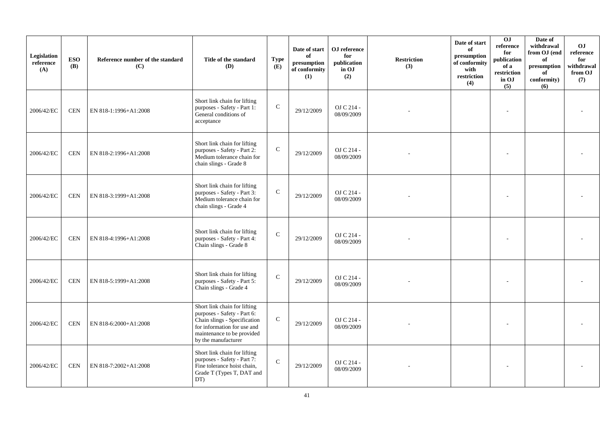| Legislation<br>reference<br>(A) | <b>ESO</b><br><b>(B)</b> | Reference number of the standard<br>(C) | Title of the standard<br>(D)                                                                                                                                                    | <b>Type</b><br>(E) | Date of start<br>of<br>presumption<br>of conformity<br>(1) | OJ reference<br>for<br>publication<br>in OJ<br>(2) | <b>Restriction</b><br>(3) | Date of start<br>of<br>presumption<br>of conformity<br>with<br>restriction<br>(4) | 0J<br>reference<br>for<br>publication<br>of a<br>restriction<br>in OJ<br>(5) | Date of<br>withdrawal<br>from OJ (end<br>of<br>presumption<br>of<br>conformity)<br>(6) | <b>OJ</b><br>reference<br>for<br>withdrawal<br>from OJ<br>(7) |
|---------------------------------|--------------------------|-----------------------------------------|---------------------------------------------------------------------------------------------------------------------------------------------------------------------------------|--------------------|------------------------------------------------------------|----------------------------------------------------|---------------------------|-----------------------------------------------------------------------------------|------------------------------------------------------------------------------|----------------------------------------------------------------------------------------|---------------------------------------------------------------|
| 2006/42/EC                      | <b>CEN</b>               | EN 818-1:1996+A1:2008                   | Short link chain for lifting<br>purposes - Safety - Part 1:<br>General conditions of<br>acceptance                                                                              | $\mathsf{C}$       | 29/12/2009                                                 | OJ C 214 -<br>08/09/2009                           |                           |                                                                                   |                                                                              |                                                                                        |                                                               |
| 2006/42/EC                      | <b>CEN</b>               | EN 818-2:1996+A1:2008                   | Short link chain for lifting<br>purposes - Safety - Part 2:<br>Medium tolerance chain for<br>chain slings - Grade 8                                                             | $\mathbf C$        | 29/12/2009                                                 | OJ C 214 -<br>08/09/2009                           |                           |                                                                                   |                                                                              |                                                                                        |                                                               |
| 2006/42/EC                      | <b>CEN</b>               | EN 818-3:1999+A1:2008                   | Short link chain for lifting<br>purposes - Safety - Part 3:<br>Medium tolerance chain for<br>chain slings - Grade 4                                                             | $\mathbf C$        | 29/12/2009                                                 | OJ C 214 -<br>08/09/2009                           |                           |                                                                                   |                                                                              |                                                                                        |                                                               |
| 2006/42/EC                      | <b>CEN</b>               | EN 818-4:1996+A1:2008                   | Short link chain for lifting<br>purposes - Safety - Part 4:<br>Chain slings - Grade 8                                                                                           | $\mathbf C$        | 29/12/2009                                                 | OJ C 214 -<br>08/09/2009                           |                           |                                                                                   |                                                                              |                                                                                        |                                                               |
| 2006/42/EC                      | <b>CEN</b>               | EN 818-5:1999+A1:2008                   | Short link chain for lifting<br>purposes - Safety - Part 5:<br>Chain slings - Grade 4                                                                                           | $\mathbf{C}$       | 29/12/2009                                                 | OJ C 214 -<br>08/09/2009                           |                           |                                                                                   |                                                                              |                                                                                        |                                                               |
| 2006/42/EC                      | <b>CEN</b>               | EN 818-6:2000+A1:2008                   | Short link chain for lifting<br>purposes - Safety - Part 6:<br>Chain slings - Specification<br>for information for use and<br>maintenance to be provided<br>by the manufacturer | ${\bf C}$          | 29/12/2009                                                 | OJ C 214 -<br>08/09/2009                           |                           |                                                                                   |                                                                              |                                                                                        |                                                               |
| 2006/42/EC                      | <b>CEN</b>               | EN 818-7:2002+A1:2008                   | Short link chain for lifting<br>purposes - Safety - Part 7:<br>Fine tolerance hoist chain,<br>Grade T (Types T, DAT and<br>DT)                                                  | $\mathsf{C}$       | 29/12/2009                                                 | OJ C 214 -<br>08/09/2009                           |                           |                                                                                   |                                                                              |                                                                                        |                                                               |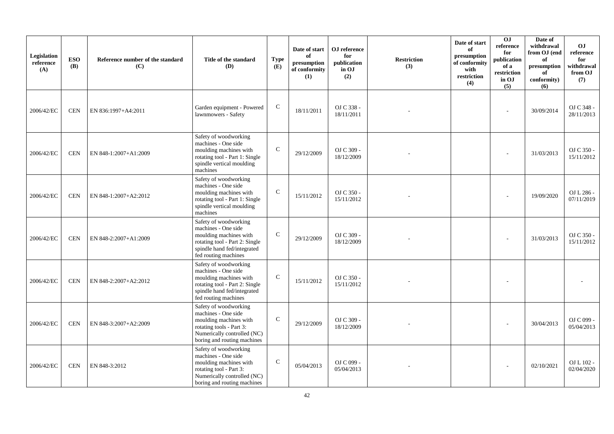| Legislation<br>reference<br>(A) | <b>ESO</b><br><b>(B)</b> | Reference number of the standard<br>(C) | Title of the standard<br>(D)                                                                                                                                     | <b>Type</b><br>(E) | Date of start<br>of<br>presumption<br>of conformity<br>(1) | ${\bf OJ}$ reference<br>for<br>publication<br>in OJ<br>(2) | <b>Restriction</b><br>(3) | Date of start<br>of<br>presumption<br>of conformity<br>with<br>restriction<br>(4) | OJ<br>reference<br>for<br>publication<br>of a<br>restriction<br>in OJ<br>(5) | Date of<br>withdrawal<br>from OJ (end<br>of<br>presumption<br>of<br>conformity)<br>(6) | <b>OJ</b><br>reference<br>for<br>withdrawal<br>from OJ<br>(7) |
|---------------------------------|--------------------------|-----------------------------------------|------------------------------------------------------------------------------------------------------------------------------------------------------------------|--------------------|------------------------------------------------------------|------------------------------------------------------------|---------------------------|-----------------------------------------------------------------------------------|------------------------------------------------------------------------------|----------------------------------------------------------------------------------------|---------------------------------------------------------------|
| 2006/42/EC                      | <b>CEN</b>               | EN 836:1997+A4:2011                     | Garden equipment - Powered<br>lawnmowers - Safety                                                                                                                | $\mathsf{C}$       | 18/11/2011                                                 | OJ C 338 -<br>18/11/2011                                   |                           |                                                                                   |                                                                              | 30/09/2014                                                                             | OJ C 348 -<br>28/11/2013                                      |
| 2006/42/EC                      | <b>CEN</b>               | EN 848-1:2007+A1:2009                   | Safety of woodworking<br>machines - One side<br>moulding machines with<br>rotating tool - Part 1: Single<br>spindle vertical moulding<br>machines                | $\mathcal{C}$      | 29/12/2009                                                 | OJ C 309 -<br>18/12/2009                                   |                           |                                                                                   |                                                                              | 31/03/2013                                                                             | OJ C 350 -<br>15/11/2012                                      |
| 2006/42/EC                      | <b>CEN</b>               | EN 848-1:2007+A2:2012                   | Safety of woodworking<br>machines - One side<br>moulding machines with<br>rotating tool - Part 1: Single<br>spindle vertical moulding<br>machines                | $\mathbf C$        | 15/11/2012                                                 | OJ C 350 -<br>15/11/2012                                   |                           |                                                                                   |                                                                              | 19/09/2020                                                                             | OJ L 286 -<br>07/11/2019                                      |
| 2006/42/EC                      | <b>CEN</b>               | EN 848-2:2007+A1:2009                   | Safety of woodworking<br>machines - One side<br>moulding machines with<br>rotating tool - Part 2: Single<br>spindle hand fed/integrated<br>fed routing machines  | $\mathsf{C}$       | 29/12/2009                                                 | OJ C 309 -<br>18/12/2009                                   |                           |                                                                                   |                                                                              | 31/03/2013                                                                             | OJ C 350 -<br>15/11/2012                                      |
| 2006/42/EC                      | <b>CEN</b>               | EN 848-2:2007+A2:2012                   | Safety of woodworking<br>machines - One side<br>moulding machines with<br>rotating tool - Part 2: Single<br>spindle hand fed/integrated<br>fed routing machines  | $\mathcal{C}$      | 15/11/2012                                                 | OJ C 350 -<br>15/11/2012                                   |                           |                                                                                   |                                                                              |                                                                                        |                                                               |
| 2006/42/EC                      | <b>CEN</b>               | EN 848-3:2007+A2:2009                   | Safety of woodworking<br>machines - One side<br>moulding machines with<br>rotating tools - Part 3:<br>Numerically controlled (NC)<br>boring and routing machines | $\mathsf{C}$       | 29/12/2009                                                 | OJ C 309 -<br>18/12/2009                                   |                           |                                                                                   |                                                                              | 30/04/2013                                                                             | OJ C 099 -<br>05/04/2013                                      |
| 2006/42/EC                      | <b>CEN</b>               | EN 848-3:2012                           | Safety of woodworking<br>machines - One side<br>moulding machines with<br>rotating tool - Part 3:<br>Numerically controlled (NC)<br>boring and routing machines  | $\mathcal{C}$      | 05/04/2013                                                 | OJ C 099 -<br>05/04/2013                                   |                           |                                                                                   |                                                                              | 02/10/2021                                                                             | OJ L 102 -<br>02/04/2020                                      |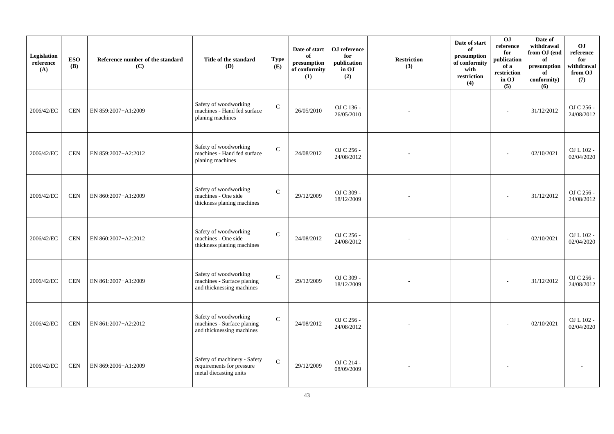| Legislation<br>reference<br>(A) | <b>ESO</b><br><b>(B)</b> | Reference number of the standard<br>(C) | Title of the standard<br>(D)                                                        | <b>Type</b><br>(E) | Date of start<br>of<br>presumption<br>of conformity<br>(1) | OJ reference<br>for<br>publication<br>in OJ<br>(2) | <b>Restriction</b><br>(3) | Date of start<br>of<br>presumption<br>of conformity<br>with<br>restriction<br>(4) | 0J<br>reference<br>for<br>publication<br>of a<br>restriction<br>in OJ<br>(5) | Date of<br>withdrawal<br>from OJ (end<br>of<br>presumption<br>of<br>conformity)<br>(6) | <b>OJ</b><br>reference<br>for<br>withdrawal<br>from OJ<br>(7) |
|---------------------------------|--------------------------|-----------------------------------------|-------------------------------------------------------------------------------------|--------------------|------------------------------------------------------------|----------------------------------------------------|---------------------------|-----------------------------------------------------------------------------------|------------------------------------------------------------------------------|----------------------------------------------------------------------------------------|---------------------------------------------------------------|
| 2006/42/EC                      | <b>CEN</b>               | EN 859:2007+A1:2009                     | Safety of woodworking<br>machines - Hand fed surface<br>planing machines            | $\mathsf{C}$       | 26/05/2010                                                 | OJ C 136 -<br>26/05/2010                           |                           |                                                                                   | $\sim$                                                                       | 31/12/2012                                                                             | OJ C 256 -<br>24/08/2012                                      |
| 2006/42/EC                      | <b>CEN</b>               | EN 859:2007+A2:2012                     | Safety of woodworking<br>machines - Hand fed surface<br>planing machines            | $\mathbf C$        | 24/08/2012                                                 | OJ C 256 -<br>24/08/2012                           |                           |                                                                                   |                                                                              | 02/10/2021                                                                             | OJ L 102 -<br>02/04/2020                                      |
| 2006/42/EC                      | <b>CEN</b>               | EN 860:2007+A1:2009                     | Safety of woodworking<br>machines - One side<br>thickness planing machines          | $\mathcal{C}$      | 29/12/2009                                                 | OJ C 309 -<br>18/12/2009                           |                           |                                                                                   |                                                                              | 31/12/2012                                                                             | OJ C 256 -<br>24/08/2012                                      |
| 2006/42/EC                      | <b>CEN</b>               | EN 860:2007+A2:2012                     | Safety of woodworking<br>machines - One side<br>thickness planing machines          | $\mathbf C$        | 24/08/2012                                                 | OJ C 256 -<br>24/08/2012                           |                           |                                                                                   |                                                                              | 02/10/2021                                                                             | OJ L 102 -<br>02/04/2020                                      |
| 2006/42/EC                      | <b>CEN</b>               | EN 861:2007+A1:2009                     | Safety of woodworking<br>machines - Surface planing<br>and thicknessing machines    | $\mathcal{C}$      | 29/12/2009                                                 | OJ C 309 -<br>18/12/2009                           |                           |                                                                                   |                                                                              | 31/12/2012                                                                             | OJ C 256 -<br>24/08/2012                                      |
| 2006/42/EC                      | <b>CEN</b>               | EN 861:2007+A2:2012                     | Safety of woodworking<br>machines - Surface planing<br>and thicknessing machines    | $\mathsf{C}$       | 24/08/2012                                                 | OJ C 256 -<br>24/08/2012                           |                           |                                                                                   |                                                                              | 02/10/2021                                                                             | OJ L 102 -<br>02/04/2020                                      |
| 2006/42/EC                      | <b>CEN</b>               | EN 869:2006+A1:2009                     | Safety of machinery - Safety<br>requirements for pressure<br>metal diecasting units | $\mathbf C$        | 29/12/2009                                                 | OJ C 214 -<br>08/09/2009                           |                           |                                                                                   |                                                                              |                                                                                        |                                                               |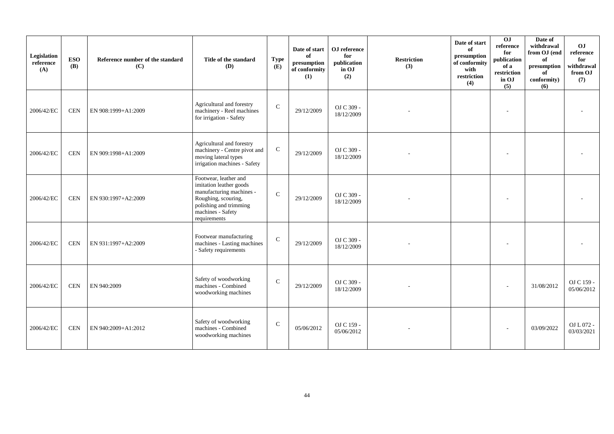| Legislation<br>reference<br>(A) | <b>ESO</b><br><b>(B)</b> | Reference number of the standard<br>(C) | Title of the standard<br>(D)                                                                                                                                       | <b>Type</b><br>(E) | Date of start<br>of<br>presumption<br>of conformity<br>(1) | OJ reference<br>for<br>publication<br>in OJ<br>(2) | <b>Restriction</b><br>(3) | Date of start<br>of<br>presumption<br>of conformity<br>with<br>restriction<br>(4) | 0 <sub>1</sub><br>reference<br>for<br>publication<br>of a<br>restriction<br>in OJ<br>(5) | Date of<br>withdrawal<br>from OJ (end<br>of<br>presumption<br>of<br>conformity)<br>(6) | OJ<br>reference<br>for<br>withdrawal<br>from OJ<br>(7) |
|---------------------------------|--------------------------|-----------------------------------------|--------------------------------------------------------------------------------------------------------------------------------------------------------------------|--------------------|------------------------------------------------------------|----------------------------------------------------|---------------------------|-----------------------------------------------------------------------------------|------------------------------------------------------------------------------------------|----------------------------------------------------------------------------------------|--------------------------------------------------------|
| 2006/42/EC                      | <b>CEN</b>               | EN 908:1999+A1:2009                     | Agricultural and forestry<br>machinery - Reel machines<br>for irrigation - Safety                                                                                  | $\mathsf{C}$       | 29/12/2009                                                 | OJ C 309 -<br>18/12/2009                           |                           |                                                                                   |                                                                                          |                                                                                        |                                                        |
| 2006/42/EC                      | <b>CEN</b>               | EN 909:1998+A1:2009                     | Agricultural and forestry<br>machinery - Centre pivot and<br>moving lateral types<br>irrigation machines - Safety                                                  | ${\bf C}$          | 29/12/2009                                                 | OJ C 309 -<br>18/12/2009                           |                           |                                                                                   |                                                                                          |                                                                                        |                                                        |
| 2006/42/EC                      | <b>CEN</b>               | EN 930:1997+A2:2009                     | Footwear, leather and<br>imitation leather goods<br>manufacturing machines -<br>Roughing, scouring,<br>polishing and trimming<br>machines - Safety<br>requirements | $\mathbf C$        | 29/12/2009                                                 | OJ C 309 -<br>18/12/2009                           |                           |                                                                                   |                                                                                          |                                                                                        |                                                        |
| 2006/42/EC                      | <b>CEN</b>               | EN 931:1997+A2:2009                     | Footwear manufacturing<br>machines - Lasting machines<br>- Safety requirements                                                                                     | $\mathbf C$        | 29/12/2009                                                 | OJ C 309 -<br>18/12/2009                           |                           |                                                                                   |                                                                                          |                                                                                        |                                                        |
| 2006/42/EC                      | <b>CEN</b>               | EN 940:2009                             | Safety of woodworking<br>machines - Combined<br>woodworking machines                                                                                               | $\mathsf{C}$       | 29/12/2009                                                 | OJ C 309 -<br>18/12/2009                           |                           |                                                                                   |                                                                                          | 31/08/2012                                                                             | OJ C 159 -<br>05/06/2012                               |
| 2006/42/EC                      | <b>CEN</b>               | EN 940:2009+A1:2012                     | Safety of woodworking<br>machines - Combined<br>woodworking machines                                                                                               | $\mathbf C$        | 05/06/2012                                                 | OJ C 159 -<br>05/06/2012                           |                           |                                                                                   |                                                                                          | 03/09/2022                                                                             | OJ L 072 -<br>03/03/2021                               |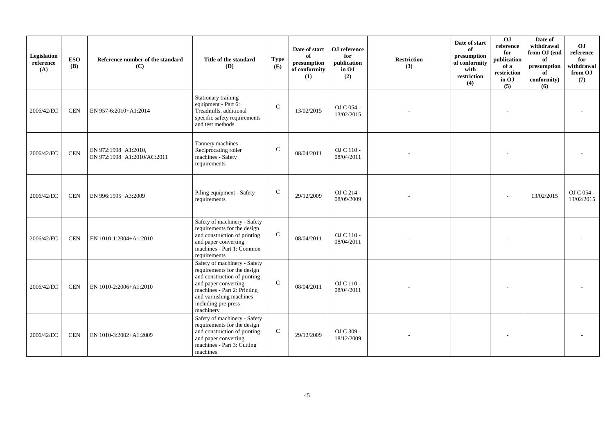| Legislation<br>reference<br>(A) | <b>ESO</b><br><b>(B)</b> | Reference number of the standard<br>(C)             | Title of the standard<br><b>(D)</b>                                                                                                                                                                               | <b>Type</b><br>(E) | Date of start<br>of<br>presumption<br>of conformity<br>(1) | OJ reference<br>for<br>publication<br>in OJ<br>(2) | <b>Restriction</b><br>(3) | Date of start<br>of<br>presumption<br>of conformity<br>with<br>restriction<br>(4) | 0J<br>reference<br>for<br>publication<br>of a<br>restriction<br>in OJ<br>(5) | Date of<br>withdrawal<br>from OJ (end<br>of<br>presumption<br>of<br>conformity)<br>(6) | O <sub>J</sub><br>reference<br>for<br>withdrawal<br>from OJ<br>(7) |
|---------------------------------|--------------------------|-----------------------------------------------------|-------------------------------------------------------------------------------------------------------------------------------------------------------------------------------------------------------------------|--------------------|------------------------------------------------------------|----------------------------------------------------|---------------------------|-----------------------------------------------------------------------------------|------------------------------------------------------------------------------|----------------------------------------------------------------------------------------|--------------------------------------------------------------------|
| 2006/42/EC                      | <b>CEN</b>               | EN 957-6:2010+A1:2014                               | Stationary training<br>equipment - Part 6:<br>Treadmills, additional<br>specific safety requirements<br>and test methods                                                                                          | $\mathsf{C}$       | 13/02/2015                                                 | OJ C 054 -<br>13/02/2015                           |                           |                                                                                   |                                                                              |                                                                                        |                                                                    |
| 2006/42/EC                      | <b>CEN</b>               | EN 972:1998+A1:2010,<br>EN 972:1998+A1:2010/AC:2011 | Tannery machines -<br>Reciprocating roller<br>machines - Safety<br>requirements                                                                                                                                   | $\mathbf C$        | 08/04/2011                                                 | OJ C 110 -<br>08/04/2011                           |                           |                                                                                   |                                                                              |                                                                                        |                                                                    |
| 2006/42/EC                      | <b>CEN</b>               | EN 996:1995+A3:2009                                 | Piling equipment - Safety<br>requirements                                                                                                                                                                         | $\mathbf C$        | 29/12/2009                                                 | OJ C 214 -<br>08/09/2009                           |                           |                                                                                   |                                                                              | 13/02/2015                                                                             | OJ C 054 -<br>13/02/2015                                           |
| 2006/42/EC                      | <b>CEN</b>               | EN 1010-1:2004+A1:2010                              | Safety of machinery - Safety<br>requirements for the design<br>and construction of printing<br>and paper converting<br>machines - Part 1: Common<br>requirements                                                  | $\mathbf C$        | 08/04/2011                                                 | OJ C 110 -<br>08/04/2011                           |                           |                                                                                   |                                                                              |                                                                                        |                                                                    |
| 2006/42/EC                      | <b>CEN</b>               | EN 1010-2:2006+A1:2010                              | Safety of machinery - Safety<br>requirements for the design<br>and construction of printing<br>and paper converting<br>machines - Part 2: Printing<br>and varnishing machines<br>including pre-press<br>machinery | $\mathbf C$        | 08/04/2011                                                 | OJ C 110 -<br>08/04/2011                           |                           |                                                                                   |                                                                              |                                                                                        |                                                                    |
| 2006/42/EC                      | <b>CEN</b>               | EN 1010-3:2002+A1:2009                              | Safety of machinery - Safety<br>requirements for the design<br>and construction of printing<br>and paper converting<br>machines - Part 3: Cutting<br>machines                                                     | $\mathbf C$        | 29/12/2009                                                 | OJ C 309 -<br>18/12/2009                           |                           |                                                                                   |                                                                              |                                                                                        |                                                                    |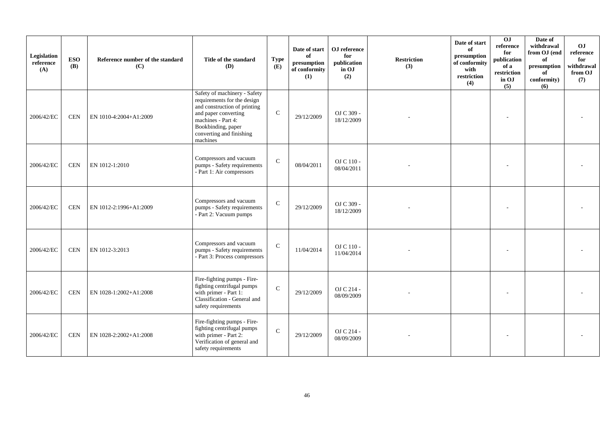| Legislation<br>reference<br>(A) | <b>ESO</b><br><b>(B)</b> | Reference number of the standard<br>(C) | Title of the standard<br>(D)                                                                                                                                                                            | <b>Type</b><br>(E) | Date of start<br>of<br>presumption<br>of conformity<br>(1) | OJ reference<br>for<br>publication<br>in OJ<br>(2) | <b>Restriction</b><br>(3) | Date of start<br>of<br>presumption<br>of conformity<br>with<br>restriction<br>(4) | 0 <sub>1</sub><br>reference<br>for<br>publication<br>of a<br>restriction<br>in OJ<br>(5) | Date of<br>withdrawal<br>from OJ (end<br>of<br>presumption<br>of<br>conformity)<br>(6) | OJ<br>reference<br>for<br>withdrawal<br>from OJ<br>(7) |
|---------------------------------|--------------------------|-----------------------------------------|---------------------------------------------------------------------------------------------------------------------------------------------------------------------------------------------------------|--------------------|------------------------------------------------------------|----------------------------------------------------|---------------------------|-----------------------------------------------------------------------------------|------------------------------------------------------------------------------------------|----------------------------------------------------------------------------------------|--------------------------------------------------------|
| 2006/42/EC                      | <b>CEN</b>               | EN 1010-4:2004+A1:2009                  | Safety of machinery - Safety<br>requirements for the design<br>and construction of printing<br>and paper converting<br>machines - Part 4:<br>Bookbinding, paper<br>converting and finishing<br>machines | $\mathbf{C}$       | 29/12/2009                                                 | OJ C 309 -<br>18/12/2009                           |                           |                                                                                   |                                                                                          |                                                                                        |                                                        |
| 2006/42/EC                      | <b>CEN</b>               | EN 1012-1:2010                          | Compressors and vacuum<br>pumps - Safety requirements<br>- Part 1: Air compressors                                                                                                                      | $\mathcal{C}$      | 08/04/2011                                                 | OJ C 110 -<br>08/04/2011                           |                           |                                                                                   |                                                                                          |                                                                                        |                                                        |
| 2006/42/EC                      | <b>CEN</b>               | EN 1012-2:1996+A1:2009                  | Compressors and vacuum<br>pumps - Safety requirements<br>- Part 2: Vacuum pumps                                                                                                                         | $\mathcal{C}$      | 29/12/2009                                                 | OJ C 309 -<br>18/12/2009                           |                           |                                                                                   |                                                                                          |                                                                                        |                                                        |
| 2006/42/EC                      | <b>CEN</b>               | EN 1012-3:2013                          | Compressors and vacuum<br>pumps - Safety requirements<br>- Part 3: Process compressors                                                                                                                  | $\mathcal{C}$      | 11/04/2014                                                 | OJ C 110 -<br>11/04/2014                           |                           |                                                                                   |                                                                                          |                                                                                        |                                                        |
| 2006/42/EC                      | <b>CEN</b>               | EN 1028-1:2002+A1:2008                  | Fire-fighting pumps - Fire-<br>fighting centrifugal pumps<br>with primer - Part 1:<br>Classification - General and<br>safety requirements                                                               | $\mathsf{C}$       | 29/12/2009                                                 | OJ C 214 -<br>08/09/2009                           |                           |                                                                                   |                                                                                          |                                                                                        |                                                        |
| 2006/42/EC                      | <b>CEN</b>               | EN 1028-2:2002+A1:2008                  | Fire-fighting pumps - Fire-<br>fighting centrifugal pumps<br>with primer - Part 2:<br>Verification of general and<br>safety requirements                                                                | $\mathbf{C}$       | 29/12/2009                                                 | OJ C 214 -<br>08/09/2009                           |                           |                                                                                   |                                                                                          |                                                                                        |                                                        |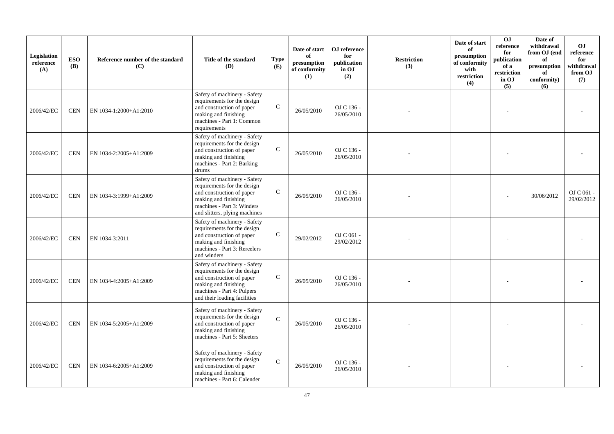| Legislation<br>reference<br>(A) | <b>ESO</b><br><b>(B)</b> | Reference number of the standard<br>(C) | Title of the standard<br><b>(D)</b>                                                                                                                                             | <b>Type</b><br>(E) | Date of start<br>of<br>presumption<br>of conformity<br>(1) | OJ reference<br>for<br>publication<br>in OJ<br>(2) | <b>Restriction</b><br>(3) | Date of start<br>of<br>presumption<br>of conformity<br>with<br>restriction<br>(4) | O <sub>J</sub><br>reference<br>for<br>publication<br>of a<br>restriction<br>in OJ<br>(5) | Date of<br>withdrawal<br>from OJ (end<br>of<br>presumption<br>of<br>conformity)<br>(6) | <b>OJ</b><br>reference<br>for<br>withdrawal<br>from OJ<br>(7) |
|---------------------------------|--------------------------|-----------------------------------------|---------------------------------------------------------------------------------------------------------------------------------------------------------------------------------|--------------------|------------------------------------------------------------|----------------------------------------------------|---------------------------|-----------------------------------------------------------------------------------|------------------------------------------------------------------------------------------|----------------------------------------------------------------------------------------|---------------------------------------------------------------|
| 2006/42/EC                      | CEN                      | EN 1034-1:2000+A1:2010                  | Safety of machinery - Safety<br>requirements for the design<br>and construction of paper<br>making and finishing<br>machines - Part 1: Common<br>requirements                   | $\mathcal{C}$      | 26/05/2010                                                 | OJ C 136 -<br>26/05/2010                           |                           |                                                                                   |                                                                                          |                                                                                        |                                                               |
| 2006/42/EC                      | <b>CEN</b>               | EN 1034-2:2005+A1:2009                  | Safety of machinery - Safety<br>requirements for the design<br>and construction of paper<br>making and finishing<br>machines - Part 2: Barking<br>drums                         | $\mathsf{C}$       | 26/05/2010                                                 | OJ C 136 -<br>26/05/2010                           |                           |                                                                                   |                                                                                          |                                                                                        |                                                               |
| 2006/42/EC                      | <b>CEN</b>               | EN 1034-3:1999+A1:2009                  | Safety of machinery - Safety<br>requirements for the design<br>and construction of paper<br>making and finishing<br>machines - Part 3: Winders<br>and slitters, plying machines | $\mathcal{C}$      | 26/05/2010                                                 | OJ C 136 -<br>26/05/2010                           |                           |                                                                                   |                                                                                          | 30/06/2012                                                                             | OJ C 061 -<br>29/02/2012                                      |
| 2006/42/EC                      | <b>CEN</b>               | EN 1034-3:2011                          | Safety of machinery - Safety<br>requirements for the design<br>and construction of paper<br>making and finishing<br>machines - Part 3: Rereelers<br>and winders                 | $\mathsf{C}$       | 29/02/2012                                                 | OJ C 061 -<br>29/02/2012                           |                           |                                                                                   |                                                                                          |                                                                                        |                                                               |
| 2006/42/EC                      | <b>CEN</b>               | EN 1034-4:2005+A1:2009                  | Safety of machinery - Safety<br>requirements for the design<br>and construction of paper<br>making and finishing<br>machines - Part 4: Pulpers<br>and their loading facilities  | $\mathcal{C}$      | 26/05/2010                                                 | OJ C 136 -<br>26/05/2010                           |                           |                                                                                   |                                                                                          |                                                                                        |                                                               |
| 2006/42/EC                      | <b>CEN</b>               | EN 1034-5:2005+A1:2009                  | Safety of machinery - Safety<br>requirements for the design<br>and construction of paper<br>making and finishing<br>machines - Part 5: Sheeters                                 | $\mathcal{C}$      | 26/05/2010                                                 | OJ C 136 -<br>26/05/2010                           |                           |                                                                                   |                                                                                          |                                                                                        |                                                               |
| 2006/42/EC                      | <b>CEN</b>               | EN 1034-6:2005+A1:2009                  | Safety of machinery - Safety<br>requirements for the design<br>and construction of paper<br>making and finishing<br>machines - Part 6: Calender                                 | $\mathcal{C}$      | 26/05/2010                                                 | OJ C 136 -<br>26/05/2010                           |                           |                                                                                   |                                                                                          |                                                                                        |                                                               |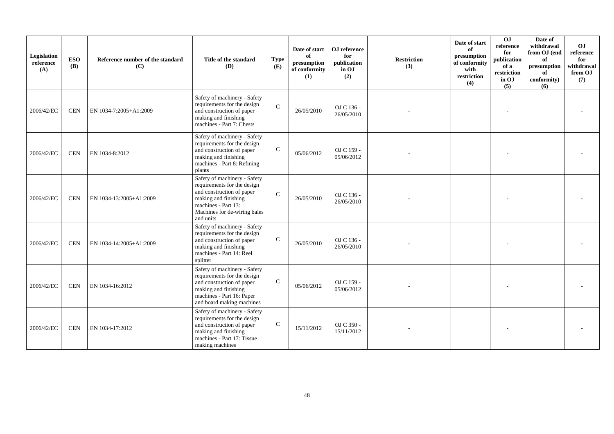| Legislation<br>reference<br>(A) | <b>ESO</b><br><b>(B)</b> | Reference number of the standard<br>(C) | Title of the standard<br><b>(D)</b>                                                                                                                                                  | <b>Type</b><br>(E) | Date of start<br>of<br>presumption<br>of conformity<br>(1) | OJ reference<br>for<br>publication<br>in OJ<br>(2) | <b>Restriction</b><br>(3) | Date of start<br>of<br>presumption<br>of conformity<br>with<br>restriction<br>(4) | $\overline{0}$<br>reference<br>for<br>publication<br>of a<br>restriction<br>in OJ<br>(5) | Date of<br>withdrawal<br>from OJ (end<br>of<br>$\,$ presumption<br>of<br>conformity)<br>(6) | O <sub>J</sub><br>reference<br>for<br>withdrawal<br>from OJ<br>(7) |
|---------------------------------|--------------------------|-----------------------------------------|--------------------------------------------------------------------------------------------------------------------------------------------------------------------------------------|--------------------|------------------------------------------------------------|----------------------------------------------------|---------------------------|-----------------------------------------------------------------------------------|------------------------------------------------------------------------------------------|---------------------------------------------------------------------------------------------|--------------------------------------------------------------------|
| 2006/42/EC                      | <b>CEN</b>               | EN 1034-7:2005+A1:2009                  | Safety of machinery - Safety<br>requirements for the design<br>and construction of paper<br>making and finishing<br>machines - Part 7: Chests                                        | $\mathbf{C}$       | 26/05/2010                                                 | OJ C 136 -<br>26/05/2010                           |                           |                                                                                   |                                                                                          |                                                                                             |                                                                    |
| 2006/42/EC                      | <b>CEN</b>               | EN 1034-8:2012                          | Safety of machinery - Safety<br>requirements for the design<br>and construction of paper<br>making and finishing<br>machines - Part 8: Refining<br>plants                            | $\mathbf C$        | 05/06/2012                                                 | OJ C 159 -<br>05/06/2012                           |                           |                                                                                   |                                                                                          |                                                                                             |                                                                    |
| 2006/42/EC                      | <b>CEN</b>               | EN 1034-13:2005+A1:2009                 | Safety of machinery - Safety<br>requirements for the design<br>and construction of paper<br>making and finishing<br>machines - Part 13:<br>Machines for de-wiring bales<br>and units | $\mathbf{C}$       | 26/05/2010                                                 | OJ C 136 -<br>26/05/2010                           |                           |                                                                                   |                                                                                          |                                                                                             |                                                                    |
| 2006/42/EC                      | <b>CEN</b>               | EN 1034-14:2005+A1:2009                 | Safety of machinery - Safety<br>requirements for the design<br>and construction of paper<br>making and finishing<br>machines - Part 14: Reel<br>splitter                             | $\mathbf C$        | 26/05/2010                                                 | OJ C 136 -<br>26/05/2010                           |                           |                                                                                   |                                                                                          |                                                                                             |                                                                    |
| 2006/42/EC                      | <b>CEN</b>               | EN 1034-16:2012                         | Safety of machinery - Safety<br>requirements for the design<br>and construction of paper<br>making and finishing<br>machines - Part 16: Paper<br>and board making machines           | $\mathbf{C}$       | 05/06/2012                                                 | OJ C 159 -<br>05/06/2012                           |                           |                                                                                   |                                                                                          |                                                                                             |                                                                    |
| 2006/42/EC                      | <b>CEN</b>               | EN 1034-17:2012                         | Safety of machinery - Safety<br>requirements for the design<br>and construction of paper<br>making and finishing<br>machines - Part 17: Tissue<br>making machines                    | $\mathsf{C}$       | 15/11/2012                                                 | OJ C 350 -<br>15/11/2012                           |                           |                                                                                   |                                                                                          |                                                                                             |                                                                    |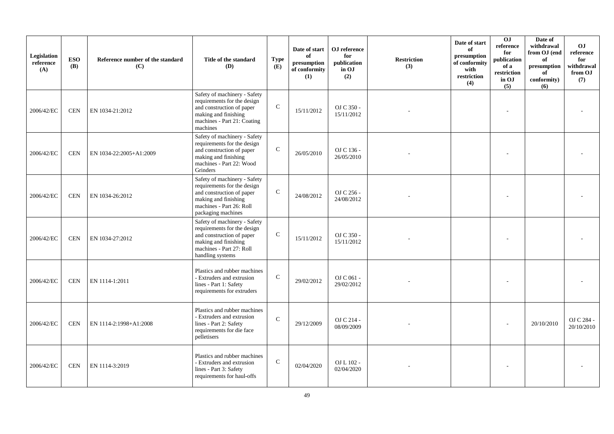| Legislation<br>reference<br>(A) | <b>ESO</b><br><b>(B)</b> | Reference number of the standard<br>(C) | Title of the standard<br><b>(D)</b>                                                                                                                                | <b>Type</b><br>(E) | Date of start<br>of<br>presumption<br>of conformity<br>(1) | OJ reference<br>for<br>publication<br>in OJ<br>(2) | <b>Restriction</b><br>(3) | Date of start<br>of<br>presumption<br>of conformity<br>with<br>restriction<br>(4) | 0J<br>reference<br>for<br>publication<br>of a<br>restriction<br>in OJ<br>(5) | Date of<br>withdrawal<br>from OJ (end<br>of<br>presumption<br>of<br>conformity)<br>(6) | O <sub>J</sub><br>reference<br>for<br>withdrawal<br>from OJ<br>(7) |
|---------------------------------|--------------------------|-----------------------------------------|--------------------------------------------------------------------------------------------------------------------------------------------------------------------|--------------------|------------------------------------------------------------|----------------------------------------------------|---------------------------|-----------------------------------------------------------------------------------|------------------------------------------------------------------------------|----------------------------------------------------------------------------------------|--------------------------------------------------------------------|
| 2006/42/EC                      | CEN                      | EN 1034-21:2012                         | Safety of machinery - Safety<br>requirements for the design<br>and construction of paper<br>making and finishing<br>machines - Part 21: Coating<br>machines        | $\mathbf{C}$       | 15/11/2012                                                 | OJ C 350 -<br>15/11/2012                           |                           |                                                                                   |                                                                              |                                                                                        |                                                                    |
| 2006/42/EC                      | <b>CEN</b>               | EN 1034-22:2005+A1:2009                 | Safety of machinery - Safety<br>requirements for the design<br>and construction of paper<br>making and finishing<br>machines - Part 22: Wood<br>Grinders           | ${\bf C}$          | 26/05/2010                                                 | OJ C 136 -<br>26/05/2010                           |                           |                                                                                   |                                                                              |                                                                                        |                                                                    |
| 2006/42/EC                      | <b>CEN</b>               | EN 1034-26:2012                         | Safety of machinery - Safety<br>requirements for the design<br>and construction of paper<br>making and finishing<br>machines - Part 26: Roll<br>packaging machines | $\mathbf C$        | 24/08/2012                                                 | OJ C 256 -<br>24/08/2012                           |                           |                                                                                   |                                                                              |                                                                                        |                                                                    |
| 2006/42/EC                      | <b>CEN</b>               | EN 1034-27:2012                         | Safety of machinery - Safety<br>requirements for the design<br>and construction of paper<br>making and finishing<br>machines - Part 27: Roll<br>handling systems   | $\mathsf{C}$       | 15/11/2012                                                 | OJ C 350 -<br>15/11/2012                           |                           |                                                                                   |                                                                              |                                                                                        |                                                                    |
| 2006/42/EC                      | <b>CEN</b>               | EN 1114-1:2011                          | Plastics and rubber machines<br>- Extruders and extrusion<br>lines - Part 1: Safety<br>requirements for extruders                                                  | $\mathcal{C}$      | 29/02/2012                                                 | OJ C 061 -<br>29/02/2012                           |                           |                                                                                   |                                                                              |                                                                                        |                                                                    |
| 2006/42/EC                      | <b>CEN</b>               | EN 1114-2:1998+A1:2008                  | Plastics and rubber machines<br>- Extruders and extrusion<br>lines - Part 2: Safety<br>requirements for die face<br>pelletisers                                    | $\mathcal{C}$      | 29/12/2009                                                 | OJ C 214 -<br>08/09/2009                           |                           |                                                                                   |                                                                              | 20/10/2010                                                                             | OJ C 284 -<br>20/10/2010                                           |
| 2006/42/EC                      | <b>CEN</b>               | EN 1114-3:2019                          | Plastics and rubber machines<br>- Extruders and extrusion<br>lines - Part 3: Safety<br>requirements for haul-offs                                                  | $\mathcal{C}$      | 02/04/2020                                                 | OJ L 102 -<br>02/04/2020                           |                           |                                                                                   |                                                                              |                                                                                        |                                                                    |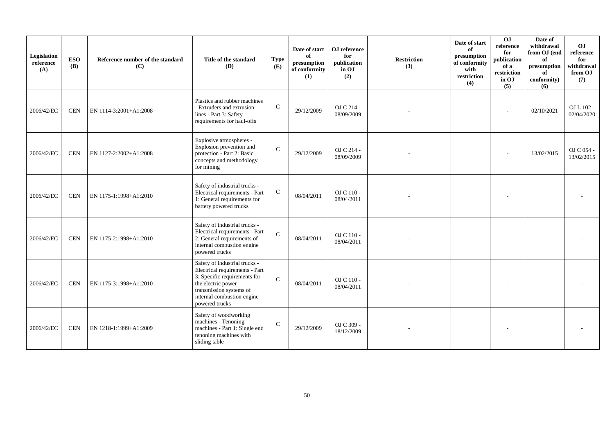| Legislation<br>reference<br>(A) | <b>ESO</b><br><b>(B)</b> | Reference number of the standard<br>(C) | Title of the standard<br>(D)                                                                                                                                                                     | <b>Type</b><br>(E) | Date of start<br>of<br>presumption<br>of conformity<br>(1) | OJ reference<br>for<br>publication<br>in OJ<br>(2) | <b>Restriction</b><br>(3) | Date of start<br>of<br>presumption<br>of conformity<br>with<br>restriction<br>(4) | $\overline{0}$<br>reference<br>for<br>publication<br>of a<br>restriction<br>in OJ<br>(5) | Date of<br>withdrawal<br>from OJ (end<br>of<br>presumption<br>of<br>conformity)<br>(6) | OJ<br>reference<br>for<br>withdrawal<br>from OJ<br>(7) |
|---------------------------------|--------------------------|-----------------------------------------|--------------------------------------------------------------------------------------------------------------------------------------------------------------------------------------------------|--------------------|------------------------------------------------------------|----------------------------------------------------|---------------------------|-----------------------------------------------------------------------------------|------------------------------------------------------------------------------------------|----------------------------------------------------------------------------------------|--------------------------------------------------------|
| 2006/42/EC                      | <b>CEN</b>               | EN 1114-3:2001+A1:2008                  | Plastics and rubber machines<br>- Extruders and extrusion<br>lines - Part 3: Safety<br>requirements for haul-offs                                                                                | $\mathsf{C}$       | 29/12/2009                                                 | OJ C 214 -<br>08/09/2009                           |                           |                                                                                   | ÷                                                                                        | 02/10/2021                                                                             | OJ L 102 -<br>02/04/2020                               |
| 2006/42/EC                      | <b>CEN</b>               | EN 1127-2:2002+A1:2008                  | Explosive atmospheres -<br>Explosion prevention and<br>protection - Part 2: Basic<br>concepts and methodology<br>for mining                                                                      | $\mathcal{C}$      | 29/12/2009                                                 | OJ C 214 -<br>08/09/2009                           |                           |                                                                                   |                                                                                          | 13/02/2015                                                                             | OJ C 054 -<br>13/02/2015                               |
| 2006/42/EC                      | <b>CEN</b>               | EN 1175-1:1998+A1:2010                  | Safety of industrial trucks -<br>Electrical requirements - Part<br>1: General requirements for<br>battery powered trucks                                                                         | $\mathbf C$        | 08/04/2011                                                 | OJ C 110 -<br>08/04/2011                           |                           |                                                                                   |                                                                                          |                                                                                        |                                                        |
| 2006/42/EC                      | <b>CEN</b>               | EN 1175-2:1998+A1:2010                  | Safety of industrial trucks -<br>Electrical requirements - Part<br>2: General requirements of<br>internal combustion engine<br>powered trucks                                                    | $\mathbf{C}$       | 08/04/2011                                                 | OJ C 110 -<br>08/04/2011                           |                           |                                                                                   |                                                                                          |                                                                                        |                                                        |
| 2006/42/EC                      | <b>CEN</b>               | EN 1175-3:1998+A1:2010                  | Safety of industrial trucks -<br>Electrical requirements - Part<br>3: Specific requirements for<br>the electric power<br>transmission systems of<br>internal combustion engine<br>powered trucks | $\mathcal{C}$      | 08/04/2011                                                 | OJ C 110 -<br>08/04/2011                           |                           |                                                                                   |                                                                                          |                                                                                        |                                                        |
| 2006/42/EC                      | <b>CEN</b>               | EN 1218-1:1999+A1:2009                  | Safety of woodworking<br>machines - Tenoning<br>machines - Part 1: Single end<br>tenoning machines with<br>sliding table                                                                         | $\mathsf{C}$       | 29/12/2009                                                 | OJ C 309 -<br>18/12/2009                           |                           |                                                                                   |                                                                                          |                                                                                        |                                                        |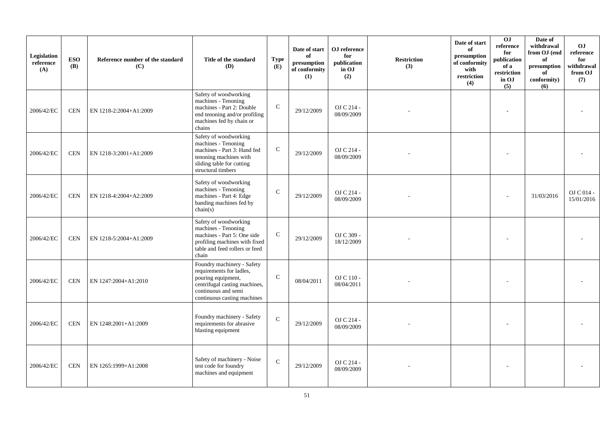| Legislation<br>reference<br>(A) | <b>ESO</b><br><b>(B)</b> | Reference number of the standard<br>(C) | Title of the standard<br><b>(D)</b>                                                                                                                                 | <b>Type</b><br>(E) | Date of start<br>of<br>presumption<br>of conformity<br>(1) | OJ reference<br>for<br>publication<br>in OJ<br>(2) | <b>Restriction</b><br>(3) | Date of start<br>of<br>presumption<br>of conformity<br>with<br>restriction<br>(4) | OJ<br>reference<br>for<br>publication<br>of a<br>restriction<br>in OJ<br>(5) | Date of<br>withdrawal<br>from OJ (end<br>of<br>presumption<br>of<br>conformity)<br>(6) | <b>OJ</b><br>reference<br>for<br>withdrawal<br>from OJ<br>(7) |
|---------------------------------|--------------------------|-----------------------------------------|---------------------------------------------------------------------------------------------------------------------------------------------------------------------|--------------------|------------------------------------------------------------|----------------------------------------------------|---------------------------|-----------------------------------------------------------------------------------|------------------------------------------------------------------------------|----------------------------------------------------------------------------------------|---------------------------------------------------------------|
| 2006/42/EC                      | <b>CEN</b>               | EN 1218-2:2004+A1:2009                  | Safety of woodworking<br>machines - Tenoning<br>machines - Part 2: Double<br>end tenoning and/or profiling<br>machines fed by chain or<br>chains                    | $\mathsf{C}$       | 29/12/2009                                                 | OJ C 214 -<br>08/09/2009                           |                           |                                                                                   |                                                                              |                                                                                        |                                                               |
| 2006/42/EC                      | <b>CEN</b>               | EN 1218-3:2001+A1:2009                  | Safety of woodworking<br>machines - Tenoning<br>machines - Part 3: Hand fed<br>tenoning machines with<br>sliding table for cutting<br>structural timbers            | $\mathsf{C}$       | 29/12/2009                                                 | OJ C 214 -<br>08/09/2009                           |                           |                                                                                   |                                                                              |                                                                                        |                                                               |
| 2006/42/EC                      | <b>CEN</b>               | EN 1218-4:2004+A2:2009                  | Safety of woodworking<br>machines - Tenoning<br>machines - Part 4: Edge<br>banding machines fed by<br>chain(s)                                                      | $\mathbf C$        | 29/12/2009                                                 | OJ C 214 -<br>08/09/2009                           |                           |                                                                                   |                                                                              | 31/03/2016                                                                             | O <sub>J</sub> C <sub>014</sub><br>15/01/2016                 |
| 2006/42/EC                      | <b>CEN</b>               | EN 1218-5:2004+A1:2009                  | Safety of woodworking<br>machines - Tenoning<br>machines - Part 5: One side<br>profiling machines with fixed<br>table and feed rollers or feed<br>chain             | $\mathsf{C}$       | 29/12/2009                                                 | OJ C 309 -<br>18/12/2009                           |                           |                                                                                   |                                                                              |                                                                                        |                                                               |
| 2006/42/EC                      | <b>CEN</b>               | EN 1247:2004+A1:2010                    | Foundry machinery - Safety<br>requirements for ladles,<br>pouring equipment,<br>centrifugal casting machines,<br>continuous and semi<br>continuous casting machines | $\mathbf C$        | 08/04/2011                                                 | OJ C 110 -<br>08/04/2011                           |                           |                                                                                   |                                                                              |                                                                                        |                                                               |
| 2006/42/EC                      | <b>CEN</b>               | EN 1248:2001+A1:2009                    | Foundry machinery - Safety<br>requirements for abrasive<br>blasting equipment                                                                                       | $\mathcal{C}$      | 29/12/2009                                                 | OJ C 214 -<br>08/09/2009                           |                           |                                                                                   |                                                                              |                                                                                        |                                                               |
| 2006/42/EC                      | <b>CEN</b>               | EN 1265:1999+A1:2008                    | Safety of machinery - Noise<br>test code for foundry<br>machines and equipment                                                                                      | $\mathcal{C}$      | 29/12/2009                                                 | OJ C 214 -<br>08/09/2009                           |                           |                                                                                   |                                                                              |                                                                                        |                                                               |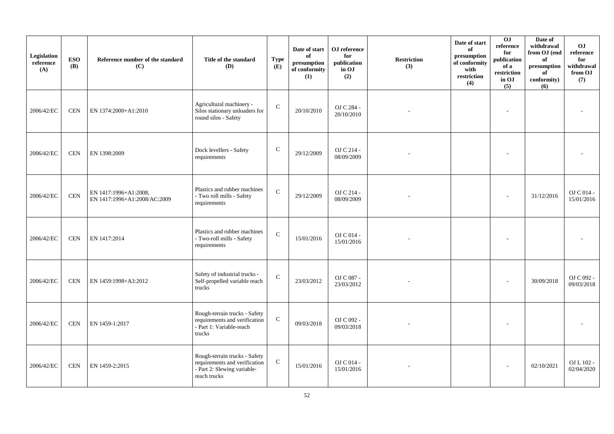| Legislation<br>reference<br>(A) | <b>ESO</b><br>(B) | Reference number of the standard<br>(C)               | Title of the standard<br>(D)                                                                                  | <b>Type</b><br>(E) | Date of start<br>of<br>presumption<br>of conformity<br>(1) | OJ reference<br>for<br>publication<br>in OJ<br>(2) | <b>Restriction</b><br>(3) | Date of start<br>of<br>presumption<br>of conformity<br>with<br>restriction<br>(4) | 0J<br>reference<br>for<br>publication<br>of a<br>restriction<br>in OJ<br>(5) | Date of<br>withdrawal<br>from OJ (end<br>of<br>presumption<br>of<br>conformity)<br>(6) | O <sub>J</sub><br>reference<br>for<br>withdrawal<br>from OJ<br>(7) |
|---------------------------------|-------------------|-------------------------------------------------------|---------------------------------------------------------------------------------------------------------------|--------------------|------------------------------------------------------------|----------------------------------------------------|---------------------------|-----------------------------------------------------------------------------------|------------------------------------------------------------------------------|----------------------------------------------------------------------------------------|--------------------------------------------------------------------|
| 2006/42/EC                      | <b>CEN</b>        | EN 1374:2000+A1:2010                                  | Agricultural machinery -<br>Silos stationary unloaders for<br>round silos - Safety                            | $\mathbf C$        | 20/10/2010                                                 | OJ C 284 -<br>20/10/2010                           |                           |                                                                                   | $\overline{\phantom{a}}$                                                     |                                                                                        |                                                                    |
| 2006/42/EC                      | <b>CEN</b>        | EN 1398:2009                                          | Dock levellers - Safety<br>requirements                                                                       | $\mathsf{C}$       | 29/12/2009                                                 | OJ C 214 -<br>08/09/2009                           |                           |                                                                                   |                                                                              |                                                                                        |                                                                    |
| 2006/42/EC                      | $\mbox{CEN}$      | EN 1417:1996+A1:2008,<br>EN 1417:1996+A1:2008/AC:2009 | Plastics and rubber machines<br>- Two roll mills - Safety<br>requirements                                     | $\mathbf{C}$       | 29/12/2009                                                 | OJ C 214 -<br>08/09/2009                           |                           |                                                                                   | $\overline{a}$                                                               | 31/12/2016                                                                             | OJ C 014 -<br>15/01/2016                                           |
| 2006/42/EC                      | <b>CEN</b>        | EN 1417:2014                                          | Plastics and rubber machines<br>- Two-roll mills - Safety<br>requirements                                     | $\mathbf C$        | 15/01/2016                                                 | OJ C 014 -<br>15/01/2016                           |                           |                                                                                   |                                                                              |                                                                                        |                                                                    |
| 2006/42/EC                      | <b>CEN</b>        | EN 1459:1998+A3:2012                                  | Safety of industrial trucks -<br>Self-propelled variable reach<br>trucks                                      | $\mathbf C$        | 23/03/2012                                                 | OJ C 087 -<br>23/03/2012                           |                           |                                                                                   |                                                                              | 30/09/2018                                                                             | OJ C 092 -<br>09/03/2018                                           |
| 2006/42/EC                      | <b>CEN</b>        | EN 1459-1:2017                                        | Rough-terrain trucks - Safety<br>requirements and verification<br>- Part 1: Variable-reach<br>trucks          | ${\bf C}$          | 09/03/2018                                                 | OJ C 092 -<br>09/03/2018                           |                           |                                                                                   |                                                                              |                                                                                        |                                                                    |
| 2006/42/EC                      | <b>CEN</b>        | EN 1459-2:2015                                        | Rough-terrain trucks - Safety<br>requirements and verification<br>- Part 2: Slewing variable-<br>reach trucks | ${\bf C}$          | 15/01/2016                                                 | OJ C 014 -<br>15/01/2016                           |                           |                                                                                   |                                                                              | 02/10/2021                                                                             | OJ L 102 -<br>02/04/2020                                           |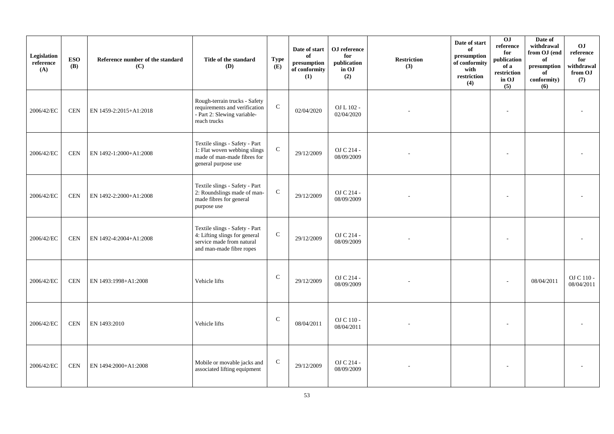| Legislation<br>reference<br>(A) | <b>ESO</b><br><b>(B)</b> | Reference number of the standard<br>(C) | Title of the standard<br>(D)                                                                                             | <b>Type</b><br>(E) | Date of start<br>of<br>presumption<br>of conformity<br>(1) | OJ reference<br>for<br>publication<br>in OJ<br>(2) | <b>Restriction</b><br>(3) | Date of start<br>of<br>presumption<br>of conformity<br>with<br>restriction<br>(4) | 0J<br>reference<br>for<br>publication<br>of a<br>restriction<br>in OJ<br>(5) | Date of<br>withdrawal<br>from OJ (end<br>of<br>presumption<br>of<br>conformity)<br>(6) | O <sub>J</sub><br>reference<br>for<br>withdrawal<br>from OJ<br>(7) |
|---------------------------------|--------------------------|-----------------------------------------|--------------------------------------------------------------------------------------------------------------------------|--------------------|------------------------------------------------------------|----------------------------------------------------|---------------------------|-----------------------------------------------------------------------------------|------------------------------------------------------------------------------|----------------------------------------------------------------------------------------|--------------------------------------------------------------------|
| 2006/42/EC                      | <b>CEN</b>               | EN 1459-2:2015+A1:2018                  | Rough-terrain trucks - Safety<br>requirements and verification<br>- Part 2: Slewing variable-<br>reach trucks            | ${\bf C}$          | 02/04/2020                                                 | OJ L 102 -<br>02/04/2020                           |                           |                                                                                   |                                                                              |                                                                                        |                                                                    |
| 2006/42/EC                      | $\mbox{CEN}$             | EN 1492-1:2000+A1:2008                  | Textile slings - Safety - Part<br>1: Flat woven webbing slings<br>made of man-made fibres for<br>general purpose use     | ${\bf C}$          | 29/12/2009                                                 | OJ C 214 -<br>08/09/2009                           |                           |                                                                                   |                                                                              |                                                                                        |                                                                    |
| 2006/42/EC                      | <b>CEN</b>               | EN 1492-2:2000+A1:2008                  | Textile slings - Safety - Part<br>2: Roundslings made of man-<br>made fibres for general<br>purpose use                  | ${\bf C}$          | 29/12/2009                                                 | OJ C 214 -<br>08/09/2009                           |                           |                                                                                   |                                                                              |                                                                                        |                                                                    |
| 2006/42/EC                      | <b>CEN</b>               | EN 1492-4:2004+A1:2008                  | Textile slings - Safety - Part<br>4: Lifting slings for general<br>service made from natural<br>and man-made fibre ropes | $\mathsf{C}$       | 29/12/2009                                                 | OJ C 214 -<br>08/09/2009                           |                           |                                                                                   |                                                                              |                                                                                        |                                                                    |
| 2006/42/EC                      | <b>CEN</b>               | EN 1493:1998+A1:2008                    | Vehicle lifts                                                                                                            | $\mathbf C$        | 29/12/2009                                                 | OJ C 214 -<br>08/09/2009                           |                           |                                                                                   |                                                                              | 08/04/2011                                                                             | OJ C 110 -<br>08/04/2011                                           |
| 2006/42/EC                      | <b>CEN</b>               | EN 1493:2010                            | Vehicle lifts                                                                                                            | $\mathbf C$        | 08/04/2011                                                 | OJ C 110 -<br>08/04/2011                           |                           |                                                                                   |                                                                              |                                                                                        |                                                                    |
| 2006/42/EC                      | <b>CEN</b>               | EN 1494:2000+A1:2008                    | Mobile or movable jacks and<br>associated lifting equipment                                                              | $\mathbf C$        | 29/12/2009                                                 | OJ C 214 -<br>08/09/2009                           |                           |                                                                                   |                                                                              |                                                                                        |                                                                    |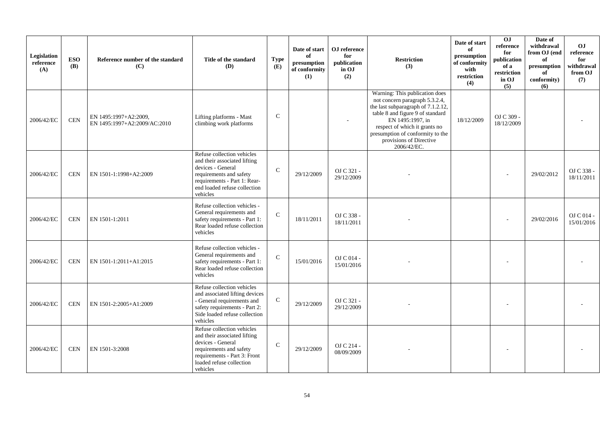| Legislation<br>reference<br>(A) | <b>ESO</b><br><b>(B)</b> | Reference number of the standard<br>(C)               | Title of the standard<br>(D)                                                                                                                                                           | <b>Type</b><br>(E) | Date of start<br>of<br>presumption<br>of conformity<br>(1) | OJ reference<br>for<br>publication<br>in OJ<br>(2) | <b>Restriction</b><br>(3)                                                                                                                                                                                                                                                     | Date of start<br>of<br>presumption<br>of conformity<br>with<br>restriction<br>(4) | OJ<br>reference<br>for<br>publication<br>of a<br>restriction<br>in OJ<br>(5) | Date of<br>withdrawal<br>from OJ (end<br>of<br>presumption<br>of<br>conformity)<br>(6) | O <sub>J</sub><br>reference<br>for<br>withdrawal<br>from OJ<br>(7) |
|---------------------------------|--------------------------|-------------------------------------------------------|----------------------------------------------------------------------------------------------------------------------------------------------------------------------------------------|--------------------|------------------------------------------------------------|----------------------------------------------------|-------------------------------------------------------------------------------------------------------------------------------------------------------------------------------------------------------------------------------------------------------------------------------|-----------------------------------------------------------------------------------|------------------------------------------------------------------------------|----------------------------------------------------------------------------------------|--------------------------------------------------------------------|
| 2006/42/EC                      | <b>CEN</b>               | EN 1495:1997+A2:2009,<br>EN 1495:1997+A2:2009/AC:2010 | Lifting platforms - Mast<br>climbing work platforms                                                                                                                                    | $\mathcal{C}$      |                                                            |                                                    | Warning: This publication does<br>not concern paragraph 5.3.2.4,<br>the last subparagraph of 7.1.2.12,<br>table 8 and figure 9 of standard<br>EN 1495:1997, in<br>respect of which it grants no<br>presumption of conformity to the<br>provisions of Directive<br>2006/42/EC. | 18/12/2009                                                                        | OJ C 309 -<br>18/12/2009                                                     |                                                                                        |                                                                    |
| 2006/42/EC                      | <b>CEN</b>               | EN 1501-1:1998+A2:2009                                | Refuse collection vehicles<br>and their associated lifting<br>devices - General<br>requirements and safety<br>requirements - Part 1: Rear-<br>end loaded refuse collection<br>vehicles | $\mathbf C$        | 29/12/2009                                                 | OJ C 321 -<br>29/12/2009                           |                                                                                                                                                                                                                                                                               |                                                                                   |                                                                              | 29/02/2012                                                                             | OJ C 338 -<br>18/11/2011                                           |
| 2006/42/EC                      | <b>CEN</b>               | EN 1501-1:2011                                        | Refuse collection vehicles -<br>General requirements and<br>safety requirements - Part 1:<br>Rear loaded refuse collection<br>vehicles                                                 | $\mathbf C$        | 18/11/2011                                                 | OJ C 338 -<br>18/11/2011                           |                                                                                                                                                                                                                                                                               |                                                                                   |                                                                              | 29/02/2016                                                                             | $OJ$ C 014 -<br>15/01/2016                                         |
| 2006/42/EC                      | <b>CEN</b>               | EN 1501-1:2011+A1:2015                                | Refuse collection vehicles -<br>General requirements and<br>safety requirements - Part 1:<br>Rear loaded refuse collection<br>vehicles                                                 | $\mathcal{C}$      | 15/01/2016                                                 | $OJ C 014 -$<br>15/01/2016                         |                                                                                                                                                                                                                                                                               |                                                                                   |                                                                              |                                                                                        |                                                                    |
| 2006/42/EC                      | <b>CEN</b>               | EN 1501-2:2005+A1:2009                                | Refuse collection vehicles<br>and associated lifting devices<br>- General requirements and<br>safety requirements - Part 2:<br>Side loaded refuse collection<br>vehicles               | $\mathbf C$        | 29/12/2009                                                 | OJ C 321 -<br>29/12/2009                           |                                                                                                                                                                                                                                                                               |                                                                                   |                                                                              |                                                                                        |                                                                    |
| 2006/42/EC                      | <b>CEN</b>               | EN 1501-3:2008                                        | Refuse collection vehicles<br>and their associated lifting<br>devices - General<br>requirements and safety<br>requirements - Part 3: Front<br>loaded refuse collection<br>vehicles     | $\mathcal{C}$      | 29/12/2009                                                 | OJ C 214 -<br>08/09/2009                           |                                                                                                                                                                                                                                                                               |                                                                                   |                                                                              |                                                                                        |                                                                    |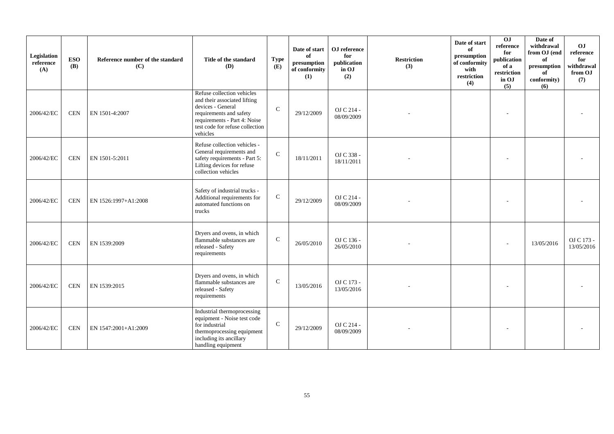| Legislation<br>reference<br>(A) | <b>ESO</b><br><b>(B)</b> | Reference number of the standard<br>(C) | Title of the standard<br><b>(D)</b>                                                                                                                                                       | <b>Type</b><br>(E) | Date of start<br>of<br>presumption<br>of conformity<br>(1) | OJ reference<br>for<br>publication<br>in OJ<br>(2) | <b>Restriction</b><br>(3) | Date of start<br>of<br>presumption<br>of conformity<br>with<br>restriction<br>(4) | 0J<br>reference<br>for<br>publication<br>of a<br>restriction<br>in OJ<br>(5) | Date of<br>withdrawal<br>from OJ (end<br>of<br>$\,$ presumption<br>of<br>conformity)<br>(6) | OJ<br>reference<br>for<br>withdrawal<br>from OJ<br>(7) |
|---------------------------------|--------------------------|-----------------------------------------|-------------------------------------------------------------------------------------------------------------------------------------------------------------------------------------------|--------------------|------------------------------------------------------------|----------------------------------------------------|---------------------------|-----------------------------------------------------------------------------------|------------------------------------------------------------------------------|---------------------------------------------------------------------------------------------|--------------------------------------------------------|
| 2006/42/EC                      | <b>CEN</b>               | EN 1501-4:2007                          | Refuse collection vehicles<br>and their associated lifting<br>devices - General<br>requirements and safety<br>requirements - Part 4: Noise<br>test code for refuse collection<br>vehicles | $\mathbf C$        | 29/12/2009                                                 | OJ C 214 -<br>08/09/2009                           |                           |                                                                                   |                                                                              |                                                                                             |                                                        |
| 2006/42/EC                      | <b>CEN</b>               | EN 1501-5:2011                          | Refuse collection vehicles -<br>General requirements and<br>safety requirements - Part 5:<br>Lifting devices for refuse<br>collection vehicles                                            | $\mathcal{C}$      | 18/11/2011                                                 | OJ C 338 -<br>18/11/2011                           |                           |                                                                                   |                                                                              |                                                                                             |                                                        |
| 2006/42/EC                      | <b>CEN</b>               | EN 1526:1997+A1:2008                    | Safety of industrial trucks -<br>Additional requirements for<br>automated functions on<br>trucks                                                                                          | $\mathsf{C}$       | 29/12/2009                                                 | OJ C 214 -<br>08/09/2009                           |                           |                                                                                   |                                                                              |                                                                                             |                                                        |
| 2006/42/EC                      | <b>CEN</b>               | EN 1539:2009                            | Dryers and ovens, in which<br>flammable substances are<br>released - Safety<br>requirements                                                                                               | $\mathbf C$        | 26/05/2010                                                 | OJ C 136 -<br>26/05/2010                           |                           |                                                                                   |                                                                              | 13/05/2016                                                                                  | OJ C 173 -<br>13/05/2016                               |
| 2006/42/EC                      | <b>CEN</b>               | EN 1539:2015                            | Dryers and ovens, in which<br>flammable substances are<br>released - Safety<br>requirements                                                                                               | $\mathbf C$        | 13/05/2016                                                 | OJ C 173 -<br>13/05/2016                           |                           |                                                                                   |                                                                              |                                                                                             |                                                        |
| 2006/42/EC                      | <b>CEN</b>               | EN 1547:2001+A1:2009                    | Industrial thermoprocessing<br>equipment - Noise test code<br>for industrial<br>thermoprocessing equipment<br>including its ancillary<br>handling equipment                               | $\mathbf{C}$       | 29/12/2009                                                 | OJ C 214 -<br>08/09/2009                           |                           |                                                                                   |                                                                              |                                                                                             |                                                        |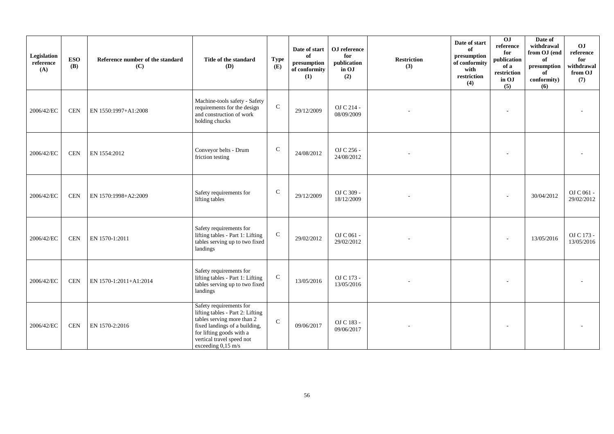| Legislation<br>$\rm reference$<br>(A) | <b>ESO</b><br><b>(B)</b> | Reference number of the standard<br>(C) | Title of the standard<br><b>(D)</b>                                                                                                                                                                       | <b>Type</b><br>(E) | Date of start<br>of<br>presumption<br>of conformity<br>(1) | OJ reference<br>for<br>publication<br>in OJ<br>(2) | <b>Restriction</b><br>(3) | Date of start<br>of<br>presumption<br>of conformity<br>with<br>restriction<br>(4) | 0J<br>reference<br>for<br>publication<br>of a<br>restriction<br>in OJ<br>(5) | Date of<br>withdrawal<br>from OJ (end<br>of<br>presumption<br>of<br>conformity)<br>(6) | OJ<br>reference<br>for<br>withdrawal<br>from OJ<br>(7) |
|---------------------------------------|--------------------------|-----------------------------------------|-----------------------------------------------------------------------------------------------------------------------------------------------------------------------------------------------------------|--------------------|------------------------------------------------------------|----------------------------------------------------|---------------------------|-----------------------------------------------------------------------------------|------------------------------------------------------------------------------|----------------------------------------------------------------------------------------|--------------------------------------------------------|
| 2006/42/EC                            | <b>CEN</b>               | EN 1550:1997+A1:2008                    | Machine-tools safety - Safety<br>requirements for the design<br>and construction of work<br>holding chucks                                                                                                | $\mathsf{C}$       | 29/12/2009                                                 | OJ C 214 -<br>08/09/2009                           |                           |                                                                                   |                                                                              |                                                                                        |                                                        |
| 2006/42/EC                            | <b>CEN</b>               | EN 1554:2012                            | Conveyor belts - Drum<br>friction testing                                                                                                                                                                 | $\mathbf C$        | 24/08/2012                                                 | OJ C 256 -<br>24/08/2012                           |                           |                                                                                   |                                                                              |                                                                                        |                                                        |
| 2006/42/EC                            | <b>CEN</b>               | EN 1570:1998+A2:2009                    | Safety requirements for<br>lifting tables                                                                                                                                                                 | $\mathbf C$        | 29/12/2009                                                 | OJ C 309 -<br>18/12/2009                           |                           |                                                                                   |                                                                              | 30/04/2012                                                                             | OJ C 061 -<br>29/02/2012                               |
| 2006/42/EC                            | <b>CEN</b>               | EN 1570-1:2011                          | Safety requirements for<br>lifting tables - Part 1: Lifting<br>tables serving up to two fixed<br>landings                                                                                                 | ${\bf C}$          | 29/02/2012                                                 | OJ C 061 -<br>29/02/2012                           |                           |                                                                                   |                                                                              | 13/05/2016                                                                             | OJ C 173 -<br>13/05/2016                               |
| 2006/42/EC                            | $\mbox{CEN}$             | EN 1570-1:2011+A1:2014                  | Safety requirements for<br>lifting tables - Part 1: Lifting<br>tables serving up to two fixed<br>landings                                                                                                 | $\mathbf C$        | 13/05/2016                                                 | OJ C 173 -<br>13/05/2016                           |                           |                                                                                   |                                                                              |                                                                                        |                                                        |
| 2006/42/EC                            | $\mbox{CEN}$             | EN 1570-2:2016                          | Safety requirements for<br>lifting tables - Part 2: Lifting<br>tables serving more than 2<br>fixed landings of a building,<br>for lifting goods with a<br>vertical travel speed not<br>exceeding 0,15 m/s | $\mathsf C$        | 09/06/2017                                                 | OJ C 183 -<br>09/06/2017                           |                           |                                                                                   |                                                                              |                                                                                        |                                                        |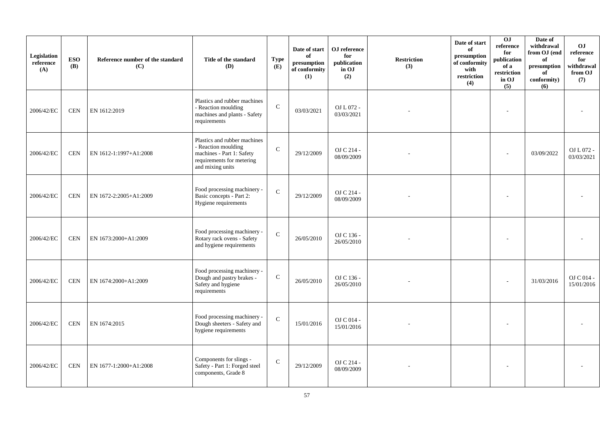| Legislation<br>reference<br>(A) | <b>ESO</b><br><b>(B)</b> | Reference number of the standard<br>(C) | Title of the standard<br>(D)                                                                                                      | <b>Type</b><br>(E) | Date of start<br>of<br>$\bf{presumption}$<br>of conformity<br>(1) | OJ reference<br>for<br>publication<br>in OJ<br>(2) | <b>Restriction</b><br>(3) | Date of start<br>of<br>presumption<br>of conformity<br>with<br>restriction<br>(4) | 0J<br>$\rm reference$<br>for<br>publication<br>of a<br>restriction<br>in OJ<br>(5) | Date of<br>withdrawal<br>from OJ (end<br>of<br>presumption<br>of<br>conformity)<br>(6) | O <sub>J</sub><br>reference<br>for<br>withdrawal<br>from OJ<br>(7) |
|---------------------------------|--------------------------|-----------------------------------------|-----------------------------------------------------------------------------------------------------------------------------------|--------------------|-------------------------------------------------------------------|----------------------------------------------------|---------------------------|-----------------------------------------------------------------------------------|------------------------------------------------------------------------------------|----------------------------------------------------------------------------------------|--------------------------------------------------------------------|
| 2006/42/EC                      | <b>CEN</b>               | EN 1612:2019                            | Plastics and rubber machines<br>- Reaction moulding<br>machines and plants - Safety<br>requirements                               | $\mathbf C$        | 03/03/2021                                                        | OJ L 072 -<br>03/03/2021                           |                           |                                                                                   |                                                                                    |                                                                                        |                                                                    |
| 2006/42/EC                      | <b>CEN</b>               | EN 1612-1:1997+A1:2008                  | Plastics and rubber machines<br>- Reaction moulding<br>machines - Part 1: Safety<br>requirements for metering<br>and mixing units | $\mathbf C$        | 29/12/2009                                                        | OJ C 214 -<br>08/09/2009                           |                           |                                                                                   |                                                                                    | 03/09/2022                                                                             | OJ L 072 -<br>03/03/2021                                           |
| 2006/42/EC                      | <b>CEN</b>               | EN 1672-2:2005+A1:2009                  | Food processing machinery -<br>Basic concepts - Part 2:<br>Hygiene requirements                                                   | $\mathbf{C}$       | 29/12/2009                                                        | OJ C 214 -<br>08/09/2009                           |                           |                                                                                   |                                                                                    |                                                                                        |                                                                    |
| 2006/42/EC                      | <b>CEN</b>               | EN 1673:2000+A1:2009                    | Food processing machinery -<br>Rotary rack ovens - Safety<br>and hygiene requirements                                             | $\mathbf C$        | 26/05/2010                                                        | OJ C 136 -<br>26/05/2010                           |                           |                                                                                   |                                                                                    |                                                                                        |                                                                    |
| 2006/42/EC                      | <b>CEN</b>               | EN 1674:2000+A1:2009                    | Food processing machinery -<br>Dough and pastry brakes -<br>Safety and hygiene<br>requirements                                    | $\mathbf C$        | 26/05/2010                                                        | OJ C 136 -<br>26/05/2010                           |                           |                                                                                   |                                                                                    | 31/03/2016                                                                             | OJ C 014 -<br>15/01/2016                                           |
| 2006/42/EC                      | <b>CEN</b>               | EN 1674:2015                            | Food processing machinery -<br>Dough sheeters - Safety and<br>hygiene requirements                                                | $\mathbf C$        | 15/01/2016                                                        | OJ C 014 -<br>15/01/2016                           |                           |                                                                                   |                                                                                    |                                                                                        |                                                                    |
| 2006/42/EC                      | <b>CEN</b>               | EN 1677-1:2000+A1:2008                  | Components for slings -<br>Safety - Part 1: Forged steel<br>components, Grade 8                                                   | $\mathbf C$        | 29/12/2009                                                        | OJ C 214 -<br>08/09/2009                           |                           |                                                                                   |                                                                                    |                                                                                        |                                                                    |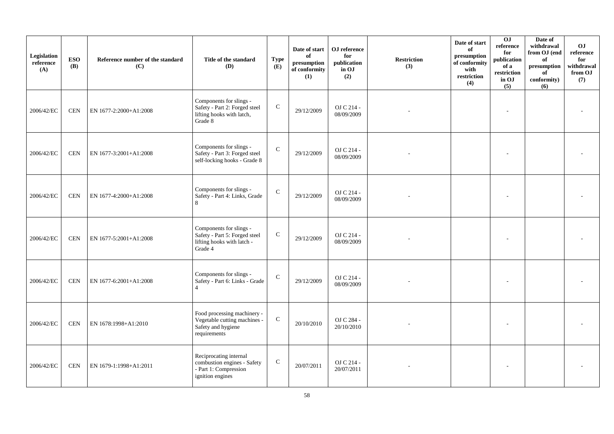| Legislation<br>reference<br>(A) | <b>ESO</b><br><b>(B)</b> | Reference number of the standard<br>(C) | Title of the standard<br>(D)                                                                       | <b>Type</b><br>(E) | Date of start<br>of<br>presumption<br>of conformity<br>(1) | OJ reference<br>for<br>publication<br>in OJ<br>(2) | <b>Restriction</b><br>(3) | Date of start<br>of<br>presumption<br>of conformity<br>with<br>restriction<br>(4) | 0J<br>reference<br>for<br>publication<br>of a<br>restriction<br>in OJ<br>(5) | Date of<br>withdrawal<br>from OJ (end<br>of<br>presumption<br>of<br>conformity)<br>(6) | O <sub>J</sub><br>reference<br>for<br>withdrawal<br>from OJ<br>(7) |
|---------------------------------|--------------------------|-----------------------------------------|----------------------------------------------------------------------------------------------------|--------------------|------------------------------------------------------------|----------------------------------------------------|---------------------------|-----------------------------------------------------------------------------------|------------------------------------------------------------------------------|----------------------------------------------------------------------------------------|--------------------------------------------------------------------|
| 2006/42/EC                      | <b>CEN</b>               | EN 1677-2:2000+A1:2008                  | Components for slings -<br>Safety - Part 2: Forged steel<br>lifting hooks with latch,<br>Grade 8   | ${\bf C}$          | 29/12/2009                                                 | OJ C 214 -<br>08/09/2009                           |                           |                                                                                   |                                                                              |                                                                                        |                                                                    |
| 2006/42/EC                      | <b>CEN</b>               | EN 1677-3:2001+A1:2008                  | Components for slings -<br>Safety - Part 3: Forged steel<br>self-locking hooks - Grade 8           | $\mathbf{C}$       | 29/12/2009                                                 | OJ C 214 -<br>08/09/2009                           |                           |                                                                                   |                                                                              |                                                                                        |                                                                    |
| 2006/42/EC                      | <b>CEN</b>               | EN 1677-4:2000+A1:2008                  | Components for slings -<br>Safety - Part 4: Links, Grade<br>8                                      | $\mathsf{C}$       | 29/12/2009                                                 | OJ C 214 -<br>08/09/2009                           |                           |                                                                                   |                                                                              |                                                                                        |                                                                    |
| 2006/42/EC                      | <b>CEN</b>               | EN 1677-5:2001+A1:2008                  | Components for slings -<br>Safety - Part 5: Forged steel<br>lifting hooks with latch -<br>Grade 4  | ${\bf C}$          | 29/12/2009                                                 | OJ C 214 -<br>08/09/2009                           |                           |                                                                                   |                                                                              |                                                                                        |                                                                    |
| 2006/42/EC                      | <b>CEN</b>               | EN 1677-6:2001+A1:2008                  | Components for slings -<br>Safety - Part 6: Links - Grade<br>$\Delta$                              | $\mathsf{C}$       | 29/12/2009                                                 | OJ C 214 -<br>08/09/2009                           |                           |                                                                                   |                                                                              |                                                                                        |                                                                    |
| 2006/42/EC                      | <b>CEN</b>               | EN 1678:1998+A1:2010                    | Food processing machinery -<br>Vegetable cutting machines -<br>Safety and hygiene<br>requirements  | ${\bf C}$          | 20/10/2010                                                 | OJ C 284 -<br>20/10/2010                           |                           |                                                                                   |                                                                              |                                                                                        |                                                                    |
| 2006/42/EC                      | <b>CEN</b>               | EN 1679-1:1998+A1:2011                  | Reciprocating internal<br>combustion engines - Safety<br>- Part 1: Compression<br>ignition engines | $\mathbf C$        | 20/07/2011                                                 | OJ C 214 -<br>20/07/2011                           |                           |                                                                                   |                                                                              |                                                                                        |                                                                    |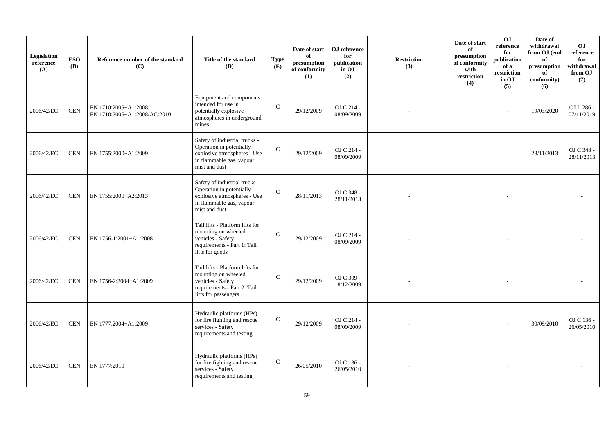| Legislation<br>reference<br>(A) | <b>ESO</b><br><b>(B)</b> | Reference number of the standard<br>(C)               | Title of the standard<br>(D)                                                                                                           | <b>Type</b><br>(E) | Date of start<br>of<br>presumption<br>of conformity<br>(1) | OJ reference<br>for<br>publication<br>in OJ<br>(2) | <b>Restriction</b><br>(3) | Date of start<br>of<br>presumption<br>of conformity<br>with<br>restriction<br>(4) | 0J<br>reference<br>for<br>publication<br>of a<br>restriction<br>in OJ<br>(5) | Date of<br>withdrawal<br>from OJ (end<br>of<br>presumption<br>of<br>conformity)<br>(6) | O <sub>J</sub><br>reference<br>for<br>withdrawal<br>from OJ<br>(7) |
|---------------------------------|--------------------------|-------------------------------------------------------|----------------------------------------------------------------------------------------------------------------------------------------|--------------------|------------------------------------------------------------|----------------------------------------------------|---------------------------|-----------------------------------------------------------------------------------|------------------------------------------------------------------------------|----------------------------------------------------------------------------------------|--------------------------------------------------------------------|
| 2006/42/EC                      | <b>CEN</b>               | EN 1710:2005+A1:2008,<br>EN 1710:2005+A1:2008/AC:2010 | Equipment and components<br>intended for use in<br>potentially explosive<br>atmospheres in underground<br>mines                        | $\mathbf C$        | 29/12/2009                                                 | OJ C 214 -<br>08/09/2009                           |                           |                                                                                   |                                                                              | 19/03/2020                                                                             | OJ L 286 -<br>07/11/2019                                           |
| 2006/42/EC                      | <b>CEN</b>               | EN 1755:2000+A1:2009                                  | Safety of industrial trucks -<br>Operation in potentially<br>explosive atmospheres - Use<br>in flammable gas, vapour,<br>mist and dust | $\mathbf C$        | 29/12/2009                                                 | OJ C 214 -<br>08/09/2009                           |                           |                                                                                   |                                                                              | 28/11/2013                                                                             | OJ C 348 -<br>28/11/2013                                           |
| 2006/42/EC                      | <b>CEN</b>               | EN 1755:2000+A2:2013                                  | Safety of industrial trucks -<br>Operation in potentially<br>explosive atmospheres - Use<br>in flammable gas, vapour,<br>mist and dust | $\mathcal{C}$      | 28/11/2013                                                 | OJ C 348 -<br>28/11/2013                           |                           |                                                                                   |                                                                              |                                                                                        |                                                                    |
| 2006/42/EC                      | <b>CEN</b>               | EN 1756-1:2001+A1:2008                                | Tail lifts - Platform lifts for<br>mounting on wheeled<br>vehicles - Safety<br>requirements - Part 1: Tail<br>lifts for goods          | $\mathcal{C}$      | 29/12/2009                                                 | OJ C 214 -<br>08/09/2009                           |                           |                                                                                   |                                                                              |                                                                                        |                                                                    |
| 2006/42/EC                      | <b>CEN</b>               | EN 1756-2:2004+A1:2009                                | Tail lifts - Platform lifts for<br>mounting on wheeled<br>vehicles - Safety<br>requirements - Part 2: Tail<br>lifts for passengers     | $\mathcal{C}$      | 29/12/2009                                                 | OJ C 309 -<br>18/12/2009                           |                           |                                                                                   |                                                                              |                                                                                        |                                                                    |
| 2006/42/EC                      | <b>CEN</b>               | EN 1777:2004+A1:2009                                  | Hydraulic platforms (HPs)<br>for fire fighting and rescue<br>services - Safety<br>requirements and testing                             | $\mathbf C$        | 29/12/2009                                                 | OJ C 214 -<br>08/09/2009                           |                           |                                                                                   |                                                                              | 30/09/2010                                                                             | OJ C 136 -<br>26/05/2010                                           |
| 2006/42/EC                      | <b>CEN</b>               | EN 1777:2010                                          | Hydraulic platforms (HPs)<br>for fire fighting and rescue<br>services - Safety<br>requirements and testing                             | $\mathsf{C}$       | 26/05/2010                                                 | OJ C 136 -<br>26/05/2010                           |                           |                                                                                   |                                                                              |                                                                                        |                                                                    |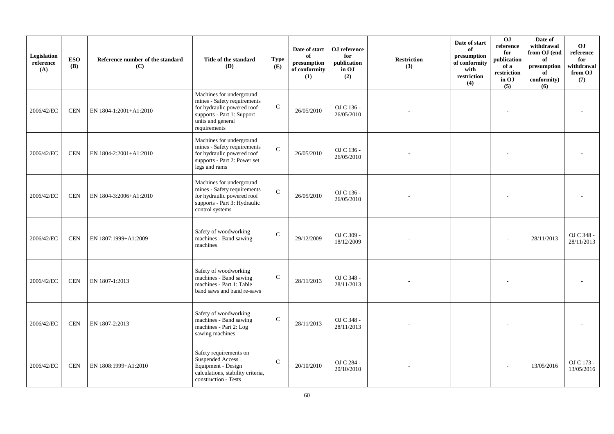| Legislation<br>reference<br>(A) | <b>ESO</b><br><b>(B)</b> | Reference number of the standard<br>(C) | Title of the standard<br><b>(D)</b>                                                                                                                      | <b>Type</b><br><b>(E)</b> | Date of start<br>of<br>presumption<br>of conformity<br>(1) | OJ reference<br>for<br>publication<br>in OJ<br>(2) | <b>Restriction</b><br>(3) | Date of start<br>of<br>presumption<br>of conformity<br>with<br>restriction<br>(4) | 0J<br>reference<br>for<br>publication<br>of a<br>restriction<br>in OJ<br>(5) | Date of<br>withdrawal<br>from OJ (end<br>of<br>presumption<br>of<br>conformity)<br>(6) | O <sub>J</sub><br>reference<br>for<br>withdrawal<br>from OJ<br>(7) |
|---------------------------------|--------------------------|-----------------------------------------|----------------------------------------------------------------------------------------------------------------------------------------------------------|---------------------------|------------------------------------------------------------|----------------------------------------------------|---------------------------|-----------------------------------------------------------------------------------|------------------------------------------------------------------------------|----------------------------------------------------------------------------------------|--------------------------------------------------------------------|
| 2006/42/EC                      | <b>CEN</b>               | EN 1804-1:2001+A1:2010                  | Machines for underground<br>mines - Safety requirements<br>for hydraulic powered roof<br>supports - Part 1: Support<br>units and general<br>requirements | $\mathsf{C}$              | 26/05/2010                                                 | OJ C 136 -<br>26/05/2010                           |                           |                                                                                   |                                                                              |                                                                                        |                                                                    |
| 2006/42/EC                      | <b>CEN</b>               | EN 1804-2:2001+A1:2010                  | Machines for underground<br>mines - Safety requirements<br>for hydraulic powered roof<br>supports - Part 2: Power set<br>legs and rams                   | $\mathcal{C}$             | 26/05/2010                                                 | OJ C 136 -<br>26/05/2010                           |                           |                                                                                   |                                                                              |                                                                                        |                                                                    |
| 2006/42/EC                      | <b>CEN</b>               | EN 1804-3:2006+A1:2010                  | Machines for underground<br>mines - Safety requirements<br>for hydraulic powered roof<br>supports - Part 3: Hydraulic<br>control systems                 | $\mathbf C$               | 26/05/2010                                                 | OJ C 136 -<br>26/05/2010                           |                           |                                                                                   |                                                                              |                                                                                        |                                                                    |
| 2006/42/EC                      | <b>CEN</b>               | EN 1807:1999+A1:2009                    | Safety of woodworking<br>machines - Band sawing<br>machines                                                                                              | $\mathbf C$               | 29/12/2009                                                 | OJ C 309 -<br>18/12/2009                           |                           |                                                                                   |                                                                              | 28/11/2013                                                                             | OJ C 348 -<br>28/11/2013                                           |
| 2006/42/EC                      | <b>CEN</b>               | EN 1807-1:2013                          | Safety of woodworking<br>machines - Band sawing<br>machines - Part 1: Table<br>band saws and band re-saws                                                | $\mathsf{C}$              | 28/11/2013                                                 | OJ C 348 -<br>28/11/2013                           |                           |                                                                                   |                                                                              |                                                                                        |                                                                    |
| 2006/42/EC                      | <b>CEN</b>               | EN 1807-2:2013                          | Safety of woodworking<br>machines - Band sawing<br>machines - Part 2: Log<br>sawing machines                                                             | $\mathsf{C}$              | 28/11/2013                                                 | OJ C 348 -<br>28/11/2013                           |                           |                                                                                   |                                                                              |                                                                                        |                                                                    |
| 2006/42/EC                      | <b>CEN</b>               | EN 1808:1999+A1:2010                    | Safety requirements on<br>Suspended Access<br>Equipment - Design<br>calculations, stability criteria,<br>construction - Tests                            | $\mathcal{C}$             | 20/10/2010                                                 | OJ C 284 -<br>20/10/2010                           |                           |                                                                                   |                                                                              | 13/05/2016                                                                             | OJ C 173 -<br>13/05/2016                                           |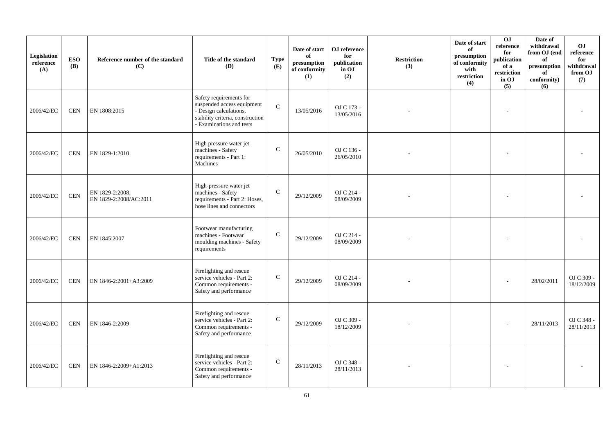| Legislation<br>reference<br>(A) | <b>ESO</b><br><b>(B)</b> | Reference number of the standard<br>(C)   | Title of the standard<br>(D)                                                                                                                    | <b>Type</b><br>(E) | Date of start<br>of<br>presumption<br>of conformity<br>(1) | OJ reference<br>for<br>publication<br>in OJ<br>(2) | <b>Restriction</b><br>(3) | Date of start<br>of<br>presumption<br>of conformity<br>with<br>restriction<br>(4) | 0J<br>reference<br>for<br>publication<br>of a<br>$\operatorname{restriction}$<br>in OJ<br>(5) | Date of<br>withdrawal<br>from OJ (end<br>of<br>presumption<br>of<br>conformity)<br>(6) | O <sub>J</sub><br>reference<br>for<br>withdrawal<br>from OJ<br>(7) |
|---------------------------------|--------------------------|-------------------------------------------|-------------------------------------------------------------------------------------------------------------------------------------------------|--------------------|------------------------------------------------------------|----------------------------------------------------|---------------------------|-----------------------------------------------------------------------------------|-----------------------------------------------------------------------------------------------|----------------------------------------------------------------------------------------|--------------------------------------------------------------------|
| 2006/42/EC                      | <b>CEN</b>               | EN 1808:2015                              | Safety requirements for<br>suspended access equipment<br>- Design calculations,<br>stability criteria, construction<br>- Examinations and tests | $\mathcal{C}$      | 13/05/2016                                                 | OJ C 173 -<br>13/05/2016                           |                           |                                                                                   |                                                                                               |                                                                                        |                                                                    |
| 2006/42/EC                      | <b>CEN</b>               | EN 1829-1:2010                            | High pressure water jet<br>machines - Safety<br>requirements - Part 1:<br>Machines                                                              | ${\bf C}$          | 26/05/2010                                                 | OJ C 136 -<br>26/05/2010                           |                           |                                                                                   |                                                                                               |                                                                                        |                                                                    |
| 2006/42/EC                      | <b>CEN</b>               | EN 1829-2:2008.<br>EN 1829-2:2008/AC:2011 | High-pressure water jet<br>machines - Safety<br>requirements - Part 2: Hoses,<br>hose lines and connectors                                      | $\mathbf C$        | 29/12/2009                                                 | OJ C 214 -<br>08/09/2009                           |                           |                                                                                   |                                                                                               |                                                                                        |                                                                    |
| 2006/42/EC                      | <b>CEN</b>               | EN 1845:2007                              | Footwear manufacturing<br>machines - Footwear<br>moulding machines - Safety<br>requirements                                                     | $\mathbf C$        | 29/12/2009                                                 | OJ C 214 -<br>08/09/2009                           |                           |                                                                                   |                                                                                               |                                                                                        |                                                                    |
| 2006/42/EC                      | <b>CEN</b>               | EN 1846-2:2001+A3:2009                    | Firefighting and rescue<br>service vehicles - Part 2:<br>Common requirements -<br>Safety and performance                                        | $\mathsf{C}$       | 29/12/2009                                                 | OJ C 214 -<br>08/09/2009                           |                           |                                                                                   |                                                                                               | 28/02/2011                                                                             | OJ C 309 -<br>18/12/2009                                           |
| 2006/42/EC                      | <b>CEN</b>               | EN 1846-2:2009                            | Firefighting and rescue<br>service vehicles - Part 2:<br>Common requirements -<br>Safety and performance                                        | $\mathbf C$        | 29/12/2009                                                 | OJ C 309 -<br>18/12/2009                           |                           |                                                                                   |                                                                                               | 28/11/2013                                                                             | OJ C 348 -<br>28/11/2013                                           |
| 2006/42/EC                      | <b>CEN</b>               | EN 1846-2:2009+A1:2013                    | Firefighting and rescue<br>service vehicles - Part 2:<br>Common requirements -<br>Safety and performance                                        | ${\bf C}$          | 28/11/2013                                                 | OJ C 348 -<br>28/11/2013                           |                           |                                                                                   |                                                                                               |                                                                                        |                                                                    |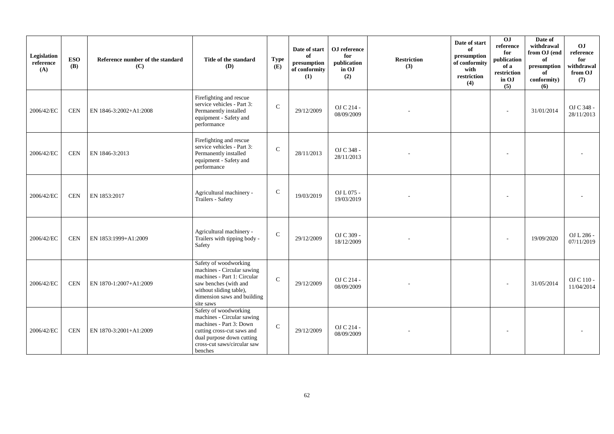| Legislation<br>reference<br>(A) | <b>ESO</b><br><b>(B)</b> | Reference number of the standard<br>(C) | Title of the standard<br>(D)                                                                                                                                                        | <b>Type</b><br>(E) | Date of start<br>of<br>presumption<br>of conformity<br>(1) | OJ reference<br>for<br>publication<br>in OJ<br>(2) | <b>Restriction</b><br>(3) | Date of start<br>of<br>presumption<br>of conformity<br>with<br>restriction<br>(4) | 0J<br>reference<br>for<br>publication<br>of a<br>restriction<br>in OJ<br>(5) | Date of<br>withdrawal<br>from OJ (end<br>of<br>presumption<br>of<br>conformity)<br>(6) | OJ<br>reference<br>for<br>withdrawal<br>from OJ<br>(7) |
|---------------------------------|--------------------------|-----------------------------------------|-------------------------------------------------------------------------------------------------------------------------------------------------------------------------------------|--------------------|------------------------------------------------------------|----------------------------------------------------|---------------------------|-----------------------------------------------------------------------------------|------------------------------------------------------------------------------|----------------------------------------------------------------------------------------|--------------------------------------------------------|
| 2006/42/EC                      | <b>CEN</b>               | EN 1846-3:2002+A1:2008                  | Firefighting and rescue<br>service vehicles - Part 3:<br>Permanently installed<br>equipment - Safety and<br>performance                                                             | $\mathcal{C}$      | 29/12/2009                                                 | OJ C 214 -<br>08/09/2009                           |                           |                                                                                   |                                                                              | 31/01/2014                                                                             | OJ C 348 -<br>28/11/2013                               |
| 2006/42/EC                      | <b>CEN</b>               | EN 1846-3:2013                          | Firefighting and rescue<br>service vehicles - Part 3:<br>Permanently installed<br>equipment - Safety and<br>performance                                                             | $\mathsf{C}$       | 28/11/2013                                                 | OJ C 348 -<br>28/11/2013                           |                           |                                                                                   |                                                                              |                                                                                        |                                                        |
| 2006/42/EC                      | <b>CEN</b>               | EN 1853:2017                            | Agricultural machinery -<br>Trailers - Safety                                                                                                                                       | ${\bf C}$          | 19/03/2019                                                 | OJ L 075 -<br>19/03/2019                           |                           |                                                                                   |                                                                              |                                                                                        |                                                        |
| 2006/42/EC                      | <b>CEN</b>               | EN 1853:1999+A1:2009                    | Agricultural machinery -<br>Trailers with tipping body -<br>Safety                                                                                                                  | $\mathbf C$        | 29/12/2009                                                 | OJ C 309 -<br>18/12/2009                           |                           |                                                                                   |                                                                              | 19/09/2020                                                                             | OJ L 286 -<br>07/11/2019                               |
| 2006/42/EC                      | <b>CEN</b>               | EN 1870-1:2007+A1:2009                  | Safety of woodworking<br>machines - Circular sawing<br>machines - Part 1: Circular<br>saw benches (with and<br>without sliding table),<br>dimension saws and building<br>site saws  | $\mathbf{C}$       | 29/12/2009                                                 | OJ C 214 -<br>08/09/2009                           |                           |                                                                                   |                                                                              | 31/05/2014                                                                             | OJ C 110 -<br>11/04/2014                               |
| 2006/42/EC                      | <b>CEN</b>               | EN 1870-3:2001+A1:2009                  | Safety of woodworking<br>machines - Circular sawing<br>machines - Part 3: Down<br>cutting cross-cut saws and<br>dual purpose down cutting<br>cross-cut saws/circular saw<br>benches | $\mathbf C$        | 29/12/2009                                                 | OJ C 214 -<br>08/09/2009                           |                           |                                                                                   |                                                                              |                                                                                        |                                                        |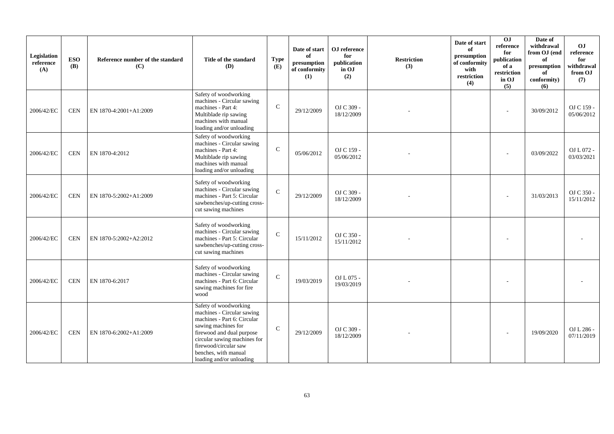| Legislation<br>reference<br>(A) | <b>ESO</b><br><b>(B)</b> | Reference number of the standard<br>(C) | Title of the standard<br>(D)                                                                                                                                                                                                                        | <b>Type</b><br>(E) | Date of start<br>of<br>presumption<br>of conformity<br>(1) | OJ reference<br>for<br>publication<br>in OJ<br>(2) | <b>Restriction</b><br>(3) | Date of start<br>of<br>presumption<br>of conformity<br>with<br>restriction<br>(4) | $\overline{0}$<br>reference<br>for<br>publication<br>of a<br>restriction<br>in OJ<br>(5) | Date of<br>withdrawal<br>from OJ (end<br>of<br>presumption<br>of<br>conformity)<br>(6) | OJ<br>reference<br>for<br>withdrawal<br>from OJ<br>(7) |
|---------------------------------|--------------------------|-----------------------------------------|-----------------------------------------------------------------------------------------------------------------------------------------------------------------------------------------------------------------------------------------------------|--------------------|------------------------------------------------------------|----------------------------------------------------|---------------------------|-----------------------------------------------------------------------------------|------------------------------------------------------------------------------------------|----------------------------------------------------------------------------------------|--------------------------------------------------------|
| 2006/42/EC                      | <b>CEN</b>               | EN 1870-4:2001+A1:2009                  | Safety of woodworking<br>machines - Circular sawing<br>machines - Part 4:<br>Multiblade rip sawing<br>machines with manual<br>loading and/or unloading                                                                                              | $\mathbf C$        | 29/12/2009                                                 | OJ C 309 -<br>18/12/2009                           |                           |                                                                                   |                                                                                          | 30/09/2012                                                                             | OJ C 159 -<br>05/06/2012                               |
| 2006/42/EC                      | <b>CEN</b>               | EN 1870-4:2012                          | Safety of woodworking<br>machines - Circular sawing<br>machines - Part 4:<br>Multiblade rip sawing<br>machines with manual<br>loading and/or unloading                                                                                              | $\mathsf{C}$       | 05/06/2012                                                 | OJ C 159 -<br>05/06/2012                           |                           |                                                                                   |                                                                                          | 03/09/2022                                                                             | OJ L 072 -<br>03/03/2021                               |
| 2006/42/EC                      | <b>CEN</b>               | EN 1870-5:2002+A1:2009                  | Safety of woodworking<br>machines - Circular sawing<br>machines - Part 5: Circular<br>sawbenches/up-cutting cross-<br>cut sawing machines                                                                                                           | $\mathbf C$        | 29/12/2009                                                 | OJ C 309 -<br>18/12/2009                           |                           |                                                                                   | $\sim$                                                                                   | 31/03/2013                                                                             | OJ C 350 -<br>15/11/2012                               |
| 2006/42/EC                      | <b>CEN</b>               | EN 1870-5:2002+A2:2012                  | Safety of woodworking<br>machines - Circular sawing<br>machines - Part 5: Circular<br>sawbenches/up-cutting cross-<br>cut sawing machines                                                                                                           | $\mathbf{C}$       | 15/11/2012                                                 | OJ C 350 -<br>15/11/2012                           |                           |                                                                                   |                                                                                          |                                                                                        |                                                        |
| 2006/42/EC                      | <b>CEN</b>               | EN 1870-6:2017                          | Safety of woodworking<br>machines - Circular sawing<br>machines - Part 6: Circular<br>sawing machines for fire<br>wood                                                                                                                              | $\mathcal{C}$      | 19/03/2019                                                 | OJ L 075 -<br>19/03/2019                           |                           |                                                                                   |                                                                                          |                                                                                        |                                                        |
| 2006/42/EC                      | <b>CEN</b>               | EN 1870-6:2002+A1:2009                  | Safety of woodworking<br>machines - Circular sawing<br>machines - Part 6: Circular<br>sawing machines for<br>firewood and dual purpose<br>circular sawing machines for<br>firewood/circular saw<br>benches, with manual<br>loading and/or unloading | $\mathsf{C}$       | 29/12/2009                                                 | OJ C 309 -<br>18/12/2009                           |                           |                                                                                   |                                                                                          | 19/09/2020                                                                             | OJ L 286 -<br>07/11/2019                               |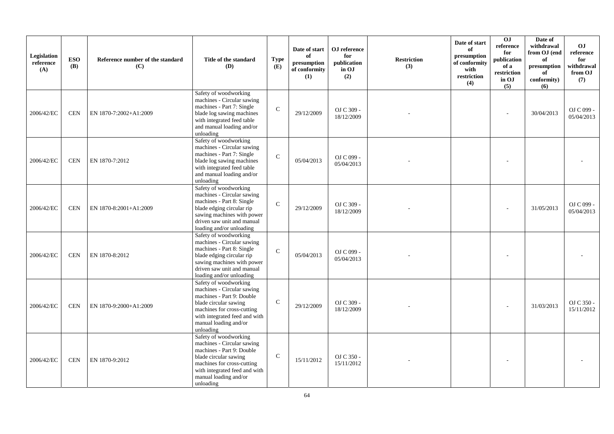| Legislation<br>reference<br>(A) | <b>ESO</b><br><b>(B)</b> | Reference number of the standard<br>(C) | Title of the standard<br><b>(D)</b>                                                                                                                                                                            | <b>Type</b><br><b>(E)</b> | Date of start<br>of<br>presumption<br>of conformity<br>(1) | OJ reference<br>for<br>publication<br>in OJ<br>(2) | <b>Restriction</b><br>(3) | Date of start<br>of<br>$\mathbf{presumption}$<br>of conformity<br>with<br>restriction<br>(4) | 0J<br>reference<br>for<br>publication<br>of a<br>restriction<br>in OJ<br>(5) | Date of<br>withdrawal<br>from OJ (end<br>of<br>presumption<br>of<br>conformity)<br>(6) | O <sub>J</sub><br>reference<br>for<br>withdrawal<br>from OJ<br>(7) |
|---------------------------------|--------------------------|-----------------------------------------|----------------------------------------------------------------------------------------------------------------------------------------------------------------------------------------------------------------|---------------------------|------------------------------------------------------------|----------------------------------------------------|---------------------------|----------------------------------------------------------------------------------------------|------------------------------------------------------------------------------|----------------------------------------------------------------------------------------|--------------------------------------------------------------------|
| 2006/42/EC                      | <b>CEN</b>               | EN 1870-7:2002+A1:2009                  | Safety of woodworking<br>machines - Circular sawing<br>machines - Part 7: Single<br>blade log sawing machines<br>with integrated feed table<br>and manual loading and/or<br>unloading                          | $\mathbf C$               | 29/12/2009                                                 | OJ C 309 -<br>18/12/2009                           |                           |                                                                                              | ٠                                                                            | 30/04/2013                                                                             | OJ C 099 -<br>05/04/2013                                           |
| 2006/42/EC                      | <b>CEN</b>               | EN 1870-7:2012                          | Safety of woodworking<br>machines - Circular sawing<br>machines - Part 7: Single<br>blade log sawing machines<br>with integrated feed table<br>and manual loading and/or<br>unloading                          | $\mathbf C$               | 05/04/2013                                                 | OJ C 099 -<br>05/04/2013                           |                           |                                                                                              |                                                                              |                                                                                        |                                                                    |
| 2006/42/EC                      | <b>CEN</b>               | EN 1870-8:2001+A1:2009                  | Safety of woodworking<br>machines - Circular sawing<br>machines - Part 8: Single<br>blade edging circular rip<br>sawing machines with power<br>driven saw unit and manual<br>loading and/or unloading          | $\mathbf{C}$              | 29/12/2009                                                 | OJ C 309 -<br>18/12/2009                           |                           |                                                                                              |                                                                              | 31/05/2013                                                                             | OJ C 099 -<br>05/04/2013                                           |
| 2006/42/EC                      | <b>CEN</b>               | EN 1870-8:2012                          | Safety of woodworking<br>machines - Circular sawing<br>machines - Part 8: Single<br>blade edging circular rip<br>sawing machines with power<br>driven saw unit and manual<br>loading and/or unloading          | $\mathbf C$               | 05/04/2013                                                 | OJ C 099 -<br>05/04/2013                           |                           |                                                                                              |                                                                              |                                                                                        |                                                                    |
| 2006/42/EC                      | <b>CEN</b>               | EN 1870-9:2000+A1:2009                  | Safety of woodworking<br>machines - Circular sawing<br>machines - Part 9: Double<br>blade circular sawing<br>machines for cross-cutting<br>with integrated feed and with<br>manual loading and/or<br>unloading | $\mathbf C$               | 29/12/2009                                                 | OJ C 309 -<br>18/12/2009                           |                           |                                                                                              |                                                                              | 31/03/2013                                                                             | OJ C 350 -<br>15/11/2012                                           |
| 2006/42/EC                      | <b>CEN</b>               | EN 1870-9:2012                          | Safety of woodworking<br>machines - Circular sawing<br>machines - Part 9: Double<br>blade circular sawing<br>machines for cross-cutting<br>with integrated feed and with<br>manual loading and/or<br>unloading | $\mathbf{C}$              | 15/11/2012                                                 | OJ C 350 -<br>15/11/2012                           |                           |                                                                                              |                                                                              |                                                                                        |                                                                    |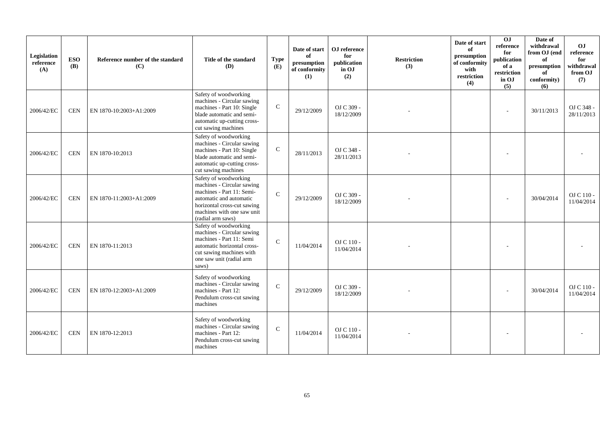| Legislation<br>reference<br>(A) | <b>ESO</b><br><b>(B)</b> | Reference number of the standard<br>(C) | Title of the standard<br><b>(D)</b>                                                                                                                                                           | <b>Type</b><br>(E) | Date of start<br>of<br>presumption<br>of conformity<br>(1) | OJ reference<br>for<br>publication<br>in OJ<br>(2) | <b>Restriction</b><br>(3) | Date of start<br>of<br>presumption<br>of conformity<br>with<br>restriction<br>(4) | OJ<br>reference<br>for<br>publication<br>of a<br>restriction<br>in OJ<br>(5) | Date of<br>withdrawal<br>from OJ (end<br>of<br>presumption<br>of<br>conformity)<br>(6) | OJ<br>reference<br>for<br>withdrawal<br>from OJ<br>(7) |
|---------------------------------|--------------------------|-----------------------------------------|-----------------------------------------------------------------------------------------------------------------------------------------------------------------------------------------------|--------------------|------------------------------------------------------------|----------------------------------------------------|---------------------------|-----------------------------------------------------------------------------------|------------------------------------------------------------------------------|----------------------------------------------------------------------------------------|--------------------------------------------------------|
| 2006/42/EC                      | <b>CEN</b>               | EN 1870-10:2003+A1:2009                 | Safety of woodworking<br>machines - Circular sawing<br>machines - Part 10: Single<br>blade automatic and semi-<br>automatic up-cutting cross-<br>cut sawing machines                          | $\mathbf C$        | 29/12/2009                                                 | OJ C 309 -<br>18/12/2009                           |                           |                                                                                   |                                                                              | 30/11/2013                                                                             | OJ C 348 -<br>28/11/2013                               |
| 2006/42/EC                      | <b>CEN</b>               | EN 1870-10:2013                         | Safety of woodworking<br>machines - Circular sawing<br>machines - Part 10: Single<br>blade automatic and semi-<br>automatic up-cutting cross-<br>cut sawing machines                          | $\mathbf C$        | 28/11/2013                                                 | OJ C 348 -<br>28/11/2013                           |                           |                                                                                   |                                                                              |                                                                                        |                                                        |
| 2006/42/EC                      | <b>CEN</b>               | EN 1870-11:2003+A1:2009                 | Safety of woodworking<br>machines - Circular sawing<br>machines - Part 11: Semi-<br>automatic and automatic<br>horizontal cross-cut sawing<br>machines with one saw unit<br>(radial arm saws) | $\mathcal{C}$      | 29/12/2009                                                 | OJ C 309 -<br>18/12/2009                           |                           |                                                                                   |                                                                              | 30/04/2014                                                                             | OJ C 110 -<br>11/04/2014                               |
| 2006/42/EC                      | <b>CEN</b>               | EN 1870-11:2013                         | Safety of woodworking<br>machines - Circular sawing<br>machines - Part 11: Semi<br>automatic horizontal cross-<br>cut sawing machines with<br>one saw unit (radial arm<br>saws)               | $\mathcal{C}$      | 11/04/2014                                                 | OJ C 110 -<br>11/04/2014                           |                           |                                                                                   |                                                                              |                                                                                        |                                                        |
| 2006/42/EC                      | <b>CEN</b>               | EN 1870-12:2003+A1:2009                 | Safety of woodworking<br>machines - Circular sawing<br>machines - Part 12:<br>Pendulum cross-cut sawing<br>machines                                                                           | $\mathcal{C}$      | 29/12/2009                                                 | OJ C 309 -<br>18/12/2009                           |                           |                                                                                   |                                                                              | 30/04/2014                                                                             | OJ C 110 -<br>11/04/2014                               |
| 2006/42/EC                      | <b>CEN</b>               | EN 1870-12:2013                         | Safety of woodworking<br>machines - Circular sawing<br>machines - Part 12:<br>Pendulum cross-cut sawing<br>machines                                                                           | $\mathcal{C}$      | 11/04/2014                                                 | OJ C 110 -<br>11/04/2014                           |                           |                                                                                   |                                                                              |                                                                                        |                                                        |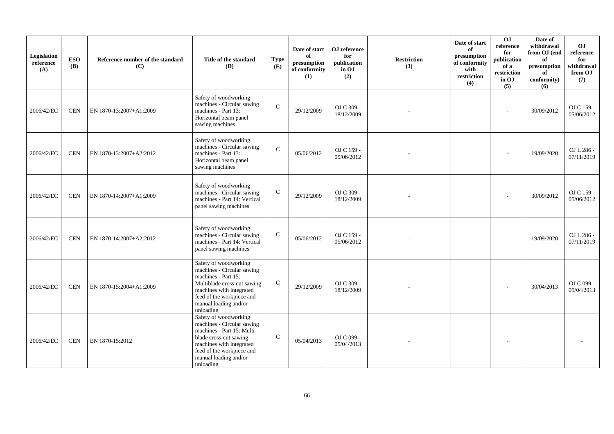| Legislation<br>reference<br>(A) | <b>ESO</b><br><b>(B)</b> | Reference number of the standard<br>(C) | Title of the standard<br>(D)                                                                                                                                                                               | <b>Type</b><br>(E) | Date of start<br>of<br>presumption<br>of conformity<br>(1) | OJ reference<br>for<br>publication<br>in OJ<br>(2) | <b>Restriction</b><br>(3) | Date of start<br>of<br>presumption<br>of conformity<br>with<br>restriction<br>(4) | OJ<br>reference<br>for<br>publication<br>of a<br>restriction<br>in OJ<br>(5) | Date of<br>withdrawal<br>from OJ (end<br>of<br>presumption<br>of<br>conformity)<br>(6) | OJ<br>reference<br>for<br>withdrawal<br>from OJ<br>(7) |
|---------------------------------|--------------------------|-----------------------------------------|------------------------------------------------------------------------------------------------------------------------------------------------------------------------------------------------------------|--------------------|------------------------------------------------------------|----------------------------------------------------|---------------------------|-----------------------------------------------------------------------------------|------------------------------------------------------------------------------|----------------------------------------------------------------------------------------|--------------------------------------------------------|
| 2006/42/EC                      | <b>CEN</b>               | EN 1870-13:2007+A1:2009                 | Safety of woodworking<br>machines - Circular sawing<br>machines - Part 13:<br>Horizontal beam panel<br>sawing machines                                                                                     | $\mathcal{C}$      | 29/12/2009                                                 | OJ C 309 -<br>18/12/2009                           |                           |                                                                                   |                                                                              | 30/09/2012                                                                             | OJ C 159 -<br>05/06/2012                               |
| 2006/42/EC                      | <b>CEN</b>               | EN 1870-13:2007+A2:2012                 | Safety of woodworking<br>machines - Circular sawing<br>machines - Part 13:<br>Horizontal beam panel<br>sawing machines                                                                                     | $\mathbf C$        | 05/06/2012                                                 | OJ C 159 -<br>05/06/2012                           |                           |                                                                                   | $\overline{\phantom{a}}$                                                     | 19/09/2020                                                                             | OJ L 286 -<br>07/11/2019                               |
| 2006/42/EC                      | <b>CEN</b>               | EN 1870-14:2007+A1:2009                 | Safety of woodworking<br>machines - Circular sawing<br>machines - Part 14: Vertical<br>panel sawing machines                                                                                               | $\mathsf{C}$       | 29/12/2009                                                 | OJ C 309 -<br>18/12/2009                           |                           |                                                                                   |                                                                              | 30/09/2012                                                                             | OJ C 159 -<br>05/06/2012                               |
| 2006/42/EC                      | <b>CEN</b>               | EN 1870-14:2007+A2:2012                 | Safety of woodworking<br>machines - Circular sawing<br>machines - Part 14: Vertical<br>panel sawing machines                                                                                               | $\mathbf C$        | 05/06/2012                                                 | OJ C 159 -<br>05/06/2012                           |                           |                                                                                   |                                                                              | 19/09/2020                                                                             | OJ L 286 -<br>07/11/2019                               |
| 2006/42/EC                      | <b>CEN</b>               | EN 1870-15:2004+A1:2009                 | Safety of woodworking<br>machines - Circular sawing<br>machines - Part 15:<br>Multiblade cross-cut sawing<br>machines with integrated<br>feed of the workpiece and<br>manual loading and/or<br>unloading   | $\mathsf{C}$       | 29/12/2009                                                 | OJ C 309 -<br>18/12/2009                           |                           |                                                                                   |                                                                              | 30/04/2013                                                                             | OJ C 099 -<br>05/04/2013                               |
| 2006/42/EC                      | <b>CEN</b>               | EN 1870-15:2012                         | Safety of woodworking<br>machines - Circular sawing<br>machines - Part 15: Multi-<br>blade cross-cut sawing<br>machines with integrated<br>feed of the workpiece and<br>manual loading and/or<br>unloading | $\mathbf{C}$       | 05/04/2013                                                 | OJ C 099 -<br>05/04/2013                           |                           |                                                                                   |                                                                              |                                                                                        |                                                        |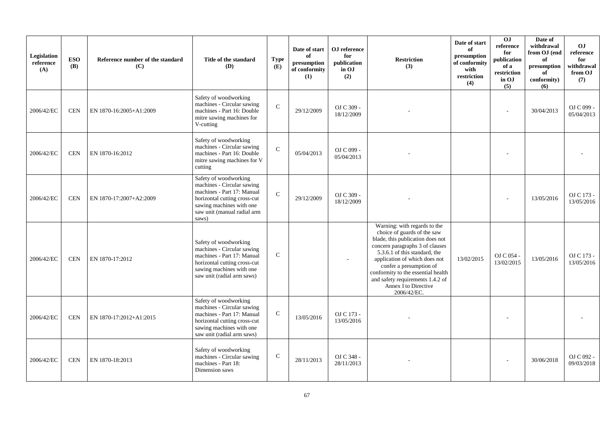| Legislation<br>reference<br>(A) | <b>ESO</b><br><b>(B)</b> | Reference number of the standard<br>(C) | Title of the standard<br>(D)                                                                                                                                                          | <b>Type</b><br>(E) | Date of start<br>of<br>presumption<br>of conformity<br>(1) | OJ reference<br>for<br>publication<br>in OJ<br>(2) | <b>Restriction</b><br>(3)                                                                                                                                                                                                                                                                                                                        | Date of start<br>of<br>presumption<br>of conformity<br>with<br>restriction<br>(4) | OJ<br>reference<br>for<br>publication<br>of a<br>restriction<br>in OJ<br>(5) | Date of<br>withdrawal<br>from OJ (end<br>of<br>presumption<br>of<br>conformity)<br>(6) | O <sub>J</sub><br>reference<br>for<br>withdrawal<br>from OJ<br>(7) |
|---------------------------------|--------------------------|-----------------------------------------|---------------------------------------------------------------------------------------------------------------------------------------------------------------------------------------|--------------------|------------------------------------------------------------|----------------------------------------------------|--------------------------------------------------------------------------------------------------------------------------------------------------------------------------------------------------------------------------------------------------------------------------------------------------------------------------------------------------|-----------------------------------------------------------------------------------|------------------------------------------------------------------------------|----------------------------------------------------------------------------------------|--------------------------------------------------------------------|
| 2006/42/EC                      | <b>CEN</b>               | EN 1870-16:2005+A1:2009                 | Safety of woodworking<br>machines - Circular sawing<br>machines - Part 16: Double<br>mitre sawing machines for<br>V-cutting                                                           | $\mathcal{C}$      | 29/12/2009                                                 | OJ C 309 -<br>18/12/2009                           |                                                                                                                                                                                                                                                                                                                                                  |                                                                                   |                                                                              | 30/04/2013                                                                             | OJ C 099 -<br>05/04/2013                                           |
| 2006/42/EC                      | <b>CEN</b>               | EN 1870-16:2012                         | Safety of woodworking<br>machines - Circular sawing<br>machines - Part 16: Double<br>mitre sawing machines for V<br>cutting                                                           | $\mathbf C$        | 05/04/2013                                                 | OJ C 099 -<br>05/04/2013                           |                                                                                                                                                                                                                                                                                                                                                  |                                                                                   |                                                                              |                                                                                        |                                                                    |
| 2006/42/EC                      | <b>CEN</b>               | EN 1870-17:2007+A2:2009                 | Safety of woodworking<br>machines - Circular sawing<br>machines - Part 17: Manual<br>horizontal cutting cross-cut<br>sawing machines with one<br>saw unit (manual radial arm<br>saws) | $\mathbf C$        | 29/12/2009                                                 | OJ C 309 -<br>18/12/2009                           |                                                                                                                                                                                                                                                                                                                                                  |                                                                                   |                                                                              | 13/05/2016                                                                             | OJ C 173 -<br>13/05/2016                                           |
| 2006/42/EC                      | <b>CEN</b>               | EN 1870-17:2012                         | Safety of woodworking<br>machines - Circular sawing<br>machines - Part 17: Manual<br>horizontal cutting cross-cut<br>sawing machines with one<br>saw unit (radial arm saws)           | $\mathbf C$        |                                                            |                                                    | Warning: with regards to the<br>choice of guards of the saw<br>blade, this publication does not<br>concern paragraphs 3 of clauses<br>5.3.6.1 of this standard, the<br>application of which does not<br>confer a presumption of<br>conformity to the essential health<br>and safety requirements 1.4.2 of<br>Annex I to Directive<br>2006/42/EC. | 13/02/2015                                                                        | OJ C 054 -<br>13/02/2015                                                     | 13/05/2016                                                                             | OJ C 173 -<br>13/05/2016                                           |
| 2006/42/EC                      | <b>CEN</b>               | EN 1870-17:2012+A1:2015                 | Safety of woodworking<br>machines - Circular sawing<br>machines - Part 17: Manual<br>horizontal cutting cross-cut<br>sawing machines with one<br>saw unit (radial arm saws)           | $\mathsf{C}$       | 13/05/2016                                                 | OJ C 173 -<br>13/05/2016                           |                                                                                                                                                                                                                                                                                                                                                  |                                                                                   |                                                                              |                                                                                        |                                                                    |
| 2006/42/EC                      | <b>CEN</b>               | EN 1870-18:2013                         | Safety of woodworking<br>machines - Circular sawing<br>machines - Part 18:<br>Dimension saws                                                                                          | $\mathbf C$        | 28/11/2013                                                 | OJ C 348 -<br>28/11/2013                           |                                                                                                                                                                                                                                                                                                                                                  |                                                                                   |                                                                              | 30/06/2018                                                                             | OJ C 092 -<br>09/03/2018                                           |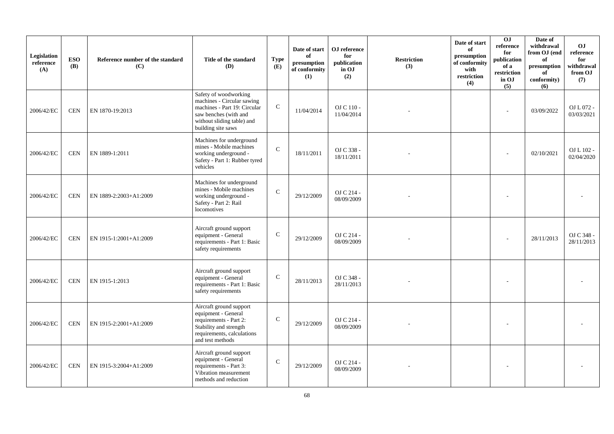| Legislation<br>reference<br>(A) | <b>ESO</b><br><b>(B)</b> | Reference number of the standard<br>(C) | Title of the standard<br>(D)                                                                                                                                     | <b>Type</b><br>(E) | Date of start<br>of<br>presumption<br>of conformity<br>(1) | OJ reference<br>for<br>publication<br>in OJ<br>(2) | <b>Restriction</b><br>(3) | Date of start<br>of<br>presumption<br>of conformity<br>with<br>restriction<br>(4) | 0J<br>reference<br>for<br>publication<br>of a<br>restriction<br>in OJ<br>(5) | Date of<br>withdrawal<br>from OJ (end<br>of<br>presumption<br>of<br>conformity)<br>(6) | O <sub>J</sub><br>reference<br>for<br>withdrawal<br>from OJ<br>(7) |
|---------------------------------|--------------------------|-----------------------------------------|------------------------------------------------------------------------------------------------------------------------------------------------------------------|--------------------|------------------------------------------------------------|----------------------------------------------------|---------------------------|-----------------------------------------------------------------------------------|------------------------------------------------------------------------------|----------------------------------------------------------------------------------------|--------------------------------------------------------------------|
| 2006/42/EC                      | <b>CEN</b>               | EN 1870-19:2013                         | Safety of woodworking<br>machines - Circular sawing<br>machines - Part 19: Circular<br>saw benches (with and<br>without sliding table) and<br>building site saws | $\mathbf C$        | 11/04/2014                                                 | OJ C 110 -<br>11/04/2014                           |                           |                                                                                   |                                                                              | 03/09/2022                                                                             | OJ L 072 -<br>03/03/2021                                           |
| 2006/42/EC                      | <b>CEN</b>               | EN 1889-1:2011                          | Machines for underground<br>mines - Mobile machines<br>working underground -<br>Safety - Part 1: Rubber tyred<br>vehicles                                        | $\mathcal{C}$      | 18/11/2011                                                 | OJ C 338 -<br>18/11/2011                           |                           |                                                                                   |                                                                              | 02/10/2021                                                                             | OJ L 102 -<br>02/04/2020                                           |
| 2006/42/EC                      | <b>CEN</b>               | EN 1889-2:2003+A1:2009                  | Machines for underground<br>mines - Mobile machines<br>working underground -<br>Safety - Part 2: Rail<br>locomotives                                             | $\mathbf C$        | 29/12/2009                                                 | OJ C 214 -<br>08/09/2009                           |                           |                                                                                   |                                                                              |                                                                                        |                                                                    |
| 2006/42/EC                      | <b>CEN</b>               | EN 1915-1:2001+A1:2009                  | Aircraft ground support<br>equipment - General<br>requirements - Part 1: Basic<br>safety requirements                                                            | $\mathsf{C}$       | 29/12/2009                                                 | OJ C 214 -<br>08/09/2009                           |                           |                                                                                   |                                                                              | 28/11/2013                                                                             | OJ C 348 -<br>28/11/2013                                           |
| 2006/42/EC                      | <b>CEN</b>               | EN 1915-1:2013                          | Aircraft ground support<br>equipment - General<br>requirements - Part 1: Basic<br>safety requirements                                                            | $\mathcal{C}$      | 28/11/2013                                                 | OJ C 348 -<br>28/11/2013                           |                           |                                                                                   |                                                                              |                                                                                        |                                                                    |
| 2006/42/EC                      | <b>CEN</b>               | EN 1915-2:2001+A1:2009                  | Aircraft ground support<br>equipment - General<br>requirements - Part 2:<br>Stability and strength<br>requirements, calculations<br>and test methods             | $\mathsf{C}$       | 29/12/2009                                                 | OJ C 214 -<br>08/09/2009                           |                           |                                                                                   |                                                                              |                                                                                        |                                                                    |
| 2006/42/EC                      | <b>CEN</b>               | EN 1915-3:2004+A1:2009                  | Aircraft ground support<br>equipment - General<br>requirements - Part 3:<br>Vibration measurement<br>methods and reduction                                       | $\mathcal{C}$      | 29/12/2009                                                 | OJ C 214 -<br>08/09/2009                           |                           |                                                                                   |                                                                              |                                                                                        |                                                                    |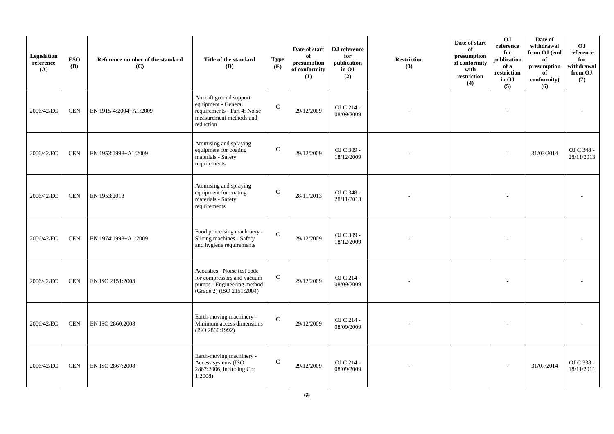| Legislation<br>reference<br>(A) | <b>ESO</b><br><b>(B)</b> | Reference number of the standard<br>(C) | Title of the standard<br>(D)                                                                                           | <b>Type</b><br>(E) | Date of start<br>of<br>presumption<br>of conformity<br>(1) | OJ reference<br>for<br>publication<br>in OJ<br>(2) | <b>Restriction</b><br>(3) | Date of start<br>of<br>presumption<br>of conformity<br>with<br>restriction<br>(4) | 0J<br>reference<br>for<br>publication<br>of a<br>restriction<br>in OJ<br>(5) | Date of<br>withdrawal<br>from OJ (end<br>of<br>presumption<br>of<br>conformity)<br>(6) | O <sub>J</sub><br>reference<br>for<br>withdrawal<br>from OJ<br>(7) |
|---------------------------------|--------------------------|-----------------------------------------|------------------------------------------------------------------------------------------------------------------------|--------------------|------------------------------------------------------------|----------------------------------------------------|---------------------------|-----------------------------------------------------------------------------------|------------------------------------------------------------------------------|----------------------------------------------------------------------------------------|--------------------------------------------------------------------|
| 2006/42/EC                      | <b>CEN</b>               | EN 1915-4:2004+A1:2009                  | Aircraft ground support<br>equipment - General<br>requirements - Part 4: Noise<br>measurement methods and<br>reduction | $\mathsf{C}$       | 29/12/2009                                                 | OJ C 214 -<br>08/09/2009                           |                           |                                                                                   |                                                                              |                                                                                        |                                                                    |
| 2006/42/EC                      | <b>CEN</b>               | EN 1953:1998+A1:2009                    | Atomising and spraying<br>equipment for coating<br>materials - Safety<br>requirements                                  | $\mathbf C$        | 29/12/2009                                                 | OJ C 309 -<br>18/12/2009                           |                           |                                                                                   |                                                                              | 31/03/2014                                                                             | OJ C 348 -<br>28/11/2013                                           |
| 2006/42/EC                      | <b>CEN</b>               | EN 1953:2013                            | Atomising and spraying<br>equipment for coating<br>materials - Safety<br>requirements                                  | $\mathsf{C}$       | 28/11/2013                                                 | OJ C 348 -<br>28/11/2013                           |                           |                                                                                   |                                                                              |                                                                                        |                                                                    |
| 2006/42/EC                      | <b>CEN</b>               | EN 1974:1998+A1:2009                    | Food processing machinery -<br>Slicing machines - Safety<br>and hygiene requirements                                   | $\mathbf C$        | 29/12/2009                                                 | OJ C 309 -<br>18/12/2009                           |                           |                                                                                   |                                                                              |                                                                                        |                                                                    |
| 2006/42/EC                      | <b>CEN</b>               | EN ISO 2151:2008                        | Acoustics - Noise test code<br>for compressors and vacuum<br>pumps - Engineering method<br>(Grade 2) (ISO 2151:2004)   | ${\bf C}$          | 29/12/2009                                                 | OJ C 214 -<br>08/09/2009                           |                           |                                                                                   |                                                                              |                                                                                        |                                                                    |
| 2006/42/EC                      | <b>CEN</b>               | EN ISO 2860:2008                        | Earth-moving machinery -<br>Minimum access dimensions<br>(ISO 2860:1992)                                               | $\mathbf C$        | 29/12/2009                                                 | OJ C 214 -<br>08/09/2009                           |                           |                                                                                   |                                                                              |                                                                                        |                                                                    |
| 2006/42/EC                      | <b>CEN</b>               | EN ISO 2867:2008                        | Earth-moving machinery -<br>Access systems (ISO<br>2867:2006, including Cor<br>1:2008                                  | $\mathsf{C}$       | 29/12/2009                                                 | OJ C 214 -<br>08/09/2009                           |                           |                                                                                   |                                                                              | 31/07/2014                                                                             | OJ C 338 -<br>18/11/2011                                           |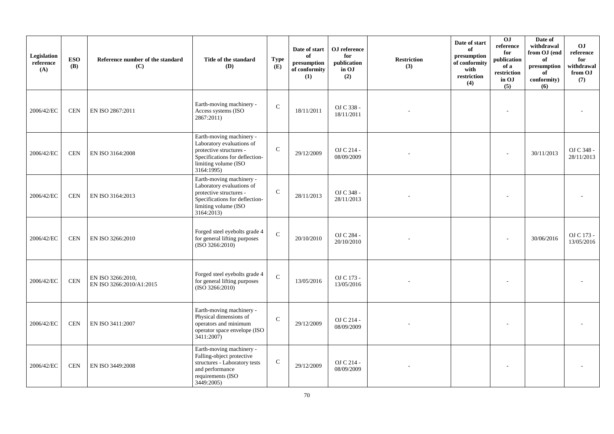| Legislation<br>reference<br>(A) | <b>ESO</b><br><b>(B)</b> | Reference number of the standard<br>(C)       | Title of the standard<br>(D)                                                                                                                            | <b>Type</b><br>(E) | Date of start<br>of<br>$\bf{presumption}$<br>of conformity<br>(1) | OJ reference<br>for<br>publication<br>in OJ<br>(2) | <b>Restriction</b><br>(3) | Date of start<br>of<br>presumption<br>of conformity<br>with<br>restriction<br>(4) | 0J<br>$\rm reference$<br>for<br>publication<br>of a<br>restriction<br>in OJ<br>(5) | Date of<br>withdrawal<br>from OJ (end<br>of<br>presumption<br>of<br>conformity)<br>(6) | O <sub>J</sub><br>reference<br>for<br>withdrawal<br>from OJ<br>(7) |
|---------------------------------|--------------------------|-----------------------------------------------|---------------------------------------------------------------------------------------------------------------------------------------------------------|--------------------|-------------------------------------------------------------------|----------------------------------------------------|---------------------------|-----------------------------------------------------------------------------------|------------------------------------------------------------------------------------|----------------------------------------------------------------------------------------|--------------------------------------------------------------------|
| 2006/42/EC                      | <b>CEN</b>               | EN ISO 2867:2011                              | Earth-moving machinery -<br>Access systems (ISO<br>2867:2011)                                                                                           | $\mathbf C$        | 18/11/2011                                                        | OJ C 338 -<br>18/11/2011                           |                           |                                                                                   |                                                                                    |                                                                                        |                                                                    |
| 2006/42/EC                      | <b>CEN</b>               | EN ISO 3164:2008                              | Earth-moving machinery -<br>Laboratory evaluations of<br>protective structures -<br>Specifications for deflection-<br>limiting volume (ISO<br>3164:1995 | $\mathsf{C}$       | 29/12/2009                                                        | OJ C 214 -<br>08/09/2009                           |                           |                                                                                   |                                                                                    | 30/11/2013                                                                             | OJ C 348 -<br>28/11/2013                                           |
| 2006/42/EC                      | <b>CEN</b>               | EN ISO 3164:2013                              | Earth-moving machinery -<br>Laboratory evaluations of<br>protective structures -<br>Specifications for deflection-<br>limiting volume (ISO<br>3164:2013 | $\mathbf C$        | 28/11/2013                                                        | OJ C 348 -<br>28/11/2013                           |                           |                                                                                   |                                                                                    |                                                                                        |                                                                    |
| 2006/42/EC                      | <b>CEN</b>               | EN ISO 3266:2010                              | Forged steel eyebolts grade 4<br>for general lifting purposes<br>(ISO 3266:2010)                                                                        | $\mathbf C$        | 20/10/2010                                                        | OJ C 284 -<br>20/10/2010                           |                           |                                                                                   |                                                                                    | 30/06/2016                                                                             | OJ C 173 -<br>13/05/2016                                           |
| 2006/42/EC                      | <b>CEN</b>               | EN ISO 3266:2010,<br>EN ISO 3266:2010/A1:2015 | Forged steel eyebolts grade 4<br>for general lifting purposes<br>(ISO 3266:2010)                                                                        | $\mathbf C$        | 13/05/2016                                                        | OJ C 173 -<br>13/05/2016                           |                           |                                                                                   |                                                                                    |                                                                                        |                                                                    |
| 2006/42/EC                      | <b>CEN</b>               | EN ISO 3411:2007                              | Earth-moving machinery -<br>Physical dimensions of<br>operators and minimum<br>operator space envelope (ISO<br>3411:2007)                               | $\mathcal{C}$      | 29/12/2009                                                        | OJ C 214 -<br>08/09/2009                           |                           |                                                                                   |                                                                                    |                                                                                        |                                                                    |
| 2006/42/EC                      | <b>CEN</b>               | EN ISO 3449:2008                              | Earth-moving machinery -<br>Falling-object protective<br>structures - Laboratory tests<br>and performance<br>requirements (ISO<br>3449:2005)            | ${\bf C}$          | 29/12/2009                                                        | OJ C 214 -<br>08/09/2009                           |                           |                                                                                   |                                                                                    |                                                                                        |                                                                    |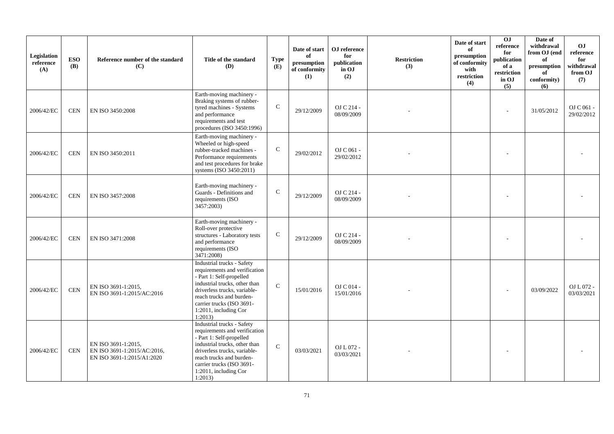| Legislation<br>reference<br>(A) | <b>ESO</b><br><b>(B)</b> | Reference number of the standard<br>(C)                                          | Title of the standard<br><b>(D)</b>                                                                                                                                                                                                                   | <b>Type</b><br>(E) | Date of start<br>of<br>presumption<br>of conformity<br>(1) | OJ reference<br>for<br>publication<br>in OJ<br>(2) | <b>Restriction</b><br>(3) | Date of start<br>of<br>presumption<br>of conformity<br>with<br>restriction<br>(4) | $\overline{0}$<br>reference<br>for<br>publication<br>of a<br>restriction<br>in OJ<br>(5) | Date of<br>withdrawal<br>from OJ (end<br>of<br>presumption<br>of<br>conformity)<br>(6) | O <sub>J</sub><br>reference<br>for<br>withdrawal<br>from OJ<br>(7) |
|---------------------------------|--------------------------|----------------------------------------------------------------------------------|-------------------------------------------------------------------------------------------------------------------------------------------------------------------------------------------------------------------------------------------------------|--------------------|------------------------------------------------------------|----------------------------------------------------|---------------------------|-----------------------------------------------------------------------------------|------------------------------------------------------------------------------------------|----------------------------------------------------------------------------------------|--------------------------------------------------------------------|
| 2006/42/EC                      | <b>CEN</b>               | EN ISO 3450:2008                                                                 | Earth-moving machinery -<br>Braking systems of rubber-<br>tyred machines - Systems<br>and performance<br>requirements and test<br>procedures (ISO 3450:1996)                                                                                          | $\mathsf C$        | 29/12/2009                                                 | OJ C 214 -<br>08/09/2009                           |                           |                                                                                   |                                                                                          | 31/05/2012                                                                             | OJ C 061 -<br>29/02/2012                                           |
| 2006/42/EC                      | <b>CEN</b>               | EN ISO 3450:2011                                                                 | Earth-moving machinery -<br>Wheeled or high-speed<br>rubber-tracked machines -<br>Performance requirements<br>and test procedures for brake<br>systems (ISO 3450:2011)                                                                                | ${\bf C}$          | 29/02/2012                                                 | OJ C 061 -<br>29/02/2012                           |                           |                                                                                   |                                                                                          |                                                                                        |                                                                    |
| 2006/42/EC                      | <b>CEN</b>               | EN ISO 3457:2008                                                                 | Earth-moving machinery -<br>Guards - Definitions and<br>requirements (ISO<br>3457:2003)                                                                                                                                                               | $\mathbf C$        | 29/12/2009                                                 | OJ C 214 -<br>08/09/2009                           |                           |                                                                                   |                                                                                          |                                                                                        |                                                                    |
| 2006/42/EC                      | <b>CEN</b>               | EN ISO 3471:2008                                                                 | Earth-moving machinery -<br>Roll-over protective<br>structures - Laboratory tests<br>and performance<br>requirements (ISO<br>3471:2008)                                                                                                               | $\mathsf{C}$       | 29/12/2009                                                 | OJ C 214 -<br>08/09/2009                           |                           |                                                                                   |                                                                                          |                                                                                        |                                                                    |
| 2006/42/EC                      | $\mbox{CEN}$             | EN ISO 3691-1:2015,<br>EN ISO 3691-1:2015/AC:2016                                | Industrial trucks - Safety<br>requirements and verification<br>- Part 1: Self-propelled<br>industrial trucks, other than<br>driverless trucks, variable-<br>reach trucks and burden-<br>carrier trucks (ISO 3691-<br>1:2011, including Cor<br>1:2013) | $\mathcal{C}$      | 15/01/2016                                                 | OJ C 014 -<br>15/01/2016                           |                           |                                                                                   |                                                                                          | 03/09/2022                                                                             | OJ L 072 -<br>03/03/2021                                           |
| 2006/42/EC                      | $\mbox{CEN}$             | EN ISO 3691-1:2015,<br>EN ISO 3691-1:2015/AC:2016,<br>EN ISO 3691-1:2015/A1:2020 | Industrial trucks - Safety<br>requirements and verification<br>- Part 1: Self-propelled<br>industrial trucks, other than<br>driverless trucks, variable-<br>reach trucks and burden-<br>carrier trucks (ISO 3691-<br>1:2011, including Cor<br>1:2013) | $\mathcal{C}$      | 03/03/2021                                                 | OJ L 072 -<br>03/03/2021                           |                           |                                                                                   |                                                                                          |                                                                                        |                                                                    |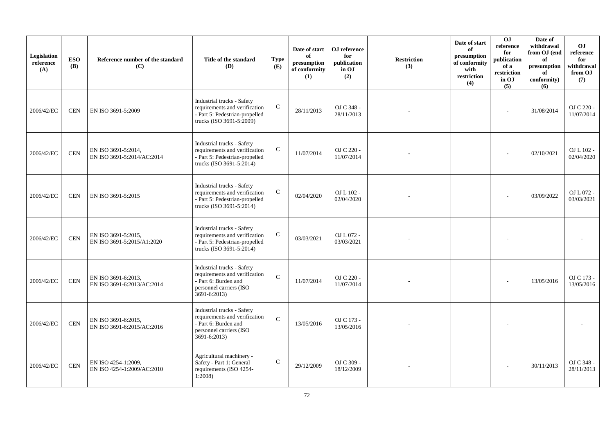| Legislation<br>reference<br>(A) | <b>ESO</b><br><b>(B)</b> | Reference number of the standard<br>(C)           | Title of the standard<br><b>(D)</b>                                                                                            | <b>Type</b><br>(E) | Date of start<br>of<br>presumption<br>of conformity<br>(1) | ${\bf OJ}$ reference<br>for<br>publication<br>in OJ<br>(2) | <b>Restriction</b><br>(3) | Date of start<br>of<br>presumption<br>of conformity<br>with<br>restriction<br>(4) | 0J<br>reference<br>for<br>publication<br>of a<br>restriction<br>in OJ<br>(5) | Date of<br>withdrawal<br>from OJ (end<br>of<br>presumption<br>of<br>conformity)<br>(6) | O <sub>J</sub><br>reference<br>for<br>withdrawal<br>from OJ<br>(7) |
|---------------------------------|--------------------------|---------------------------------------------------|--------------------------------------------------------------------------------------------------------------------------------|--------------------|------------------------------------------------------------|------------------------------------------------------------|---------------------------|-----------------------------------------------------------------------------------|------------------------------------------------------------------------------|----------------------------------------------------------------------------------------|--------------------------------------------------------------------|
| 2006/42/EC                      | <b>CEN</b>               | EN ISO 3691-5:2009                                | Industrial trucks - Safety<br>requirements and verification<br>- Part 5: Pedestrian-propelled<br>trucks (ISO 3691-5:2009)      | $\mathbf C$        | 28/11/2013                                                 | OJ C 348 -<br>28/11/2013                                   |                           |                                                                                   |                                                                              | 31/08/2014                                                                             | OJ C 220 -<br>11/07/2014                                           |
| 2006/42/EC                      | <b>CEN</b>               | EN ISO 3691-5:2014,<br>EN ISO 3691-5:2014/AC:2014 | Industrial trucks - Safety<br>requirements and verification<br>- Part 5: Pedestrian-propelled<br>trucks (ISO 3691-5:2014)      | ${\bf C}$          | 11/07/2014                                                 | OJ C 220 -<br>11/07/2014                                   |                           |                                                                                   |                                                                              | 02/10/2021                                                                             | OJ L 102 -<br>02/04/2020                                           |
| 2006/42/EC                      | <b>CEN</b>               | EN ISO 3691-5:2015                                | Industrial trucks - Safety<br>requirements and verification<br>- Part 5: Pedestrian-propelled<br>trucks (ISO 3691-5:2014)      | $\mathbf C$        | 02/04/2020                                                 | OJ L 102 -<br>02/04/2020                                   |                           |                                                                                   |                                                                              | 03/09/2022                                                                             | OJ L 072 -<br>03/03/2021                                           |
| 2006/42/EC                      | $\mbox{CEN}$             | EN ISO 3691-5:2015,<br>EN ISO 3691-5:2015/A1:2020 | Industrial trucks - Safety<br>requirements and verification<br>- Part 5: Pedestrian-propelled<br>trucks (ISO 3691-5:2014)      | ${\bf C}$          | 03/03/2021                                                 | OJ L 072 -<br>03/03/2021                                   |                           |                                                                                   |                                                                              |                                                                                        |                                                                    |
| 2006/42/EC                      | $\mbox{CEN}$             | EN ISO 3691-6:2013,<br>EN ISO 3691-6:2013/AC:2014 | Industrial trucks - Safety<br>requirements and verification<br>- Part 6: Burden and<br>personnel carriers (ISO<br>3691-6:2013) | $\mathbf C$        | 11/07/2014                                                 | OJ C 220 -<br>11/07/2014                                   |                           |                                                                                   |                                                                              | 13/05/2016                                                                             | OJ C 173 -<br>13/05/2016                                           |
| 2006/42/EC                      | $\mbox{CEN}$             | EN ISO 3691-6:2015,<br>EN ISO 3691-6:2015/AC:2016 | Industrial trucks - Safety<br>requirements and verification<br>- Part 6: Burden and<br>personnel carriers (ISO<br>3691-6:2013) | ${\bf C}$          | 13/05/2016                                                 | OJ C 173 -<br>13/05/2016                                   |                           |                                                                                   |                                                                              |                                                                                        |                                                                    |
| 2006/42/EC                      | $\mbox{CEN}$             | EN ISO 4254-1:2009,<br>EN ISO 4254-1:2009/AC:2010 | Agricultural machinery -<br>Safety - Part 1: General<br>requirements (ISO 4254-<br>1:2008                                      | $\mathbf C$        | 29/12/2009                                                 | OJ C 309 -<br>18/12/2009                                   |                           |                                                                                   |                                                                              | 30/11/2013                                                                             | OJ C 348 -<br>28/11/2013                                           |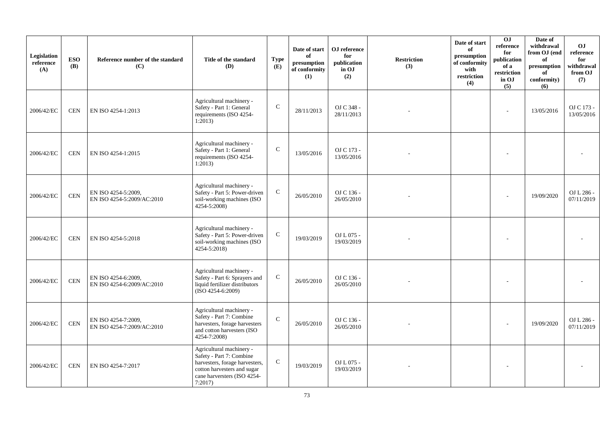| Legislation<br>reference<br>(A) | <b>ESO</b><br><b>(B)</b> | Reference number of the standard<br>(C)           | Title of the standard<br>(D)                                                                                                                                   | <b>Type</b><br>(E) | Date of start<br>of<br>$\bf{presumption}$<br>of conformity<br>(1) | OJ reference<br>for<br>publication<br>in OJ<br>(2) | <b>Restriction</b><br>(3) | Date of start<br>of<br>presumption<br>of conformity<br>with<br>restriction<br>(4) | 0J<br>reference<br>for<br>publication<br>of a<br>restriction<br>in OJ<br>(5) | Date of<br>withdrawal<br>from OJ (end<br>of<br>presumption<br>of<br>conformity)<br>(6) | O <sub>J</sub><br>reference<br>for<br>withdrawal<br>from OJ<br>(7) |
|---------------------------------|--------------------------|---------------------------------------------------|----------------------------------------------------------------------------------------------------------------------------------------------------------------|--------------------|-------------------------------------------------------------------|----------------------------------------------------|---------------------------|-----------------------------------------------------------------------------------|------------------------------------------------------------------------------|----------------------------------------------------------------------------------------|--------------------------------------------------------------------|
| 2006/42/EC                      | <b>CEN</b>               | EN ISO 4254-1:2013                                | Agricultural machinery -<br>Safety - Part 1: General<br>requirements (ISO 4254-<br>1:2013)                                                                     | $\mathbf C$        | 28/11/2013                                                        | OJ C 348 -<br>28/11/2013                           |                           |                                                                                   | ÷                                                                            | 13/05/2016                                                                             | OJ C 173 -<br>13/05/2016                                           |
| 2006/42/EC                      | <b>CEN</b>               | EN ISO 4254-1:2015                                | Agricultural machinery -<br>Safety - Part 1: General<br>requirements (ISO 4254-<br>1:2013)                                                                     | $\mathsf{C}$       | 13/05/2016                                                        | OJ C 173 -<br>13/05/2016                           |                           |                                                                                   |                                                                              |                                                                                        |                                                                    |
| 2006/42/EC                      | $\mbox{CEN}$             | EN ISO 4254-5:2009.<br>EN ISO 4254-5:2009/AC:2010 | Agricultural machinery -<br>Safety - Part 5: Power-driven<br>soil-working machines (ISO<br>4254-5:2008)                                                        | $\mathbf C$        | 26/05/2010                                                        | OJ C 136 -<br>26/05/2010                           |                           |                                                                                   |                                                                              | 19/09/2020                                                                             | OJ L 286 -<br>07/11/2019                                           |
| 2006/42/EC                      | <b>CEN</b>               | EN ISO 4254-5:2018                                | Agricultural machinery -<br>Safety - Part 5: Power-driven<br>soil-working machines (ISO<br>4254-5:2018)                                                        | ${\bf C}$          | 19/03/2019                                                        | OJ L 075 -<br>19/03/2019                           |                           |                                                                                   |                                                                              |                                                                                        |                                                                    |
| 2006/42/EC                      | $\mbox{CEN}$             | EN ISO 4254-6:2009,<br>EN ISO 4254-6:2009/AC:2010 | Agricultural machinery -<br>Safety - Part 6: Sprayers and<br>liquid fertilizer distributors<br>$(ISO 4254-6:2009)$                                             | $\mathbf C$        | 26/05/2010                                                        | OJ C 136 -<br>26/05/2010                           |                           |                                                                                   |                                                                              |                                                                                        |                                                                    |
| 2006/42/EC                      | $\mbox{CEN}$             | EN ISO 4254-7:2009,<br>EN ISO 4254-7:2009/AC:2010 | Agricultural machinery -<br>Safety - Part 7: Combine<br>harvesters, forage harvesters<br>and cotton harvesters (ISO<br>4254-7:2008)                            | $\mathbf{C}$       | 26/05/2010                                                        | OJ C 136 -<br>26/05/2010                           |                           |                                                                                   |                                                                              | 19/09/2020                                                                             | OJ L 286 -<br>07/11/2019                                           |
| 2006/42/EC                      | <b>CEN</b>               | EN ISO 4254-7:2017                                | Agricultural machinery -<br>Safety - Part 7: Combine<br>harvesters, forage harvesters,<br>cotton harvesters and sugar<br>cane harversters (ISO 4254-<br>7:2017 | ${\bf C}$          | 19/03/2019                                                        | OJ L 075 -<br>19/03/2019                           |                           |                                                                                   |                                                                              |                                                                                        |                                                                    |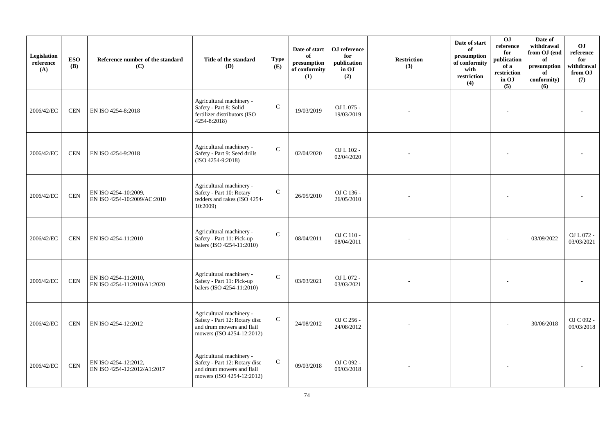| Legislation<br>reference<br>(A) | <b>ESO</b><br><b>(B)</b> | Reference number of the standard<br>(C)             | Title of the standard<br>(D)                                                                                        | <b>Type</b><br>(E) | Date of start<br>of<br>$\bf{presumption}$<br>of conformity<br>(1) | OJ reference<br>for<br>publication<br>in OJ<br>(2) | <b>Restriction</b><br>(3) | Date of start<br>of<br>presumption<br>of conformity<br>with<br>restriction<br>(4) | 0J<br>reference<br>for<br>publication<br>of a<br>restriction<br>in OJ<br>(5) | Date of<br>withdrawal<br>from OJ (end<br>of<br>presumption<br>of<br>conformity)<br>(6) | O <sub>J</sub><br>reference<br>for<br>withdrawal<br>from OJ<br>(7) |
|---------------------------------|--------------------------|-----------------------------------------------------|---------------------------------------------------------------------------------------------------------------------|--------------------|-------------------------------------------------------------------|----------------------------------------------------|---------------------------|-----------------------------------------------------------------------------------|------------------------------------------------------------------------------|----------------------------------------------------------------------------------------|--------------------------------------------------------------------|
| 2006/42/EC                      | <b>CEN</b>               | EN ISO 4254-8:2018                                  | Agricultural machinery -<br>Safety - Part 8: Solid<br>fertilizer distributors (ISO<br>4254-8:2018)                  | $\mathsf{C}$       | 19/03/2019                                                        | OJ L 075 -<br>19/03/2019                           |                           |                                                                                   |                                                                              |                                                                                        |                                                                    |
| 2006/42/EC                      | <b>CEN</b>               | EN ISO 4254-9:2018                                  | Agricultural machinery -<br>Safety - Part 9: Seed drills<br>$(ISO 4254-9:2018)$                                     | ${\bf C}$          | 02/04/2020                                                        | OJ L 102 -<br>02/04/2020                           |                           |                                                                                   |                                                                              |                                                                                        |                                                                    |
| 2006/42/EC                      | <b>CEN</b>               | EN ISO 4254-10:2009,<br>EN ISO 4254-10:2009/AC:2010 | Agricultural machinery -<br>Safety - Part 10: Rotary<br>tedders and rakes (ISO 4254-<br>10:2009)                    | ${\bf C}$          | 26/05/2010                                                        | OJ C 136 -<br>26/05/2010                           |                           |                                                                                   |                                                                              |                                                                                        |                                                                    |
| 2006/42/EC                      | <b>CEN</b>               | EN ISO 4254-11:2010                                 | Agricultural machinery -<br>Safety - Part 11: Pick-up<br>balers (ISO 4254-11:2010)                                  | $\mathbf C$        | 08/04/2011                                                        | OJ C 110 -<br>08/04/2011                           |                           |                                                                                   |                                                                              | 03/09/2022                                                                             | OJ L 072 -<br>03/03/2021                                           |
| 2006/42/EC                      | <b>CEN</b>               | EN ISO 4254-11:2010,<br>EN ISO 4254-11:2010/A1:2020 | Agricultural machinery -<br>Safety - Part 11: Pick-up<br>balers (ISO 4254-11:2010)                                  | $\mathsf{C}$       | 03/03/2021                                                        | OJ L 072 -<br>03/03/2021                           |                           |                                                                                   |                                                                              |                                                                                        |                                                                    |
| 2006/42/EC                      | <b>CEN</b>               | EN ISO 4254-12:2012                                 | Agricultural machinery -<br>Safety - Part 12: Rotary disc<br>and drum mowers and flail<br>mowers (ISO 4254-12:2012) | $\mathbf C$        | 24/08/2012                                                        | OJ C 256 -<br>24/08/2012                           |                           |                                                                                   |                                                                              | 30/06/2018                                                                             | OJ C 092 -<br>09/03/2018                                           |
| 2006/42/EC                      | $\mbox{CEN}$             | EN ISO 4254-12:2012,<br>EN ISO 4254-12:2012/A1:2017 | Agricultural machinery -<br>Safety - Part 12: Rotary disc<br>and drum mowers and flail<br>mowers (ISO 4254-12:2012) | $\mathsf{C}$       | 09/03/2018                                                        | OJ C 092 -<br>09/03/2018                           |                           |                                                                                   |                                                                              |                                                                                        |                                                                    |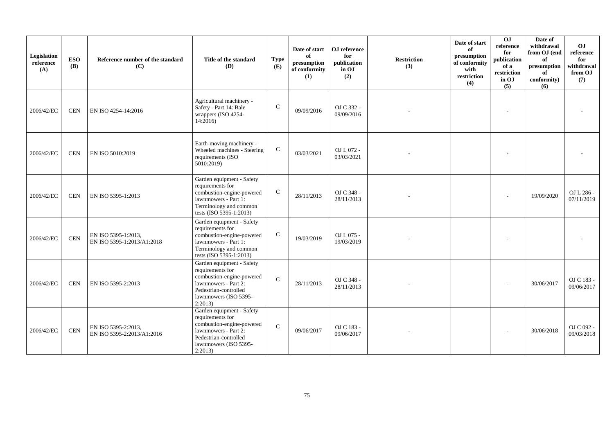| Legislation<br>reference<br>(A) | <b>ESO</b><br><b>(B)</b> | Reference number of the standard<br>(C)           | Title of the standard<br><b>(D)</b>                                                                                                                             | <b>Type</b><br>(E) | Date of start<br>of<br>presumption<br>of conformity<br>(1) | OJ reference<br>for<br>publication<br>in OJ<br>(2) | <b>Restriction</b><br>(3) | Date of start<br>of<br>presumption<br>of conformity<br>with<br>restriction<br>(4) | 0 <sub>J</sub><br>reference<br>for<br>publication<br>of a<br>$\operatorname{restriction}$<br>in OJ<br>(5) | Date of<br>withdrawal<br>from OJ (end<br>of<br>presumption<br>of<br>conformity)<br>(6) | O <sub>J</sub><br>reference<br>for<br>withdrawal<br>from OJ<br>(7) |
|---------------------------------|--------------------------|---------------------------------------------------|-----------------------------------------------------------------------------------------------------------------------------------------------------------------|--------------------|------------------------------------------------------------|----------------------------------------------------|---------------------------|-----------------------------------------------------------------------------------|-----------------------------------------------------------------------------------------------------------|----------------------------------------------------------------------------------------|--------------------------------------------------------------------|
| 2006/42/EC                      | <b>CEN</b>               | EN ISO 4254-14:2016                               | Agricultural machinery -<br>Safety - Part 14: Bale<br>wrappers (ISO 4254-<br>14:2016)                                                                           | $\mathbf C$        | 09/09/2016                                                 | OJ C 332 -<br>09/09/2016                           |                           |                                                                                   |                                                                                                           |                                                                                        |                                                                    |
| 2006/42/EC                      | <b>CEN</b>               | EN ISO 5010:2019                                  | Earth-moving machinery -<br>Wheeled machines - Steering<br>requirements (ISO<br>5010:2019)                                                                      | $\mathsf{C}$       | 03/03/2021                                                 | OJ L 072 -<br>03/03/2021                           |                           |                                                                                   |                                                                                                           |                                                                                        |                                                                    |
| 2006/42/EC                      | <b>CEN</b>               | EN ISO 5395-1:2013                                | Garden equipment - Safety<br>requirements for<br>combustion-engine-powered<br>lawnmowers - Part 1:<br>Terminology and common<br>tests (ISO 5395-1:2013)         | $\mathsf{C}$       | 28/11/2013                                                 | OJ C 348 -<br>28/11/2013                           |                           |                                                                                   |                                                                                                           | 19/09/2020                                                                             | OJ L 286 -<br>07/11/2019                                           |
| 2006/42/EC                      | <b>CEN</b>               | EN ISO 5395-1:2013.<br>EN ISO 5395-1:2013/A1:2018 | Garden equipment - Safety<br>requirements for<br>combustion-engine-powered<br>lawnmowers - Part 1:<br>Terminology and common<br>tests (ISO 5395-1:2013)         | $\mathbf C$        | 19/03/2019                                                 | OJ L 075 -<br>19/03/2019                           |                           |                                                                                   |                                                                                                           |                                                                                        |                                                                    |
| 2006/42/EC                      | <b>CEN</b>               | EN ISO 5395-2:2013                                | Garden equipment - Safety<br>requirements for<br>combustion-engine-powered<br>lawnmowers - Part 2:<br>Pedestrian-controlled<br>lawnmowers (ISO 5395-<br>2:2013) | $\mathcal{C}$      | 28/11/2013                                                 | OJ C 348 -<br>28/11/2013                           |                           |                                                                                   |                                                                                                           | 30/06/2017                                                                             | OJ C 183 -<br>09/06/2017                                           |
| 2006/42/EC                      | $\mbox{CEN}$             | EN ISO 5395-2:2013,<br>EN ISO 5395-2:2013/A1:2016 | Garden equipment - Safety<br>requirements for<br>combustion-engine-powered<br>lawnmowers - Part 2:<br>Pedestrian-controlled<br>lawnmowers (ISO 5395-<br>2:2013) | $\mathcal{C}$      | 09/06/2017                                                 | OJ C 183 -<br>09/06/2017                           |                           |                                                                                   |                                                                                                           | 30/06/2018                                                                             | OJ C 092 -<br>09/03/2018                                           |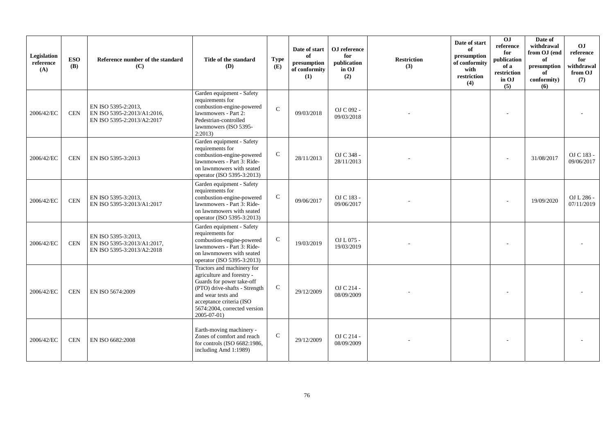| Legislation<br>reference<br>(A) | <b>ESO</b><br><b>(B)</b> | Reference number of the standard<br>(C)                                          | Title of the standard<br><b>(D)</b>                                                                                                                                                                                     | <b>Type</b><br>(E) | Date of start<br>of<br>presumption<br>of conformity<br>(1) | OJ reference<br>for<br>publication<br>in OJ<br>(2) | <b>Restriction</b><br>(3) | Date of start<br>of<br>presumption<br>of conformity<br>with<br>restriction<br>(4) | $\overline{0}$<br>reference<br>for<br>publication<br>of a<br>restriction<br>in OJ<br>(5) | Date of<br>withdrawal<br>from OJ (end<br>of<br>presumption<br>of<br>conformity)<br>(6) | O <sub>J</sub><br>reference<br>for<br>withdrawal<br>from OJ<br>(7) |
|---------------------------------|--------------------------|----------------------------------------------------------------------------------|-------------------------------------------------------------------------------------------------------------------------------------------------------------------------------------------------------------------------|--------------------|------------------------------------------------------------|----------------------------------------------------|---------------------------|-----------------------------------------------------------------------------------|------------------------------------------------------------------------------------------|----------------------------------------------------------------------------------------|--------------------------------------------------------------------|
| 2006/42/EC                      | <b>CEN</b>               | EN ISO 5395-2:2013,<br>EN ISO 5395-2:2013/A1:2016,<br>EN ISO 5395-2:2013/A2:2017 | Garden equipment - Safety<br>requirements for<br>combustion-engine-powered<br>lawnmowers - Part 2:<br>Pedestrian-controlled<br>lawnmowers (ISO 5395-<br>2:2013                                                          | $\mathcal{C}$      | 09/03/2018                                                 | OJ C 092 -<br>09/03/2018                           |                           |                                                                                   |                                                                                          |                                                                                        |                                                                    |
| 2006/42/EC                      | <b>CEN</b>               | EN ISO 5395-3:2013                                                               | Garden equipment - Safety<br>requirements for<br>combustion-engine-powered<br>lawnmowers - Part 3: Ride-<br>on lawnmowers with seated<br>operator (ISO 5395-3:2013)                                                     | $\mathbf C$        | 28/11/2013                                                 | OJ C 348 -<br>28/11/2013                           |                           |                                                                                   |                                                                                          | 31/08/2017                                                                             | OJ C 183 -<br>09/06/2017                                           |
| 2006/42/EC                      | <b>CEN</b>               | EN ISO 5395-3:2013,<br>EN ISO 5395-3:2013/A1:2017                                | Garden equipment - Safety<br>requirements for<br>combustion-engine-powered<br>lawnmowers - Part 3: Ride-<br>on lawnmowers with seated<br>operator (ISO 5395-3:2013)                                                     | $\mathsf{C}$       | 09/06/2017                                                 | OJ C 183 -<br>09/06/2017                           |                           |                                                                                   |                                                                                          | 19/09/2020                                                                             | OJ L 286 -<br>07/11/2019                                           |
| 2006/42/EC                      | <b>CEN</b>               | EN ISO 5395-3:2013,<br>EN ISO 5395-3:2013/A1:2017,<br>EN ISO 5395-3:2013/A2:2018 | Garden equipment - Safety<br>requirements for<br>combustion-engine-powered<br>lawnmowers - Part 3: Ride-<br>on lawnmowers with seated<br>operator (ISO 5395-3:2013)                                                     | $\mathsf{C}$       | 19/03/2019                                                 | OJ L 075 -<br>19/03/2019                           |                           |                                                                                   |                                                                                          |                                                                                        |                                                                    |
| 2006/42/EC                      | <b>CEN</b>               | EN ISO 5674:2009                                                                 | Tractors and machinery for<br>agriculture and forestry -<br>Guards for power take-off<br>(PTO) drive-shafts - Strength<br>and wear tests and<br>acceptance criteria (ISO<br>5674:2004, corrected version<br>2005-07-01) | $\mathbf C$        | 29/12/2009                                                 | OJ C 214 -<br>08/09/2009                           |                           |                                                                                   |                                                                                          |                                                                                        |                                                                    |
| 2006/42/EC                      | <b>CEN</b>               | EN ISO 6682:2008                                                                 | Earth-moving machinery -<br>Zones of comfort and reach<br>for controls (ISO 6682:1986,<br>including Amd 1:1989)                                                                                                         | $\mathsf{C}$       | 29/12/2009                                                 | OJ C 214 -<br>08/09/2009                           |                           |                                                                                   |                                                                                          |                                                                                        |                                                                    |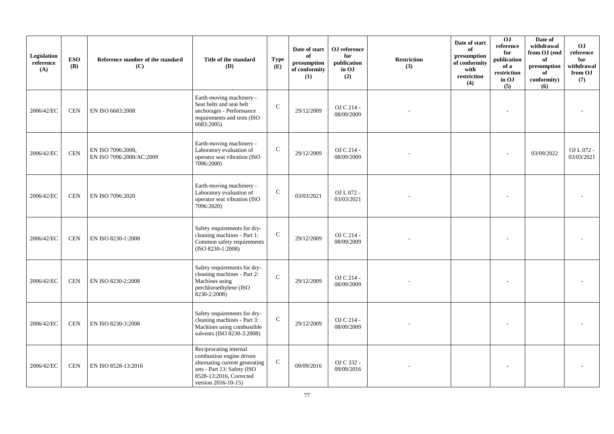| Legislation<br>reference<br>(A) | <b>ESO</b><br><b>(B)</b> | Reference number of the standard<br>(C)       | Title of the standard<br><b>(D)</b>                                                                                                                                   | <b>Type</b><br>(E) | Date of start<br>of<br>presumption<br>of conformity<br>(1) | OJ reference<br>for<br>publication<br>in OJ<br>(2) | <b>Restriction</b><br>(3) | Date of start<br>of<br>presumption<br>of conformity<br>with<br>restriction<br>(4) | 0J<br>reference<br>for<br>publication<br>of a<br>restriction<br>in OJ<br>(5) | Date of<br>withdrawal<br>from OJ (end<br>of<br>presumption<br>of<br>conformity)<br>(6) | O <sub>J</sub><br>reference<br>for<br>withdrawal<br>from OJ<br>(7) |
|---------------------------------|--------------------------|-----------------------------------------------|-----------------------------------------------------------------------------------------------------------------------------------------------------------------------|--------------------|------------------------------------------------------------|----------------------------------------------------|---------------------------|-----------------------------------------------------------------------------------|------------------------------------------------------------------------------|----------------------------------------------------------------------------------------|--------------------------------------------------------------------|
| 2006/42/EC                      | <b>CEN</b>               | EN ISO 6683:2008                              | Earth-moving machinery -<br>Seat belts and seat belt<br>anchorages - Performance<br>requirements and tests (ISO<br>6683:2005)                                         | $\mathcal{C}$      | 29/12/2009                                                 | OJ C 214 -<br>08/09/2009                           |                           |                                                                                   |                                                                              |                                                                                        |                                                                    |
| 2006/42/EC                      | <b>CEN</b>               | EN ISO 7096:2008,<br>EN ISO 7096:2008/AC:2009 | Earth-moving machinery -<br>Laboratory evaluation of<br>operator seat vibration (ISO<br>7096:2000)                                                                    | $\mathbf C$        | 29/12/2009                                                 | OJ C 214 -<br>08/09/2009                           |                           |                                                                                   |                                                                              | 03/09/2022                                                                             | OJ L 072 -<br>03/03/2021                                           |
| 2006/42/EC                      | <b>CEN</b>               | EN ISO 7096:2020                              | Earth-moving machinery -<br>Laboratory evaluation of<br>operator seat vibration (ISO<br>7096:2020)                                                                    | $\mathbf C$        | 03/03/2021                                                 | OJ L 072 -<br>03/03/2021                           |                           |                                                                                   |                                                                              |                                                                                        |                                                                    |
| 2006/42/EC                      | <b>CEN</b>               | EN ISO 8230-1:2008                            | Safety requirements for dry-<br>cleaning machines - Part 1:<br>Common safety requirements<br>$(ISO 8230-1:2008)$                                                      | $\mathcal{C}$      | 29/12/2009                                                 | OJ C 214 -<br>08/09/2009                           |                           |                                                                                   |                                                                              |                                                                                        |                                                                    |
| 2006/42/EC                      | $\!$ $\!$ $\!$           | EN ISO 8230-2:2008                            | Safety requirements for dry-<br>cleaning machines - Part 2:<br>Machines using<br>perchloroethylene (ISO<br>8230-2:2008)                                               | $\mathbf{C}$       | 29/12/2009                                                 | OJ C 214 -<br>08/09/2009                           |                           |                                                                                   |                                                                              |                                                                                        |                                                                    |
| 2006/42/EC                      | <b>CEN</b>               | EN ISO 8230-3:2008                            | Safety requirements for dry-<br>cleaning machines - Part 3:<br>Machines using combustible<br>solvents (ISO 8230-3:2008)                                               | $\mathcal{C}$      | 29/12/2009                                                 | OJ C 214 -<br>08/09/2009                           |                           |                                                                                   |                                                                              |                                                                                        |                                                                    |
| 2006/42/EC                      | <b>CEN</b>               | EN ISO 8528-13:2016                           | Reciprocating internal<br>combustion engine driven<br>alternating current generating<br>sets - Part 13: Safety (ISO<br>8528-13:2016, Corrected<br>version 2016-10-15) | $\mathbf C$        | 09/09/2016                                                 | OJ C 332 -<br>09/09/2016                           |                           |                                                                                   |                                                                              |                                                                                        |                                                                    |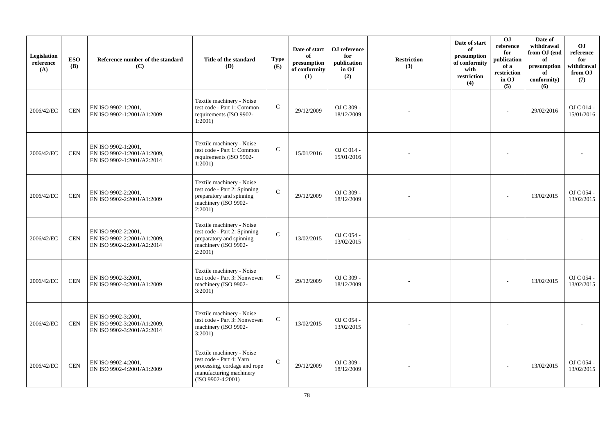| Legislation<br>reference<br>(A) | <b>ESO</b><br><b>(B)</b> | Reference number of the standard<br>(C)                                          | Title of the standard<br>(D)                                                                                                            | <b>Type</b><br>(E) | Date of start<br>of<br>presumption<br>of conformity<br>(1) | OJ reference<br>for<br>publication<br>in OJ<br>(2) | <b>Restriction</b><br>(3) | Date of start<br>of<br>presumption<br>of conformity<br>with<br>restriction<br>(4) | OJ<br>reference<br>for<br>publication<br>of a<br>$\operatorname{restriction}$<br>in OJ<br>(5) | Date of<br>withdrawal<br>from OJ (end<br>of<br>presumption<br>of<br>conformity)<br>(6) | O <sub>J</sub><br>reference<br>for<br>withdrawal<br>from OJ<br>(7) |
|---------------------------------|--------------------------|----------------------------------------------------------------------------------|-----------------------------------------------------------------------------------------------------------------------------------------|--------------------|------------------------------------------------------------|----------------------------------------------------|---------------------------|-----------------------------------------------------------------------------------|-----------------------------------------------------------------------------------------------|----------------------------------------------------------------------------------------|--------------------------------------------------------------------|
| 2006/42/EC                      | <b>CEN</b>               | EN ISO 9902-1:2001,<br>EN ISO 9902-1:2001/A1:2009                                | Textile machinery - Noise<br>test code - Part 1: Common<br>requirements (ISO 9902-<br>1:2001)                                           | $\mathbf C$        | 29/12/2009                                                 | OJ C 309 -<br>18/12/2009                           |                           |                                                                                   | ÷                                                                                             | 29/02/2016                                                                             | O <sub>J</sub> C <sub>014</sub><br>15/01/2016                      |
| 2006/42/EC                      | <b>CEN</b>               | EN ISO 9902-1:2001,<br>EN ISO 9902-1:2001/A1:2009,<br>EN ISO 9902-1:2001/A2:2014 | Textile machinery - Noise<br>test code - Part 1: Common<br>requirements (ISO 9902-<br>1:2001)                                           | $\mathbf C$        | 15/01/2016                                                 | OJ C 014 -<br>15/01/2016                           |                           |                                                                                   |                                                                                               |                                                                                        |                                                                    |
| 2006/42/EC                      | <b>CEN</b>               | EN ISO 9902-2:2001,<br>EN ISO 9902-2:2001/A1:2009                                | Textile machinery - Noise<br>test code - Part 2: Spinning<br>preparatory and spinning<br>machinery (ISO 9902-<br>2:2001                 | $\mathbf C$        | 29/12/2009                                                 | OJ C 309 -<br>18/12/2009                           |                           |                                                                                   |                                                                                               | 13/02/2015                                                                             | OJ C 054 -<br>13/02/2015                                           |
| 2006/42/EC                      | <b>CEN</b>               | EN ISO 9902-2:2001,<br>EN ISO 9902-2:2001/A1:2009,<br>EN ISO 9902-2:2001/A2:2014 | Textile machinery - Noise<br>test code - Part 2: Spinning<br>preparatory and spinning<br>machinery (ISO 9902-<br>2:2001)                | $\mathbf{C}$       | 13/02/2015                                                 | OJ C 054 -<br>13/02/2015                           |                           |                                                                                   |                                                                                               |                                                                                        |                                                                    |
| 2006/42/EC                      | $\mbox{CEN}$             | EN ISO 9902-3:2001,<br>EN ISO 9902-3:2001/A1:2009                                | Textile machinery - Noise<br>test code - Part 3: Nonwoven<br>machinery (ISO 9902-<br>3:2001                                             | $\mathbf C$        | 29/12/2009                                                 | OJ C 309 -<br>18/12/2009                           |                           |                                                                                   |                                                                                               | 13/02/2015                                                                             | OJ C 054 -<br>13/02/2015                                           |
| 2006/42/EC                      | <b>CEN</b>               | EN ISO 9902-3:2001,<br>EN ISO 9902-3:2001/A1:2009,<br>EN ISO 9902-3:2001/A2:2014 | Textile machinery - Noise<br>test code - Part 3: Nonwoven<br>machinery (ISO 9902-<br>3:2001)                                            | $\mathbf C$        | 13/02/2015                                                 | OJ C 054 -<br>13/02/2015                           |                           |                                                                                   |                                                                                               |                                                                                        |                                                                    |
| 2006/42/EC                      | $\mbox{CEN}$             | EN ISO 9902-4:2001,<br>EN ISO 9902-4:2001/A1:2009                                | Textile machinery - Noise<br>test code - Part 4: Yarn<br>processing, cordage and rope<br>manufacturing machinery<br>$(ISO 9902-4:2001)$ | $\mathcal{C}$      | 29/12/2009                                                 | OJ C 309 -<br>18/12/2009                           |                           |                                                                                   |                                                                                               | 13/02/2015                                                                             | OJ C 054 -<br>13/02/2015                                           |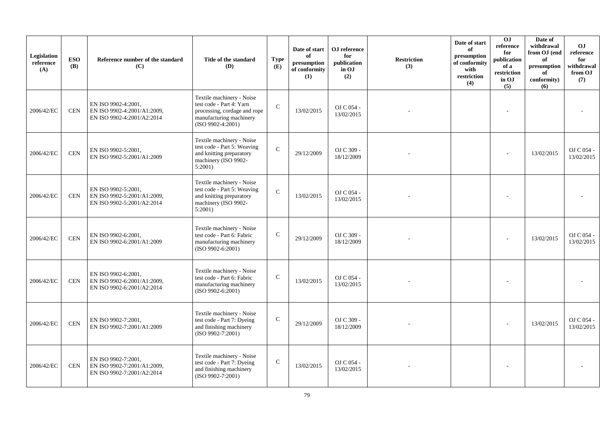| Legislation<br>reference<br>(A) | <b>ESO</b><br><b>(B)</b> | Reference number of the standard<br>(C)                                          | Title of the standard<br><b>(D)</b>                                                                                                     | <b>Type</b><br>(E) | Date of start<br>of<br>presumption<br>of conformity<br>(1) | OJ reference<br>for<br>publication<br>in OJ<br>(2) | <b>Restriction</b><br>(3) | Date of start<br>of<br>presumption<br>of conformity<br>with<br>restriction<br>(4) | O <sub>J</sub><br>reference<br>for<br>publication<br>of a<br>restriction<br>in OJ<br>(5) | Date of<br>withdrawal<br>from OJ (end<br>of<br>presumption<br>of<br>conformity)<br>(6) | O <sub>J</sub><br>reference<br>for<br>withdrawal<br>from OJ<br>(7) |
|---------------------------------|--------------------------|----------------------------------------------------------------------------------|-----------------------------------------------------------------------------------------------------------------------------------------|--------------------|------------------------------------------------------------|----------------------------------------------------|---------------------------|-----------------------------------------------------------------------------------|------------------------------------------------------------------------------------------|----------------------------------------------------------------------------------------|--------------------------------------------------------------------|
| 2006/42/EC                      | <b>CEN</b>               | EN ISO 9902-4:2001,<br>EN ISO 9902-4:2001/A1:2009,<br>EN ISO 9902-4:2001/A2:2014 | Textile machinery - Noise<br>test code - Part 4: Yarn<br>processing, cordage and rope<br>manufacturing machinery<br>$(ISO 9902-4:2001)$ | $\mathcal{C}$      | 13/02/2015                                                 | OJ C 054 -<br>13/02/2015                           |                           |                                                                                   |                                                                                          |                                                                                        |                                                                    |
| 2006/42/EC                      | $\mbox{CEN}$             | EN ISO 9902-5:2001.<br>EN ISO 9902-5:2001/A1:2009                                | Textile machinery - Noise<br>test code - Part 5: Weaving<br>and knitting preparatory<br>machinery (ISO 9902-<br>5:2001                  | $\mathcal{C}$      | 29/12/2009                                                 | OJ C 309 -<br>18/12/2009                           |                           |                                                                                   |                                                                                          | 13/02/2015                                                                             | OJ C 054 -<br>13/02/2015                                           |
| 2006/42/EC                      | <b>CEN</b>               | EN ISO 9902-5:2001,<br>EN ISO 9902-5:2001/A1:2009,<br>EN ISO 9902-5:2001/A2:2014 | Textile machinery - Noise<br>test code - Part 5: Weaving<br>and knitting preparatory<br>machinery (ISO 9902-<br>5:2001)                 | $\mathcal{C}$      | 13/02/2015                                                 | OJ C 054 -<br>13/02/2015                           |                           |                                                                                   |                                                                                          |                                                                                        |                                                                    |
| 2006/42/EC                      | <b>CEN</b>               | EN ISO 9902-6:2001,<br>EN ISO 9902-6:2001/A1:2009                                | Textile machinery - Noise<br>test code - Part 6: Fabric<br>manufacturing machinery<br>$(ISO 9902-6:2001)$                               | $\mathbf C$        | 29/12/2009                                                 | OJ C 309 -<br>18/12/2009                           |                           |                                                                                   |                                                                                          | 13/02/2015                                                                             | OJ C 054 -<br>13/02/2015                                           |
| 2006/42/EC                      | <b>CEN</b>               | EN ISO 9902-6:2001,<br>EN ISO 9902-6:2001/A1:2009,<br>EN ISO 9902-6:2001/A2:2014 | Textile machinery - Noise<br>test code - Part 6: Fabric<br>manufacturing machinery<br>$(ISO 9902-6:2001)$                               | $\mathcal{C}$      | 13/02/2015                                                 | OJ C 054 -<br>13/02/2015                           |                           |                                                                                   |                                                                                          |                                                                                        |                                                                    |
| 2006/42/EC                      | <b>CEN</b>               | EN ISO 9902-7:2001,<br>EN ISO 9902-7:2001/A1:2009                                | Textile machinery - Noise<br>test code - Part 7: Dyeing<br>and finishing machinery<br>$(ISO 9902 - 7:2001)$                             | $\mathbf C$        | 29/12/2009                                                 | OJ C 309 -<br>18/12/2009                           |                           |                                                                                   |                                                                                          | 13/02/2015                                                                             | OJ C 054 -<br>13/02/2015                                           |
| 2006/42/EC                      | <b>CEN</b>               | EN ISO 9902-7:2001,<br>EN ISO 9902-7:2001/A1:2009,<br>EN ISO 9902-7:2001/A2:2014 | Textile machinery - Noise<br>test code - Part 7: Dyeing<br>and finishing machinery<br>$(ISO 9902 - 7:2001)$                             | $\mathbf C$        | 13/02/2015                                                 | OJ C 054 -<br>13/02/2015                           |                           |                                                                                   |                                                                                          |                                                                                        |                                                                    |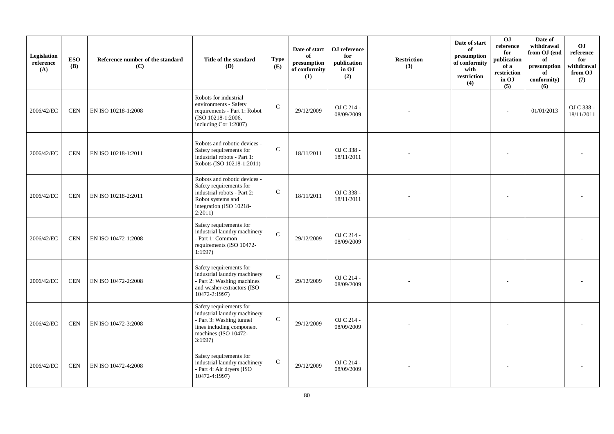| Legislation<br>reference<br>(A) | <b>ESO</b><br><b>(B)</b> | Reference number of the standard<br>(C) | Title of the standard<br>(D)                                                                                                                       | <b>Type</b><br>(E) | Date of start<br>of<br>presumption<br>of conformity<br>(1) | OJ reference<br>for<br>publication<br>in OJ<br>(2) | <b>Restriction</b><br>(3) | Date of start<br>of<br>presumption<br>of conformity<br>with<br>restriction<br>(4) | 0J<br>reference<br>for<br>publication<br>of a<br>restriction<br>in OJ<br>(5) | Date of<br>withdrawal<br>from OJ (end<br>of<br>presumption<br>of<br>conformity)<br>(6) | O <sub>J</sub><br>reference<br>for<br>withdrawal<br>from OJ<br>(7) |
|---------------------------------|--------------------------|-----------------------------------------|----------------------------------------------------------------------------------------------------------------------------------------------------|--------------------|------------------------------------------------------------|----------------------------------------------------|---------------------------|-----------------------------------------------------------------------------------|------------------------------------------------------------------------------|----------------------------------------------------------------------------------------|--------------------------------------------------------------------|
| 2006/42/EC                      | <b>CEN</b>               | EN ISO 10218-1:2008                     | Robots for industrial<br>environments - Safety<br>requirements - Part 1: Robot<br>(ISO 10218-1:2006,<br>including Cor 1:2007)                      | $\mathsf{C}$       | 29/12/2009                                                 | OJ C 214 -<br>08/09/2009                           |                           |                                                                                   | ÷                                                                            | 01/01/2013                                                                             | OJ C 338 -<br>18/11/2011                                           |
| 2006/42/EC                      | <b>CEN</b>               | EN ISO 10218-1:2011                     | Robots and robotic devices -<br>Safety requirements for<br>industrial robots - Part 1:<br>Robots (ISO 10218-1:2011)                                | $\mathbf C$        | 18/11/2011                                                 | OJ C 338 -<br>18/11/2011                           |                           |                                                                                   |                                                                              |                                                                                        |                                                                    |
| 2006/42/EC                      | <b>CEN</b>               | EN ISO 10218-2:2011                     | Robots and robotic devices -<br>Safety requirements for<br>industrial robots - Part 2:<br>Robot systems and<br>integration (ISO 10218-<br>2:2011)  | $\mathbf C$        | 18/11/2011                                                 | OJ C 338 -<br>18/11/2011                           |                           |                                                                                   |                                                                              |                                                                                        |                                                                    |
| 2006/42/EC                      | <b>CEN</b>               | EN ISO 10472-1:2008                     | Safety requirements for<br>industrial laundry machinery<br>- Part 1: Common<br>requirements (ISO 10472-<br>1:1997                                  | $\mathbf{C}$       | 29/12/2009                                                 | OJ C 214 -<br>08/09/2009                           |                           |                                                                                   |                                                                              |                                                                                        |                                                                    |
| 2006/42/EC                      | <b>CEN</b>               | EN ISO 10472-2:2008                     | Safety requirements for<br>industrial laundry machinery<br>- Part 2: Washing machines<br>and washer-extractors (ISO<br>10472-2:1997)               | $\mathbf{C}$       | 29/12/2009                                                 | OJ C 214 -<br>08/09/2009                           |                           |                                                                                   |                                                                              |                                                                                        |                                                                    |
| 2006/42/EC                      | <b>CEN</b>               | EN ISO 10472-3:2008                     | Safety requirements for<br>industrial laundry machinery<br>- Part 3: Washing tunnel<br>lines including component<br>machines (ISO 10472-<br>3:1997 | $\mathbf C$        | 29/12/2009                                                 | OJ C 214 -<br>08/09/2009                           |                           |                                                                                   |                                                                              |                                                                                        |                                                                    |
| 2006/42/EC                      | <b>CEN</b>               | EN ISO 10472-4:2008                     | Safety requirements for<br>industrial laundry machinery<br>- Part 4: Air dryers (ISO<br>10472-4:1997)                                              | $\mathbf C$        | 29/12/2009                                                 | OJ C 214 -<br>08/09/2009                           |                           |                                                                                   |                                                                              |                                                                                        |                                                                    |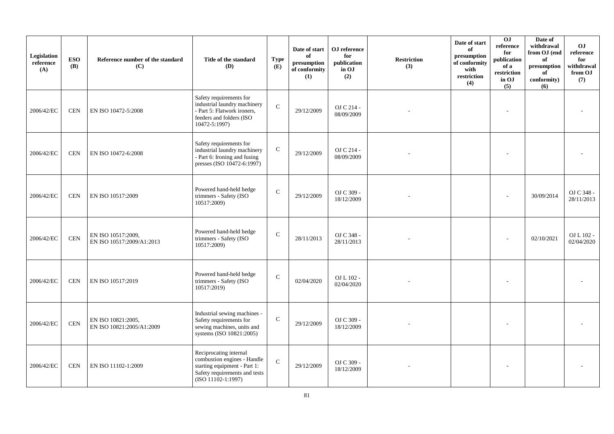| Legislation<br>reference<br>(A) | <b>ESO</b><br><b>(B)</b>    | Reference number of the standard<br>(C)         | Title of the standard<br>(D)                                                                                                                   | <b>Type</b><br>(E) | Date of start<br>of<br>$\bf{presumption}$<br>of conformity<br>(1) | OJ reference<br>for<br>publication<br>in OJ<br>(2) | <b>Restriction</b><br>(3) | Date of start<br>of<br>presumption<br>of conformity<br>with<br>restriction<br>(4) | OJ<br>$\rm reference$<br>for<br>publication<br>of a<br>restriction<br>in OJ<br>(5) | Date of<br>withdrawal<br>from OJ (end<br>of<br>presumption<br>of<br>conformity)<br>(6) | <b>OJ</b><br>reference<br>for<br>withdrawal<br>from OJ<br>(7) |
|---------------------------------|-----------------------------|-------------------------------------------------|------------------------------------------------------------------------------------------------------------------------------------------------|--------------------|-------------------------------------------------------------------|----------------------------------------------------|---------------------------|-----------------------------------------------------------------------------------|------------------------------------------------------------------------------------|----------------------------------------------------------------------------------------|---------------------------------------------------------------|
| 2006/42/EC                      | <b>CEN</b>                  | EN ISO 10472-5:2008                             | Safety requirements for<br>industrial laundry machinery<br>- Part 5: Flatwork ironers,<br>feeders and folders (ISO<br>10472-5:1997)            | $\mathbf C$        | 29/12/2009                                                        | OJ C 214 -<br>08/09/2009                           |                           |                                                                                   |                                                                                    |                                                                                        |                                                               |
| 2006/42/EC                      | <b>CEN</b>                  | EN ISO 10472-6:2008                             | Safety requirements for<br>industrial laundry machinery<br>- Part 6: Ironing and fusing<br>presses (ISO 10472-6:1997)                          | ${\bf C}$          | 29/12/2009                                                        | OJ C 214 -<br>08/09/2009                           |                           |                                                                                   |                                                                                    |                                                                                        |                                                               |
| 2006/42/EC                      | <b>CEN</b>                  | EN ISO 10517:2009                               | Powered hand-held hedge<br>trimmers - Safety (ISO<br>10517:2009)                                                                               | $\mathbf C$        | 29/12/2009                                                        | OJ C 309 -<br>18/12/2009                           |                           |                                                                                   |                                                                                    | 30/09/2014                                                                             | OJ C 348 -<br>28/11/2013                                      |
| 2006/42/EC                      | $\mbox{CEN}$                | EN ISO 10517:2009,<br>EN ISO 10517:2009/A1:2013 | Powered hand-held hedge<br>trimmers - Safety (ISO<br>10517:2009)                                                                               | $\mathsf{C}$       | 28/11/2013                                                        | OJ C 348 -<br>28/11/2013                           |                           |                                                                                   |                                                                                    | 02/10/2021                                                                             | OJ L 102 -<br>02/04/2020                                      |
| 2006/42/EC                      | <b>CEN</b>                  | EN ISO 10517:2019                               | Powered hand-held hedge<br>trimmers - Safety (ISO<br>10517:2019)                                                                               | $\mathsf{C}$       | 02/04/2020                                                        | OJ L 102 -<br>02/04/2020                           |                           |                                                                                   |                                                                                    |                                                                                        |                                                               |
| 2006/42/EC                      | $\ensuremath{\mathrm{CEN}}$ | EN ISO 10821:2005,<br>EN ISO 10821:2005/A1:2009 | Industrial sewing machines -<br>Safety requirements for<br>sewing machines, units and<br>systems (ISO 10821:2005)                              | $\mathbf C$        | 29/12/2009                                                        | OJ C 309 -<br>18/12/2009                           |                           |                                                                                   |                                                                                    |                                                                                        |                                                               |
| 2006/42/EC                      | <b>CEN</b>                  | EN ISO 11102-1:2009                             | Reciprocating internal<br>combustion engines - Handle<br>starting equipment - Part 1:<br>Safety requirements and tests<br>$(ISO 11102-1:1997)$ | $\mathbf C$        | 29/12/2009                                                        | OJ C 309 -<br>18/12/2009                           |                           |                                                                                   |                                                                                    |                                                                                        |                                                               |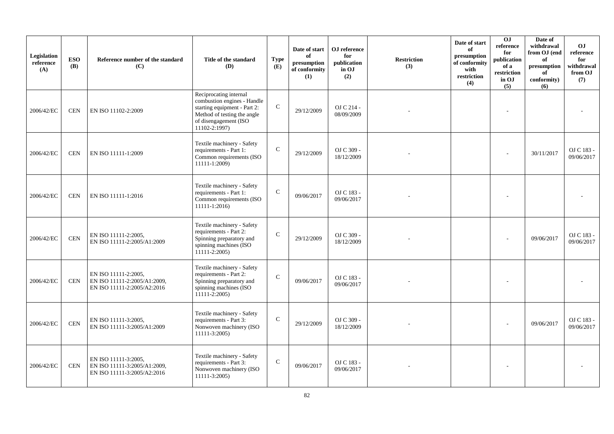| Legislation<br>reference<br>(A) | <b>ESO</b><br><b>(B)</b> | Reference number of the standard<br>(C)                                             | Title of the standard<br><b>(D)</b>                                                                                                                            | <b>Type</b><br>(E) | Date of start<br>of<br>presumption<br>of conformity<br>(1) | ${\bf OJ}$ reference<br>for<br>publication<br>in OJ<br>(2) | <b>Restriction</b><br>(3) | Date of start<br>of<br>presumption<br>of conformity<br>with<br>restriction<br>(4) | 0J<br>reference<br>for<br>publication<br>of a<br>restriction<br>in OJ<br>(5) | Date of<br>withdrawal<br>from OJ (end<br>of<br>presumption<br>of<br>conformity)<br>(6) | <b>OJ</b><br>reference<br>for<br>withdrawal<br>from OJ<br>(7) |
|---------------------------------|--------------------------|-------------------------------------------------------------------------------------|----------------------------------------------------------------------------------------------------------------------------------------------------------------|--------------------|------------------------------------------------------------|------------------------------------------------------------|---------------------------|-----------------------------------------------------------------------------------|------------------------------------------------------------------------------|----------------------------------------------------------------------------------------|---------------------------------------------------------------|
| 2006/42/EC                      | <b>CEN</b>               | EN ISO 11102-2:2009                                                                 | Reciprocating internal<br>combustion engines - Handle<br>starting equipment - Part 2:<br>Method of testing the angle<br>of disengagement (ISO<br>11102-2:1997) | $\mathsf{C}$       | 29/12/2009                                                 | OJ C 214 -<br>08/09/2009                                   |                           |                                                                                   |                                                                              |                                                                                        |                                                               |
| 2006/42/EC                      | <b>CEN</b>               | EN ISO 11111-1:2009                                                                 | Textile machinery - Safety<br>requirements - Part 1:<br>Common requirements (ISO<br>$11111-1:2009$                                                             | $\mathbf C$        | 29/12/2009                                                 | OJ C 309 -<br>18/12/2009                                   |                           |                                                                                   |                                                                              | 30/11/2017                                                                             | OJ C 183 -<br>09/06/2017                                      |
| 2006/42/EC                      | <b>CEN</b>               | EN ISO 11111-1:2016                                                                 | Textile machinery - Safety<br>requirements - Part 1:<br>Common requirements (ISO<br>11111-1:2016)                                                              | ${\bf C}$          | 09/06/2017                                                 | OJ C 183 -<br>09/06/2017                                   |                           |                                                                                   |                                                                              |                                                                                        |                                                               |
| 2006/42/EC                      | <b>CEN</b>               | EN ISO 11111-2:2005,<br>EN ISO 11111-2:2005/A1:2009                                 | Textile machinery - Safety<br>requirements - Part 2:<br>Spinning preparatory and<br>spinning machines (ISO<br>11111-2:2005)                                    | ${\bf C}$          | 29/12/2009                                                 | OJ C 309 -<br>18/12/2009                                   |                           |                                                                                   |                                                                              | 09/06/2017                                                                             | OJ C 183 -<br>09/06/2017                                      |
| 2006/42/EC                      | $\mbox{CEN}$             | EN ISO 11111-2:2005,<br>EN ISO 11111-2:2005/A1:2009,<br>EN ISO 11111-2:2005/A2:2016 | Textile machinery - Safety<br>requirements - Part 2:<br>Spinning preparatory and<br>spinning machines (ISO<br>$11111 - 2:2005$                                 | $\mathcal{C}$      | 09/06/2017                                                 | OJ C 183 -<br>09/06/2017                                   |                           |                                                                                   |                                                                              |                                                                                        |                                                               |
| 2006/42/EC                      | $\mbox{CEN}$             | EN ISO 11111-3:2005,<br>EN ISO 11111-3:2005/A1:2009                                 | Textile machinery - Safety<br>requirements - Part 3:<br>Nonwoven machinery (ISO<br>11111-3:2005)                                                               | ${\bf C}$          | 29/12/2009                                                 | OJ C 309 -<br>18/12/2009                                   |                           |                                                                                   |                                                                              | 09/06/2017                                                                             | OJ C 183 -<br>09/06/2017                                      |
| 2006/42/EC                      | $\mbox{CEN}$             | EN ISO 11111-3:2005,<br>EN ISO 11111-3:2005/A1:2009,<br>EN ISO 11111-3:2005/A2:2016 | Textile machinery - Safety<br>requirements - Part 3:<br>Nonwoven machinery (ISO<br>11111-3:2005)                                                               | $\mathbf C$        | 09/06/2017                                                 | OJ C 183 -<br>09/06/2017                                   |                           |                                                                                   |                                                                              |                                                                                        |                                                               |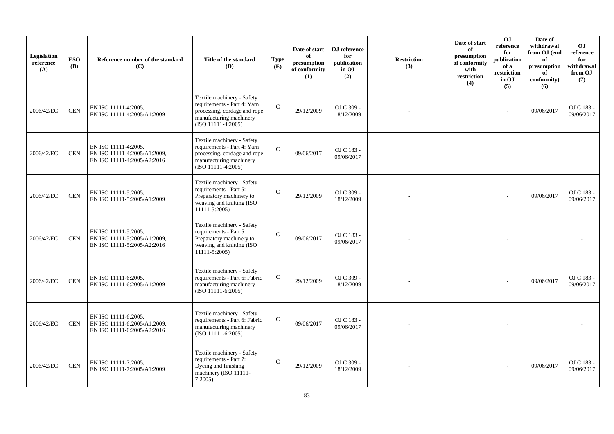| Legislation<br>reference<br>(A) | <b>ESO</b><br><b>(B)</b> | Reference number of the standard<br>(C)                                             | Title of the standard<br><b>(D)</b>                                                                                                          | <b>Type</b><br>(E) | Date of start<br>of<br>presumption<br>of conformity<br>(1) | ${\bf OJ}$ reference<br>for<br>publication<br>in OJ<br>(2) | <b>Restriction</b><br>(3) | Date of start<br>of<br>presumption<br>of conformity<br>with<br>restriction<br>(4) | <b>OJ</b><br>reference<br>for<br>publication<br>of a<br>restriction<br>in OJ<br>(5) | Date of<br>withdrawal<br>from OJ (end<br>of<br>presumption<br>of<br>conformity)<br>(6) | <b>OJ</b><br>reference<br>for<br>withdrawal<br>from OJ<br>(7) |
|---------------------------------|--------------------------|-------------------------------------------------------------------------------------|----------------------------------------------------------------------------------------------------------------------------------------------|--------------------|------------------------------------------------------------|------------------------------------------------------------|---------------------------|-----------------------------------------------------------------------------------|-------------------------------------------------------------------------------------|----------------------------------------------------------------------------------------|---------------------------------------------------------------|
| 2006/42/EC                      | $\mbox{CEN}$             | EN ISO 11111-4:2005,<br>EN ISO 11111-4:2005/A1:2009                                 | Textile machinery - Safety<br>requirements - Part 4: Yarn<br>processing, cordage and rope<br>manufacturing machinery<br>$(ISO 11111-4:2005)$ | $\mathcal{C}$      | 29/12/2009                                                 | OJ C 309 -<br>18/12/2009                                   |                           |                                                                                   |                                                                                     | 09/06/2017                                                                             | OJ C 183 -<br>09/06/2017                                      |
| 2006/42/EC                      | <b>CEN</b>               | EN ISO 11111-4:2005,<br>EN ISO 11111-4:2005/A1:2009,<br>EN ISO 11111-4:2005/A2:2016 | Textile machinery - Safety<br>requirements - Part 4: Yarn<br>processing, cordage and rope<br>manufacturing machinery<br>$(ISO 11111-4:2005)$ | $\mathcal{C}$      | 09/06/2017                                                 | OJ C 183 -<br>09/06/2017                                   |                           |                                                                                   |                                                                                     |                                                                                        |                                                               |
| 2006/42/EC                      | $\mbox{CEN}$             | EN ISO 11111-5:2005,<br>EN ISO 11111-5:2005/A1:2009                                 | Textile machinery - Safety<br>requirements - Part 5:<br>Preparatory machinery to<br>weaving and knitting (ISO<br>$11111 - 5:2005$            | $\mathcal{C}$      | 29/12/2009                                                 | OJ C 309 -<br>18/12/2009                                   |                           |                                                                                   |                                                                                     | 09/06/2017                                                                             | OJ C 183 -<br>09/06/2017                                      |
| 2006/42/EC                      | <b>CEN</b>               | EN ISO 11111-5:2005,<br>EN ISO 11111-5:2005/A1:2009,<br>EN ISO 11111-5:2005/A2:2016 | Textile machinery - Safety<br>requirements - Part 5:<br>Preparatory machinery to<br>weaving and knitting (ISO<br>11111-5:2005)               | ${\bf C}$          | 09/06/2017                                                 | OJ C 183 -<br>09/06/2017                                   |                           |                                                                                   |                                                                                     |                                                                                        |                                                               |
| 2006/42/EC                      | $\mbox{CEN}$             | EN ISO 11111-6:2005,<br>EN ISO 11111-6:2005/A1:2009                                 | Textile machinery - Safety<br>requirements - Part 6: Fabric<br>manufacturing machinery<br>$(ISO 11111-6:2005)$                               | ${\bf C}$          | 29/12/2009                                                 | OJ C 309 -<br>18/12/2009                                   |                           |                                                                                   |                                                                                     | 09/06/2017                                                                             | OJ C 183 -<br>09/06/2017                                      |
| 2006/42/EC                      | CEN                      | EN ISO 11111-6:2005,<br>EN ISO 11111-6:2005/A1:2009,<br>EN ISO 11111-6:2005/A2:2016 | Textile machinery - Safety<br>requirements - Part 6: Fabric<br>manufacturing machinery<br>$(ISO 11111-6:2005)$                               | ${\bf C}$          | 09/06/2017                                                 | OJ C 183 -<br>09/06/2017                                   |                           |                                                                                   |                                                                                     |                                                                                        |                                                               |
| 2006/42/EC                      | $\mbox{CEN}$             | EN ISO 11111-7:2005,<br>EN ISO 11111-7:2005/A1:2009                                 | Textile machinery - Safety<br>requirements - Part 7:<br>Dyeing and finishing<br>machinery (ISO 11111-<br>7:2005                              | $\mathcal{C}$      | 29/12/2009                                                 | OJ C 309 -<br>18/12/2009                                   |                           |                                                                                   |                                                                                     | 09/06/2017                                                                             | OJ C 183 -<br>09/06/2017                                      |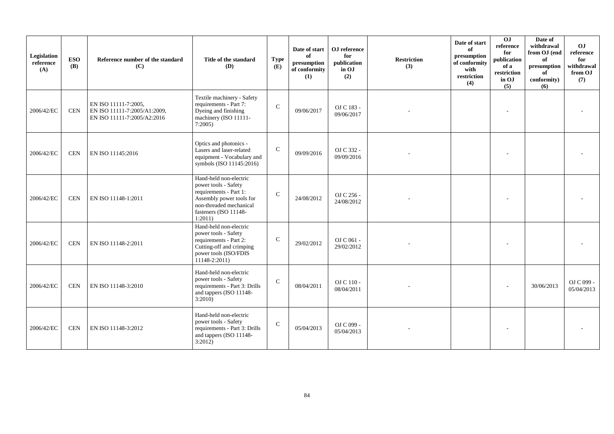| Legislation<br>reference<br>(A) | <b>ESO</b><br><b>(B)</b> | Reference number of the standard<br>(C)                                             | Title of the standard<br>(D)                                                                                                                                        | <b>Type</b><br>(E) | Date of start<br>of<br>presumption<br>of conformity<br>(1) | OJ reference<br>for<br>publication<br>in OJ<br>(2) | <b>Restriction</b><br>(3) | Date of start<br>of<br>presumption<br>of conformity<br>with<br>restriction<br>(4) | $\overline{0}$<br>reference<br>for<br>publication<br>of a<br>restriction<br>in OJ<br>(5) | Date of<br>withdrawal<br>from OJ (end<br>of<br>presumption<br>of<br>conformity)<br>(6) | OJ<br>reference<br>for<br>withdrawal<br>from OJ<br>(7) |
|---------------------------------|--------------------------|-------------------------------------------------------------------------------------|---------------------------------------------------------------------------------------------------------------------------------------------------------------------|--------------------|------------------------------------------------------------|----------------------------------------------------|---------------------------|-----------------------------------------------------------------------------------|------------------------------------------------------------------------------------------|----------------------------------------------------------------------------------------|--------------------------------------------------------|
| 2006/42/EC                      | <b>CEN</b>               | EN ISO 11111-7:2005,<br>EN ISO 11111-7:2005/A1:2009,<br>EN ISO 11111-7:2005/A2:2016 | Textile machinery - Safety<br>requirements - Part 7:<br>Dyeing and finishing<br>machinery (ISO 11111-<br>7:2005                                                     | $\mathsf{C}$       | 09/06/2017                                                 | OJ C 183 -<br>09/06/2017                           |                           |                                                                                   |                                                                                          |                                                                                        |                                                        |
| 2006/42/EC                      | <b>CEN</b>               | EN ISO 11145:2016                                                                   | Optics and photonics -<br>Lasers and laser-related<br>equipment - Vocabulary and<br>symbols (ISO 11145:2016)                                                        | $\mathsf{C}$       | 09/09/2016                                                 | OJ C 332 -<br>09/09/2016                           |                           |                                                                                   |                                                                                          |                                                                                        |                                                        |
| 2006/42/EC                      | <b>CEN</b>               | EN ISO 11148-1:2011                                                                 | Hand-held non-electric<br>power tools - Safety<br>requirements - Part 1:<br>Assembly power tools for<br>non-threaded mechanical<br>fasteners (ISO 11148-<br>1:2011) | $\mathsf{C}$       | 24/08/2012                                                 | OJ C 256 -<br>24/08/2012                           |                           |                                                                                   |                                                                                          |                                                                                        |                                                        |
| 2006/42/EC                      | <b>CEN</b>               | EN ISO 11148-2:2011                                                                 | Hand-held non-electric<br>power tools - Safety<br>requirements - Part 2:<br>Cutting-off and crimping<br>power tools (ISO/FDIS<br>$11148 - 2:2011$                   | $\mathbf C$        | 29/02/2012                                                 | OJ C 061 -<br>29/02/2012                           |                           |                                                                                   |                                                                                          |                                                                                        |                                                        |
| 2006/42/EC                      | <b>CEN</b>               | EN ISO 11148-3:2010                                                                 | Hand-held non-electric<br>power tools - Safety<br>requirements - Part 3: Drills<br>and tappers (ISO 11148-<br>3:2010                                                | $\mathsf{C}$       | 08/04/2011                                                 | OJ C 110 -<br>08/04/2011                           |                           |                                                                                   |                                                                                          | 30/06/2013                                                                             | OJ C 099 -<br>05/04/2013                               |
| 2006/42/EC                      | <b>CEN</b>               | EN ISO 11148-3:2012                                                                 | Hand-held non-electric<br>power tools - Safety<br>requirements - Part 3: Drills<br>and tappers (ISO 11148-<br>3:2012)                                               | $\mathsf{C}$       | 05/04/2013                                                 | OJ C 099 -<br>05/04/2013                           |                           |                                                                                   |                                                                                          |                                                                                        |                                                        |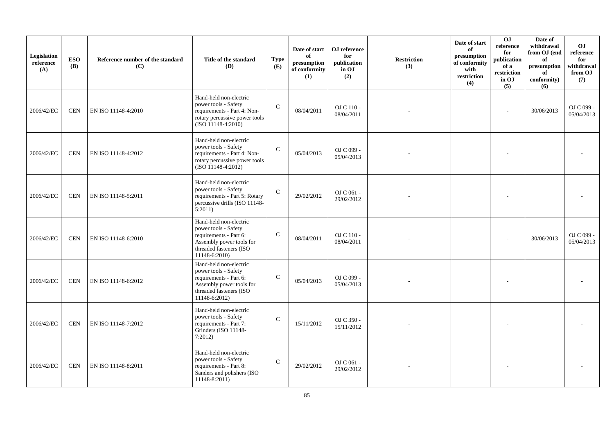| Legislation<br>reference<br>(A) | <b>ESO</b><br><b>(B)</b> | Reference number of the standard<br>(C) | Title of the standard<br>(D)                                                                                                                     | <b>Type</b><br>(E) | Date of start<br>of<br>presumption<br>of conformity<br>(1) | OJ reference<br>for<br>publication<br>in OJ<br>(2) | <b>Restriction</b><br>(3) | Date of start<br>of<br>presumption<br>of conformity<br>with<br>restriction<br>(4) | O <sub>J</sub><br>reference<br>for<br>publication<br>of a<br>restriction<br>in OJ<br>(5) | Date of<br>withdrawal<br>from OJ (end<br>of<br>presumption<br>of<br>conformity)<br>(6) | <b>OJ</b><br>reference<br>for<br>withdrawal<br>from OJ<br>(7) |
|---------------------------------|--------------------------|-----------------------------------------|--------------------------------------------------------------------------------------------------------------------------------------------------|--------------------|------------------------------------------------------------|----------------------------------------------------|---------------------------|-----------------------------------------------------------------------------------|------------------------------------------------------------------------------------------|----------------------------------------------------------------------------------------|---------------------------------------------------------------|
| 2006/42/EC                      | <b>CEN</b>               | EN ISO 11148-4:2010                     | Hand-held non-electric<br>power tools - Safety<br>requirements - Part 4: Non-<br>rotary percussive power tools<br>$(ISO 11148-4:2010)$           | $\mathbf C$        | 08/04/2011                                                 | OJ C 110 -<br>08/04/2011                           |                           |                                                                                   |                                                                                          | 30/06/2013                                                                             | OJ C 099 -<br>05/04/2013                                      |
| 2006/42/EC                      | <b>CEN</b>               | EN ISO 11148-4:2012                     | Hand-held non-electric<br>power tools - Safety<br>requirements - Part 4: Non-<br>rotary percussive power tools<br>(ISO 11148-4:2012)             | $\mathbf C$        | 05/04/2013                                                 | OJ C 099 -<br>05/04/2013                           |                           |                                                                                   |                                                                                          |                                                                                        |                                                               |
| 2006/42/EC                      | <b>CEN</b>               | EN ISO 11148-5:2011                     | Hand-held non-electric<br>power tools - Safety<br>requirements - Part 5: Rotary<br>percussive drills (ISO 11148-<br>5:2011)                      | $\mathcal{C}$      | 29/02/2012                                                 | OJ C 061 -<br>29/02/2012                           |                           |                                                                                   |                                                                                          |                                                                                        |                                                               |
| 2006/42/EC                      | <b>CEN</b>               | EN ISO 11148-6:2010                     | Hand-held non-electric<br>power tools - Safety<br>requirements - Part 6:<br>Assembly power tools for<br>threaded fasteners (ISO<br>11148-6:2010) | $\mathcal{C}$      | 08/04/2011                                                 | OJ C 110 -<br>08/04/2011                           |                           |                                                                                   |                                                                                          | 30/06/2013                                                                             | OJ C 099 -<br>05/04/2013                                      |
| 2006/42/EC                      | <b>CEN</b>               | EN ISO 11148-6:2012                     | Hand-held non-electric<br>power tools - Safety<br>requirements - Part 6:<br>Assembly power tools for<br>threaded fasteners (ISO<br>11148-6:2012) | $\mathsf{C}$       | 05/04/2013                                                 | OJ C 099 -<br>05/04/2013                           |                           |                                                                                   |                                                                                          |                                                                                        |                                                               |
| 2006/42/EC                      | <b>CEN</b>               | EN ISO 11148-7:2012                     | Hand-held non-electric<br>power tools - Safety<br>requirements - Part 7:<br>Grinders (ISO 11148-<br>7:2012                                       | $\mathbf C$        | 15/11/2012                                                 | OJ C 350 -<br>15/11/2012                           |                           |                                                                                   |                                                                                          |                                                                                        |                                                               |
| 2006/42/EC                      | <b>CEN</b>               | EN ISO 11148-8:2011                     | Hand-held non-electric<br>power tools - Safety<br>requirements - Part 8:<br>Sanders and polishers (ISO<br>$11148 - 8:2011$                       | $\mathcal{C}$      | 29/02/2012                                                 | OJ C 061 -<br>29/02/2012                           |                           |                                                                                   |                                                                                          |                                                                                        |                                                               |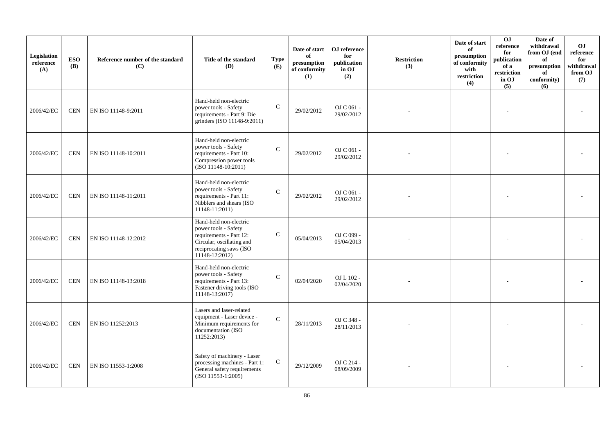| Legislation<br>reference<br>(A) | <b>ESO</b><br><b>(B)</b> | Reference number of the standard<br>(C) | Title of the standard<br>(D)                                                                                                                        | <b>Type</b><br>(E) | Date of start<br>of<br>presumption<br>of conformity<br>(1) | OJ reference<br>for<br>publication<br>in OJ<br>(2) | <b>Restriction</b><br>(3) | Date of start<br>of<br>presumption<br>of conformity<br>with<br>restriction<br>(4) | 0J<br>reference<br>for<br>publication<br>of a<br>restriction<br>in OJ<br>(5) | Date of<br>withdrawal<br>from OJ (end<br>of<br>presumption<br>of<br>conformity)<br>(6) | <b>OJ</b><br>reference<br>for<br>withdrawal<br>from OJ<br>(7) |
|---------------------------------|--------------------------|-----------------------------------------|-----------------------------------------------------------------------------------------------------------------------------------------------------|--------------------|------------------------------------------------------------|----------------------------------------------------|---------------------------|-----------------------------------------------------------------------------------|------------------------------------------------------------------------------|----------------------------------------------------------------------------------------|---------------------------------------------------------------|
| 2006/42/EC                      | <b>CEN</b>               | EN ISO 11148-9:2011                     | Hand-held non-electric<br>power tools - Safety<br>requirements - Part 9: Die<br>grinders (ISO 11148-9:2011)                                         | $\mathcal{C}$      | 29/02/2012                                                 | OJ C 061 -<br>29/02/2012                           |                           |                                                                                   |                                                                              |                                                                                        |                                                               |
| 2006/42/EC                      | <b>CEN</b>               | EN ISO 11148-10:2011                    | Hand-held non-electric<br>power tools - Safety<br>requirements - Part 10:<br>Compression power tools<br>$(ISO 11148-10:2011)$                       | $\mathcal{C}$      | 29/02/2012                                                 | OJ C 061 -<br>29/02/2012                           |                           |                                                                                   |                                                                              |                                                                                        |                                                               |
| 2006/42/EC                      | <b>CEN</b>               | EN ISO 11148-11:2011                    | Hand-held non-electric<br>power tools - Safety<br>requirements - Part 11:<br>Nibblers and shears (ISO<br>11148-11:2011)                             | $\mathcal{C}$      | 29/02/2012                                                 | OJ C 061 -<br>29/02/2012                           |                           |                                                                                   |                                                                              |                                                                                        |                                                               |
| 2006/42/EC                      | <b>CEN</b>               | EN ISO 11148-12:2012                    | Hand-held non-electric<br>power tools - Safety<br>requirements - Part 12:<br>Circular, oscillating and<br>reciprocating saws (ISO<br>11148-12:2012) | $\mathbf C$        | 05/04/2013                                                 | OJ C 099 -<br>05/04/2013                           |                           |                                                                                   |                                                                              |                                                                                        |                                                               |
| 2006/42/EC                      | <b>CEN</b>               | EN ISO 11148-13:2018                    | Hand-held non-electric<br>power tools - Safety<br>requirements - Part 13:<br>Fastener driving tools (ISO<br>11148-13:2017)                          | $\mathcal{C}$      | 02/04/2020                                                 | OJ L 102 -<br>02/04/2020                           |                           |                                                                                   |                                                                              |                                                                                        |                                                               |
| 2006/42/EC                      | <b>CEN</b>               | EN ISO 11252:2013                       | Lasers and laser-related<br>equipment - Laser device -<br>Minimum requirements for<br>documentation (ISO<br>11252:2013)                             | $\mathsf{C}$       | 28/11/2013                                                 | OJ C 348 -<br>28/11/2013                           |                           |                                                                                   |                                                                              |                                                                                        |                                                               |
| 2006/42/EC                      | <b>CEN</b>               | EN ISO 11553-1:2008                     | Safety of machinery - Laser<br>processing machines - Part 1:<br>General safety requirements<br>$(ISO 11553-1:2005)$                                 | $\mathbf C$        | 29/12/2009                                                 | OJ C 214 -<br>08/09/2009                           |                           |                                                                                   |                                                                              |                                                                                        |                                                               |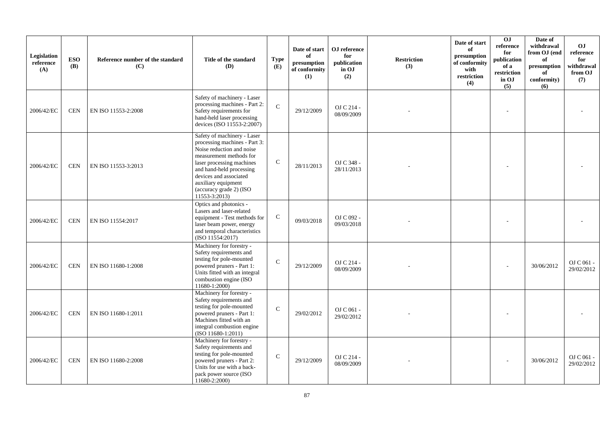| Legislation<br>reference<br>(A) | <b>ESO</b><br><b>(B)</b> | Reference number of the standard<br>(C) | Title of the standard<br>(D)                                                                                                                                                                                                                                               | <b>Type</b><br>(E) | Date of start<br>of<br>presumption<br>of conformity<br>(1) | OJ reference<br>for<br>publication<br>in OJ<br>(2) | <b>Restriction</b><br>(3) | Date of start<br>of<br>presumption<br>of conformity<br>with<br>restriction<br>(4) | $\overline{0}$<br>reference<br>for<br>publication<br>of a<br>restriction<br>in OJ<br>(5) | Date of<br>withdrawal<br>from OJ (end<br>of<br>presumption<br>of<br>conformity)<br>(6) | <b>OJ</b><br>reference<br>for<br>withdrawal<br>from OJ<br>(7) |
|---------------------------------|--------------------------|-----------------------------------------|----------------------------------------------------------------------------------------------------------------------------------------------------------------------------------------------------------------------------------------------------------------------------|--------------------|------------------------------------------------------------|----------------------------------------------------|---------------------------|-----------------------------------------------------------------------------------|------------------------------------------------------------------------------------------|----------------------------------------------------------------------------------------|---------------------------------------------------------------|
| 2006/42/EC                      | <b>CEN</b>               | EN ISO 11553-2:2008                     | Safety of machinery - Laser<br>processing machines - Part 2:<br>Safety requirements for<br>hand-held laser processing<br>devices (ISO 11553-2:2007)                                                                                                                        | $\mathcal{C}$      | 29/12/2009                                                 | OJ C 214 -<br>08/09/2009                           |                           |                                                                                   |                                                                                          |                                                                                        |                                                               |
| 2006/42/EC                      | <b>CEN</b>               | EN ISO 11553-3:2013                     | Safety of machinery - Laser<br>processing machines - Part 3:<br>Noise reduction and noise<br>measurement methods for<br>laser processing machines<br>and hand-held processing<br>devices and associated<br>auxiliary equipment<br>(accuracy grade 2) (ISO<br>11553-3:2013) | $\mathsf{C}$       | 28/11/2013                                                 | OJ C 348 -<br>28/11/2013                           |                           |                                                                                   |                                                                                          |                                                                                        |                                                               |
| 2006/42/EC                      | <b>CEN</b>               | EN ISO 11554:2017                       | Optics and photonics -<br>Lasers and laser-related<br>equipment - Test methods for<br>laser beam power, energy<br>and temporal characteristics<br>(ISO 11554:2017)                                                                                                         | ${\bf C}$          | 09/03/2018                                                 | OJ C 092 -<br>09/03/2018                           |                           |                                                                                   |                                                                                          |                                                                                        |                                                               |
| 2006/42/EC                      | <b>CEN</b>               | EN ISO 11680-1:2008                     | Machinery for forestry -<br>Safety requirements and<br>testing for pole-mounted<br>powered pruners - Part 1:<br>Units fitted with an integral<br>combustion engine (ISO<br>11680-1:2000)                                                                                   | $\mathcal{C}$      | 29/12/2009                                                 | OJ C 214 -<br>08/09/2009                           |                           |                                                                                   |                                                                                          | 30/06/2012                                                                             | OJ C 061 -<br>29/02/2012                                      |
| 2006/42/EC                      | <b>CEN</b>               | EN ISO 11680-1:2011                     | Machinery for forestry -<br>Safety requirements and<br>testing for pole-mounted<br>powered pruners - Part 1:<br>Machines fitted with an<br>integral combustion engine<br>$(ISO 11680-1:2011)$                                                                              | $\mathcal{C}$      | 29/02/2012                                                 | OJ C $061$ -<br>29/02/2012                         |                           |                                                                                   |                                                                                          |                                                                                        |                                                               |
| 2006/42/EC                      | $\!$ $\!$ $\!$           | EN ISO 11680-2:2008                     | Machinery for forestry -<br>Safety requirements and<br>testing for pole-mounted<br>powered pruners - Part 2:<br>Units for use with a back-<br>pack power source (ISO<br>$11680 - 2:2000$                                                                                   | ${\bf C}$          | 29/12/2009                                                 | OJ C 214 -<br>08/09/2009                           |                           |                                                                                   |                                                                                          | 30/06/2012                                                                             | OJ C 061 -<br>29/02/2012                                      |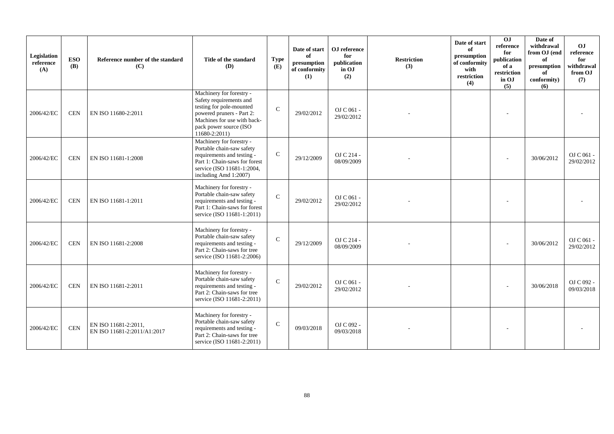| Legislation<br>reference<br>(A) | <b>ESO</b><br><b>(B)</b> | Reference number of the standard<br>(C)             | Title of the standard<br>(D)                                                                                                                                                           | <b>Type</b><br>(E) | Date of start<br>of<br>presumption<br>of conformity<br>(1) | OJ reference<br>for<br>publication<br>in OJ<br>(2) | <b>Restriction</b><br>(3) | Date of start<br>of<br>presumption<br>of conformity<br>with<br>restriction<br>(4) | $\overline{0}$<br>reference<br>for<br>publication<br>of a<br>restriction<br>in OJ<br>(5) | Date of<br>withdrawal<br>from OJ (end<br>of<br>presumption<br>of<br>conformity)<br>(6) | OJ<br>reference<br>for<br>withdrawal<br>from OJ<br>(7) |
|---------------------------------|--------------------------|-----------------------------------------------------|----------------------------------------------------------------------------------------------------------------------------------------------------------------------------------------|--------------------|------------------------------------------------------------|----------------------------------------------------|---------------------------|-----------------------------------------------------------------------------------|------------------------------------------------------------------------------------------|----------------------------------------------------------------------------------------|--------------------------------------------------------|
| 2006/42/EC                      | <b>CEN</b>               | EN ISO 11680-2:2011                                 | Machinery for forestry -<br>Safety requirements and<br>testing for pole-mounted<br>powered pruners - Part 2:<br>Machines for use with back-<br>pack power source (ISO<br>11680-2:2011) | $\mathsf{C}$       | 29/02/2012                                                 | OJ C $061$ -<br>29/02/2012                         |                           |                                                                                   |                                                                                          |                                                                                        |                                                        |
| 2006/42/EC                      | <b>CEN</b>               | EN ISO 11681-1:2008                                 | Machinery for forestry -<br>Portable chain-saw safety<br>requirements and testing -<br>Part 1: Chain-saws for forest<br>service (ISO 11681-1:2004,<br>including Amd 1:2007)            | $\mathsf{C}$       | 29/12/2009                                                 | OJ C 214 -<br>08/09/2009                           |                           |                                                                                   |                                                                                          | 30/06/2012                                                                             | $OJ C 061 -$<br>29/02/2012                             |
| 2006/42/EC                      | <b>CEN</b>               | EN ISO 11681-1:2011                                 | Machinery for forestry -<br>Portable chain-saw safety<br>requirements and testing -<br>Part 1: Chain-saws for forest<br>service (ISO 11681-1:2011)                                     | $\mathcal{C}$      | 29/02/2012                                                 | OJ C 061 -<br>29/02/2012                           |                           |                                                                                   |                                                                                          |                                                                                        |                                                        |
| 2006/42/EC                      | <b>CEN</b>               | EN ISO 11681-2:2008                                 | Machinery for forestry -<br>Portable chain-saw safety<br>requirements and testing -<br>Part 2: Chain-saws for tree<br>service (ISO 11681-2:2006)                                       | $\mathcal{C}$      | 29/12/2009                                                 | OJ C 214 -<br>08/09/2009                           |                           |                                                                                   |                                                                                          | 30/06/2012                                                                             | $OJ C 061 -$<br>29/02/2012                             |
| 2006/42/EC                      | <b>CEN</b>               | EN ISO 11681-2:2011                                 | Machinery for forestry -<br>Portable chain-saw safety<br>requirements and testing -<br>Part 2: Chain-saws for tree<br>service (ISO 11681-2:2011)                                       | $\mathcal{C}$      | 29/02/2012                                                 | OJ C 061 -<br>29/02/2012                           |                           |                                                                                   |                                                                                          | 30/06/2018                                                                             | OJ C 092 -<br>09/03/2018                               |
| 2006/42/EC                      | <b>CEN</b>               | EN ISO 11681-2:2011,<br>EN ISO 11681-2:2011/A1:2017 | Machinery for forestry -<br>Portable chain-saw safety<br>requirements and testing -<br>Part 2: Chain-saws for tree<br>service (ISO 11681-2:2011)                                       | $\mathcal{C}$      | 09/03/2018                                                 | OJ C 092 -<br>09/03/2018                           |                           |                                                                                   |                                                                                          |                                                                                        |                                                        |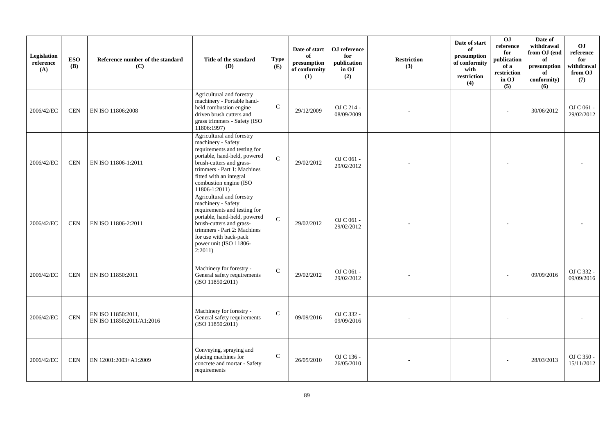| Legislation<br>reference<br>(A) | <b>ESO</b><br><b>(B)</b> | Reference number of the standard<br>(C)         | Title of the standard<br>(D)                                                                                                                                                                                                                         | <b>Type</b><br>(E) | Date of start<br>of<br>presumption<br>of conformity<br>(1) | OJ reference<br>for<br>publication<br>in OJ<br>(2) | <b>Restriction</b><br>(3) | Date of start<br>of<br>presumption<br>of conformity<br>with<br>restriction<br>(4) | OJ<br>reference<br>for<br>publication<br>of a<br>restriction<br>in OJ<br>(5) | Date of<br>withdrawal<br>from OJ (end<br>of<br>presumption<br>of<br>conformity)<br>(6) | O <sub>J</sub><br>reference<br>for<br>withdrawal<br>from OJ<br>(7) |
|---------------------------------|--------------------------|-------------------------------------------------|------------------------------------------------------------------------------------------------------------------------------------------------------------------------------------------------------------------------------------------------------|--------------------|------------------------------------------------------------|----------------------------------------------------|---------------------------|-----------------------------------------------------------------------------------|------------------------------------------------------------------------------|----------------------------------------------------------------------------------------|--------------------------------------------------------------------|
| 2006/42/EC                      | <b>CEN</b>               | EN ISO 11806:2008                               | Agricultural and forestry<br>machinery - Portable hand-<br>held combustion engine<br>driven brush cutters and<br>grass trimmers - Safety (ISO<br>11806:1997)                                                                                         | $\mathbf C$        | 29/12/2009                                                 | OJ C 214 -<br>08/09/2009                           |                           |                                                                                   | $\sim$                                                                       | 30/06/2012                                                                             | OJ C 061 -<br>29/02/2012                                           |
| 2006/42/EC                      | <b>CEN</b>               | EN ISO 11806-1:2011                             | Agricultural and forestry<br>machinery - Safety<br>requirements and testing for<br>portable, hand-held, powered<br>brush-cutters and grass-<br>trimmers - Part 1: Machines<br>fitted with an integral<br>combustion engine (ISO<br>$11806 - 1:2011)$ | $\mathbf{C}$       | 29/02/2012                                                 | OJ C $061$ -<br>29/02/2012                         |                           |                                                                                   |                                                                              |                                                                                        |                                                                    |
| 2006/42/EC                      | <b>CEN</b>               | EN ISO 11806-2:2011                             | Agricultural and forestry<br>machinery - Safety<br>requirements and testing for<br>portable, hand-held, powered<br>brush-cutters and grass-<br>trimmers - Part 2: Machines<br>for use with back-pack<br>power unit (ISO 11806-<br>2:2011)            | $\mathbf C$        | 29/02/2012                                                 | OJ C 061 -<br>29/02/2012                           |                           |                                                                                   |                                                                              |                                                                                        |                                                                    |
| 2006/42/EC                      | <b>CEN</b>               | EN ISO 11850:2011                               | Machinery for forestry -<br>General safety requirements<br>(ISO 11850:2011)                                                                                                                                                                          | $\mathcal{C}$      | 29/02/2012                                                 | OJ C $061$ -<br>29/02/2012                         |                           |                                                                                   |                                                                              | 09/09/2016                                                                             | OJ C 332 -<br>09/09/2016                                           |
| 2006/42/EC                      | <b>CEN</b>               | EN ISO 11850:2011,<br>EN ISO 11850:2011/A1:2016 | Machinery for forestry -<br>General safety requirements<br>(ISO 11850:2011)                                                                                                                                                                          | $\mathcal{C}$      | 09/09/2016                                                 | OJ C 332 -<br>09/09/2016                           |                           |                                                                                   |                                                                              |                                                                                        |                                                                    |
| 2006/42/EC                      | <b>CEN</b>               | EN 12001:2003+A1:2009                           | Conveying, spraying and<br>placing machines for<br>concrete and mortar - Safety<br>requirements                                                                                                                                                      | $\mathsf{C}$       | 26/05/2010                                                 | OJ C 136 -<br>26/05/2010                           |                           |                                                                                   |                                                                              | 28/03/2013                                                                             | OJ C 350 -<br>15/11/2012                                           |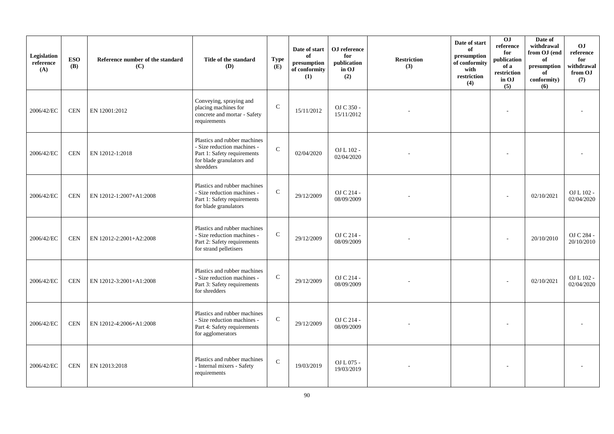| Legislation<br>reference<br>(A) | <b>ESO</b><br><b>(B)</b> | Reference number of the standard<br>(C) | Title of the standard<br>(D)                                                                                                         | <b>Type</b><br>(E) | Date of start<br>of<br>$\bf{presumption}$<br>of conformity<br>(1) | OJ reference<br>for<br>publication<br>in OJ<br>(2) | <b>Restriction</b><br>(3) | Date of start<br>of<br>presumption<br>of conformity<br>with<br>restriction<br>(4) | OJ<br>reference<br>for<br>publication<br>of a<br>restriction<br>in OJ<br>(5) | Date of<br>withdrawal<br>from OJ (end<br>of<br>presumption<br>of<br>conformity)<br>(6) | <b>OJ</b><br>reference<br>for<br>withdrawal<br>from OJ<br>(7) |
|---------------------------------|--------------------------|-----------------------------------------|--------------------------------------------------------------------------------------------------------------------------------------|--------------------|-------------------------------------------------------------------|----------------------------------------------------|---------------------------|-----------------------------------------------------------------------------------|------------------------------------------------------------------------------|----------------------------------------------------------------------------------------|---------------------------------------------------------------|
| 2006/42/EC                      | <b>CEN</b>               | EN 12001:2012                           | Conveying, spraying and<br>placing machines for<br>concrete and mortar - Safety<br>requirements                                      | $\mathbf C$        | 15/11/2012                                                        | OJ C 350 -<br>15/11/2012                           |                           |                                                                                   |                                                                              |                                                                                        |                                                               |
| 2006/42/EC                      | <b>CEN</b>               | EN 12012-1:2018                         | Plastics and rubber machines<br>- Size reduction machines -<br>Part 1: Safety requirements<br>for blade granulators and<br>shredders | $\mathbf C$        | 02/04/2020                                                        | OJ L 102 -<br>02/04/2020                           |                           |                                                                                   |                                                                              |                                                                                        |                                                               |
| 2006/42/EC                      | <b>CEN</b>               | EN 12012-1:2007+A1:2008                 | Plastics and rubber machines<br>- Size reduction machines -<br>Part 1: Safety requirements<br>for blade granulators                  | $\mathbf C$        | 29/12/2009                                                        | OJ C 214 -<br>08/09/2009                           |                           |                                                                                   |                                                                              | 02/10/2021                                                                             | OJ L 102 -<br>02/04/2020                                      |
| 2006/42/EC                      | <b>CEN</b>               | EN 12012-2:2001+A2:2008                 | Plastics and rubber machines<br>- Size reduction machines -<br>Part 2: Safety requirements<br>for strand pelletisers                 | $\mathbf C$        | 29/12/2009                                                        | OJ C 214 -<br>08/09/2009                           |                           |                                                                                   |                                                                              | 20/10/2010                                                                             | OJ C 284 -<br>20/10/2010                                      |
| 2006/42/EC                      | <b>CEN</b>               | EN 12012-3:2001+A1:2008                 | Plastics and rubber machines<br>- Size reduction machines -<br>Part 3: Safety requirements<br>for shredders                          | $\mathbf C$        | 29/12/2009                                                        | OJ C 214 -<br>08/09/2009                           |                           |                                                                                   |                                                                              | 02/10/2021                                                                             | OJ L 102 -<br>02/04/2020                                      |
| 2006/42/EC                      | <b>CEN</b>               | EN 12012-4:2006+A1:2008                 | Plastics and rubber machines<br>- Size reduction machines -<br>Part 4: Safety requirements<br>for agglomerators                      | ${\bf C}$          | 29/12/2009                                                        | OJ C 214 -<br>08/09/2009                           |                           |                                                                                   |                                                                              |                                                                                        |                                                               |
| 2006/42/EC                      | <b>CEN</b>               | EN 12013:2018                           | Plastics and rubber machines<br>- Internal mixers - Safety<br>requirements                                                           | $\mathbf C$        | 19/03/2019                                                        | OJ L 075 -<br>19/03/2019                           |                           |                                                                                   |                                                                              |                                                                                        |                                                               |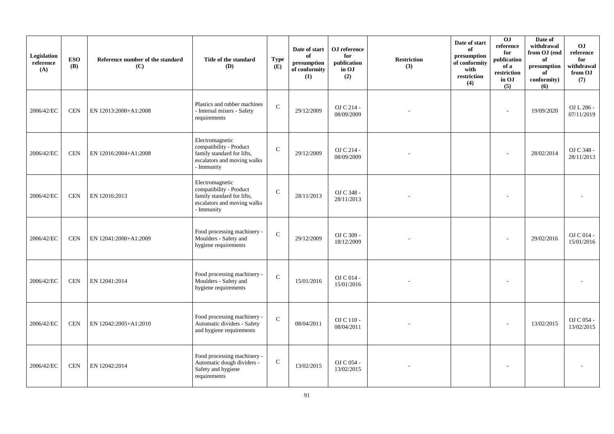| Legislation<br>reference<br>(A) | <b>ESO</b><br><b>(B)</b> | Reference number of the standard<br>(C) | Title of the standard<br>(D)                                                                                          | <b>Type</b><br>(E) | Date of start<br>of<br>presumption<br>of conformity<br>(1) | OJ reference<br>for<br>publication<br>in OJ<br>(2) | <b>Restriction</b><br>(3) | Date of start<br>of<br>presumption<br>of conformity<br>with<br>restriction<br>(4) | <b>OJ</b><br>reference<br>for<br>publication<br>of a<br>restriction<br>in OJ<br>(5) | Date of<br>withdrawal<br>from OJ (end<br>of<br>presumption<br>of<br>conformity)<br>(6) | <b>OJ</b><br>reference<br>for<br>withdrawal<br>from OJ<br>(7) |
|---------------------------------|--------------------------|-----------------------------------------|-----------------------------------------------------------------------------------------------------------------------|--------------------|------------------------------------------------------------|----------------------------------------------------|---------------------------|-----------------------------------------------------------------------------------|-------------------------------------------------------------------------------------|----------------------------------------------------------------------------------------|---------------------------------------------------------------|
| 2006/42/EC                      | <b>CEN</b>               | EN 12013:2000+A1:2008                   | Plastics and rubber machines<br>- Internal mixers - Safety<br>requirements                                            | $\mathcal{C}$      | 29/12/2009                                                 | OJ C 214 -<br>08/09/2009                           |                           |                                                                                   | $\overline{a}$                                                                      | 19/09/2020                                                                             | OJ L 286 -<br>07/11/2019                                      |
| 2006/42/EC                      | <b>CEN</b>               | EN 12016:2004+A1:2008                   | Electromagnetic<br>compatibility - Product<br>family standard for lifts,<br>escalators and moving walks<br>- Immunity | $\mathcal{C}$      | 29/12/2009                                                 | OJ C 214 -<br>08/09/2009                           |                           |                                                                                   |                                                                                     | 28/02/2014                                                                             | OJ C 348 -<br>28/11/2013                                      |
| 2006/42/EC                      | <b>CEN</b>               | EN 12016:2013                           | Electromagnetic<br>compatibility - Product<br>family standard for lifts,<br>escalators and moving walks<br>- Immunity | $\mathbf C$        | 28/11/2013                                                 | OJ C 348 -<br>28/11/2013                           |                           |                                                                                   |                                                                                     |                                                                                        |                                                               |
| 2006/42/EC                      | <b>CEN</b>               | EN 12041:2000+A1:2009                   | Food processing machinery -<br>Moulders - Safety and<br>hygiene requirements                                          | $\mathbf C$        | 29/12/2009                                                 | OJ C 309 -<br>18/12/2009                           |                           |                                                                                   |                                                                                     | 29/02/2016                                                                             | OJ C 014 -<br>15/01/2016                                      |
| 2006/42/EC                      | <b>CEN</b>               | EN 12041:2014                           | Food processing machinery -<br>Moulders - Safety and<br>hygiene requirements                                          | ${\bf C}$          | 15/01/2016                                                 | OJ C 014 -<br>15/01/2016                           |                           |                                                                                   |                                                                                     |                                                                                        |                                                               |
| 2006/42/EC                      | <b>CEN</b>               | EN 12042:2005+A1:2010                   | Food processing machinery -<br>Automatic dividers - Safety<br>and hygiene requirements                                | $\mathbf C$        | 08/04/2011                                                 | OJ C 110 -<br>08/04/2011                           |                           |                                                                                   |                                                                                     | 13/02/2015                                                                             | OJ C 054 -<br>13/02/2015                                      |
| 2006/42/EC                      | <b>CEN</b>               | EN 12042:2014                           | Food processing machinery -<br>Automatic dough dividers -<br>Safety and hygiene<br>requirements                       | ${\bf C}$          | 13/02/2015                                                 | OJ C 054 -<br>13/02/2015                           |                           |                                                                                   |                                                                                     |                                                                                        |                                                               |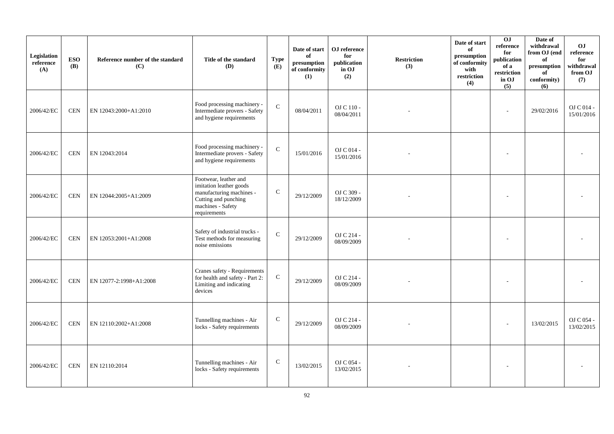| Legislation<br>reference<br>(A) | <b>ESO</b><br><b>(B)</b> | Reference number of the standard<br>(C) | Title of the standard<br>(D)                                                                                                              | <b>Type</b><br>(E) | Date of start<br>of<br>$\mathbf{presumption}% \label{fig:ex1}%$<br>of conformity<br>(1) | OJ reference<br>for<br>publication<br>in OJ<br>(2) | <b>Restriction</b><br>(3) | Date of start<br>of<br>presumption<br>of conformity<br>with<br>restriction<br>(4) | 0J<br>reference<br>for<br>publication<br>of a<br>restriction<br>in OJ<br>(5) | Date of<br>withdrawal<br>from OJ (end<br>of<br>presumption<br>of<br>conformity)<br>(6) | <b>OJ</b><br>reference<br>for<br>withdrawal<br>from OJ<br>(7) |
|---------------------------------|--------------------------|-----------------------------------------|-------------------------------------------------------------------------------------------------------------------------------------------|--------------------|-----------------------------------------------------------------------------------------|----------------------------------------------------|---------------------------|-----------------------------------------------------------------------------------|------------------------------------------------------------------------------|----------------------------------------------------------------------------------------|---------------------------------------------------------------|
| 2006/42/EC                      | <b>CEN</b>               | EN 12043:2000+A1:2010                   | Food processing machinery -<br>Intermediate provers - Safety<br>and hygiene requirements                                                  | $\mathbf C$        | 08/04/2011                                                                              | OJ C 110 -<br>08/04/2011                           |                           |                                                                                   |                                                                              | 29/02/2016                                                                             | OJ C 014 -<br>15/01/2016                                      |
| 2006/42/EC                      | <b>CEN</b>               | EN 12043:2014                           | Food processing machinery -<br>Intermediate provers - Safety<br>and hygiene requirements                                                  | $\mathbf C$        | 15/01/2016                                                                              | OJ C 014 -<br>15/01/2016                           |                           |                                                                                   |                                                                              |                                                                                        |                                                               |
| 2006/42/EC                      | <b>CEN</b>               | EN 12044:2005+A1:2009                   | Footwear, leather and<br>imitation leather goods<br>manufacturing machines -<br>Cutting and punching<br>machines - Safety<br>requirements | ${\bf C}$          | 29/12/2009                                                                              | OJ C 309 -<br>18/12/2009                           |                           |                                                                                   |                                                                              |                                                                                        |                                                               |
| 2006/42/EC                      | <b>CEN</b>               | EN 12053:2001+A1:2008                   | Safety of industrial trucks -<br>Test methods for measuring<br>noise emissions                                                            | $\mathbf C$        | 29/12/2009                                                                              | OJ C 214 -<br>08/09/2009                           |                           |                                                                                   |                                                                              |                                                                                        |                                                               |
| 2006/42/EC                      | <b>CEN</b>               | EN 12077-2:1998+A1:2008                 | Cranes safety - Requirements<br>for health and safety - Part 2:<br>Limiting and indicating<br>devices                                     | $\mathbf C$        | 29/12/2009                                                                              | OJ C 214 -<br>08/09/2009                           |                           |                                                                                   |                                                                              |                                                                                        |                                                               |
| 2006/42/EC                      | <b>CEN</b>               | EN 12110:2002+A1:2008                   | Tunnelling machines - Air<br>locks - Safety requirements                                                                                  | $\mathbf C$        | 29/12/2009                                                                              | OJ C 214 -<br>08/09/2009                           |                           |                                                                                   |                                                                              | 13/02/2015                                                                             | OJ C 054 -<br>13/02/2015                                      |
| 2006/42/EC                      | <b>CEN</b>               | EN 12110:2014                           | Tunnelling machines - Air<br>locks - Safety requirements                                                                                  | $\mathbf C$        | 13/02/2015                                                                              | OJ C 054 -<br>13/02/2015                           |                           |                                                                                   |                                                                              |                                                                                        |                                                               |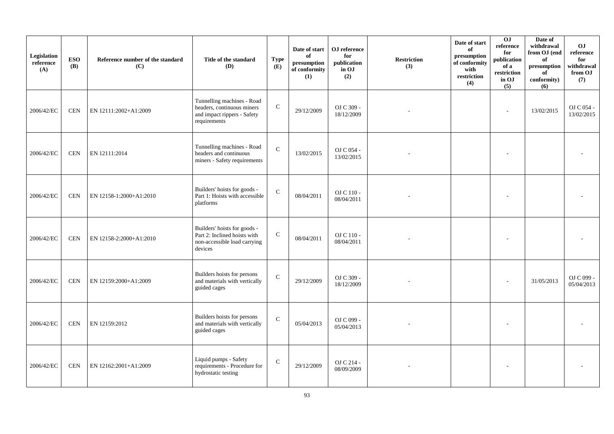| Legislation<br>reference<br>(A) | <b>ESO</b><br><b>(B)</b> | Reference number of the standard<br>(C) | Title of the standard<br>(D)                                                                            | <b>Type</b><br>(E) | Date of start<br>of<br>presumption<br>of conformity<br>(1) | OJ reference<br>for<br>publication<br>in OJ<br>(2) | <b>Restriction</b><br>(3) | Date of start<br>of<br>presumption<br>of conformity<br>with<br>restriction<br>(4) | 0J<br>reference<br>for<br>publication<br>of a<br>restriction<br>in OJ<br>(5) | Date of<br>withdrawal<br>from OJ (end<br>of<br>presumption<br>of<br>conformity)<br>(6) | <b>OJ</b><br>reference<br>for<br>withdrawal<br>from OJ<br>(7) |
|---------------------------------|--------------------------|-----------------------------------------|---------------------------------------------------------------------------------------------------------|--------------------|------------------------------------------------------------|----------------------------------------------------|---------------------------|-----------------------------------------------------------------------------------|------------------------------------------------------------------------------|----------------------------------------------------------------------------------------|---------------------------------------------------------------|
| 2006/42/EC                      | <b>CEN</b>               | EN 12111:2002+A1:2009                   | Tunnelling machines - Road<br>headers, continuous miners<br>and impact rippers - Safety<br>requirements | ${\bf C}$          | 29/12/2009                                                 | OJ C 309 -<br>18/12/2009                           |                           |                                                                                   | $\overline{\phantom{a}}$                                                     | 13/02/2015                                                                             | OJ C 054 -<br>13/02/2015                                      |
| 2006/42/EC                      | <b>CEN</b>               | EN 12111:2014                           | Tunnelling machines - Road<br>headers and continuous<br>miners - Safety requirements                    | $\mathbf C$        | 13/02/2015                                                 | OJ C 054 -<br>13/02/2015                           |                           |                                                                                   |                                                                              |                                                                                        |                                                               |
| 2006/42/EC                      | <b>CEN</b>               | EN 12158-1:2000+A1:2010                 | Builders' hoists for goods -<br>Part 1: Hoists with accessible<br>platforms                             | $\mathbf{C}$       | 08/04/2011                                                 | OJ C 110 -<br>08/04/2011                           |                           |                                                                                   |                                                                              |                                                                                        |                                                               |
| 2006/42/EC                      | <b>CEN</b>               | EN 12158-2:2000+A1:2010                 | Builders' hoists for goods -<br>Part 2: Inclined hoists with<br>non-accessible load carrying<br>devices | ${\bf C}$          | 08/04/2011                                                 | OJ C 110 -<br>08/04/2011                           |                           |                                                                                   |                                                                              |                                                                                        |                                                               |
| 2006/42/EC                      | <b>CEN</b>               | EN 12159:2000+A1:2009                   | Builders hoists for persons<br>and materials with vertically<br>guided cages                            | $\mathbf C$        | 29/12/2009                                                 | OJ C 309 -<br>18/12/2009                           |                           |                                                                                   |                                                                              | 31/05/2013                                                                             | OJ C 099 -<br>05/04/2013                                      |
| 2006/42/EC                      | <b>CEN</b>               | EN 12159:2012                           | Builders hoists for persons<br>and materials with vertically<br>guided cages                            | $\mathsf{C}$       | 05/04/2013                                                 | OJ C 099 -<br>05/04/2013                           |                           |                                                                                   |                                                                              |                                                                                        |                                                               |
| 2006/42/EC                      | <b>CEN</b>               | EN 12162:2001+A1:2009                   | Liquid pumps - Safety<br>requirements - Procedure for<br>hydrostatic testing                            | $\mathbf C$        | 29/12/2009                                                 | OJ C 214 -<br>08/09/2009                           |                           |                                                                                   |                                                                              |                                                                                        |                                                               |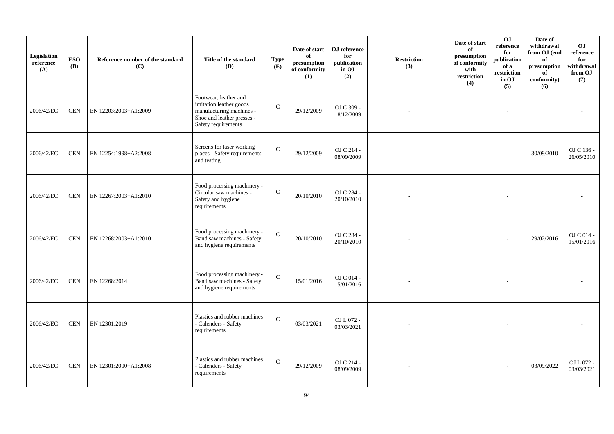| Legislation<br>reference<br>(A) | <b>ESO</b><br><b>(B)</b> | Reference number of the standard<br>(C) | Title of the standard<br>(D)                                                                                                      | <b>Type</b><br>(E) | Date of start<br>of<br>presumption<br>of conformity<br>(1) | OJ reference<br>for<br>publication<br>in OJ<br>(2) | <b>Restriction</b><br>(3) | Date of start<br>of<br>presumption<br>of conformity<br>with<br>restriction<br>(4) | 0J<br>reference<br>for<br>publication<br>of a<br>restriction<br>in OJ<br>(5) | Date of<br>withdrawal<br>from OJ (end<br>of<br>presumption<br>of<br>conformity)<br>(6) | <b>OJ</b><br>reference<br>for<br>withdrawal<br>from OJ<br>(7) |
|---------------------------------|--------------------------|-----------------------------------------|-----------------------------------------------------------------------------------------------------------------------------------|--------------------|------------------------------------------------------------|----------------------------------------------------|---------------------------|-----------------------------------------------------------------------------------|------------------------------------------------------------------------------|----------------------------------------------------------------------------------------|---------------------------------------------------------------|
| 2006/42/EC                      | <b>CEN</b>               | EN 12203:2003+A1:2009                   | Footwear, leather and<br>imitation leather goods<br>manufacturing machines -<br>Shoe and leather presses -<br>Safety requirements | $\mathsf{C}$       | 29/12/2009                                                 | OJ C 309 -<br>18/12/2009                           |                           |                                                                                   |                                                                              |                                                                                        |                                                               |
| 2006/42/EC                      | <b>CEN</b>               | EN 12254:1998+A2:2008                   | Screens for laser working<br>places - Safety requirements<br>and testing                                                          | $\mathbf C$        | 29/12/2009                                                 | OJ C 214 -<br>08/09/2009                           |                           |                                                                                   |                                                                              | 30/09/2010                                                                             | OJ C 136 -<br>26/05/2010                                      |
| 2006/42/EC                      | <b>CEN</b>               | EN 12267:2003+A1:2010                   | Food processing machinery -<br>Circular saw machines -<br>Safety and hygiene<br>requirements                                      | $\mathbf C$        | 20/10/2010                                                 | OJ C 284 -<br>20/10/2010                           |                           |                                                                                   |                                                                              |                                                                                        |                                                               |
| 2006/42/EC                      | <b>CEN</b>               | EN 12268:2003+A1:2010                   | Food processing machinery -<br>Band saw machines - Safety<br>and hygiene requirements                                             | $\mathbf C$        | 20/10/2010                                                 | OJ C 284 -<br>20/10/2010                           |                           |                                                                                   |                                                                              | 29/02/2016                                                                             | OJ C 014 -<br>15/01/2016                                      |
| 2006/42/EC                      | <b>CEN</b>               | EN 12268:2014                           | Food processing machinery -<br>Band saw machines - Safety<br>and hygiene requirements                                             | $\mathbf C$        | 15/01/2016                                                 | OJ C 014 -<br>15/01/2016                           |                           |                                                                                   |                                                                              |                                                                                        |                                                               |
| 2006/42/EC                      | <b>CEN</b>               | EN 12301:2019                           | Plastics and rubber machines<br>- Calenders - Safety<br>requirements                                                              | $\mathbf C$        | 03/03/2021                                                 | OJ L 072 -<br>03/03/2021                           |                           |                                                                                   |                                                                              |                                                                                        |                                                               |
| 2006/42/EC                      | <b>CEN</b>               | EN 12301:2000+A1:2008                   | Plastics and rubber machines<br>- Calenders - Safety<br>requirements                                                              | $\mathbf C$        | 29/12/2009                                                 | OJ C 214 -<br>08/09/2009                           |                           |                                                                                   |                                                                              | 03/09/2022                                                                             | OJ L 072 -<br>03/03/2021                                      |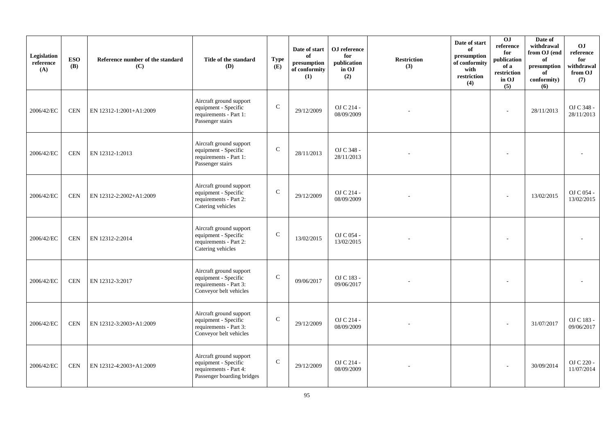| Legislation<br>reference<br>(A) | <b>ESO</b><br><b>(B)</b> | Reference number of the standard<br>(C) | Title of the standard<br>(D)                                                                            | <b>Type</b><br>(E) | Date of start<br>of<br>presumption<br>of conformity<br>(1) | OJ reference<br>for<br>publication<br>in OJ<br>(2) | <b>Restriction</b><br>(3) | Date of start<br>of<br>presumption<br>of conformity<br>with<br>restriction<br>(4) | 0J<br>reference<br>for<br>publication<br>of a<br>restriction<br>in OJ<br>(5) | Date of<br>withdrawal<br>from OJ (end<br>of<br>presumption<br>of<br>conformity)<br>(6) | <b>OJ</b><br>reference<br>for<br>withdrawal<br>from OJ<br>(7) |
|---------------------------------|--------------------------|-----------------------------------------|---------------------------------------------------------------------------------------------------------|--------------------|------------------------------------------------------------|----------------------------------------------------|---------------------------|-----------------------------------------------------------------------------------|------------------------------------------------------------------------------|----------------------------------------------------------------------------------------|---------------------------------------------------------------|
| 2006/42/EC                      | <b>CEN</b>               | EN 12312-1:2001+A1:2009                 | Aircraft ground support<br>equipment - Specific<br>requirements - Part 1:<br>Passenger stairs           | $\mathsf{C}$       | 29/12/2009                                                 | OJ C 214 -<br>08/09/2009                           |                           |                                                                                   | $\sim$                                                                       | 28/11/2013                                                                             | OJ C 348 -<br>28/11/2013                                      |
| 2006/42/EC                      | <b>CEN</b>               | EN 12312-1:2013                         | Aircraft ground support<br>equipment - Specific<br>requirements - Part 1:<br>Passenger stairs           | $\mathbf C$        | 28/11/2013                                                 | OJ C 348 -<br>28/11/2013                           |                           |                                                                                   |                                                                              |                                                                                        |                                                               |
| 2006/42/EC                      | <b>CEN</b>               | EN 12312-2:2002+A1:2009                 | Aircraft ground support<br>equipment - Specific<br>requirements - Part 2:<br>Catering vehicles          | $\mathsf{C}$       | 29/12/2009                                                 | OJ C 214 -<br>08/09/2009                           |                           |                                                                                   |                                                                              | 13/02/2015                                                                             | OJ C 054 -<br>13/02/2015                                      |
| 2006/42/EC                      | <b>CEN</b>               | EN 12312-2:2014                         | Aircraft ground support<br>equipment - Specific<br>requirements - Part 2:<br>Catering vehicles          | $\mathsf{C}$       | 13/02/2015                                                 | OJ C 054 -<br>13/02/2015                           |                           |                                                                                   |                                                                              |                                                                                        |                                                               |
| 2006/42/EC                      | <b>CEN</b>               | EN 12312-3:2017                         | Aircraft ground support<br>equipment - Specific<br>requirements - Part 3:<br>Conveyor belt vehicles     | $\mathbf C$        | 09/06/2017                                                 | OJ C 183 -<br>09/06/2017                           |                           |                                                                                   |                                                                              |                                                                                        |                                                               |
| 2006/42/EC                      | <b>CEN</b>               | EN 12312-3:2003+A1:2009                 | Aircraft ground support<br>equipment - Specific<br>requirements - Part 3:<br>Conveyor belt vehicles     | $\mathbf C$        | 29/12/2009                                                 | OJ C 214 -<br>08/09/2009                           |                           |                                                                                   |                                                                              | 31/07/2017                                                                             | OJ C 183 -<br>09/06/2017                                      |
| 2006/42/EC                      | <b>CEN</b>               | EN 12312-4:2003+A1:2009                 | Aircraft ground support<br>equipment - Specific<br>requirements - Part 4:<br>Passenger boarding bridges | $\mathsf{C}$       | 29/12/2009                                                 | OJ C 214 -<br>08/09/2009                           |                           |                                                                                   |                                                                              | 30/09/2014                                                                             | OJ C 220 -<br>11/07/2014                                      |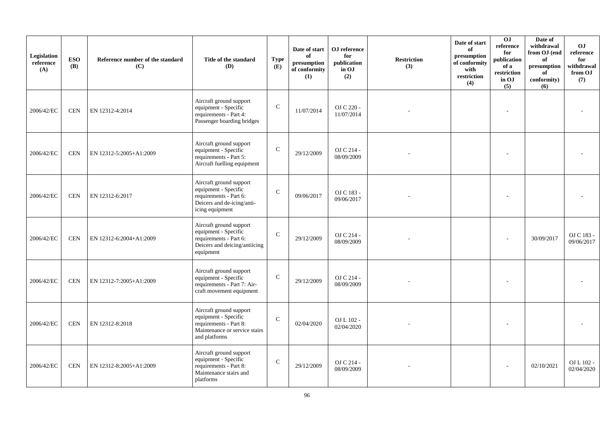| Legislation<br>reference<br>(A) | <b>ESO</b><br><b>(B)</b> | Reference number of the standard<br>(C) | Title of the standard<br>(D)                                                                                                | <b>Type</b><br>(E) | Date of start<br>of<br>presumption<br>of conformity<br>(1) | OJ reference<br>for<br>publication<br>in OJ<br>(2) | <b>Restriction</b><br>(3) | Date of start<br>of<br>presumption<br>of conformity<br>with<br>restriction<br>(4) | 0J<br>reference<br>for<br>publication<br>of a<br>restriction<br>in OJ<br>(5) | Date of<br>withdrawal<br>from OJ (end<br>of<br>presumption<br>of<br>conformity)<br>(6) | <b>OJ</b><br>reference<br>for<br>withdrawal<br>from OJ<br>(7) |
|---------------------------------|--------------------------|-----------------------------------------|-----------------------------------------------------------------------------------------------------------------------------|--------------------|------------------------------------------------------------|----------------------------------------------------|---------------------------|-----------------------------------------------------------------------------------|------------------------------------------------------------------------------|----------------------------------------------------------------------------------------|---------------------------------------------------------------|
| 2006/42/EC                      | <b>CEN</b>               | EN 12312-4:2014                         | Aircraft ground support<br>equipment - Specific<br>requirements - Part 4:<br>Passenger boarding bridges                     | $\mathsf{C}$       | 11/07/2014                                                 | OJ C 220 -<br>11/07/2014                           |                           |                                                                                   |                                                                              |                                                                                        |                                                               |
| 2006/42/EC                      | <b>CEN</b>               | EN 12312-5:2005+A1:2009                 | Aircraft ground support<br>equipment - Specific<br>requirements - Part 5:<br>Aircraft fuelling equipment                    | $\mathsf{C}$       | 29/12/2009                                                 | OJ C 214 -<br>08/09/2009                           |                           |                                                                                   |                                                                              |                                                                                        |                                                               |
| 2006/42/EC                      | <b>CEN</b>               | EN 12312-6:2017                         | Aircraft ground support<br>equipment - Specific<br>requirements - Part 6:<br>Deicers and de-icing/anti-<br>icing equipment  | $\mathbf C$        | 09/06/2017                                                 | OJ C 183 -<br>09/06/2017                           |                           |                                                                                   |                                                                              |                                                                                        |                                                               |
| 2006/42/EC                      | <b>CEN</b>               | EN 12312-6:2004+A1:2009                 | Aircraft ground support<br>equipment - Specific<br>requirements - Part 6:<br>Deicers and deicing/antiicing<br>equipment     | $\mathbf C$        | 29/12/2009                                                 | OJ C 214 -<br>08/09/2009                           |                           |                                                                                   |                                                                              | 30/09/2017                                                                             | OJ C 183 -<br>09/06/2017                                      |
| 2006/42/EC                      | <b>CEN</b>               | EN 12312-7:2005+A1:2009                 | Aircraft ground support<br>equipment - Specific<br>requirements - Part 7: Air-<br>craft movement equipment                  | $\mathbf C$        | 29/12/2009                                                 | OJ C 214 -<br>08/09/2009                           |                           |                                                                                   |                                                                              |                                                                                        |                                                               |
| 2006/42/EC                      | <b>CEN</b>               | EN 12312-8:2018                         | Aircraft ground support<br>equipment - Specific<br>requirements - Part 8:<br>Maintenance or service stairs<br>and platforms | $\mathcal{C}$      | 02/04/2020                                                 | OJ L 102 -<br>02/04/2020                           |                           |                                                                                   |                                                                              |                                                                                        |                                                               |
| 2006/42/EC                      | <b>CEN</b>               | EN 12312-8:2005+A1:2009                 | Aircraft ground support<br>equipment - Specific<br>requirements - Part 8:<br>Maintenance stairs and<br>platforms            | $\mathcal{C}$      | 29/12/2009                                                 | OJ C 214 -<br>08/09/2009                           |                           |                                                                                   |                                                                              | 02/10/2021                                                                             | OJ L 102 -<br>02/04/2020                                      |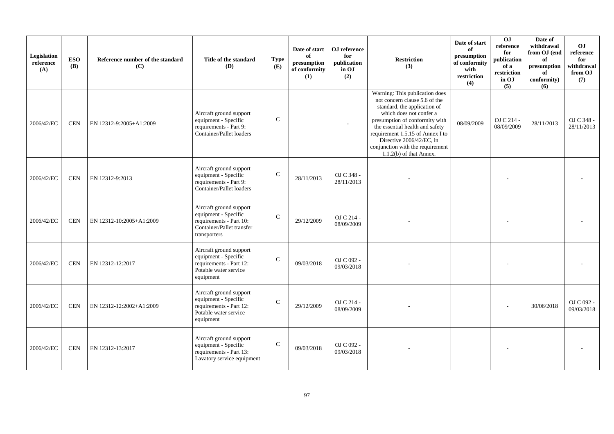| Legislation<br>reference<br>(A) | <b>ESO</b><br><b>(B)</b> | Reference number of the standard<br>(C) | Title of the standard<br>(D)                                                                                            | <b>Type</b><br>(E) | Date of start<br>of<br>presumption<br>of conformity<br>(1) | OJ reference<br>for<br>publication<br>in OJ<br>(2) | <b>Restriction</b><br>(3)                                                                                                                                                                                                                                                                                                        | Date of start<br>of<br>presumption<br>of conformity<br>with<br>restriction<br>(4) | OJ<br>reference<br>for<br>publication<br>of a<br>restriction<br>in OJ<br>(5) | Date of<br>withdrawal<br>from OJ (end<br>of<br>presumption<br>of<br>conformity)<br>(6) | OJ<br>reference<br>for<br>withdrawal<br>from OJ<br>(7) |
|---------------------------------|--------------------------|-----------------------------------------|-------------------------------------------------------------------------------------------------------------------------|--------------------|------------------------------------------------------------|----------------------------------------------------|----------------------------------------------------------------------------------------------------------------------------------------------------------------------------------------------------------------------------------------------------------------------------------------------------------------------------------|-----------------------------------------------------------------------------------|------------------------------------------------------------------------------|----------------------------------------------------------------------------------------|--------------------------------------------------------|
| 2006/42/EC                      | <b>CEN</b>               | EN 12312-9:2005+A1:2009                 | Aircraft ground support<br>equipment - Specific<br>requirements - Part 9:<br>Container/Pallet loaders                   | $\mathsf{C}$       |                                                            |                                                    | Warning: This publication does<br>not concern clause 5.6 of the<br>standard, the application of<br>which does not confer a<br>presumption of conformity with<br>the essential health and safety<br>requirement 1.5.15 of Annex I to<br>Directive 2006/42/EC, in<br>conjunction with the requirement<br>$1.1.2(b)$ of that Annex. | 08/09/2009                                                                        | OJ C 214 -<br>08/09/2009                                                     | 28/11/2013                                                                             | OJ C 348 -<br>28/11/2013                               |
| 2006/42/EC                      | <b>CEN</b>               | EN 12312-9:2013                         | Aircraft ground support<br>equipment - Specific<br>requirements - Part 9:<br>Container/Pallet loaders                   | $\mathcal{C}$      | 28/11/2013                                                 | OJ C 348 -<br>28/11/2013                           |                                                                                                                                                                                                                                                                                                                                  |                                                                                   |                                                                              |                                                                                        |                                                        |
| 2006/42/EC                      | <b>CEN</b>               | EN 12312-10:2005+A1:2009                | Aircraft ground support<br>equipment - Specific<br>requirements - Part 10:<br>Container/Pallet transfer<br>transporters | $\mathsf{C}$       | 29/12/2009                                                 | OJ C 214 -<br>08/09/2009                           |                                                                                                                                                                                                                                                                                                                                  |                                                                                   |                                                                              |                                                                                        |                                                        |
| 2006/42/EC                      | <b>CEN</b>               | EN 12312-12:2017                        | Aircraft ground support<br>equipment - Specific<br>requirements - Part 12:<br>Potable water service<br>equipment        | $\mathcal{C}$      | 09/03/2018                                                 | OJ C 092 -<br>09/03/2018                           |                                                                                                                                                                                                                                                                                                                                  |                                                                                   |                                                                              |                                                                                        |                                                        |
| 2006/42/EC                      | <b>CEN</b>               | EN 12312-12:2002+A1:2009                | Aircraft ground support<br>equipment - Specific<br>requirements - Part 12:<br>Potable water service<br>equipment        | $\mathcal{C}$      | 29/12/2009                                                 | OJ C 214 -<br>08/09/2009                           |                                                                                                                                                                                                                                                                                                                                  |                                                                                   |                                                                              | 30/06/2018                                                                             | OJ C 092 -<br>09/03/2018                               |
| 2006/42/EC                      | <b>CEN</b>               | EN 12312-13:2017                        | Aircraft ground support<br>equipment - Specific<br>requirements - Part 13:<br>Lavatory service equipment                | $\mathcal{C}$      | 09/03/2018                                                 | OJ C 092 -<br>09/03/2018                           |                                                                                                                                                                                                                                                                                                                                  |                                                                                   |                                                                              |                                                                                        |                                                        |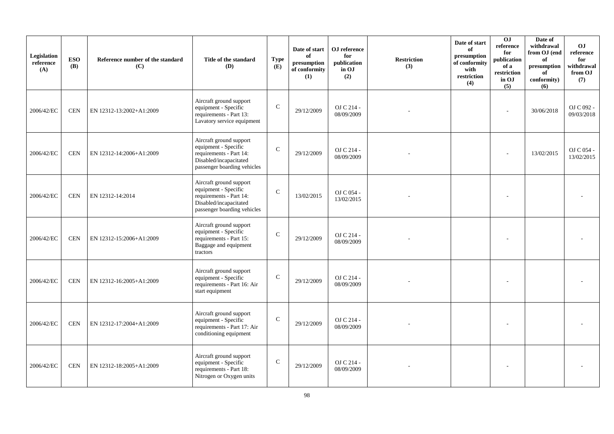| Legislation<br>reference<br>(A) | <b>ESO</b><br><b>(B)</b> | Reference number of the standard<br>(C) | Title of the standard<br>(D)                                                                                                        | <b>Type</b><br>(E) | Date of start<br>of<br>presumption<br>of conformity<br>(1) | OJ reference<br>for<br>publication<br>in OJ<br>(2) | <b>Restriction</b><br>(3) | Date of start<br>of<br>presumption<br>of conformity<br>with<br>restriction<br>(4) | 0J<br>reference<br>for<br>publication<br>of a<br>restriction<br>in OJ<br>(5) | Date of<br>withdrawal<br>from OJ (end<br>of<br>presumption<br>of<br>conformity)<br>(6) | <b>OJ</b><br>reference<br>for<br>withdrawal<br>from OJ<br>(7) |
|---------------------------------|--------------------------|-----------------------------------------|-------------------------------------------------------------------------------------------------------------------------------------|--------------------|------------------------------------------------------------|----------------------------------------------------|---------------------------|-----------------------------------------------------------------------------------|------------------------------------------------------------------------------|----------------------------------------------------------------------------------------|---------------------------------------------------------------|
| 2006/42/EC                      | <b>CEN</b>               | EN 12312-13:2002+A1:2009                | Aircraft ground support<br>equipment - Specific<br>requirements - Part 13:<br>Lavatory service equipment                            | $\mathcal{C}$      | 29/12/2009                                                 | OJ C 214 -<br>08/09/2009                           |                           |                                                                                   |                                                                              | 30/06/2018                                                                             | OJ C 092 -<br>09/03/2018                                      |
| 2006/42/EC                      | <b>CEN</b>               | EN 12312-14:2006+A1:2009                | Aircraft ground support<br>equipment - Specific<br>requirements - Part 14:<br>Disabled/incapacitated<br>passenger boarding vehicles | $\mathcal{C}$      | 29/12/2009                                                 | OJ C 214 -<br>08/09/2009                           |                           |                                                                                   |                                                                              | 13/02/2015                                                                             | OJ C 054 -<br>13/02/2015                                      |
| 2006/42/EC                      | $\mbox{CEN}$             | EN 12312-14:2014                        | Aircraft ground support<br>equipment - Specific<br>requirements - Part 14:<br>Disabled/incapacitated<br>passenger boarding vehicles | $\mathcal{C}$      | 13/02/2015                                                 | OJ C 054 -<br>13/02/2015                           |                           |                                                                                   |                                                                              |                                                                                        |                                                               |
| 2006/42/EC                      | <b>CEN</b>               | EN 12312-15:2006+A1:2009                | Aircraft ground support<br>equipment - Specific<br>requirements - Part 15:<br>Baggage and equipment<br>tractors                     | $\mathcal{C}$      | 29/12/2009                                                 | OJ C 214 -<br>08/09/2009                           |                           |                                                                                   |                                                                              |                                                                                        |                                                               |
| 2006/42/EC                      | <b>CEN</b>               | EN 12312-16:2005+A1:2009                | Aircraft ground support<br>equipment - Specific<br>requirements - Part 16: Air<br>start equipment                                   | $\mathcal{C}$      | 29/12/2009                                                 | OJ C 214 -<br>08/09/2009                           |                           |                                                                                   |                                                                              |                                                                                        |                                                               |
| 2006/42/EC                      | <b>CEN</b>               | EN 12312-17:2004+A1:2009                | Aircraft ground support<br>equipment - Specific<br>requirements - Part 17: Air<br>conditioning equipment                            | $\mathcal{C}$      | 29/12/2009                                                 | OJ C 214 -<br>08/09/2009                           |                           |                                                                                   |                                                                              |                                                                                        |                                                               |
| 2006/42/EC                      | <b>CEN</b>               | EN 12312-18:2005+A1:2009                | Aircraft ground support<br>equipment - Specific<br>requirements - Part 18:<br>Nitrogen or Oxygen units                              | $\mathbf C$        | 29/12/2009                                                 | OJ C 214 -<br>08/09/2009                           |                           |                                                                                   |                                                                              |                                                                                        |                                                               |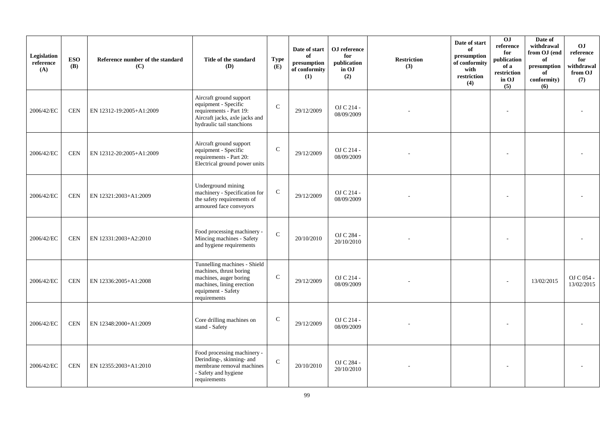| Legislation<br>reference<br>(A) | <b>ESO</b><br><b>(B)</b> | Reference number of the standard<br>(C) | Title of the standard<br><b>(D)</b>                                                                                                                  | <b>Type</b><br>(E) | Date of start<br>of<br>presumption<br>of conformity<br>(1) | OJ reference<br>for<br>publication<br>in OJ<br>(2) | Restriction<br>(3) | Date of start<br>of<br>presumption<br>of conformity<br>with<br>restriction<br>(4) | 0J<br>reference<br>for<br>publication<br>of a<br>restriction<br>in OJ<br>(5) | Date of<br>withdrawal<br>from OJ (end<br>of<br>presumption<br>of<br>conformity)<br>(6) | O <sub>J</sub><br>reference<br>for<br>withdrawal<br>from OJ<br>(7) |
|---------------------------------|--------------------------|-----------------------------------------|------------------------------------------------------------------------------------------------------------------------------------------------------|--------------------|------------------------------------------------------------|----------------------------------------------------|--------------------|-----------------------------------------------------------------------------------|------------------------------------------------------------------------------|----------------------------------------------------------------------------------------|--------------------------------------------------------------------|
| 2006/42/EC                      | <b>CEN</b>               | EN 12312-19:2005+A1:2009                | Aircraft ground support<br>equipment - Specific<br>requirements - Part 19:<br>Aircraft jacks, axle jacks and<br>hydraulic tail stanchions            | $\mathbf C$        | 29/12/2009                                                 | OJ C 214 -<br>08/09/2009                           |                    |                                                                                   |                                                                              |                                                                                        |                                                                    |
| 2006/42/EC                      | $\mbox{CEN}$             | EN 12312-20:2005+A1:2009                | Aircraft ground support<br>equipment - Specific<br>requirements - Part 20:<br>Electrical ground power units                                          | $\mathbf C$        | 29/12/2009                                                 | OJ C 214 -<br>08/09/2009                           |                    |                                                                                   |                                                                              |                                                                                        |                                                                    |
| 2006/42/EC                      | <b>CEN</b>               | EN 12321:2003+A1:2009                   | Underground mining<br>machinery - Specification for<br>the safety requirements of<br>armoured face conveyors                                         | $\mathbf C$        | 29/12/2009                                                 | OJ C 214 -<br>08/09/2009                           |                    |                                                                                   |                                                                              |                                                                                        |                                                                    |
| 2006/42/EC                      | <b>CEN</b>               | EN 12331:2003+A2:2010                   | Food processing machinery -<br>Mincing machines - Safety<br>and hygiene requirements                                                                 | $\mathcal{C}$      | 20/10/2010                                                 | OJ C 284 -<br>20/10/2010                           |                    |                                                                                   |                                                                              |                                                                                        |                                                                    |
| 2006/42/EC                      | <b>CEN</b>               | EN 12336:2005+A1:2008                   | Tunnelling machines - Shield<br>machines, thrust boring<br>machines, auger boring<br>machines, lining erection<br>equipment - Safety<br>requirements | $\mathsf C$        | 29/12/2009                                                 | OJ C 214 -<br>08/09/2009                           |                    |                                                                                   |                                                                              | 13/02/2015                                                                             | OJ C 054 -<br>13/02/2015                                           |
| 2006/42/EC                      | <b>CEN</b>               | EN 12348:2000+A1:2009                   | Core drilling machines on<br>stand - Safety                                                                                                          | $\mathbf C$        | 29/12/2009                                                 | OJ C 214 -<br>08/09/2009                           |                    |                                                                                   |                                                                              |                                                                                        |                                                                    |
| 2006/42/EC                      | <b>CEN</b>               | EN 12355:2003+A1:2010                   | Food processing machinery -<br>Derinding-, skinning- and<br>membrane removal machines<br>- Safety and hygiene<br>requirements                        | $\mathcal{C}$      | 20/10/2010                                                 | OJ C 284 -<br>20/10/2010                           |                    |                                                                                   |                                                                              |                                                                                        |                                                                    |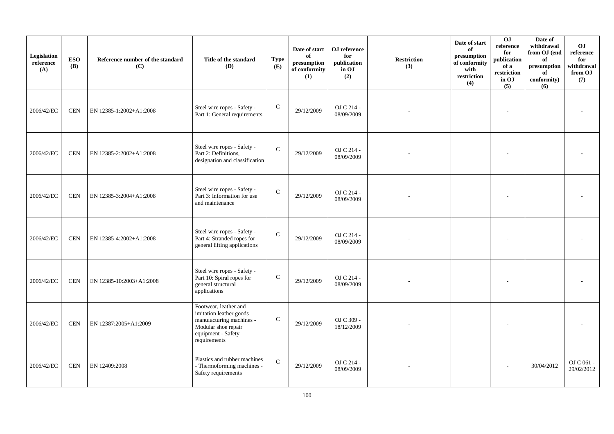| Legislation<br>reference<br>(A) | <b>ESO</b><br><b>(B)</b> | Reference number of the standard<br>(C) | Title of the standard<br><b>(D)</b>                                                                                                       | <b>Type</b><br>(E) | Date of start<br>of<br>presumption<br>of conformity<br>(1) | OJ reference<br>for<br>publication<br>in OJ<br>(2) | <b>Restriction</b><br>(3) | Date of start<br>of<br>presumption<br>of conformity<br>with<br>restriction<br>(4) | 0J<br>reference<br>for<br>publication<br>of a<br>restriction<br>in OJ<br>(5) | Date of<br>withdrawal<br>from OJ (end<br>of<br>$\,$ presumption<br>of<br>conformity)<br>(6) | O <sub>J</sub><br>reference<br>for<br>withdrawal<br>from OJ<br>(7) |
|---------------------------------|--------------------------|-----------------------------------------|-------------------------------------------------------------------------------------------------------------------------------------------|--------------------|------------------------------------------------------------|----------------------------------------------------|---------------------------|-----------------------------------------------------------------------------------|------------------------------------------------------------------------------|---------------------------------------------------------------------------------------------|--------------------------------------------------------------------|
| 2006/42/EC                      | <b>CEN</b>               | EN 12385-1:2002+A1:2008                 | Steel wire ropes - Safety -<br>Part 1: General requirements                                                                               | $\mathsf{C}$       | 29/12/2009                                                 | OJ C 214 -<br>08/09/2009                           |                           |                                                                                   |                                                                              |                                                                                             |                                                                    |
| 2006/42/EC                      | <b>CEN</b>               | EN 12385-2:2002+A1:2008                 | Steel wire ropes - Safety -<br>Part 2: Definitions,<br>designation and classification                                                     | $\mathbf C$        | 29/12/2009                                                 | OJ C 214 -<br>08/09/2009                           |                           |                                                                                   |                                                                              |                                                                                             |                                                                    |
| 2006/42/EC                      | <b>CEN</b>               | EN 12385-3:2004+A1:2008                 | Steel wire ropes - Safety -<br>Part 3: Information for use<br>and maintenance                                                             | ${\bf C}$          | 29/12/2009                                                 | OJ C 214 -<br>08/09/2009                           |                           |                                                                                   |                                                                              |                                                                                             |                                                                    |
| 2006/42/EC                      | <b>CEN</b>               | EN 12385-4:2002+A1:2008                 | Steel wire ropes - Safety -<br>Part 4: Stranded ropes for<br>general lifting applications                                                 | $\mathbf C$        | 29/12/2009                                                 | OJ C 214 -<br>08/09/2009                           |                           |                                                                                   |                                                                              |                                                                                             |                                                                    |
| 2006/42/EC                      | <b>CEN</b>               | EN 12385-10:2003+A1:2008                | Steel wire ropes - Safety -<br>Part 10: Spiral ropes for<br>general structural<br>applications                                            | $\mathsf C$        | 29/12/2009                                                 | OJ C 214 -<br>08/09/2009                           |                           |                                                                                   |                                                                              |                                                                                             |                                                                    |
| 2006/42/EC                      | $\mbox{CEN}$             | EN 12387:2005+A1:2009                   | Footwear, leather and<br>imitation leather goods<br>manufacturing machines -<br>Modular shoe repair<br>equipment - Safety<br>requirements | $\mathsf C$        | 29/12/2009                                                 | OJ C 309 -<br>18/12/2009                           |                           |                                                                                   |                                                                              |                                                                                             |                                                                    |
| 2006/42/EC                      | <b>CEN</b>               | EN 12409:2008                           | Plastics and rubber machines<br>- Thermoforming machines -<br>Safety requirements                                                         | $\mathbf C$        | 29/12/2009                                                 | OJ C 214 -<br>08/09/2009                           |                           |                                                                                   |                                                                              | 30/04/2012                                                                                  | OJ C 061 -<br>29/02/2012                                           |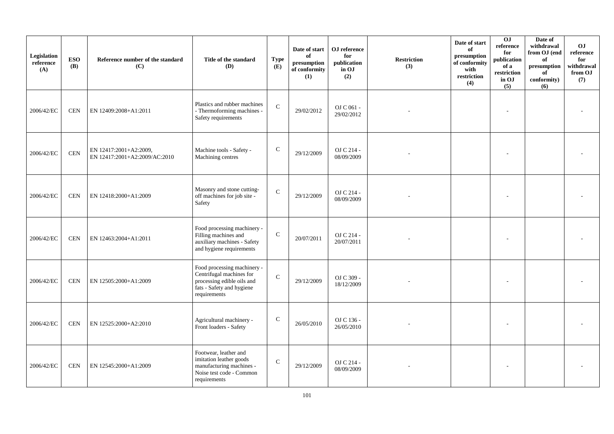| Legislation<br>reference<br>(A) | <b>ESO</b><br><b>(B)</b> | Reference number of the standard<br>(C)                 | Title of the standard<br>(D)                                                                                                       | <b>Type</b><br>(E) | Date of start<br>of<br>$\bf{presumption}$<br>of conformity<br>(1) | OJ reference<br>for<br>publication<br>in OJ<br>(2) | <b>Restriction</b><br>(3) | Date of start<br>of<br>presumption<br>of conformity<br>with<br>restriction<br>(4) | 0J<br>reference<br>for<br>publication<br>of a<br>restriction<br>in OJ<br>(5) | Date of<br>withdrawal<br>from OJ (end<br>of<br>presumption<br>of<br>conformity)<br>(6) | <b>OJ</b><br>reference<br>for<br>withdrawal<br>from OJ<br>(7) |
|---------------------------------|--------------------------|---------------------------------------------------------|------------------------------------------------------------------------------------------------------------------------------------|--------------------|-------------------------------------------------------------------|----------------------------------------------------|---------------------------|-----------------------------------------------------------------------------------|------------------------------------------------------------------------------|----------------------------------------------------------------------------------------|---------------------------------------------------------------|
| 2006/42/EC                      | <b>CEN</b>               | EN 12409:2008+A1:2011                                   | Plastics and rubber machines<br>- Thermoforming machines -<br>Safety requirements                                                  | $\mathcal{C}$      | 29/02/2012                                                        | OJ C 061 -<br>29/02/2012                           |                           |                                                                                   |                                                                              |                                                                                        |                                                               |
| 2006/42/EC                      | $\mbox{CEN}$             | EN 12417:2001+A2:2009,<br>EN 12417:2001+A2:2009/AC:2010 | Machine tools - Safety -<br>Machining centres                                                                                      | $\mathsf{C}$       | 29/12/2009                                                        | OJ C 214 -<br>08/09/2009                           |                           |                                                                                   |                                                                              |                                                                                        |                                                               |
| 2006/42/EC                      | <b>CEN</b>               | EN 12418:2000+A1:2009                                   | Masonry and stone cutting-<br>off machines for job site -<br>Safety                                                                | $\mathbf{C}$       | 29/12/2009                                                        | OJ C 214 -<br>08/09/2009                           |                           |                                                                                   |                                                                              |                                                                                        |                                                               |
| 2006/42/EC                      | <b>CEN</b>               | EN 12463:2004+A1:2011                                   | Food processing machinery -<br>Filling machines and<br>auxiliary machines - Safety<br>and hygiene requirements                     | $\mathbf C$        | 20/07/2011                                                        | OJ C 214 -<br>20/07/2011                           |                           |                                                                                   |                                                                              |                                                                                        |                                                               |
| 2006/42/EC                      | <b>CEN</b>               | EN 12505:2000+A1:2009                                   | Food processing machinery -<br>Centrifugal machines for<br>processing edible oils and<br>fats - Safety and hygiene<br>requirements | $\mathbf{C}$       | 29/12/2009                                                        | OJ C 309 -<br>18/12/2009                           |                           |                                                                                   |                                                                              |                                                                                        |                                                               |
| 2006/42/EC                      | <b>CEN</b>               | EN 12525:2000+A2:2010                                   | Agricultural machinery -<br>Front loaders - Safety                                                                                 | ${\bf C}$          | 26/05/2010                                                        | OJ C 136 -<br>26/05/2010                           |                           |                                                                                   |                                                                              |                                                                                        |                                                               |
| 2006/42/EC                      | <b>CEN</b>               | EN 12545:2000+A1:2009                                   | Footwear, leather and<br>imitation leather goods<br>manufacturing machines -<br>Noise test code - Common<br>requirements           | $\mathbf C$        | 29/12/2009                                                        | OJ C 214 -<br>08/09/2009                           |                           |                                                                                   |                                                                              |                                                                                        |                                                               |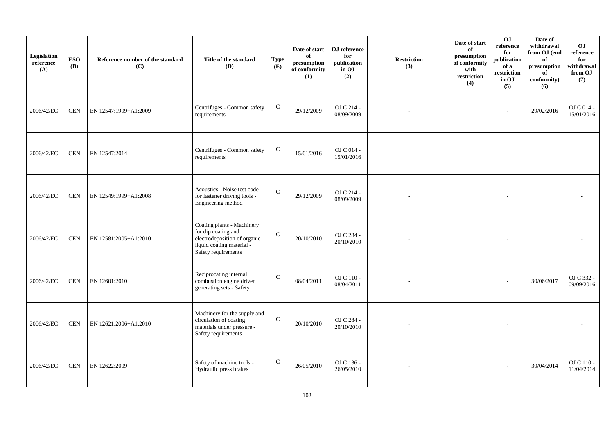| Legislation<br>reference<br>(A) | <b>ESO</b><br><b>(B)</b> | Reference number of the standard<br>(C) | Title of the standard<br>(D)                                                                                                          | <b>Type</b><br>(E) | Date of start<br>of<br>presumption<br>of conformity<br>(1) | OJ reference<br>for<br>publication<br>in OJ<br>(2) | <b>Restriction</b><br>(3) | Date of start<br>of<br>presumption<br>of conformity<br>with<br>restriction<br>(4) | 0J<br>reference<br>for<br>publication<br>of a<br>restriction<br>in OJ<br>(5) | Date of<br>withdrawal<br>from OJ (end<br>of<br>presumption<br>of<br>conformity)<br>(6) | <b>OJ</b><br>reference<br>for<br>withdrawal<br>from OJ<br>(7) |
|---------------------------------|--------------------------|-----------------------------------------|---------------------------------------------------------------------------------------------------------------------------------------|--------------------|------------------------------------------------------------|----------------------------------------------------|---------------------------|-----------------------------------------------------------------------------------|------------------------------------------------------------------------------|----------------------------------------------------------------------------------------|---------------------------------------------------------------|
| 2006/42/EC                      | <b>CEN</b>               | EN 12547:1999+A1:2009                   | Centrifuges - Common safety<br>requirements                                                                                           | ${\bf C}$          | 29/12/2009                                                 | OJ C 214 -<br>08/09/2009                           |                           |                                                                                   | ٠                                                                            | 29/02/2016                                                                             | OJ C 014 -<br>15/01/2016                                      |
| 2006/42/EC                      | <b>CEN</b>               | EN 12547:2014                           | Centrifuges - Common safety<br>requirements                                                                                           | $\mathbf C$        | 15/01/2016                                                 | OJ C 014 -<br>15/01/2016                           |                           |                                                                                   |                                                                              |                                                                                        |                                                               |
| 2006/42/EC                      | <b>CEN</b>               | EN 12549:1999+A1:2008                   | Acoustics - Noise test code<br>for fastener driving tools -<br>Engineering method                                                     | $\mathbf C$        | 29/12/2009                                                 | OJ C 214 -<br>08/09/2009                           |                           |                                                                                   |                                                                              |                                                                                        |                                                               |
| 2006/42/EC                      | <b>CEN</b>               | EN 12581:2005+A1:2010                   | Coating plants - Machinery<br>for dip coating and<br>electrodeposition of organic<br>liquid coating material -<br>Safety requirements | $\mathbf C$        | 20/10/2010                                                 | OJ C 284 -<br>20/10/2010                           |                           |                                                                                   |                                                                              |                                                                                        |                                                               |
| 2006/42/EC                      | <b>CEN</b>               | EN 12601:2010                           | Reciprocating internal<br>combustion engine driven<br>generating sets - Safety                                                        | $\mathcal{C}$      | 08/04/2011                                                 | OJ C 110 -<br>08/04/2011                           |                           |                                                                                   |                                                                              | 30/06/2017                                                                             | OJ C 332 -<br>09/09/2016                                      |
| 2006/42/EC                      | <b>CEN</b>               | EN 12621:2006+A1:2010                   | Machinery for the supply and<br>circulation of coating<br>materials under pressure -<br>Safety requirements                           | $\mathbf C$        | 20/10/2010                                                 | OJ C 284 -<br>20/10/2010                           |                           |                                                                                   |                                                                              |                                                                                        |                                                               |
| 2006/42/EC                      | <b>CEN</b>               | EN 12622:2009                           | Safety of machine tools -<br>Hydraulic press brakes                                                                                   | $\mathsf{C}$       | 26/05/2010                                                 | OJ C 136 -<br>26/05/2010                           |                           |                                                                                   |                                                                              | 30/04/2014                                                                             | OJ C 110 -<br>11/04/2014                                      |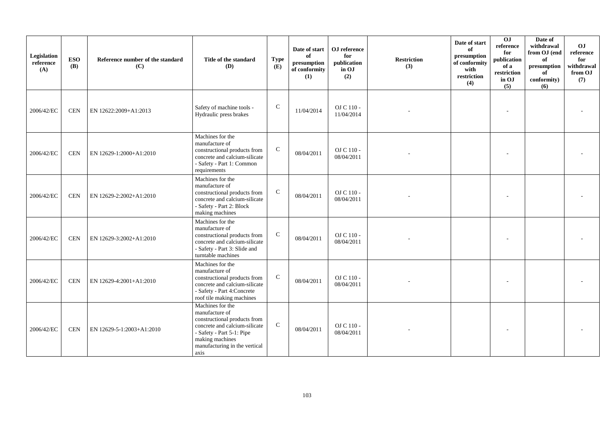| Legislation<br>reference<br>(A) | <b>ESO</b><br><b>(B)</b> | Reference number of the standard<br>(C) | Title of the standard<br><b>(D)</b>                                                                                                                                                          | <b>Type</b><br>(E) | Date of start<br>of<br>presumption<br>of conformity<br>(1) | OJ reference<br>for<br>publication<br>in OJ<br>(2) | <b>Restriction</b><br>(3) | Date of start<br>of<br>presumption<br>of conformity<br>with<br>restriction<br>(4) | 0J<br>reference<br>for<br>publication<br>of a<br>restriction<br>in OJ<br>(5) | Date of<br>withdrawal<br>from OJ (end<br>of<br>presumption<br>of<br>conformity)<br>(6) | OJ<br>reference<br>for<br>withdrawal<br>from OJ<br>(7) |
|---------------------------------|--------------------------|-----------------------------------------|----------------------------------------------------------------------------------------------------------------------------------------------------------------------------------------------|--------------------|------------------------------------------------------------|----------------------------------------------------|---------------------------|-----------------------------------------------------------------------------------|------------------------------------------------------------------------------|----------------------------------------------------------------------------------------|--------------------------------------------------------|
| 2006/42/EC                      | <b>CEN</b>               | EN 12622:2009+A1:2013                   | Safety of machine tools -<br>Hydraulic press brakes                                                                                                                                          | ${\bf C}$          | 11/04/2014                                                 | OJ C 110 -<br>11/04/2014                           |                           |                                                                                   |                                                                              |                                                                                        |                                                        |
| 2006/42/EC                      | <b>CEN</b>               | EN 12629-1:2000+A1:2010                 | Machines for the<br>manufacture of<br>constructional products from<br>concrete and calcium-silicate<br>- Safety - Part 1: Common<br>requirements                                             | $\mathbf C$        | 08/04/2011                                                 | OJ C 110 -<br>08/04/2011                           |                           |                                                                                   |                                                                              |                                                                                        |                                                        |
| 2006/42/EC                      | <b>CEN</b>               | EN 12629-2:2002+A1:2010                 | Machines for the<br>manufacture of<br>constructional products from<br>concrete and calcium-silicate<br>- Safety - Part 2: Block<br>making machines                                           | $\mathbf C$        | 08/04/2011                                                 | OJ C 110 -<br>08/04/2011                           |                           |                                                                                   |                                                                              |                                                                                        |                                                        |
| 2006/42/EC                      | <b>CEN</b>               | EN 12629-3:2002+A1:2010                 | Machines for the<br>manufacture of<br>constructional products from<br>concrete and calcium-silicate<br>- Safety - Part 3: Slide and<br>turntable machines                                    | $\mathbf C$        | 08/04/2011                                                 | OJ C 110 -<br>08/04/2011                           |                           |                                                                                   |                                                                              |                                                                                        |                                                        |
| 2006/42/EC                      | <b>CEN</b>               | EN 12629-4:2001+A1:2010                 | Machines for the<br>manufacture of<br>constructional products from<br>concrete and calcium-silicate<br>- Safety - Part 4: Concrete<br>roof tile making machines                              | $\mathbf C$        | 08/04/2011                                                 | OJ C 110 -<br>08/04/2011                           |                           |                                                                                   |                                                                              |                                                                                        |                                                        |
| 2006/42/EC                      | <b>CEN</b>               | EN 12629-5-1:2003+A1:2010               | Machines for the<br>manufacture of<br>constructional products from<br>concrete and calcium-silicate<br>- Safety - Part 5-1: Pipe<br>making machines<br>manufacturing in the vertical<br>axis | $\mathsf{C}$       | 08/04/2011                                                 | OJ C 110 -<br>08/04/2011                           |                           |                                                                                   |                                                                              |                                                                                        |                                                        |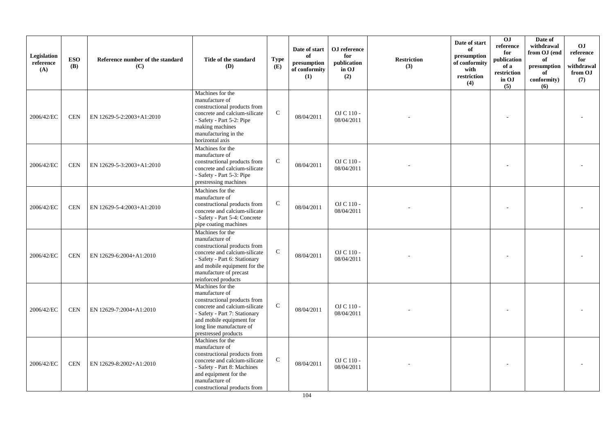| Legislation<br>reference<br>(A) | <b>ESO</b><br><b>(B)</b> | Reference number of the standard<br>(C) | Title of the standard<br>(D)                                                                                                                                                                                          | <b>Type</b><br>(E) | Date of start<br>of<br>presumption<br>of conformity<br>(1) | OJ reference<br>for<br>publication<br>in OJ<br>(2) | <b>Restriction</b><br>(3) | Date of start<br>of<br>presumption<br>of conformity<br>with<br>restriction<br>(4) | OJ<br>reference<br>for<br>publication<br>of a<br>restriction<br>in OJ<br>(5) | Date of<br>withdrawal<br>from OJ (end<br>of<br>presumption<br>of<br>conformity)<br>(6) | <b>OJ</b><br>reference<br>for<br>withdrawal<br>from OJ<br>(7) |
|---------------------------------|--------------------------|-----------------------------------------|-----------------------------------------------------------------------------------------------------------------------------------------------------------------------------------------------------------------------|--------------------|------------------------------------------------------------|----------------------------------------------------|---------------------------|-----------------------------------------------------------------------------------|------------------------------------------------------------------------------|----------------------------------------------------------------------------------------|---------------------------------------------------------------|
| 2006/42/EC                      | <b>CEN</b>               | EN 12629-5-2:2003+A1:2010               | Machines for the<br>manufacture of<br>constructional products from<br>concrete and calcium-silicate<br>- Safety - Part 5-2: Pipe<br>making machines<br>manufacturing in the<br>horizontal axis                        | $\mathbf C$        | 08/04/2011                                                 | OJ C 110 -<br>08/04/2011                           |                           |                                                                                   |                                                                              |                                                                                        |                                                               |
| 2006/42/EC                      | <b>CEN</b>               | EN 12629-5-3:2003+A1:2010               | Machines for the<br>manufacture of<br>constructional products from<br>concrete and calcium-silicate<br>- Safety - Part 5-3: Pipe<br>prestressing machines                                                             | $\mathbf C$        | 08/04/2011                                                 | OJ C 110 -<br>08/04/2011                           |                           |                                                                                   |                                                                              |                                                                                        |                                                               |
| 2006/42/EC                      | <b>CEN</b>               | EN 12629-5-4:2003+A1:2010               | Machines for the<br>manufacture of<br>constructional products from<br>concrete and calcium-silicate<br>- Safety - Part 5-4: Concrete<br>pipe coating machines                                                         | $\mathbf C$        | 08/04/2011                                                 | OJ C 110 -<br>08/04/2011                           |                           |                                                                                   |                                                                              |                                                                                        |                                                               |
| 2006/42/EC                      | <b>CEN</b>               | EN 12629-6:2004+A1:2010                 | Machines for the<br>manufacture of<br>constructional products from<br>concrete and calcium-silicate<br>- Safety - Part 6: Stationary<br>and mobile equipment for the<br>manufacture of precast<br>reinforced products | $\mathbf C$        | 08/04/2011                                                 | OJ C 110 -<br>08/04/2011                           |                           |                                                                                   |                                                                              |                                                                                        |                                                               |
| 2006/42/EC                      | <b>CEN</b>               | EN 12629-7:2004+A1:2010                 | Machines for the<br>manufacture of<br>constructional products from<br>concrete and calcium-silicate<br>- Safety - Part 7: Stationary<br>and mobile equipment for<br>long line manufacture of<br>prestressed products  | $\mathbf C$        | 08/04/2011                                                 | OJ C 110 -<br>08/04/2011                           |                           |                                                                                   |                                                                              |                                                                                        |                                                               |
| 2006/42/EC                      | <b>CEN</b>               | EN 12629-8:2002+A1:2010                 | Machines for the<br>manufacture of<br>constructional products from<br>concrete and calcium-silicate<br>- Safety - Part 8: Machines<br>and equipment for the<br>manufacture of<br>constructional products from         | $\mathbf C$        | 08/04/2011                                                 | OJ C 110 -<br>08/04/2011                           |                           |                                                                                   |                                                                              |                                                                                        |                                                               |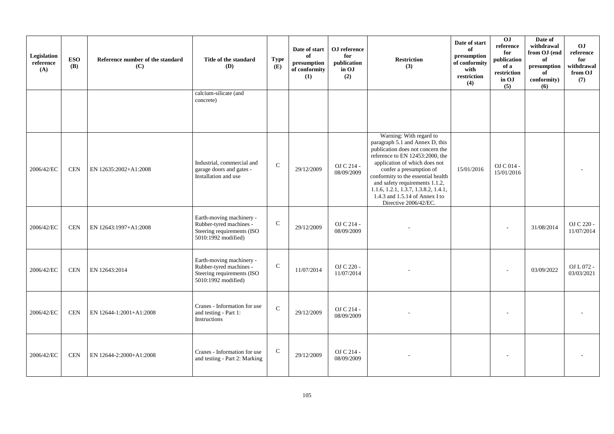| Legislation<br>reference<br>(A) | <b>ESO</b><br>(B) | Reference number of the standard<br>(C) | Title of the standard<br>(D)                                                                             | <b>Type</b><br>(E) | Date of start<br>of<br>presumption<br>of conformity<br>(1) | OJ reference<br>for<br>publication<br>in OJ<br>(2) | <b>Restriction</b><br>(3)                                                                                                                                                                                                                                                                                                                                                             | Date of start<br>of<br>presumption<br>of conformity<br>with<br>restriction<br>(4) | $\overline{0}$<br>reference<br>for<br>publication<br>of a<br>restriction<br>in OJ<br>(5) | Date of<br>withdrawal<br>from OJ (end<br>of<br>presumption<br>of<br>conformity)<br>(6) | O <sub>J</sub><br>reference<br>for<br>withdrawal<br>from OJ<br>(7) |
|---------------------------------|-------------------|-----------------------------------------|----------------------------------------------------------------------------------------------------------|--------------------|------------------------------------------------------------|----------------------------------------------------|---------------------------------------------------------------------------------------------------------------------------------------------------------------------------------------------------------------------------------------------------------------------------------------------------------------------------------------------------------------------------------------|-----------------------------------------------------------------------------------|------------------------------------------------------------------------------------------|----------------------------------------------------------------------------------------|--------------------------------------------------------------------|
|                                 |                   |                                         | calcium-silicate (and<br>concrete)                                                                       |                    |                                                            |                                                    |                                                                                                                                                                                                                                                                                                                                                                                       |                                                                                   |                                                                                          |                                                                                        |                                                                    |
| 2006/42/EC                      | <b>CEN</b>        | EN 12635:2002+A1:2008                   | Industrial, commercial and<br>garage doors and gates -<br>Installation and use                           | $\mathsf{C}$       | 29/12/2009                                                 | OJ C 214 -<br>08/09/2009                           | Warning: With regard to<br>paragraph 5.1 and Annex D, this<br>publication does not concern the<br>reference to EN 12453:2000, the<br>application of which does not<br>confer a presumption of<br>conformity to the essential health<br>and safety requirements 1.1.2,<br>$1.1.6, 1.2.1, 1.\overline{3.7}, 1.3.8.2, 1.4.1,$<br>1.4.3 and 1.5.14 of Annex I to<br>Directive 2006/42/EC. | 15/01/2016                                                                        | OJ C 014 -<br>15/01/2016                                                                 |                                                                                        |                                                                    |
| 2006/42/EC                      | <b>CEN</b>        | EN 12643:1997+A1:2008                   | Earth-moving machinery -<br>Rubber-tyred machines -<br>Steering requirements (ISO<br>5010:1992 modified) | $\mathbf C$        | 29/12/2009                                                 | OJ C 214 -<br>08/09/2009                           |                                                                                                                                                                                                                                                                                                                                                                                       |                                                                                   |                                                                                          | 31/08/2014                                                                             | OJ C 220 -<br>11/07/2014                                           |
| 2006/42/EC                      | <b>CEN</b>        | EN 12643:2014                           | Earth-moving machinery -<br>Rubber-tyred machines -<br>Steering requirements (ISO<br>5010:1992 modified) | $\mathbf C$        | 11/07/2014                                                 | OJ C 220 -<br>11/07/2014                           |                                                                                                                                                                                                                                                                                                                                                                                       |                                                                                   |                                                                                          | 03/09/2022                                                                             | OJ L 072 -<br>03/03/2021                                           |
| 2006/42/EC                      | <b>CEN</b>        | EN 12644-1:2001+A1:2008                 | Cranes - Information for use<br>and testing - Part 1:<br>Instructions                                    | $\mathbf C$        | 29/12/2009                                                 | OJ C 214 -<br>08/09/2009                           |                                                                                                                                                                                                                                                                                                                                                                                       |                                                                                   |                                                                                          |                                                                                        |                                                                    |
| 2006/42/EC                      | <b>CEN</b>        | EN 12644-2:2000+A1:2008                 | Cranes - Information for use<br>and testing - Part 2: Marking                                            | ${\bf C}$          | 29/12/2009                                                 | OJ C 214 -<br>08/09/2009                           |                                                                                                                                                                                                                                                                                                                                                                                       |                                                                                   |                                                                                          |                                                                                        |                                                                    |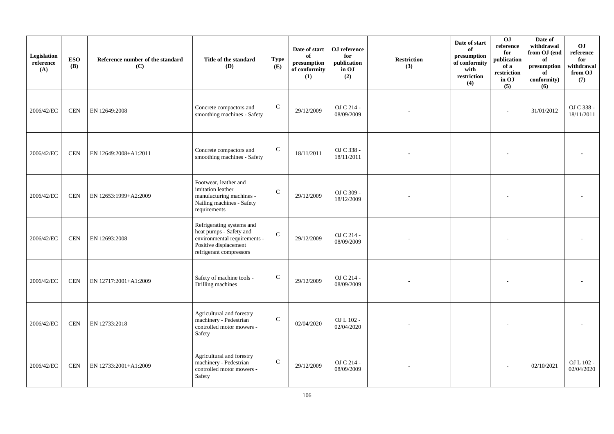| Legislation<br>reference<br>(A) | <b>ESO</b><br>(B) | Reference number of the standard<br>(C) | Title of the standard<br>(D)                                                                                                             | <b>Type</b><br>(E) | Date of start<br>of<br>presumption<br>of conformity<br>(1) | OJ reference<br>for<br>publication<br>in OJ<br>(2) | <b>Restriction</b><br>(3) | Date of start<br>of<br>presumption<br>of conformity<br>with<br>restriction<br>(4) | 0J<br>reference<br>for<br>publication<br>of a<br>restriction<br>in OJ<br>(5) | Date of<br>withdrawal<br>from OJ (end<br>of<br>presumption<br>of<br>conformity)<br>(6) | <b>OJ</b><br>reference<br>for<br>withdrawal<br>from OJ<br>(7) |
|---------------------------------|-------------------|-----------------------------------------|------------------------------------------------------------------------------------------------------------------------------------------|--------------------|------------------------------------------------------------|----------------------------------------------------|---------------------------|-----------------------------------------------------------------------------------|------------------------------------------------------------------------------|----------------------------------------------------------------------------------------|---------------------------------------------------------------|
| 2006/42/EC                      | <b>CEN</b>        | EN 12649:2008                           | Concrete compactors and<br>smoothing machines - Safety                                                                                   | $\mathsf{C}$       | 29/12/2009                                                 | OJ C 214 -<br>08/09/2009                           |                           |                                                                                   | L,                                                                           | 31/01/2012                                                                             | OJ C 338 -<br>18/11/2011                                      |
| 2006/42/EC                      | <b>CEN</b>        | EN 12649:2008+A1:2011                   | Concrete compactors and<br>smoothing machines - Safety                                                                                   | $\mathsf{C}$       | 18/11/2011                                                 | OJ C 338 -<br>18/11/2011                           |                           |                                                                                   |                                                                              |                                                                                        |                                                               |
| 2006/42/EC                      | <b>CEN</b>        | EN 12653:1999+A2:2009                   | Footwear, leather and<br>imitation leather<br>manufacturing machines -<br>Nailing machines - Safety<br>requirements                      | $\mathbf C$        | 29/12/2009                                                 | OJ C 309 -<br>18/12/2009                           |                           |                                                                                   |                                                                              |                                                                                        |                                                               |
| 2006/42/EC                      | <b>CEN</b>        | EN 12693:2008                           | Refrigerating systems and<br>heat pumps - Safety and<br>environmental requirements -<br>Positive displacement<br>refrigerant compressors | $\mathsf{C}$       | 29/12/2009                                                 | OJ C 214 -<br>08/09/2009                           |                           |                                                                                   |                                                                              |                                                                                        |                                                               |
| 2006/42/EC                      | <b>CEN</b>        | EN 12717:2001+A1:2009                   | Safety of machine tools -<br>Drilling machines                                                                                           | $\mathsf{C}$       | 29/12/2009                                                 | OJ C 214 -<br>08/09/2009                           |                           |                                                                                   |                                                                              |                                                                                        |                                                               |
| 2006/42/EC                      | <b>CEN</b>        | EN 12733:2018                           | Agricultural and forestry<br>machinery - Pedestrian<br>controlled motor mowers -<br>Safety                                               | ${\bf C}$          | 02/04/2020                                                 | OJ L 102 -<br>02/04/2020                           |                           |                                                                                   |                                                                              |                                                                                        |                                                               |
| 2006/42/EC                      | <b>CEN</b>        | EN 12733:2001+A1:2009                   | Agricultural and forestry<br>machinery - Pedestrian<br>controlled motor mowers -<br>Safety                                               | $\mathsf{C}$       | 29/12/2009                                                 | OJ C 214 -<br>08/09/2009                           |                           |                                                                                   |                                                                              | 02/10/2021                                                                             | OJ L 102 -<br>02/04/2020                                      |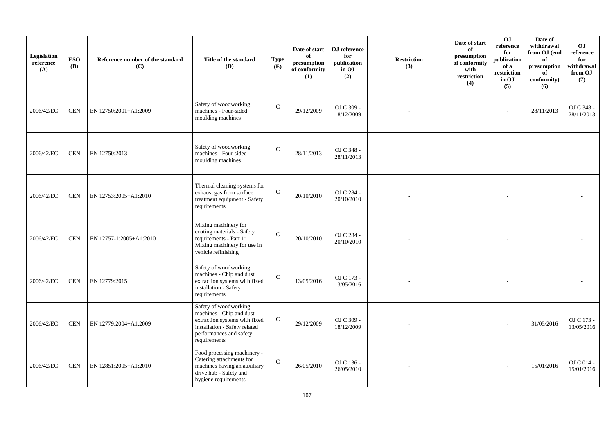| Legislation<br>reference<br>(A) | <b>ESO</b><br><b>(B)</b> | Reference number of the standard<br>(C) | Title of the standard<br>(D)                                                                                                                                   | <b>Type</b><br>(E) | Date of start<br>of<br>presumption<br>of conformity<br>(1) | OJ reference<br>for<br>publication<br>in OJ<br>(2) | <b>Restriction</b><br>(3) | Date of start<br>of<br>presumption<br>of conformity<br>with<br>restriction<br>(4) | O <sub>J</sub><br>reference<br>for<br>publication<br>of a<br>restriction<br>in OJ<br>(5) | Date of<br>withdrawal<br>from OJ (end<br>of<br>presumption<br>of<br>conformity)<br>(6) | <b>OJ</b><br>reference<br>for<br>withdrawal<br>from OJ<br>(7) |
|---------------------------------|--------------------------|-----------------------------------------|----------------------------------------------------------------------------------------------------------------------------------------------------------------|--------------------|------------------------------------------------------------|----------------------------------------------------|---------------------------|-----------------------------------------------------------------------------------|------------------------------------------------------------------------------------------|----------------------------------------------------------------------------------------|---------------------------------------------------------------|
| 2006/42/EC                      | <b>CEN</b>               | EN 12750:2001+A1:2009                   | Safety of woodworking<br>machines - Four-sided<br>moulding machines                                                                                            | $\mathsf{C}$       | 29/12/2009                                                 | OJ C 309 -<br>18/12/2009                           |                           |                                                                                   |                                                                                          | 28/11/2013                                                                             | OJ C 348 -<br>28/11/2013                                      |
| 2006/42/EC                      | <b>CEN</b>               | EN 12750:2013                           | Safety of woodworking<br>machines - Four sided<br>moulding machines                                                                                            | $\mathbf C$        | 28/11/2013                                                 | OJ C 348 -<br>28/11/2013                           |                           |                                                                                   |                                                                                          |                                                                                        |                                                               |
| 2006/42/EC                      | <b>CEN</b>               | EN 12753:2005+A1:2010                   | Thermal cleaning systems for<br>exhaust gas from surface<br>treatment equipment - Safety<br>requirements                                                       | $\mathsf{C}$       | 20/10/2010                                                 | OJ C 284 -<br>20/10/2010                           |                           |                                                                                   |                                                                                          |                                                                                        |                                                               |
| 2006/42/EC                      | <b>CEN</b>               | EN 12757-1:2005+A1:2010                 | Mixing machinery for<br>coating materials - Safety<br>requirements - Part 1:<br>Mixing machinery for use in<br>vehicle refinishing                             | $\mathbf{C}$       | 20/10/2010                                                 | OJ C 284 -<br>20/10/2010                           |                           |                                                                                   |                                                                                          |                                                                                        |                                                               |
| 2006/42/EC                      | <b>CEN</b>               | EN 12779:2015                           | Safety of woodworking<br>machines - Chip and dust<br>extraction systems with fixed<br>installation - Safety<br>requirements                                    | $\mathbf{C}$       | 13/05/2016                                                 | OJ C 173 -<br>13/05/2016                           |                           |                                                                                   |                                                                                          |                                                                                        |                                                               |
| 2006/42/EC                      | <b>CEN</b>               | EN 12779:2004+A1:2009                   | Safety of woodworking<br>machines - Chip and dust<br>extraction systems with fixed<br>installation - Safety related<br>performances and safety<br>requirements | ${\bf C}$          | 29/12/2009                                                 | OJ C 309 -<br>18/12/2009                           |                           |                                                                                   |                                                                                          | 31/05/2016                                                                             | OJ C 173 -<br>13/05/2016                                      |
| 2006/42/EC                      | <b>CEN</b>               | EN 12851:2005+A1:2010                   | Food processing machinery -<br>Catering attachments for<br>machines having an auxiliary<br>drive hub - Safety and<br>hygiene requirements                      | $\mathbf C$        | 26/05/2010                                                 | OJ C 136 -<br>26/05/2010                           |                           |                                                                                   |                                                                                          | 15/01/2016                                                                             | OJ C 014 -<br>15/01/2016                                      |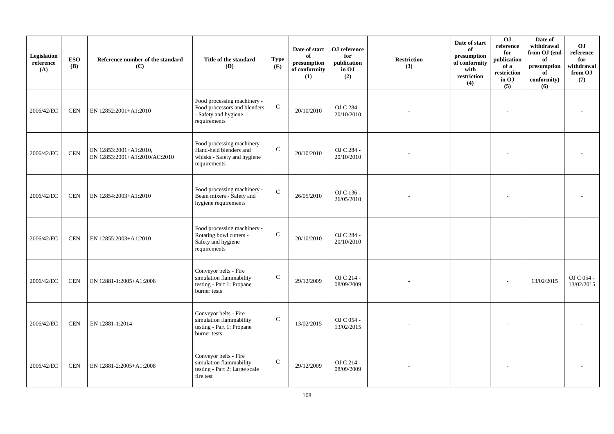| Legislation<br>reference<br>(A) | <b>ESO</b><br><b>(B)</b> | Reference number of the standard<br>(C)                 | Title of the standard<br><b>(D)</b>                                                                  | <b>Type</b><br>(E) | Date of start<br>of<br>presumption<br>of conformity<br>(1) | OJ reference<br>for<br>publication<br>in OJ<br>(2) | <b>Restriction</b><br>(3) | Date of start<br>of<br>presumption<br>of conformity<br>with<br>restriction<br>(4) | 0J<br>reference<br>for<br>publication<br>of a<br>restriction<br>in OJ<br>(5) | Date of<br>withdrawal<br>from OJ (end<br>of<br>presumption<br>of<br>conformity)<br>(6) | O <sub>J</sub><br>reference<br>for<br>withdrawal<br>from OJ<br>(7) |
|---------------------------------|--------------------------|---------------------------------------------------------|------------------------------------------------------------------------------------------------------|--------------------|------------------------------------------------------------|----------------------------------------------------|---------------------------|-----------------------------------------------------------------------------------|------------------------------------------------------------------------------|----------------------------------------------------------------------------------------|--------------------------------------------------------------------|
| 2006/42/EC                      | <b>CEN</b>               | EN 12852:2001+A1:2010                                   | Food processing machinery -<br>Food processors and blenders<br>- Safety and hygiene<br>requirements  | $\mathsf{C}$       | 20/10/2010                                                 | OJ C 284 -<br>20/10/2010                           |                           |                                                                                   |                                                                              |                                                                                        |                                                                    |
| 2006/42/EC                      | $\mbox{CEN}$             | EN 12853:2001+A1:2010,<br>EN 12853:2001+A1:2010/AC:2010 | Food processing machinery -<br>Hand-held blenders and<br>whisks - Safety and hygiene<br>requirements | $\mathcal{C}$      | 20/10/2010                                                 | OJ C 284 -<br>20/10/2010                           |                           |                                                                                   |                                                                              |                                                                                        |                                                                    |
| 2006/42/EC                      | <b>CEN</b>               | EN 12854:2003+A1:2010                                   | Food processing machinery -<br>Beam mixers - Safety and<br>hygiene requirements                      | $\mathcal{C}$      | 26/05/2010                                                 | OJ C 136 -<br>26/05/2010                           |                           |                                                                                   |                                                                              |                                                                                        |                                                                    |
| 2006/42/EC                      | $\mbox{CEN}$             | EN 12855:2003+A1:2010                                   | Food processing machinery -<br>Rotating bowl cutters -<br>Safety and hygiene<br>requirements         | $\mathcal{C}$      | 20/10/2010                                                 | OJ C 284 -<br>20/10/2010                           |                           |                                                                                   |                                                                              |                                                                                        |                                                                    |
| 2006/42/EC                      | <b>CEN</b>               | EN 12881-1:2005+A1:2008                                 | Conveyor belts - Fire<br>simulation flammability<br>testing - Part 1: Propane<br>burner tests        | $\mathcal{C}$      | 29/12/2009                                                 | OJ C 214 -<br>08/09/2009                           |                           |                                                                                   |                                                                              | 13/02/2015                                                                             | OJ C 054 -<br>13/02/2015                                           |
| 2006/42/EC                      | $\mbox{CEN}$             | EN 12881-1:2014                                         | Conveyor belts - Fire<br>simulation flammability<br>testing - Part 1: Propane<br>burner tests        | $\mathcal{C}$      | 13/02/2015                                                 | OJ C 054 -<br>13/02/2015                           |                           |                                                                                   |                                                                              |                                                                                        |                                                                    |
| 2006/42/EC                      | <b>CEN</b>               | EN 12881-2:2005+A1:2008                                 | Conveyor belts - Fire<br>simulation flammability<br>testing - Part 2: Large scale<br>fire test       | $\mathsf C$        | 29/12/2009                                                 | OJ C 214 -<br>08/09/2009                           |                           |                                                                                   |                                                                              |                                                                                        |                                                                    |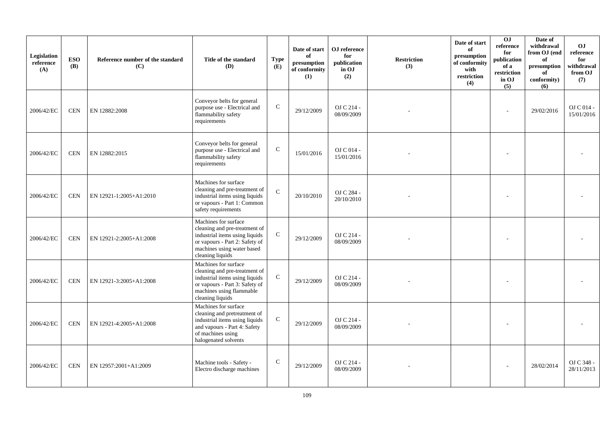| Legislation<br>reference<br>(A) | <b>ESO</b><br><b>(B)</b> | Reference number of the standard<br>(C) | Title of the standard<br><b>(D)</b>                                                                                                                                         | <b>Type</b><br>(E) | Date of start<br>of<br>presumption<br>of conformity<br>(1) | OJ reference<br>for<br>publication<br>in OJ<br>(2) | <b>Restriction</b><br>(3) | Date of start<br>of<br>presumption<br>of conformity<br>with<br>restriction<br>(4) | O <sub>J</sub><br>reference<br>for<br>publication<br>of a<br>restriction<br>in OJ<br>(5) | Date of<br>withdrawal<br>from OJ (end<br>of<br>presumption<br>of<br>conformity)<br>(6) | O <sub>J</sub><br>reference<br>for<br>withdrawal<br>from OJ<br>(7) |
|---------------------------------|--------------------------|-----------------------------------------|-----------------------------------------------------------------------------------------------------------------------------------------------------------------------------|--------------------|------------------------------------------------------------|----------------------------------------------------|---------------------------|-----------------------------------------------------------------------------------|------------------------------------------------------------------------------------------|----------------------------------------------------------------------------------------|--------------------------------------------------------------------|
| 2006/42/EC                      | <b>CEN</b>               | EN 12882:2008                           | Conveyor belts for general<br>purpose use - Electrical and<br>flammability safety<br>requirements                                                                           | $\mathsf C$        | 29/12/2009                                                 | OJ C 214 -<br>08/09/2009                           |                           |                                                                                   |                                                                                          | 29/02/2016                                                                             | OJ C 014 -<br>15/01/2016                                           |
| 2006/42/EC                      | <b>CEN</b>               | EN 12882:2015                           | Conveyor belts for general<br>purpose use - Electrical and<br>flammability safety<br>requirements                                                                           | $\mathsf C$        | 15/01/2016                                                 | OJ C 014 -<br>15/01/2016                           |                           |                                                                                   |                                                                                          |                                                                                        |                                                                    |
| 2006/42/EC                      | <b>CEN</b>               | EN 12921-1:2005+A1:2010                 | Machines for surface<br>cleaning and pre-treatment of<br>industrial items using liquids<br>or vapours - Part 1: Common<br>safety requirements                               | $\mathcal{C}$      | 20/10/2010                                                 | OJ C 284 -<br>20/10/2010                           |                           |                                                                                   |                                                                                          |                                                                                        |                                                                    |
| 2006/42/EC                      | <b>CEN</b>               | EN 12921-2:2005+A1:2008                 | Machines for surface<br>cleaning and pre-treatment of<br>industrial items using liquids<br>or vapours - Part 2: Safety of<br>machines using water based<br>cleaning liquids | ${\bf C}$          | 29/12/2009                                                 | OJ C 214 -<br>08/09/2009                           |                           |                                                                                   |                                                                                          |                                                                                        |                                                                    |
| 2006/42/EC                      | <b>CEN</b>               | EN 12921-3:2005+A1:2008                 | Machines for surface<br>cleaning and pre-treatment of<br>industrial items using liquids<br>or vapours - Part 3: Safety of<br>machines using flammable<br>cleaning liquids   | ${\bf C}$          | 29/12/2009                                                 | OJ C 214 -<br>08/09/2009                           |                           |                                                                                   |                                                                                          |                                                                                        |                                                                    |
| 2006/42/EC                      | $\mbox{CEN}$             | EN 12921-4:2005+A1:2008                 | Machines for surface<br>cleaning and pretreatment of<br>industrial items using liquids<br>and vapours - Part 4: Safety<br>of machines using<br>halogenated solvents         | ${\bf C}$          | 29/12/2009                                                 | OJ C 214 -<br>08/09/2009                           |                           |                                                                                   |                                                                                          |                                                                                        |                                                                    |
| 2006/42/EC                      | <b>CEN</b>               | EN 12957:2001+A1:2009                   | Machine tools - Safety -<br>Electro discharge machines                                                                                                                      | $\mathsf{C}$       | 29/12/2009                                                 | OJ C 214 -<br>08/09/2009                           |                           |                                                                                   |                                                                                          | 28/02/2014                                                                             | OJ C 348 -<br>28/11/2013                                           |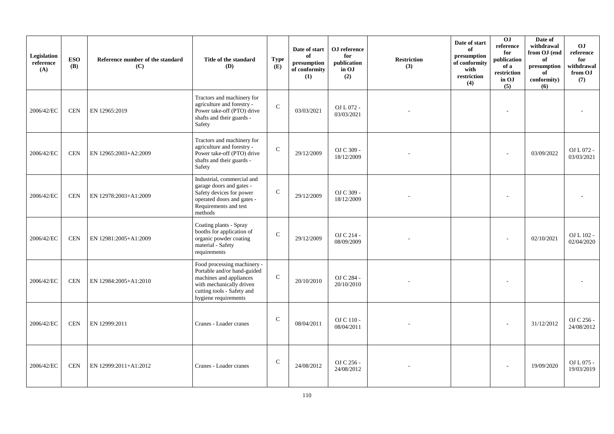| Legislation<br>reference<br>(A) | <b>ESO</b><br><b>(B)</b> | Reference number of the standard<br>(C) | Title of the standard<br>(D)                                                                                                                                            | <b>Type</b><br>(E) | Date of start<br>of<br>presumption<br>of conformity<br>(1) | OJ reference<br>for<br>publication<br>in OJ<br>(2) | <b>Restriction</b><br>(3) | Date of start<br>of<br>presumption<br>of conformity<br>with<br>restriction<br>(4) | 0J<br>reference<br>for<br>publication<br>of a<br>restriction<br>in OJ<br>(5) | Date of<br>withdrawal<br>from OJ (end<br>of<br>presumption<br>of<br>conformity)<br>(6) | O <sub>J</sub><br>reference<br>for<br>withdrawal<br>from OJ<br>(7) |
|---------------------------------|--------------------------|-----------------------------------------|-------------------------------------------------------------------------------------------------------------------------------------------------------------------------|--------------------|------------------------------------------------------------|----------------------------------------------------|---------------------------|-----------------------------------------------------------------------------------|------------------------------------------------------------------------------|----------------------------------------------------------------------------------------|--------------------------------------------------------------------|
| 2006/42/EC                      | <b>CEN</b>               | EN 12965:2019                           | Tractors and machinery for<br>agriculture and forestry -<br>Power take-off (PTO) drive<br>shafts and their guards -<br>Safety                                           | $\mathcal{C}$      | 03/03/2021                                                 | OJ L 072 -<br>03/03/2021                           |                           |                                                                                   |                                                                              |                                                                                        |                                                                    |
| 2006/42/EC                      | <b>CEN</b>               | EN 12965:2003+A2:2009                   | Tractors and machinery for<br>agriculture and forestry -<br>Power take-off (PTO) drive<br>shafts and their guards -<br>Safety                                           | $\mathcal{C}$      | 29/12/2009                                                 | OJ C 309 -<br>18/12/2009                           |                           |                                                                                   |                                                                              | 03/09/2022                                                                             | OJ L 072 -<br>03/03/2021                                           |
| 2006/42/EC                      | <b>CEN</b>               | EN 12978:2003+A1:2009                   | Industrial, commercial and<br>garage doors and gates -<br>Safety devices for power<br>operated doors and gates -<br>Requirements and test<br>methods                    | $\mathsf{C}$       | 29/12/2009                                                 | OJ C 309 -<br>18/12/2009                           |                           |                                                                                   |                                                                              |                                                                                        |                                                                    |
| 2006/42/EC                      | <b>CEN</b>               | EN 12981:2005+A1:2009                   | Coating plants - Spray<br>booths for application of<br>organic powder coating<br>material - Safety<br>requirements                                                      | $\mathbf C$        | 29/12/2009                                                 | OJ C 214 -<br>08/09/2009                           |                           |                                                                                   |                                                                              | 02/10/2021                                                                             | OJ L 102 -<br>02/04/2020                                           |
| 2006/42/EC                      | <b>CEN</b>               | EN 12984:2005+A1:2010                   | Food processing machinery -<br>Portable and/or hand-guided<br>machines and appliances<br>with mechanically driven<br>cutting tools - Safety and<br>hygiene requirements | $\mathbf{C}$       | 20/10/2010                                                 | OJ C 284 -<br>20/10/2010                           |                           |                                                                                   |                                                                              |                                                                                        |                                                                    |
| 2006/42/EC                      | <b>CEN</b>               | EN 12999:2011                           | Cranes - Loader cranes                                                                                                                                                  | $\mathsf{C}$       | 08/04/2011                                                 | OJ C 110 -<br>08/04/2011                           |                           |                                                                                   |                                                                              | 31/12/2012                                                                             | OJ C 256 -<br>24/08/2012                                           |
| 2006/42/EC                      | <b>CEN</b>               | EN 12999:2011+A1:2012                   | Cranes - Loader cranes                                                                                                                                                  | $\mathbf C$        | 24/08/2012                                                 | OJ C 256 -<br>24/08/2012                           |                           |                                                                                   |                                                                              | 19/09/2020                                                                             | OJ L 075 -<br>19/03/2019                                           |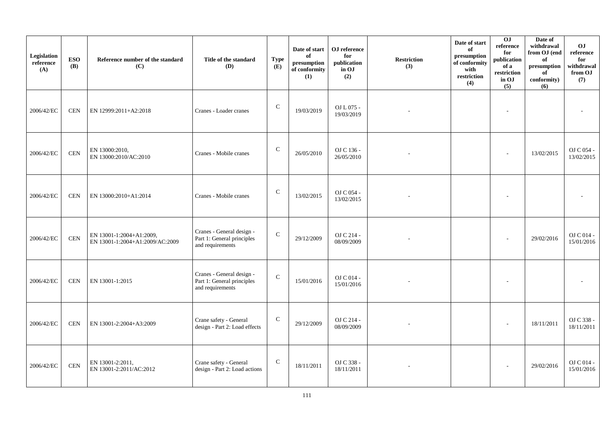| Legislation<br>reference<br>(A) | <b>ESO</b><br><b>(B)</b>    | Reference number of the standard<br>(C)                     | Title of the standard<br>(D)                                                | <b>Type</b><br>(E) | Date of start<br>of<br>presumption<br>of conformity<br>(1) | OJ reference<br>for<br>publication<br>in OJ<br>(2) | <b>Restriction</b><br>(3) | Date of start<br>of<br>presumption<br>of conformity<br>with<br>restriction<br>(4) | 0J<br>reference<br>for<br>publication<br>of a<br>restriction<br>in OJ<br>(5) | Date of<br>withdrawal<br>from OJ (end<br>of<br>presumption<br>of<br>conformity)<br>(6) | OJ<br>reference<br>for<br>withdrawal<br>from OJ<br>(7) |
|---------------------------------|-----------------------------|-------------------------------------------------------------|-----------------------------------------------------------------------------|--------------------|------------------------------------------------------------|----------------------------------------------------|---------------------------|-----------------------------------------------------------------------------------|------------------------------------------------------------------------------|----------------------------------------------------------------------------------------|--------------------------------------------------------|
| 2006/42/EC                      | <b>CEN</b>                  | EN 12999:2011+A2:2018                                       | Cranes - Loader cranes                                                      | $\mathbf C$        | 19/03/2019                                                 | OJ L 075 -<br>19/03/2019                           |                           |                                                                                   | $\overline{a}$                                                               |                                                                                        |                                                        |
| 2006/42/EC                      | <b>CEN</b>                  | EN 13000:2010,<br>EN 13000:2010/AC:2010                     | Cranes - Mobile cranes                                                      | $\mathbf C$        | 26/05/2010                                                 | OJ C 136 -<br>26/05/2010                           |                           |                                                                                   |                                                                              | 13/02/2015                                                                             | OJ C 054 -<br>13/02/2015                               |
| 2006/42/EC                      | <b>CEN</b>                  | EN 13000:2010+A1:2014                                       | Cranes - Mobile cranes                                                      | $\mathsf{C}$       | 13/02/2015                                                 | OJ C 054 -<br>13/02/2015                           |                           |                                                                                   |                                                                              |                                                                                        |                                                        |
| 2006/42/EC                      | $\ensuremath{\mathrm{CEN}}$ | EN 13001-1:2004+A1:2009,<br>EN 13001-1:2004+A1:2009/AC:2009 | Cranes - General design -<br>Part 1: General principles<br>and requirements | $\mathbf C$        | 29/12/2009                                                 | OJ C 214 -<br>08/09/2009                           |                           |                                                                                   |                                                                              | 29/02/2016                                                                             | OJ C 014 -<br>15/01/2016                               |
| 2006/42/EC                      | <b>CEN</b>                  | EN 13001-1:2015                                             | Cranes - General design -<br>Part 1: General principles<br>and requirements | $\mathbf C$        | 15/01/2016                                                 | OJ C 014 -<br>15/01/2016                           |                           |                                                                                   |                                                                              |                                                                                        |                                                        |
| 2006/42/EC                      | <b>CEN</b>                  | EN 13001-2:2004+A3:2009                                     | Crane safety - General<br>design - Part 2: Load effects                     | ${\bf C}$          | 29/12/2009                                                 | OJ C 214 -<br>08/09/2009                           |                           |                                                                                   |                                                                              | 18/11/2011                                                                             | OJ C 338 -<br>18/11/2011                               |
| 2006/42/EC                      | $\mbox{CEN}$                | EN 13001-2:2011,<br>EN 13001-2:2011/AC:2012                 | Crane safety - General<br>design - Part 2: Load actions                     | ${\bf C}$          | 18/11/2011                                                 | OJ C 338 -<br>18/11/2011                           |                           |                                                                                   |                                                                              | 29/02/2016                                                                             | OJ C 014 -<br>15/01/2016                               |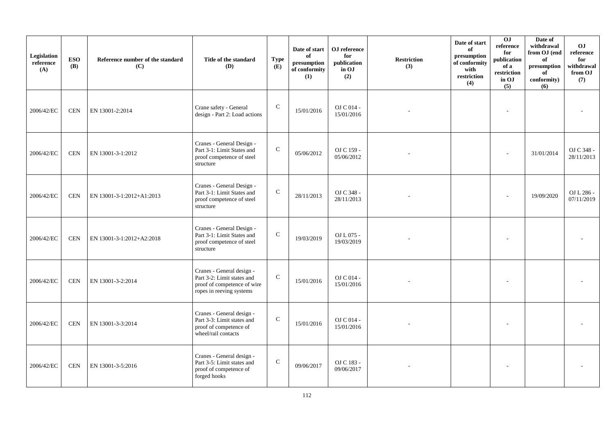| Legislation<br>reference<br>(A) | <b>ESO</b><br><b>(B)</b> | Reference number of the standard<br>(C) | Title of the standard<br>(D)                                                                                       | <b>Type</b><br>(E) | Date of start<br>of<br>presumption<br>of conformity<br>(1) | OJ reference<br>for<br>publication<br>in OJ<br>(2) | <b>Restriction</b><br>(3) | Date of start<br>of<br>presumption<br>of conformity<br>with<br>restriction<br>(4) | 0J<br>reference<br>for<br>publication<br>of a<br>restriction<br>in OJ<br>(5) | Date of<br>withdrawal<br>from OJ (end<br>of<br>presumption<br>of<br>conformity)<br>(6) | O <sub>J</sub><br>reference<br>for<br>withdrawal<br>from OJ<br>(7) |
|---------------------------------|--------------------------|-----------------------------------------|--------------------------------------------------------------------------------------------------------------------|--------------------|------------------------------------------------------------|----------------------------------------------------|---------------------------|-----------------------------------------------------------------------------------|------------------------------------------------------------------------------|----------------------------------------------------------------------------------------|--------------------------------------------------------------------|
| 2006/42/EC                      | <b>CEN</b>               | EN 13001-2:2014                         | Crane safety - General<br>design - Part 2: Load actions                                                            | $\mathsf{C}$       | 15/01/2016                                                 | OJ C 014 -<br>15/01/2016                           |                           |                                                                                   |                                                                              |                                                                                        |                                                                    |
| 2006/42/EC                      | <b>CEN</b>               | EN 13001-3-1:2012                       | Cranes - General Design -<br>Part 3-1: Limit States and<br>proof competence of steel<br>structure                  | ${\bf C}$          | 05/06/2012                                                 | OJ C 159 -<br>05/06/2012                           |                           |                                                                                   |                                                                              | 31/01/2014                                                                             | OJ C 348 -<br>28/11/2013                                           |
| 2006/42/EC                      | <b>CEN</b>               | EN 13001-3-1:2012+A1:2013               | Cranes - General Design -<br>Part 3-1: Limit States and<br>proof competence of steel<br>structure                  | $\mathbf C$        | 28/11/2013                                                 | OJ C 348 -<br>28/11/2013                           |                           |                                                                                   |                                                                              | 19/09/2020                                                                             | OJ L 286 -<br>07/11/2019                                           |
| 2006/42/EC                      | <b>CEN</b>               | EN 13001-3-1:2012+A2:2018               | Cranes - General Design -<br>Part 3-1: Limit States and<br>proof competence of steel<br>structure                  | $\mathbf C$        | 19/03/2019                                                 | OJ L 075 -<br>19/03/2019                           |                           |                                                                                   |                                                                              |                                                                                        |                                                                    |
| 2006/42/EC                      | <b>CEN</b>               | EN 13001-3-2:2014                       | Cranes - General design -<br>Part 3-2: Limit states and<br>proof of competence of wire<br>ropes in reeving systems | $\mathsf{C}$       | 15/01/2016                                                 | OJ C 014 -<br>15/01/2016                           |                           |                                                                                   |                                                                              |                                                                                        |                                                                    |
| 2006/42/EC                      | <b>CEN</b>               | EN 13001-3-3:2014                       | Cranes - General design -<br>Part 3-3: Limit states and<br>proof of competence of<br>wheel/rail contacts           | ${\bf C}$          | 15/01/2016                                                 | OJ C 014 -<br>15/01/2016                           |                           |                                                                                   |                                                                              |                                                                                        |                                                                    |
| 2006/42/EC                      | <b>CEN</b>               | EN 13001-3-5:2016                       | Cranes - General design -<br>Part 3-5: Limit states and<br>proof of competence of<br>forged hooks                  | ${\bf C}$          | 09/06/2017                                                 | OJ C 183 -<br>09/06/2017                           |                           |                                                                                   |                                                                              |                                                                                        |                                                                    |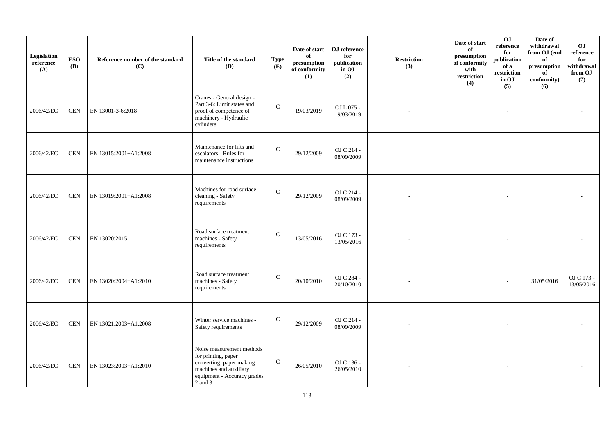| Legislation<br>reference<br>(A) | <b>ESO</b><br><b>(B)</b> | Reference number of the standard<br>(C) | Title of the standard<br><b>(D)</b>                                                                                                              | <b>Type</b><br>(E) | Date of start<br>of<br>presumption<br>of conformity<br>(1) | OJ reference<br>for<br>publication<br>in OJ<br>(2) | <b>Restriction</b><br>(3) | Date of start<br>of<br>presumption<br>of conformity<br>with<br>restriction<br>(4) | 0J<br>reference<br>for<br>publication<br>of a<br>restriction<br>in OJ<br>(5) | Date of<br>withdrawal<br>from OJ (end<br>of<br>$\bf{presumption}$<br>of<br>conformity)<br>(6) | O <sub>J</sub><br>reference<br>for<br>withdrawal<br>from OJ<br>(7) |
|---------------------------------|--------------------------|-----------------------------------------|--------------------------------------------------------------------------------------------------------------------------------------------------|--------------------|------------------------------------------------------------|----------------------------------------------------|---------------------------|-----------------------------------------------------------------------------------|------------------------------------------------------------------------------|-----------------------------------------------------------------------------------------------|--------------------------------------------------------------------|
| 2006/42/EC                      | <b>CEN</b>               | EN 13001-3-6:2018                       | Cranes - General design -<br>Part 3-6: Limit states and<br>proof of competence of<br>machinery - Hydraulic<br>cylinders                          | $\mathcal{C}$      | 19/03/2019                                                 | OJ L 075 -<br>19/03/2019                           |                           |                                                                                   |                                                                              |                                                                                               |                                                                    |
| 2006/42/EC                      | <b>CEN</b>               | EN 13015:2001+A1:2008                   | Maintenance for lifts and<br>escalators - Rules for<br>maintenance instructions                                                                  | $\mathbf C$        | 29/12/2009                                                 | OJ C 214 -<br>08/09/2009                           |                           |                                                                                   |                                                                              |                                                                                               |                                                                    |
| 2006/42/EC                      | <b>CEN</b>               | EN 13019:2001+A1:2008                   | Machines for road surface<br>cleaning - Safety<br>requirements                                                                                   | $\mathsf C$        | 29/12/2009                                                 | OJ C 214 -<br>08/09/2009                           |                           |                                                                                   |                                                                              |                                                                                               |                                                                    |
| 2006/42/EC                      | <b>CEN</b>               | EN 13020:2015                           | Road surface treatment<br>machines - Safety<br>requirements                                                                                      | $\mathsf C$        | 13/05/2016                                                 | OJ C 173 -<br>13/05/2016                           |                           |                                                                                   |                                                                              |                                                                                               |                                                                    |
| 2006/42/EC                      | <b>CEN</b>               | EN 13020:2004+A1:2010                   | Road surface treatment<br>machines - Safety<br>requirements                                                                                      | $\mathcal{C}$      | 20/10/2010                                                 | OJ C 284 -<br>20/10/2010                           |                           |                                                                                   |                                                                              | 31/05/2016                                                                                    | OJ C 173 -<br>13/05/2016                                           |
| 2006/42/EC                      | <b>CEN</b>               | EN 13021:2003+A1:2008                   | Winter service machines -<br>Safety requirements                                                                                                 | $\mathbf C$        | 29/12/2009                                                 | OJ C 214 -<br>08/09/2009                           |                           |                                                                                   |                                                                              |                                                                                               |                                                                    |
| 2006/42/EC                      | <b>CEN</b>               | EN 13023:2003+A1:2010                   | Noise measurement methods<br>for printing, paper<br>converting, paper making<br>machines and auxiliary<br>equipment - Accuracy grades<br>2 and 3 | $\mathsf{C}$       | 26/05/2010                                                 | OJ C 136 -<br>26/05/2010                           |                           |                                                                                   |                                                                              |                                                                                               |                                                                    |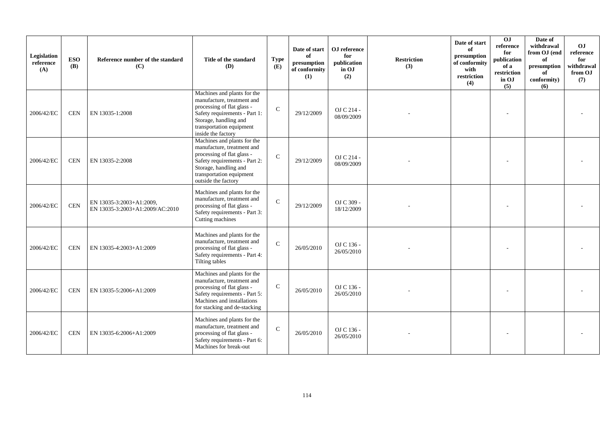| Legislation<br>reference<br>(A) | <b>ESO</b><br><b>(B)</b> | Reference number of the standard<br>(C)                     | Title of the standard<br><b>(D)</b>                                                                                                                                                                  | <b>Type</b><br>(E) | Date of start<br>of<br>presumption<br>of conformity<br>(1) | OJ reference<br>for<br>publication<br>in OJ<br>(2) | <b>Restriction</b><br>(3) | Date of start<br>of<br>presumption<br>of conformity<br>with<br>restriction<br>(4) | 0J<br>reference<br>for<br>publication<br>of a<br>restriction<br>in OJ<br>(5) | Date of<br>withdrawal<br>from OJ (end<br>of<br>presumption<br>of<br>conformity)<br>(6) | O <sub>J</sub><br>reference<br>for<br>withdrawal<br>from OJ<br>(7) |
|---------------------------------|--------------------------|-------------------------------------------------------------|------------------------------------------------------------------------------------------------------------------------------------------------------------------------------------------------------|--------------------|------------------------------------------------------------|----------------------------------------------------|---------------------------|-----------------------------------------------------------------------------------|------------------------------------------------------------------------------|----------------------------------------------------------------------------------------|--------------------------------------------------------------------|
| 2006/42/EC                      | <b>CEN</b>               | EN 13035-1:2008                                             | Machines and plants for the<br>manufacture, treatment and<br>processing of flat glass -<br>Safety requirements - Part 1:<br>Storage, handling and<br>transportation equipment<br>inside the factory  | $\mathcal{C}$      | 29/12/2009                                                 | OJ C 214 -<br>08/09/2009                           |                           |                                                                                   |                                                                              |                                                                                        |                                                                    |
| 2006/42/EC                      | <b>CEN</b>               | EN 13035-2:2008                                             | Machines and plants for the<br>manufacture, treatment and<br>processing of flat glass -<br>Safety requirements - Part 2:<br>Storage, handling and<br>transportation equipment<br>outside the factory | $\mathcal{C}$      | 29/12/2009                                                 | OJ C 214 -<br>08/09/2009                           |                           |                                                                                   |                                                                              |                                                                                        |                                                                    |
| 2006/42/EC                      | <b>CEN</b>               | EN 13035-3:2003+A1:2009,<br>EN 13035-3:2003+A1:2009/AC:2010 | Machines and plants for the<br>manufacture, treatment and<br>processing of flat glass -<br>Safety requirements - Part 3:<br>Cutting machines                                                         | $\mathcal{C}$      | 29/12/2009                                                 | OJ C 309 -<br>18/12/2009                           |                           |                                                                                   |                                                                              |                                                                                        |                                                                    |
| 2006/42/EC                      | <b>CEN</b>               | EN 13035-4:2003+A1:2009                                     | Machines and plants for the<br>manufacture, treatment and<br>processing of flat glass -<br>Safety requirements - Part 4:<br><b>Tilting tables</b>                                                    | $\mathcal{C}$      | 26/05/2010                                                 | OJ C 136 -<br>26/05/2010                           |                           |                                                                                   |                                                                              |                                                                                        |                                                                    |
| 2006/42/EC                      | <b>CEN</b>               | EN 13035-5:2006+A1:2009                                     | Machines and plants for the<br>manufacture, treatment and<br>processing of flat glass -<br>Safety requirements - Part 5:<br>Machines and installations<br>for stacking and de-stacking               | $\mathbf C$        | 26/05/2010                                                 | OJ C 136 -<br>26/05/2010                           |                           |                                                                                   |                                                                              |                                                                                        |                                                                    |
| 2006/42/EC                      | <b>CEN</b>               | EN 13035-6:2006+A1:2009                                     | Machines and plants for the<br>manufacture, treatment and<br>processing of flat glass -<br>Safety requirements - Part 6:<br>Machines for break-out                                                   | $\mathcal{C}$      | 26/05/2010                                                 | OJ C 136 -<br>26/05/2010                           |                           |                                                                                   |                                                                              |                                                                                        |                                                                    |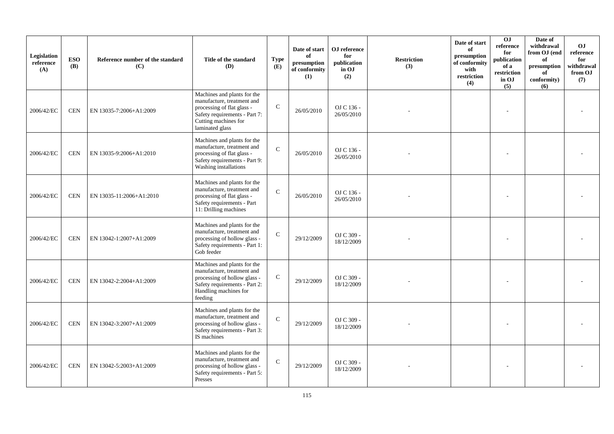| Legislation<br>reference<br>(A) | <b>ESO</b><br><b>(B)</b> | Reference number of the standard<br>(C) | Title of the standard<br><b>(D)</b>                                                                                                                                 | <b>Type</b><br>(E) | Date of start<br>of<br>presumption<br>of conformity<br>(1) | OJ reference<br>for<br>publication<br>in OJ<br>(2) | <b>Restriction</b><br>(3) | Date of start<br>of<br>presumption<br>of conformity<br>with<br>restriction<br>(4) | O <sub>J</sub><br>reference<br>for<br>publication<br>of a<br>restriction<br>in OJ<br>(5) | Date of<br>withdrawal<br>from OJ (end<br>of<br>presumption<br>of<br>conformity)<br>(6) | O <sub>J</sub><br>reference<br>for<br>withdrawal<br>from OJ<br>(7) |
|---------------------------------|--------------------------|-----------------------------------------|---------------------------------------------------------------------------------------------------------------------------------------------------------------------|--------------------|------------------------------------------------------------|----------------------------------------------------|---------------------------|-----------------------------------------------------------------------------------|------------------------------------------------------------------------------------------|----------------------------------------------------------------------------------------|--------------------------------------------------------------------|
| 2006/42/EC                      | <b>CEN</b>               | EN 13035-7:2006+A1:2009                 | Machines and plants for the<br>manufacture, treatment and<br>processing of flat glass -<br>Safety requirements - Part 7:<br>Cutting machines for<br>laminated glass | $\mathsf C$        | 26/05/2010                                                 | OJ C 136 -<br>26/05/2010                           |                           |                                                                                   |                                                                                          |                                                                                        |                                                                    |
| 2006/42/EC                      | <b>CEN</b>               | EN 13035-9:2006+A1:2010                 | Machines and plants for the<br>manufacture, treatment and<br>processing of flat glass -<br>Safety requirements - Part 9:<br>Washing installations                   | $\mathcal{C}$      | 26/05/2010                                                 | OJ C 136 -<br>26/05/2010                           |                           |                                                                                   |                                                                                          |                                                                                        |                                                                    |
| 2006/42/EC                      | <b>CEN</b>               | EN 13035-11:2006+A1:2010                | Machines and plants for the<br>manufacture, treatment and<br>processing of flat glass -<br>Safety requirements - Part<br>11: Drilling machines                      | $\mathbf C$        | 26/05/2010                                                 | OJ C 136 -<br>26/05/2010                           |                           |                                                                                   |                                                                                          |                                                                                        |                                                                    |
| 2006/42/EC                      | <b>CEN</b>               | EN 13042-1:2007+A1:2009                 | Machines and plants for the<br>manufacture, treatment and<br>processing of hollow glass -<br>Safety requirements - Part 1:<br>Gob feeder                            | ${\bf C}$          | 29/12/2009                                                 | OJ C 309 -<br>18/12/2009                           |                           |                                                                                   |                                                                                          |                                                                                        |                                                                    |
| 2006/42/EC                      | <b>CEN</b>               | EN 13042-2:2004+A1:2009                 | Machines and plants for the<br>manufacture, treatment and<br>processing of hollow glass -<br>Safety requirements - Part 2:<br>Handling machines for<br>feeding      | $\mathsf{C}$       | 29/12/2009                                                 | OJ C 309 -<br>18/12/2009                           |                           |                                                                                   |                                                                                          |                                                                                        |                                                                    |
| 2006/42/EC                      | $\mbox{CEN}$             | EN 13042-3:2007+A1:2009                 | Machines and plants for the<br>manufacture, treatment and<br>processing of hollow glass -<br>Safety requirements - Part 3:<br>IS machines                           | $\mathcal{C}$      | 29/12/2009                                                 | OJ C 309 -<br>18/12/2009                           |                           |                                                                                   |                                                                                          |                                                                                        |                                                                    |
| 2006/42/EC                      | <b>CEN</b>               | EN 13042-5:2003+A1:2009                 | Machines and plants for the<br>manufacture, treatment and<br>processing of hollow glass -<br>Safety requirements - Part 5:<br>Presses                               | $\mathcal{C}$      | 29/12/2009                                                 | OJ C 309 -<br>18/12/2009                           |                           |                                                                                   |                                                                                          |                                                                                        |                                                                    |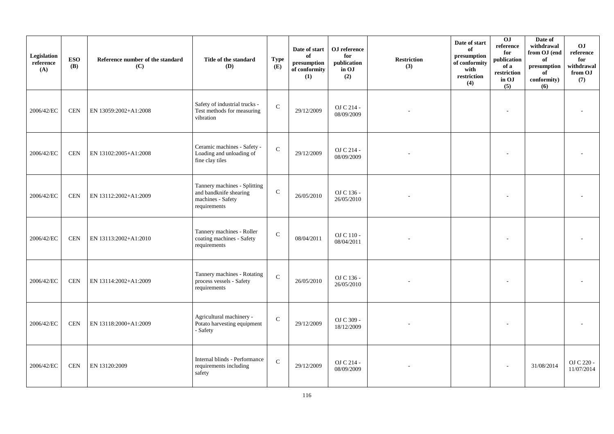| Legislation<br>reference<br>(A) | <b>ESO</b><br>(B) | Reference number of the standard<br>(C) | Title of the standard<br>(D)                                                                | <b>Type</b><br>(E) | Date of start<br>of<br>$\bf{presumption}$<br>of conformity<br>(1) | OJ reference<br>for<br>publication<br>in OJ<br>(2) | <b>Restriction</b><br>(3) | Date of start<br>of<br>presumption<br>of conformity<br>with<br>restriction<br>(4) | 0J<br>reference<br>for<br>publication<br>of a<br>restriction<br>in OJ<br>(5) | Date of<br>withdrawal<br>from OJ (end<br>of<br>presumption<br>of<br>conformity)<br>(6) | <b>OJ</b><br>reference<br>for<br>withdrawal<br>from OJ<br>(7) |
|---------------------------------|-------------------|-----------------------------------------|---------------------------------------------------------------------------------------------|--------------------|-------------------------------------------------------------------|----------------------------------------------------|---------------------------|-----------------------------------------------------------------------------------|------------------------------------------------------------------------------|----------------------------------------------------------------------------------------|---------------------------------------------------------------|
| 2006/42/EC                      | <b>CEN</b>        | EN 13059:2002+A1:2008                   | Safety of industrial trucks -<br>Test methods for measuring<br>vibration                    | $\mathbf C$        | 29/12/2009                                                        | OJ C 214 -<br>08/09/2009                           |                           |                                                                                   | $\overline{a}$                                                               |                                                                                        |                                                               |
| 2006/42/EC                      | <b>CEN</b>        | EN 13102:2005+A1:2008                   | Ceramic machines - Safety -<br>Loading and unloading of<br>fine clay tiles                  | $\mathbf C$        | 29/12/2009                                                        | OJ C 214 -<br>08/09/2009                           |                           |                                                                                   |                                                                              |                                                                                        |                                                               |
| 2006/42/EC                      | <b>CEN</b>        | EN 13112:2002+A1:2009                   | Tannery machines - Splitting<br>and bandknife shearing<br>machines - Safety<br>requirements | $\mathsf{C}$       | 26/05/2010                                                        | OJ C 136 -<br>26/05/2010                           |                           |                                                                                   |                                                                              |                                                                                        |                                                               |
| 2006/42/EC                      | <b>CEN</b>        | EN 13113:2002+A1:2010                   | Tannery machines - Roller<br>coating machines - Safety<br>requirements                      | $\mathbf C$        | 08/04/2011                                                        | OJ C 110 -<br>08/04/2011                           |                           |                                                                                   |                                                                              |                                                                                        |                                                               |
| 2006/42/EC                      | <b>CEN</b>        | EN 13114:2002+A1:2009                   | Tannery machines - Rotating<br>process vessels - Safety<br>requirements                     | $\mathbf{C}$       | 26/05/2010                                                        | OJ C 136 -<br>26/05/2010                           |                           |                                                                                   |                                                                              |                                                                                        |                                                               |
| 2006/42/EC                      | <b>CEN</b>        | EN 13118:2000+A1:2009                   | Agricultural machinery -<br>Potato harvesting equipment<br>- Safety                         | ${\bf C}$          | 29/12/2009                                                        | OJ C 309 -<br>18/12/2009                           |                           |                                                                                   |                                                                              |                                                                                        |                                                               |
| 2006/42/EC                      | <b>CEN</b>        | EN 13120:2009                           | Internal blinds - Performance<br>requirements including<br>safety                           | $\mathbf C$        | 29/12/2009                                                        | OJ C 214 -<br>08/09/2009                           |                           |                                                                                   |                                                                              | 31/08/2014                                                                             | OJ C 220 -<br>11/07/2014                                      |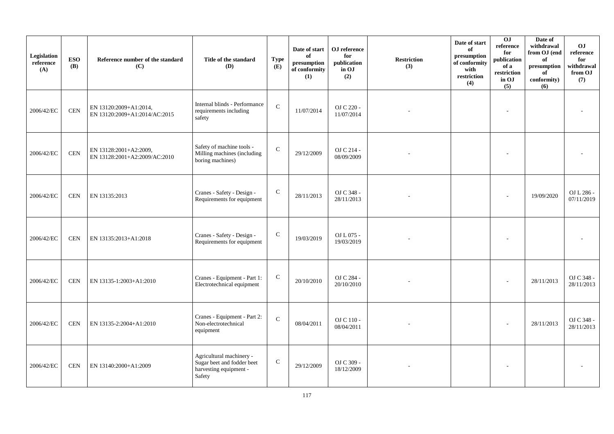| Legislation<br>reference<br>(A) | <b>ESO</b><br><b>(B)</b> | Reference number of the standard<br>(C)                 | Title of the standard<br>(D)                                                               | <b>Type</b><br>(E) | Date of start<br>of<br>presumption<br>of conformity<br>(1) | OJ reference<br>for<br>publication<br>in OJ<br>(2) | <b>Restriction</b><br>(3) | Date of start<br>of<br>presumption<br>of conformity<br>with<br>restriction<br>(4) | 0J<br>reference<br>for<br>publication<br>of a<br>restriction<br>in OJ<br>(5) | Date of<br>withdrawal<br>from OJ (end<br>of<br>presumption<br>of<br>conformity)<br>(6) | <b>OJ</b><br>reference<br>for<br>withdrawal<br>from OJ<br>(7) |
|---------------------------------|--------------------------|---------------------------------------------------------|--------------------------------------------------------------------------------------------|--------------------|------------------------------------------------------------|----------------------------------------------------|---------------------------|-----------------------------------------------------------------------------------|------------------------------------------------------------------------------|----------------------------------------------------------------------------------------|---------------------------------------------------------------|
| 2006/42/EC                      | <b>CEN</b>               | EN 13120:2009+A1:2014,<br>EN 13120:2009+A1:2014/AC:2015 | Internal blinds - Performance<br>requirements including<br>safety                          | $\mathbf C$        | 11/07/2014                                                 | OJ C 220 -<br>11/07/2014                           |                           |                                                                                   |                                                                              |                                                                                        |                                                               |
| 2006/42/EC                      | <b>CEN</b>               | EN 13128:2001+A2:2009,<br>EN 13128:2001+A2:2009/AC:2010 | Safety of machine tools -<br>Milling machines (including<br>boring machines)               | $\mathsf{C}$       | 29/12/2009                                                 | OJ C 214 -<br>08/09/2009                           |                           |                                                                                   |                                                                              |                                                                                        |                                                               |
| 2006/42/EC                      | <b>CEN</b>               | EN 13135:2013                                           | Cranes - Safety - Design -<br>Requirements for equipment                                   | $\mathbf C$        | 28/11/2013                                                 | OJ C 348 -<br>28/11/2013                           |                           |                                                                                   |                                                                              | 19/09/2020                                                                             | OJ L 286 -<br>07/11/2019                                      |
| 2006/42/EC                      | <b>CEN</b>               | EN 13135:2013+A1:2018                                   | Cranes - Safety - Design -<br>Requirements for equipment                                   | $\mathbf C$        | 19/03/2019                                                 | OJ L 075 -<br>19/03/2019                           |                           |                                                                                   |                                                                              |                                                                                        |                                                               |
| 2006/42/EC                      | <b>CEN</b>               | EN 13135-1:2003+A1:2010                                 | Cranes - Equipment - Part 1:<br>Electrotechnical equipment                                 | ${\bf C}$          | 20/10/2010                                                 | OJ C 284 -<br>20/10/2010                           |                           |                                                                                   |                                                                              | 28/11/2013                                                                             | OJ C 348 -<br>28/11/2013                                      |
| 2006/42/EC                      | <b>CEN</b>               | EN 13135-2:2004+A1:2010                                 | Cranes - Equipment - Part 2:<br>Non-electrotechnical<br>equipment                          | $\mathbf C$        | 08/04/2011                                                 | OJ C 110 -<br>08/04/2011                           |                           |                                                                                   |                                                                              | 28/11/2013                                                                             | OJ C 348 -<br>28/11/2013                                      |
| 2006/42/EC                      | <b>CEN</b>               | EN 13140:2000+A1:2009                                   | Agricultural machinery -<br>Sugar beet and fodder beet<br>harvesting equipment -<br>Safety | ${\bf C}$          | 29/12/2009                                                 | OJ C 309 -<br>18/12/2009                           |                           |                                                                                   |                                                                              |                                                                                        |                                                               |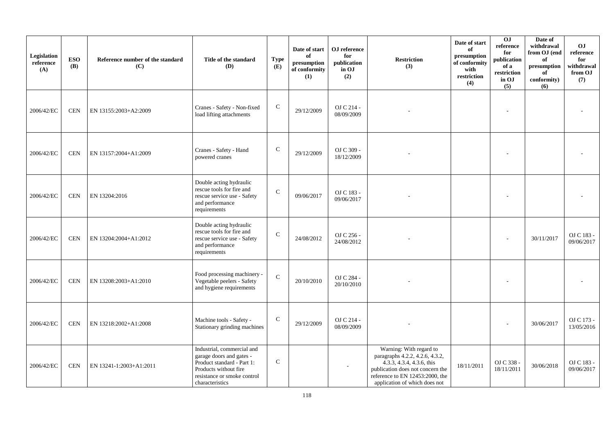| Legislation<br>reference<br>(A) | <b>ESO</b><br><b>(B)</b> | Reference number of the standard<br>(C) | Title of the standard<br><b>(D)</b>                                                                                                                             | <b>Type</b><br>(E) | Date of start<br>of<br>presumption<br>of conformity<br>(1) | OJ reference<br>for<br>publication<br>in OJ<br>(2) | <b>Restriction</b><br>(3)                                                                                                                                                                                                | Date of start<br>of<br>presumption<br>of conformity<br>with<br>restriction<br>(4) | 0J<br>reference<br>for<br>publication<br>of a<br>restriction<br>in OJ<br>(5) | Date of<br>withdrawal<br>from OJ (end<br>of<br>presumption<br>of<br>conformity)<br>(6) | <b>OJ</b><br>reference<br>for<br>withdrawal<br>from OJ<br>(7) |
|---------------------------------|--------------------------|-----------------------------------------|-----------------------------------------------------------------------------------------------------------------------------------------------------------------|--------------------|------------------------------------------------------------|----------------------------------------------------|--------------------------------------------------------------------------------------------------------------------------------------------------------------------------------------------------------------------------|-----------------------------------------------------------------------------------|------------------------------------------------------------------------------|----------------------------------------------------------------------------------------|---------------------------------------------------------------|
| 2006/42/EC                      | <b>CEN</b>               | EN 13155:2003+A2:2009                   | Cranes - Safety - Non-fixed<br>load lifting attachments                                                                                                         | $\mathbf C$        | 29/12/2009                                                 | OJ C 214 -<br>08/09/2009                           |                                                                                                                                                                                                                          |                                                                                   |                                                                              |                                                                                        |                                                               |
| 2006/42/EC                      | <b>CEN</b>               | EN 13157:2004+A1:2009                   | Cranes - Safety - Hand<br>powered cranes                                                                                                                        | $\mathsf{C}$       | 29/12/2009                                                 | OJ C 309 -<br>18/12/2009                           |                                                                                                                                                                                                                          |                                                                                   |                                                                              |                                                                                        |                                                               |
| 2006/42/EC                      | <b>CEN</b>               | EN 13204:2016                           | Double acting hydraulic<br>rescue tools for fire and<br>rescue service use - Safety<br>and performance<br>requirements                                          | $\mathbf C$        | 09/06/2017                                                 | OJ C 183 -<br>09/06/2017                           |                                                                                                                                                                                                                          |                                                                                   |                                                                              |                                                                                        |                                                               |
| 2006/42/EC                      | <b>CEN</b>               | EN 13204:2004+A1:2012                   | Double acting hydraulic<br>rescue tools for fire and<br>rescue service use - Safety<br>and performance<br>requirements                                          | ${\bf C}$          | 24/08/2012                                                 | OJ C 256 -<br>24/08/2012                           |                                                                                                                                                                                                                          |                                                                                   |                                                                              | 30/11/2017                                                                             | OJ C 183 -<br>09/06/2017                                      |
| 2006/42/EC                      | <b>CEN</b>               | EN 13208:2003+A1:2010                   | Food processing machinery -<br>Vegetable peelers - Safety<br>and hygiene requirements                                                                           | $\mathbf{C}$       | 20/10/2010                                                 | OJ C 284 -<br>20/10/2010                           |                                                                                                                                                                                                                          |                                                                                   |                                                                              |                                                                                        |                                                               |
| 2006/42/EC                      | <b>CEN</b>               | EN 13218:2002+A1:2008                   | Machine tools - Safety -<br>Stationary grinding machines                                                                                                        | $\mathbf C$        | 29/12/2009                                                 | OJ C 214 -<br>08/09/2009                           |                                                                                                                                                                                                                          |                                                                                   |                                                                              | 30/06/2017                                                                             | OJ C 173 -<br>13/05/2016                                      |
| 2006/42/EC                      | <b>CEN</b>               | EN 13241-1:2003+A1:2011                 | Industrial, commercial and<br>garage doors and gates -<br>Product standard - Part 1:<br>Products without fire<br>resistance or smoke control<br>characteristics | ${\bf C}$          |                                                            |                                                    | Warning: With regard to<br>paragraphs 4.2.2, 4.2.6, 4.3.2,<br>$4.\overline{3}.\overline{3}$ , 4.3.4, 4.3.6, this<br>publication does not concern the<br>reference to EN 12453:2000, the<br>application of which does not | 18/11/2011                                                                        | OJ C 338 -<br>18/11/2011                                                     | 30/06/2018                                                                             | OJ C 183 -<br>09/06/2017                                      |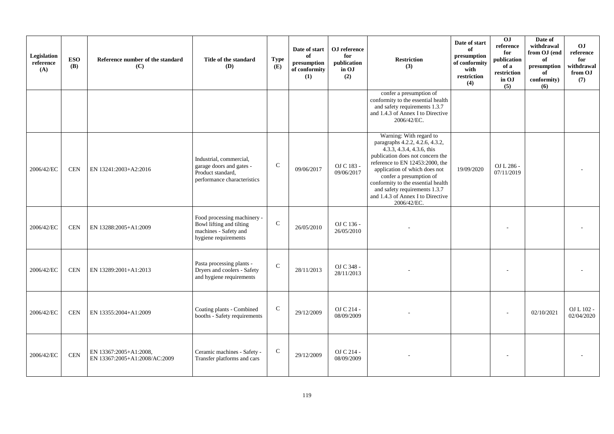| Legislation<br>reference<br>(A) | <b>ESO</b><br><b>(B)</b> | Reference number of the standard<br>(C)                 | Title of the standard<br>(D)                                                                             | <b>Type</b><br>(E) | Date of start<br>of<br>presumption<br>of conformity<br>(1) | OJ reference<br>for<br>publication<br>in OJ<br>(2) | <b>Restriction</b><br>(3)                                                                                                                                                                                                                                                                                                                             | Date of start<br>of<br>presumption<br>of conformity<br>with<br>restriction<br>(4) | OJ<br>reference<br>for<br>publication<br>of a<br>restriction<br>in OJ<br>(5) | Date of<br>withdrawal<br>from OJ (end<br>of<br>presumption<br>of<br>conformity)<br>(6) | OJ<br>reference<br>for<br>withdrawal<br>from OJ<br>(7) |
|---------------------------------|--------------------------|---------------------------------------------------------|----------------------------------------------------------------------------------------------------------|--------------------|------------------------------------------------------------|----------------------------------------------------|-------------------------------------------------------------------------------------------------------------------------------------------------------------------------------------------------------------------------------------------------------------------------------------------------------------------------------------------------------|-----------------------------------------------------------------------------------|------------------------------------------------------------------------------|----------------------------------------------------------------------------------------|--------------------------------------------------------|
|                                 |                          |                                                         |                                                                                                          |                    |                                                            |                                                    | confer a presumption of<br>conformity to the essential health<br>and safety requirements 1.3.7<br>and 1.4.3 of Annex I to Directive<br>2006/42/EC.                                                                                                                                                                                                    |                                                                                   |                                                                              |                                                                                        |                                                        |
| 2006/42/EC                      | <b>CEN</b>               | EN 13241:2003+A2:2016                                   | Industrial, commercial,<br>garage doors and gates -<br>Product standard,<br>performance characteristics  | $\mathsf{C}$       | 09/06/2017                                                 | OJ C 183 -<br>09/06/2017                           | Warning: With regard to<br>paragraphs 4.2.2, 4.2.6, 4.3.2,<br>4.3.3, 4.3.4, 4.3.6, this<br>publication does not concern the<br>reference to EN 12453:2000, the<br>application of which does not<br>confer a presumption of<br>conformity to the essential health<br>and safety requirements 1.3.7<br>and 1.4.3 of Annex I to Directive<br>2006/42/EC. | 19/09/2020                                                                        | OJ L 286 -<br>07/11/2019                                                     |                                                                                        |                                                        |
| 2006/42/EC                      | <b>CEN</b>               | EN 13288:2005+A1:2009                                   | Food processing machinery -<br>Bowl lifting and tilting<br>machines - Safety and<br>hygiene requirements | $\mathbf C$        | 26/05/2010                                                 | OJ C 136 -<br>26/05/2010                           |                                                                                                                                                                                                                                                                                                                                                       |                                                                                   |                                                                              |                                                                                        |                                                        |
| 2006/42/EC                      | <b>CEN</b>               | EN 13289:2001+A1:2013                                   | Pasta processing plants -<br>Dryers and coolers - Safety<br>and hygiene requirements                     | $\mathcal{C}$      | 28/11/2013                                                 | OJ C 348 -<br>28/11/2013                           |                                                                                                                                                                                                                                                                                                                                                       |                                                                                   |                                                                              |                                                                                        |                                                        |
| 2006/42/EC                      | <b>CEN</b>               | EN 13355:2004+A1:2009                                   | Coating plants - Combined<br>booths - Safety requirements                                                | $\mathbf C$        | 29/12/2009                                                 | OJ C 214 -<br>08/09/2009                           |                                                                                                                                                                                                                                                                                                                                                       |                                                                                   |                                                                              | 02/10/2021                                                                             | OJ L 102 -<br>02/04/2020                               |
| 2006/42/EC                      | $\mbox{CEN}$             | EN 13367:2005+A1:2008,<br>EN 13367:2005+A1:2008/AC:2009 | Ceramic machines - Safety -<br>Transfer platforms and cars                                               | ${\bf C}$          | 29/12/2009                                                 | OJ C 214 -<br>08/09/2009                           |                                                                                                                                                                                                                                                                                                                                                       |                                                                                   |                                                                              |                                                                                        |                                                        |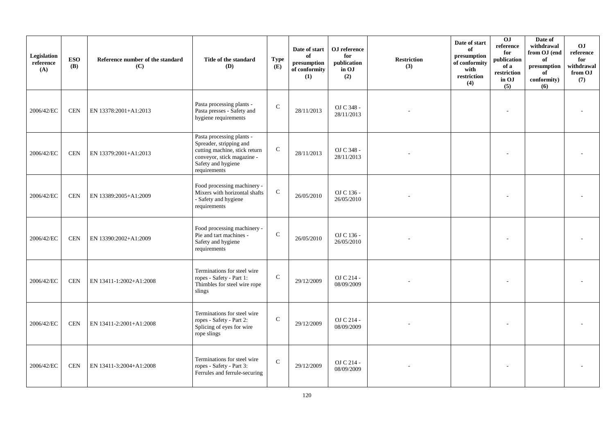| Legislation<br>reference<br>(A) | <b>ESO</b><br><b>(B)</b> | Reference number of the standard<br>(C) | Title of the standard<br><b>(D)</b>                                                                                                                       | <b>Type</b><br>(E) | Date of start<br>of<br>$\bf{presumption}$<br>of conformity<br>(1) | OJ reference<br>for<br>publication<br>in OJ<br>(2) | <b>Restriction</b><br>(3) | Date of start<br>of<br>presumption<br>of conformity<br>with<br>restriction<br>(4) | OJ<br>reference<br>for<br>publication<br>of a<br>restriction<br>in OJ<br>(5) | Date of<br>withdrawal<br>from OJ (end<br>of<br>presumption<br>of<br>conformity)<br>(6) | <b>OJ</b><br>reference<br>for<br>withdrawal<br>from OJ<br>(7) |
|---------------------------------|--------------------------|-----------------------------------------|-----------------------------------------------------------------------------------------------------------------------------------------------------------|--------------------|-------------------------------------------------------------------|----------------------------------------------------|---------------------------|-----------------------------------------------------------------------------------|------------------------------------------------------------------------------|----------------------------------------------------------------------------------------|---------------------------------------------------------------|
| 2006/42/EC                      | <b>CEN</b>               | EN 13378:2001+A1:2013                   | Pasta processing plants -<br>Pasta presses - Safety and<br>hygiene requirements                                                                           | $\mathsf{C}$       | 28/11/2013                                                        | OJ C 348 -<br>28/11/2013                           |                           |                                                                                   |                                                                              |                                                                                        |                                                               |
| 2006/42/EC                      | <b>CEN</b>               | EN 13379:2001+A1:2013                   | Pasta processing plants -<br>Spreader, stripping and<br>cutting machine, stick return<br>conveyor, stick magazine -<br>Safety and hygiene<br>requirements | ${\bf C}$          | 28/11/2013                                                        | OJ C 348 -<br>28/11/2013                           |                           |                                                                                   |                                                                              |                                                                                        |                                                               |
| 2006/42/EC                      | <b>CEN</b>               | EN 13389:2005+A1:2009                   | Food processing machinery -<br>Mixers with horizontal shafts<br>- Safety and hygiene<br>requirements                                                      | $\mathbf C$        | 26/05/2010                                                        | OJ C 136 -<br>26/05/2010                           |                           |                                                                                   |                                                                              |                                                                                        |                                                               |
| 2006/42/EC                      | <b>CEN</b>               | EN 13390:2002+A1:2009                   | Food processing machinery -<br>Pie and tart machines -<br>Safety and hygiene<br>requirements                                                              | $\mathsf{C}$       | 26/05/2010                                                        | OJ C 136 -<br>26/05/2010                           |                           |                                                                                   |                                                                              |                                                                                        |                                                               |
| 2006/42/EC                      | <b>CEN</b>               | EN 13411-1:2002+A1:2008                 | Terminations for steel wire<br>ropes - Safety - Part 1:<br>Thimbles for steel wire rope<br>slings                                                         | $\mathsf{C}$       | 29/12/2009                                                        | OJ C 214 -<br>08/09/2009                           |                           |                                                                                   |                                                                              |                                                                                        |                                                               |
| 2006/42/EC                      | <b>CEN</b>               | EN 13411-2:2001+A1:2008                 | Terminations for steel wire<br>ropes - Safety - Part 2:<br>Splicing of eyes for wire<br>rope slings                                                       | $\mathsf{C}$       | 29/12/2009                                                        | OJ C 214 -<br>08/09/2009                           |                           |                                                                                   |                                                                              |                                                                                        |                                                               |
| 2006/42/EC                      | <b>CEN</b>               | EN 13411-3:2004+A1:2008                 | Terminations for steel wire<br>ropes - Safety - Part 3:<br>Ferrules and ferrule-securing                                                                  | $\mathbf{C}$       | 29/12/2009                                                        | OJ C 214 -<br>08/09/2009                           |                           |                                                                                   |                                                                              |                                                                                        |                                                               |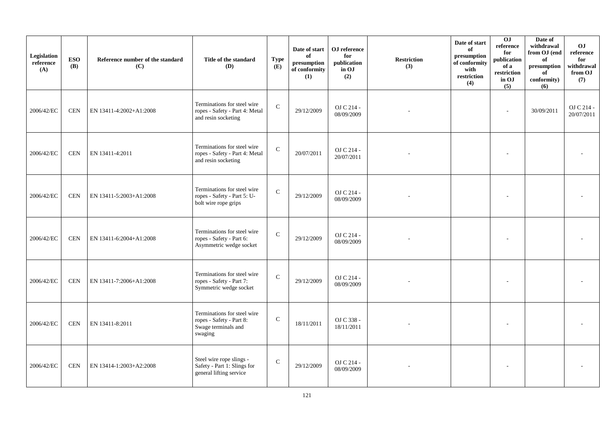| Legislation<br>reference<br>(A) | <b>ESO</b><br><b>(B)</b> | Reference number of the standard<br>(C) | Title of the standard<br>(D)                                                              | <b>Type</b><br>(E) | Date of start<br>of<br>$\bf{presumption}$<br>of conformity<br>(1) | OJ reference<br>for<br>publication<br>in OJ<br>(2) | <b>Restriction</b><br>(3) | Date of start<br>of<br>presumption<br>of conformity<br>with<br>restriction<br>(4) | 0J<br>reference<br>for<br>publication<br>of a<br>restriction<br>in OJ<br>(5) | Date of<br>withdrawal<br>from OJ (end<br>of<br>presumption<br>of<br>conformity)<br>(6) | <b>OJ</b><br>reference<br>for<br>withdrawal<br>from OJ<br>(7) |
|---------------------------------|--------------------------|-----------------------------------------|-------------------------------------------------------------------------------------------|--------------------|-------------------------------------------------------------------|----------------------------------------------------|---------------------------|-----------------------------------------------------------------------------------|------------------------------------------------------------------------------|----------------------------------------------------------------------------------------|---------------------------------------------------------------|
| 2006/42/EC                      | <b>CEN</b>               | EN 13411-4:2002+A1:2008                 | Terminations for steel wire<br>ropes - Safety - Part 4: Metal<br>and resin socketing      | $\mathbf C$        | 29/12/2009                                                        | OJ C 214 -<br>08/09/2009                           |                           |                                                                                   | $\overline{a}$                                                               | 30/09/2011                                                                             | OJ C 214 -<br>20/07/2011                                      |
| 2006/42/EC                      | <b>CEN</b>               | EN 13411-4:2011                         | Terminations for steel wire<br>ropes - Safety - Part 4: Metal<br>and resin socketing      | $\mathbf C$        | 20/07/2011                                                        | OJ C 214 -<br>20/07/2011                           |                           |                                                                                   |                                                                              |                                                                                        |                                                               |
| 2006/42/EC                      | <b>CEN</b>               | EN 13411-5:2003+A1:2008                 | Terminations for steel wire<br>ropes - Safety - Part 5: U-<br>bolt wire rope grips        | $\mathbf C$        | 29/12/2009                                                        | OJ C 214 -<br>08/09/2009                           |                           |                                                                                   |                                                                              |                                                                                        |                                                               |
| 2006/42/EC                      | <b>CEN</b>               | EN 13411-6:2004+A1:2008                 | Terminations for steel wire<br>ropes - Safety - Part 6:<br>Asymmetric wedge socket        | $\mathsf{C}$       | 29/12/2009                                                        | OJ C 214 -<br>08/09/2009                           |                           |                                                                                   |                                                                              |                                                                                        |                                                               |
| 2006/42/EC                      | <b>CEN</b>               | EN 13411-7:2006+A1:2008                 | Terminations for steel wire<br>ropes - Safety - Part 7:<br>Symmetric wedge socket         | $\mathbf C$        | 29/12/2009                                                        | OJ C 214 -<br>08/09/2009                           |                           |                                                                                   |                                                                              |                                                                                        |                                                               |
| 2006/42/EC                      | <b>CEN</b>               | EN 13411-8:2011                         | Terminations for steel wire<br>ropes - Safety - Part 8:<br>Swage terminals and<br>swaging | ${\bf C}$          | 18/11/2011                                                        | OJ C 338 -<br>18/11/2011                           |                           |                                                                                   |                                                                              |                                                                                        |                                                               |
| 2006/42/EC                      | <b>CEN</b>               | EN 13414-1:2003+A2:2008                 | Steel wire rope slings -<br>Safety - Part 1: Slings for<br>general lifting service        | ${\bf C}$          | 29/12/2009                                                        | OJ C 214 -<br>08/09/2009                           |                           |                                                                                   |                                                                              |                                                                                        |                                                               |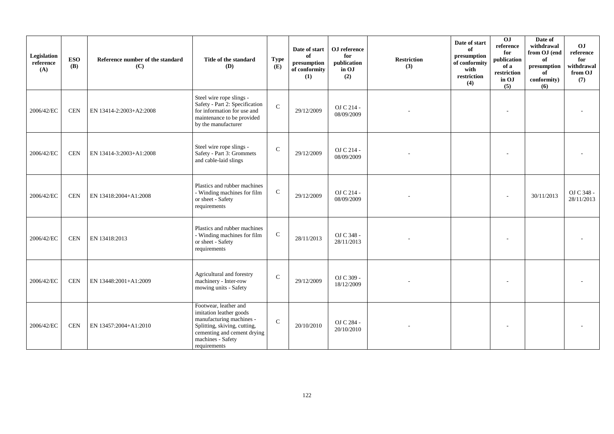| Legislation<br>reference<br>(A) | <b>ESO</b><br><b>(B)</b> | Reference number of the standard<br>(C) | Title of the standard<br><b>(D)</b>                                                                                                                                              | <b>Type</b><br>(E) | Date of start<br>of<br>presumption<br>of conformity<br>(1) | OJ reference<br>for<br>publication<br>in OJ<br>(2) | <b>Restriction</b><br>(3) | Date of start<br>of<br>presumption<br>of conformity<br>with<br>restriction<br>(4) | 0J<br>reference<br>for<br>publication<br>of a<br>restriction<br>in OJ<br>(5) | Date of<br>withdrawal<br>from OJ (end<br>of<br>$\,$ presumption<br>of<br>conformity)<br>(6) | O <sub>J</sub><br>reference<br>for<br>withdrawal<br>from OJ<br>(7) |
|---------------------------------|--------------------------|-----------------------------------------|----------------------------------------------------------------------------------------------------------------------------------------------------------------------------------|--------------------|------------------------------------------------------------|----------------------------------------------------|---------------------------|-----------------------------------------------------------------------------------|------------------------------------------------------------------------------|---------------------------------------------------------------------------------------------|--------------------------------------------------------------------|
| 2006/42/EC                      | <b>CEN</b>               | EN 13414-2:2003+A2:2008                 | Steel wire rope slings -<br>Safety - Part 2: Specification<br>for information for use and<br>maintenance to be provided<br>by the manufacturer                                   | $\mathcal{C}$      | 29/12/2009                                                 | OJ C 214 -<br>08/09/2009                           |                           |                                                                                   |                                                                              |                                                                                             |                                                                    |
| 2006/42/EC                      | <b>CEN</b>               | EN 13414-3:2003+A1:2008                 | Steel wire rope slings -<br>Safety - Part 3: Grommets<br>and cable-laid slings                                                                                                   | $\mathsf C$        | 29/12/2009                                                 | OJ C 214 -<br>08/09/2009                           |                           |                                                                                   |                                                                              |                                                                                             |                                                                    |
| 2006/42/EC                      | <b>CEN</b>               | EN 13418:2004+A1:2008                   | Plastics and rubber machines<br>- Winding machines for film<br>or sheet - Safety<br>requirements                                                                                 | $\mathsf{C}$       | 29/12/2009                                                 | OJ C 214 -<br>08/09/2009                           |                           |                                                                                   |                                                                              | 30/11/2013                                                                                  | OJ C 348 -<br>28/11/2013                                           |
| 2006/42/EC                      | <b>CEN</b>               | EN 13418:2013                           | Plastics and rubber machines<br>- Winding machines for film<br>or sheet - Safety<br>requirements                                                                                 | ${\bf C}$          | 28/11/2013                                                 | OJ C 348 -<br>28/11/2013                           |                           |                                                                                   |                                                                              |                                                                                             |                                                                    |
| 2006/42/EC                      | $\mbox{CEN}$             | EN 13448:2001+A1:2009                   | Agricultural and forestry<br>machinery - Inter-row<br>mowing units - Safety                                                                                                      | $\mathcal{C}$      | 29/12/2009                                                 | OJ C 309 -<br>18/12/2009                           |                           |                                                                                   |                                                                              |                                                                                             |                                                                    |
| 2006/42/EC                      | $\mbox{CEN}$             | EN 13457:2004+A1:2010                   | Footwear, leather and<br>imitation leather goods<br>manufacturing machines -<br>Splitting, skiving, cutting,<br>cementing and cement drying<br>machines - Safety<br>requirements | $\mathcal{C}$      | 20/10/2010                                                 | OJ C 284 -<br>20/10/2010                           |                           |                                                                                   |                                                                              |                                                                                             |                                                                    |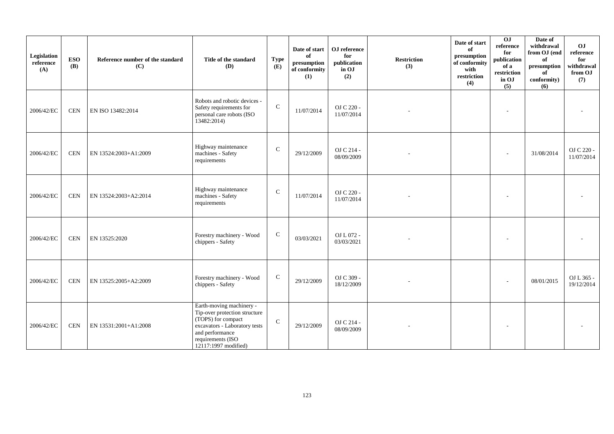| Legislation<br>reference<br>(A) | <b>ESO</b><br><b>(B)</b> | Reference number of the standard<br>(C) | Title of the standard<br><b>(D)</b>                                                                                                                                              | <b>Type</b><br>(E) | Date of start<br>of<br>presumption<br>of conformity<br>(1) | OJ reference<br>for<br>publication<br>in OJ<br>(2) | <b>Restriction</b><br>(3) | Date of start<br>of<br>presumption<br>of conformity<br>with<br>restriction<br>(4) | 0 <sub>1</sub><br>reference<br>for<br>publication<br>of a<br>restriction<br>in OJ<br>(5) | Date of<br>withdrawal<br>from OJ (end<br>of<br>presumption<br>of<br>conformity)<br>(6) | OJ<br>reference<br>for<br>withdrawal<br>from OJ<br>(7) |
|---------------------------------|--------------------------|-----------------------------------------|----------------------------------------------------------------------------------------------------------------------------------------------------------------------------------|--------------------|------------------------------------------------------------|----------------------------------------------------|---------------------------|-----------------------------------------------------------------------------------|------------------------------------------------------------------------------------------|----------------------------------------------------------------------------------------|--------------------------------------------------------|
| 2006/42/EC                      | <b>CEN</b>               | EN ISO 13482:2014                       | Robots and robotic devices -<br>Safety requirements for<br>personal care robots (ISO<br>13482:2014                                                                               | $\mathbf C$        | 11/07/2014                                                 | OJ C 220 -<br>11/07/2014                           |                           |                                                                                   | $\overline{a}$                                                                           |                                                                                        |                                                        |
| 2006/42/EC                      | $\mbox{CEN}$             | EN 13524:2003+A1:2009                   | Highway maintenance<br>machines - Safety<br>requirements                                                                                                                         | $\mathcal{C}$      | 29/12/2009                                                 | OJ C 214 -<br>08/09/2009                           |                           |                                                                                   |                                                                                          | 31/08/2014                                                                             | OJ C 220 -<br>11/07/2014                               |
| 2006/42/EC                      | <b>CEN</b>               | EN 13524:2003+A2:2014                   | Highway maintenance<br>machines - Safety<br>requirements                                                                                                                         | $\mathbf C$        | 11/07/2014                                                 | OJ C 220 -<br>11/07/2014                           |                           |                                                                                   |                                                                                          |                                                                                        |                                                        |
| 2006/42/EC                      | <b>CEN</b>               | EN 13525:2020                           | Forestry machinery - Wood<br>chippers - Safety                                                                                                                                   | $\mathsf{C}$       | 03/03/2021                                                 | OJ L 072 -<br>03/03/2021                           |                           |                                                                                   |                                                                                          |                                                                                        |                                                        |
| 2006/42/EC                      | <b>CEN</b>               | EN 13525:2005+A2:2009                   | Forestry machinery - Wood<br>chippers - Safety                                                                                                                                   | ${\bf C}$          | 29/12/2009                                                 | OJ C 309 -<br>18/12/2009                           |                           |                                                                                   | ٠                                                                                        | 08/01/2015                                                                             | OJ L 365 -<br>19/12/2014                               |
| 2006/42/EC                      | <b>CEN</b>               | EN 13531:2001+A1:2008                   | Earth-moving machinery -<br>Tip-over protection structure<br>(TOPS) for compact<br>excavators - Laboratory tests<br>and performance<br>requirements (ISO<br>12117:1997 modified) | $\mathcal{C}$      | 29/12/2009                                                 | OJ C 214 -<br>08/09/2009                           |                           |                                                                                   |                                                                                          |                                                                                        |                                                        |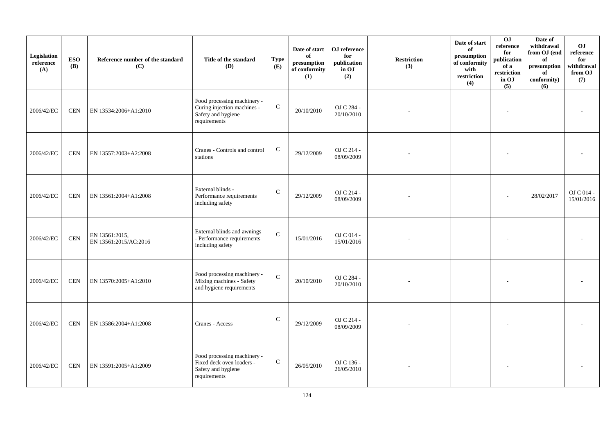| Legislation<br>reference<br>(A) | <b>ESO</b><br>(B) | Reference number of the standard<br>(C) | Title of the standard<br>(D)                                                                     | <b>Type</b><br>(E) | Date of start<br>of<br>$\mathbf{presumption}% \label{fig:ex1}%$<br>of conformity<br>(1) | OJ reference<br>for<br>publication<br>in OJ<br>(2) | <b>Restriction</b><br>(3) | Date of start<br>of<br>presumption<br>of conformity<br>with<br>restriction<br>(4) | 0J<br>reference<br>for<br>publication<br>of a<br>restriction<br>in OJ<br>(5) | Date of<br>withdrawal<br>from OJ (end<br>of<br>presumption<br>of<br>conformity)<br>(6) | O <sub>J</sub><br>reference<br>for<br>withdrawal<br>from OJ<br>(7) |
|---------------------------------|-------------------|-----------------------------------------|--------------------------------------------------------------------------------------------------|--------------------|-----------------------------------------------------------------------------------------|----------------------------------------------------|---------------------------|-----------------------------------------------------------------------------------|------------------------------------------------------------------------------|----------------------------------------------------------------------------------------|--------------------------------------------------------------------|
| 2006/42/EC                      | <b>CEN</b>        | EN 13534:2006+A1:2010                   | Food processing machinery -<br>Curing injection machines -<br>Safety and hygiene<br>requirements | ${\bf C}$          | 20/10/2010                                                                              | OJ C 284 -<br>20/10/2010                           |                           |                                                                                   | $\overline{a}$                                                               |                                                                                        |                                                                    |
| 2006/42/EC                      | <b>CEN</b>        | EN 13557:2003+A2:2008                   | Cranes - Controls and control<br>stations                                                        | $\mathbf C$        | 29/12/2009                                                                              | OJ C 214 -<br>08/09/2009                           |                           |                                                                                   |                                                                              |                                                                                        |                                                                    |
| 2006/42/EC                      | <b>CEN</b>        | EN 13561:2004+A1:2008                   | External blinds -<br>Performance requirements<br>including safety                                | $\mathbf C$        | 29/12/2009                                                                              | OJ C 214 -<br>08/09/2009                           |                           |                                                                                   |                                                                              | 28/02/2017                                                                             | OJ C 014 -<br>15/01/2016                                           |
| 2006/42/EC                      | $\mbox{CEN}$      | EN 13561:2015,<br>EN 13561:2015/AC:2016 | External blinds and awnings<br>- Performance requirements<br>including safety                    | ${\bf C}$          | 15/01/2016                                                                              | OJ C 014 -<br>15/01/2016                           |                           |                                                                                   |                                                                              |                                                                                        |                                                                    |
| 2006/42/EC                      | <b>CEN</b>        | EN 13570:2005+A1:2010                   | Food processing machinery -<br>Mixing machines - Safety<br>and hygiene requirements              | $\mathbf C$        | 20/10/2010                                                                              | OJ C 284 -<br>20/10/2010                           |                           |                                                                                   |                                                                              |                                                                                        |                                                                    |
| 2006/42/EC                      | <b>CEN</b>        | EN 13586:2004+A1:2008                   | Cranes - Access                                                                                  | ${\bf C}$          | 29/12/2009                                                                              | OJ C 214 -<br>08/09/2009                           |                           |                                                                                   |                                                                              |                                                                                        |                                                                    |
| 2006/42/EC                      | <b>CEN</b>        | EN 13591:2005+A1:2009                   | Food processing machinery -<br>Fixed deck oven loaders -<br>Safety and hygiene<br>requirements   | $\mathsf{C}$       | 26/05/2010                                                                              | OJ C 136 -<br>26/05/2010                           |                           |                                                                                   |                                                                              |                                                                                        |                                                                    |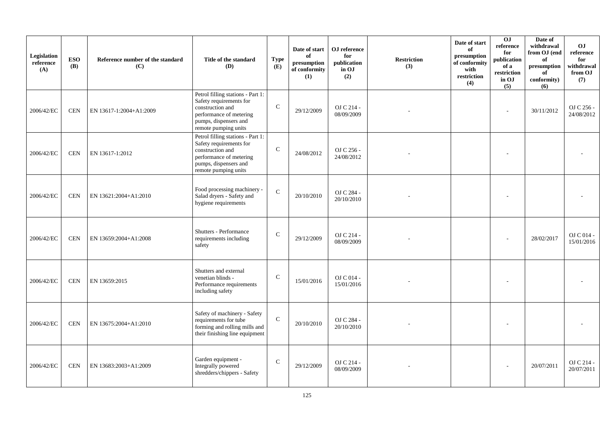| Legislation<br>reference<br>(A) | <b>ESO</b><br><b>(B)</b> | Reference number of the standard<br>(C) | Title of the standard<br>(D)                                                                                                                                 | <b>Type</b><br>(E) | Date of start<br>of<br>presumption<br>of conformity<br>(1) | OJ reference<br>for<br>publication<br>in OJ<br>(2) | <b>Restriction</b><br>(3) | Date of start<br>of<br>presumption<br>of conformity<br>with<br>restriction<br>(4) | 0J<br>reference<br>for<br>publication<br>of a<br>restriction<br>in OJ<br>(5) | Date of<br>withdrawal<br>from OJ (end<br>of<br>presumption<br>of<br>conformity)<br>(6) | O <sub>J</sub><br>reference<br>for<br>withdrawal<br>from OJ<br>(7) |
|---------------------------------|--------------------------|-----------------------------------------|--------------------------------------------------------------------------------------------------------------------------------------------------------------|--------------------|------------------------------------------------------------|----------------------------------------------------|---------------------------|-----------------------------------------------------------------------------------|------------------------------------------------------------------------------|----------------------------------------------------------------------------------------|--------------------------------------------------------------------|
| 2006/42/EC                      | <b>CEN</b>               | EN 13617-1:2004+A1:2009                 | Petrol filling stations - Part 1:<br>Safety requirements for<br>construction and<br>performance of metering<br>pumps, dispensers and<br>remote pumping units | $\mathbf C$        | 29/12/2009                                                 | OJ C 214 -<br>08/09/2009                           |                           |                                                                                   | ÷                                                                            | 30/11/2012                                                                             | OJ C 256 -<br>24/08/2012                                           |
| 2006/42/EC                      | <b>CEN</b>               | EN 13617-1:2012                         | Petrol filling stations - Part 1:<br>Safety requirements for<br>construction and<br>performance of metering<br>pumps, dispensers and<br>remote pumping units | $\mathsf{C}$       | 24/08/2012                                                 | OJ C 256 -<br>24/08/2012                           |                           |                                                                                   |                                                                              |                                                                                        |                                                                    |
| 2006/42/EC                      | <b>CEN</b>               | EN 13621:2004+A1:2010                   | Food processing machinery -<br>Salad dryers - Safety and<br>hygiene requirements                                                                             | $\mathbf{C}$       | 20/10/2010                                                 | OJ C 284 -<br>20/10/2010                           |                           |                                                                                   |                                                                              |                                                                                        |                                                                    |
| 2006/42/EC                      | <b>CEN</b>               | EN 13659:2004+A1:2008                   | Shutters - Performance<br>requirements including<br>safety                                                                                                   | $\mathsf{C}$       | 29/12/2009                                                 | OJ C 214 -<br>08/09/2009                           |                           |                                                                                   |                                                                              | 28/02/2017                                                                             | OJ C 014 -<br>15/01/2016                                           |
| 2006/42/EC                      | <b>CEN</b>               | EN 13659:2015                           | Shutters and external<br>venetian blinds -<br>Performance requirements<br>including safety                                                                   | $\mathcal{C}$      | 15/01/2016                                                 | OJ C 014 -<br>15/01/2016                           |                           |                                                                                   |                                                                              |                                                                                        |                                                                    |
| 2006/42/EC                      | <b>CEN</b>               | EN 13675:2004+A1:2010                   | Safety of machinery - Safety<br>requirements for tube<br>forming and rolling mills and<br>their finishing line equipment                                     | $\mathbf C$        | 20/10/2010                                                 | OJ C 284 -<br>20/10/2010                           |                           |                                                                                   |                                                                              |                                                                                        |                                                                    |
| 2006/42/EC                      | <b>CEN</b>               | EN 13683:2003+A1:2009                   | Garden equipment -<br>Integrally powered<br>shredders/chippers - Safety                                                                                      | $\mathbf C$        | 29/12/2009                                                 | OJ C 214 -<br>08/09/2009                           |                           |                                                                                   |                                                                              | 20/07/2011                                                                             | OJ C 214 -<br>20/07/2011                                           |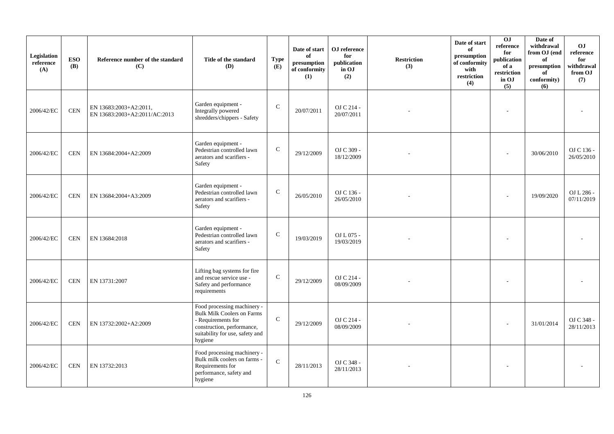| Legislation<br>reference<br>(A) | <b>ESO</b><br><b>(B)</b> | Reference number of the standard<br>(C)                 | Title of the standard<br><b>(D)</b>                                                                                                                                | <b>Type</b><br>(E) | Date of start<br>of<br>presumption<br>of conformity<br>(1) | OJ reference<br>for<br>publication<br>in OJ<br>(2) | <b>Restriction</b><br>(3) | Date of start<br>of<br>presumption<br>of conformity<br>with<br>restriction<br>(4) | 0J<br>reference<br>for<br>publication<br>of a<br>restriction<br>in OJ<br>(5) | Date of<br>withdrawal<br>from OJ (end<br>of<br>presumption<br>of<br>conformity)<br>(6) | O <sub>J</sub><br>reference<br>for<br>withdrawal<br>from OJ<br>(7) |
|---------------------------------|--------------------------|---------------------------------------------------------|--------------------------------------------------------------------------------------------------------------------------------------------------------------------|--------------------|------------------------------------------------------------|----------------------------------------------------|---------------------------|-----------------------------------------------------------------------------------|------------------------------------------------------------------------------|----------------------------------------------------------------------------------------|--------------------------------------------------------------------|
| 2006/42/EC                      | <b>CEN</b>               | EN 13683:2003+A2:2011,<br>EN 13683:2003+A2:2011/AC:2013 | Garden equipment -<br>Integrally powered<br>shredders/chippers - Safety                                                                                            | $\mathbf C$        | 20/07/2011                                                 | OJ C 214 -<br>20/07/2011                           |                           |                                                                                   |                                                                              |                                                                                        |                                                                    |
| 2006/42/EC                      | <b>CEN</b>               | EN 13684:2004+A2:2009                                   | Garden equipment -<br>Pedestrian controlled lawn<br>aerators and scarifiers -<br>Safety                                                                            | $\mathbf C$        | 29/12/2009                                                 | OJ C 309 -<br>18/12/2009                           |                           |                                                                                   |                                                                              | 30/06/2010                                                                             | OJ C 136 -<br>26/05/2010                                           |
| 2006/42/EC                      | <b>CEN</b>               | EN 13684:2004+A3:2009                                   | Garden equipment -<br>Pedestrian controlled lawn<br>aerators and scarifiers -<br>Safety                                                                            | $\mathsf{C}$       | 26/05/2010                                                 | OJ C 136 -<br>26/05/2010                           |                           |                                                                                   |                                                                              | 19/09/2020                                                                             | OJ L 286 -<br>07/11/2019                                           |
| 2006/42/EC                      | <b>CEN</b>               | EN 13684:2018                                           | Garden equipment -<br>Pedestrian controlled lawn<br>aerators and scarifiers -<br>Safety                                                                            | $\mathsf{C}$       | 19/03/2019                                                 | OJ L 075 -<br>19/03/2019                           |                           |                                                                                   |                                                                              |                                                                                        |                                                                    |
| 2006/42/EC                      | <b>CEN</b>               | EN 13731:2007                                           | Lifting bag systems for fire<br>and rescue service use -<br>Safety and performance<br>requirements                                                                 | $\mathbf C$        | 29/12/2009                                                 | OJ C 214 -<br>08/09/2009                           |                           |                                                                                   |                                                                              |                                                                                        |                                                                    |
| 2006/42/EC                      | <b>CEN</b>               | EN 13732:2002+A2:2009                                   | Food processing machinery -<br><b>Bulk Milk Coolers on Farms</b><br>- Requirements for<br>construction, performance,<br>suitability for use, safety and<br>hygiene | $\mathbf C$        | 29/12/2009                                                 | OJ C 214 -<br>08/09/2009                           |                           |                                                                                   |                                                                              | 31/01/2014                                                                             | OJ C 348 -<br>28/11/2013                                           |
| 2006/42/EC                      | <b>CEN</b>               | EN 13732:2013                                           | Food processing machinery -<br>Bulk milk coolers on farms -<br>Requirements for<br>performance, safety and<br>hygiene                                              | $\mathbf{C}$       | 28/11/2013                                                 | OJ C 348 -<br>28/11/2013                           |                           |                                                                                   |                                                                              |                                                                                        |                                                                    |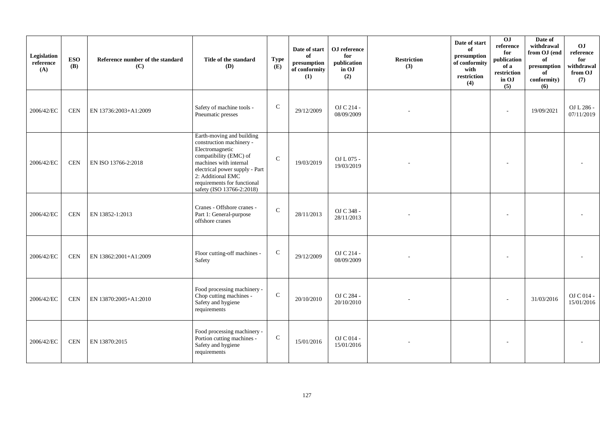| Legislation<br>reference<br>(A) | <b>ESO</b><br><b>(B)</b> | Reference number of the standard<br>(C) | Title of the standard<br>(D)                                                                                                                                                                                                                    | <b>Type</b><br>(E) | Date of start<br>of<br>$\bf{presumption}$<br>of conformity<br>(1) | OJ reference<br>for<br>publication<br>in OJ<br>(2) | <b>Restriction</b><br>(3) | Date of start<br>of<br>presumption<br>of conformity<br>with<br>restriction<br>(4) | OJ<br>reference<br>for<br>publication<br>of a<br>restriction<br>in OJ<br>(5) | Date of<br>withdrawal<br>from OJ (end<br>of<br>presumption<br>of<br>conformity)<br>(6) | OJ<br>reference<br>for<br>withdrawal<br>from OJ<br>(7) |
|---------------------------------|--------------------------|-----------------------------------------|-------------------------------------------------------------------------------------------------------------------------------------------------------------------------------------------------------------------------------------------------|--------------------|-------------------------------------------------------------------|----------------------------------------------------|---------------------------|-----------------------------------------------------------------------------------|------------------------------------------------------------------------------|----------------------------------------------------------------------------------------|--------------------------------------------------------|
| 2006/42/EC                      | <b>CEN</b>               | EN 13736:2003+A1:2009                   | Safety of machine tools -<br>Pneumatic presses                                                                                                                                                                                                  | $\mathsf{C}$       | 29/12/2009                                                        | OJ C 214 -<br>08/09/2009                           |                           |                                                                                   |                                                                              | 19/09/2021                                                                             | OJ L 286 -<br>07/11/2019                               |
| 2006/42/EC                      | <b>CEN</b>               | EN ISO 13766-2:2018                     | Earth-moving and building<br>construction machinery -<br>Electromagnetic<br>compatibility (EMC) of<br>machines with internal<br>electrical power supply - Part<br>2: Additional EMC<br>requirements for functional<br>safety (ISO 13766-2:2018) | $\mathsf{C}$       | 19/03/2019                                                        | OJ L 075 -<br>19/03/2019                           |                           |                                                                                   |                                                                              |                                                                                        |                                                        |
| 2006/42/EC                      | <b>CEN</b>               | EN 13852-1:2013                         | Cranes - Offshore cranes -<br>Part 1: General-purpose<br>offshore cranes                                                                                                                                                                        | $\mathsf{C}$       | 28/11/2013                                                        | OJ C 348 -<br>28/11/2013                           |                           |                                                                                   |                                                                              |                                                                                        |                                                        |
| 2006/42/EC                      | <b>CEN</b>               | EN 13862:2001+A1:2009                   | Floor cutting-off machines -<br>Safety                                                                                                                                                                                                          | $\mathbf C$        | 29/12/2009                                                        | OJ C 214 -<br>08/09/2009                           |                           |                                                                                   |                                                                              |                                                                                        |                                                        |
| 2006/42/EC                      | <b>CEN</b>               | EN 13870:2005+A1:2010                   | Food processing machinery -<br>Chop cutting machines -<br>Safety and hygiene<br>requirements                                                                                                                                                    | $\mathbf C$        | 20/10/2010                                                        | OJ C 284 -<br>20/10/2010                           |                           |                                                                                   |                                                                              | 31/03/2016                                                                             | OJ C 014 -<br>15/01/2016                               |
| 2006/42/EC                      | <b>CEN</b>               | EN 13870:2015                           | Food processing machinery -<br>Portion cutting machines -<br>Safety and hygiene<br>requirements                                                                                                                                                 | $\mathsf{C}$       | 15/01/2016                                                        | OJ C 014 -<br>15/01/2016                           |                           |                                                                                   |                                                                              |                                                                                        |                                                        |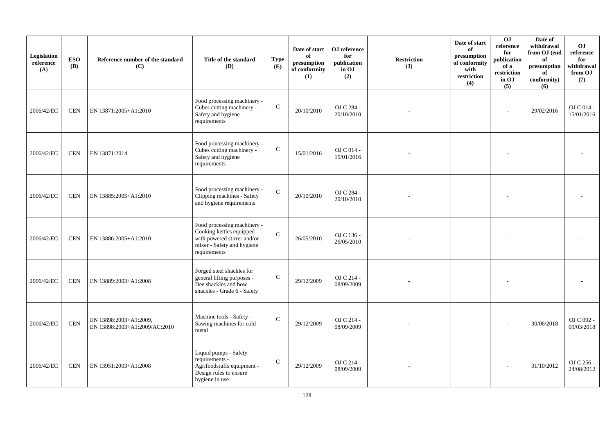| Legislation<br>reference<br>(A) | <b>ESO</b><br><b>(B)</b> | Reference number of the standard<br>(C)                 | Title of the standard<br>(D)                                                                                                         | <b>Type</b><br>(E) | Date of start<br>of<br>presumption<br>of conformity<br>(1) | OJ reference<br>for<br>publication<br>in OJ<br>(2) | <b>Restriction</b><br>(3) | Date of start<br>of<br>presumption<br>of conformity<br>with<br>restriction<br>(4) | OJ<br>reference<br>for<br>publication<br>of a<br>restriction<br>in OJ<br>(5) | Date of<br>withdrawal<br>from OJ (end<br>of<br>presumption<br>of<br>conformity)<br>(6) | O <sub>J</sub><br>reference<br>for<br>withdrawal<br>from OJ<br>(7) |
|---------------------------------|--------------------------|---------------------------------------------------------|--------------------------------------------------------------------------------------------------------------------------------------|--------------------|------------------------------------------------------------|----------------------------------------------------|---------------------------|-----------------------------------------------------------------------------------|------------------------------------------------------------------------------|----------------------------------------------------------------------------------------|--------------------------------------------------------------------|
| 2006/42/EC                      | <b>CEN</b>               | EN 13871:2005+A1:2010                                   | Food processing machinery -<br>Cubes cutting machinery -<br>Safety and hygiene<br>requirements                                       | $\mathbf C$        | 20/10/2010                                                 | OJ C 284 -<br>20/10/2010                           |                           |                                                                                   | ÷                                                                            | 29/02/2016                                                                             | OJ C 014 -<br>15/01/2016                                           |
| 2006/42/EC                      | <b>CEN</b>               | EN 13871:2014                                           | Food processing machinery -<br>Cubes cutting machinery -<br>Safety and hygiene<br>requirements                                       | $\mathsf{C}$       | 15/01/2016                                                 | OJ C 014 -<br>15/01/2016                           |                           |                                                                                   |                                                                              |                                                                                        |                                                                    |
| 2006/42/EC                      | <b>CEN</b>               | EN 13885:2005+A1:2010                                   | Food processing machinery -<br>Clipping machines - Safety<br>and hygiene requirements                                                | $\mathbf{C}$       | 20/10/2010                                                 | OJ C 284 -<br>20/10/2010                           |                           |                                                                                   |                                                                              |                                                                                        |                                                                    |
| 2006/42/EC                      | <b>CEN</b>               | EN 13886:2005+A1:2010                                   | Food processing machinery -<br>Cooking kettles equipped<br>with powered stirrer and/or<br>mixer - Safety and hygiene<br>requirements | $\mathbf{C}$       | 26/05/2010                                                 | OJ C 136 -<br>26/05/2010                           |                           |                                                                                   |                                                                              |                                                                                        |                                                                    |
| 2006/42/EC                      | <b>CEN</b>               | EN 13889:2003+A1:2008                                   | Forged steel shackles for<br>general lifting purposes -<br>Dee shackles and bow<br>shackles - Grade 6 - Safety                       | $\mathcal{C}$      | 29/12/2009                                                 | OJ C 214 -<br>08/09/2009                           |                           |                                                                                   |                                                                              |                                                                                        |                                                                    |
| 2006/42/EC                      | <b>CEN</b>               | EN 13898:2003+A1:2009,<br>EN 13898:2003+A1:2009/AC:2010 | Machine tools - Safety -<br>Sawing machines for cold<br>metal                                                                        | $\mathsf{C}$       | 29/12/2009                                                 | OJ C 214 -<br>08/09/2009                           |                           |                                                                                   |                                                                              | 30/06/2018                                                                             | OJ C 092 -<br>09/03/2018                                           |
| 2006/42/EC                      | <b>CEN</b>               | EN 13951:2003+A1:2008                                   | Liquid pumps - Safety<br>requirements -<br>Agrifoodstuffs equipment -<br>Design rules to ensure<br>hygiene in use                    | $\mathbf C$        | 29/12/2009                                                 | OJ C 214 -<br>08/09/2009                           |                           |                                                                                   |                                                                              | 31/10/2012                                                                             | OJ C 256 -<br>24/08/2012                                           |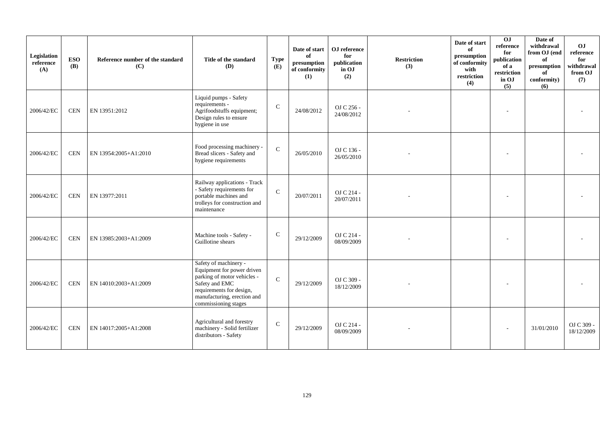| Legislation<br>reference<br>(A) | <b>ESO</b><br><b>(B)</b> | Reference number of the standard<br>(C) | Title of the standard<br><b>(D)</b>                                                                                                                                                     | <b>Type</b><br>(E) | Date of start<br>of<br>presumption<br>of conformity<br>(1) | OJ reference<br>for<br>publication<br>in OJ<br>(2) | <b>Restriction</b><br>(3) | Date of start<br>of<br>presumption<br>of conformity<br>with<br>restriction<br>(4) | 0J<br>reference<br>for<br>publication<br>of a<br>restriction<br>in OJ<br>(5) | Date of<br>withdrawal<br>from OJ (end<br>of<br>presumption<br>of<br>conformity)<br>(6) | OJ<br>reference<br>for<br>withdrawal<br>from OJ<br>(7) |
|---------------------------------|--------------------------|-----------------------------------------|-----------------------------------------------------------------------------------------------------------------------------------------------------------------------------------------|--------------------|------------------------------------------------------------|----------------------------------------------------|---------------------------|-----------------------------------------------------------------------------------|------------------------------------------------------------------------------|----------------------------------------------------------------------------------------|--------------------------------------------------------|
| 2006/42/EC                      | <b>CEN</b>               | EN 13951:2012                           | Liquid pumps - Safety<br>requirements -<br>Agrifoodstuffs equipment;<br>Design rules to ensure<br>hygiene in use                                                                        | $\mathcal{C}$      | 24/08/2012                                                 | OJ C 256 -<br>24/08/2012                           |                           |                                                                                   |                                                                              |                                                                                        |                                                        |
| 2006/42/EC                      | <b>CEN</b>               | EN 13954:2005+A1:2010                   | Food processing machinery -<br>Bread slicers - Safety and<br>hygiene requirements                                                                                                       | $\mathcal{C}$      | 26/05/2010                                                 | OJ C 136 -<br>26/05/2010                           |                           |                                                                                   |                                                                              |                                                                                        |                                                        |
| 2006/42/EC                      | <b>CEN</b>               | EN 13977:2011                           | Railway applications - Track<br>- Safety requirements for<br>portable machines and<br>trolleys for construction and<br>maintenance                                                      | $\mathcal{C}$      | 20/07/2011                                                 | OJ C 214 -<br>20/07/2011                           |                           |                                                                                   |                                                                              |                                                                                        |                                                        |
| 2006/42/EC                      | <b>CEN</b>               | EN 13985:2003+A1:2009                   | Machine tools - Safety -<br>Guillotine shears                                                                                                                                           | $\mathbf C$        | 29/12/2009                                                 | OJ C 214 -<br>08/09/2009                           |                           |                                                                                   |                                                                              |                                                                                        |                                                        |
| 2006/42/EC                      | <b>CEN</b>               | EN 14010:2003+A1:2009                   | Safety of machinery -<br>Equipment for power driven<br>parking of motor vehicles -<br>Safety and EMC<br>requirements for design,<br>manufacturing, erection and<br>commissioning stages | $\mathcal{C}$      | 29/12/2009                                                 | OJ C 309 -<br>18/12/2009                           |                           |                                                                                   |                                                                              |                                                                                        |                                                        |
| 2006/42/EC                      | <b>CEN</b>               | EN 14017:2005+A1:2008                   | Agricultural and forestry<br>machinery - Solid fertilizer<br>distributors - Safety                                                                                                      | $\mathcal{C}$      | 29/12/2009                                                 | OJ C 214 -<br>08/09/2009                           |                           |                                                                                   |                                                                              | 31/01/2010                                                                             | OJ C 309 -<br>18/12/2009                               |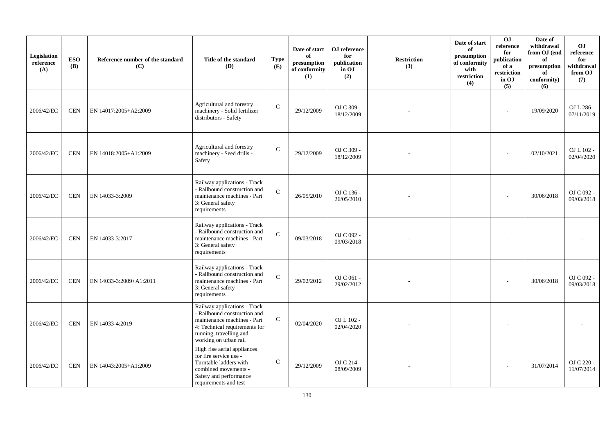| Legislation<br>reference<br>(A) | <b>ESO</b><br><b>(B)</b> | Reference number of the standard<br>(C) | Title of the standard<br><b>(D)</b>                                                                                                                                              | <b>Type</b><br>(E) | Date of start<br>of<br>presumption<br>of conformity<br>(1) | ${\bf OJ}$ reference<br>for<br>publication<br>in OJ<br>(2) | <b>Restriction</b><br>(3) | Date of start<br>of<br>presumption<br>of conformity<br>with<br>restriction<br>(4) | 0J<br>reference<br>for<br>publication<br>of a<br>restriction<br>in OJ<br>(5) | Date of<br>withdrawal<br>from OJ (end<br>of<br>presumption<br>of<br>conformity)<br>(6) | O <sub>J</sub><br>reference<br>for<br>withdrawal<br>from OJ<br>(7) |
|---------------------------------|--------------------------|-----------------------------------------|----------------------------------------------------------------------------------------------------------------------------------------------------------------------------------|--------------------|------------------------------------------------------------|------------------------------------------------------------|---------------------------|-----------------------------------------------------------------------------------|------------------------------------------------------------------------------|----------------------------------------------------------------------------------------|--------------------------------------------------------------------|
| 2006/42/EC                      | <b>CEN</b>               | EN 14017:2005+A2:2009                   | Agricultural and forestry<br>machinery - Solid fertilizer<br>distributors - Safety                                                                                               | $\mathbf C$        | 29/12/2009                                                 | OJ C 309 -<br>18/12/2009                                   |                           |                                                                                   |                                                                              | 19/09/2020                                                                             | OJ L 286 -<br>07/11/2019                                           |
| 2006/42/EC                      | <b>CEN</b>               | EN 14018:2005+A1:2009                   | Agricultural and forestry<br>machinery - Seed drills -<br>Safety                                                                                                                 | $\mathbf C$        | 29/12/2009                                                 | OJ C 309 -<br>18/12/2009                                   |                           |                                                                                   |                                                                              | 02/10/2021                                                                             | OJ L 102 -<br>02/04/2020                                           |
| 2006/42/EC                      | <b>CEN</b>               | EN 14033-3:2009                         | Railway applications - Track<br>- Railbound construction and<br>maintenance machines - Part<br>3: General safety<br>requirements                                                 | $\mathbf C$        | 26/05/2010                                                 | OJ C 136 -<br>26/05/2010                                   |                           |                                                                                   |                                                                              | 30/06/2018                                                                             | OJ C 092 -<br>09/03/2018                                           |
| 2006/42/EC                      | <b>CEN</b>               | EN 14033-3:2017                         | Railway applications - Track<br>- Railbound construction and<br>maintenance machines - Part<br>3: General safety<br>requirements                                                 | $\mathbf C$        | 09/03/2018                                                 | OJ C 092 -<br>09/03/2018                                   |                           |                                                                                   |                                                                              |                                                                                        |                                                                    |
| 2006/42/EC                      | <b>CEN</b>               | EN 14033-3:2009+A1:2011                 | Railway applications - Track<br>- Railbound construction and<br>maintenance machines - Part<br>3: General safety<br>requirements                                                 | $\mathbf C$        | 29/02/2012                                                 | OJ C 061 -<br>29/02/2012                                   |                           |                                                                                   |                                                                              | 30/06/2018                                                                             | OJ C 092 -<br>09/03/2018                                           |
| 2006/42/EC                      | $\mbox{CEN}$             | EN 14033-4:2019                         | Railway applications - Track<br>- Railbound construction and<br>maintenance machines - Part<br>4: Technical requirements for<br>running, travelling and<br>working on urban rail | ${\bf C}$          | 02/04/2020                                                 | OJ L 102 -<br>02/04/2020                                   |                           |                                                                                   |                                                                              |                                                                                        |                                                                    |
| 2006/42/EC                      | <b>CEN</b>               | EN 14043:2005+A1:2009                   | High rise aerial appliances<br>for fire service use -<br>Turntable ladders with<br>combined movements -<br>Safety and performance<br>requirements and test                       | $\mathbf C$        | 29/12/2009                                                 | OJ C 214 -<br>08/09/2009                                   |                           |                                                                                   |                                                                              | 31/07/2014                                                                             | OJ C 220 -<br>11/07/2014                                           |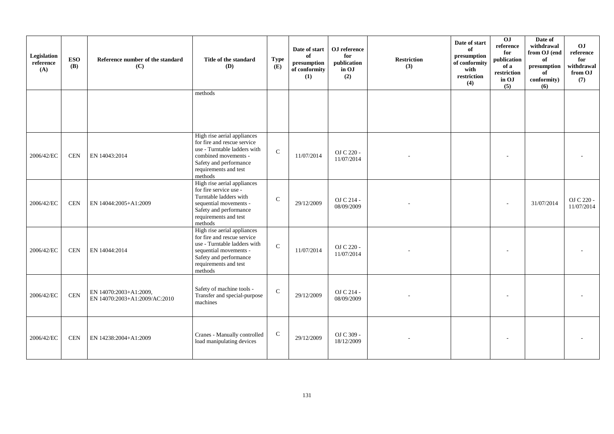| Legislation<br>reference<br>(A) | <b>ESO</b><br><b>(B)</b> | Reference number of the standard<br>(C)                 | Title of the standard<br>(D)                                                                                                                                                       | <b>Type</b><br>(E) | Date of start<br>of<br>presumption<br>of conformity<br>(1) | OJ reference<br>for<br>publication<br>in OJ<br>(2) | <b>Restriction</b><br>(3) | Date of start<br>of<br>presumption<br>of conformity<br>with<br>restriction<br>(4) | $\overline{0}$<br>reference<br>for<br>publication<br>of a<br>restriction<br>in OJ<br>(5) | Date of<br>withdrawal<br>from OJ (end<br>of<br>presumption<br>of<br>conformity)<br>(6) | OJ<br>reference<br>for<br>withdrawal<br>from OJ<br>(7) |
|---------------------------------|--------------------------|---------------------------------------------------------|------------------------------------------------------------------------------------------------------------------------------------------------------------------------------------|--------------------|------------------------------------------------------------|----------------------------------------------------|---------------------------|-----------------------------------------------------------------------------------|------------------------------------------------------------------------------------------|----------------------------------------------------------------------------------------|--------------------------------------------------------|
|                                 |                          |                                                         | methods                                                                                                                                                                            |                    |                                                            |                                                    |                           |                                                                                   |                                                                                          |                                                                                        |                                                        |
| 2006/42/EC                      | <b>CEN</b>               | EN 14043:2014                                           | High rise aerial appliances<br>for fire and rescue service<br>use - Turntable ladders with<br>combined movements -<br>Safety and performance<br>requirements and test<br>methods   | $\mathbf{C}$       | 11/07/2014                                                 | OJ C 220 -<br>11/07/2014                           |                           |                                                                                   |                                                                                          |                                                                                        |                                                        |
| 2006/42/EC                      | <b>CEN</b>               | EN 14044:2005+A1:2009                                   | High rise aerial appliances<br>for fire service use -<br>Turntable ladders with<br>sequential movements -<br>Safety and performance<br>requirements and test<br>methods            | $\mathcal{C}$      | 29/12/2009                                                 | OJ C 214 -<br>08/09/2009                           |                           |                                                                                   |                                                                                          | 31/07/2014                                                                             | OJ C 220 -<br>11/07/2014                               |
| 2006/42/EC                      | <b>CEN</b>               | EN 14044:2014                                           | High rise aerial appliances<br>for fire and rescue service<br>use - Turntable ladders with<br>sequential movements -<br>Safety and performance<br>requirements and test<br>methods | $\mathsf{C}$       | 11/07/2014                                                 | OJ C 220 -<br>11/07/2014                           |                           |                                                                                   |                                                                                          |                                                                                        |                                                        |
| 2006/42/EC                      | <b>CEN</b>               | EN 14070:2003+A1:2009,<br>EN 14070:2003+A1:2009/AC:2010 | Safety of machine tools -<br>Transfer and special-purpose<br>machines                                                                                                              | $\mathbf C$        | 29/12/2009                                                 | OJ C 214 -<br>08/09/2009                           |                           |                                                                                   |                                                                                          |                                                                                        |                                                        |
| 2006/42/EC                      | <b>CEN</b>               | EN 14238:2004+A1:2009                                   | Cranes - Manually controlled<br>load manipulating devices                                                                                                                          | $\mathbf C$        | 29/12/2009                                                 | OJ C 309 -<br>18/12/2009                           |                           |                                                                                   |                                                                                          |                                                                                        |                                                        |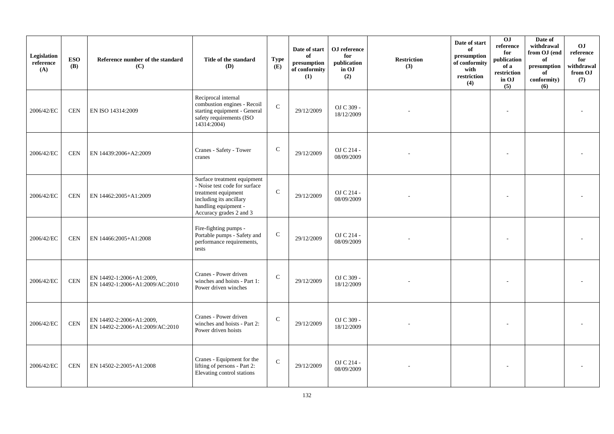| Legislation<br>reference<br>(A) | <b>ESO</b><br><b>(B)</b> | Reference number of the standard<br>(C)                     | Title of the standard<br>(D)                                                                                                                                      | <b>Type</b><br>(E) | Date of start<br>of<br>presumption<br>of conformity<br>(1) | OJ reference<br>for<br>publication<br>in OJ<br>(2) | <b>Restriction</b><br>(3) | Date of start<br>of<br>presumption<br>of conformity<br>with<br>restriction<br>(4) | 0 <sub>J</sub><br>reference<br>for<br>publication<br>of a<br>restriction<br>in OJ<br>(5) | Date of<br>withdrawal<br>from OJ (end<br>of<br>presumption<br>of<br>conformity)<br>(6) | O <sub>J</sub><br>reference<br>for<br>withdrawal<br>from OJ<br>(7) |
|---------------------------------|--------------------------|-------------------------------------------------------------|-------------------------------------------------------------------------------------------------------------------------------------------------------------------|--------------------|------------------------------------------------------------|----------------------------------------------------|---------------------------|-----------------------------------------------------------------------------------|------------------------------------------------------------------------------------------|----------------------------------------------------------------------------------------|--------------------------------------------------------------------|
| 2006/42/EC                      | <b>CEN</b>               | EN ISO 14314:2009                                           | Reciprocal internal<br>combustion engines - Recoil<br>starting equipment - General<br>safety requirements (ISO<br>14314:2004)                                     | $\mathbf C$        | 29/12/2009                                                 | OJ C 309 -<br>18/12/2009                           |                           |                                                                                   | $\overline{\phantom{a}}$                                                                 |                                                                                        |                                                                    |
| 2006/42/EC                      | <b>CEN</b>               | EN 14439:2006+A2:2009                                       | Cranes - Safety - Tower<br>cranes                                                                                                                                 | $\mathbf C$        | 29/12/2009                                                 | OJ C 214 -<br>08/09/2009                           |                           |                                                                                   |                                                                                          |                                                                                        |                                                                    |
| 2006/42/EC                      | <b>CEN</b>               | EN 14462:2005+A1:2009                                       | Surface treatment equipment<br>- Noise test code for surface<br>treatment equipment<br>including its ancillary<br>handling equipment -<br>Accuracy grades 2 and 3 | $\mathbf C$        | 29/12/2009                                                 | OJ C 214 -<br>08/09/2009                           |                           |                                                                                   |                                                                                          |                                                                                        |                                                                    |
| 2006/42/EC                      | <b>CEN</b>               | EN 14466:2005+A1:2008                                       | Fire-fighting pumps -<br>Portable pumps - Safety and<br>performance requirements,<br>tests                                                                        | ${\bf C}$          | 29/12/2009                                                 | OJ C 214 -<br>08/09/2009                           |                           |                                                                                   |                                                                                          |                                                                                        |                                                                    |
| 2006/42/EC                      | <b>CEN</b>               | EN 14492-1:2006+A1:2009,<br>EN 14492-1:2006+A1:2009/AC:2010 | Cranes - Power driven<br>winches and hoists - Part 1:<br>Power driven winches                                                                                     | $\mathbf C$        | 29/12/2009                                                 | OJ C 309 -<br>18/12/2009                           |                           |                                                                                   | $\overline{\phantom{a}}$                                                                 |                                                                                        |                                                                    |
| 2006/42/EC                      | <b>CEN</b>               | EN 14492-2:2006+A1:2009,<br>EN 14492-2:2006+A1:2009/AC:2010 | Cranes - Power driven<br>winches and hoists - Part 2:<br>Power driven hoists                                                                                      | $\mathbf C$        | 29/12/2009                                                 | OJ C 309 -<br>18/12/2009                           |                           |                                                                                   |                                                                                          |                                                                                        |                                                                    |
| 2006/42/EC                      | <b>CEN</b>               | EN 14502-2:2005+A1:2008                                     | Cranes - Equipment for the<br>lifting of persons - Part 2:<br>Elevating control stations                                                                          | $\mathsf{C}$       | 29/12/2009                                                 | OJ C 214 -<br>08/09/2009                           |                           |                                                                                   |                                                                                          |                                                                                        |                                                                    |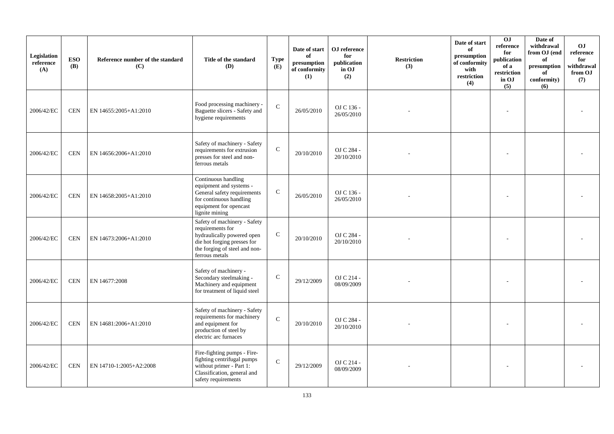| Legislation<br>reference<br>(A) | <b>ESO</b><br><b>(B)</b> | Reference number of the standard<br>(C) | Title of the standard<br>(D)                                                                                                                                     | <b>Type</b><br>(E) | Date of start<br>of<br>$\bf{presumption}$<br>of conformity<br>(1) | OJ reference<br>for<br>publication<br>in OJ<br>(2) | <b>Restriction</b><br>(3) | Date of start<br>of<br>presumption<br>of conformity<br>with<br>restriction<br>(4) | 0J<br>reference<br>for<br>publication<br>of a<br>restriction<br>in OJ<br>(5) | Date of<br>withdrawal<br>from OJ (end<br>of<br>presumption<br>of<br>conformity)<br>(6) | <b>OJ</b><br>reference<br>for<br>withdrawal<br>from OJ<br>(7) |
|---------------------------------|--------------------------|-----------------------------------------|------------------------------------------------------------------------------------------------------------------------------------------------------------------|--------------------|-------------------------------------------------------------------|----------------------------------------------------|---------------------------|-----------------------------------------------------------------------------------|------------------------------------------------------------------------------|----------------------------------------------------------------------------------------|---------------------------------------------------------------|
| 2006/42/EC                      | <b>CEN</b>               | EN 14655:2005+A1:2010                   | Food processing machinery -<br>Baguette slicers - Safety and<br>hygiene requirements                                                                             | $\mathcal{C}$      | 26/05/2010                                                        | OJ C 136 -<br>26/05/2010                           |                           |                                                                                   |                                                                              |                                                                                        |                                                               |
| 2006/42/EC                      | <b>CEN</b>               | EN 14656:2006+A1:2010                   | Safety of machinery - Safety<br>requirements for extrusion<br>presses for steel and non-<br>ferrous metals                                                       | $\mathbf C$        | 20/10/2010                                                        | OJ C 284 -<br>20/10/2010                           |                           |                                                                                   |                                                                              |                                                                                        |                                                               |
| 2006/42/EC                      | <b>CEN</b>               | EN 14658:2005+A1:2010                   | Continuous handling<br>equipment and systems -<br>General safety requirements<br>for continuous handling<br>equipment for opencast<br>lignite mining             | ${\bf C}$          | 26/05/2010                                                        | OJ C 136 -<br>26/05/2010                           |                           |                                                                                   |                                                                              |                                                                                        |                                                               |
| 2006/42/EC                      | <b>CEN</b>               | EN 14673:2006+A1:2010                   | Safety of machinery - Safety<br>requirements for<br>hydraulically powered open<br>die hot forging presses for<br>the forging of steel and non-<br>ferrous metals | $\mathbf C$        | 20/10/2010                                                        | OJ C 284 -<br>20/10/2010                           |                           |                                                                                   |                                                                              |                                                                                        |                                                               |
| 2006/42/EC                      | <b>CEN</b>               | EN 14677:2008                           | Safety of machinery -<br>Secondary steelmaking -<br>Machinery and equipment<br>for treatment of liquid steel                                                     | $\mathbf C$        | 29/12/2009                                                        | OJ C 214 -<br>08/09/2009                           |                           |                                                                                   |                                                                              |                                                                                        |                                                               |
| 2006/42/EC                      | <b>CEN</b>               | EN 14681:2006+A1:2010                   | Safety of machinery - Safety<br>requirements for machinery<br>and equipment for<br>production of steel by<br>electric arc furnaces                               | $\mathbf C$        | 20/10/2010                                                        | OJ C 284 -<br>20/10/2010                           |                           |                                                                                   |                                                                              |                                                                                        |                                                               |
| 2006/42/EC                      | <b>CEN</b>               | EN 14710-1:2005+A2:2008                 | Fire-fighting pumps - Fire-<br>fighting centrifugal pumps<br>without primer - Part 1:<br>Classification, general and<br>safety requirements                      | $\mathbf C$        | 29/12/2009                                                        | OJ C 214 -<br>08/09/2009                           |                           |                                                                                   |                                                                              |                                                                                        |                                                               |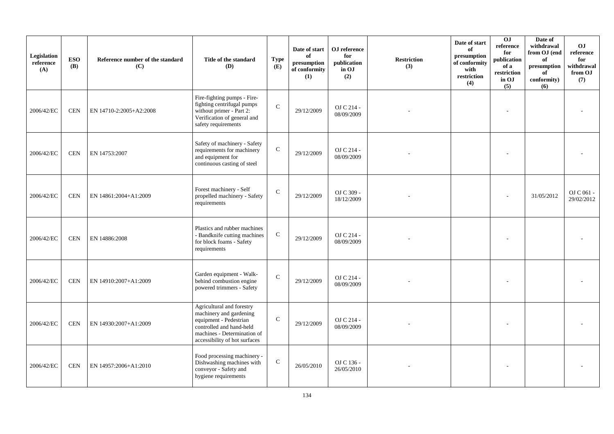| Legislation<br>reference<br>(A) | <b>ESO</b><br><b>(B)</b> | Reference number of the standard<br>(C) | Title of the standard<br>(D)                                                                                                                                               | <b>Type</b><br>(E) | Date of start<br>of<br>presumption<br>of conformity<br>(1) | OJ reference<br>for<br>publication<br>in OJ<br>(2) | <b>Restriction</b><br>(3) | Date of start<br>of<br>presumption<br>of conformity<br>with<br>restriction<br>(4) | OJ<br>reference<br>for<br>publication<br>of a<br>restriction<br>in OJ<br>(5) | Date of<br>withdrawal<br>from OJ (end<br>of<br>presumption<br>of<br>conformity)<br>(6) | <b>OJ</b><br>reference<br>for<br>withdrawal<br>from OJ<br>(7) |
|---------------------------------|--------------------------|-----------------------------------------|----------------------------------------------------------------------------------------------------------------------------------------------------------------------------|--------------------|------------------------------------------------------------|----------------------------------------------------|---------------------------|-----------------------------------------------------------------------------------|------------------------------------------------------------------------------|----------------------------------------------------------------------------------------|---------------------------------------------------------------|
| 2006/42/EC                      | <b>CEN</b>               | EN 14710-2:2005+A2:2008                 | Fire-fighting pumps - Fire-<br>fighting centrifugal pumps<br>without primer - Part 2:<br>Verification of general and<br>safety requirements                                | $\mathcal{C}$      | 29/12/2009                                                 | OJ C 214 -<br>08/09/2009                           |                           |                                                                                   |                                                                              |                                                                                        |                                                               |
| 2006/42/EC                      | <b>CEN</b>               | EN 14753:2007                           | Safety of machinery - Safety<br>requirements for machinery<br>and equipment for<br>continuous casting of steel                                                             | $\mathsf{C}$       | 29/12/2009                                                 | OJ C 214 -<br>08/09/2009                           |                           |                                                                                   |                                                                              |                                                                                        |                                                               |
| 2006/42/EC                      | <b>CEN</b>               | EN 14861:2004+A1:2009                   | Forest machinery - Self<br>propelled machinery - Safety<br>requirements                                                                                                    | $\mathbf C$        | 29/12/2009                                                 | OJ C 309 -<br>18/12/2009                           |                           |                                                                                   |                                                                              | 31/05/2012                                                                             | OJ C 061 -<br>29/02/2012                                      |
| 2006/42/EC                      | <b>CEN</b>               | EN 14886:2008                           | Plastics and rubber machines<br>- Bandknife cutting machines<br>for block foams - Safety<br>requirements                                                                   | $\mathbf C$        | 29/12/2009                                                 | OJ C 214 -<br>08/09/2009                           |                           |                                                                                   |                                                                              |                                                                                        |                                                               |
| 2006/42/EC                      | <b>CEN</b>               | EN 14910:2007+A1:2009                   | Garden equipment - Walk-<br>behind combustion engine<br>powered trimmers - Safety                                                                                          | $\mathbf{C}$       | 29/12/2009                                                 | OJ C 214 -<br>08/09/2009                           |                           |                                                                                   |                                                                              |                                                                                        |                                                               |
| 2006/42/EC                      | <b>CEN</b>               | EN 14930:2007+A1:2009                   | Agricultural and forestry<br>machinery and gardening<br>equipment - Pedestrian<br>controlled and hand-held<br>machines - Determination of<br>accessibility of hot surfaces | $\mathcal{C}$      | 29/12/2009                                                 | OJ C 214 -<br>08/09/2009                           |                           |                                                                                   |                                                                              |                                                                                        |                                                               |
| 2006/42/EC                      | <b>CEN</b>               | EN 14957:2006+A1:2010                   | Food processing machinery -<br>Dishwashing machines with<br>conveyor - Safety and<br>hygiene requirements                                                                  | ${\bf C}$          | 26/05/2010                                                 | OJ C 136 -<br>26/05/2010                           |                           |                                                                                   |                                                                              |                                                                                        |                                                               |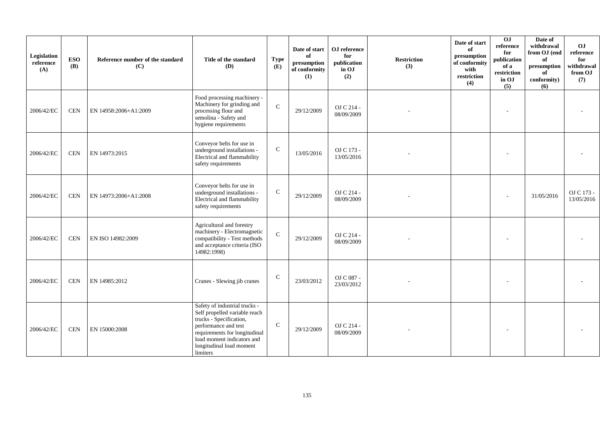| Legislation<br>reference<br>(A) | <b>ESO</b><br>(B) | Reference number of the standard<br>(C) | Title of the standard<br><b>(D)</b>                                                                                                                                                                                      | <b>Type</b><br>(E) | Date of start<br>of<br>presumption<br>of conformity<br>(1) | OJ reference<br>for<br>publication<br>in OJ<br>(2) | <b>Restriction</b><br>(3) | Date of start<br>of<br>presumption<br>of conformity<br>with<br>restriction<br>(4) | 0J<br>reference<br>for<br>publication<br>of a<br>restriction<br>in OJ<br>(5) | Date of<br>withdrawal<br>from OJ (end<br>of<br>presumption<br>of<br>conformity)<br>(6) | OJ<br>reference<br>for<br>withdrawal<br>from OJ<br>(7) |
|---------------------------------|-------------------|-----------------------------------------|--------------------------------------------------------------------------------------------------------------------------------------------------------------------------------------------------------------------------|--------------------|------------------------------------------------------------|----------------------------------------------------|---------------------------|-----------------------------------------------------------------------------------|------------------------------------------------------------------------------|----------------------------------------------------------------------------------------|--------------------------------------------------------|
| 2006/42/EC                      | <b>CEN</b>        | EN 14958:2006+A1:2009                   | Food processing machinery -<br>Machinery for grinding and<br>processing flour and<br>semolina - Safety and<br>hygiene requirements                                                                                       | $\mathbf C$        | 29/12/2009                                                 | OJ C 214 -<br>08/09/2009                           |                           |                                                                                   |                                                                              |                                                                                        |                                                        |
| 2006/42/EC                      | <b>CEN</b>        | EN 14973:2015                           | Conveyor belts for use in<br>underground installations -<br>Electrical and flammability<br>safety requirements                                                                                                           | ${\bf C}$          | 13/05/2016                                                 | OJ C 173 -<br>13/05/2016                           |                           |                                                                                   |                                                                              |                                                                                        |                                                        |
| 2006/42/EC                      | <b>CEN</b>        | EN 14973:2006+A1:2008                   | Conveyor belts for use in<br>underground installations -<br>Electrical and flammability<br>safety requirements                                                                                                           | $\mathbf C$        | 29/12/2009                                                 | OJ C 214 -<br>08/09/2009                           |                           |                                                                                   |                                                                              | 31/05/2016                                                                             | OJ C 173 -<br>13/05/2016                               |
| 2006/42/EC                      | <b>CEN</b>        | EN ISO 14982:2009                       | Agricultural and forestry<br>machinery - Electromagnetic<br>compatibility - Test methods<br>and acceptance criteria (ISO<br>14982:1998)                                                                                  | $\mathbf{C}$       | 29/12/2009                                                 | OJ C 214 -<br>08/09/2009                           |                           |                                                                                   |                                                                              |                                                                                        |                                                        |
| 2006/42/EC                      | <b>CEN</b>        | EN 14985:2012                           | Cranes - Slewing jib cranes                                                                                                                                                                                              | $\mathsf{C}$       | 23/03/2012                                                 | OJ C 087 -<br>23/03/2012                           |                           |                                                                                   |                                                                              |                                                                                        |                                                        |
| 2006/42/EC                      | <b>CEN</b>        | EN 15000:2008                           | Safety of industrial trucks -<br>Self propelled variable reach<br>trucks - Specification,<br>performance and test<br>requirements for longitudinal<br>load moment indicators and<br>longitudinal load moment<br>limiters | $\mathbf C$        | 29/12/2009                                                 | OJ C 214 -<br>08/09/2009                           |                           |                                                                                   |                                                                              |                                                                                        |                                                        |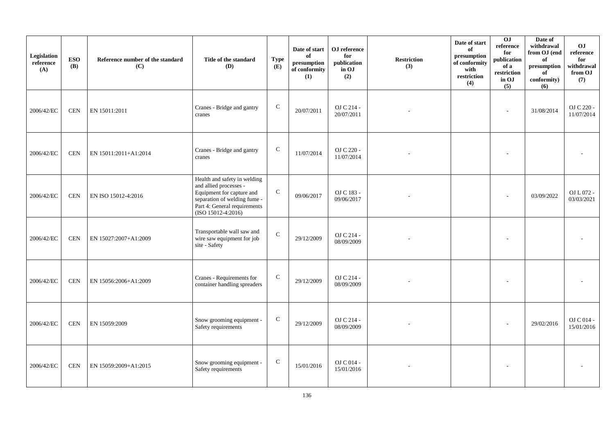| Legislation<br>reference<br>(A) | <b>ESO</b><br><b>(B)</b> | Reference number of the standard<br>(C) | Title of the standard<br>(D)                                                                                                                                                | <b>Type</b><br>(E) | Date of start<br>of<br>presumption<br>of conformity<br>(1) | OJ reference<br>for<br>publication<br>in OJ<br>(2) | <b>Restriction</b><br>(3) | Date of start<br>of<br>presumption<br>of conformity<br>with<br>restriction<br>(4) | 0J<br>reference<br>for<br>publication<br>of a<br>restriction<br>in OJ<br>(5) | Date of<br>withdrawal<br>from OJ (end<br>of<br>presumption<br>of<br>conformity)<br>(6) | O <sub>J</sub><br>$\rm reference$<br>for<br>withdrawal<br>from OJ<br>(7) |
|---------------------------------|--------------------------|-----------------------------------------|-----------------------------------------------------------------------------------------------------------------------------------------------------------------------------|--------------------|------------------------------------------------------------|----------------------------------------------------|---------------------------|-----------------------------------------------------------------------------------|------------------------------------------------------------------------------|----------------------------------------------------------------------------------------|--------------------------------------------------------------------------|
| 2006/42/EC                      | <b>CEN</b>               | EN 15011:2011                           | Cranes - Bridge and gantry<br>cranes                                                                                                                                        | ${\bf C}$          | 20/07/2011                                                 | OJ C 214 -<br>20/07/2011                           |                           |                                                                                   | $\sim$                                                                       | 31/08/2014                                                                             | OJ C 220 -<br>11/07/2014                                                 |
| 2006/42/EC                      | <b>CEN</b>               | EN 15011:2011+A1:2014                   | Cranes - Bridge and gantry<br>cranes                                                                                                                                        | ${\bf C}$          | 11/07/2014                                                 | OJ C 220 -<br>11/07/2014                           |                           |                                                                                   |                                                                              |                                                                                        |                                                                          |
| 2006/42/EC                      | <b>CEN</b>               | EN ISO 15012-4:2016                     | Health and safety in welding<br>and allied processes -<br>Equipment for capture and<br>separation of welding fume -<br>Part 4: General requirements<br>$(ISO 15012-4:2016)$ | ${\bf C}$          | 09/06/2017                                                 | OJ C 183 -<br>09/06/2017                           |                           |                                                                                   |                                                                              | 03/09/2022                                                                             | OJ L 072 -<br>03/03/2021                                                 |
| 2006/42/EC                      | <b>CEN</b>               | EN 15027:2007+A1:2009                   | Transportable wall saw and<br>wire saw equipment for job<br>site - Safety                                                                                                   | ${\bf C}$          | 29/12/2009                                                 | OJ C 214 -<br>08/09/2009                           |                           |                                                                                   |                                                                              |                                                                                        |                                                                          |
| 2006/42/EC                      | <b>CEN</b>               | EN 15056:2006+A1:2009                   | Cranes - Requirements for<br>container handling spreaders                                                                                                                   | ${\bf C}$          | 29/12/2009                                                 | OJ C 214 -<br>08/09/2009                           |                           |                                                                                   |                                                                              |                                                                                        |                                                                          |
| 2006/42/EC                      | <b>CEN</b>               | EN 15059:2009                           | Snow grooming equipment -<br>Safety requirements                                                                                                                            | $\mathbf C$        | 29/12/2009                                                 | OJ C 214 -<br>08/09/2009                           |                           |                                                                                   |                                                                              | 29/02/2016                                                                             | OJ C 014 -<br>15/01/2016                                                 |
| 2006/42/EC                      | <b>CEN</b>               | EN 15059:2009+A1:2015                   | Snow grooming equipment -<br>Safety requirements                                                                                                                            | $\mathbf C$        | 15/01/2016                                                 | OJ C 014 -<br>15/01/2016                           |                           |                                                                                   |                                                                              |                                                                                        |                                                                          |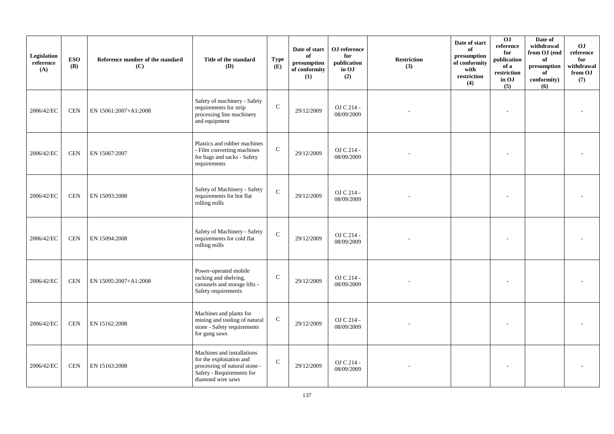| Legislation<br>reference<br>(A) | <b>ESO</b><br><b>(B)</b> | Reference number of the standard<br>(C) | Title of the standard<br>(D)                                                                                                              | <b>Type</b><br>(E) | Date of start<br>of<br>$\bf{presumption}$<br>of conformity<br>(1) | OJ reference<br>for<br>publication<br>in OJ<br>(2) | <b>Restriction</b><br>(3) | Date of start<br>of<br>presumption<br>of conformity<br>with<br>restriction<br>(4) | 0J<br>reference<br>for<br>publication<br>of a<br>restriction<br>in OJ<br>(5) | Date of<br>withdrawal<br>from OJ (end<br>of<br>presumption<br>of<br>conformity)<br>(6) | <b>OJ</b><br>reference<br>for<br>withdrawal<br>from OJ<br>(7) |
|---------------------------------|--------------------------|-----------------------------------------|-------------------------------------------------------------------------------------------------------------------------------------------|--------------------|-------------------------------------------------------------------|----------------------------------------------------|---------------------------|-----------------------------------------------------------------------------------|------------------------------------------------------------------------------|----------------------------------------------------------------------------------------|---------------------------------------------------------------|
| 2006/42/EC                      | <b>CEN</b>               | EN 15061:2007+A1:2008                   | Safety of machinery - Safety<br>requirements for strip<br>processing line machinery<br>and equipment                                      | $\mathbf C$        | 29/12/2009                                                        | OJ C 214 -<br>08/09/2009                           |                           |                                                                                   |                                                                              |                                                                                        |                                                               |
| 2006/42/EC                      | <b>CEN</b>               | EN 15067:2007                           | Plastics and rubber machines<br>- Film converting machines<br>for bags and sacks - Safety<br>requirements                                 | $\mathsf{C}$       | 29/12/2009                                                        | OJ C 214 -<br>08/09/2009                           |                           |                                                                                   |                                                                              |                                                                                        |                                                               |
| 2006/42/EC                      | <b>CEN</b>               | EN 15093:2008                           | Safety of Machinery - Safety<br>requirements for hot flat<br>rolling mills                                                                | $\mathbf C$        | 29/12/2009                                                        | OJ C 214 -<br>08/09/2009                           |                           |                                                                                   |                                                                              |                                                                                        |                                                               |
| 2006/42/EC                      | <b>CEN</b>               | EN 15094:2008                           | Safety of Machinery - Safety<br>requirements for cold flat<br>rolling mills                                                               | $\mathbf C$        | 29/12/2009                                                        | OJ C 214 -<br>08/09/2009                           |                           |                                                                                   |                                                                              |                                                                                        |                                                               |
| 2006/42/EC                      | <b>CEN</b>               | EN 15095:2007+A1:2008                   | Power-operated mobile<br>racking and shelving,<br>carousels and storage lifts -<br>Safety requirements                                    | $\mathcal{C}$      | 29/12/2009                                                        | OJ C 214 -<br>08/09/2009                           |                           |                                                                                   |                                                                              |                                                                                        |                                                               |
| 2006/42/EC                      | <b>CEN</b>               | EN 15162:2008                           | Machines and plants for<br>mining and tooling of natural<br>stone - Safety requirements<br>for gang saws                                  | ${\bf C}$          | 29/12/2009                                                        | OJ C 214 -<br>08/09/2009                           |                           |                                                                                   |                                                                              |                                                                                        |                                                               |
| 2006/42/EC                      | <b>CEN</b>               | EN 15163:2008                           | Machines and installations<br>for the exploitation and<br>processing of natural stone -<br>Safety - Requirements for<br>diamond wire saws | $\mathbf C$        | 29/12/2009                                                        | OJ C 214 -<br>08/09/2009                           |                           |                                                                                   |                                                                              |                                                                                        |                                                               |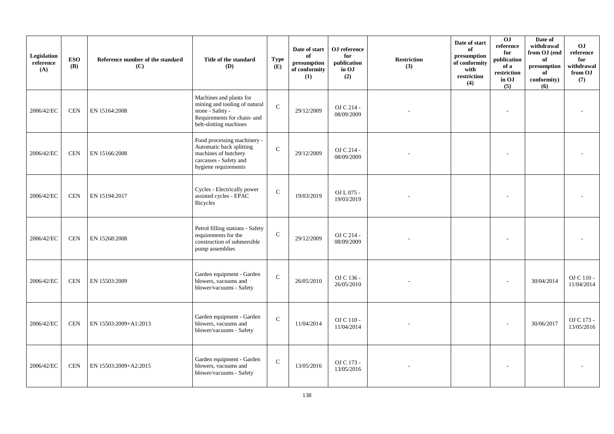| Legislation<br>reference<br>(A) | <b>ESO</b><br>(B) | Reference number of the standard<br>(C) | Title of the standard<br>(D)                                                                                                          | <b>Type</b><br>(E) | Date of start<br>of<br>$\bf{presumption}$<br>of conformity<br>(1) | OJ reference<br>for<br>publication<br>in OJ<br>(2) | <b>Restriction</b><br>(3) | Date of start<br>of<br>presumption<br>of conformity<br>with<br>restriction<br>(4) | 0J<br>reference<br>for<br>publication<br>of a<br>restriction<br>in OJ<br>(5) | Date of<br>withdrawal<br>from OJ (end<br>of<br>presumption<br>of<br>conformity)<br>(6) | <b>OJ</b><br>reference<br>for<br>withdrawal<br>from OJ<br>(7) |
|---------------------------------|-------------------|-----------------------------------------|---------------------------------------------------------------------------------------------------------------------------------------|--------------------|-------------------------------------------------------------------|----------------------------------------------------|---------------------------|-----------------------------------------------------------------------------------|------------------------------------------------------------------------------|----------------------------------------------------------------------------------------|---------------------------------------------------------------|
| 2006/42/EC                      | <b>CEN</b>        | EN 15164:2008                           | Machines and plants for<br>mining and tooling of natural<br>stone - Safety -<br>Requirements for chain- and<br>belt-slotting machines | $\mathbf{C}$       | 29/12/2009                                                        | OJ C 214 -<br>08/09/2009                           |                           |                                                                                   |                                                                              |                                                                                        |                                                               |
| 2006/42/EC                      | <b>CEN</b>        | EN 15166:2008                           | Food processing machinery -<br>Automatic back splitting<br>machines of butchery<br>carcasses - Safety and<br>hygiene requirements     | $\mathbf{C}$       | 29/12/2009                                                        | OJ C 214 -<br>08/09/2009                           |                           |                                                                                   |                                                                              |                                                                                        |                                                               |
| 2006/42/EC                      | <b>CEN</b>        | EN 15194:2017                           | Cycles - Electrically power<br>assisted cycles - EPAC<br>Bicycles                                                                     | $\mathbf{C}$       | 19/03/2019                                                        | OJ L 075 -<br>19/03/2019                           |                           |                                                                                   |                                                                              |                                                                                        |                                                               |
| 2006/42/EC                      | <b>CEN</b>        | EN 15268:2008                           | Petrol filling stations - Safety<br>requirements for the<br>construction of submersible<br>pump assemblies                            | $\mathbf C$        | 29/12/2009                                                        | OJ C 214 -<br>08/09/2009                           |                           |                                                                                   |                                                                              |                                                                                        |                                                               |
| 2006/42/EC                      | <b>CEN</b>        | EN 15503:2009                           | Garden equipment - Garden<br>blowers, vacuums and<br>blower/vacuums - Safety                                                          | $\mathbf{C}$       | 26/05/2010                                                        | OJ C 136 -<br>26/05/2010                           |                           |                                                                                   |                                                                              | 30/04/2014                                                                             | OJ C 110 -<br>11/04/2014                                      |
| 2006/42/EC                      | <b>CEN</b>        | EN 15503:2009+A1:2013                   | Garden equipment - Garden<br>blowers, vacuums and<br>blower/vacuums - Safety                                                          | $\mathbf{C}$       | 11/04/2014                                                        | OJ C 110 -<br>11/04/2014                           |                           |                                                                                   |                                                                              | 30/06/2017                                                                             | OJ C 173 -<br>13/05/2016                                      |
| 2006/42/EC                      | <b>CEN</b>        | EN 15503:2009+A2:2015                   | Garden equipment - Garden<br>blowers, vacuums and<br>blower/vacuums - Safety                                                          | $\mathbf C$        | 13/05/2016                                                        | OJ C 173 -<br>13/05/2016                           |                           |                                                                                   |                                                                              |                                                                                        |                                                               |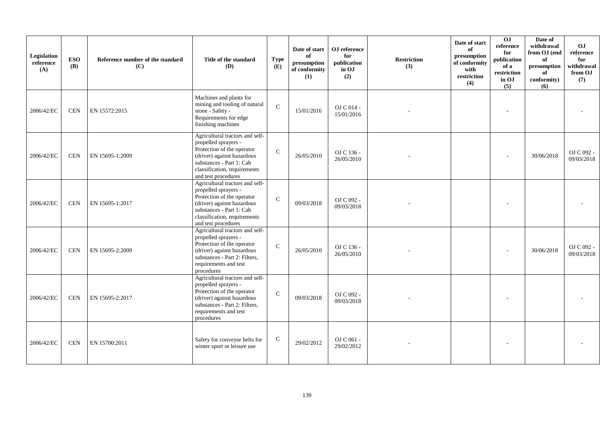| Legislation<br>reference<br>(A) | <b>ESO</b><br><b>(B)</b> | Reference number of the standard<br>(C) | Title of the standard<br><b>(D)</b>                                                                                                                                                                    | <b>Type</b><br>(E) | Date of start<br>of<br>presumption<br>of conformity<br>(1) | OJ reference<br>for<br>publication<br>in OJ<br>(2) | <b>Restriction</b><br>(3) | Date of start<br>of<br>presumption<br>of conformity<br>with<br>restriction<br>(4) | OJ<br>reference<br>for<br>publication<br>of a<br>restriction<br>in OJ<br>(5) | Date of<br>withdrawal<br>from OJ (end<br>of<br>presumption<br>of<br>conformity)<br>(6) | OJ<br>reference<br>for<br>withdrawal<br>from OJ<br>(7) |
|---------------------------------|--------------------------|-----------------------------------------|--------------------------------------------------------------------------------------------------------------------------------------------------------------------------------------------------------|--------------------|------------------------------------------------------------|----------------------------------------------------|---------------------------|-----------------------------------------------------------------------------------|------------------------------------------------------------------------------|----------------------------------------------------------------------------------------|--------------------------------------------------------|
| 2006/42/EC                      | <b>CEN</b>               | EN 15572:2015                           | Machines and plants for<br>mining and tooling of natural<br>stone - Safety -<br>Requirements for edge<br>finishing machines                                                                            | $\mathbf{C}$       | 15/01/2016                                                 | OJ C 014 -<br>15/01/2016                           |                           |                                                                                   |                                                                              |                                                                                        |                                                        |
| 2006/42/EC                      | <b>CEN</b>               | EN 15695-1:2009                         | Agricultural tractors and self-<br>propelled sprayers -<br>Protection of the operator<br>(driver) against hazardous<br>substances - Part 1: Cab<br>classification, requirements<br>and test procedures | $\mathsf{C}$       | 26/05/2010                                                 | OJ C 136 -<br>26/05/2010                           |                           |                                                                                   |                                                                              | 30/06/2018                                                                             | OJ C 092 -<br>09/03/2018                               |
| 2006/42/EC                      | <b>CEN</b>               | EN 15695-1:2017                         | Agricultural tractors and self-<br>propelled sprayers -<br>Protection of the operator<br>(driver) against hazardous<br>substances - Part 1: Cab<br>classification, requirements<br>and test procedures | $\mathcal{C}$      | 09/03/2018                                                 | OJ C 092 -<br>09/03/2018                           |                           |                                                                                   |                                                                              |                                                                                        |                                                        |
| 2006/42/EC                      | <b>CEN</b>               | EN 15695-2:2009                         | Agricultural tractors and self-<br>propelled sprayers -<br>Protection of the operator<br>(driver) against hazardous<br>substances - Part 2: Filters,<br>requirements and test<br>procedures            | $\mathsf{C}$       | 26/05/2010                                                 | OJ C 136 -<br>26/05/2010                           |                           |                                                                                   |                                                                              | 30/06/2018                                                                             | OJ C 092 -<br>09/03/2018                               |
| 2006/42/EC                      | <b>CEN</b>               | EN 15695-2:2017                         | Agricultural tractors and self-<br>propelled sprayers -<br>Protection of the operator<br>(driver) against hazardous<br>substances - Part 2: Filters,<br>requirements and test<br>procedures            | $\mathbf C$        | 09/03/2018                                                 | OJ C 092 -<br>09/03/2018                           |                           |                                                                                   |                                                                              |                                                                                        |                                                        |
| 2006/42/EC                      | <b>CEN</b>               | EN 15700:2011                           | Safety for conveyor belts for<br>winter sport or leisure use                                                                                                                                           | $\mathbf C$        | 29/02/2012                                                 | OJ C 061 -<br>29/02/2012                           |                           |                                                                                   |                                                                              |                                                                                        |                                                        |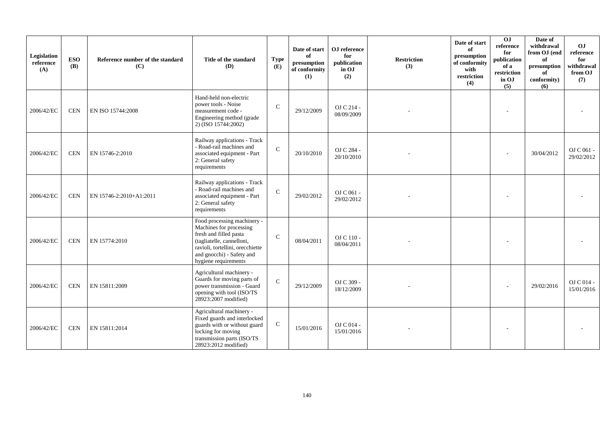| Legislation<br>reference<br>(A) | <b>ESO</b><br><b>(B)</b> | Reference number of the standard<br>(C) | Title of the standard<br><b>(D)</b>                                                                                                                                                                    | <b>Type</b><br>(E) | Date of start<br>of<br>presumption<br>of conformity<br>(1) | OJ reference<br>for<br>publication<br>in OJ<br>(2) | <b>Restriction</b><br>(3) | Date of start<br>of<br>presumption<br>of conformity<br>with<br>restriction<br>(4) | $\overline{0}$<br>reference<br>for<br>publication<br>of a<br>restriction<br>in OJ<br>(5) | Date of<br>withdrawal<br>from OJ (end<br>of<br>presumption<br>of<br>conformity)<br>(6) | OJ<br>reference<br>for<br>withdrawal<br>from OJ<br>(7) |
|---------------------------------|--------------------------|-----------------------------------------|--------------------------------------------------------------------------------------------------------------------------------------------------------------------------------------------------------|--------------------|------------------------------------------------------------|----------------------------------------------------|---------------------------|-----------------------------------------------------------------------------------|------------------------------------------------------------------------------------------|----------------------------------------------------------------------------------------|--------------------------------------------------------|
| 2006/42/EC                      | <b>CEN</b>               | EN ISO 15744:2008                       | Hand-held non-electric<br>power tools - Noise<br>measurement code -<br>Engineering method (grade<br>2) (ISO 15744:2002)                                                                                | $\mathcal{C}$      | 29/12/2009                                                 | OJ C 214 -<br>08/09/2009                           |                           |                                                                                   |                                                                                          |                                                                                        |                                                        |
| 2006/42/EC                      | <b>CEN</b>               | EN 15746-2:2010                         | Railway applications - Track<br>- Road-rail machines and<br>associated equipment - Part<br>2: General safety<br>requirements                                                                           | $\mathcal{C}$      | 20/10/2010                                                 | OJ C 284 -<br>20/10/2010                           |                           |                                                                                   |                                                                                          | 30/04/2012                                                                             | OJ C 061 -<br>29/02/2012                               |
| 2006/42/EC                      | <b>CEN</b>               | EN 15746-2:2010+A1:2011                 | Railway applications - Track<br>- Road-rail machines and<br>associated equipment - Part<br>2: General safety<br>requirements                                                                           | $\mathbf C$        | 29/02/2012                                                 | OJ C 061 -<br>29/02/2012                           |                           |                                                                                   |                                                                                          |                                                                                        |                                                        |
| 2006/42/EC                      | <b>CEN</b>               | EN 15774:2010                           | Food processing machinery -<br>Machines for processing<br>fresh and filled pasta<br>(tagliatelle, cannelloni,<br>ravioli, tortellini, orecchiette<br>and gnocchi) - Safety and<br>hygiene requirements | $\mathsf{C}$       | 08/04/2011                                                 | $OJ C 110 -$<br>08/04/2011                         |                           |                                                                                   |                                                                                          |                                                                                        |                                                        |
| 2006/42/EC                      | <b>CEN</b>               | EN 15811:2009                           | Agricultural machinery -<br>Guards for moving parts of<br>power transmission - Guard<br>opening with tool (ISO/TS<br>28923:2007 modified)                                                              | $\mathcal{C}$      | 29/12/2009                                                 | OJ C 309 -<br>18/12/2009                           |                           |                                                                                   |                                                                                          | 29/02/2016                                                                             | $OJ$ C 014 -<br>15/01/2016                             |
| 2006/42/EC                      | <b>CEN</b>               | EN 15811:2014                           | Agricultural machinery -<br>Fixed guards and interlocked<br>guards with or without guard<br>locking for moving<br>transmission parts (ISO/TS<br>28923:2012 modified)                                   | $\mathsf{C}$       | 15/01/2016                                                 | OJ C 014 -<br>15/01/2016                           |                           |                                                                                   |                                                                                          |                                                                                        |                                                        |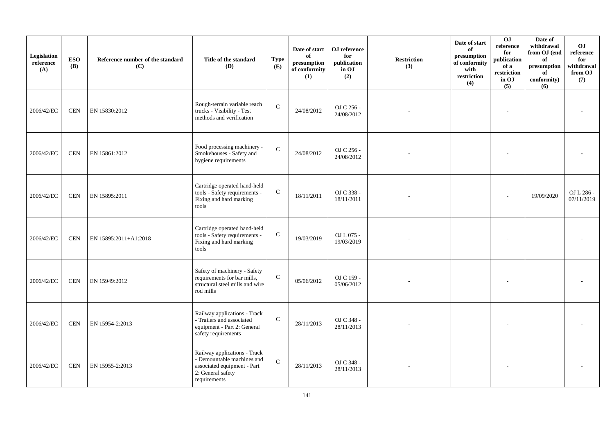| Legislation<br>reference<br>(A) | <b>ESO</b><br><b>(B)</b> | Reference number of the standard<br>(C) | Title of the standard<br>(D)                                                                                                   | <b>Type</b><br>(E) | Date of start<br>of<br>presumption<br>of conformity<br>(1) | OJ reference<br>for<br>publication<br>in OJ<br>(2) | <b>Restriction</b><br>(3) | Date of start<br>of<br>presumption<br>of conformity<br>with<br>restriction<br>(4) | 0J<br>reference<br>for<br>publication<br>of a<br>restriction<br>in OJ<br>(5) | Date of<br>withdrawal<br>from OJ (end<br>of<br>presumption<br>of<br>conformity)<br>(6) | O <sub>J</sub><br>reference<br>for<br>withdrawal<br>from OJ<br>(7) |
|---------------------------------|--------------------------|-----------------------------------------|--------------------------------------------------------------------------------------------------------------------------------|--------------------|------------------------------------------------------------|----------------------------------------------------|---------------------------|-----------------------------------------------------------------------------------|------------------------------------------------------------------------------|----------------------------------------------------------------------------------------|--------------------------------------------------------------------|
| 2006/42/EC                      | <b>CEN</b>               | EN 15830:2012                           | Rough-terrain variable reach<br>trucks - Visibility - Test<br>methods and verification                                         | $\mathbf C$        | 24/08/2012                                                 | OJ C 256 -<br>24/08/2012                           |                           |                                                                                   |                                                                              |                                                                                        |                                                                    |
| 2006/42/EC                      | <b>CEN</b>               | EN 15861:2012                           | Food processing machinery -<br>Smokehouses - Safety and<br>hygiene requirements                                                | $\mathbf C$        | 24/08/2012                                                 | OJ C 256 -<br>24/08/2012                           |                           |                                                                                   |                                                                              |                                                                                        |                                                                    |
| 2006/42/EC                      | <b>CEN</b>               | EN 15895:2011                           | Cartridge operated hand-held<br>tools - Safety requirements -<br>Fixing and hard marking<br>tools                              | ${\bf C}$          | 18/11/2011                                                 | OJ C 338 -<br>18/11/2011                           |                           |                                                                                   |                                                                              | 19/09/2020                                                                             | OJ L 286 -<br>07/11/2019                                           |
| 2006/42/EC                      | <b>CEN</b>               | EN 15895:2011+A1:2018                   | Cartridge operated hand-held<br>tools - Safety requirements -<br>Fixing and hard marking<br>tools                              | ${\bf C}$          | 19/03/2019                                                 | OJ L 075 -<br>19/03/2019                           |                           |                                                                                   |                                                                              |                                                                                        |                                                                    |
| 2006/42/EC                      | <b>CEN</b>               | EN 15949:2012                           | Safety of machinery - Safety<br>requirements for bar mills,<br>structural steel mills and wire<br>rod mills                    | ${\bf C}$          | 05/06/2012                                                 | OJ C 159 -<br>05/06/2012                           |                           |                                                                                   |                                                                              |                                                                                        |                                                                    |
| 2006/42/EC                      | <b>CEN</b>               | EN 15954-2:2013                         | Railway applications - Track<br>- Trailers and associated<br>equipment - Part 2: General<br>safety requirements                | ${\bf C}$          | 28/11/2013                                                 | OJ C 348 -<br>28/11/2013                           |                           |                                                                                   |                                                                              |                                                                                        |                                                                    |
| 2006/42/EC                      | <b>CEN</b>               | EN 15955-2:2013                         | Railway applications - Track<br>- Demountable machines and<br>associated equipment - Part<br>2: General safety<br>requirements | $\mathbf C$        | 28/11/2013                                                 | OJ C 348 -<br>28/11/2013                           |                           |                                                                                   |                                                                              |                                                                                        |                                                                    |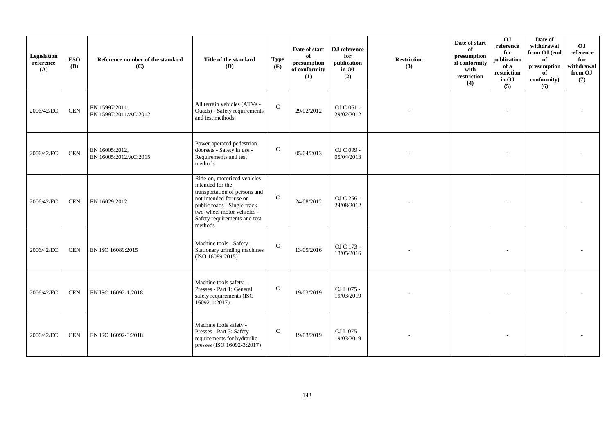| Legislation<br>reference<br>(A) | <b>ESO</b><br><b>(B)</b> | Reference number of the standard<br>(C) | Title of the standard<br>(D)                                                                                                                                                                                        | <b>Type</b><br>(E) | Date of start<br>of<br>presumption<br>of conformity<br>(1) | OJ reference<br>for<br>publication<br>in OJ<br>(2) | <b>Restriction</b><br>(3) | Date of start<br>of<br>presumption<br>of conformity<br>with<br>restriction<br>(4) | 0J<br>reference<br>for<br>publication<br>of a<br>restriction<br>in OJ<br>(5) | Date of<br>withdrawal<br>from OJ (end<br>of<br>presumption<br>of<br>conformity)<br>(6) | OJ<br>reference<br>for<br>withdrawal<br>from OJ<br>(7) |
|---------------------------------|--------------------------|-----------------------------------------|---------------------------------------------------------------------------------------------------------------------------------------------------------------------------------------------------------------------|--------------------|------------------------------------------------------------|----------------------------------------------------|---------------------------|-----------------------------------------------------------------------------------|------------------------------------------------------------------------------|----------------------------------------------------------------------------------------|--------------------------------------------------------|
| 2006/42/EC                      | <b>CEN</b>               | EN 15997:2011,<br>EN 15997:2011/AC:2012 | All terrain vehicles (ATVs -<br>Quads) - Safety requirements<br>and test methods                                                                                                                                    | $\mathbf C$        | 29/02/2012                                                 | OJ C 061 -<br>29/02/2012                           |                           |                                                                                   |                                                                              |                                                                                        |                                                        |
| 2006/42/EC                      | <b>CEN</b>               | EN 16005:2012,<br>EN 16005:2012/AC:2015 | Power operated pedestrian<br>doorsets - Safety in use -<br>Requirements and test<br>methods                                                                                                                         | $\mathbf C$        | 05/04/2013                                                 | OJ C 099 -<br>05/04/2013                           |                           |                                                                                   |                                                                              |                                                                                        |                                                        |
| 2006/42/EC                      | <b>CEN</b>               | EN 16029:2012                           | Ride-on, motorized vehicles<br>intended for the<br>transportation of persons and<br>not intended for use on<br>public roads - Single-track<br>two-wheel motor vehicles -<br>Safety requirements and test<br>methods | $\mathbf{C}$       | 24/08/2012                                                 | OJ C 256 -<br>24/08/2012                           |                           |                                                                                   |                                                                              |                                                                                        |                                                        |
| 2006/42/EC                      | <b>CEN</b>               | EN ISO 16089:2015                       | Machine tools - Safety -<br>Stationary grinding machines<br>(ISO 16089:2015)                                                                                                                                        | $\mathcal{C}$      | 13/05/2016                                                 | OJ C 173 -<br>13/05/2016                           |                           |                                                                                   |                                                                              |                                                                                        |                                                        |
| 2006/42/EC                      | <b>CEN</b>               | EN ISO 16092-1:2018                     | Machine tools safety -<br>Presses - Part 1: General<br>safety requirements (ISO<br>16092-1:2017)                                                                                                                    | $\mathbf C$        | 19/03/2019                                                 | OJ L 075 -<br>19/03/2019                           |                           |                                                                                   |                                                                              |                                                                                        |                                                        |
| 2006/42/EC                      | <b>CEN</b>               | EN ISO 16092-3:2018                     | Machine tools safety -<br>Presses - Part 3: Safety<br>requirements for hydraulic<br>presses (ISO 16092-3:2017)                                                                                                      | $\mathbf C$        | 19/03/2019                                                 | OJ L 075 -<br>19/03/2019                           |                           |                                                                                   |                                                                              |                                                                                        |                                                        |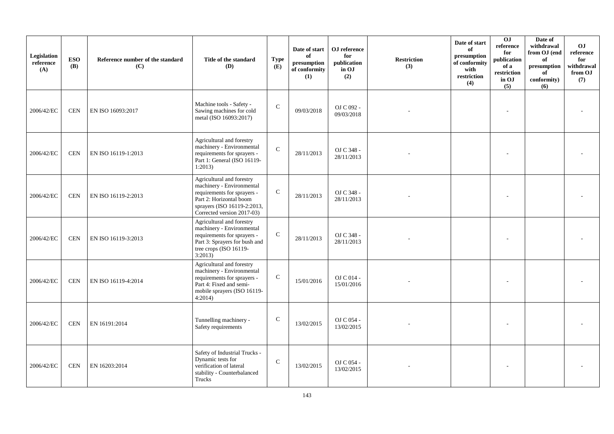| Legislation<br>reference<br>(A) | <b>ESO</b><br><b>(B)</b> | Reference number of the standard<br>(C) | Title of the standard<br>(D)                                                                                                                                                  | <b>Type</b><br>(E) | Date of start<br>of<br>presumption<br>of conformity<br>(1) | OJ reference<br>for<br>publication<br>in OJ<br>(2) | <b>Restriction</b><br>(3) | Date of start<br>of<br>presumption<br>of conformity<br>with<br>restriction<br>(4) | O <sub>J</sub><br>reference<br>for<br>publication<br>of a<br>restriction<br>in OJ<br>(5) | Date of<br>withdrawal<br>from OJ (end<br>of<br>presumption<br>of<br>conformity)<br>(6) | <b>OJ</b><br>reference<br>for<br>withdrawal<br>from OJ<br>(7) |
|---------------------------------|--------------------------|-----------------------------------------|-------------------------------------------------------------------------------------------------------------------------------------------------------------------------------|--------------------|------------------------------------------------------------|----------------------------------------------------|---------------------------|-----------------------------------------------------------------------------------|------------------------------------------------------------------------------------------|----------------------------------------------------------------------------------------|---------------------------------------------------------------|
| 2006/42/EC                      | <b>CEN</b>               | EN ISO 16093:2017                       | Machine tools - Safety -<br>Sawing machines for cold<br>metal (ISO 16093:2017)                                                                                                | $\mathsf{C}$       | 09/03/2018                                                 | OJ C 092 -<br>09/03/2018                           |                           |                                                                                   |                                                                                          |                                                                                        |                                                               |
| 2006/42/EC                      | <b>CEN</b>               | EN ISO 16119-1:2013                     | Agricultural and forestry<br>machinery - Environmental<br>requirements for sprayers -<br>Part 1: General (ISO 16119-<br>1:2013                                                | $\mathbf C$        | 28/11/2013                                                 | OJ C 348 -<br>28/11/2013                           |                           |                                                                                   |                                                                                          |                                                                                        |                                                               |
| 2006/42/EC                      | <b>CEN</b>               | EN ISO 16119-2:2013                     | Agricultural and forestry<br>machinery - Environmental<br>requirements for sprayers -<br>Part 2: Horizontal boom<br>sprayers (ISO 16119-2:2013,<br>Corrected version 2017-03) | $\mathbf C$        | 28/11/2013                                                 | OJ C 348 -<br>28/11/2013                           |                           |                                                                                   |                                                                                          |                                                                                        |                                                               |
| 2006/42/EC                      | <b>CEN</b>               | EN ISO 16119-3:2013                     | Agricultural and forestry<br>machinery - Environmental<br>requirements for sprayers -<br>Part 3: Sprayers for bush and<br>tree crops (ISO 16119-<br>3:2013)                   | $\mathbf C$        | 28/11/2013                                                 | OJ C 348 -<br>28/11/2013                           |                           |                                                                                   |                                                                                          |                                                                                        |                                                               |
| 2006/42/EC                      | <b>CEN</b>               | EN ISO 16119-4:2014                     | Agricultural and forestry<br>machinery - Environmental<br>requirements for sprayers -<br>Part 4: Fixed and semi-<br>mobile sprayers (ISO 16119-<br>4:2014)                    | $\mathbf C$        | 15/01/2016                                                 | OJ C 014 -<br>15/01/2016                           |                           |                                                                                   |                                                                                          |                                                                                        |                                                               |
| 2006/42/EC                      | <b>CEN</b>               | EN 16191:2014                           | Tunnelling machinery -<br>Safety requirements                                                                                                                                 | $\mathsf{C}$       | 13/02/2015                                                 | OJ C 054 -<br>13/02/2015                           |                           |                                                                                   |                                                                                          |                                                                                        |                                                               |
| 2006/42/EC                      | <b>CEN</b>               | EN 16203:2014                           | Safety of Industrial Trucks -<br>Dynamic tests for<br>verification of lateral<br>stability - Counterbalanced<br>Trucks                                                        | $\mathcal{C}$      | 13/02/2015                                                 | OJ C 054 -<br>13/02/2015                           |                           |                                                                                   |                                                                                          |                                                                                        |                                                               |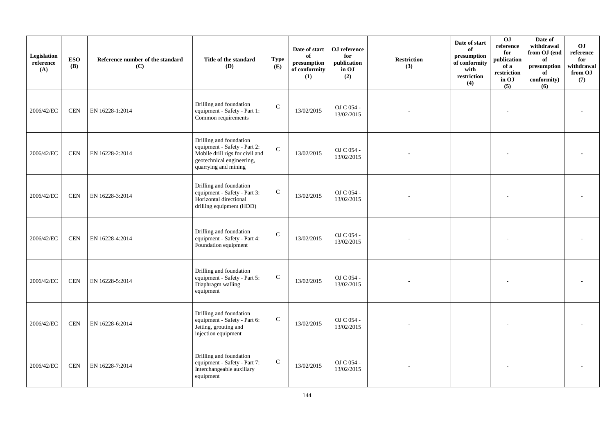| Legislation<br>reference<br>(A) | <b>ESO</b><br><b>(B)</b> | Reference number of the standard<br>(C) | Title of the standard<br>(D)                                                                                                                    | <b>Type</b><br>(E) | Date of start<br>of<br>$\mathbf{presumption}% \label{fig:ex1}%$<br>of conformity<br>(1) | OJ reference<br>for<br>publication<br>in OJ<br>(2) | <b>Restriction</b><br>(3) | Date of start<br>of<br>presumption<br>of conformity<br>with<br>restriction<br>(4) | 0J<br>reference<br>for<br>publication<br>of a<br>restriction<br>in OJ<br>(5) | Date of<br>withdrawal<br>from OJ (end<br>of<br>presumption<br>of<br>conformity)<br>(6) | <b>OJ</b><br>reference<br>for<br>withdrawal<br>from OJ<br>(7) |
|---------------------------------|--------------------------|-----------------------------------------|-------------------------------------------------------------------------------------------------------------------------------------------------|--------------------|-----------------------------------------------------------------------------------------|----------------------------------------------------|---------------------------|-----------------------------------------------------------------------------------|------------------------------------------------------------------------------|----------------------------------------------------------------------------------------|---------------------------------------------------------------|
| 2006/42/EC                      | <b>CEN</b>               | EN 16228-1:2014                         | Drilling and foundation<br>equipment - Safety - Part 1:<br>Common requirements                                                                  | $\mathbf C$        | 13/02/2015                                                                              | OJ C 054 -<br>13/02/2015                           |                           |                                                                                   |                                                                              |                                                                                        |                                                               |
| 2006/42/EC                      | <b>CEN</b>               | EN 16228-2:2014                         | Drilling and foundation<br>equipment - Safety - Part 2:<br>Mobile drill rigs for civil and<br>geotechnical engineering,<br>quarrying and mining | $\mathbf C$        | 13/02/2015                                                                              | OJ C 054 -<br>13/02/2015                           |                           |                                                                                   |                                                                              |                                                                                        |                                                               |
| 2006/42/EC                      | <b>CEN</b>               | EN 16228-3:2014                         | Drilling and foundation<br>equipment - Safety - Part 3:<br>Horizontal directional<br>drilling equipment (HDD)                                   | $\mathbf C$        | 13/02/2015                                                                              | OJ C 054 -<br>13/02/2015                           |                           |                                                                                   |                                                                              |                                                                                        |                                                               |
| 2006/42/EC                      | <b>CEN</b>               | EN 16228-4:2014                         | Drilling and foundation<br>equipment - Safety - Part 4:<br>Foundation equipment                                                                 | $\mathsf{C}$       | 13/02/2015                                                                              | OJ C 054 -<br>13/02/2015                           |                           |                                                                                   |                                                                              |                                                                                        |                                                               |
| 2006/42/EC                      | <b>CEN</b>               | EN 16228-5:2014                         | Drilling and foundation<br>equipment - Safety - Part 5:<br>Diaphragm walling<br>equipment                                                       | $\mathbf C$        | 13/02/2015                                                                              | OJ C 054 -<br>13/02/2015                           |                           |                                                                                   |                                                                              |                                                                                        |                                                               |
| 2006/42/EC                      | <b>CEN</b>               | EN 16228-6:2014                         | Drilling and foundation<br>equipment - Safety - Part 6:<br>Jetting, grouting and<br>injection equipment                                         | ${\bf C}$          | 13/02/2015                                                                              | OJ C 054 -<br>13/02/2015                           |                           |                                                                                   |                                                                              |                                                                                        |                                                               |
| 2006/42/EC                      | <b>CEN</b>               | EN 16228-7:2014                         | Drilling and foundation<br>equipment - Safety - Part 7:<br>Interchangeable auxiliary<br>equipment                                               | ${\bf C}$          | 13/02/2015                                                                              | OJ C 054 -<br>13/02/2015                           |                           |                                                                                   |                                                                              |                                                                                        |                                                               |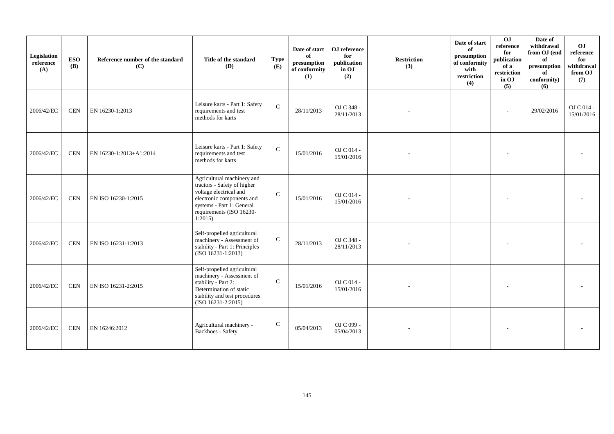| Legislation<br>reference<br>(A) | <b>ESO</b><br><b>(B)</b> | Reference number of the standard<br>(C) | Title of the standard<br>(D)                                                                                                                                                        | <b>Type</b><br>(E) | Date of start<br>of<br>presumption<br>of conformity<br>(1) | OJ reference<br>for<br>publication<br>in OJ<br>(2) | <b>Restriction</b><br>(3) | Date of start<br>of<br>presumption<br>of conformity<br>with<br>restriction<br>(4) | $\overline{0}$<br>reference<br>for<br>publication<br>of a<br>restriction<br>in OJ<br>(5) | Date of<br>withdrawal<br>from OJ (end<br>of<br>presumption<br>of<br>conformity)<br>(6) | OJ<br>reference<br>for<br>withdrawal<br>from OJ<br>(7) |
|---------------------------------|--------------------------|-----------------------------------------|-------------------------------------------------------------------------------------------------------------------------------------------------------------------------------------|--------------------|------------------------------------------------------------|----------------------------------------------------|---------------------------|-----------------------------------------------------------------------------------|------------------------------------------------------------------------------------------|----------------------------------------------------------------------------------------|--------------------------------------------------------|
| 2006/42/EC                      | <b>CEN</b>               | EN 16230-1:2013                         | Leisure karts - Part 1: Safety<br>requirements and test<br>methods for karts                                                                                                        | $\mathbf{C}$       | 28/11/2013                                                 | OJ C 348 -<br>28/11/2013                           |                           |                                                                                   |                                                                                          | 29/02/2016                                                                             | OJ C 014 -<br>15/01/2016                               |
| 2006/42/EC                      | <b>CEN</b>               | EN 16230-1:2013+A1:2014                 | Leisure karts - Part 1: Safety<br>requirements and test<br>methods for karts                                                                                                        | $\mathcal{C}$      | 15/01/2016                                                 | OJ C 014 -<br>15/01/2016                           |                           |                                                                                   |                                                                                          |                                                                                        |                                                        |
| 2006/42/EC                      | <b>CEN</b>               | EN ISO 16230-1:2015                     | Agricultural machinery and<br>tractors - Safety of higher<br>voltage electrical and<br>electronic components and<br>systems - Part 1: General<br>requirements (ISO 16230-<br>1:2015 | $\mathbf{C}$       | 15/01/2016                                                 | OJ C 014 -<br>15/01/2016                           |                           |                                                                                   |                                                                                          |                                                                                        |                                                        |
| 2006/42/EC                      | <b>CEN</b>               | EN ISO 16231-1:2013                     | Self-propelled agricultural<br>machinery - Assessment of<br>stability - Part 1: Principles<br>(ISO 16231-1:2013)                                                                    | $\mathbf C$        | 28/11/2013                                                 | OJ C 348 -<br>28/11/2013                           |                           |                                                                                   |                                                                                          |                                                                                        |                                                        |
| 2006/42/EC                      | <b>CEN</b>               | EN ISO 16231-2:2015                     | Self-propelled agricultural<br>machinery - Assessment of<br>stability - Part 2:<br>Determination of static<br>stability and test procedures<br>(ISO 16231-2:2015)                   | $\mathbf{C}$       | 15/01/2016                                                 | OJ C 014 -<br>15/01/2016                           |                           |                                                                                   |                                                                                          |                                                                                        |                                                        |
| 2006/42/EC                      | <b>CEN</b>               | EN 16246:2012                           | Agricultural machinery -<br>Backhoes - Safety                                                                                                                                       | $\mathbf C$        | 05/04/2013                                                 | OJ C 099 -<br>05/04/2013                           |                           |                                                                                   |                                                                                          |                                                                                        |                                                        |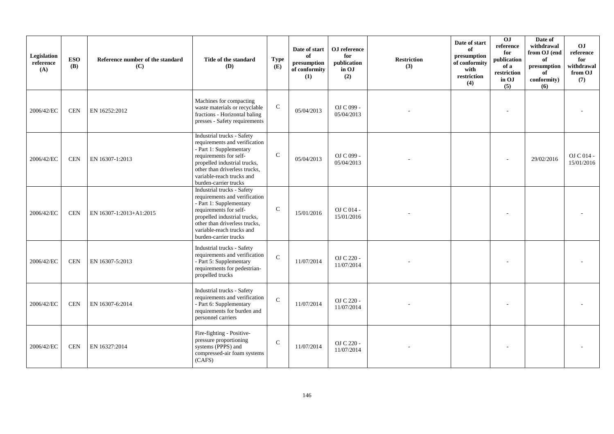| Legislation<br>reference<br>(A) | <b>ESO</b><br><b>(B)</b> | Reference number of the standard<br>(C) | Title of the standard<br>(D)                                                                                                                                                                                                            | <b>Type</b><br>(E) | Date of start<br>of<br>presumption<br>of conformity<br>(1) | OJ reference<br>for<br>publication<br>in OJ<br>(2) | <b>Restriction</b><br>(3) | Date of start<br>of<br>presumption<br>of conformity<br>with<br>restriction<br>(4) | OJ<br>reference<br>for<br>publication<br>of a<br>restriction<br>in OJ<br>(5) | Date of<br>withdrawal<br>from OJ (end<br>of<br>presumption<br>of<br>conformity)<br>(6) | OJ<br>reference<br>for<br>withdrawal<br>from OJ<br>(7) |
|---------------------------------|--------------------------|-----------------------------------------|-----------------------------------------------------------------------------------------------------------------------------------------------------------------------------------------------------------------------------------------|--------------------|------------------------------------------------------------|----------------------------------------------------|---------------------------|-----------------------------------------------------------------------------------|------------------------------------------------------------------------------|----------------------------------------------------------------------------------------|--------------------------------------------------------|
| 2006/42/EC                      | <b>CEN</b>               | EN 16252:2012                           | Machines for compacting<br>waste materials or recyclable<br>fractions - Horizontal baling<br>presses - Safety requirements                                                                                                              | ${\bf C}$          | 05/04/2013                                                 | OJ C 099 -<br>05/04/2013                           |                           |                                                                                   |                                                                              |                                                                                        |                                                        |
| 2006/42/EC                      | <b>CEN</b>               | EN 16307-1:2013                         | Industrial trucks - Safety<br>requirements and verification<br>- Part 1: Supplementary<br>requirements for self-<br>propelled industrial trucks,<br>other than driverless trucks,<br>variable-reach trucks and<br>burden-carrier trucks | $\mathbf C$        | 05/04/2013                                                 | OJ C 099 -<br>05/04/2013                           |                           |                                                                                   |                                                                              | 29/02/2016                                                                             | $OJ$ C 014 -<br>15/01/2016                             |
| 2006/42/EC                      | <b>CEN</b>               | EN 16307-1:2013+A1:2015                 | Industrial trucks - Safety<br>requirements and verification<br>- Part 1: Supplementary<br>requirements for self-<br>propelled industrial trucks,<br>other than driverless trucks,<br>variable-reach trucks and<br>burden-carrier trucks | $\mathcal{C}$      | 15/01/2016                                                 | OJ C 014 -<br>15/01/2016                           |                           |                                                                                   |                                                                              |                                                                                        |                                                        |
| 2006/42/EC                      | <b>CEN</b>               | EN 16307-5:2013                         | Industrial trucks - Safety<br>requirements and verification<br>- Part 5: Supplementary<br>requirements for pedestrian-<br>propelled trucks                                                                                              | $\mathbf{C}$       | 11/07/2014                                                 | OJ C 220 -<br>11/07/2014                           |                           |                                                                                   |                                                                              |                                                                                        |                                                        |
| 2006/42/EC                      | <b>CEN</b>               | EN 16307-6:2014                         | Industrial trucks - Safety<br>requirements and verification<br>- Part 6: Supplementary<br>requirements for burden and<br>personnel carriers                                                                                             | $\mathbf C$        | 11/07/2014                                                 | OJ C 220 -<br>11/07/2014                           |                           |                                                                                   |                                                                              |                                                                                        |                                                        |
| 2006/42/EC                      | <b>CEN</b>               | EN 16327:2014                           | Fire-fighting - Positive-<br>pressure proportioning<br>systems (PPPS) and<br>compressed-air foam systems<br>(CAFS)                                                                                                                      | $\mathbf C$        | 11/07/2014                                                 | OJ C 220 -<br>11/07/2014                           |                           |                                                                                   |                                                                              |                                                                                        |                                                        |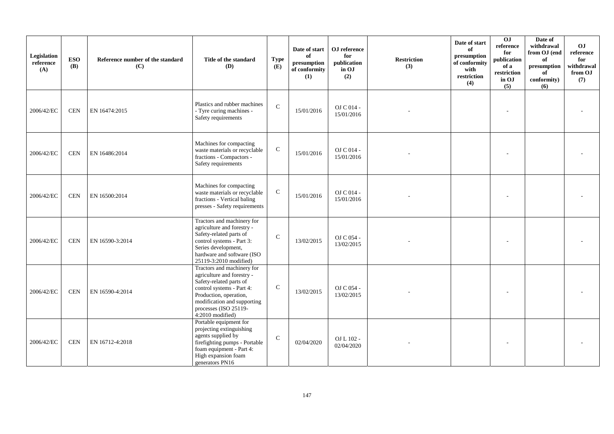| Legislation<br>reference<br>(A) | <b>ESO</b><br><b>(B)</b> | Reference number of the standard<br>(C) | Title of the standard<br>(D)                                                                                                                                                                                           | <b>Type</b><br>(E) | Date of start<br>of<br>presumption<br>of conformity<br>(1) | OJ reference<br>for<br>publication<br>in OJ<br>(2) | <b>Restriction</b><br>(3) | Date of start<br>of<br>presumption<br>of conformity<br>with<br>restriction<br>(4) | OJ<br>reference<br>for<br>publication<br>of a<br>restriction<br>in OJ<br>(5) | Date of<br>withdrawal<br>from OJ (end<br>of<br>presumption<br>of<br>conformity)<br>(6) | OJ<br>reference<br>for<br>withdrawal<br>from OJ<br>(7) |
|---------------------------------|--------------------------|-----------------------------------------|------------------------------------------------------------------------------------------------------------------------------------------------------------------------------------------------------------------------|--------------------|------------------------------------------------------------|----------------------------------------------------|---------------------------|-----------------------------------------------------------------------------------|------------------------------------------------------------------------------|----------------------------------------------------------------------------------------|--------------------------------------------------------|
| 2006/42/EC                      | <b>CEN</b>               | EN 16474:2015                           | Plastics and rubber machines<br>- Tyre curing machines -<br>Safety requirements                                                                                                                                        | $\mathbf{C}$       | 15/01/2016                                                 | OJ C 014 -<br>15/01/2016                           |                           |                                                                                   |                                                                              |                                                                                        |                                                        |
| 2006/42/EC                      | <b>CEN</b>               | EN 16486:2014                           | Machines for compacting<br>waste materials or recyclable<br>fractions - Compactors -<br>Safety requirements                                                                                                            | ${\bf C}$          | 15/01/2016                                                 | OJ C 014 -<br>15/01/2016                           |                           |                                                                                   |                                                                              |                                                                                        |                                                        |
| 2006/42/EC                      | <b>CEN</b>               | EN 16500:2014                           | Machines for compacting<br>waste materials or recyclable<br>fractions - Vertical baling<br>presses - Safety requirements                                                                                               | ${\bf C}$          | 15/01/2016                                                 | OJ C 014 -<br>15/01/2016                           |                           |                                                                                   |                                                                              |                                                                                        |                                                        |
| 2006/42/EC                      | <b>CEN</b>               | EN 16590-3:2014                         | Tractors and machinery for<br>agriculture and forestry -<br>Safety-related parts of<br>control systems - Part 3:<br>Series development,<br>hardware and software (ISO<br>25119-3:2010 modified)                        | $\mathcal{C}$      | 13/02/2015                                                 | OJ C 054 -<br>13/02/2015                           |                           |                                                                                   |                                                                              |                                                                                        |                                                        |
| 2006/42/EC                      | <b>CEN</b>               | EN 16590-4:2014                         | Tractors and machinery for<br>agriculture and forestry -<br>Safety-related parts of<br>control systems - Part 4:<br>Production, operation,<br>modification and supporting<br>processes (ISO 25119-<br>4:2010 modified) | $\mathbf C$        | 13/02/2015                                                 | OJ C 054 -<br>13/02/2015                           |                           |                                                                                   |                                                                              |                                                                                        |                                                        |
| 2006/42/EC                      | <b>CEN</b>               | EN 16712-4:2018                         | Portable equipment for<br>projecting extinguishing<br>agents supplied by<br>firefighting pumps - Portable<br>foam equipment - Part 4:<br>High expansion foam<br>generators PN16                                        | $\mathcal{C}$      | 02/04/2020                                                 | OJ L 102 -<br>02/04/2020                           |                           |                                                                                   |                                                                              |                                                                                        |                                                        |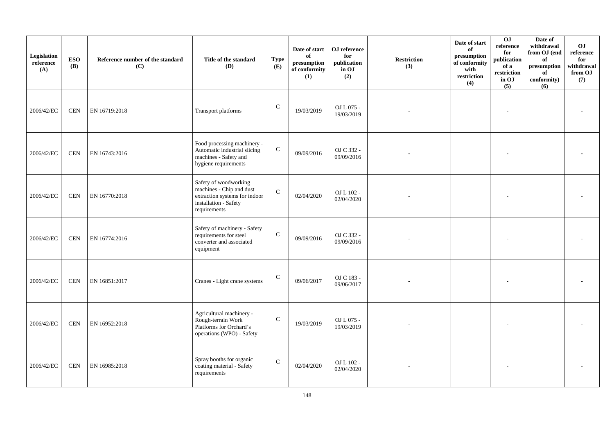| Legislation<br>reference<br>(A) | <b>ESO</b><br><b>(B)</b> | Reference number of the standard<br>(C) | Title of the standard<br>(D)                                                                                                | <b>Type</b><br>(E) | Date of start<br>of<br>presumption<br>of conformity<br>(1) | OJ reference<br>for<br>publication<br>in OJ<br>(2) | <b>Restriction</b><br>(3) | Date of start<br>of<br>presumption<br>of conformity<br>with<br>restriction<br>(4) | 0J<br>reference<br>for<br>publication<br>of a<br>restriction<br>in OJ<br>(5) | Date of<br>withdrawal<br>from OJ (end<br>of<br>$\bf{presumption}$<br>of<br>conformity)<br>(6) | OJ<br>$\rm reference$<br>for<br>withdrawal<br>from OJ<br>(7) |
|---------------------------------|--------------------------|-----------------------------------------|-----------------------------------------------------------------------------------------------------------------------------|--------------------|------------------------------------------------------------|----------------------------------------------------|---------------------------|-----------------------------------------------------------------------------------|------------------------------------------------------------------------------|-----------------------------------------------------------------------------------------------|--------------------------------------------------------------|
| 2006/42/EC                      | <b>CEN</b>               | EN 16719:2018                           | Transport platforms                                                                                                         | ${\bf C}$          | 19/03/2019                                                 | OJ L 075 -<br>19/03/2019                           |                           |                                                                                   |                                                                              |                                                                                               |                                                              |
| 2006/42/EC                      | <b>CEN</b>               | EN 16743:2016                           | Food processing machinery -<br>Automatic industrial slicing<br>machines - Safety and<br>hygiene requirements                | ${\bf C}$          | 09/09/2016                                                 | OJ C 332 -<br>09/09/2016                           |                           |                                                                                   |                                                                              |                                                                                               |                                                              |
| 2006/42/EC                      | <b>CEN</b>               | EN 16770:2018                           | Safety of woodworking<br>machines - Chip and dust<br>extraction systems for indoor<br>installation - Safety<br>requirements | $\mathsf{C}$       | 02/04/2020                                                 | OJ L 102 -<br>02/04/2020                           |                           |                                                                                   |                                                                              |                                                                                               |                                                              |
| 2006/42/EC                      | <b>CEN</b>               | EN 16774:2016                           | Safety of machinery - Safety<br>requirements for steel<br>converter and associated<br>equipment                             | $\mathbf C$        | 09/09/2016                                                 | OJ C 332 -<br>09/09/2016                           |                           |                                                                                   |                                                                              |                                                                                               |                                                              |
| 2006/42/EC                      | <b>CEN</b>               | EN 16851:2017                           | Cranes - Light crane systems                                                                                                | $\mathbf C$        | 09/06/2017                                                 | OJ C 183 -<br>09/06/2017                           |                           |                                                                                   |                                                                              |                                                                                               |                                                              |
| 2006/42/EC                      | <b>CEN</b>               | EN 16952:2018                           | Agricultural machinery -<br>Rough-terrain Work<br>Platforms for Orchard's<br>operations (WPO) - Safety                      | $\mathsf{C}$       | 19/03/2019                                                 | OJ L 075 -<br>19/03/2019                           |                           |                                                                                   |                                                                              |                                                                                               |                                                              |
| 2006/42/EC                      | <b>CEN</b>               | EN 16985:2018                           | Spray booths for organic<br>coating material - Safety<br>requirements                                                       | $\mathsf{C}$       | 02/04/2020                                                 | OJ L 102 -<br>02/04/2020                           |                           |                                                                                   |                                                                              |                                                                                               |                                                              |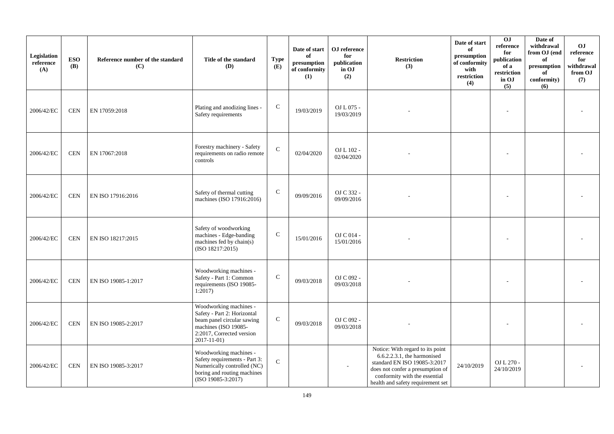| Legislation<br>reference<br>(A) | <b>ESO</b><br><b>(B)</b> | Reference number of the standard<br>(C) | Title of the standard<br><b>(D)</b>                                                                                                                          | <b>Type</b><br>(E) | Date of start<br>of<br>presumption<br>of conformity<br>(1) | OJ reference<br>for<br>publication<br>in OJ<br>(2) | <b>Restriction</b><br>(3)                                                                                                                                                                                 | Date of start<br>of<br>presumption<br>of conformity<br>with<br>restriction<br>(4) | O <sub>J</sub><br>reference<br>for<br>publication<br>of a<br>restriction<br>in OJ<br>(5) | Date of<br>withdrawal<br>from OJ (end<br>of<br>presumption<br>of<br>conformity)<br>(6) | OJ<br>reference<br>for<br>withdrawal<br>from OJ<br>(7) |
|---------------------------------|--------------------------|-----------------------------------------|--------------------------------------------------------------------------------------------------------------------------------------------------------------|--------------------|------------------------------------------------------------|----------------------------------------------------|-----------------------------------------------------------------------------------------------------------------------------------------------------------------------------------------------------------|-----------------------------------------------------------------------------------|------------------------------------------------------------------------------------------|----------------------------------------------------------------------------------------|--------------------------------------------------------|
| 2006/42/EC                      | <b>CEN</b>               | EN 17059:2018                           | Plating and anodizing lines -<br>Safety requirements                                                                                                         | $\mathbf C$        | 19/03/2019                                                 | OJ L 075 -<br>19/03/2019                           |                                                                                                                                                                                                           |                                                                                   |                                                                                          |                                                                                        |                                                        |
| 2006/42/EC                      | <b>CEN</b>               | EN 17067:2018                           | Forestry machinery - Safety<br>requirements on radio remote<br>controls                                                                                      | ${\bf C}$          | 02/04/2020                                                 | OJ L 102 -<br>02/04/2020                           |                                                                                                                                                                                                           |                                                                                   |                                                                                          |                                                                                        |                                                        |
| 2006/42/EC                      | <b>CEN</b>               | EN ISO 17916:2016                       | Safety of thermal cutting<br>machines (ISO 17916:2016)                                                                                                       | ${\bf C}$          | 09/09/2016                                                 | OJ C 332 -<br>09/09/2016                           |                                                                                                                                                                                                           |                                                                                   |                                                                                          |                                                                                        |                                                        |
| 2006/42/EC                      | <b>CEN</b>               | EN ISO 18217:2015                       | Safety of woodworking<br>machines - Edge-banding<br>machines fed by chain(s)<br>(ISO 18217:2015)                                                             | $\mathbf C$        | 15/01/2016                                                 | OJ C 014 -<br>15/01/2016                           |                                                                                                                                                                                                           |                                                                                   |                                                                                          |                                                                                        |                                                        |
| 2006/42/EC                      | <b>CEN</b>               | EN ISO 19085-1:2017                     | Woodworking machines -<br>Safety - Part 1: Common<br>requirements (ISO 19085-<br>1:2017                                                                      | $\mathbf C$        | 09/03/2018                                                 | OJ C 092 -<br>09/03/2018                           |                                                                                                                                                                                                           |                                                                                   |                                                                                          |                                                                                        |                                                        |
| 2006/42/EC                      | <b>CEN</b>               | EN ISO 19085-2:2017                     | Woodworking machines -<br>Safety - Part 2: Horizontal<br>beam panel circular sawing<br>machines (ISO 19085-<br>2:2017, Corrected version<br>$2017 - 11 - 01$ | ${\bf C}$          | 09/03/2018                                                 | OJ C 092 -<br>09/03/2018                           |                                                                                                                                                                                                           |                                                                                   |                                                                                          |                                                                                        |                                                        |
| 2006/42/EC                      | <b>CEN</b>               | EN ISO 19085-3:2017                     | Woodworking machines -<br>Safety requirements - Part 3:<br>Numerically controlled (NC)<br>boring and routing machines<br>$(ISO 19085-3:2017)$                | $\mathbf{C}$       |                                                            |                                                    | Notice: With regard to its point<br>6.6.2.2.3.1, the harmonised<br>standard EN ISO 19085-3:2017<br>does not confer a presumption of<br>conformity with the essential<br>health and safety requirement set | 24/10/2019                                                                        | OJ L 270 -<br>24/10/2019                                                                 |                                                                                        |                                                        |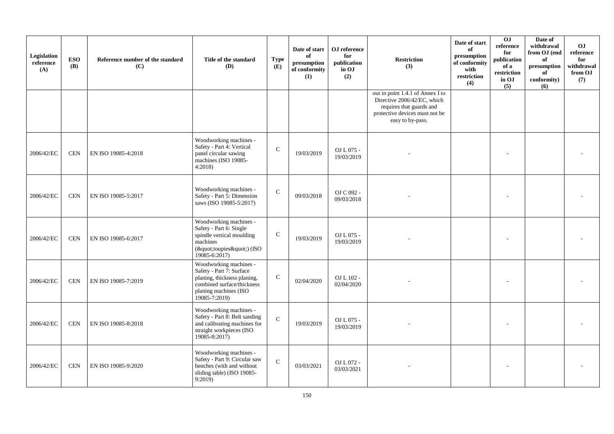| Legislation<br>reference<br>(A) | <b>ESO</b><br><b>(B)</b> | Reference number of the standard<br>(C) | Title of the standard<br><b>(D)</b>                                                                                                                       | <b>Type</b><br>(E) | Date of start<br>of<br>presumption<br>of conformity<br>(1) | OJ reference<br>for<br>publication<br>in OJ<br>(2) | <b>Restriction</b><br>(3)                                                                                                                         | Date of start<br>of<br>presumption<br>of conformity<br>with<br>restriction<br>(4) | 0J<br>reference<br>for<br>publication<br>of a<br>restriction<br>in OJ<br>(5) | Date of<br>withdrawal<br>from OJ (end<br>of<br>presumption<br>of<br>conformity)<br>(6) | O <sub>J</sub><br>reference<br>for<br>withdrawal<br>from OJ<br>(7) |
|---------------------------------|--------------------------|-----------------------------------------|-----------------------------------------------------------------------------------------------------------------------------------------------------------|--------------------|------------------------------------------------------------|----------------------------------------------------|---------------------------------------------------------------------------------------------------------------------------------------------------|-----------------------------------------------------------------------------------|------------------------------------------------------------------------------|----------------------------------------------------------------------------------------|--------------------------------------------------------------------|
|                                 |                          |                                         |                                                                                                                                                           |                    |                                                            |                                                    | out in point 1.4.1 of Annex I to<br>Directive 2006/42/EC, which<br>requires that guards and<br>protective devices must not be<br>easy to by-pass. |                                                                                   |                                                                              |                                                                                        |                                                                    |
| 2006/42/EC                      | <b>CEN</b>               | EN ISO 19085-4:2018                     | Woodworking machines -<br>Safety - Part 4: Vertical<br>panel circular sawing<br>machines (ISO 19085-<br>4:2018                                            | $\mathbf C$        | 19/03/2019                                                 | OJ L 075 -<br>19/03/2019                           |                                                                                                                                                   |                                                                                   |                                                                              |                                                                                        |                                                                    |
| 2006/42/EC                      | <b>CEN</b>               | EN ISO 19085-5:2017                     | Woodworking machines -<br>Safety - Part 5: Dimension<br>saws (ISO 19085-5:2017)                                                                           | $\mathcal{C}$      | 09/03/2018                                                 | OJ C 092 -<br>09/03/2018                           |                                                                                                                                                   |                                                                                   |                                                                              |                                                                                        |                                                                    |
| 2006/42/EC                      | <b>CEN</b>               | EN ISO 19085-6:2017                     | Woodworking machines -<br>Safety - Part 6: Single<br>spindle vertical moulding<br>machines<br>("toupies") (ISO<br>19085-6:2017)                           | $\mathbf C$        | 19/03/2019                                                 | OJ L 075 -<br>19/03/2019                           |                                                                                                                                                   |                                                                                   |                                                                              |                                                                                        |                                                                    |
| 2006/42/EC                      | <b>CEN</b>               | EN ISO 19085-7:2019                     | Woodworking machines -<br>Safety - Part 7: Surface<br>planing, thickness planing,<br>combined surface/thickness<br>planing machines (ISO<br>19085-7:2019) | $\mathbf C$        | 02/04/2020                                                 | OJ L 102 -<br>02/04/2020                           |                                                                                                                                                   |                                                                                   |                                                                              |                                                                                        |                                                                    |
| 2006/42/EC                      | <b>CEN</b>               | EN ISO 19085-8:2018                     | Woodworking machines -<br>Safety - Part 8: Belt sanding<br>and calibrating machines for<br>straight workpieces (ISO<br>19085-8:2017)                      | $\mathbf C$        | 19/03/2019                                                 | OJ L 075 -<br>19/03/2019                           |                                                                                                                                                   |                                                                                   |                                                                              |                                                                                        |                                                                    |
| 2006/42/EC                      | <b>CEN</b>               | EN ISO 19085-9:2020                     | Woodworking machines -<br>Safety - Part 9: Circular saw<br>benches (with and without<br>sliding table) (ISO 19085-<br>9:2019                              | $\mathbf C$        | 03/03/2021                                                 | OJ L 072 -<br>03/03/2021                           |                                                                                                                                                   |                                                                                   |                                                                              |                                                                                        |                                                                    |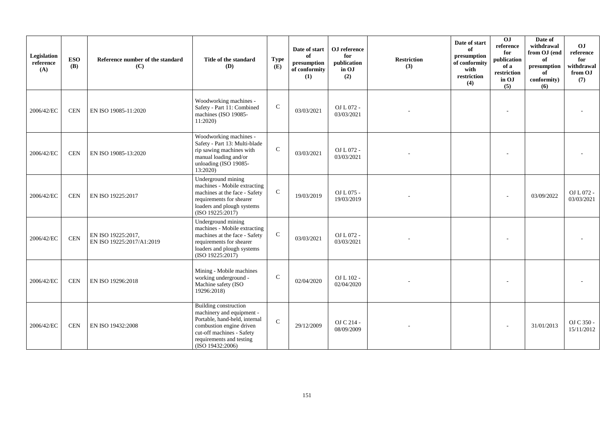| Legislation<br>reference<br>(A) | <b>ESO</b><br><b>(B)</b> | Reference number of the standard<br>(C)         | Title of the standard<br><b>(D)</b>                                                                                                                                                                 | <b>Type</b><br>(E) | Date of start<br>of<br>presumption<br>of conformity<br>(1) | OJ reference<br>for<br>publication<br>in OJ<br>(2) | <b>Restriction</b><br>(3) | Date of start<br>of<br>presumption<br>of conformity<br>with<br>restriction<br>(4) | $\overline{0}$<br>reference<br>for<br>publication<br>of a<br>restriction<br>in OJ<br>(5) | Date of<br>withdrawal<br>from OJ (end<br>of<br>$\,$ presumption<br>of<br>conformity)<br>(6) | O <sub>J</sub><br>reference<br>for<br>withdrawal<br>from OJ<br>(7) |
|---------------------------------|--------------------------|-------------------------------------------------|-----------------------------------------------------------------------------------------------------------------------------------------------------------------------------------------------------|--------------------|------------------------------------------------------------|----------------------------------------------------|---------------------------|-----------------------------------------------------------------------------------|------------------------------------------------------------------------------------------|---------------------------------------------------------------------------------------------|--------------------------------------------------------------------|
| 2006/42/EC                      | <b>CEN</b>               | EN ISO 19085-11:2020                            | Woodworking machines -<br>Safety - Part 11: Combined<br>machines (ISO 19085-<br>11:2020)                                                                                                            | $\mathbf C$        | 03/03/2021                                                 | OJ L 072 -<br>03/03/2021                           |                           |                                                                                   |                                                                                          |                                                                                             |                                                                    |
| 2006/42/EC                      | <b>CEN</b>               | EN ISO 19085-13:2020                            | Woodworking machines -<br>Safety - Part 13: Multi-blade<br>rip sawing machines with<br>manual loading and/or<br>unloading (ISO 19085-<br>13:2020)                                                   | $\mathsf{C}$       | 03/03/2021                                                 | OJ L 072 -<br>03/03/2021                           |                           |                                                                                   |                                                                                          |                                                                                             |                                                                    |
| 2006/42/EC                      | <b>CEN</b>               | EN ISO 19225:2017                               | Underground mining<br>machines - Mobile extracting<br>machines at the face - Safety<br>requirements for shearer<br>loaders and plough systems<br>(ISO 19225:2017)                                   | $\mathsf{C}$       | 19/03/2019                                                 | OJ L 075 -<br>19/03/2019                           |                           |                                                                                   |                                                                                          | 03/09/2022                                                                                  | OJ L 072 -<br>03/03/2021                                           |
| 2006/42/EC                      | $\mbox{CEN}$             | EN ISO 19225:2017,<br>EN ISO 19225:2017/A1:2019 | Underground mining<br>machines - Mobile extracting<br>machines at the face - Safety<br>requirements for shearer<br>loaders and plough systems<br>(ISO 19225:2017)                                   | $\mathsf{C}$       | 03/03/2021                                                 | OJ L 072 -<br>03/03/2021                           |                           |                                                                                   |                                                                                          |                                                                                             |                                                                    |
| 2006/42/EC                      | <b>CEN</b>               | EN ISO 19296:2018                               | Mining - Mobile machines<br>working underground -<br>Machine safety (ISO<br>19296:2018)                                                                                                             | $\mathsf{C}$       | 02/04/2020                                                 | OJ L 102 -<br>02/04/2020                           |                           |                                                                                   |                                                                                          |                                                                                             |                                                                    |
| 2006/42/EC                      | <b>CEN</b>               | EN ISO 19432:2008                               | <b>Building construction</b><br>machinery and equipment -<br>Portable, hand-held, internal<br>combustion engine driven<br>cut-off machines - Safety<br>requirements and testing<br>(ISO 19432:2006) | $\mathcal{C}$      | 29/12/2009                                                 | OJ C 214 -<br>08/09/2009                           |                           |                                                                                   |                                                                                          | 31/01/2013                                                                                  | OJ C 350 -<br>15/11/2012                                           |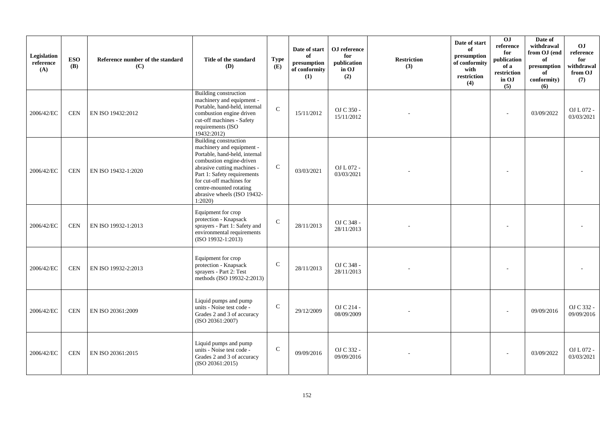| Legislation<br>reference<br>(A) | <b>ESO</b><br><b>(B)</b> | Reference number of the standard<br>(C) | Title of the standard<br><b>(D)</b>                                                                                                                                                                                                                                                  | <b>Type</b><br>(E) | Date of start<br>of<br>presumption<br>of conformity<br>(1) | OJ reference<br>for<br>publication<br>in OJ<br>(2) | <b>Restriction</b><br>(3) | Date of start<br>of<br>presumption<br>of conformity<br>with<br>restriction<br>(4) | OJ<br>reference<br>for<br>publication<br>of a<br>restriction<br>in OJ<br>(5) | Date of<br>withdrawal<br>from OJ (end<br>of<br>presumption<br>of<br>conformity)<br>(6) | OJ<br>reference<br>for<br>withdrawal<br>from OJ<br>(7) |
|---------------------------------|--------------------------|-----------------------------------------|--------------------------------------------------------------------------------------------------------------------------------------------------------------------------------------------------------------------------------------------------------------------------------------|--------------------|------------------------------------------------------------|----------------------------------------------------|---------------------------|-----------------------------------------------------------------------------------|------------------------------------------------------------------------------|----------------------------------------------------------------------------------------|--------------------------------------------------------|
| 2006/42/EC                      | <b>CEN</b>               | EN ISO 19432:2012                       | Building construction<br>machinery and equipment -<br>Portable, hand-held, internal<br>combustion engine driven<br>cut-off machines - Safety<br>requirements (ISO<br>19432:2012)                                                                                                     | $\mathbf C$        | 15/11/2012                                                 | OJ C 350 -<br>15/11/2012                           |                           |                                                                                   |                                                                              | 03/09/2022                                                                             | OJ L 072 -<br>03/03/2021                               |
| 2006/42/EC                      | <b>CEN</b>               | EN ISO 19432-1:2020                     | <b>Building construction</b><br>machinery and equipment -<br>Portable, hand-held, internal<br>combustion engine-driven<br>abrasive cutting machines -<br>Part 1: Safety requirements<br>for cut-off machines for<br>centre-mounted rotating<br>abrasive wheels (ISO 19432-<br>1:2020 | $\mathsf{C}$       | 03/03/2021                                                 | OJ L 072 -<br>03/03/2021                           |                           |                                                                                   |                                                                              |                                                                                        |                                                        |
| 2006/42/EC                      | <b>CEN</b>               | EN ISO 19932-1:2013                     | Equipment for crop<br>protection - Knapsack<br>sprayers - Part 1: Safety and<br>environmental requirements<br>$(ISO 19932-1:2013)$                                                                                                                                                   | $\mathsf{C}$       | 28/11/2013                                                 | OJ C 348 -<br>28/11/2013                           |                           |                                                                                   |                                                                              |                                                                                        |                                                        |
| 2006/42/EC                      | <b>CEN</b>               | EN ISO 19932-2:2013                     | Equipment for crop<br>protection - Knapsack<br>sprayers - Part 2: Test<br>methods (ISO 19932-2:2013)                                                                                                                                                                                 | $\mathbf C$        | 28/11/2013                                                 | OJ C 348 -<br>28/11/2013                           |                           |                                                                                   |                                                                              |                                                                                        |                                                        |
| 2006/42/EC                      | <b>CEN</b>               | EN ISO 20361:2009                       | Liquid pumps and pump<br>units - Noise test code -<br>Grades 2 and 3 of accuracy<br>(ISO 20361:2007)                                                                                                                                                                                 | $\mathsf{C}$       | 29/12/2009                                                 | OJ C 214 -<br>08/09/2009                           |                           |                                                                                   |                                                                              | 09/09/2016                                                                             | OJ C 332 -<br>09/09/2016                               |
| 2006/42/EC                      | <b>CEN</b>               | EN ISO 20361:2015                       | Liquid pumps and pump<br>units - Noise test code -<br>Grades 2 and 3 of accuracy<br>(ISO 20361:2015)                                                                                                                                                                                 | $\mathsf{C}$       | 09/09/2016                                                 | OJ C 332 -<br>09/09/2016                           |                           |                                                                                   |                                                                              | 03/09/2022                                                                             | OJ L 072 -<br>03/03/2021                               |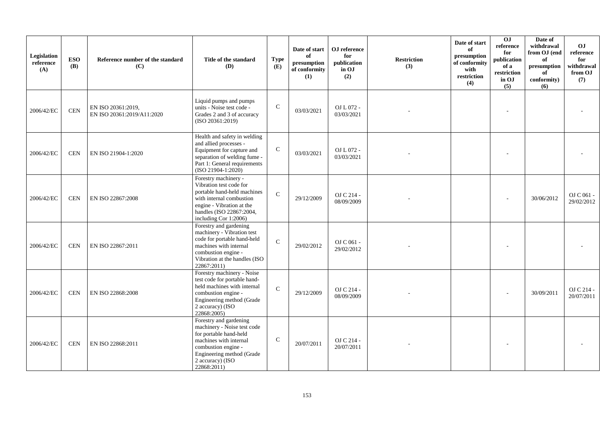| Legislation<br>reference<br>(A) | <b>ESO</b><br><b>(B)</b> | Reference number of the standard<br>(C)          | Title of the standard<br>(D)                                                                                                                                                                     | <b>Type</b><br>(E) | Date of start<br>of<br>presumption<br>of conformity<br>(1) | OJ reference<br>for<br>publication<br>in OJ<br>(2) | <b>Restriction</b><br>(3) | Date of start<br>of<br>presumption<br>of conformity<br>with<br>restriction<br>(4) | OJ<br>reference<br>for<br>publication<br>of a<br>restriction<br>in OJ<br>(5) | Date of<br>withdrawal<br>from OJ (end<br>of<br>$\bf{presumption}$<br>of<br>conformity)<br>(6) | <b>OJ</b><br>reference<br>for<br>withdrawal<br>from OJ<br>(7) |
|---------------------------------|--------------------------|--------------------------------------------------|--------------------------------------------------------------------------------------------------------------------------------------------------------------------------------------------------|--------------------|------------------------------------------------------------|----------------------------------------------------|---------------------------|-----------------------------------------------------------------------------------|------------------------------------------------------------------------------|-----------------------------------------------------------------------------------------------|---------------------------------------------------------------|
| 2006/42/EC                      | <b>CEN</b>               | EN ISO 20361:2019,<br>EN ISO 20361:2019/A11:2020 | Liquid pumps and pumps<br>units - Noise test code -<br>Grades 2 and 3 of accuracy<br>(ISO 20361:2019)                                                                                            | $\mathsf{C}$       | 03/03/2021                                                 | OJ L 072 -<br>03/03/2021                           |                           |                                                                                   |                                                                              |                                                                                               |                                                               |
| 2006/42/EC                      | <b>CEN</b>               | EN ISO 21904-1:2020                              | Health and safety in welding<br>and allied processes -<br>Equipment for capture and<br>separation of welding fume -<br>Part 1: General requirements<br>$(ISO 21904-1:2020)$                      | $\mathsf{C}$       | 03/03/2021                                                 | OJ L 072 -<br>03/03/2021                           |                           |                                                                                   |                                                                              |                                                                                               |                                                               |
| 2006/42/EC                      | <b>CEN</b>               | EN ISO 22867:2008                                | Forestry machinery -<br>Vibration test code for<br>portable hand-held machines<br>with internal combustion<br>engine - Vibration at the<br>handles (ISO 22867:2004,<br>including Cor 1:2006)     | $\mathcal{C}$      | 29/12/2009                                                 | OJ C 214 -<br>08/09/2009                           |                           |                                                                                   |                                                                              | 30/06/2012                                                                                    | OJ C 061 -<br>29/02/2012                                      |
| 2006/42/EC                      | <b>CEN</b>               | EN ISO 22867:2011                                | Forestry and gardening<br>machinery - Vibration test<br>code for portable hand-held<br>machines with internal<br>combustion engine -<br>Vibration at the handles (ISO<br>22867:2011)             | $\mathcal{C}$      | 29/02/2012                                                 | OJ C 061 -<br>29/02/2012                           |                           |                                                                                   |                                                                              |                                                                                               |                                                               |
| 2006/42/EC                      | <b>CEN</b>               | EN ISO 22868:2008                                | Forestry machinery - Noise<br>test code for portable hand-<br>held machines with internal<br>combustion engine -<br>Engineering method (Grade<br>2 accuracy) (ISO<br>22868:2005)                 | $\mathbf{C}$       | 29/12/2009                                                 | OJ C 214 -<br>08/09/2009                           |                           |                                                                                   |                                                                              | 30/09/2011                                                                                    | OJ C 214 -<br>20/07/2011                                      |
| 2006/42/EC                      | <b>CEN</b>               | EN ISO 22868:2011                                | Forestry and gardening<br>machinery - Noise test code<br>for portable hand-held<br>machines with internal<br>combustion engine -<br>Engineering method (Grade<br>2 accuracy) (ISO<br>22868:2011) | $\mathsf{C}$       | 20/07/2011                                                 | OJ C 214 -<br>20/07/2011                           |                           |                                                                                   |                                                                              |                                                                                               |                                                               |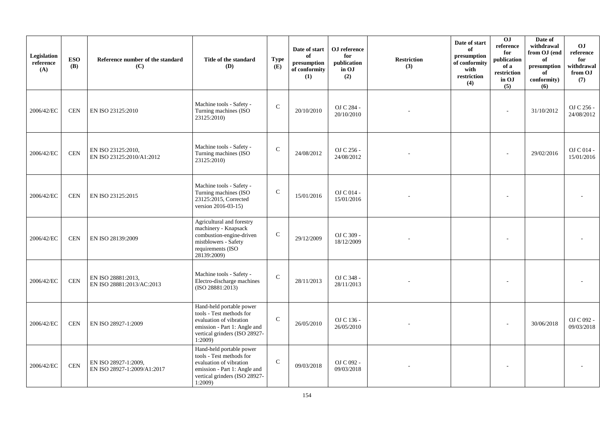| Legislation<br>reference<br>(A) | <b>ESO</b><br><b>(B)</b> | Reference number of the standard<br>(C)             | Title of the standard<br><b>(D)</b>                                                                                                                        | <b>Type</b><br>(E) | Date of start<br>of<br>presumption<br>of conformity<br>(1) | ${\bf OJ}$ reference<br>for<br>publication<br>in OJ<br>(2) | <b>Restriction</b><br>(3) | Date of start<br>of<br>presumption<br>of conformity<br>with<br>restriction<br>(4) | 0J<br>reference<br>for<br>publication<br>of a<br>restriction<br>in OJ<br>(5) | Date of<br>withdrawal<br>from OJ (end<br>of<br>presumption<br>of<br>conformity)<br>(6) | <b>OJ</b><br>reference<br>for<br>withdrawal<br>from OJ<br>(7) |
|---------------------------------|--------------------------|-----------------------------------------------------|------------------------------------------------------------------------------------------------------------------------------------------------------------|--------------------|------------------------------------------------------------|------------------------------------------------------------|---------------------------|-----------------------------------------------------------------------------------|------------------------------------------------------------------------------|----------------------------------------------------------------------------------------|---------------------------------------------------------------|
| 2006/42/EC                      | <b>CEN</b>               | EN ISO 23125:2010                                   | Machine tools - Safety -<br>Turning machines (ISO<br>23125:2010)                                                                                           | $\mathbf C$        | 20/10/2010                                                 | OJ C 284 -<br>20/10/2010                                   |                           |                                                                                   | L,                                                                           | 31/10/2012                                                                             | OJ C 256 -<br>24/08/2012                                      |
| 2006/42/EC                      | <b>CEN</b>               | EN ISO 23125:2010,<br>EN ISO 23125:2010/A1:2012     | Machine tools - Safety -<br>Turning machines (ISO<br>23125:2010)                                                                                           | $\mathbf C$        | 24/08/2012                                                 | OJ C 256 -<br>24/08/2012                                   |                           |                                                                                   |                                                                              | 29/02/2016                                                                             | OJ C 014 -<br>15/01/2016                                      |
| 2006/42/EC                      | <b>CEN</b>               | EN ISO 23125:2015                                   | Machine tools - Safety -<br>Turning machines (ISO<br>23125:2015, Corrected<br>version 2016-03-15)                                                          | $\mathbf C$        | 15/01/2016                                                 | OJ C 014 -<br>15/01/2016                                   |                           |                                                                                   |                                                                              |                                                                                        |                                                               |
| 2006/42/EC                      | <b>CEN</b>               | EN ISO 28139:2009                                   | Agricultural and forestry<br>machinery - Knapsack<br>combustion-engine-driven<br>mistblowers - Safety<br>requirements (ISO<br>28139:2009)                  | $\mathbf C$        | 29/12/2009                                                 | OJ C 309 -<br>18/12/2009                                   |                           |                                                                                   |                                                                              |                                                                                        |                                                               |
| 2006/42/EC                      | $\mbox{CEN}$             | EN ISO 28881:2013,<br>EN ISO 28881:2013/AC:2013     | Machine tools - Safety -<br>Electro-discharge machines<br>(ISO 28881:2013)                                                                                 | $\mathcal{C}$      | 28/11/2013                                                 | OJ C 348 -<br>28/11/2013                                   |                           |                                                                                   |                                                                              |                                                                                        |                                                               |
| 2006/42/EC                      | <b>CEN</b>               | EN ISO 28927-1:2009                                 | Hand-held portable power<br>tools - Test methods for<br>evaluation of vibration<br>emission - Part 1: Angle and<br>vertical grinders (ISO 28927-<br>1:2009 | $\mathcal{C}$      | 26/05/2010                                                 | OJ C 136 -<br>26/05/2010                                   |                           |                                                                                   |                                                                              | 30/06/2018                                                                             | OJ C 092 -<br>09/03/2018                                      |
| 2006/42/EC                      | $\mbox{CEN}$             | EN ISO 28927-1:2009,<br>EN ISO 28927-1:2009/A1:2017 | Hand-held portable power<br>tools - Test methods for<br>evaluation of vibration<br>emission - Part 1: Angle and<br>vertical grinders (ISO 28927-<br>1:2009 | $\mathbf C$        | 09/03/2018                                                 | OJ C 092 -<br>09/03/2018                                   |                           |                                                                                   |                                                                              |                                                                                        |                                                               |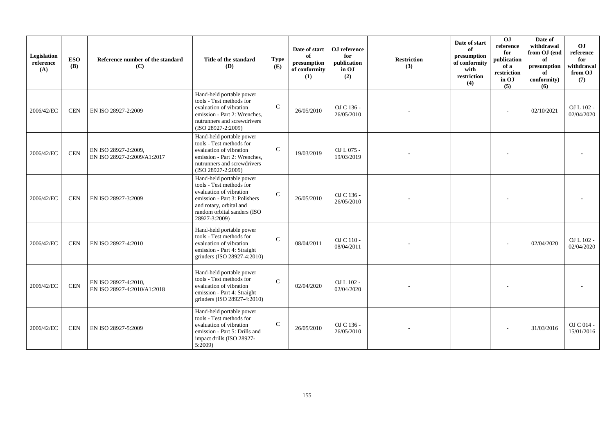| Legislation<br>reference<br>(A) | <b>ESO</b><br><b>(B)</b> | Reference number of the standard<br>(C)             | Title of the standard<br><b>(D)</b>                                                                                                                                                        | <b>Type</b><br>(E) | Date of start<br>of<br>presumption<br>of conformity<br>(1) | OJ reference<br>for<br>publication<br>in OJ<br>(2) | <b>Restriction</b><br>(3) | Date of start<br>of<br>presumption<br>of conformity<br>with<br>restriction<br>(4) | 0 <sub>J</sub><br>reference<br>for<br>publication<br>of a<br>restriction<br>in OJ<br>(5) | Date of<br>withdrawal<br>from OJ (end<br>of<br>presumption<br>of<br>conformity)<br>(6) | OJ<br>reference<br>for<br>withdrawal<br>from OJ<br>(7) |
|---------------------------------|--------------------------|-----------------------------------------------------|--------------------------------------------------------------------------------------------------------------------------------------------------------------------------------------------|--------------------|------------------------------------------------------------|----------------------------------------------------|---------------------------|-----------------------------------------------------------------------------------|------------------------------------------------------------------------------------------|----------------------------------------------------------------------------------------|--------------------------------------------------------|
| 2006/42/EC                      | <b>CEN</b>               | EN ISO 28927-2:2009                                 | Hand-held portable power<br>tools - Test methods for<br>evaluation of vibration<br>emission - Part 2: Wrenches.<br>nutrunners and screwdrivers<br>(ISO 28927-2:2009)                       | $\mathcal{C}$      | 26/05/2010                                                 | OJ C 136 -<br>26/05/2010                           |                           |                                                                                   |                                                                                          | 02/10/2021                                                                             | OJ L 102 -<br>02/04/2020                               |
| 2006/42/EC                      | <b>CEN</b>               | EN ISO 28927-2:2009,<br>EN ISO 28927-2:2009/A1:2017 | Hand-held portable power<br>tools - Test methods for<br>evaluation of vibration<br>emission - Part 2: Wrenches,<br>nutrunners and screwdrivers<br>(ISO 28927-2:2009)                       | $\mathbf C$        | 19/03/2019                                                 | OJ L 075 -<br>19/03/2019                           |                           |                                                                                   |                                                                                          |                                                                                        |                                                        |
| 2006/42/EC                      | <b>CEN</b>               | EN ISO 28927-3:2009                                 | Hand-held portable power<br>tools - Test methods for<br>evaluation of vibration<br>emission - Part 3: Polishers<br>and rotary, orbital and<br>random orbital sanders (ISO<br>28927-3:2009) | $\mathcal{C}$      | 26/05/2010                                                 | OJ C 136 -<br>26/05/2010                           |                           |                                                                                   |                                                                                          |                                                                                        |                                                        |
| 2006/42/EC                      | <b>CEN</b>               | EN ISO 28927-4:2010                                 | Hand-held portable power<br>tools - Test methods for<br>evaluation of vibration<br>emission - Part 4: Straight<br>grinders (ISO 28927-4:2010)                                              | $\mathbf C$        | 08/04/2011                                                 | OJ C 110 -<br>08/04/2011                           |                           |                                                                                   |                                                                                          | 02/04/2020                                                                             | OJ L 102 -<br>02/04/2020                               |
| 2006/42/EC                      | <b>CEN</b>               | EN ISO 28927-4:2010,<br>EN ISO 28927-4:2010/A1:2018 | Hand-held portable power<br>tools - Test methods for<br>evaluation of vibration<br>emission - Part 4: Straight<br>grinders (ISO 28927-4:2010)                                              | $\mathcal{C}$      | 02/04/2020                                                 | OJ L 102 -<br>02/04/2020                           |                           |                                                                                   |                                                                                          |                                                                                        |                                                        |
| 2006/42/EC                      | <b>CEN</b>               | EN ISO 28927-5:2009                                 | Hand-held portable power<br>tools - Test methods for<br>evaluation of vibration<br>emission - Part 5: Drills and<br>impact drills (ISO 28927-<br>5:2009                                    | $\mathbf C$        | 26/05/2010                                                 | OJ C 136 -<br>26/05/2010                           |                           |                                                                                   |                                                                                          | 31/03/2016                                                                             | OJ C 014 -<br>15/01/2016                               |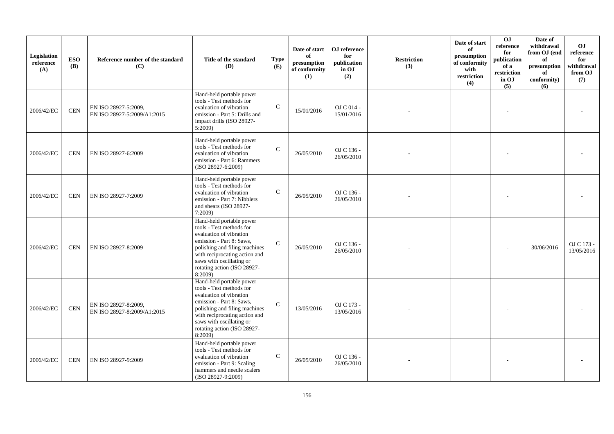| Legislation<br>reference<br>(A) | <b>ESO</b><br><b>(B)</b> | Reference number of the standard<br>(C)             | Title of the standard<br><b>(D)</b>                                                                                                                                                                                                                | <b>Type</b><br>(E) | Date of start<br>of<br>presumption<br>of conformity<br>(1) | OJ reference<br>for<br>publication<br>in OJ<br>(2) | <b>Restriction</b><br>(3) | Date of start<br>of<br>presumption<br>of conformity<br>with<br>restriction<br>(4) | <b>OJ</b><br>reference<br>for<br>publication<br>of a<br>restriction<br>in OJ<br>(5) | Date of<br>withdrawal<br>from OJ (end<br>of<br>presumption<br>of<br>conformity)<br>(6) | O <sub>J</sub><br>reference<br>for<br>withdrawal<br>from OJ<br>(7) |
|---------------------------------|--------------------------|-----------------------------------------------------|----------------------------------------------------------------------------------------------------------------------------------------------------------------------------------------------------------------------------------------------------|--------------------|------------------------------------------------------------|----------------------------------------------------|---------------------------|-----------------------------------------------------------------------------------|-------------------------------------------------------------------------------------|----------------------------------------------------------------------------------------|--------------------------------------------------------------------|
| 2006/42/EC                      | $\mbox{CEN}$             | EN ISO 28927-5:2009,<br>EN ISO 28927-5:2009/A1:2015 | Hand-held portable power<br>tools - Test methods for<br>evaluation of vibration<br>emission - Part 5: Drills and<br>impact drills (ISO 28927-<br>5:2009                                                                                            | $\mathcal{C}$      | 15/01/2016                                                 | OJ C 014 -<br>15/01/2016                           |                           |                                                                                   |                                                                                     |                                                                                        |                                                                    |
| 2006/42/EC                      | <b>CEN</b>               | EN ISO 28927-6:2009                                 | Hand-held portable power<br>tools - Test methods for<br>evaluation of vibration<br>emission - Part 6: Rammers<br>(ISO 28927-6:2009)                                                                                                                | $\mathbf C$        | 26/05/2010                                                 | OJ C 136 -<br>26/05/2010                           |                           |                                                                                   |                                                                                     |                                                                                        |                                                                    |
| 2006/42/EC                      | <b>CEN</b>               | EN ISO 28927-7:2009                                 | Hand-held portable power<br>tools - Test methods for<br>evaluation of vibration<br>emission - Part 7: Nibblers<br>and shears (ISO 28927-<br>7:2009                                                                                                 | $\mathcal{C}$      | 26/05/2010                                                 | OJ C 136 -<br>26/05/2010                           |                           |                                                                                   |                                                                                     |                                                                                        |                                                                    |
| 2006/42/EC                      | <b>CEN</b>               | EN ISO 28927-8:2009                                 | Hand-held portable power<br>tools - Test methods for<br>evaluation of vibration<br>emission - Part 8: Saws,<br>polishing and filing machines<br>with reciprocating action and<br>saws with oscillating or<br>rotating action (ISO 28927-<br>8:2009 | $\mathcal{C}$      | 26/05/2010                                                 | OJ C 136 -<br>26/05/2010                           |                           |                                                                                   |                                                                                     | 30/06/2016                                                                             | OJ C 173 -<br>13/05/2016                                           |
| 2006/42/EC                      | $\mbox{CEN}$             | EN ISO 28927-8:2009,<br>EN ISO 28927-8:2009/A1:2015 | Hand-held portable power<br>tools - Test methods for<br>evaluation of vibration<br>emission - Part 8: Saws,<br>polishing and filing machines<br>with reciprocating action and<br>saws with oscillating or<br>rotating action (ISO 28927-<br>8:2009 | $\mathcal{C}$      | 13/05/2016                                                 | OJ C 173 -<br>13/05/2016                           |                           |                                                                                   |                                                                                     |                                                                                        |                                                                    |
| 2006/42/EC                      | <b>CEN</b>               | EN ISO 28927-9:2009                                 | Hand-held portable power<br>tools - Test methods for<br>evaluation of vibration<br>emission - Part 9: Scaling<br>hammers and needle scalers<br>(ISO 28927-9:2009)                                                                                  | $\mathsf{C}$       | 26/05/2010                                                 | OJ C 136 -<br>26/05/2010                           |                           |                                                                                   |                                                                                     |                                                                                        |                                                                    |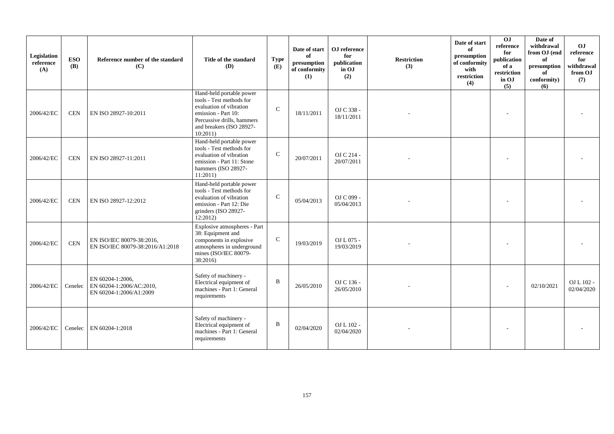| Legislation<br>reference<br>(A) | <b>ESO</b><br><b>(B)</b> | Reference number of the standard<br>(C)                                 | Title of the standard<br>(D)                                                                                                                                                 | <b>Type</b><br>(E) | Date of start<br>of<br>presumption<br>of conformity<br>(1) | OJ reference<br>for<br>publication<br>in OJ<br>(2) | <b>Restriction</b><br>(3) | Date of start<br>of<br>presumption<br>of conformity<br>with<br>restriction<br>(4) | $\overline{0}$<br>reference<br>for<br>publication<br>of a<br>restriction<br>in OJ<br>(5) | Date of<br>withdrawal<br>from OJ (end<br>of<br>presumption<br>of<br>conformity)<br>(6) | OJ<br>reference<br>for<br>withdrawal<br>from OJ<br>(7) |
|---------------------------------|--------------------------|-------------------------------------------------------------------------|------------------------------------------------------------------------------------------------------------------------------------------------------------------------------|--------------------|------------------------------------------------------------|----------------------------------------------------|---------------------------|-----------------------------------------------------------------------------------|------------------------------------------------------------------------------------------|----------------------------------------------------------------------------------------|--------------------------------------------------------|
| 2006/42/EC                      | <b>CEN</b>               | EN ISO 28927-10:2011                                                    | Hand-held portable power<br>tools - Test methods for<br>evaluation of vibration<br>emission - Part 10:<br>Percussive drills, hammers<br>and breakers (ISO 28927-<br>10:2011) | $\mathsf{C}$       | 18/11/2011                                                 | OJ C 338 -<br>18/11/2011                           |                           |                                                                                   |                                                                                          |                                                                                        |                                                        |
| 2006/42/EC                      | <b>CEN</b>               | EN ISO 28927-11:2011                                                    | Hand-held portable power<br>tools - Test methods for<br>evaluation of vibration<br>emission - Part 11: Stone<br>hammers (ISO 28927-<br>11:2011)                              | $\mathsf{C}$       | 20/07/2011                                                 | OJ C 214 -<br>20/07/2011                           |                           |                                                                                   |                                                                                          |                                                                                        |                                                        |
| 2006/42/EC                      | <b>CEN</b>               | EN ISO 28927-12:2012                                                    | Hand-held portable power<br>tools - Test methods for<br>evaluation of vibration<br>emission - Part 12: Die<br>grinders (ISO 28927-<br>12:2012                                | $\mathbf C$        | 05/04/2013                                                 | OJ C 099 -<br>05/04/2013                           |                           |                                                                                   |                                                                                          |                                                                                        |                                                        |
| 2006/42/EC                      | <b>CEN</b>               | EN ISO/IEC 80079-38:2016,<br>EN ISO/IEC 80079-38:2016/A1:2018           | Explosive atmospheres - Part<br>38: Equipment and<br>components in explosive<br>atmospheres in underground<br>mines (ISO/IEC 80079-<br>38:2016)                              | $\mathbf C$        | 19/03/2019                                                 | OJ L 075 -<br>19/03/2019                           |                           |                                                                                   |                                                                                          |                                                                                        |                                                        |
| 2006/42/EC                      | Cenelec                  | EN 60204-1:2006,<br>EN 60204-1:2006/AC:2010,<br>EN 60204-1:2006/A1:2009 | Safety of machinery -<br>Electrical equipment of<br>machines - Part 1: General<br>requirements                                                                               | B                  | 26/05/2010                                                 | OJ C 136 -<br>26/05/2010                           |                           |                                                                                   |                                                                                          | 02/10/2021                                                                             | OJ L 102 -<br>02/04/2020                               |
| 2006/42/EC                      | Cenelec                  | EN 60204-1:2018                                                         | Safety of machinery -<br>Electrical equipment of<br>machines - Part 1: General<br>requirements                                                                               | B                  | 02/04/2020                                                 | OJ L 102 -<br>02/04/2020                           |                           |                                                                                   |                                                                                          |                                                                                        |                                                        |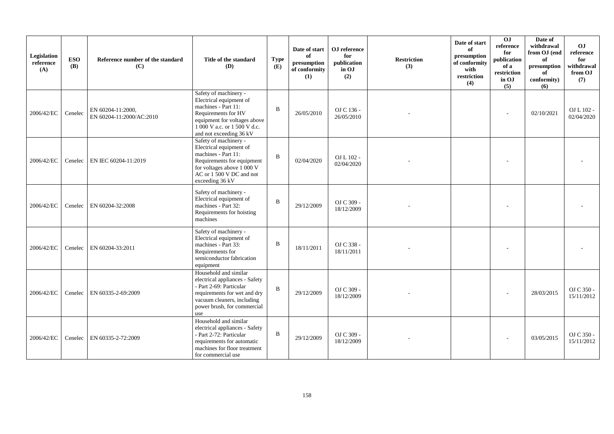| Legislation<br>reference<br>(A) | <b>ESO</b><br><b>(B)</b> | Reference number of the standard<br>(C)       | Title of the standard<br><b>(D)</b>                                                                                                                                                       | <b>Type</b><br>(E) | Date of start<br>of<br>presumption<br>of conformity<br>(1) | OJ reference<br>for<br>publication<br>in OJ<br>(2) | <b>Restriction</b><br>(3) | Date of start<br>of<br>presumption<br>of conformity<br>with<br>restriction<br>(4) | 0 <sub>1</sub><br>reference<br>for<br>publication<br>of a<br>restriction<br>in OJ<br>(5) | Date of<br>withdrawal<br>from OJ (end<br>of<br>presumption<br>of<br>conformity)<br>(6) | OJ<br>reference<br>for<br>withdrawal<br>from OJ<br>(7) |
|---------------------------------|--------------------------|-----------------------------------------------|-------------------------------------------------------------------------------------------------------------------------------------------------------------------------------------------|--------------------|------------------------------------------------------------|----------------------------------------------------|---------------------------|-----------------------------------------------------------------------------------|------------------------------------------------------------------------------------------|----------------------------------------------------------------------------------------|--------------------------------------------------------|
| 2006/42/EC                      | Cenelec                  | EN 60204-11:2000,<br>EN 60204-11:2000/AC:2010 | Safety of machinery -<br>Electrical equipment of<br>machines - Part 11:<br>Requirements for HV<br>equipment for voltages above<br>1 000 V a.c. or 1 500 V d.c.<br>and not exceeding 36 kV | $\mathbf B$        | 26/05/2010                                                 | OJ C 136 -<br>26/05/2010                           |                           |                                                                                   |                                                                                          | 02/10/2021                                                                             | $OL L 102 -$<br>02/04/2020                             |
| 2006/42/EC                      | Cenelec                  | EN IEC 60204-11:2019                          | Safety of machinery -<br>Electrical equipment of<br>machines - Part 11:<br>Requirements for equipment<br>for voltages above 1 000 V<br>AC or 1 500 V DC and not<br>exceeding 36 kV        | B                  | 02/04/2020                                                 | OJ L 102 -<br>02/04/2020                           |                           |                                                                                   |                                                                                          |                                                                                        |                                                        |
| 2006/42/EC                      | Cenelec                  | EN 60204-32:2008                              | Safety of machinery -<br>Electrical equipment of<br>machines - Part 32:<br>Requirements for hoisting<br>machines                                                                          | $\mathbf B$        | 29/12/2009                                                 | OJ C 309 -<br>18/12/2009                           |                           |                                                                                   |                                                                                          |                                                                                        |                                                        |
| 2006/42/EC                      | Cenelec                  | EN 60204-33:2011                              | Safety of machinery -<br>Electrical equipment of<br>machines - Part 33:<br>Requirements for<br>semiconductor fabrication<br>equipment                                                     | B                  | 18/11/2011                                                 | OJ C 338 -<br>18/11/2011                           |                           |                                                                                   |                                                                                          |                                                                                        |                                                        |
| 2006/42/EC                      | Cenelec                  | EN 60335-2-69:2009                            | Household and similar<br>electrical appliances - Safety<br>- Part 2-69: Particular<br>requirements for wet and dry<br>vacuum cleaners, including<br>power brush, for commercial<br>use    | B                  | 29/12/2009                                                 | OJ C 309 -<br>18/12/2009                           |                           |                                                                                   |                                                                                          | 28/03/2015                                                                             | OJ C 350 -<br>15/11/2012                               |
| 2006/42/EC                      | Cenelec                  | EN 60335-2-72:2009                            | Household and similar<br>electrical appliances - Safety<br>- Part 2-72: Particular<br>requirements for automatic<br>machines for floor treatment<br>for commercial use                    | B                  | 29/12/2009                                                 | OJ C 309 -<br>18/12/2009                           |                           |                                                                                   |                                                                                          | 03/05/2015                                                                             | OJ C 350 -<br>15/11/2012                               |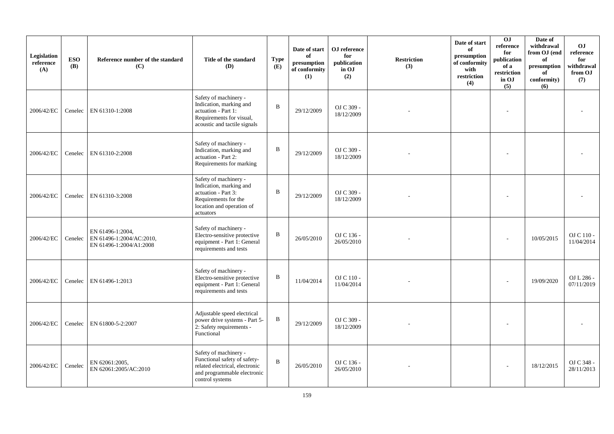| Legislation<br>reference<br>(A) | <b>ESO</b><br><b>(B)</b> | Reference number of the standard<br>(C)                                 | Title of the standard<br>(D)                                                                                                              | <b>Type</b><br>(E) | Date of start<br>of<br>presumption<br>of conformity<br>(1) | OJ reference<br>for<br>publication<br>in OJ<br>(2) | <b>Restriction</b><br>(3) | Date of start<br>of<br>presumption<br>of conformity<br>with<br>restriction<br>(4) | OJ<br>reference<br>for<br>publication<br>of a<br>$\operatorname{restriction}$<br>in OJ<br>(5) | Date of<br>withdrawal<br>from OJ (end<br>of<br>presumption<br>of<br>conformity)<br>(6) | <b>OJ</b><br>reference<br>for<br>withdrawal<br>from OJ<br>(7) |
|---------------------------------|--------------------------|-------------------------------------------------------------------------|-------------------------------------------------------------------------------------------------------------------------------------------|--------------------|------------------------------------------------------------|----------------------------------------------------|---------------------------|-----------------------------------------------------------------------------------|-----------------------------------------------------------------------------------------------|----------------------------------------------------------------------------------------|---------------------------------------------------------------|
| 2006/42/EC                      | Cenelec                  | EN 61310-1:2008                                                         | Safety of machinery -<br>Indication, marking and<br>actuation - Part 1:<br>Requirements for visual,<br>acoustic and tactile signals       | $\mathbf{B}$       | 29/12/2009                                                 | OJ C 309 -<br>18/12/2009                           |                           |                                                                                   |                                                                                               |                                                                                        |                                                               |
| 2006/42/EC                      | Cenelec                  | EN 61310-2:2008                                                         | Safety of machinery -<br>Indication, marking and<br>actuation - Part 2:<br>Requirements for marking                                       | B                  | 29/12/2009                                                 | OJ C 309 -<br>18/12/2009                           |                           |                                                                                   |                                                                                               |                                                                                        |                                                               |
| 2006/42/EC                      | Cenelec                  | EN 61310-3:2008                                                         | Safety of machinery -<br>Indication, marking and<br>actuation - Part 3:<br>Requirements for the<br>location and operation of<br>actuators | $\mathbf B$        | 29/12/2009                                                 | OJ C 309 -<br>18/12/2009                           |                           |                                                                                   |                                                                                               |                                                                                        |                                                               |
| 2006/42/EC                      | Cenelec                  | EN 61496-1:2004,<br>EN 61496-1:2004/AC:2010,<br>EN 61496-1:2004/A1:2008 | Safety of machinery -<br>Electro-sensitive protective<br>equipment - Part 1: General<br>requirements and tests                            | $\, {\bf B}$       | 26/05/2010                                                 | OJ C 136 -<br>26/05/2010                           |                           |                                                                                   |                                                                                               | 10/05/2015                                                                             | OJ C 110 -<br>11/04/2014                                      |
| 2006/42/EC                      | Cenelec                  | EN 61496-1:2013                                                         | Safety of machinery -<br>Electro-sensitive protective<br>equipment - Part 1: General<br>requirements and tests                            | B                  | 11/04/2014                                                 | OJ C 110 -<br>11/04/2014                           |                           |                                                                                   |                                                                                               | 19/09/2020                                                                             | OJ L 286 -<br>07/11/2019                                      |
| 2006/42/EC                      | Cenelec                  | EN 61800-5-2:2007                                                       | Adjustable speed electrical<br>power drive systems - Part 5-<br>2: Safety requirements -<br>Functional                                    | B                  | 29/12/2009                                                 | OJ C 309 -<br>18/12/2009                           |                           |                                                                                   |                                                                                               |                                                                                        |                                                               |
| 2006/42/EC                      | Cenelec                  | EN 62061:2005,<br>EN 62061:2005/AC:2010                                 | Safety of machinery -<br>Functional safety of safety-<br>related electrical, electronic<br>and programmable electronic<br>control systems | $\mathbf B$        | 26/05/2010                                                 | OJ C 136 -<br>26/05/2010                           |                           |                                                                                   |                                                                                               | 18/12/2015                                                                             | OJ C 348 -<br>28/11/2013                                      |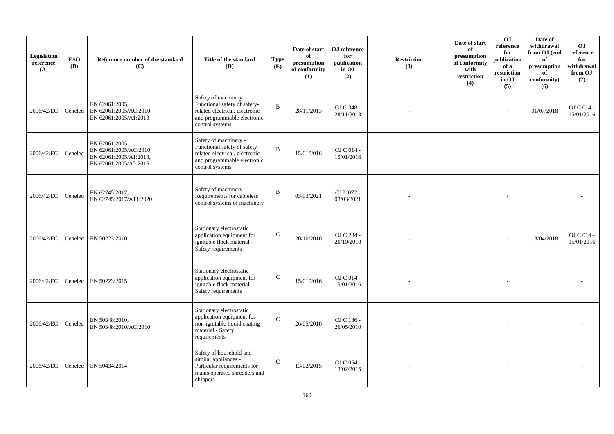| Legislation<br>reference<br>(A) | <b>ESO</b><br><b>(B)</b> | Reference number of the standard<br>(C)                                                     | Title of the standard<br>(D)                                                                                                              | <b>Type</b><br>(E) | Date of start<br>of<br>presumption<br>of conformity<br>(1) | ${\bf OJ}$ reference<br>for<br>publication<br>in OJ<br>(2) | <b>Restriction</b><br>(3) | Date of start<br>of<br>presumption<br>of conformity<br>with<br>restriction<br>(4) | 0J<br>reference<br>for<br>publication<br>of a<br>restriction<br>in OJ<br>(5) | Date of<br>withdrawal<br>from OJ (end<br>of<br>$\bf{presumption}$<br>of<br>conformity)<br>(6) | <b>OJ</b><br>reference<br>for<br>withdrawal<br>from OJ<br>(7) |
|---------------------------------|--------------------------|---------------------------------------------------------------------------------------------|-------------------------------------------------------------------------------------------------------------------------------------------|--------------------|------------------------------------------------------------|------------------------------------------------------------|---------------------------|-----------------------------------------------------------------------------------|------------------------------------------------------------------------------|-----------------------------------------------------------------------------------------------|---------------------------------------------------------------|
| 2006/42/EC                      | Cenelec                  | EN 62061:2005,<br>EN 62061:2005/AC:2010,<br>EN 62061:2005/A1:2013                           | Safety of machinery -<br>Functional safety of safety-<br>related electrical, electronic<br>and programmable electronic<br>control systems | B                  | 28/11/2013                                                 | OJ C 348 -<br>28/11/2013                                   |                           |                                                                                   |                                                                              | 31/07/2018                                                                                    | OJ C 014 -<br>15/01/2016                                      |
| 2006/42/EC                      | Cenelec                  | EN 62061:2005,<br>EN 62061:2005/AC:2010,<br>EN 62061:2005/A1:2013,<br>EN 62061:2005/A2:2015 | Safety of machinery -<br>Functional safety of safety-<br>related electrical, electronic<br>and programmable electronic<br>control systems | $\overline{B}$     | 15/01/2016                                                 | OJ C 014 -<br>15/01/2016                                   |                           |                                                                                   |                                                                              |                                                                                               |                                                               |
| 2006/42/EC                      | Cenelec                  | EN 62745:2017,<br>EN 62745:2017/A11:2020                                                    | Safety of machinery -<br>Requirements for cableless<br>control systems of machinery                                                       | $\, {\bf B}$       | 03/03/2021                                                 | OJ L 072 -<br>03/03/2021                                   |                           |                                                                                   |                                                                              |                                                                                               |                                                               |
| 2006/42/EC                      | Cenelec                  | EN 50223:2010                                                                               | Stationary electrostatic<br>application equipment for<br>ignitable flock material -<br>Safety requirements                                | $\mathsf{C}$       | 20/10/2010                                                 | OJ C 284 -<br>20/10/2010                                   |                           |                                                                                   |                                                                              | 13/04/2018                                                                                    | OJ C 014 -<br>15/01/2016                                      |
| 2006/42/EC                      | Cenelec                  | EN 50223:2015                                                                               | Stationary electrostatic<br>application equipment for<br>ignitable flock material -<br>Safety requirements                                | $\mathsf{C}$       | 15/01/2016                                                 | OJ C 014 -<br>15/01/2016                                   |                           |                                                                                   |                                                                              |                                                                                               |                                                               |
| 2006/42/EC                      | Cenelec                  | EN 50348:2010,<br>EN 50348:2010/AC:2010                                                     | Stationary electrostatic<br>application equipment for<br>non-ignitable liquid coating<br>material - Safety<br>requirements                | $\mathbf C$        | 26/05/2010                                                 | OJ C 136 -<br>26/05/2010                                   |                           |                                                                                   |                                                                              |                                                                                               |                                                               |
| 2006/42/EC                      | Cenelec                  | EN 50434:2014                                                                               | Safety of household and<br>similar appliances -<br>Particular requirements for<br>mains operated shredders and<br>chippers                | $\mathcal{C}$      | 13/02/2015                                                 | OJ C 054 -<br>13/02/2015                                   |                           |                                                                                   |                                                                              |                                                                                               |                                                               |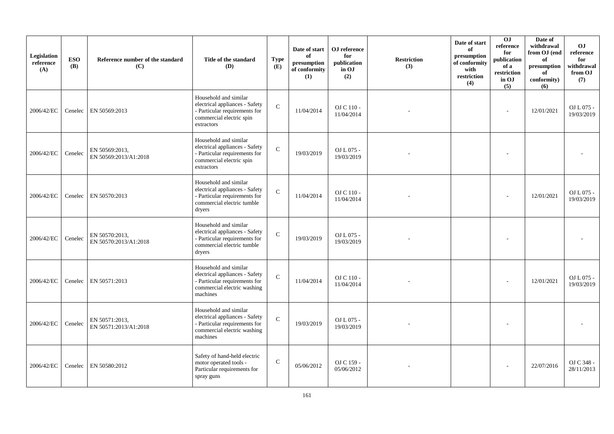| Legislation<br>reference<br>(A) | <b>ESO</b><br><b>(B)</b> | Reference number of the standard<br>(C) | Title of the standard<br><b>(D)</b>                                                                                                 | <b>Type</b><br>(E) | Date of start<br>of<br>presumption<br>of conformity<br>(1) | ${\bf OJ}$ reference<br>for<br>publication<br>in OJ<br>(2) | <b>Restriction</b><br>(3) | Date of start<br>of<br>presumption<br>of conformity<br>with<br>restriction<br>(4) | 0J<br>reference<br>for<br>publication<br>of a<br>restriction<br>in OJ<br>(5) | Date of<br>withdrawal<br>from OJ (end<br>of<br>$\mathbf{presumption}% \label{fig:ex1}%$<br>of<br>conformity)<br>(6) | <b>OJ</b><br>reference<br>for<br>withdrawal<br>from OJ<br>(7) |
|---------------------------------|--------------------------|-----------------------------------------|-------------------------------------------------------------------------------------------------------------------------------------|--------------------|------------------------------------------------------------|------------------------------------------------------------|---------------------------|-----------------------------------------------------------------------------------|------------------------------------------------------------------------------|---------------------------------------------------------------------------------------------------------------------|---------------------------------------------------------------|
| 2006/42/EC                      | Cenelec                  | EN 50569:2013                           | Household and similar<br>electrical appliances - Safety<br>- Particular requirements for<br>commercial electric spin<br>extractors  | $\mathcal{C}$      | 11/04/2014                                                 | OJ C 110 -<br>11/04/2014                                   |                           |                                                                                   |                                                                              | 12/01/2021                                                                                                          | OJ L 075 -<br>19/03/2019                                      |
| 2006/42/EC                      | Cenelec                  | EN 50569:2013.<br>EN 50569:2013/A1:2018 | Household and similar<br>electrical appliances - Safety<br>- Particular requirements for<br>commercial electric spin<br>extractors  | $\mathcal{C}$      | 19/03/2019                                                 | OJ L 075 -<br>19/03/2019                                   |                           |                                                                                   |                                                                              |                                                                                                                     |                                                               |
| 2006/42/EC                      | Cenelec                  | EN 50570:2013                           | Household and similar<br>electrical appliances - Safety<br>- Particular requirements for<br>commercial electric tumble<br>dryers    | $\mathbf C$        | 11/04/2014                                                 | OJ C 110 -<br>11/04/2014                                   |                           |                                                                                   |                                                                              | 12/01/2021                                                                                                          | OJ L 075 -<br>19/03/2019                                      |
| 2006/42/EC                      | Cenelec                  | EN 50570:2013.<br>EN 50570:2013/A1:2018 | Household and similar<br>electrical appliances - Safety<br>- Particular requirements for<br>commercial electric tumble<br>dryers    | $\mathcal{C}$      | 19/03/2019                                                 | OJ L 075 -<br>19/03/2019                                   |                           |                                                                                   |                                                                              |                                                                                                                     |                                                               |
| 2006/42/EC                      | Cenelec                  | EN 50571:2013                           | Household and similar<br>electrical appliances - Safety<br>- Particular requirements for<br>commercial electric washing<br>machines | $\mathcal{C}$      | 11/04/2014                                                 | OJ C 110 -<br>11/04/2014                                   |                           |                                                                                   |                                                                              | 12/01/2021                                                                                                          | OJ L 075 -<br>19/03/2019                                      |
| 2006/42/EC                      | Cenelec                  | EN 50571:2013.<br>EN 50571:2013/A1:2018 | Household and similar<br>electrical appliances - Safety<br>- Particular requirements for<br>commercial electric washing<br>machines | $\mathcal{C}$      | 19/03/2019                                                 | OJ L 075 -<br>19/03/2019                                   |                           |                                                                                   |                                                                              |                                                                                                                     |                                                               |
| 2006/42/EC                      | Cenelec                  | EN 50580:2012                           | Safety of hand-held electric<br>motor operated tools -<br>Particular requirements for<br>spray guns                                 | $\mathcal{C}$      | 05/06/2012                                                 | OJ C 159 -<br>05/06/2012                                   |                           |                                                                                   |                                                                              | 22/07/2016                                                                                                          | OJ C 348 -<br>28/11/2013                                      |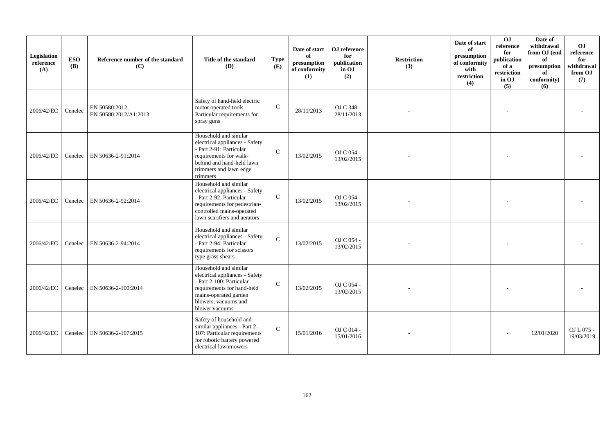| Legislation<br>reference<br>(A) | <b>ESO</b><br><b>(B)</b> | Reference number of the standard<br>(C) | Title of the standard<br><b>(D)</b>                                                                                                                                                  | <b>Type</b><br>(E) | Date of start<br>of<br>presumption<br>of conformity<br>(1) | OJ reference<br>for<br>publication<br>in OJ<br>(2) | <b>Restriction</b><br>(3) | Date of start<br>of<br>presumption<br>of conformity<br>with<br>restriction<br>(4) | 0 <sub>1</sub><br>reference<br>for<br>publication<br>of a<br>restriction<br>in OJ<br>(5) | Date of<br>withdrawal<br>from OJ (end<br>of<br>presumption<br>of<br>conformity)<br>(6) | O <sub>J</sub><br>reference<br>for<br>withdrawal<br>from OJ<br>(7) |
|---------------------------------|--------------------------|-----------------------------------------|--------------------------------------------------------------------------------------------------------------------------------------------------------------------------------------|--------------------|------------------------------------------------------------|----------------------------------------------------|---------------------------|-----------------------------------------------------------------------------------|------------------------------------------------------------------------------------------|----------------------------------------------------------------------------------------|--------------------------------------------------------------------|
| 2006/42/EC                      | Cenelec                  | EN 50580:2012,<br>EN 50580:2012/A1:2013 | Safety of hand-held electric<br>motor operated tools -<br>Particular requirements for<br>spray guns                                                                                  | $\mathcal{C}$      | 28/11/2013                                                 | OJ C 348 -<br>28/11/2013                           |                           |                                                                                   |                                                                                          |                                                                                        |                                                                    |
| 2006/42/EC                      | Cenelec                  | EN 50636-2-91:2014                      | Household and similar<br>electrical appliances - Safety<br>- Part 2-91: Particular<br>requirements for walk-<br>behind and hand-held lawn<br>trimmers and lawn edge<br>trimmers      | $\mathcal{C}$      | 13/02/2015                                                 | OJ C 054 -<br>13/02/2015                           |                           |                                                                                   |                                                                                          |                                                                                        |                                                                    |
| 2006/42/EC                      | Cenelec                  | EN 50636-2-92:2014                      | Household and similar<br>electrical appliances - Safety<br>- Part 2-92: Particular<br>requirements for pedestrian-<br>controlled mains-operated<br>lawn scarifiers and aerators      | $\mathbf C$        | 13/02/2015                                                 | OJ C 054 -<br>13/02/2015                           |                           |                                                                                   |                                                                                          |                                                                                        |                                                                    |
| 2006/42/EC                      |                          | Cenelec   EN 50636-2-94:2014            | Household and similar<br>electrical appliances - Safety<br>- Part 2-94: Particular<br>requirements for scissors<br>type grass shears                                                 | $\mathbf C$        | 13/02/2015                                                 | OJ C 054 -<br>13/02/2015                           |                           |                                                                                   |                                                                                          |                                                                                        |                                                                    |
| 2006/42/EC                      |                          | Cenelec EN 50636-2-100:2014             | Household and similar<br>electrical appliances - Safety<br>- Part 2-100: Particular<br>requirements for hand-held<br>mains-operated garden<br>blowers, vacuums and<br>blower vacuums | $\mathcal{C}$      | 13/02/2015                                                 | OJ C 054 -<br>13/02/2015                           |                           |                                                                                   |                                                                                          |                                                                                        |                                                                    |
| 2006/42/EC                      | Cenelec                  | EN 50636-2-107:2015                     | Safety of household and<br>similar appliances - Part 2-<br>107: Particular requirements<br>for robotic battery powered<br>electrical lawnmowers                                      | $\mathbf{C}$       | 15/01/2016                                                 | OJ C 014 -<br>15/01/2016                           |                           |                                                                                   |                                                                                          | 12/01/2020                                                                             | OJ L 075 -<br>19/03/2019                                           |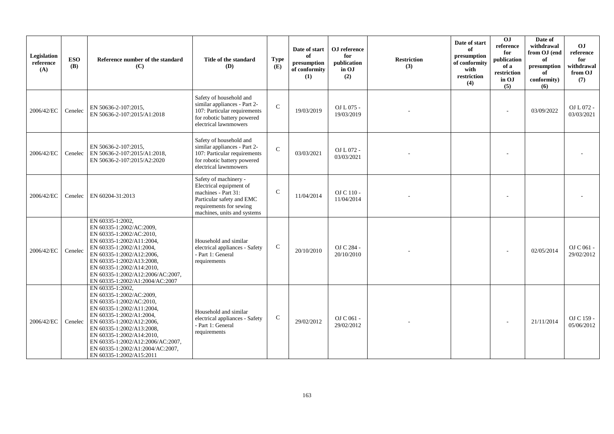| Legislation<br>reference<br>(A) | <b>ESO</b><br><b>(B)</b> | Reference number of the standard<br>(C)                                                                                                                                                                                                                                                                                       | Title of the standard<br><b>(D)</b>                                                                                                                            | <b>Type</b><br>(E) | Date of start<br>of<br>presumption<br>of conformity<br>(1) | OJ reference<br>for<br>publication<br>in OJ<br>(2) | <b>Restriction</b><br>(3) | Date of start<br>of<br>presumption<br>of conformity<br>with<br>restriction<br>(4) | 0 <sub>J</sub><br>reference<br>for<br>publication<br>of a<br>restriction<br>in OJ<br>(5) | Date of<br>withdrawal<br>from OJ (end<br>of<br>presumption<br>of<br>conformity)<br>(6) | OJ<br>reference<br>for<br>withdrawal<br>from OJ<br>(7) |
|---------------------------------|--------------------------|-------------------------------------------------------------------------------------------------------------------------------------------------------------------------------------------------------------------------------------------------------------------------------------------------------------------------------|----------------------------------------------------------------------------------------------------------------------------------------------------------------|--------------------|------------------------------------------------------------|----------------------------------------------------|---------------------------|-----------------------------------------------------------------------------------|------------------------------------------------------------------------------------------|----------------------------------------------------------------------------------------|--------------------------------------------------------|
| 2006/42/EC                      | Cenelec                  | EN 50636-2-107:2015,<br>EN 50636-2-107:2015/A1:2018                                                                                                                                                                                                                                                                           | Safety of household and<br>similar appliances - Part 2-<br>107: Particular requirements<br>for robotic battery powered<br>electrical lawnmowers                | $\mathcal{C}$      | 19/03/2019                                                 | OJ L 075 -<br>19/03/2019                           |                           |                                                                                   |                                                                                          | 03/09/2022                                                                             | OJ L 072 -<br>03/03/2021                               |
| 2006/42/EC                      | Cenelec                  | EN 50636-2-107:2015,<br>EN 50636-2-107:2015/A1:2018,<br>EN 50636-2-107:2015/A2:2020                                                                                                                                                                                                                                           | Safety of household and<br>similar appliances - Part 2-<br>107: Particular requirements<br>for robotic battery powered<br>electrical lawnmowers                | $\mathcal{C}$      | 03/03/2021                                                 | OJ L 072 -<br>03/03/2021                           |                           |                                                                                   |                                                                                          |                                                                                        |                                                        |
| 2006/42/EC                      | Cenelec                  | EN 60204-31:2013                                                                                                                                                                                                                                                                                                              | Safety of machinery -<br>Electrical equipment of<br>machines - Part 31:<br>Particular safety and EMC<br>requirements for sewing<br>machines, units and systems | $\mathsf{C}$       | 11/04/2014                                                 | OJ C 110 -<br>11/04/2014                           |                           |                                                                                   |                                                                                          |                                                                                        |                                                        |
| 2006/42/EC                      | Cenelec                  | EN 60335-1:2002.<br>EN 60335-1:2002/AC:2009,<br>EN 60335-1:2002/AC:2010,<br>EN 60335-1:2002/A11:2004,<br>EN 60335-1:2002/A1:2004,<br>EN 60335-1:2002/A12:2006,<br>EN 60335-1:2002/A13:2008,<br>EN 60335-1:2002/A14:2010,<br>EN 60335-1:2002/A12:2006/AC:2007,<br>EN 60335-1:2002/A1:2004/AC:2007                              | Household and similar<br>electrical appliances - Safety<br>- Part 1: General<br>requirements                                                                   | $\mathsf{C}$       | 20/10/2010                                                 | OJ C 284 -<br>20/10/2010                           |                           |                                                                                   |                                                                                          | 02/05/2014                                                                             | OJ C 061 -<br>29/02/2012                               |
| 2006/42/EC                      | Cenelec                  | EN 60335-1:2002.<br>EN 60335-1:2002/AC:2009,<br>EN 60335-1:2002/AC:2010,<br>EN 60335-1:2002/A11:2004,<br>EN 60335-1:2002/A1:2004,<br>EN 60335-1:2002/A12:2006,<br>EN 60335-1:2002/A13:2008,<br>EN 60335-1:2002/A14:2010,<br>EN 60335-1:2002/A12:2006/AC:2007,<br>EN 60335-1:2002/A1:2004/AC:2007,<br>EN 60335-1:2002/A15:2011 | Household and similar<br>electrical appliances - Safety<br>- Part 1: General<br>requirements                                                                   | $\mathsf{C}$       | 29/02/2012                                                 | OJ C 061 -<br>29/02/2012                           |                           |                                                                                   |                                                                                          | 21/11/2014                                                                             | OJ C 159 -<br>05/06/2012                               |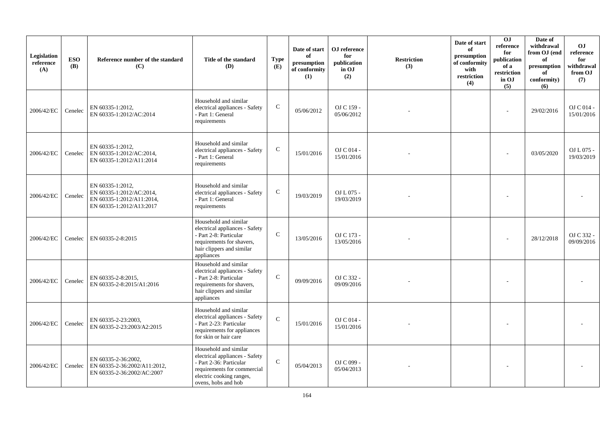| Legislation<br>reference<br>(A) | <b>ESO</b><br><b>(B)</b> | Reference number of the standard<br>(C)                                                               | Title of the standard<br>(D)                                                                                                                                         | <b>Type</b><br>(E) | Date of start<br>of<br>presumption<br>of conformity<br>(1) | ${\bf OJ}$ reference<br>for<br>publication<br>in OJ<br>(2) | <b>Restriction</b><br>(3) | Date of start<br>of<br>presumption<br>of conformity<br>with<br>restriction<br>(4) | OJ<br>reference<br>for<br>publication<br>of a<br>restriction<br>in OJ<br>(5) | Date of<br>withdrawal<br>from OJ (end<br>of<br>presumption<br>of<br>conformity)<br>(6) | <b>OJ</b><br>reference<br>for<br>withdrawal<br>from OJ<br>(7) |
|---------------------------------|--------------------------|-------------------------------------------------------------------------------------------------------|----------------------------------------------------------------------------------------------------------------------------------------------------------------------|--------------------|------------------------------------------------------------|------------------------------------------------------------|---------------------------|-----------------------------------------------------------------------------------|------------------------------------------------------------------------------|----------------------------------------------------------------------------------------|---------------------------------------------------------------|
| 2006/42/EC                      | Cenelec                  | EN 60335-1:2012.<br>EN 60335-1:2012/AC:2014                                                           | Household and similar<br>electrical appliances - Safety<br>- Part 1: General<br>requirements                                                                         | $\mathbf C$        | 05/06/2012                                                 | OJ C 159 -<br>05/06/2012                                   |                           |                                                                                   |                                                                              | 29/02/2016                                                                             | OJ C 014 -<br>15/01/2016                                      |
| 2006/42/EC                      | Cenelec                  | EN 60335-1:2012,<br>EN 60335-1:2012/AC:2014,<br>EN 60335-1:2012/A11:2014                              | Household and similar<br>electrical appliances - Safety<br>- Part 1: General<br>requirements                                                                         | ${\bf C}$          | 15/01/2016                                                 | OJ C 014 -<br>15/01/2016                                   |                           |                                                                                   |                                                                              | 03/05/2020                                                                             | OJ L 075 -<br>19/03/2019                                      |
| 2006/42/EC                      | Cenelec                  | EN 60335-1:2012,<br>EN 60335-1:2012/AC:2014,<br>EN 60335-1:2012/A11:2014,<br>EN 60335-1:2012/A13:2017 | Household and similar<br>electrical appliances - Safety<br>- Part 1: General<br>requirements                                                                         | ${\bf C}$          | 19/03/2019                                                 | OJ L 075 -<br>19/03/2019                                   |                           |                                                                                   |                                                                              |                                                                                        |                                                               |
| 2006/42/EC                      | Cenelec                  | EN 60335-2-8:2015                                                                                     | Household and similar<br>electrical appliances - Safety<br>- Part 2-8: Particular<br>requirements for shavers,<br>hair clippers and similar<br>appliances            | $\mathsf{C}$       | 13/05/2016                                                 | OJ C 173 -<br>13/05/2016                                   |                           |                                                                                   |                                                                              | 28/12/2018                                                                             | OJ C 332 -<br>09/09/2016                                      |
| 2006/42/EC                      | Cenelec                  | EN 60335-2-8:2015,<br>EN 60335-2-8:2015/A1:2016                                                       | Household and similar<br>electrical appliances - Safety<br>- Part 2-8: Particular<br>requirements for shavers,<br>hair clippers and similar<br>appliances            | $\mathbf C$        | 09/09/2016                                                 | OJ C 332 -<br>09/09/2016                                   |                           |                                                                                   |                                                                              |                                                                                        |                                                               |
| 2006/42/EC                      | Cenelec                  | EN 60335-2-23:2003.<br>EN 60335-2-23:2003/A2:2015                                                     | Household and similar<br>electrical appliances - Safety<br>- Part 2-23: Particular<br>requirements for appliances<br>for skin or hair care                           | $\mathcal{C}$      | 15/01/2016                                                 | OJ C 014 -<br>15/01/2016                                   |                           |                                                                                   |                                                                              |                                                                                        |                                                               |
| 2006/42/EC                      | Cenelec                  | EN 60335-2-36:2002,<br>EN 60335-2-36:2002/A11:2012,<br>EN 60335-2-36:2002/AC:2007                     | Household and similar<br>electrical appliances - Safety<br>- Part 2-36: Particular<br>requirements for commercial<br>electric cooking ranges,<br>ovens, hobs and hob | $\mathcal{C}$      | 05/04/2013                                                 | $OJ C099 -$<br>05/04/2013                                  |                           |                                                                                   |                                                                              |                                                                                        |                                                               |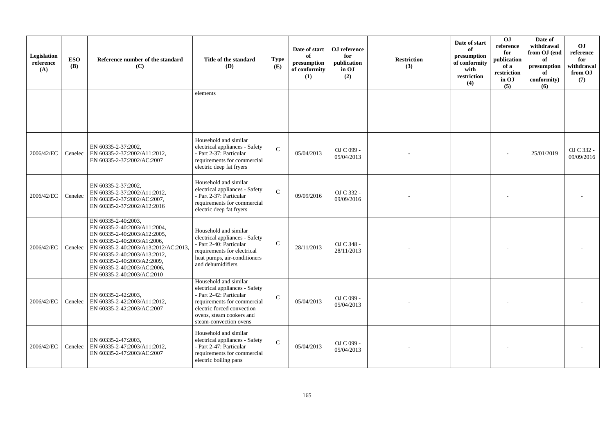| Legislation<br>reference<br>(A) | <b>ESO</b><br><b>(B)</b> | Reference number of the standard<br>(C)                                                                                                                                                                                                                                               | Title of the standard<br>(D)                                                                                                                                                                          | <b>Type</b><br>(E) | Date of start<br>of<br>presumption<br>of conformity<br>(1) | OJ reference<br>for<br>publication<br>in OJ<br>(2) | <b>Restriction</b><br>(3) | Date of start<br>of<br>presumption<br>of conformity<br>with<br>restriction<br>(4) | OJ<br>reference<br>for<br>publication<br>of a<br>restriction<br>in OJ<br>(5) | Date of<br>withdrawal<br>from OJ (end<br>of<br>presumption<br>of<br>conformity)<br>(6) | O <sub>J</sub><br>reference<br>for<br>withdrawal<br>from OJ<br>(7) |
|---------------------------------|--------------------------|---------------------------------------------------------------------------------------------------------------------------------------------------------------------------------------------------------------------------------------------------------------------------------------|-------------------------------------------------------------------------------------------------------------------------------------------------------------------------------------------------------|--------------------|------------------------------------------------------------|----------------------------------------------------|---------------------------|-----------------------------------------------------------------------------------|------------------------------------------------------------------------------|----------------------------------------------------------------------------------------|--------------------------------------------------------------------|
|                                 |                          |                                                                                                                                                                                                                                                                                       | elements                                                                                                                                                                                              |                    |                                                            |                                                    |                           |                                                                                   |                                                                              |                                                                                        |                                                                    |
| 2006/42/EC                      |                          | EN 60335-2-37:2002.<br>Cenelec   EN 60335-2-37:2002/A11:2012,<br>EN 60335-2-37:2002/AC:2007                                                                                                                                                                                           | Household and similar<br>electrical appliances - Safety<br>- Part 2-37: Particular<br>requirements for commercial<br>electric deep fat fryers                                                         | $\mathcal{C}$      | 05/04/2013                                                 | OJ C 099 -<br>05/04/2013                           |                           |                                                                                   |                                                                              | 25/01/2019                                                                             | OJ C 332 -<br>09/09/2016                                           |
| 2006/42/EC                      | Cenelec                  | EN 60335-2-37:2002,<br>EN 60335-2-37:2002/A11:2012,<br>EN 60335-2-37:2002/AC:2007,<br>EN 60335-2-37:2002/A12:2016                                                                                                                                                                     | Household and similar<br>electrical appliances - Safety<br>- Part 2-37: Particular<br>requirements for commercial<br>electric deep fat fryers                                                         | $\mathbf{C}$       | 09/09/2016                                                 | OJ C 332 -<br>09/09/2016                           |                           |                                                                                   |                                                                              |                                                                                        |                                                                    |
| 2006/42/EC                      | Cenelec                  | EN 60335-2-40:2003,<br>EN 60335-2-40:2003/A11:2004,<br>EN 60335-2-40:2003/A12:2005.<br>EN 60335-2-40:2003/A1:2006,<br>EN 60335-2-40:2003/A13:2012/AC:2013<br>EN 60335-2-40:2003/A13:2012,<br>EN 60335-2-40:2003/A2:2009,<br>EN 60335-2-40:2003/AC:2006,<br>EN 60335-2-40:2003/AC:2010 | Household and similar<br>electrical appliances - Safety<br>- Part 2-40: Particular<br>requirements for electrical<br>heat pumps, air-conditioners<br>and dehumidifiers                                | $\mathcal{C}$      | 28/11/2013                                                 | OJ C 348 -<br>28/11/2013                           |                           |                                                                                   |                                                                              |                                                                                        |                                                                    |
| 2006/42/EC                      | Cenelec                  | EN 60335-2-42:2003,<br>EN 60335-2-42:2003/A11:2012,<br>EN 60335-2-42:2003/AC:2007                                                                                                                                                                                                     | Household and similar<br>electrical appliances - Safety<br>- Part 2-42: Particular<br>requirements for commercial<br>electric forced convection<br>ovens, steam cookers and<br>steam-convection ovens | $\mathbf C$        | 05/04/2013                                                 | OJ C 099 -<br>05/04/2013                           |                           |                                                                                   |                                                                              |                                                                                        |                                                                    |
| 2006/42/EC                      | Cenelec                  | EN 60335-2-47:2003,<br>EN 60335-2-47:2003/A11:2012,<br>EN 60335-2-47:2003/AC:2007                                                                                                                                                                                                     | Household and similar<br>electrical appliances - Safety<br>- Part 2-47: Particular<br>requirements for commercial<br>electric boiling pans                                                            | $\mathcal{C}$      | 05/04/2013                                                 | OJ C 099 -<br>05/04/2013                           |                           |                                                                                   |                                                                              |                                                                                        |                                                                    |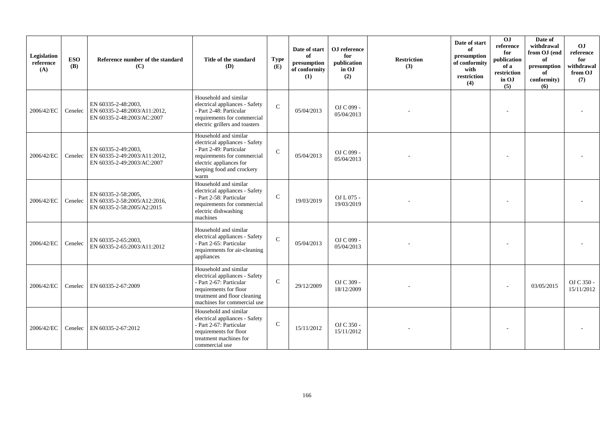| Legislation<br>reference<br>(A) | <b>ESO</b><br><b>(B)</b> | Reference number of the standard<br>(C)                                           | Title of the standard<br>(D)                                                                                                                                                      | <b>Type</b><br>(E) | Date of start<br>of<br>presumption<br>of conformity<br>(1) | OJ reference<br>for<br>publication<br>in OJ<br>(2) | <b>Restriction</b><br>(3) | Date of start<br>of<br>presumption<br>of conformity<br>with<br>restriction<br>(4) | $\overline{0}$<br>reference<br>for<br>publication<br>of a<br>restriction<br>in OJ<br>(5) | Date of<br>withdrawal<br>from OJ (end<br>of<br>presumption<br>of<br>conformity)<br>(6) | OJ<br>reference<br>for<br>withdrawal<br>from OJ<br>(7) |
|---------------------------------|--------------------------|-----------------------------------------------------------------------------------|-----------------------------------------------------------------------------------------------------------------------------------------------------------------------------------|--------------------|------------------------------------------------------------|----------------------------------------------------|---------------------------|-----------------------------------------------------------------------------------|------------------------------------------------------------------------------------------|----------------------------------------------------------------------------------------|--------------------------------------------------------|
| 2006/42/EC                      | Cenelec                  | EN 60335-2-48:2003.<br>EN 60335-2-48:2003/A11:2012,<br>EN 60335-2-48:2003/AC:2007 | Household and similar<br>electrical appliances - Safety<br>- Part 2-48: Particular<br>requirements for commercial<br>electric grillers and toasters                               | $\mathcal{C}$      | 05/04/2013                                                 | OJ C 099 -<br>05/04/2013                           |                           |                                                                                   |                                                                                          |                                                                                        |                                                        |
| 2006/42/EC                      | Cenelec                  | EN 60335-2-49:2003,<br>EN 60335-2-49:2003/A11:2012,<br>EN 60335-2-49:2003/AC:2007 | Household and similar<br>electrical appliances - Safety<br>- Part 2-49: Particular<br>requirements for commercial<br>electric appliances for<br>keeping food and crockery<br>warm | $\mathcal{C}$      | 05/04/2013                                                 | OJ C 099 -<br>05/04/2013                           |                           |                                                                                   |                                                                                          |                                                                                        |                                                        |
| 2006/42/EC                      | Cenelec                  | EN 60335-2-58:2005,<br>EN 60335-2-58:2005/A12:2016,<br>EN 60335-2-58:2005/A2:2015 | Household and similar<br>electrical appliances - Safety<br>- Part 2-58: Particular<br>requirements for commercial<br>electric dishwashing<br>machines                             | $\mathcal{C}$      | 19/03/2019                                                 | OJ L 075 -<br>19/03/2019                           |                           |                                                                                   |                                                                                          |                                                                                        |                                                        |
| 2006/42/EC                      | Cenelec                  | EN 60335-2-65:2003,<br>EN 60335-2-65:2003/A11:2012                                | Household and similar<br>electrical appliances - Safety<br>- Part 2-65: Particular<br>requirements for air-cleaning<br>appliances                                                 | $\mathcal{C}$      | 05/04/2013                                                 | OJ C 099 -<br>05/04/2013                           |                           |                                                                                   |                                                                                          |                                                                                        |                                                        |
| 2006/42/EC                      |                          | Cenelec EN 60335-2-67:2009                                                        | Household and similar<br>electrical appliances - Safety<br>- Part 2-67: Particular<br>requirements for floor<br>treatment and floor cleaning<br>machines for commercial use       | $\mathsf{C}$       | 29/12/2009                                                 | OJ C 309 -<br>18/12/2009                           |                           |                                                                                   |                                                                                          | 03/05/2015                                                                             | OJ C 350 -<br>15/11/2012                               |
| 2006/42/EC                      | Cenelec                  | EN 60335-2-67:2012                                                                | Household and similar<br>electrical appliances - Safety<br>- Part 2-67: Particular<br>requirements for floor<br>treatment machines for<br>commercial use                          | $\mathsf{C}$       | 15/11/2012                                                 | OJ C 350 -<br>15/11/2012                           |                           |                                                                                   |                                                                                          |                                                                                        |                                                        |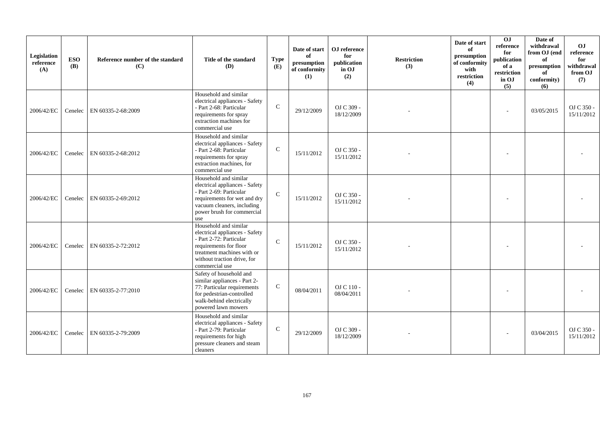| Legislation<br>reference<br>(A) | <b>ESO</b><br><b>(B)</b> | Reference number of the standard<br>(C) | Title of the standard<br><b>(D)</b>                                                                                                                                                         | <b>Type</b><br>(E) | Date of start<br>of<br>presumption<br>of conformity<br>(1) | OJ reference<br>for<br>publication<br>in OJ<br>(2) | <b>Restriction</b><br>(3) | Date of start<br>of<br>presumption<br>of conformity<br>with<br>restriction<br>(4) | 0J<br>reference<br>for<br>publication<br>of a<br>restriction<br>in OJ<br>(5) | Date of<br>withdrawal<br>from OJ (end<br>of<br>presumption<br>of<br>conformity)<br>(6) | O <sub>J</sub><br>reference<br>for<br>withdrawal<br>from OJ<br>(7) |
|---------------------------------|--------------------------|-----------------------------------------|---------------------------------------------------------------------------------------------------------------------------------------------------------------------------------------------|--------------------|------------------------------------------------------------|----------------------------------------------------|---------------------------|-----------------------------------------------------------------------------------|------------------------------------------------------------------------------|----------------------------------------------------------------------------------------|--------------------------------------------------------------------|
| 2006/42/EC                      | Cenelec                  | EN 60335-2-68:2009                      | Household and similar<br>electrical appliances - Safety<br>- Part 2-68: Particular<br>requirements for spray<br>extraction machines for<br>commercial use                                   | $\mathbf C$        | 29/12/2009                                                 | OJ C 309 -<br>18/12/2009                           |                           |                                                                                   |                                                                              | 03/05/2015                                                                             | OJ C 350 -<br>15/11/2012                                           |
| 2006/42/EC                      |                          | Cenelec EN 60335-2-68:2012              | Household and similar<br>electrical appliances - Safety<br>- Part 2-68: Particular<br>requirements for spray<br>extraction machines, for<br>commercial use                                  | $\mathbf C$        | 15/11/2012                                                 | OJ C 350 -<br>15/11/2012                           |                           |                                                                                   |                                                                              |                                                                                        |                                                                    |
| 2006/42/EC                      | Cenelec                  | EN 60335-2-69:2012                      | Household and similar<br>electrical appliances - Safety<br>- Part 2-69: Particular<br>requirements for wet and dry<br>vacuum cleaners, including<br>power brush for commercial<br>use       | $\mathcal{C}$      | 15/11/2012                                                 | OJ C 350 -<br>15/11/2012                           |                           |                                                                                   |                                                                              |                                                                                        |                                                                    |
| 2006/42/EC                      | Cenelec                  | EN 60335-2-72:2012                      | Household and similar<br>electrical appliances - Safety<br>- Part 2-72: Particular<br>requirements for floor<br>treatment machines with or<br>without traction drive, for<br>commercial use | $\mathcal{C}$      | 15/11/2012                                                 | OJ C 350 -<br>15/11/2012                           |                           |                                                                                   |                                                                              |                                                                                        |                                                                    |
| 2006/42/EC                      | Cenelec                  | EN 60335-2-77:2010                      | Safety of household and<br>similar appliances - Part 2-<br>77: Particular requirements<br>for pedestrian-controlled<br>walk-behind electrically<br>powered lawn mowers                      | $\mathbf C$        | 08/04/2011                                                 | $OJ C 110 -$<br>08/04/2011                         |                           |                                                                                   |                                                                              |                                                                                        |                                                                    |
| 2006/42/EC                      | Cenelec                  | EN 60335-2-79:2009                      | Household and similar<br>electrical appliances - Safety<br>- Part 2-79: Particular<br>requirements for high<br>pressure cleaners and steam<br>cleaners                                      | $\mathbf C$        | 29/12/2009                                                 | OJ C 309 -<br>18/12/2009                           |                           |                                                                                   |                                                                              | 03/04/2015                                                                             | OJ C 350 -<br>15/11/2012                                           |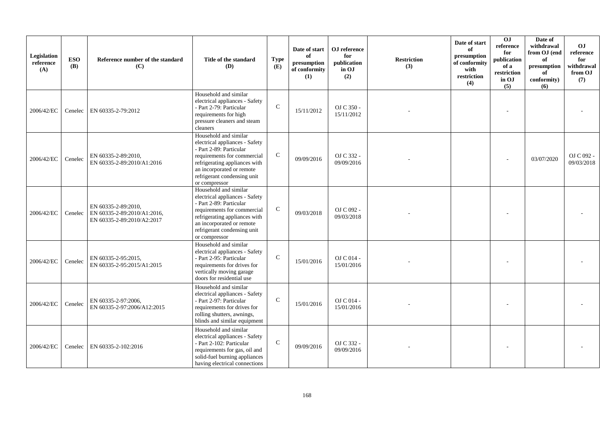| Legislation<br>reference<br>(A) | <b>ESO</b><br><b>(B)</b> | Reference number of the standard<br>(C)                                          | Title of the standard<br>(D)                                                                                                                                                                                                    | <b>Type</b><br>(E) | Date of start<br>of<br>presumption<br>of conformity<br>(1) | OJ reference<br>for<br>publication<br>in OJ<br>(2) | <b>Restriction</b><br>(3) | Date of start<br>of<br>presumption<br>of conformity<br>with<br>restriction<br>(4) | OJ<br>reference<br>for<br>publication<br>of a<br>restriction<br>in OJ<br>(5) | Date of<br>withdrawal<br>from OJ (end<br>of<br>presumption<br>of<br>conformity)<br>(6) | OJ<br>reference<br>for<br>withdrawal<br>from OJ<br>(7) |
|---------------------------------|--------------------------|----------------------------------------------------------------------------------|---------------------------------------------------------------------------------------------------------------------------------------------------------------------------------------------------------------------------------|--------------------|------------------------------------------------------------|----------------------------------------------------|---------------------------|-----------------------------------------------------------------------------------|------------------------------------------------------------------------------|----------------------------------------------------------------------------------------|--------------------------------------------------------|
| 2006/42/EC                      | Cenelec                  | EN 60335-2-79:2012                                                               | Household and similar<br>electrical appliances - Safety<br>- Part 2-79: Particular<br>requirements for high<br>pressure cleaners and steam<br>cleaners                                                                          | $\mathsf{C}$       | 15/11/2012                                                 | OJ C 350 -<br>15/11/2012                           |                           |                                                                                   |                                                                              |                                                                                        |                                                        |
| 2006/42/EC                      | Cenelec                  | EN 60335-2-89:2010,<br>EN 60335-2-89:2010/A1:2016                                | Household and similar<br>electrical appliances - Safety<br>- Part 2-89: Particular<br>requirements for commercial<br>refrigerating appliances with<br>an incorporated or remote<br>refrigerant condensing unit<br>or compressor | $\mathsf{C}$       | 09/09/2016                                                 | OJ C 332 -<br>09/09/2016                           |                           |                                                                                   |                                                                              | 03/07/2020                                                                             | OJ C 092 -<br>09/03/2018                               |
| 2006/42/EC                      | Cenelec                  | EN 60335-2-89:2010,<br>EN 60335-2-89:2010/A1:2016,<br>EN 60335-2-89:2010/A2:2017 | Household and similar<br>electrical appliances - Safety<br>- Part 2-89: Particular<br>requirements for commercial<br>refrigerating appliances with<br>an incorporated or remote<br>refrigerant condensing unit<br>or compressor | $\mathcal{C}$      | 09/03/2018                                                 | OJ C 092 -<br>09/03/2018                           |                           |                                                                                   |                                                                              |                                                                                        |                                                        |
| 2006/42/EC                      | Cenelec                  | EN 60335-2-95:2015,<br>EN 60335-2-95:2015/A1:2015                                | Household and similar<br>electrical appliances - Safety<br>- Part 2-95: Particular<br>requirements for drives for<br>vertically moving garage<br>doors for residential use                                                      | $\mathcal{C}$      | 15/01/2016                                                 | OJ C 014 -<br>15/01/2016                           |                           |                                                                                   |                                                                              |                                                                                        |                                                        |
| 2006/42/EC                      | Cenelec                  | EN 60335-2-97:2006,<br>EN 60335-2-97:2006/A12:2015                               | Household and similar<br>electrical appliances - Safety<br>- Part 2-97: Particular<br>requirements for drives for<br>rolling shutters, awnings,<br>blinds and similar equipment                                                 | $\mathcal{C}$      | 15/01/2016                                                 | OJ C 014 -<br>15/01/2016                           |                           |                                                                                   |                                                                              |                                                                                        |                                                        |
| 2006/42/EC                      | Cenelec                  | EN 60335-2-102:2016                                                              | Household and similar<br>electrical appliances - Safety<br>- Part 2-102: Particular<br>requirements for gas, oil and<br>solid-fuel burning appliances<br>having electrical connections                                          | $\mathsf{C}$       | 09/09/2016                                                 | OJ C 332 -<br>09/09/2016                           |                           |                                                                                   |                                                                              |                                                                                        |                                                        |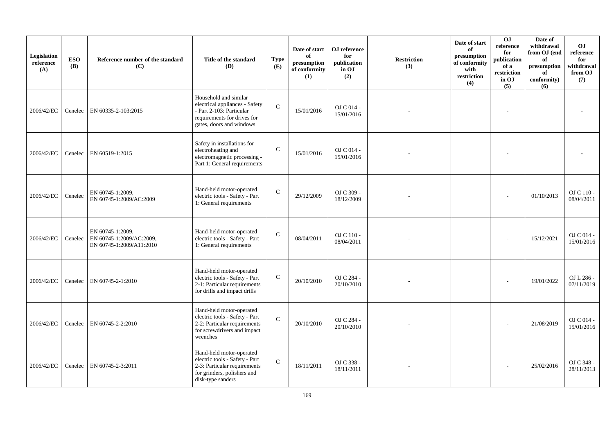| Legislation<br>reference<br>(A) | <b>ESO</b><br><b>(B)</b> | Reference number of the standard<br>(C)                                  | Title of the standard<br>(D)                                                                                                                   | <b>Type</b><br>(E) | Date of start<br>of<br>presumption<br>of conformity<br>(1) | OJ reference<br>for<br>publication<br>in OJ<br>(2) | <b>Restriction</b><br>(3) | Date of start<br>of<br>presumption<br>of conformity<br>with<br>restriction<br>(4) | 0J<br>reference<br>for<br>publication<br>of a<br>restriction<br>in OJ<br>(5) | Date of<br>withdrawal<br>from OJ (end<br>of<br>presumption<br>of<br>conformity)<br>(6) | <b>OJ</b><br>reference<br>for<br>withdrawal<br>from OJ<br>(7) |
|---------------------------------|--------------------------|--------------------------------------------------------------------------|------------------------------------------------------------------------------------------------------------------------------------------------|--------------------|------------------------------------------------------------|----------------------------------------------------|---------------------------|-----------------------------------------------------------------------------------|------------------------------------------------------------------------------|----------------------------------------------------------------------------------------|---------------------------------------------------------------|
| 2006/42/EC                      | Cenelec                  | EN 60335-2-103:2015                                                      | Household and similar<br>electrical appliances - Safety<br>- Part 2-103: Particular<br>requirements for drives for<br>gates, doors and windows | $\mathcal{C}$      | 15/01/2016                                                 | OJ C 014 -<br>15/01/2016                           |                           |                                                                                   |                                                                              |                                                                                        |                                                               |
| 2006/42/EC                      | Cenelec                  | EN 60519-1:2015                                                          | Safety in installations for<br>electroheating and<br>electromagnetic processing -<br>Part 1: General requirements                              | $\mathbf C$        | 15/01/2016                                                 | OJ C 014 -<br>15/01/2016                           |                           |                                                                                   |                                                                              |                                                                                        |                                                               |
| 2006/42/EC                      | Cenelec                  | EN 60745-1:2009,<br>EN 60745-1:2009/AC:2009                              | Hand-held motor-operated<br>electric tools - Safety - Part<br>1: General requirements                                                          | $\mathbf C$        | 29/12/2009                                                 | OJ C 309 -<br>18/12/2009                           |                           |                                                                                   |                                                                              | 01/10/2013                                                                             | OJ C 110 -<br>08/04/2011                                      |
| 2006/42/EC                      | Cenelec                  | EN 60745-1:2009,<br>EN 60745-1:2009/AC:2009,<br>EN 60745-1:2009/A11:2010 | Hand-held motor-operated<br>electric tools - Safety - Part<br>1: General requirements                                                          | $\mathbf C$        | 08/04/2011                                                 | OJ C 110 -<br>08/04/2011                           |                           |                                                                                   |                                                                              | 15/12/2021                                                                             | OJ C 014 -<br>15/01/2016                                      |
| 2006/42/EC                      | Cenelec                  | EN 60745-2-1:2010                                                        | Hand-held motor-operated<br>electric tools - Safety - Part<br>2-1: Particular requirements<br>for drills and impact drills                     | $\mathbf C$        | 20/10/2010                                                 | OJ C 284 -<br>20/10/2010                           |                           |                                                                                   |                                                                              | 19/01/2022                                                                             | OJ L 286 -<br>07/11/2019                                      |
| 2006/42/EC                      | Cenelec                  | EN 60745-2-2:2010                                                        | Hand-held motor-operated<br>electric tools - Safety - Part<br>2-2: Particular requirements<br>for screwdrivers and impact<br>wrenches          | $\mathbf{C}$       | 20/10/2010                                                 | OJ C 284 -<br>20/10/2010                           |                           |                                                                                   |                                                                              | 21/08/2019                                                                             | OJ C 014 -<br>15/01/2016                                      |
| 2006/42/EC                      | Cenelec                  | EN 60745-2-3:2011                                                        | Hand-held motor-operated<br>electric tools - Safety - Part<br>2-3: Particular requirements<br>for grinders, polishers and<br>disk-type sanders | $\mathbf C$        | 18/11/2011                                                 | OJ C 338 -<br>18/11/2011                           |                           |                                                                                   |                                                                              | 25/02/2016                                                                             | OJ C 348 -<br>28/11/2013                                      |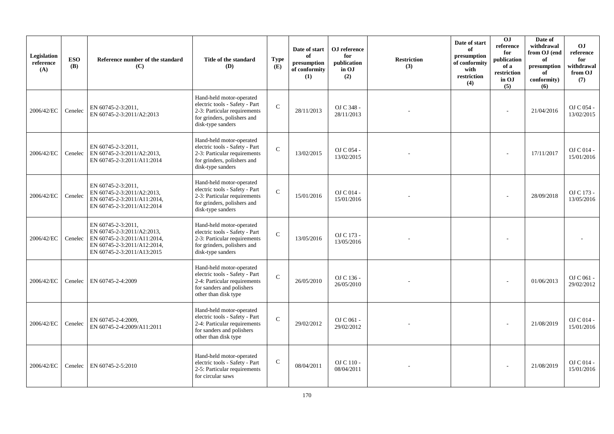| Legislation<br>reference<br>(A) | <b>ESO</b><br><b>(B)</b> | Reference number of the standard<br>(C)                                                                                                      | Title of the standard<br><b>(D)</b>                                                                                                             | <b>Type</b><br>(E) | Date of start<br>of<br>presumption<br>of conformity<br>(1) | OJ reference<br>for<br>publication<br>in OJ<br>(2) | <b>Restriction</b><br>(3) | Date of start<br>of<br>presumption<br>of conformity<br>with<br>restriction<br>(4) | O <sub>J</sub><br>reference<br>for<br>publication<br>of a<br>restriction<br>in OJ<br>(5) | Date of<br>withdrawal<br>from OJ (end<br>of<br>presumption<br>of<br>conformity)<br>(6) | <b>OJ</b><br>reference<br>for<br>withdrawal<br>from OJ<br>(7) |
|---------------------------------|--------------------------|----------------------------------------------------------------------------------------------------------------------------------------------|-------------------------------------------------------------------------------------------------------------------------------------------------|--------------------|------------------------------------------------------------|----------------------------------------------------|---------------------------|-----------------------------------------------------------------------------------|------------------------------------------------------------------------------------------|----------------------------------------------------------------------------------------|---------------------------------------------------------------|
| 2006/42/EC                      | Cenelec                  | EN 60745-2-3:2011.<br>EN 60745-2-3:2011/A2:2013                                                                                              | Hand-held motor-operated<br>electric tools - Safety - Part<br>2-3: Particular requirements<br>for grinders, polishers and<br>disk-type sanders  | $\mathcal{C}$      | 28/11/2013                                                 | OJ C 348 -<br>28/11/2013                           |                           |                                                                                   |                                                                                          | 21/04/2016                                                                             | OJ C 054 -<br>13/02/2015                                      |
| 2006/42/EC                      | Cenelec                  | EN 60745-2-3:2011,<br>EN 60745-2-3:2011/A2:2013,<br>EN 60745-2-3:2011/A11:2014                                                               | Hand-held motor-operated<br>electric tools - Safety - Part<br>2-3: Particular requirements<br>for grinders, polishers and<br>disk-type sanders  | $\mathcal{C}$      | 13/02/2015                                                 | OJ C 054 -<br>13/02/2015                           |                           |                                                                                   |                                                                                          | 17/11/2017                                                                             | O <sub>J</sub> C <sub>014</sub><br>15/01/2016                 |
| 2006/42/EC                      | Cenelec                  | EN 60745-2-3:2011,<br>EN 60745-2-3:2011/A2:2013.<br>EN 60745-2-3:2011/A11:2014,<br>EN 60745-2-3:2011/A12:2014                                | Hand-held motor-operated<br>electric tools - Safety - Part<br>2-3: Particular requirements<br>for grinders, polishers and<br>disk-type sanders  | $\mathcal{C}$      | 15/01/2016                                                 | $OJ C014$ -<br>15/01/2016                          |                           |                                                                                   |                                                                                          | 28/09/2018                                                                             | OJ C 173 -<br>13/05/2016                                      |
| 2006/42/EC                      | Cenelec                  | EN 60745-2-3:2011,<br>EN 60745-2-3:2011/A2:2013,<br>EN 60745-2-3:2011/A11:2014,<br>EN 60745-2-3:2011/A12:2014,<br>EN 60745-2-3:2011/A13:2015 | Hand-held motor-operated<br>electric tools - Safety - Part<br>2-3: Particular requirements<br>for grinders, polishers and<br>disk-type sanders  | $\mathcal{C}$      | 13/05/2016                                                 | OJ C 173 -<br>13/05/2016                           |                           |                                                                                   |                                                                                          |                                                                                        |                                                               |
| 2006/42/EC                      | Cenelec                  | EN 60745-2-4:2009                                                                                                                            | Hand-held motor-operated<br>electric tools - Safety - Part<br>2-4: Particular requirements<br>for sanders and polishers<br>other than disk type | $\mathcal{C}$      | 26/05/2010                                                 | OJ C 136 -<br>26/05/2010                           |                           |                                                                                   |                                                                                          | 01/06/2013                                                                             | OJ C 061 -<br>29/02/2012                                      |
| 2006/42/EC                      | Cenelec                  | EN 60745-2-4:2009,<br>EN 60745-2-4:2009/A11:2011                                                                                             | Hand-held motor-operated<br>electric tools - Safety - Part<br>2-4: Particular requirements<br>for sanders and polishers<br>other than disk type | $\mathcal{C}$      | 29/02/2012                                                 | OJ C 061 -<br>29/02/2012                           |                           |                                                                                   |                                                                                          | 21/08/2019                                                                             | OJ C 014 -<br>15/01/2016                                      |
| 2006/42/EC                      | Cenelec                  | EN 60745-2-5:2010                                                                                                                            | Hand-held motor-operated<br>electric tools - Safety - Part<br>2-5: Particular requirements<br>for circular saws                                 | ${\bf C}$          | 08/04/2011                                                 | OJ C 110 -<br>08/04/2011                           |                           |                                                                                   |                                                                                          | 21/08/2019                                                                             | OJ C 014 -<br>15/01/2016                                      |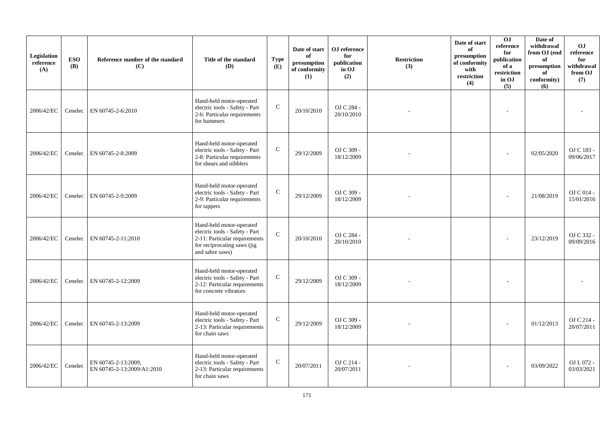| Legislation<br>reference<br>(A) | <b>ESO</b><br>(B) | Reference number of the standard<br>(C)           | Title of the standard<br>(D)                                                                                                                  | <b>Type</b><br>(E) | Date of start<br>of<br>presumption<br>of conformity<br>(1) | OJ reference<br>for<br>publication<br>in OJ<br>(2) | <b>Restriction</b><br>(3) | Date of start<br>of<br>presumption<br>of conformity<br>with<br>restriction<br>(4) | OJ<br>reference<br>for<br>publication<br>of a<br>$\operatorname{restriction}$<br>in OJ<br>(5) | Date of<br>withdrawal<br>from OJ (end<br>of<br>presumption<br>of<br>conformity)<br>(6) | <b>OJ</b><br>reference<br>for<br>withdrawal<br>from OJ<br>(7) |
|---------------------------------|-------------------|---------------------------------------------------|-----------------------------------------------------------------------------------------------------------------------------------------------|--------------------|------------------------------------------------------------|----------------------------------------------------|---------------------------|-----------------------------------------------------------------------------------|-----------------------------------------------------------------------------------------------|----------------------------------------------------------------------------------------|---------------------------------------------------------------|
| 2006/42/EC                      | Cenelec           | EN 60745-2-6:2010                                 | Hand-held motor-operated<br>electric tools - Safety - Part<br>2-6: Particular requirements<br>for hammers                                     | $\mathbf C$        | 20/10/2010                                                 | OJ C 284 -<br>20/10/2010                           |                           |                                                                                   |                                                                                               |                                                                                        |                                                               |
| 2006/42/EC                      | Cenelec           | EN 60745-2-8:2009                                 | Hand-held motor-operated<br>electric tools - Safety - Part<br>2-8: Particular requirements<br>for shears and nibblers                         | $\mathsf{C}$       | 29/12/2009                                                 | OJ C 309 -<br>18/12/2009                           |                           |                                                                                   |                                                                                               | 02/05/2020                                                                             | OJ C 183 -<br>09/06/2017                                      |
| 2006/42/EC                      | Cenelec           | EN 60745-2-9:2009                                 | Hand-held motor-operated<br>electric tools - Safety - Part<br>2-9: Particular requirements<br>for tappers                                     | $\mathbf C$        | 29/12/2009                                                 | OJ C 309 -<br>18/12/2009                           |                           |                                                                                   |                                                                                               | 21/08/2019                                                                             | OJ C 014 -<br>15/01/2016                                      |
| 2006/42/EC                      | Cenelec           | EN 60745-2-11:2010                                | Hand-held motor-operated<br>electric tools - Safety - Part<br>2-11: Particular requirements<br>for reciprocating saws (jig<br>and sabre saws) | $\mathbf{C}$       | 20/10/2010                                                 | OJ C 284 -<br>20/10/2010                           |                           |                                                                                   |                                                                                               | 23/12/2019                                                                             | OJ C 332 -<br>09/09/2016                                      |
| 2006/42/EC                      | Cenelec           | EN 60745-2-12:2009                                | Hand-held motor-operated<br>electric tools - Safety - Part<br>2-12: Particular requirements<br>for concrete vibrators                         | $\mathbf C$        | 29/12/2009                                                 | OJ C 309 -<br>18/12/2009                           |                           |                                                                                   |                                                                                               |                                                                                        |                                                               |
| 2006/42/EC                      | Cenelec           | EN 60745-2-13:2009                                | Hand-held motor-operated<br>electric tools - Safety - Part<br>2-13: Particular requirements<br>for chain saws                                 | $\mathbf C$        | 29/12/2009                                                 | OJ C 309 -<br>18/12/2009                           |                           |                                                                                   |                                                                                               | 01/12/2013                                                                             | OJ C 214 -<br>20/07/2011                                      |
| 2006/42/EC                      | Cenelec           | EN 60745-2-13:2009.<br>EN 60745-2-13:2009/A1:2010 | Hand-held motor-operated<br>electric tools - Safety - Part<br>2-13: Particular requirements<br>for chain saws                                 | $\mathbf C$        | 20/07/2011                                                 | OJ C 214 -<br>20/07/2011                           |                           |                                                                                   |                                                                                               | 03/09/2022                                                                             | OJ L 072 -<br>03/03/2021                                      |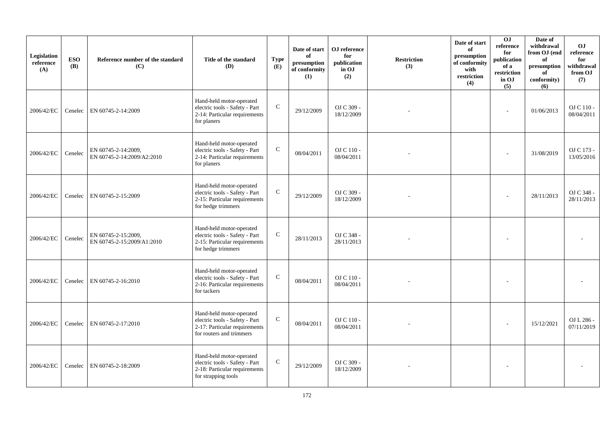| Legislation<br>reference<br>(A) | <b>ESO</b><br><b>(B)</b> | Reference number of the standard<br>(C)           | Title of the standard<br>(D)                                                                                            | <b>Type</b><br>(E) | Date of start<br>of<br>presumption<br>of conformity<br>(1) | OJ reference<br>for<br>publication<br>in OJ<br>(2) | <b>Restriction</b><br>(3) | Date of start<br>of<br>presumption<br>of conformity<br>with<br>restriction<br>(4) | OJ<br>reference<br>for<br>publication<br>of a<br>restriction<br>in OJ<br>(5) | Date of<br>withdrawal<br>from OJ (end<br>of<br>presumption<br>of<br>conformity)<br>(6) | <b>OJ</b><br>reference<br>for<br>withdrawal<br>from OJ<br>(7) |
|---------------------------------|--------------------------|---------------------------------------------------|-------------------------------------------------------------------------------------------------------------------------|--------------------|------------------------------------------------------------|----------------------------------------------------|---------------------------|-----------------------------------------------------------------------------------|------------------------------------------------------------------------------|----------------------------------------------------------------------------------------|---------------------------------------------------------------|
| 2006/42/EC                      | Cenelec                  | EN 60745-2-14:2009                                | Hand-held motor-operated<br>electric tools - Safety - Part<br>2-14: Particular requirements<br>for planers              | $\mathbf C$        | 29/12/2009                                                 | OJ C 309 -<br>18/12/2009                           |                           |                                                                                   | ÷                                                                            | 01/06/2013                                                                             | OJ C 110 -<br>08/04/2011                                      |
| 2006/42/EC                      | Cenelec                  | EN 60745-2-14:2009,<br>EN 60745-2-14:2009/A2:2010 | Hand-held motor-operated<br>electric tools - Safety - Part<br>2-14: Particular requirements<br>for planers              | $\mathsf{C}$       | 08/04/2011                                                 | OJ C 110 -<br>08/04/2011                           |                           |                                                                                   |                                                                              | 31/08/2019                                                                             | OJ C 173 -<br>13/05/2016                                      |
| 2006/42/EC                      | Cenelec                  | EN 60745-2-15:2009                                | Hand-held motor-operated<br>electric tools - Safety - Part<br>2-15: Particular requirements<br>for hedge trimmers       | $\mathbf C$        | 29/12/2009                                                 | OJ C 309 -<br>18/12/2009                           |                           |                                                                                   |                                                                              | 28/11/2013                                                                             | OJ C 348 -<br>28/11/2013                                      |
| 2006/42/EC                      | Cenelec                  | EN 60745-2-15:2009,<br>EN 60745-2-15:2009/A1:2010 | Hand-held motor-operated<br>electric tools - Safety - Part<br>2-15: Particular requirements<br>for hedge trimmers       | $\mathsf{C}$       | 28/11/2013                                                 | OJ C 348 -<br>28/11/2013                           |                           |                                                                                   |                                                                              |                                                                                        |                                                               |
| 2006/42/EC                      | Cenelec                  | EN 60745-2-16:2010                                | Hand-held motor-operated<br>electric tools - Safety - Part<br>2-16: Particular requirements<br>for tackers              | $\mathbf C$        | 08/04/2011                                                 | OJ C 110 -<br>08/04/2011                           |                           |                                                                                   |                                                                              |                                                                                        |                                                               |
| 2006/42/EC                      | Cenelec                  | EN 60745-2-17:2010                                | Hand-held motor-operated<br>electric tools - Safety - Part<br>2-17: Particular requirements<br>for routers and trimmers | ${\bf C}$          | 08/04/2011                                                 | OJ C 110 -<br>08/04/2011                           |                           |                                                                                   |                                                                              | 15/12/2021                                                                             | OJ L 286 -<br>07/11/2019                                      |
| 2006/42/EC                      | Cenelec                  | EN 60745-2-18:2009                                | Hand-held motor-operated<br>electric tools - Safety - Part<br>2-18: Particular requirements<br>for strapping tools      | $\mathbf C$        | 29/12/2009                                                 | OJ C 309 -<br>18/12/2009                           |                           |                                                                                   |                                                                              |                                                                                        |                                                               |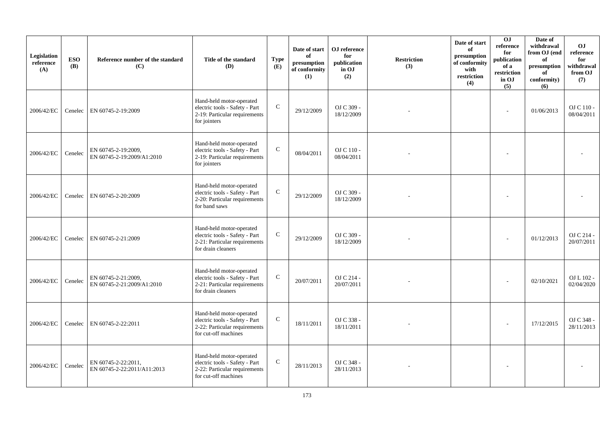| Legislation<br>reference<br>(A) | <b>ESO</b><br>(B) | Reference number of the standard<br>(C)            | Title of the standard<br>(D)                                                                                        | <b>Type</b><br>(E) | Date of start<br>of<br>presumption<br>of conformity<br>(1) | OJ reference<br>for<br>publication<br>in OJ<br>(2) | <b>Restriction</b><br>(3) | Date of start<br>of<br>presumption<br>of conformity<br>with<br>restriction<br>(4) | OJ<br>reference<br>for<br>publication<br>of a<br>$\operatorname{restriction}$<br>in OJ<br>(5) | Date of<br>withdrawal<br>from OJ (end<br>of<br>presumption<br>of<br>conformity)<br>(6) | <b>OJ</b><br>reference<br>for<br>withdrawal<br>from OJ<br>(7) |
|---------------------------------|-------------------|----------------------------------------------------|---------------------------------------------------------------------------------------------------------------------|--------------------|------------------------------------------------------------|----------------------------------------------------|---------------------------|-----------------------------------------------------------------------------------|-----------------------------------------------------------------------------------------------|----------------------------------------------------------------------------------------|---------------------------------------------------------------|
| 2006/42/EC                      | Cenelec           | EN 60745-2-19:2009                                 | Hand-held motor-operated<br>electric tools - Safety - Part<br>2-19: Particular requirements<br>for jointers         | $\mathbf C$        | 29/12/2009                                                 | OJ C 309 -<br>18/12/2009                           |                           |                                                                                   | ÷                                                                                             | 01/06/2013                                                                             | OJ C 110 -<br>08/04/2011                                      |
| 2006/42/EC                      | Cenelec           | EN 60745-2-19:2009,<br>EN 60745-2-19:2009/A1:2010  | Hand-held motor-operated<br>electric tools - Safety - Part<br>2-19: Particular requirements<br>for jointers         | $\mathsf{C}$       | 08/04/2011                                                 | OJ C 110 -<br>08/04/2011                           |                           |                                                                                   |                                                                                               |                                                                                        |                                                               |
| 2006/42/EC                      | Cenelec           | EN 60745-2-20:2009                                 | Hand-held motor-operated<br>electric tools - Safety - Part<br>2-20: Particular requirements<br>for band saws        | $\mathbf C$        | 29/12/2009                                                 | OJ C 309 -<br>18/12/2009                           |                           |                                                                                   |                                                                                               |                                                                                        |                                                               |
| 2006/42/EC                      | Cenelec           | EN 60745-2-21:2009                                 | Hand-held motor-operated<br>electric tools - Safety - Part<br>2-21: Particular requirements<br>for drain cleaners   | $\mathbf{C}$       | 29/12/2009                                                 | OJ C 309 -<br>18/12/2009                           |                           |                                                                                   |                                                                                               | 01/12/2013                                                                             | OJ C 214 -<br>20/07/2011                                      |
| 2006/42/EC                      | Cenelec           | EN 60745-2-21:2009,<br>EN 60745-2-21:2009/A1:2010  | Hand-held motor-operated<br>electric tools - Safety - Part<br>2-21: Particular requirements<br>for drain cleaners   | $\mathbf C$        | 20/07/2011                                                 | OJ C 214 -<br>20/07/2011                           |                           |                                                                                   |                                                                                               | 02/10/2021                                                                             | OJ L 102 -<br>02/04/2020                                      |
| 2006/42/EC                      | Cenelec           | EN 60745-2-22:2011                                 | Hand-held motor-operated<br>electric tools - Safety - Part<br>2-22: Particular requirements<br>for cut-off machines | $\mathbf C$        | 18/11/2011                                                 | OJ C 338 -<br>18/11/2011                           |                           |                                                                                   |                                                                                               | 17/12/2015                                                                             | OJ C 348 -<br>28/11/2013                                      |
| 2006/42/EC                      | Cenelec           | EN 60745-2-22:2011.<br>EN 60745-2-22:2011/A11:2013 | Hand-held motor-operated<br>electric tools - Safety - Part<br>2-22: Particular requirements<br>for cut-off machines | $\mathbf C$        | 28/11/2013                                                 | OJ C 348 -<br>28/11/2013                           |                           |                                                                                   |                                                                                               |                                                                                        |                                                               |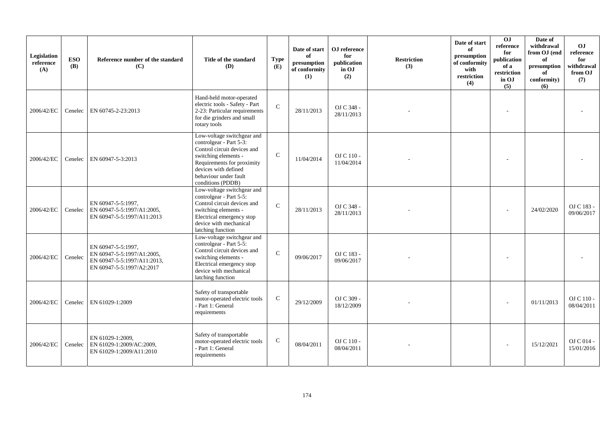| Legislation<br>reference<br>(A) | <b>ESO</b><br><b>(B)</b> | Reference number of the standard<br>(C)                                                                      | Title of the standard<br>(D)                                                                                                                                                                                     | <b>Type</b><br>(E) | Date of start<br>of<br>presumption<br>of conformity<br>(1) | OJ reference<br>for<br>publication<br>in OJ<br>(2) | <b>Restriction</b><br>(3) | Date of start<br>of<br>presumption<br>of conformity<br>with<br>restriction<br>(4) | OJ<br>reference<br>for<br>publication<br>of a<br>restriction<br>in OJ<br>(5) | Date of<br>withdrawal<br>from OJ (end<br>of<br>presumption<br>of<br>conformity)<br>(6) | OJ<br>reference<br>for<br>withdrawal<br>from OJ<br>(7) |
|---------------------------------|--------------------------|--------------------------------------------------------------------------------------------------------------|------------------------------------------------------------------------------------------------------------------------------------------------------------------------------------------------------------------|--------------------|------------------------------------------------------------|----------------------------------------------------|---------------------------|-----------------------------------------------------------------------------------|------------------------------------------------------------------------------|----------------------------------------------------------------------------------------|--------------------------------------------------------|
| 2006/42/EC                      | Cenelec                  | EN 60745-2-23:2013                                                                                           | Hand-held motor-operated<br>electric tools - Safety - Part<br>2-23: Particular requirements<br>for die grinders and small<br>rotary tools                                                                        | $\mathbf{C}$       | 28/11/2013                                                 | OJ C 348 -<br>28/11/2013                           |                           |                                                                                   | $\sim$                                                                       |                                                                                        |                                                        |
| 2006/42/EC                      | Cenelec                  | EN 60947-5-3:2013                                                                                            | Low-voltage switchgear and<br>controlgear - Part 5-3:<br>Control circuit devices and<br>switching elements -<br>Requirements for proximity<br>devices with defined<br>behaviour under fault<br>conditions (PDDB) | $\mathcal{C}$      | 11/04/2014                                                 | OJ C 110 -<br>11/04/2014                           |                           |                                                                                   |                                                                              |                                                                                        |                                                        |
| 2006/42/EC                      |                          | EN 60947-5-5:1997,<br>Cenelec   EN 60947-5-5:1997/A1:2005,<br>EN 60947-5-5:1997/A11:2013                     | Low-voltage switchgear and<br>controlgear - Part 5-5:<br>Control circuit devices and<br>switching elements -<br>Electrical emergency stop<br>device with mechanical<br>latching function                         | $\mathcal{C}$      | 28/11/2013                                                 | OJ C 348 -<br>28/11/2013                           |                           |                                                                                   |                                                                              | 24/02/2020                                                                             | OJ C 183 -<br>09/06/2017                               |
| 2006/42/EC                      | Cenelec                  | EN 60947-5-5:1997.<br>EN 60947-5-5:1997/A1:2005,<br>EN 60947-5-5:1997/A11:2013,<br>EN 60947-5-5:1997/A2:2017 | Low-voltage switchgear and<br>controlgear - Part 5-5:<br>Control circuit devices and<br>switching elements -<br>Electrical emergency stop<br>device with mechanical<br>latching function                         | $\mathcal{C}$      | 09/06/2017                                                 | OJ C 183 -<br>09/06/2017                           |                           |                                                                                   |                                                                              |                                                                                        |                                                        |
| 2006/42/EC                      | Cenelec                  | EN 61029-1:2009                                                                                              | Safety of transportable<br>motor-operated electric tools<br>- Part 1: General<br>requirements                                                                                                                    | $\mathsf{C}$       | 29/12/2009                                                 | OJ C 309 -<br>18/12/2009                           |                           |                                                                                   |                                                                              | 01/11/2013                                                                             | OJ C 110 -<br>08/04/2011                               |
| 2006/42/EC                      | Cenelec                  | EN 61029-1:2009.<br>EN 61029-1:2009/AC:2009,<br>EN 61029-1:2009/A11:2010                                     | Safety of transportable<br>motor-operated electric tools<br>- Part 1: General<br>requirements                                                                                                                    | $\mathbf C$        | 08/04/2011                                                 | $OJ C 110 -$<br>08/04/2011                         |                           |                                                                                   |                                                                              | 15/12/2021                                                                             | O <sub>J</sub> C <sub>014</sub><br>15/01/2016          |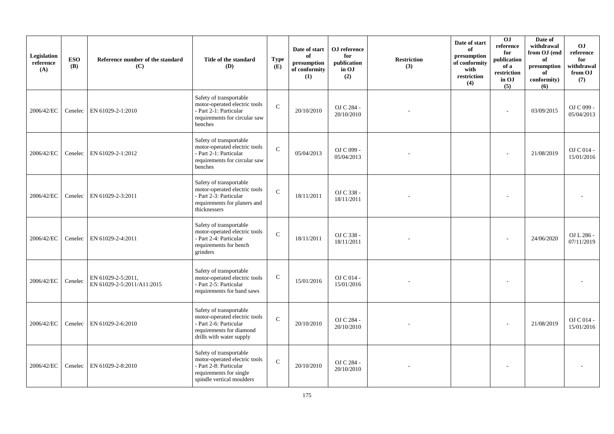| Legislation<br>reference<br>(A) | <b>ESO</b><br><b>(B)</b> | Reference number of the standard<br>(C)          | Title of the standard<br>(D)                                                                                                               | <b>Type</b><br>(E) | Date of start<br>of<br>presumption<br>of conformity<br>(1) | OJ reference<br>for<br>publication<br>in OJ<br>(2) | <b>Restriction</b><br>(3) | Date of start<br>of<br>presumption<br>of conformity<br>with<br>restriction<br>(4) | 0J<br>reference<br>for<br>publication<br>of a<br>restriction<br>in OJ<br>(5) | Date of<br>withdrawal<br>from OJ (end<br>of<br>$\bf{presumption}$<br>of<br>conformity)<br>(6) | <b>OJ</b><br>reference<br>for<br>withdrawal<br>from OJ<br>(7) |
|---------------------------------|--------------------------|--------------------------------------------------|--------------------------------------------------------------------------------------------------------------------------------------------|--------------------|------------------------------------------------------------|----------------------------------------------------|---------------------------|-----------------------------------------------------------------------------------|------------------------------------------------------------------------------|-----------------------------------------------------------------------------------------------|---------------------------------------------------------------|
| 2006/42/EC                      | Cenelec                  | EN 61029-2-1:2010                                | Safety of transportable<br>motor-operated electric tools<br>- Part 2-1: Particular<br>requirements for circular saw<br>benches             | $\mathcal{C}$      | 20/10/2010                                                 | OJ C 284 -<br>20/10/2010                           |                           |                                                                                   |                                                                              | 03/09/2015                                                                                    | OJ C 099 -<br>05/04/2013                                      |
| 2006/42/EC                      | Cenelec                  | EN 61029-2-1:2012                                | Safety of transportable<br>motor-operated electric tools<br>- Part 2-1: Particular<br>requirements for circular saw<br>benches             | $\mathbf{C}$       | 05/04/2013                                                 | OJ C 099 -<br>05/04/2013                           |                           |                                                                                   |                                                                              | 21/08/2019                                                                                    | OJ C 014 -<br>15/01/2016                                      |
| 2006/42/EC                      | Cenelec                  | EN 61029-2-3:2011                                | Safety of transportable<br>motor-operated electric tools<br>- Part 2-3: Particular<br>requirements for planers and<br>thicknessers         | $\mathbf C$        | 18/11/2011                                                 | OJ C 338 -<br>18/11/2011                           |                           |                                                                                   |                                                                              |                                                                                               |                                                               |
| 2006/42/EC                      | Cenelec                  | EN 61029-2-4:2011                                | Safety of transportable<br>motor-operated electric tools<br>- Part 2-4: Particular<br>requirements for bench<br>grinders                   | $\mathbf C$        | 18/11/2011                                                 | OJ C 338 -<br>18/11/2011                           |                           |                                                                                   |                                                                              | 24/06/2020                                                                                    | OJ L 286 -<br>07/11/2019                                      |
| 2006/42/EC                      | Cenelec                  | EN 61029-2-5:2011,<br>EN 61029-2-5:2011/A11:2015 | Safety of transportable<br>motor-operated electric tools<br>- Part 2-5: Particular<br>requirements for band saws                           | $\mathbf C$        | 15/01/2016                                                 | OJ C 014 -<br>15/01/2016                           |                           |                                                                                   |                                                                              |                                                                                               |                                                               |
| 2006/42/EC                      | Cenelec                  | EN 61029-2-6:2010                                | Safety of transportable<br>motor-operated electric tools<br>- Part 2-6: Particular<br>requirements for diamond<br>drills with water supply | $\mathcal{C}$      | 20/10/2010                                                 | OJ C 284 -<br>20/10/2010                           |                           |                                                                                   |                                                                              | 21/08/2019                                                                                    | OJ C 014 -<br>15/01/2016                                      |
| 2006/42/EC                      | Cenelec                  | EN 61029-2-8:2010                                | Safety of transportable<br>motor-operated electric tools<br>- Part 2-8: Particular<br>requirements for single<br>spindle vertical moulders | $\mathcal{C}$      | 20/10/2010                                                 | OJ C 284 -<br>20/10/2010                           |                           |                                                                                   |                                                                              |                                                                                               |                                                               |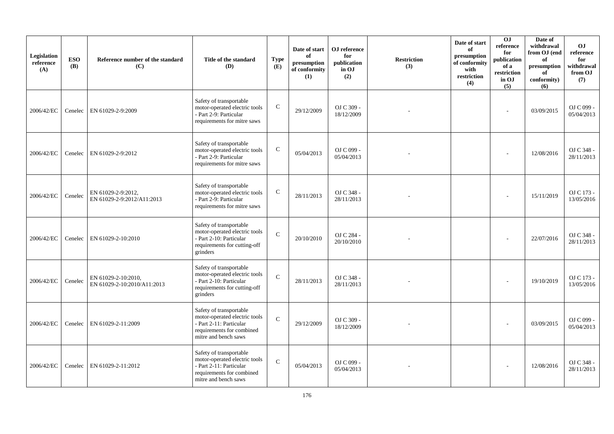| Legislation<br>reference<br>(A) | <b>ESO</b><br><b>(B)</b> | Reference number of the standard<br>(C)            | Title of the standard<br>(D)                                                                                                             | <b>Type</b><br>(E) | Date of start<br>of<br>presumption<br>of conformity<br>(1) | OJ reference<br>for<br>publication<br>in OJ<br>(2) | <b>Restriction</b><br>(3) | Date of start<br>of<br>presumption<br>of conformity<br>with<br>restriction<br>(4) | 0J<br>reference<br>for<br>publication<br>of a<br>$\operatorname{restriction}$<br>in OJ<br>(5) | Date of<br>withdrawal<br>from OJ (end<br>of<br>presumption<br>of<br>conformity)<br>(6) | <b>OJ</b><br>reference<br>for<br>withdrawal<br>from OJ<br>(7) |
|---------------------------------|--------------------------|----------------------------------------------------|------------------------------------------------------------------------------------------------------------------------------------------|--------------------|------------------------------------------------------------|----------------------------------------------------|---------------------------|-----------------------------------------------------------------------------------|-----------------------------------------------------------------------------------------------|----------------------------------------------------------------------------------------|---------------------------------------------------------------|
| 2006/42/EC                      | Cenelec                  | EN 61029-2-9:2009                                  | Safety of transportable<br>motor-operated electric tools<br>- Part 2-9: Particular<br>requirements for mitre saws                        | ${\bf C}$          | 29/12/2009                                                 | OJ C 309 -<br>18/12/2009                           |                           |                                                                                   |                                                                                               | 03/09/2015                                                                             | OJ C 099 -<br>05/04/2013                                      |
| 2006/42/EC                      | Cenelec                  | EN 61029-2-9:2012                                  | Safety of transportable<br>motor-operated electric tools<br>- Part 2-9: Particular<br>requirements for mitre saws                        | ${\bf C}$          | 05/04/2013                                                 | OJ C 099 -<br>05/04/2013                           |                           |                                                                                   |                                                                                               | 12/08/2016                                                                             | OJ C 348 -<br>28/11/2013                                      |
| 2006/42/EC                      | Cenelec                  | EN 61029-2-9:2012.<br>EN 61029-2-9:2012/A11:2013   | Safety of transportable<br>motor-operated electric tools<br>- Part 2-9: Particular<br>requirements for mitre saws                        | $\mathsf{C}$       | 28/11/2013                                                 | OJ C 348 -<br>28/11/2013                           |                           |                                                                                   |                                                                                               | 15/11/2019                                                                             | OJ C 173 -<br>13/05/2016                                      |
| 2006/42/EC                      | Cenelec                  | EN 61029-2-10:2010                                 | Safety of transportable<br>motor-operated electric tools<br>- Part 2-10: Particular<br>requirements for cutting-off<br>grinders          | $\mathbf{C}$       | 20/10/2010                                                 | OJ C 284 -<br>20/10/2010                           |                           |                                                                                   |                                                                                               | 22/07/2016                                                                             | OJ C 348 -<br>28/11/2013                                      |
| 2006/42/EC                      | Cenelec                  | EN 61029-2-10:2010,<br>EN 61029-2-10:2010/A11:2013 | Safety of transportable<br>motor-operated electric tools<br>- Part 2-10: Particular<br>requirements for cutting-off<br>grinders          | $\mathbf{C}$       | 28/11/2013                                                 | OJ C 348 -<br>28/11/2013                           |                           |                                                                                   |                                                                                               | 19/10/2019                                                                             | OJ C 173 -<br>13/05/2016                                      |
| 2006/42/EC                      | Cenelec                  | EN 61029-2-11:2009                                 | Safety of transportable<br>motor-operated electric tools<br>- Part 2-11: Particular<br>requirements for combined<br>mitre and bench saws | $\mathcal{C}$      | 29/12/2009                                                 | OJ C 309 -<br>18/12/2009                           |                           |                                                                                   |                                                                                               | 03/09/2015                                                                             | OJ C 099 -<br>05/04/2013                                      |
| 2006/42/EC                      | Cenelec                  | EN 61029-2-11:2012                                 | Safety of transportable<br>motor-operated electric tools<br>- Part 2-11: Particular<br>requirements for combined<br>mitre and bench saws | $\mathbf{C}$       | 05/04/2013                                                 | OJ C 099 -<br>05/04/2013                           |                           |                                                                                   |                                                                                               | 12/08/2016                                                                             | OJ C 348 -<br>28/11/2013                                      |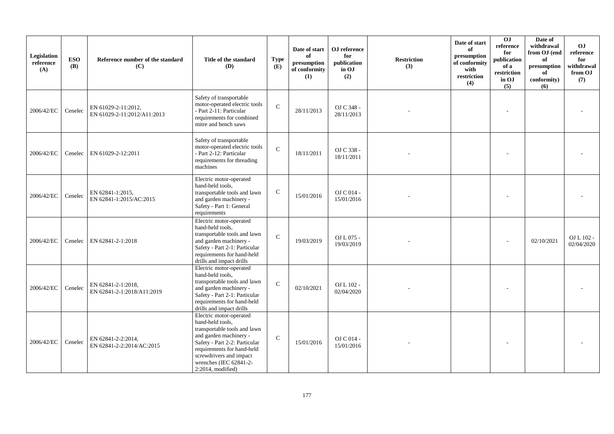| Legislation<br>reference<br>(A) | <b>ESO</b><br><b>(B)</b> | Reference number of the standard<br>(C)            | Title of the standard<br>(D)                                                                                                                                                                                                                      | <b>Type</b><br>(E) | Date of start<br>of<br>presumption<br>of conformity<br>(1) | OJ reference<br>for<br>publication<br>in OJ<br>(2) | <b>Restriction</b><br>(3) | Date of start<br>of<br>presumption<br>of conformity<br>with<br>restriction<br>(4) | OJ<br>reference<br>for<br>publication<br>of a<br>restriction<br>in OJ<br>(5) | Date of<br>withdrawal<br>from OJ (end<br>of<br>presumption<br>of<br>conformity)<br>(6) | <b>OJ</b><br>reference<br>for<br>withdrawal<br>from OJ<br>(7) |
|---------------------------------|--------------------------|----------------------------------------------------|---------------------------------------------------------------------------------------------------------------------------------------------------------------------------------------------------------------------------------------------------|--------------------|------------------------------------------------------------|----------------------------------------------------|---------------------------|-----------------------------------------------------------------------------------|------------------------------------------------------------------------------|----------------------------------------------------------------------------------------|---------------------------------------------------------------|
| 2006/42/EC                      | Cenelec                  | EN 61029-2-11:2012,<br>EN 61029-2-11:2012/A11:2013 | Safety of transportable<br>motor-operated electric tools<br>- Part 2-11: Particular<br>requirements for combined<br>mitre and bench saws                                                                                                          | $\mathbf C$        | 28/11/2013                                                 | OJ C 348 -<br>28/11/2013                           |                           |                                                                                   |                                                                              |                                                                                        |                                                               |
| 2006/42/EC                      | Cenelec                  | EN 61029-2-12:2011                                 | Safety of transportable<br>motor-operated electric tools<br>- Part 2-12: Particular<br>requirements for threading<br>machines                                                                                                                     | $\mathbf{C}$       | 18/11/2011                                                 | OJ C 338 -<br>18/11/2011                           |                           |                                                                                   |                                                                              |                                                                                        |                                                               |
| 2006/42/EC                      | Cenelec                  | EN 62841-1:2015,<br>EN 62841-1:2015/AC:2015        | Electric motor-operated<br>hand-held tools,<br>transportable tools and lawn<br>and garden machinery -<br>Safety - Part 1: General<br>requirements                                                                                                 | ${\bf C}$          | 15/01/2016                                                 | OJ C 014 -<br>15/01/2016                           |                           |                                                                                   |                                                                              |                                                                                        |                                                               |
| 2006/42/EC                      | Cenelec                  | EN 62841-2-1:2018                                  | Electric motor-operated<br>hand-held tools,<br>transportable tools and lawn<br>and garden machinery -<br>Safety - Part 2-1: Particular<br>requirements for hand-held<br>drills and impact drills                                                  | $\mathcal{C}$      | 19/03/2019                                                 | OJ L 075 -<br>19/03/2019                           |                           |                                                                                   |                                                                              | 02/10/2021                                                                             | OJ L 102 -<br>02/04/2020                                      |
| 2006/42/EC                      | Cenelec                  | EN 62841-2-1:2018,<br>EN 62841-2-1:2018/A11:2019   | Electric motor-operated<br>hand-held tools,<br>transportable tools and lawn<br>and garden machinery -<br>Safety - Part 2-1: Particular<br>requirements for hand-held<br>drills and impact drills                                                  | $\mathcal{C}$      | 02/10/2021                                                 | OJ L 102 -<br>02/04/2020                           |                           |                                                                                   |                                                                              |                                                                                        |                                                               |
| 2006/42/EC                      | Cenelec                  | EN 62841-2-2:2014,<br>EN 62841-2-2:2014/AC:2015    | Electric motor-operated<br>hand-held tools,<br>transportable tools and lawn<br>and garden machinery -<br>Safety - Part 2-2: Particular<br>requirements for hand-held<br>screwdrivers and impact<br>wrenches (IEC 62841-2-<br>$2:2014$ , modified) | $\mathsf{C}$       | 15/01/2016                                                 | OJ C 014 -<br>15/01/2016                           |                           |                                                                                   |                                                                              |                                                                                        |                                                               |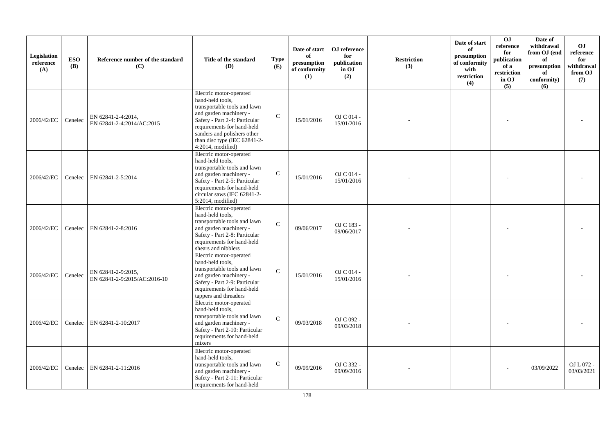| Legislation<br>reference<br>(A) | <b>ESO</b><br>(B) | Reference number of the standard<br>(C)            | Title of the standard<br>(D)                                                                                                                                                                                                                                | <b>Type</b><br>(E) | Date of start<br>of<br>presumption<br>of conformity<br>(1) | OJ reference<br>for<br>publication<br>in OJ<br>(2) | <b>Restriction</b><br>(3) | Date of start<br>of<br>presumption<br>of conformity<br>with<br>restriction<br>(4) | OJ<br>reference<br>for<br>publication<br>of a<br>restriction<br>in OJ<br>(5) | Date of<br>withdrawal<br>from OJ (end<br>of<br>presumption<br>of<br>conformity)<br>(6) | <b>OJ</b><br>reference<br>for<br>withdrawal<br>from OJ<br>(7) |
|---------------------------------|-------------------|----------------------------------------------------|-------------------------------------------------------------------------------------------------------------------------------------------------------------------------------------------------------------------------------------------------------------|--------------------|------------------------------------------------------------|----------------------------------------------------|---------------------------|-----------------------------------------------------------------------------------|------------------------------------------------------------------------------|----------------------------------------------------------------------------------------|---------------------------------------------------------------|
| 2006/42/EC                      | Cenelec           | EN 62841-2-4:2014,<br>EN 62841-2-4:2014/AC:2015    | Electric motor-operated<br>hand-held tools,<br>transportable tools and lawn<br>and garden machinery -<br>Safety - Part 2-4: Particular<br>requirements for hand-held<br>sanders and polishers other<br>than disc type (IEC 62841-2-<br>$4:2014$ , modified) | $\mathcal{C}$      | 15/01/2016                                                 | OJ C 014 -<br>15/01/2016                           |                           |                                                                                   |                                                                              |                                                                                        |                                                               |
| 2006/42/EC                      | Cenelec           | EN 62841-2-5:2014                                  | Electric motor-operated<br>hand-held tools,<br>transportable tools and lawn<br>and garden machinery -<br>Safety - Part 2-5: Particular<br>requirements for hand-held<br>circular saws (IEC 62841-2-<br>5:2014, modified)                                    | $\mathcal{C}$      | 15/01/2016                                                 | OJ C 014 -<br>15/01/2016                           |                           |                                                                                   |                                                                              |                                                                                        |                                                               |
| 2006/42/EC                      | Cenelec           | EN 62841-2-8:2016                                  | Electric motor-operated<br>hand-held tools,<br>transportable tools and lawn<br>and garden machinery -<br>Safety - Part 2-8: Particular<br>requirements for hand-held<br>shears and nibblers                                                                 | $\mathbf{C}$       | 09/06/2017                                                 | OJ C 183 -<br>09/06/2017                           |                           |                                                                                   |                                                                              |                                                                                        |                                                               |
| 2006/42/EC                      | Cenelec           | EN 62841-2-9:2015,<br>EN 62841-2-9:2015/AC:2016-10 | Electric motor-operated<br>hand-held tools,<br>transportable tools and lawn<br>and garden machinery -<br>Safety - Part 2-9: Particular<br>requirements for hand-held<br>tappers and threaders                                                               | $\mathbf{C}$       | 15/01/2016                                                 | OJ C 014 -<br>15/01/2016                           |                           |                                                                                   |                                                                              |                                                                                        |                                                               |
| 2006/42/EC                      | Cenelec           | EN 62841-2-10:2017                                 | Electric motor-operated<br>hand-held tools,<br>transportable tools and lawn<br>and garden machinery -<br>Safety - Part 2-10: Particular<br>requirements for hand-held<br>mixers                                                                             | $\mathbf{C}$       | 09/03/2018                                                 | OJ C 092 -<br>09/03/2018                           |                           |                                                                                   |                                                                              |                                                                                        |                                                               |
| 2006/42/EC                      | Cenelec           | EN 62841-2-11:2016                                 | Electric motor-operated<br>hand-held tools.<br>transportable tools and lawn<br>and garden machinery -<br>Safety - Part 2-11: Particular<br>requirements for hand-held                                                                                       | $\mathbf C$        | 09/09/2016                                                 | OJ C 332 -<br>09/09/2016                           |                           |                                                                                   |                                                                              | 03/09/2022                                                                             | OJ L 072 -<br>03/03/2021                                      |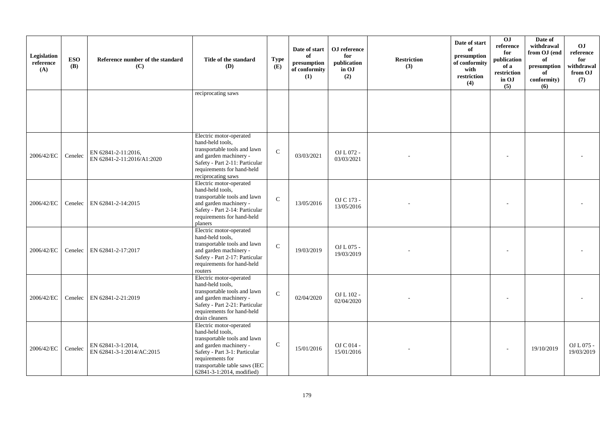| Legislation<br>reference<br>(A) | <b>ESO</b><br>(B) | Reference number of the standard<br>(C)           | Title of the standard<br>(D)                                                                                                                                                                                             | <b>Type</b><br>(E) | Date of start<br>of<br>presumption<br>of conformity<br>(1) | OJ reference<br>for<br>publication<br>in OJ<br>(2) | <b>Restriction</b><br>(3) | Date of start<br>of<br>presumption<br>of conformity<br>with<br>restriction<br>(4) | $\overline{0}$<br>reference<br>for<br>publication<br>of a<br>restriction<br>in OJ<br>(5) | Date of<br>withdrawal<br>from OJ (end<br>of<br>presumption<br>of<br>conformity)<br>(6) | O <sub>J</sub><br>reference<br>for<br>withdrawal<br>from OJ<br>(7) |
|---------------------------------|-------------------|---------------------------------------------------|--------------------------------------------------------------------------------------------------------------------------------------------------------------------------------------------------------------------------|--------------------|------------------------------------------------------------|----------------------------------------------------|---------------------------|-----------------------------------------------------------------------------------|------------------------------------------------------------------------------------------|----------------------------------------------------------------------------------------|--------------------------------------------------------------------|
|                                 |                   |                                                   | reciprocating saws                                                                                                                                                                                                       |                    |                                                            |                                                    |                           |                                                                                   |                                                                                          |                                                                                        |                                                                    |
| 2006/42/EC                      | Cenelec           | EN 62841-2-11:2016,<br>EN 62841-2-11:2016/A1:2020 | Electric motor-operated<br>hand-held tools,<br>transportable tools and lawn<br>and garden machinery -<br>Safety - Part 2-11: Particular<br>requirements for hand-held<br>reciprocating saws                              | $\mathbf{C}$       | 03/03/2021                                                 | OJ L 072 -<br>03/03/2021                           |                           |                                                                                   |                                                                                          |                                                                                        |                                                                    |
| 2006/42/EC                      | Cenelec           | EN 62841-2-14:2015                                | Electric motor-operated<br>hand-held tools,<br>transportable tools and lawn<br>and garden machinery -<br>Safety - Part 2-14: Particular<br>requirements for hand-held<br>planers                                         | $\mathbf C$        | 13/05/2016                                                 | OJ C 173 -<br>13/05/2016                           |                           |                                                                                   |                                                                                          |                                                                                        |                                                                    |
| 2006/42/EC                      | Cenelec           | EN 62841-2-17:2017                                | Electric motor-operated<br>hand-held tools,<br>transportable tools and lawn<br>and garden machinery -<br>Safety - Part 2-17: Particular<br>requirements for hand-held<br>routers                                         | $\mathbf C$        | 19/03/2019                                                 | OJ L 075 -<br>19/03/2019                           |                           |                                                                                   |                                                                                          |                                                                                        |                                                                    |
| 2006/42/EC                      |                   | Cenelec EN 62841-2-21:2019                        | Electric motor-operated<br>hand-held tools,<br>transportable tools and lawn<br>and garden machinery -<br>Safety - Part 2-21: Particular<br>requirements for hand-held<br>drain cleaners                                  | $\mathcal{C}$      | 02/04/2020                                                 | OJ L 102 -<br>02/04/2020                           |                           |                                                                                   |                                                                                          |                                                                                        |                                                                    |
| 2006/42/EC                      | Cenelec           | EN 62841-3-1:2014,<br>EN 62841-3-1:2014/AC:2015   | Electric motor-operated<br>hand-held tools,<br>transportable tools and lawn<br>and garden machinery -<br>Safety - Part 3-1: Particular<br>requirements for<br>transportable table saws (IEC<br>62841-3-1:2014, modified) | $\mathsf{C}$       | 15/01/2016                                                 | OJ C 014 -<br>15/01/2016                           |                           |                                                                                   |                                                                                          | 19/10/2019                                                                             | OJ L 075 -<br>19/03/2019                                           |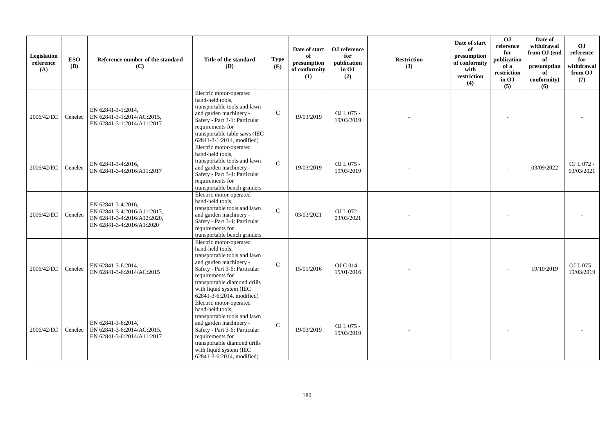| Legislation<br>reference<br>(A) | <b>ESO</b><br><b>(B)</b> | Reference number of the standard<br>(C)                                                                       | Title of the standard<br>(D)                                                                                                                                                                                                                       | <b>Type</b><br>(E) | Date of start<br>of<br>presumption<br>of conformity<br>(1) | OJ reference<br>for<br>publication<br>in OJ<br>(2) | <b>Restriction</b><br>(3) | Date of start<br>of<br>presumption<br>of conformity<br>with<br>restriction<br>(4) | 0 <sub>1</sub><br>reference<br>for<br>publication<br>of a<br>restriction<br>in OJ<br>(5) | Date of<br>withdrawal<br>from OJ (end<br>of<br>presumption<br>of<br>conformity)<br>(6) | OJ<br>reference<br>for<br>withdrawal<br>from OJ<br>(7) |
|---------------------------------|--------------------------|---------------------------------------------------------------------------------------------------------------|----------------------------------------------------------------------------------------------------------------------------------------------------------------------------------------------------------------------------------------------------|--------------------|------------------------------------------------------------|----------------------------------------------------|---------------------------|-----------------------------------------------------------------------------------|------------------------------------------------------------------------------------------|----------------------------------------------------------------------------------------|--------------------------------------------------------|
| 2006/42/EC                      |                          | EN 62841-3-1:2014,<br>Cenelec   EN 62841-3-1:2014/AC:2015,<br>EN 62841-3-1:2014/A11:2017                      | Electric motor-operated<br>hand-held tools,<br>transportable tools and lawn<br>and garden machinery -<br>Safety - Part 3-1: Particular<br>requirements for<br>transportable table saws (IEC<br>62841-3-1:2014, modified)                           | $\mathcal{C}$      | 19/03/2019                                                 | OJ L 075 -<br>19/03/2019                           |                           |                                                                                   |                                                                                          |                                                                                        |                                                        |
| 2006/42/EC                      | Cenelec                  | EN 62841-3-4:2016,<br>EN 62841-3-4:2016/A11:2017                                                              | Electric motor-operated<br>hand-held tools,<br>transportable tools and lawn<br>and garden machinery -<br>Safety - Part 3-4: Particular<br>requirements for<br>transportable bench grinders                                                         | $\mathcal{C}$      | 19/03/2019                                                 | OJ L 075 -<br>19/03/2019                           |                           |                                                                                   |                                                                                          | 03/09/2022                                                                             | OJ L 072 -<br>03/03/2021                               |
| 2006/42/EC                      | Cenelec                  | EN 62841-3-4:2016.<br>EN 62841-3-4:2016/A11:2017,<br>EN 62841-3-4:2016/A12:2020,<br>EN 62841-3-4:2016/A1:2020 | Electric motor-operated<br>hand-held tools,<br>transportable tools and lawn<br>and garden machinery -<br>Safety - Part 3-4: Particular<br>requirements for<br>transportable bench grinders                                                         | $\mathbf C$        | 03/03/2021                                                 | OJ L 072 -<br>03/03/2021                           |                           |                                                                                   |                                                                                          |                                                                                        |                                                        |
| 2006/42/EC                      | Cenelec                  | EN 62841-3-6:2014.<br>EN 62841-3-6:2014/AC:2015                                                               | Electric motor-operated<br>hand-held tools,<br>transportable tools and lawn<br>and garden machinery -<br>Safety - Part 3-6: Particular<br>requirements for<br>transportable diamond drills<br>with liquid system (IEC<br>62841-3-6:2014, modified) | $\mathcal{C}$      | 15/01/2016                                                 | OJ C 014 -<br>15/01/2016                           |                           |                                                                                   |                                                                                          | 19/10/2019                                                                             | $OL L 075 -$<br>19/03/2019                             |
| 2006/42/EC                      |                          | EN 62841-3-6:2014,<br>Cenelec   EN 62841-3-6:2014/AC:2015,<br>EN 62841-3-6:2014/A11:2017                      | Electric motor-operated<br>hand-held tools,<br>transportable tools and lawn<br>and garden machinery -<br>Safety - Part 3-6: Particular<br>requirements for<br>transportable diamond drills<br>with liquid system (IEC<br>62841-3-6:2014, modified) | $\mathcal{C}$      | 19/03/2019                                                 | OJ L 075 -<br>19/03/2019                           |                           |                                                                                   |                                                                                          |                                                                                        |                                                        |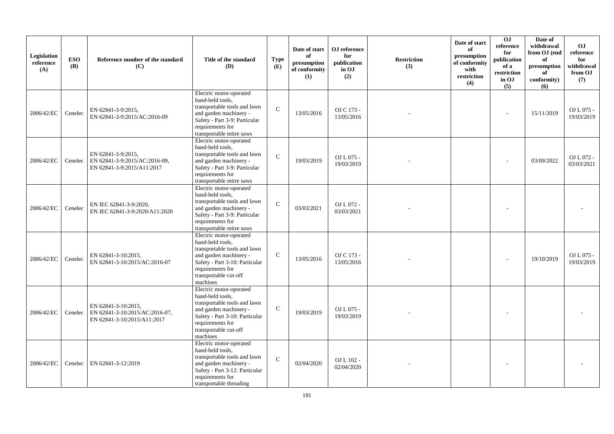| Legislation<br>reference<br>(A) | <b>ESO</b><br><b>(B)</b> | Reference number of the standard<br>(C)                                              | Title of the standard<br>(D)                                                                                                                                                                     | <b>Type</b><br>(E) | Date of start<br>of<br>presumption<br>of conformity<br>(1) | OJ reference<br>for<br>publication<br>in OJ<br>(2) | <b>Restriction</b><br>(3) | Date of start<br>of<br>presumption<br>of conformity<br>with<br>restriction<br>(4) | 0J<br>reference<br>for<br>publication<br>of a<br>restriction<br>in OJ<br>(5) | Date of<br>withdrawal<br>from OJ (end<br>of<br>presumption<br>of<br>conformity)<br>(6) | O <sub>J</sub><br>reference<br>for<br>withdrawal<br>from OJ<br>(7) |
|---------------------------------|--------------------------|--------------------------------------------------------------------------------------|--------------------------------------------------------------------------------------------------------------------------------------------------------------------------------------------------|--------------------|------------------------------------------------------------|----------------------------------------------------|---------------------------|-----------------------------------------------------------------------------------|------------------------------------------------------------------------------|----------------------------------------------------------------------------------------|--------------------------------------------------------------------|
| 2006/42/EC                      | Cenelec                  | EN 62841-3-9:2015,<br>EN 62841-3-9:2015/AC:2016-09                                   | Electric motor-operated<br>hand-held tools,<br>transportable tools and lawn<br>and garden machinery -<br>Safety - Part 3-9: Particular<br>requirements for<br>transportable mitre saws           | $\mathcal{C}$      | 13/05/2016                                                 | OJ C 173 -<br>13/05/2016                           |                           |                                                                                   | ÷,                                                                           | 15/11/2019                                                                             | OJ L 075 -<br>19/03/2019                                           |
| 2006/42/EC                      | Cenelec                  | EN 62841-3-9:2015,<br>EN 62841-3-9:2015/AC:2016-09,<br>EN 62841-3-9:2015/A11:2017    | Electric motor-operated<br>hand-held tools,<br>transportable tools and lawn<br>and garden machinery -<br>Safety - Part 3-9: Particular<br>requirements for<br>transportable mitre saws           | $\mathbf{C}$       | 19/03/2019                                                 | OJ L 075 -<br>19/03/2019                           |                           |                                                                                   |                                                                              | 03/09/2022                                                                             | OJ L 072 -<br>03/03/2021                                           |
| 2006/42/EC                      | Cenelec                  | EN IEC 62841-3-9:2020,<br>EN IEC 62841-3-9:2020/A11:2020                             | Electric motor-operated<br>hand-held tools,<br>transportable tools and lawn<br>and garden machinery -<br>Safety - Part 3-9: Particular<br>requirements for<br>transportable mitre saws           | $\mathbf{C}$       | 03/03/2021                                                 | OJ L 072 -<br>03/03/2021                           |                           |                                                                                   |                                                                              |                                                                                        |                                                                    |
| 2006/42/EC                      | Cenelec                  | EN 62841-3-10:2015,<br>EN 62841-3-10:2015/AC:2016-07                                 | Electric motor-operated<br>hand-held tools,<br>transportable tools and lawn<br>and garden machinery -<br>Safety - Part 3-10: Particular<br>requirements for<br>transportable cut-off<br>machines | $\mathbf C$        | 13/05/2016                                                 | OJ C 173 -<br>13/05/2016                           |                           |                                                                                   |                                                                              | 19/10/2019                                                                             | OJ L 075 -<br>19/03/2019                                           |
| 2006/42/EC                      | Cenelec                  | EN 62841-3-10:2015,<br>EN 62841-3-10:2015/AC:2016-07,<br>EN 62841-3-10:2015/A11:2017 | Electric motor-operated<br>hand-held tools,<br>transportable tools and lawn<br>and garden machinery -<br>Safety - Part 3-10: Particular<br>requirements for<br>transportable cut-off<br>machines | $\mathcal{C}$      | 19/03/2019                                                 | OJ L 075 -<br>19/03/2019                           |                           |                                                                                   |                                                                              |                                                                                        |                                                                    |
| 2006/42/EC                      | Cenelec                  | EN 62841-3-12:2019                                                                   | Electric motor-operated<br>hand-held tools,<br>transportable tools and lawn<br>and garden machinery -<br>Safety - Part 3-12: Particular<br>requirements for<br>transportable threading           | $\mathbf C$        | 02/04/2020                                                 | OJ L 102 -<br>02/04/2020                           |                           |                                                                                   |                                                                              |                                                                                        |                                                                    |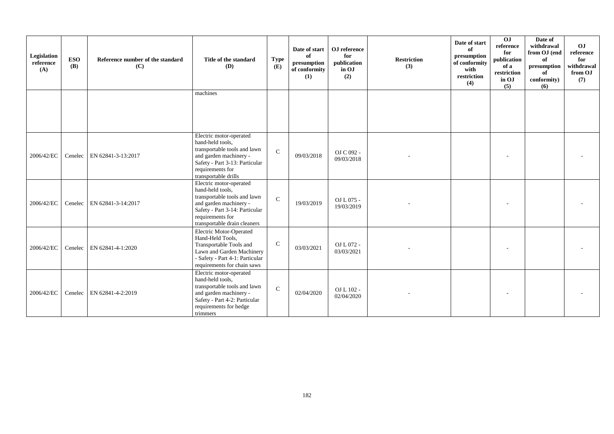| Legislation<br>reference<br>(A) | <b>ESO</b><br>(B) | Reference number of the standard<br>(C) | Title of the standard<br><b>(D)</b>                                                                                                                                                         | <b>Type</b><br>(E) | Date of start<br>of<br>presumption<br>of conformity<br>(1) | OJ reference<br>for<br>publication<br>in OJ<br>(2) | <b>Restriction</b><br>(3) | Date of start<br>of<br>presumption<br>of conformity<br>with<br>restriction<br>(4) | $\overline{0}$<br>reference<br>for<br>publication<br>of a<br>restriction<br>in OJ<br>(5) | Date of<br>withdrawal<br>from OJ (end<br>of<br>presumption<br>of<br>conformity)<br>(6) | OJ<br>reference<br>for<br>withdrawal<br>from OJ<br>(7) |
|---------------------------------|-------------------|-----------------------------------------|---------------------------------------------------------------------------------------------------------------------------------------------------------------------------------------------|--------------------|------------------------------------------------------------|----------------------------------------------------|---------------------------|-----------------------------------------------------------------------------------|------------------------------------------------------------------------------------------|----------------------------------------------------------------------------------------|--------------------------------------------------------|
|                                 |                   |                                         | machines                                                                                                                                                                                    |                    |                                                            |                                                    |                           |                                                                                   |                                                                                          |                                                                                        |                                                        |
| 2006/42/EC                      | Cenelec           | EN 62841-3-13:2017                      | Electric motor-operated<br>hand-held tools,<br>transportable tools and lawn<br>and garden machinery -<br>Safety - Part 3-13: Particular<br>requirements for<br>transportable drills         | $\mathcal{C}$      | 09/03/2018                                                 | OJ C 092 -<br>09/03/2018                           |                           |                                                                                   |                                                                                          |                                                                                        |                                                        |
| 2006/42/EC                      | Cenelec           | EN 62841-3-14:2017                      | Electric motor-operated<br>hand-held tools,<br>transportable tools and lawn<br>and garden machinery -<br>Safety - Part 3-14: Particular<br>requirements for<br>transportable drain cleaners | $\mathbf C$        | 19/03/2019                                                 | OJ L 075 -<br>19/03/2019                           |                           |                                                                                   |                                                                                          |                                                                                        |                                                        |
| 2006/42/EC                      | Cenelec           | EN 62841-4-1:2020                       | Electric Motor-Operated<br>Hand-Held Tools,<br>Transportable Tools and<br>Lawn and Garden Machinery<br>- Safety - Part 4-1: Particular<br>requirements for chain saws                       | $\mathsf{C}$       | 03/03/2021                                                 | OJ L 072 -<br>03/03/2021                           |                           |                                                                                   |                                                                                          |                                                                                        |                                                        |
| 2006/42/EC                      | Cenelec           | EN 62841-4-2:2019                       | Electric motor-operated<br>hand-held tools,<br>transportable tools and lawn<br>and garden machinery -<br>Safety - Part 4-2: Particular<br>requirements for hedge<br>trimmers                | $\mathcal{C}$      | 02/04/2020                                                 | OJ L 102 -<br>02/04/2020                           |                           |                                                                                   |                                                                                          |                                                                                        |                                                        |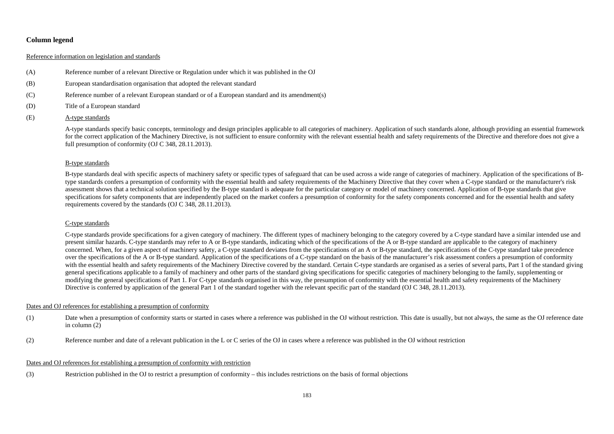# **Column legend**

## Reference information on legislation and standards

- (A) Reference number of a relevant Directive or Regulation under which it was published in the OJ
- (B) European standardisation organisation that adopted the relevant standard
- (C) Reference number of a relevant European standard or of a European standard and its amendment(s)
- (D) Title of a European standard
- (E) A-type standards

A-type standards specify basic concepts, terminology and design principles applicable to all categories of machinery. Application of such standards alone, although providing an essential framework for the correct application of the Machinery Directive, is not sufficient to ensure conformity with the relevant essential health and safety requirements of the Directive and therefore does not give a full presumption of conformity (OJ C 348, 28.11.2013).

### B-type standards

B-type standards deal with specific aspects of machinery safety or specific types of safeguard that can be used across a wide range of categories of machinery. Application of the specifications of Btype standards confers a presumption of conformity with the essential health and safety requirements of the Machinery Directive that they cover when a C-type standard or the manufacturer's risk assessment shows that a technical solution specified by the B-type standard is adequate for the particular category or model of machinery concerned. Application of B-type standards that give specifications for safety components that are independently placed on the market confers a presumption of conformity for the safety components concerned and for the essential health and safety requirements covered by the standards (OJ C 348, 28.11.2013).

#### C-type standards

C-type standards provide specifications for a given category of machinery. The different types of machinery belonging to the category covered by a C-type standard have a similar intended use and present similar hazards. C-type standards may refer to A or B-type standards, indicating which of the specifications of the A or B-type standard are applicable to the category of machinery concerned. When, for a given aspect of machinery safety, a C-type standard deviates from the specifications of an A or B-type standard, the specifications of the C-type standard take precedence over the specifications of the A or B-type standard. Application of the specifications of a C-type standard on the basis of the manufacturer's risk assessment confers a presumption of conformity with the essential health and safety requirements of the Machinery Directive covered by the standard. Certain C-type standards are organised as a series of several parts, Part 1 of the standard giving general specifications applicable to a family of machinery and other parts of the standard giving specifications for specific categories of machinery belonging to the family, supplementing or modifying the general specifications of Part 1. For C-type standards organised in this way, the presumption of conformity with the essential health and safety requirements of the Machinery Directive is conferred by application of the general Part 1 of the standard together with the relevant specific part of the standard (OJ C 348, 28.11.2013).

#### Dates and OJ references for establishing a presumption of conformity

- (1) Date when a presumption of conformity starts or started in cases where a reference was published in the OJ without restriction. This date is usually, but not always, the same as the OJ reference date in column (2)
- (2) Reference number and date of a relevant publication in the L or C series of the OJ in cases where a reference was published in the OJ without restriction

#### Dates and OJ references for establishing a presumption of conformity with restriction

(3) Restriction published in the OJ to restrict a presumption of conformity – this includes restrictions on the basis of formal objections